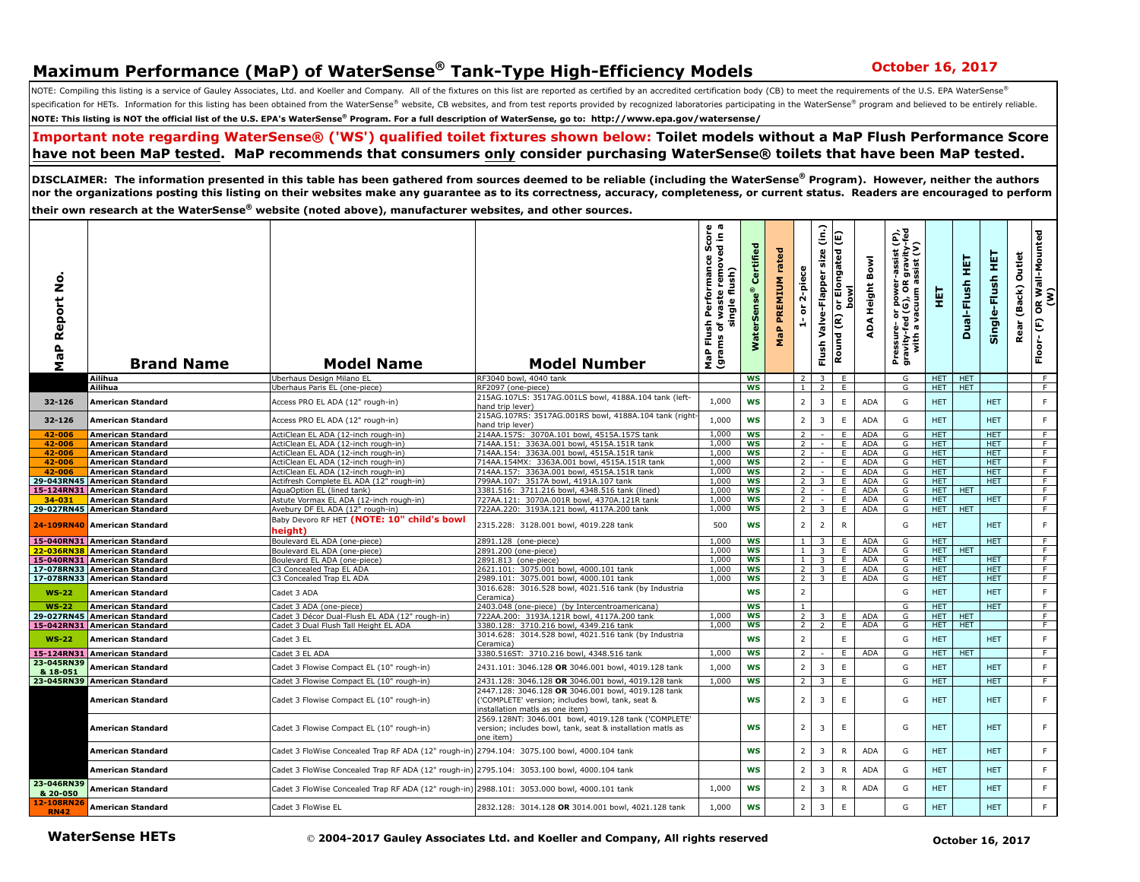## **Maximum Performance (MaP) of WaterSense<sup>®</sup> Tank-Type High-Efficiency Models October 16, 2017**

NOTE: Compiling this listing is a service of Gauley Associates, Ltd. and Koeller and Company. All of the fixtures on this list are reported as certified by an accredited certification body (CB) to meet the requirements of specification for HETs. Information for this listing has been obtained from the WaterSense® website, CB websites, and from test reports provided by recognized laboratories participating in the WaterSense® program and belie **NOTE: This listing is NOT the official list of the U.S. EPA's WaterSense® Program. For a full description of WaterSense, go to: http://www.epa.gov/watersense/** 

## **Important note regarding WaterSense® ('WS') qualified toilet fixtures shown below: Toilet models without a MaP Flush Performance Score have not been MaP tested. MaP recommends that consumers only consider purchasing WaterSense® toilets that have been MaP tested.**

**DISCLAIMER: The information presented in this table has been gathered from sources deemed to be reliable (including the WaterSense® Program). However, neither the authors nor the organizations posting this listing on their websites make any guarantee as to its correctness, accuracy, completeness, or current status. Readers are encouraged to perform** 

**their own research at the WaterSense® website (noted above), manufacturer websites, and other sources.**

| ۰<br>z<br>Report<br>a<br>a<br>Σ | <b>Brand Name</b>                                    | <b>Model Name</b>                                                                           | <b>Model Number</b>                                                                                                                      | ωm<br>rmance Score<br>removed in a<br>ush)<br>Perform<br>ē<br>waste<br>single<br>Flush<br>৳<br>MaP Flu<br>(grams | ÷.<br>Ō<br>ψì.<br>š    | rated<br>PREMIUM<br>MaP | 2-piece<br>ិ                   | $\hat{e}$<br>size<br>Valve-Flapper<br>Flush | E<br>or Elongated<br>lwo<br>a<br>Round (R) | Bowl<br><b>Height</b><br>ADA | Pressure– or power-assist (P),<br>gravity-fed (G), OR gravity-fed<br>with a vacuum assist (V) | 手                        | 王<br>Dual-Flush | 핓<br>Single-Flush        | Outlet<br>(Back)<br>Rear | OR Wall-Mounted<br>(W)<br>$\boldsymbol{\mathsf{E}}$<br>Floor- |
|---------------------------------|------------------------------------------------------|---------------------------------------------------------------------------------------------|------------------------------------------------------------------------------------------------------------------------------------------|------------------------------------------------------------------------------------------------------------------|------------------------|-------------------------|--------------------------------|---------------------------------------------|--------------------------------------------|------------------------------|-----------------------------------------------------------------------------------------------|--------------------------|-----------------|--------------------------|--------------------------|---------------------------------------------------------------|
|                                 | Ailihua                                              | Jberhaus Design Milano El                                                                   | RF3040 bowl, 4040 tank                                                                                                                   |                                                                                                                  | <b>WS</b>              |                         |                                |                                             | E                                          |                              | G                                                                                             | HET.                     | <b>HET</b>      |                          |                          | F                                                             |
|                                 | Ailihua                                              | Jberhaus Paris EL (one-piece)                                                               | RF2097 (one-piece)                                                                                                                       |                                                                                                                  | WS                     |                         | 1 <sup>1</sup>                 | $\overline{2}$                              | E                                          |                              | G                                                                                             | HET HET                  |                 |                          |                          | F                                                             |
| 32-126                          | American Standard                                    | Access PRO EL ADA (12" rough-in)                                                            | 215AG.107LS: 3517AG.001LS bowl, 4188A.104 tank (left-<br>hand trip lever)                                                                | 1,000                                                                                                            | WS                     |                         | $\overline{2}$                 | 3                                           | $\mathsf E$                                | ADA                          | G                                                                                             | <b>HET</b>               |                 | <b>HET</b>               |                          | $\mathsf F$                                                   |
| 32-126                          | <b>American Standard</b>                             | Access PRO EL ADA (12" rough-in)                                                            | 215AG.107RS: 3517AG.001RS bowl, 4188A.104 tank (right<br>hand trip lever)                                                                | 1,000                                                                                                            | <b>WS</b>              |                         | $\overline{2}$                 | 3                                           | $\mathsf E$                                | ADA                          | G                                                                                             | <b>HET</b>               |                 | <b>HET</b>               |                          | $\mathsf F$                                                   |
| 42-006                          | <b>American Standard</b>                             | ActiClean EL ADA (12-inch rough-in)                                                         | 214AA.157S: 3070A.101 bowl, 4515A.157S tank                                                                                              | 1,000<br>1,000                                                                                                   | <b>WS</b>              |                         | $\overline{2}$                 |                                             | E                                          | ADA                          | G                                                                                             | <b>HET</b>               |                 | <b>HET</b>               |                          | F                                                             |
| 42-006<br>42-006                | <b>American Standard</b><br><b>American Standard</b> | ActiClean EL ADA (12-inch rough-in)<br>ActiClean EL ADA (12-inch rough-in)                  | 714AA.151: 3363A.001 bowl. 4515A.151R tank<br>714AA.154: 3363A.001 bowl, 4515A.151R tank                                                 | 1,000                                                                                                            | <b>WS</b><br><b>WS</b> |                         | 2<br>$\overline{2}$            |                                             | E<br>E                                     | ADA<br>ADA                   | G<br>G                                                                                        | <b>HET</b><br><b>HET</b> |                 | <b>HET</b><br><b>HET</b> |                          | F<br>F                                                        |
| 42-006                          | <b>American Standard</b>                             | ActiClean EL ADA (12-inch rough-in)                                                         | 714AA.154MX: 3363A.001 bowl, 4515A.151R tank                                                                                             | 1,000                                                                                                            | <b>WS</b>              |                         | 2                              | $\sim$                                      | E                                          | ADA                          | G                                                                                             | HET                      |                 | <b>HET</b>               |                          | F                                                             |
| 42-006                          | <b>American Standard</b>                             | ActiClean EL ADA (12-inch rough-in)                                                         | 714AA.157: 3363A.001 bowl, 4515A.151R tank                                                                                               | 1,000                                                                                                            | <b>WS</b>              |                         | 2                              |                                             | E                                          | <b>ADA</b>                   | G                                                                                             | <b>HET</b>               |                 | <b>HET</b>               |                          | F                                                             |
| 29-043RN45                      | <b>American Standard</b>                             | Actifresh Complete EL ADA (12" rough-in)                                                    | 799AA.107: 3517A bowl, 4191A.107 tank                                                                                                    | 1.000                                                                                                            | <b>WS</b>              |                         | 2                              | 3                                           | E                                          | <b>ADA</b>                   | G                                                                                             | HET.                     |                 | <b>HET</b>               |                          | F                                                             |
| 15-124RN31                      | <b>American Standard</b>                             | <b>AquaOption EL (lined tank)</b>                                                           | 3381.516: 3711.216 bowl, 4348.516 tank (lined)                                                                                           | 1,000                                                                                                            | WS                     |                         | $\overline{2}$                 |                                             | E                                          | <b>ADA</b>                   | G                                                                                             | <b>HET</b>               | HET             |                          |                          | F                                                             |
| 34-031                          | <b>American Standard</b>                             | Astute Vormax EL ADA (12-inch rough-in)                                                     | 727AA.121: 3070A.001R bowl, 4370A.121R tank                                                                                              | 1,000                                                                                                            | WS                     |                         | $\overline{2}$                 | $\sim$                                      | E.                                         | <b>ADA</b>                   | G                                                                                             | HET.                     |                 | <b>HET</b>               |                          | F                                                             |
|                                 | 29-027RN45 American Standard                         | Avebury DF EL ADA (12" rough-in)                                                            | 722AA.220: 3193A.121 bowl, 4117A.200 tank                                                                                                | 1,000                                                                                                            | ws                     |                         | 2 <sup>1</sup>                 | $\overline{3}$                              | E                                          | ADA                          | G                                                                                             | HET I                    | <b>HET</b>      |                          |                          | F                                                             |
|                                 | 24-109RN40 American Standard                         | Baby Devoro RF HET (NOTE: 10" child's bowl<br>heiaht)                                       | 2315.228: 3128.001 bowl, 4019.228 tank                                                                                                   | 500                                                                                                              | WS                     |                         | $\overline{2}$                 | $\overline{2}$                              | $\mathsf{R}$                               |                              | G                                                                                             | <b>HET</b>               |                 | <b>HET</b>               |                          | $\mathsf F$                                                   |
|                                 | 15-040RN31 American Standard                         | Boulevard EL ADA (one-piece)                                                                | 2891.128 (one-piece)                                                                                                                     | 1,000                                                                                                            | WS                     |                         | $\mathbf{1}$                   | $3-1$                                       | E.                                         | ADA                          | G                                                                                             | HET.                     |                 | <b>HET</b>               |                          | F.                                                            |
|                                 | 22-036RN38 American Standard                         | Boulevard EL ADA (one-piece)                                                                | 2891.200 (one-piece)                                                                                                                     | 1,000                                                                                                            | WS                     |                         | $\mathbf{1}$                   | 3                                           | E                                          | ADA                          | G                                                                                             | HET.                     | <b>HET</b>      |                          |                          | F                                                             |
|                                 | 15-040RN31 American Standard                         | Boulevard EL ADA (one-piece)                                                                | 2891.813 (one-piece)                                                                                                                     | 1,000                                                                                                            | <b>WS</b>              |                         | 1                              | $\overline{\mathbf{3}}$                     | E                                          | ADA                          | G                                                                                             | HET.                     |                 | <b>HET</b>               |                          | F                                                             |
|                                 | 17-078RN33 American Standard                         | C3 Concealed Trap EL ADA                                                                    | 2621.101: 3075.001 bowl, 4000.101 tank                                                                                                   | 1,000                                                                                                            | <b>WS</b>              |                         | <sup>2</sup>                   | $\overline{3}$                              | E.                                         | ADA                          | G                                                                                             | <b>HET</b>               |                 | <b>HET</b>               |                          | F                                                             |
|                                 | 17-078RN33 American Standard                         | C3 Concealed Trap EL ADA                                                                    | 2989.101: 3075.001 bowl, 4000.101 tank                                                                                                   | 1,000                                                                                                            | <b>WS</b>              |                         | 2 <sup>1</sup>                 | 3 <sup>1</sup>                              | E                                          | ADA                          | G                                                                                             | HET.                     |                 | <b>HET</b>               |                          | $\overline{F}$                                                |
| <b>WS-22</b><br>$WS-22$         | <b>American Standard</b><br><b>American Standard</b> | Cadet 3 ADA<br>Cadet 3 ADA (one-piece)                                                      | 3016.628: 3016.528 bowl, 4021.516 tank (by Industria<br>Ceramica)<br>2403.048 (one-piece) (by Intercentroamericana)                      |                                                                                                                  | WS<br><b>WS</b>        |                         | $\overline{2}$<br><sup>1</sup> |                                             |                                            |                              | G<br>G                                                                                        | <b>HET</b><br><b>HET</b> |                 | <b>HET</b><br><b>HET</b> |                          | $\mathsf F$<br>$\overline{F}$                                 |
| 29-027RN45                      | <b>American Standard</b>                             | Cadet 3 Décor Dual-Flush EL ADA (12" rough-in)                                              | 722AA.200: 3193A.121R bowl, 4117A.200 tank                                                                                               | 1,000                                                                                                            | <b>WS</b>              |                         | 2                              | $\overline{3}$                              | E                                          | <b>ADA</b>                   | G                                                                                             | <b>HET</b>               | HET             |                          |                          | F                                                             |
|                                 | 15-042RN31 American Standard                         | Cadet 3 Dual Flush Tall Height EL ADA                                                       | 3380.128: 3710.216 bowl, 4349.216 tank                                                                                                   | 1.000                                                                                                            | <b>WS</b>              |                         | 2 <sup>1</sup>                 | 2                                           | E                                          | ADA                          | G                                                                                             |                          | HET HET         |                          |                          | F                                                             |
| $WS-22$                         | <b>American Standard</b>                             | Cadet 3 EL                                                                                  | 3014.628: 3014.528 bowl, 4021.516 tank (by Industria<br>Ceramica)                                                                        |                                                                                                                  | WS                     |                         | $\overline{2}$                 |                                             | $\mathsf E$                                |                              | G                                                                                             | <b>HET</b>               |                 | <b>HET</b>               |                          | $\mathsf F$                                                   |
| 15-124RN31                      | <b>American Standard</b>                             | Cadet 3 EL ADA                                                                              | 3380.516ST: 3710.216 bowl, 4348.516 tank                                                                                                 | 1,000                                                                                                            | <b>WS</b>              |                         | 2                              |                                             | E                                          | <b>ADA</b>                   | G                                                                                             | HET.                     | <b>HET</b>      |                          |                          | $\overline{F}$                                                |
| 23-045RN39                      | <b>American Standard</b>                             | Cadet 3 Flowise Compact EL (10" rough-in)                                                   | 2431.101: 3046.128 OR 3046.001 bowl, 4019.128 tank                                                                                       | 1,000                                                                                                            | WS                     |                         | $\overline{2}$                 | $\overline{3}$                              | $\mathsf E$                                |                              | G                                                                                             | <b>HET</b>               |                 | <b>HET</b>               |                          | $\mathsf F$                                                   |
| & 18-051                        |                                                      |                                                                                             |                                                                                                                                          |                                                                                                                  |                        |                         |                                |                                             |                                            |                              |                                                                                               |                          |                 |                          |                          |                                                               |
|                                 | 23-045RN39 American Standard                         | Cadet 3 Flowise Compact EL (10" rough-in)                                                   | 2431.128: 3046.128 OR 3046.001 bowl, 4019.128 tank                                                                                       | 1,000                                                                                                            | <b>WS</b>              |                         | 2                              | 3                                           | Ε                                          |                              | G                                                                                             | <b>HET</b>               |                 | <b>HET</b>               |                          | F.                                                            |
|                                 | <b>American Standard</b>                             | Cadet 3 Flowise Compact EL (10" rough-in)                                                   | 2447.128: 3046.128 OR 3046.001 bowl, 4019.128 tank<br>'COMPLETE' version; includes bowl, tank, seat &<br>installation matis as one item) |                                                                                                                  | WS                     |                         | $\overline{2}$                 | $\overline{3}$                              | $\mathsf E$                                |                              | G                                                                                             | HET.                     |                 | <b>HET</b>               |                          | F                                                             |
|                                 | American Standard                                    | Cadet 3 Flowise Compact EL (10" rough-in)                                                   | 2569.128NT: 3046.001 bowl, 4019.128 tank ('COMPLETE'<br>version; includes bowl, tank, seat & installation matls as<br>one item)          |                                                                                                                  | <b>WS</b>              |                         | $\overline{2}$                 | $\overline{3}$                              | $\mathsf E$                                |                              | G                                                                                             | <b>HET</b>               |                 | <b>HET</b>               |                          | F                                                             |
|                                 | American Standard                                    | Cadet 3 FloWise Concealed Trap RF ADA (12" rough-in) 2794.104: 3075.100 bowl, 4000.104 tank |                                                                                                                                          |                                                                                                                  | WS                     |                         | $\overline{2}$                 | 3                                           | $\mathsf{R}$                               | ADA                          | G                                                                                             | <b>HET</b>               |                 | <b>HET</b>               |                          | F                                                             |
|                                 | American Standard                                    | Cadet 3 FloWise Concealed Trap RF ADA (12" rough-in) 2795.104: 3053.100 bowl, 4000.104 tank |                                                                                                                                          |                                                                                                                  | WS                     |                         | $\overline{2}$                 | 3                                           | $\mathsf{R}$                               | <b>ADA</b>                   | G                                                                                             | <b>HET</b>               |                 | <b>HET</b>               |                          | F                                                             |
| 23-046RN39<br>& 20-050          | American Standard                                    | Cadet 3 FloWise Concealed Trap RF ADA (12" rough-in) 2988.101: 3053.000 bowl, 4000.101 tank |                                                                                                                                          | 1,000                                                                                                            | WS                     |                         | $\overline{2}$                 | 3                                           | R                                          | <b>ADA</b>                   | G                                                                                             | <b>HET</b>               |                 | <b>HET</b>               |                          | F                                                             |
| 12-108RN26<br><b>RN42</b>       | <b>American Standard</b>                             | Cadet 3 FloWise EL                                                                          | 2832.128: 3014.128 OR 3014.001 bowl, 4021.128 tank                                                                                       | 1,000                                                                                                            | WS                     |                         | $\overline{2}$                 | 3                                           | $\mathsf E$                                |                              | G                                                                                             | <b>HET</b>               |                 | <b>HET</b>               |                          | $\mathsf F$                                                   |
|                                 | <b>WaterSense HETs</b>                               |                                                                                             | © 2004-2017 Gauley Associates Ltd. and Koeller and Company, All rights reserved                                                          |                                                                                                                  |                        |                         |                                |                                             |                                            |                              |                                                                                               |                          |                 | <b>October 16, 2017</b>  |                          |                                                               |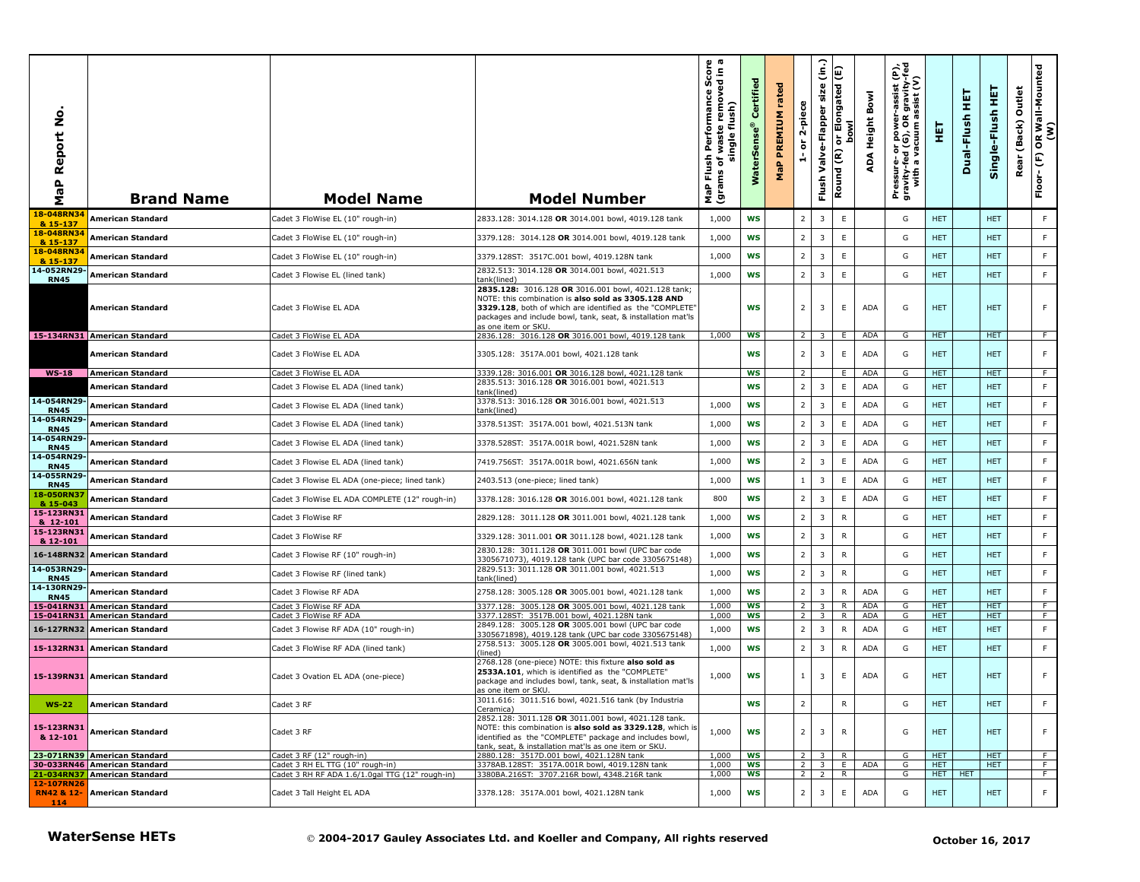| å<br>Report<br>MaP         | <b>Brand Name</b>                                            | <b>Model Name</b>                                             | <b>Model Number</b>                                                                                                                                                                                                                                          | <b>Irmance Score</b><br>Internoved in a<br>Performance<br>single flush)<br>waste<br>Flush<br>đ<br>(grams<br>MaP | Certified<br>WaterSense® | rated<br><b>PREMIUM</b><br>MaP | 2-piece<br>$\overleftarrow{\mathtt{o}}$<br>ă | $\hat{c}$<br>size<br>Valve-Flapper<br>Flush | or Elongated (E)<br>bowl<br>Round (R) | <b>Bowl</b><br><b>Height</b><br>ADA | $\hat{\mathbf{e}}$<br>-assist (<br>gravity-<br>Pressure- or power-assist<br>gravity-fed (G), OR gravit<br>with a vacuum assist (' | 핓                        | 필<br>Dual-Flush | 핖<br>Single-Flush        | Outlet<br>(Back)<br>Rear | OR Wall-Mounted<br>(W)<br>$\mathsf{E}$<br>Floor- |
|----------------------------|--------------------------------------------------------------|---------------------------------------------------------------|--------------------------------------------------------------------------------------------------------------------------------------------------------------------------------------------------------------------------------------------------------------|-----------------------------------------------------------------------------------------------------------------|--------------------------|--------------------------------|----------------------------------------------|---------------------------------------------|---------------------------------------|-------------------------------------|-----------------------------------------------------------------------------------------------------------------------------------|--------------------------|-----------------|--------------------------|--------------------------|--------------------------------------------------|
| 18-048RN3<br>& 15-137      | <b>American Standard</b>                                     | Cadet 3 FloWise EL (10" rough-in)                             | 2833.128: 3014.128 OR 3014.001 bowl, 4019.128 tank                                                                                                                                                                                                           | 1,000                                                                                                           | <b>WS</b>                |                                | $\overline{2}$                               | 3                                           | E                                     |                                     | G                                                                                                                                 | <b>HET</b>               |                 | <b>HET</b>               |                          | F                                                |
| 18-048RN34<br>& 15-137     | American Standard                                            | Cadet 3 FloWise EL (10" rough-in)                             | 3379.128: 3014.128 OR 3014.001 bowl, 4019.128 tank                                                                                                                                                                                                           | 1,000                                                                                                           | <b>WS</b>                |                                | $\overline{2}$                               | 3                                           | E                                     |                                     | G                                                                                                                                 | <b>HET</b>               |                 | <b>HET</b>               |                          | F                                                |
| 18-048RN34<br>& 15-137     | American Standard                                            | Cadet 3 FloWise EL (10" rough-in)                             | 3379.128ST: 3517C.001 bowl, 4019.128N tank                                                                                                                                                                                                                   | 1,000                                                                                                           | <b>WS</b>                |                                | $\overline{2}$                               | 3                                           | $\mathsf E$                           |                                     | G                                                                                                                                 | <b>HET</b>               |                 | <b>HET</b>               |                          | $\mathsf F$                                      |
| 14-052RN29-<br><b>RN45</b> | American Standard                                            | Cadet 3 Flowise EL (lined tank)                               | 2832.513: 3014.128 OR 3014.001 bowl, 4021.513<br>tank(lined)                                                                                                                                                                                                 | 1,000                                                                                                           | <b>WS</b>                |                                | $\overline{2}$                               | 3                                           | $\mathsf E$                           |                                     | G                                                                                                                                 | <b>HET</b>               |                 | <b>HET</b>               |                          | $\mathsf F$                                      |
|                            | American Standard                                            | Cadet 3 FloWise EL ADA                                        | 2835.128: 3016.128 OR 3016.001 bowl, 4021.128 tank;<br>NOTE: this combination is also sold as 3305.128 AND<br>3329.128, both of which are identified as the "COMPLETE"<br>packages and include bowl, tank, seat, & installation mat'ls<br>as one item or SKU |                                                                                                                 | <b>WS</b>                |                                | $\overline{2}$                               | 3                                           | E                                     | <b>ADA</b>                          | G                                                                                                                                 | <b>HET</b>               |                 | <b>HET</b>               |                          | F                                                |
|                            | 15-134RN31 American Standard                                 | Cadet 3 FloWise EL ADA                                        | 2836.128: 3016.128 OR 3016.001 bowl, 4019.128 tank                                                                                                                                                                                                           | 1,000                                                                                                           | <b>WS</b>                |                                | $\overline{2}$                               | $\overline{\mathbf{3}}$                     | E                                     | <b>ADA</b>                          | G                                                                                                                                 | HET                      |                 | <b>HET</b>               |                          | $-F$                                             |
|                            | American Standard                                            | Cadet 3 FloWise EL ADA                                        | 3305.128: 3517A.001 bowl, 4021.128 tank                                                                                                                                                                                                                      |                                                                                                                 | <b>WS</b>                |                                | $\overline{2}$                               | 3                                           | E                                     | <b>ADA</b>                          | G                                                                                                                                 | <b>HET</b>               |                 | <b>HET</b>               |                          | F                                                |
| $WS-18$                    | <b>American Standard</b><br>American Standard                | Cadet 3 FloWise EL ADA                                        | 3339.128: 3016.001 OR 3016.128 bowl, 4021.128 tank<br>2835.513: 3016.128 OR 3016.001 bowl, 4021.513                                                                                                                                                          |                                                                                                                 | ws<br><b>WS</b>          |                                | $\overline{z}$<br>$\overline{2}$             | 3                                           | Ε.<br>$\mathsf E$                     | ADA<br><b>ADA</b>                   | G<br>G                                                                                                                            | <b>HET</b><br><b>HET</b> |                 | <b>HET</b><br><b>HET</b> |                          | F.<br>$\mathsf F$                                |
| 14-054RN29-                | American Standard                                            | Cadet 3 Flowise EL ADA (lined tank)                           | tank(lined)<br>3378.513: 3016.128 OR 3016.001 bowl, 4021.513                                                                                                                                                                                                 | 1,000                                                                                                           | <b>WS</b>                |                                | $\overline{2}$                               | 3                                           | $\mathsf E$                           | <b>ADA</b>                          | G                                                                                                                                 | <b>HET</b>               |                 | <b>HET</b>               |                          | F                                                |
| <b>RN45</b><br>14-054RN29- |                                                              | Cadet 3 Flowise EL ADA (lined tank)                           | tank(lined)                                                                                                                                                                                                                                                  |                                                                                                                 |                          |                                | $\overline{2}$                               |                                             |                                       |                                     |                                                                                                                                   |                          |                 |                          |                          | F                                                |
| <b>RN45</b><br>14-054RN29  | American Standard                                            | Cadet 3 Flowise EL ADA (lined tank)                           | 3378.513ST: 3517A.001 bowl, 4021.513N tank                                                                                                                                                                                                                   | 1,000                                                                                                           | <b>WS</b>                |                                |                                              | 3                                           | $\mathsf E$                           | <b>ADA</b>                          | G                                                                                                                                 | <b>HET</b>               |                 | <b>HET</b>               |                          |                                                  |
| <b>RN45</b><br>14-054RN29- | American Standard                                            | Cadet 3 Flowise EL ADA (lined tank)                           | 3378.528ST: 3517A.001R bowl, 4021.528N tank                                                                                                                                                                                                                  | 1,000                                                                                                           | WS                       |                                | $\overline{2}$                               | 3                                           | E                                     | <b>ADA</b>                          | G                                                                                                                                 | <b>HET</b>               |                 | <b>HET</b>               |                          | F                                                |
| <b>RN45</b><br>14-055RN29- | American Standard                                            | Cadet 3 Flowise EL ADA (lined tank)                           | 7419.756ST: 3517A.001R bowl, 4021.656N tank                                                                                                                                                                                                                  | 1,000                                                                                                           | <b>WS</b>                |                                | $\overline{2}$                               | 3                                           | $\mathsf E$                           | <b>ADA</b>                          | G                                                                                                                                 | <b>HET</b>               |                 | <b>HET</b>               |                          | $\mathsf F$                                      |
| <b>RN45</b><br>18-050RN37  | American Standard                                            | Cadet 3 Flowise EL ADA (one-piece; lined tank)                | 2403.513 (one-piece; lined tank)                                                                                                                                                                                                                             | 1,000                                                                                                           | <b>WS</b>                |                                | $\mathbf{1}$                                 | 3                                           | $\mathsf E$                           | <b>ADA</b>                          | G                                                                                                                                 | <b>HET</b>               |                 | <b>HET</b>               |                          | F                                                |
| & 15-043                   | American Standard                                            | Cadet 3 FloWise EL ADA COMPLETE (12" rough-in)                | 3378.128: 3016.128 OR 3016.001 bowl, 4021.128 tank                                                                                                                                                                                                           | 800                                                                                                             | WS                       |                                | $\overline{2}$                               | 3                                           | E                                     | <b>ADA</b>                          | G                                                                                                                                 | <b>HET</b>               |                 | <b>HET</b>               |                          | F                                                |
| 15-123RN31<br>& 12-101     | American Standard                                            | Cadet 3 FloWise RF                                            | 2829.128: 3011.128 OR 3011.001 bowl, 4021.128 tank                                                                                                                                                                                                           | 1,000                                                                                                           | <b>WS</b>                |                                | $\overline{2}$                               | 3                                           | ${\sf R}$                             |                                     | G                                                                                                                                 | <b>HET</b>               |                 | <b>HET</b>               |                          | F                                                |
| 15-123RN31<br>& 12-101     | American Standard                                            | Cadet 3 FloWise RF                                            | 3329.128: 3011.001 OR 3011.128 bowl, 4021.128 tank                                                                                                                                                                                                           | 1,000                                                                                                           | WS                       |                                | $\overline{2}$                               | 3                                           | $\mathsf{R}$                          |                                     | G                                                                                                                                 | <b>HET</b>               |                 | <b>HET</b>               |                          | F                                                |
|                            | 16-148RN32 American Standard                                 | Cadet 3 Flowise RF (10" rough-in)                             | 2830.128: 3011.128 OR 3011.001 bowl (UPC bar code<br>3305671073), 4019.128 tank (UPC bar code 3305675148)                                                                                                                                                    | 1,000                                                                                                           | WS                       |                                | $\overline{2}$                               | 3                                           | $\mathsf{R}$                          |                                     | G                                                                                                                                 | <b>HET</b>               |                 | <b>HET</b>               |                          | F                                                |
| 14-053RN29-<br><b>RN45</b> | American Standard                                            | Cadet 3 Flowise RF (lined tank)                               | 2829.513: 3011.128 OR 3011.001 bowl, 4021.513<br>tank(lined)                                                                                                                                                                                                 | 1,000                                                                                                           | <b>WS</b>                |                                | $\overline{2}$                               | 3                                           | ${\sf R}$                             |                                     | G                                                                                                                                 | <b>HET</b>               |                 | <b>HET</b>               |                          | F                                                |
| 14-130RN29-<br><b>RN45</b> | American Standard                                            | Cadet 3 Flowise RF ADA                                        | 2758.128: 3005.128 OR 3005.001 bowl, 4021.128 tank                                                                                                                                                                                                           | 1,000                                                                                                           | WS                       |                                | $\overline{2}$                               | 3                                           | $\mathsf{R}$                          | <b>ADA</b>                          | G                                                                                                                                 | <b>HET</b>               |                 | <b>HET</b>               |                          | F                                                |
| 15-041RN31<br>15-041RN31   | <b>American Standard</b><br><b>American Standard</b>         | Cadet 3 FloWise RF ADA<br>Cadet 3 FloWise RF ADA              | 3377.128: 3005.128 OR 3005.001 bowl, 4021.128 tank<br>3377.128ST: 3517B.001 bowl, 4021.128N tank                                                                                                                                                             | 1,000<br>1,000                                                                                                  | <b>WS</b><br><b>WS</b>   |                                | 2<br>2                                       | 3                                           | R<br>R                                | ADA<br><b>ADA</b>                   | G<br>G                                                                                                                            | <b>HET</b><br><b>HET</b> |                 | <b>HET</b><br><b>HET</b> |                          | F.<br>F.                                         |
|                            | 16-127RN32 American Standard                                 | Cadet 3 Flowise RF ADA (10" rough-in)                         | 2849.128: 3005.128 OR 3005.001 bowl (UPC bar code<br>3305671898), 4019.128 tank (UPC bar code 3305675148)                                                                                                                                                    | 1,000                                                                                                           | WS                       |                                | $\overline{2}$                               | 3                                           | $\mathsf{R}$                          | <b>ADA</b>                          | G                                                                                                                                 | <b>HET</b>               |                 | <b>HET</b>               |                          | F                                                |
|                            | 15-132RN31 American Standard                                 | Cadet 3 FloWise RF ADA (lined tank)                           | 2758.513: 3005.128 OR 3005.001 bowl, 4021.513 tank<br>(lined)                                                                                                                                                                                                | 1,000                                                                                                           | WS                       |                                | $\overline{2}$                               | 3                                           | R                                     | <b>ADA</b>                          | G                                                                                                                                 | <b>HET</b>               |                 | <b>HET</b>               |                          | F                                                |
|                            | 15-139RN31 American Standard                                 | Cadet 3 Ovation EL ADA (one-piece)                            | 2768.128 (one-piece) NOTE: this fixture also sold as<br>2533A.101, which is identified as the "COMPLETE"<br>package and includes bowl, tank, seat, & installation mat'ls<br>as one item or SKU.                                                              | 1,000                                                                                                           | <b>WS</b>                |                                | $\mathbf{1}$                                 | 3                                           | E                                     | <b>ADA</b>                          | G                                                                                                                                 | HET.                     |                 | <b>HET</b>               |                          | F                                                |
| $WS-22$                    | <b>American Standard</b>                                     | Cadet 3 RF                                                    | 3011.616:   3011.516 bowl, 4021.516 tank (by Industria<br>Ceramica)                                                                                                                                                                                          |                                                                                                                 | WS                       |                                | $\overline{2}$                               |                                             | R                                     |                                     | G                                                                                                                                 | <b>HET</b>               |                 | <b>HET</b>               |                          | F.                                               |
| 15-123RN31<br>& 12-101     | American Standard                                            | Cadet 3 RF                                                    | 2852.128: 3011.128 OR 3011.001 bowl, 4021.128 tank.<br>NOTE: this combination is also sold as 3329.128, which is<br>identified as the "COMPLETE" package and includes bowl,<br>tank, seat, & installation mat'ls as one item or SKU.                         | 1,000                                                                                                           | ws                       |                                | $\overline{2}$                               | 3                                           | R                                     |                                     | G                                                                                                                                 | HET.                     |                 | <b>HET</b>               |                          | F                                                |
|                            | 23-071RN39 American Standard<br>30-033RN46 American Standard | Cadet 3 RF (12" rough-in)<br>Cadet 3 RH EL TTG (10" rough-in) | 2880.128: 3517D.001 bowl, 4021.128N tank<br>3378AB.128ST: 3517A.001R bowl, 4019.128N tank                                                                                                                                                                    | 1,000<br>1,000                                                                                                  | <b>WS</b><br>ws          |                                | 2 <sub>1</sub><br>2 <sub>1</sub>             | 3 <sup>1</sup><br>3 <sup>1</sup>            | R<br>E                                | ADA                                 | G<br>G                                                                                                                            | HET.<br><b>HET</b>       |                 | <b>HET</b><br><b>HET</b> |                          | F.<br>F.                                         |
|                            | 21-034RN37 American Standard                                 | Cadet 3 RH RF ADA 1.6/1.0gal TTG (12" rough-in)               | 3380BA.216ST: 3707.216R bowl, 4348.216R tank                                                                                                                                                                                                                 | 1,000                                                                                                           | WS                       |                                | 2 <sub>1</sub>                               | $\overline{2}$                              | R.                                    |                                     | G                                                                                                                                 | HET.                     | <b>HET</b>      |                          |                          | F                                                |
| 12-107RN26<br>114          | RN42 & 12- American Standard                                 | Cadet 3 Tall Height EL ADA                                    | 3378.128: 3517A.001 bowl, 4021.128N tank                                                                                                                                                                                                                     | 1,000                                                                                                           | WS                       |                                | $\overline{2}$                               | 3                                           | E                                     | <b>ADA</b>                          | G                                                                                                                                 | <b>HET</b>               |                 | <b>HET</b>               |                          | $\mathsf F$                                      |
|                            | <b>WaterSense HETs</b>                                       |                                                               | © 2004-2017 Gauley Associates Ltd. and Koeller and Company, All rights reserved                                                                                                                                                                              |                                                                                                                 |                          |                                |                                              |                                             |                                       |                                     |                                                                                                                                   |                          |                 | October 16, 2017         |                          |                                                  |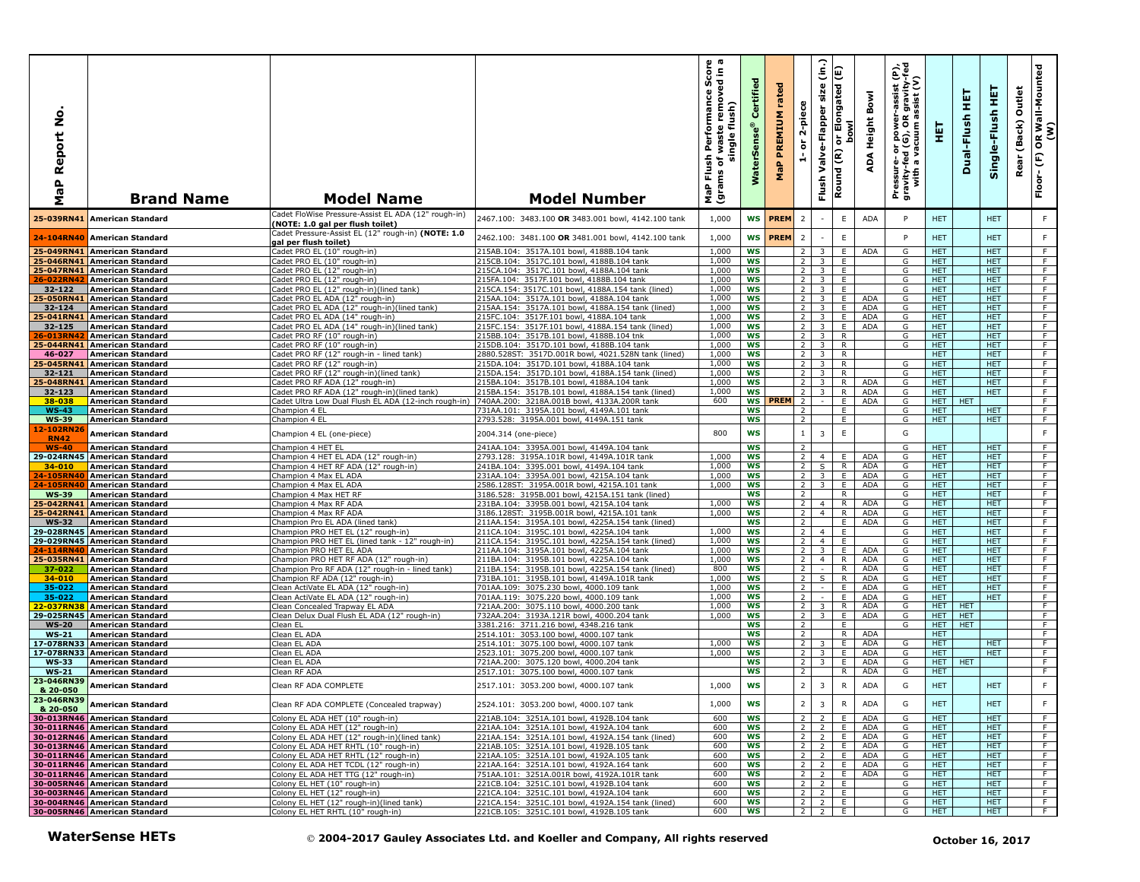| ۰<br>Ź<br>teport<br>≃<br>MaP | <b>Brand Name</b>                                            | <b>Model Name</b>                                                                         | <b>Model Number</b>                                                                              | Score<br>sdin a<br>iove<br>sh Performance !<br>of waste remove<br>single flush)<br>Flush<br>ms of <sub>V</sub><br>ε<br>NaP<br>(grai | Certified<br>$\bullet$<br><b>WaterSens</b> | ᄝ<br>tat<br>PREMIUM<br>MaP | 2-piece<br>ត<br>÷                | $\hat{\epsilon}$<br>E<br>size<br>יר Elongated<br>סטעו<br>Valve-Flapper<br>$\epsilon$<br>Round<br>Flush | Bowl<br><b>Height</b><br>능 혼<br>ADA          | Pressure- or power-assist (P),<br>gravity-fed (G), OR gravity-fed<br>with a vacuum assist (V) | 토                        | 真<br>Dual-Flush          | 莫<br>Single-Flush        | Outlet<br>(Back)<br>Rear | OR Wall-Mounted<br>(W)<br>E<br>Floor- |
|------------------------------|--------------------------------------------------------------|-------------------------------------------------------------------------------------------|--------------------------------------------------------------------------------------------------|-------------------------------------------------------------------------------------------------------------------------------------|--------------------------------------------|----------------------------|----------------------------------|--------------------------------------------------------------------------------------------------------|----------------------------------------------|-----------------------------------------------------------------------------------------------|--------------------------|--------------------------|--------------------------|--------------------------|---------------------------------------|
| 25-039RN41                   | <b>American Standard</b>                                     | Cadet FloWise Pressure-Assist EL ADA (12" rough-in)<br>(NOTE: 1.0 gal per flush toilet)   | 2467.100: 3483.100 OR 3483.001 bowl, 4142.100 tank                                               | 1,000                                                                                                                               |                                            | WS <b>PREM</b>             | $\overline{2}$                   | $\overline{\phantom{a}}$                                                                               | E<br>ADA                                     | P                                                                                             | <b>HET</b>               |                          | <b>HET</b>               |                          | F.                                    |
| 24-104RN40                   | <b>American Standard</b>                                     | Cadet Pressure-Assist EL (12" rough-in) (NOTE: 1.0<br>gal per flush toilet)               | 2462.100: 3481.100 OR 3481.001 bowl, 4142.100 tank                                               | 1,000                                                                                                                               | <b>WS</b>                                  | PREM                       | $\overline{2}$                   | $\sim$                                                                                                 | E                                            | P                                                                                             | <b>HET</b>               |                          | <b>HET</b>               |                          | F.                                    |
|                              | 25-049RN41 American Standard                                 | Cadet PRO EL (10" rough-in)                                                               | 215AB.104: 3517A.101 bowl, 4188B.104 tank                                                        | 1,000                                                                                                                               | <b>WS</b>                                  |                            | 2                                | 3                                                                                                      | E<br><b>ADA</b>                              | G                                                                                             | <b>HET</b>               |                          | <b>HET</b>               |                          | F                                     |
|                              | 25-046RN41 American Standard                                 | Cadet PRO EL (10" rough-in)                                                               | 215CB.104: 3517C.101 bowl, 4188B.104 tank                                                        | 1,000                                                                                                                               | <b>WS</b>                                  |                            | 2                                | 3                                                                                                      | E                                            | G                                                                                             | <b>HET</b>               |                          | <b>HET</b>               |                          | F.                                    |
|                              | 25-047RN41 American Standard                                 | Cadet PRO EL (12" rough-in)                                                               | 215CA.104: 3517C.101 bowl, 4188A.104 tank                                                        | 1,000<br>1,000                                                                                                                      | WS<br>WS                                   |                            | 2<br>$\overline{2}$              | $\overline{3}$<br>$\overline{3}$                                                                       | E<br>E                                       | G<br>G                                                                                        | <b>HET</b><br><b>HET</b> |                          | <b>HET</b><br><b>HET</b> |                          | F<br>F                                |
| 26-022RN4<br>32-122          | <b>American Standard</b><br><b>American Standard</b>         | Cadet PRO EL (12" rough-in)<br>Cadet PRO EL (12" rough-in)(lined tank)                    | 215FA.104: 3517F.101 bowl, 4188B.104 tank<br>215CA.154: 3517C.101 bowl, 4188A.154 tank (lined)   | 1,000                                                                                                                               | <b>WS</b>                                  |                            | 2                                | 3                                                                                                      | E                                            | G                                                                                             | <b>HET</b>               |                          | HET                      |                          | F                                     |
|                              | 25-050RN41 American Standard                                 | Cadet PRO EL ADA (12" rough-in)                                                           | 215AA.104: 3517A.101 bowl, 4188A.104 tank                                                        | 1,000                                                                                                                               | WS                                         |                            | $\overline{2}$                   | $\overline{\mathbf{3}}$                                                                                | E<br>ADA                                     | G                                                                                             | <b>HET</b>               |                          | HET.                     |                          | F                                     |
| 32-124                       | <b>American Standard</b>                                     | Cadet PRO EL ADA (12" rough-in)(lined tank)                                               | 215AA.154: 3517A.101 bowl, 4188A.154 tank (lined)                                                | 1,000                                                                                                                               | WS                                         |                            | $\overline{2}$                   | 3                                                                                                      | ADA<br>E.                                    | G                                                                                             | <b>HET</b>               |                          | <b>HET</b>               |                          | F                                     |
| 25-041RN41                   | American Standard                                            | Cadet PRO EL ADA (14" rough-in)                                                           | 215FC.104: 3517F.101 bowl, 4188A.104 tank                                                        | 1,000<br>1,000                                                                                                                      | WS                                         |                            | 2                                | 3                                                                                                      | E<br><b>ADA</b><br>E<br><b>ADA</b>           | G                                                                                             | <b>HET</b>               |                          | HET.                     |                          | F<br>F                                |
| 32-125<br>26-013RN4          | <b>American Standard</b><br><b>American Standard</b>         | Cadet PRO EL ADA (14" rough-in)(lined tank)<br>Cadet PRO RF (10" rough-in)                | 215FC.154: 3517F.101 bowl, 4188A.154 tank (lined)<br>215BB.104: 3517B.101 bowl, 4188B.104 tnk    | 1,000                                                                                                                               | WS<br>WS                                   |                            | $\overline{2}$<br>$\overline{2}$ | $\overline{\mathbf{3}}$<br>$\overline{\mathbf{3}}$                                                     | R                                            | G<br>G                                                                                        | <b>HET</b><br><b>HET</b> |                          | <b>HET</b><br>HET.       |                          | F                                     |
| 25-044RN41                   | <b>American Standard</b>                                     | Cadet PRO RF (10" rough-in)                                                               | 215DB.104: 3517D.101 bowl, 4188B.104 tank                                                        | 1,000                                                                                                                               | ws                                         |                            | 2 <sup>1</sup>                   | $\overline{\mathbf{3}}$                                                                                | R.                                           | G                                                                                             | <b>HET</b>               |                          | <b>HET</b>               |                          | F                                     |
| 46-027                       | <b>American Standard</b>                                     | Cadet PRO RF (12" rough-in - lined tank)                                                  | 2880.528ST: 3517D.001R bowl, 4021.528N tank (lined)                                              | 1,000                                                                                                                               | WS                                         |                            | $\overline{2}$                   | $\overline{\mathbf{3}}$                                                                                | R                                            |                                                                                               | <b>HET</b>               |                          | <b>HET</b>               |                          | F.                                    |
| 25-045RN41                   | American Standard                                            | Cadet PRO RF (12" rough-in)                                                               | 215DA.104: 3517D.101 bowl, 4188A.104 tank                                                        | 1,000                                                                                                                               | <b>WS</b>                                  |                            | 2                                | 3<br>3                                                                                                 | $\mathsf{R}$                                 | G                                                                                             | <b>HET</b>               |                          | <b>HET</b>               |                          | F                                     |
| 32-121<br>25-048RN4:         | <b>American Standard</b><br><b>American Standard</b>         | Cadet PRO RF (12" rough-in)(lined tank)<br>Cadet PRO RF ADA (12" rough-in)                | 215DA.154: 3517D.101 bowl, 4188A.154 tank (lined)<br>215BA.104: 3517B.101 bowl, 4188A.104 tank   | 1,000<br>1,000                                                                                                                      | WS<br><b>WS</b>                            |                            | 2<br>$\overline{2}$              |                                                                                                        | R<br>R<br><b>ADA</b>                         | G<br>G                                                                                        | <b>HET</b><br>HET.       |                          | <b>HET</b><br><b>HET</b> |                          | F.<br>F                               |
| 32-123                       | <b>American Standard</b>                                     | Cadet PRO RF ADA (12" rough-in)(lined tank)                                               | 215BA.154: 3517B.101 bowl, 4188A.154 tank (lined)                                                | 1,000                                                                                                                               | <b>WS</b>                                  |                            | 2                                | $\overline{3}$                                                                                         | ADA<br>R                                     | G                                                                                             | <b>HET</b>               |                          | <b>HET</b>               |                          | F                                     |
| 38-038                       | <b>American Standard</b>                                     | Cadet Ultra Low Dual Flush EL ADA (12-inch rough-in)                                      | 740AA.200: 3218A.001B bowl, 4133A.200R tank                                                      | 600                                                                                                                                 |                                            | <b>WS PREM</b>             | $\overline{2}$                   | $\sim$                                                                                                 | E<br><b>ADA</b>                              | G                                                                                             | <b>HET</b>               | <b>HET</b>               |                          |                          | F                                     |
| $WS-43$                      | <b>American Standard</b>                                     | Champion 4 EL                                                                             | 731AA.101: 3195A.101 bowl, 4149A.101 tank                                                        |                                                                                                                                     | <b>WS</b><br><b>WS</b>                     |                            | $\overline{2}$                   |                                                                                                        | E<br>E                                       | G<br>G                                                                                        | HET.<br>HET.             |                          | HET.<br>HET.             |                          | F                                     |
| <b>WS-39</b><br>12-102RN     | <b>American Standard</b>                                     | Champion 4 EL                                                                             | 2793.528: 3195A.001 bowl, 4149A.151 tank                                                         |                                                                                                                                     |                                            |                            | $\overline{2}$                   |                                                                                                        |                                              |                                                                                               |                          |                          |                          |                          | F                                     |
| <b>RN42</b>                  | <b>American Standard</b>                                     | Champion 4 EL (one-piece)                                                                 | 2004.314 (one-piece)                                                                             | 800                                                                                                                                 | <b>WS</b>                                  |                            | 1                                | $\overline{3}$                                                                                         | E                                            | G                                                                                             |                          |                          |                          |                          | $\mathsf F$                           |
| <b>WS-40</b>                 | <b>American Standard</b>                                     | Champion 4 HET EL                                                                         | 241AA.104: 3395A.001 bowl, 4149A.104 tank                                                        |                                                                                                                                     | <b>WS</b>                                  |                            | $\overline{2}$                   |                                                                                                        |                                              | G                                                                                             | <b>HET</b>               |                          | <b>HET</b>               |                          | F                                     |
| 29-024RN45                   | <b>American Standard</b>                                     | Champion 4 HET EL ADA (12" rough-in)                                                      | 2793.128: 3195A.101R bowl, 4149A.101R tank                                                       | 1,000                                                                                                                               | <b>WS</b>                                  |                            | $\overline{2}$                   | $\overline{4}$                                                                                         | <b>ADA</b><br>E.                             | G                                                                                             | <b>HET</b>               |                          | <b>HET</b>               |                          | F                                     |
| $34 - 010$<br>24-105RN40     | <b>American Standard</b><br><b>American Standard</b>         | Champion 4 HET RF ADA (12" rough-in)<br>Champion 4 Max EL ADA                             | 241BA.104: 3395.001 bowl, 4149A.104 tank<br>231AA.104: 3395A.001 bowl, 4215A.104 tank            | 1,000<br>1,000                                                                                                                      | ws<br>WS                                   |                            | $\overline{2}$<br>2              | S<br>$\overline{\mathbf{3}}$                                                                           | R<br><b>ADA</b><br>E.<br>ADA                 | G<br>G                                                                                        | <b>HET</b><br>HET.       |                          | <b>HET</b><br><b>HET</b> |                          | F.<br>F                               |
| 24-105RN4                    | <b>American Standard</b>                                     | Champion 4 Max EL ADA                                                                     | 2586.128ST: 3195A.001R bowl, 4215A.101 tank                                                      | 1,000                                                                                                                               | <b>WS</b>                                  |                            | $\overline{2}$                   | 3                                                                                                      | ADA<br>E.                                    | G                                                                                             | <b>HET</b>               |                          | <b>HET</b>               |                          | F                                     |
| <b>WS-39</b>                 | <b>American Standard</b>                                     | Champion 4 Max HET RF                                                                     | 3186.528: 3195B.001 bowl, 4215A.151 tank (lined)                                                 |                                                                                                                                     | WS                                         |                            | 2                                |                                                                                                        | R                                            | G                                                                                             | <b>HET</b>               |                          | <b>HET</b>               |                          | F.                                    |
| 25-042RN41                   | <b>American Standard</b>                                     | Champion 4 Max RF ADA                                                                     | 231BA.104: 3395B.001 bowl, 4215A.104 tank                                                        | 1,000<br>1,000                                                                                                                      | <b>WS</b><br><b>WS</b>                     |                            | $\overline{2}$<br>$\overline{2}$ | $\overline{4}$<br>$\overline{4}$                                                                       | $\mathsf{R}$<br><b>ADA</b><br><b>ADA</b>     | G<br>G                                                                                        | <b>HET</b>               |                          | <b>HET</b>               |                          | F<br>F                                |
| 25-042RN41<br><b>WS-32</b>   | <b>American Standard</b><br><b>American Standard</b>         | Champion 4 Max RF ADA<br>Champion Pro EL ADA (lined tank)                                 | 3186.128ST: 3195B.001R bowl, 4215A.101 tank<br>211AA.154: 3195A.101 bowl, 4225A.154 tank (lined) |                                                                                                                                     | ws                                         |                            | $\overline{2}$                   |                                                                                                        | R<br>E.<br><b>ADA</b>                        | G                                                                                             | HET.<br><b>HET</b>       |                          | <b>HET</b><br><b>HET</b> |                          | F.                                    |
|                              | 29-028RN45 American Standard                                 | Champion PRO HET EL (12" rough-in)                                                        | 211CA.104: 3195C.101 bowl, 4225A.104 tank                                                        | 1,000                                                                                                                               | <b>WS</b>                                  |                            | $\overline{2}$                   | $\overline{4}$                                                                                         | E                                            | G                                                                                             | <b>HET</b>               |                          | <b>HET</b>               |                          | F                                     |
|                              | 29-029RN45 American Standard                                 | Champion PRO HET EL (lined tank - 12" rough-in)                                           | 211CA.154: 3195C.101 bowl, 4225A.154 tank (lined)                                                | 1,000                                                                                                                               | WS                                         |                            | $\overline{2}$                   | $\overline{4}$                                                                                         | E                                            | G                                                                                             | <b>HET</b>               |                          | HET.                     |                          | F                                     |
| 24-114RN4(                   | <b>American Standard</b>                                     | Champion PRO HET EL ADA                                                                   | 211AA.104: 3195A.101 bowl, 4225A.104 tank                                                        | 1,000<br>1,000                                                                                                                      | WS                                         |                            | $\overline{2}$<br><b>2</b> l     | $\overline{3}$                                                                                         | E.<br><b>ADA</b><br><b>ADA</b>               | G                                                                                             | <b>HET</b>               |                          | <b>HET</b>               |                          | F<br>F                                |
| 25-035RN41<br>37-022         | <b>American Standard</b><br><b>American Standard</b>         | Champion PRO HET RF ADA (12" rough-in)<br>Champion Pro RF ADA (12" rough-in - lined tank) | 211BA.104: 3195B.101 bowl, 4225A.104 tank<br>211BA.154: 3195B.101 bowl, 4225A.154 tank (lined)   | 800                                                                                                                                 | WS<br><b>WS</b>                            |                            | $\overline{2}$                   | $\overline{4}$<br>$\sim$                                                                               | $\mathsf{R}$<br>$\overline{R}$<br><b>ADA</b> | G<br>G                                                                                        | <b>HET</b><br><b>HET</b> |                          | HET.<br><b>HET</b>       |                          | $\overline{F}$                        |
| 34-010                       | <b>American Standard</b>                                     | Champion RF ADA (12" rough-in)                                                            | 731BA.101: 3195B.101 bowl, 4149A.101R tank                                                       | 1,000                                                                                                                               | <b>WS</b>                                  |                            | 2                                | S                                                                                                      | <b>ADA</b><br>R                              | G                                                                                             | HET.                     |                          | <b>HET</b>               |                          | F                                     |
| 35-022                       | <b>American Standard</b>                                     | Clean ActiVate EL ADA (12" rough-in)                                                      | 01AA.109: 3075.230 bowl, 4000.109 tank                                                           | 1.000                                                                                                                               | WS                                         |                            | $\overline{2}$                   |                                                                                                        | E<br><b>ADA</b>                              | G                                                                                             | <b>HET</b>               |                          | <b>HET</b>               |                          | F.                                    |
| 35-022                       | <b>American Standard</b>                                     | Clean ActiVate EL ADA (12" rough-in)                                                      | 701AA.119: 3075.220 bowl, 4000.109 tank                                                          | 1,000                                                                                                                               | <b>WS</b>                                  |                            | 2                                | $\sim$                                                                                                 | E<br>ADA                                     | G                                                                                             | <b>HET</b>               |                          | HET.                     |                          | F                                     |
| 2-037RN!<br>29-025RN45       | <b>American Standard</b><br><b>American Standard</b>         | Clean Concealed Trapway EL ADA<br>Clean Delux Dual Flush EL ADA (12" rough-in)            | 721AA.200: 3075.110 bowl, 4000.200 tank<br>732AA.204: 3193A.121R bowl, 4000.204 tank             | 1,000<br>1.000                                                                                                                      | WS<br><b>WS</b>                            |                            | $\overline{2}$<br>2              | 3                                                                                                      | ADA<br>R.<br>E<br><b>ADA</b>                 | G<br>G                                                                                        | HET.<br>HET.             | <b>HET</b><br><b>HET</b> |                          |                          | F<br>F                                |
| <b>WS-20</b>                 | <b>American Standard</b>                                     | Clean EL                                                                                  | 3381.216: 3711.216 bowl, 4348.216 tank                                                           |                                                                                                                                     | <b>WS</b>                                  |                            | $\overline{2}$                   |                                                                                                        | E                                            | G                                                                                             | <b>HET</b>               | <b>HET</b>               |                          |                          | F                                     |
| <b>WS-21</b>                 | <b>American Standard</b>                                     | Clean EL ADA                                                                              | 2514.101: 3053.100 bowl, 4000.107 tank                                                           |                                                                                                                                     | <b>WS</b>                                  |                            | $\overline{2}$                   |                                                                                                        | <b>ADA</b><br>R                              |                                                                                               | <b>HET</b>               |                          |                          |                          | $\overline{F}$                        |
|                              | 17-078RN33 American Standard                                 | Clean EL ADA                                                                              | 2514.101: 3075.100 bowl, 4000.107 tank                                                           | 1,000                                                                                                                               | WS                                         |                            | $\overline{2}$                   | 3                                                                                                      | <b>ADA</b><br>E.                             | G                                                                                             | HET.                     |                          | HET.                     |                          | F.                                    |
| <b>WS-33</b>                 | 17-078RN33 American Standard<br><b>American Standard</b>     | Clean EL ADA<br>Clean EL ADA                                                              | 2523.101: 3075.200 bowl, 4000.107 tank<br>721AA.200: 3075.120 bowl, 4000.204 tank                | 1,000                                                                                                                               | WS<br><b>WS</b>                            |                            | $\overline{2}$<br>$\overline{2}$ | $\overline{3}$<br>-3                                                                                   | E<br>ADA<br><b>ADA</b><br>E.                 | G<br>G                                                                                        | HET.<br>HET.             | <b>HET</b>               | <b>HET</b>               |                          | F<br>$\overline{F}$                   |
| $WS-21$                      | <b>American Standard</b>                                     | Clean RF ADA                                                                              | 2517.101: 3075.100 howl. 4000.107 tank                                                           |                                                                                                                                     | WS                                         |                            | 2                                |                                                                                                        | <b>ADA</b><br>R                              | G                                                                                             | <b>HET</b>               |                          |                          |                          | F                                     |
| 23-046RN39                   | American Standard                                            | Clean RF ADA COMPLETE                                                                     | 2517.101: 3053.200 bowl, 4000.107 tank                                                           | 1,000                                                                                                                               | <b>WS</b>                                  |                            | $\overline{2}$                   | $\overline{3}$                                                                                         | R<br><b>ADA</b>                              | G                                                                                             | <b>HET</b>               |                          | <b>HET</b>               |                          | F                                     |
| & 20-050<br>23-046RN39       | <b>American Standard</b>                                     | Clean RF ADA COMPLETE (Concealed trapway)                                                 | 2524.101: 3053.200 bowl, 4000.107 tank                                                           | 1,000                                                                                                                               | ws                                         |                            | 2 <sup>1</sup>                   | $\overline{\mathbf{3}}$                                                                                | R<br>ADA                                     | G                                                                                             | <b>HET</b>               |                          | <b>HET</b>               |                          | F.                                    |
| & 20-050                     | 30-013RN46 American Standard                                 | Colony EL ADA HET (10" rough-in)                                                          | 221AB.104: 3251A.101 bowl, 4192B.104 tank                                                        | 600                                                                                                                                 | WS                                         |                            | 2                                | 2                                                                                                      | ADA<br>E.                                    | G                                                                                             | <b>HET</b>               |                          | <b>HET</b>               |                          | F                                     |
|                              | 30-011RN46 American Standard                                 | Colony EL ADA HET (12" rough-in)                                                          | 221AA.104: 3251A.101 bowl, 4192A.104 tank                                                        | 600                                                                                                                                 | ws                                         |                            | 2 <sub>1</sub>                   | $\overline{2}$                                                                                         | Ε.<br>ADA                                    | G                                                                                             | <b>HET</b>               |                          | <b>HET</b>               |                          | F.                                    |
|                              | 30-012RN46 American Standard                                 | Colony EL ADA HET (12" rough-in)(lined tank)                                              | 221AA.154: 3251A.101 bowl, 4192A.154 tank (lined)                                                | 600                                                                                                                                 | WS                                         |                            | $2^{\circ}$                      | $\overline{2}$                                                                                         | E<br>ADA                                     | G                                                                                             | <b>HET</b>               |                          | <b>HET</b>               |                          | F                                     |
|                              | 30-013RN46 American Standard                                 | Colony EL ADA HET RHTL (10" rough-in)                                                     | 221AB.105: 3251A.101 bowl, 4192B.105 tank                                                        | 600                                                                                                                                 | WS                                         |                            | $\overline{2}$                   | $\overline{2}$                                                                                         | E<br>ADA                                     | G                                                                                             | <b>HET</b>               |                          | <b>HET</b>               |                          | F                                     |
|                              | 30-011RN46 American Standard<br>30-011RN46 American Standard | Colony EL ADA HET RHTL (12" rough-in)                                                     | 221AA.105: 3251A.101 bowl, 4192A.105 tank                                                        | 600<br>600                                                                                                                          | ws<br>ws                                   |                            | $\overline{2}$                   | 2                                                                                                      | E.<br>ADA<br>E.<br>ADA                       | G<br>G                                                                                        | HET.<br>HET.             |                          | HET.<br><b>HET</b>       |                          | F<br>F.                               |
|                              | 30-011RN46 American Standard                                 | Colony EL ADA HET TCDL (12" rough-in)<br>Colony EL ADA HET TTG (12" rough-in)             | 221AA.164: 3251A.101 bowl, 4192A.164 tank<br>751AA.101: 3251A.001R bowl, 4192A.101R tank         | 600                                                                                                                                 | WS                                         |                            | $2 \quad 2$<br>2 <sub>1</sub>    | 2                                                                                                      | ADA<br>E                                     | G                                                                                             | HET.                     |                          | HET.                     |                          | F                                     |
|                              | 30-005RN46 American Standard                                 | Colony EL HET (10" rough-in)                                                              | 221CB.104: 3251C.101 bowl, 4192B.104 tank                                                        | 600                                                                                                                                 | ws                                         |                            | 2 <sub>1</sub>                   | <sup>2</sup>                                                                                           | E                                            | G                                                                                             | <b>HET</b>               |                          | <b>HET</b>               |                          | F.                                    |
|                              | 30-003RN46 American Standard                                 | Colony EL HET (12" rough-in)                                                              | 221CA.104: 3251C.101 bowl, 4192A.104 tank                                                        | 600                                                                                                                                 | ws                                         |                            | 2 <sub>1</sub>                   | $\overline{2}$                                                                                         | E.                                           | G                                                                                             | <b>HET</b>               |                          | <b>HET</b>               |                          | $\overline{F}$                        |
|                              | 30-004RN46 American Standard<br>30-005RN46 American Standard | Colony EL HET (12" rough-in)(lined tank)                                                  | 221CA.154: 3251C.101 bowl, 4192A.154 tank (lined)                                                | 600                                                                                                                                 | WS                                         |                            | $2 \mid 2 \mid$                  |                                                                                                        | E.                                           | G                                                                                             | <b>HET</b>               |                          | <b>HET</b>               |                          | $\overline{F}$                        |
|                              |                                                              | Colony EL HET RHTL (10" rough-in)                                                         | 221CB.105: 3251C.101 bowl, 4192B.105 tank                                                        | 600                                                                                                                                 | ws                                         |                            | $2^{\circ}$                      | $\overline{2}$                                                                                         | E.                                           | G                                                                                             | HET.                     |                          | HET.                     |                          | F.                                    |
|                              | <b>WaterSense HETs</b>                                       |                                                                                           | © 2004-2017 Gauley Associates Ltd. and Koeller and Company, All rights reserved                  |                                                                                                                                     |                                            |                            |                                  |                                                                                                        |                                              |                                                                                               |                          |                          | October 16, 2017         |                          |                                       |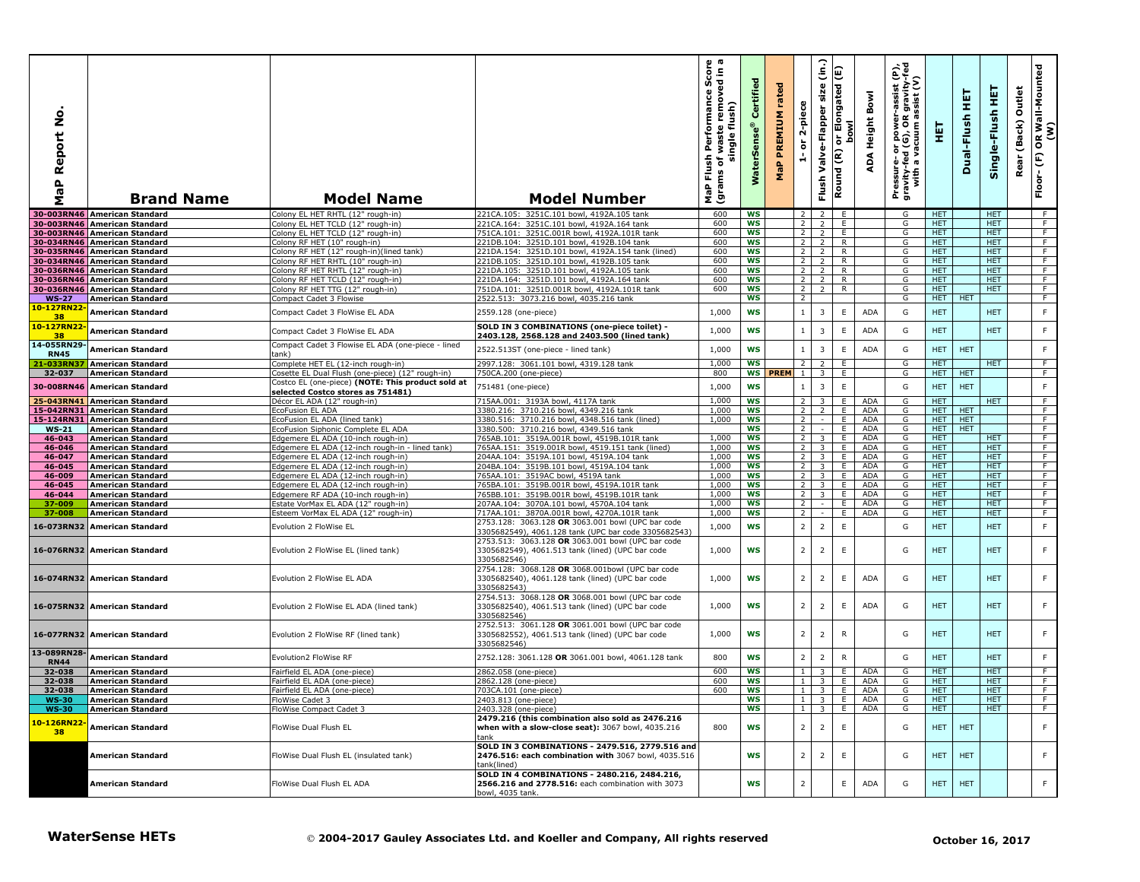| $\circ$<br>z<br>eport<br>≃<br>$\mathbf{r}$<br>œ<br>Σ | <b>Brand Name</b>                                            | <b>Model Name</b>                                                        | <b>Model Number</b>                                                                                                   | $\omega$ $\varpi$<br>rmance Score<br>removed in a<br>Performan<br>flush)<br>waste<br>single<br>Flush<br>৳<br>(grams<br>MaP | Certified<br><b>WaterSens</b> | rated<br>PREMIUM<br>$\mathbf{a}$<br>운 | 2-piece<br>$\overleftarrow{\mathtt{o}}$<br>Á | $\hat{c}$<br>size<br>Valve-Flapper<br>Flush | Elongated (E)<br><b>bowl</b><br>ōr<br>Round (R) | Bowl<br>Height<br>ADA        | e,<br>R gravity-f<br>assist (V)<br>-assist<br>or power-<br>d (G), OR 9<br>Pressure- or power-a<br>gravity-fed (G), OR g<br>with a vacuum as | 핓                        | 핖<br>Dual-Flush | 王<br>Single-Flush        | Outlet<br>(Back)<br>Rea | OR Wall-Mounted<br>(W)<br>Floor-(F) |
|------------------------------------------------------|--------------------------------------------------------------|--------------------------------------------------------------------------|-----------------------------------------------------------------------------------------------------------------------|----------------------------------------------------------------------------------------------------------------------------|-------------------------------|---------------------------------------|----------------------------------------------|---------------------------------------------|-------------------------------------------------|------------------------------|---------------------------------------------------------------------------------------------------------------------------------------------|--------------------------|-----------------|--------------------------|-------------------------|-------------------------------------|
|                                                      | 30-003RN46 American Standard                                 | Colony EL HET RHTL (12" rough-in                                         | 221CA.105: 3251C.101 bowl, 4192A.105 tank                                                                             | 600                                                                                                                        | WS                            |                                       | $\overline{2}$                               | $\overline{2}$                              | E                                               |                              | G                                                                                                                                           | <b>HET</b>               |                 | <b>HET</b>               |                         | F                                   |
|                                                      | 30-003RN46 American Standard                                 | Colony EL HET TCLD (12" rough-in)                                        | 221CA.164: 3251C.101 howl. 4192A.164 tank                                                                             | 600                                                                                                                        | WS                            |                                       | $\overline{2}$                               | $\overline{2}$                              | E.                                              |                              | G                                                                                                                                           | HET.                     |                 | <b>HET</b>               |                         | F                                   |
|                                                      | 30-003RN46 American Standard<br>30-034RN46 American Standard | Colony EL HET TCLD (12" rough-in)<br>Colony RF HET (10" rough-in)        | 751CA.101: 3251C.001R bowl, 4192A.101R tank<br>221DB.104: 3251D.101 bowl, 4192B.104 tank                              | 600<br>600                                                                                                                 | WS<br><b>WS</b>               |                                       | 2 <sup>1</sup><br>$\overline{2}$             | $\overline{2}$<br>$\overline{2}$            | E.<br>R                                         |                              | G<br>G                                                                                                                                      | HET.<br>HET.             |                 | HET.<br>HET.             |                         | $\overline{F}$<br>F                 |
|                                                      | 30-035RN46 American Standard                                 | Colony RF HET (12" rough-in)(lined tank)                                 | 221DA.154: 3251D.101 bowl, 4192A.154 tank (lined)                                                                     | 600                                                                                                                        | WS                            |                                       | $\overline{2}$                               | 2                                           | R                                               |                              | G                                                                                                                                           | <b>HET</b>               |                 | <b>HET</b>               |                         | F                                   |
|                                                      | 30-034RN46 American Standard                                 | Colony RF HET RHTL (10" rough-in)                                        | 221DB.105: 3251D.101 bowl, 4192B.105 tank                                                                             | 600                                                                                                                        | WS                            |                                       | $\overline{2}$                               | $\overline{2}$                              | R                                               |                              | G                                                                                                                                           | <b>HET</b>               |                 | <b>HET</b>               |                         | $\overline{F}$                      |
|                                                      | 30-036RN46 American Standard                                 | Colony RF HET RHTL (12" rough-in)                                        | 221DA.105: 3251D.101 bowl, 4192A.105 tank                                                                             | 600                                                                                                                        | <b>WS</b>                     |                                       |                                              | $2 \mid 2$                                  | $\overline{R}$                                  |                              | G                                                                                                                                           | <b>HET</b>               |                 | <b>HET</b>               |                         | F                                   |
|                                                      | 30-036RN46 American Standard                                 | Colony RF HET TCLD (12" rough-in)                                        | 221DA.164: 3251D.101 bowl, 4192A.164 tank                                                                             | 600                                                                                                                        | ws                            |                                       | $2^{\circ}$                                  | $\overline{2}$                              | R.                                              |                              | G                                                                                                                                           | HET.                     |                 | <b>HET</b>               |                         | F                                   |
|                                                      | 30-036RN46 American Standard                                 | Colony RF HET TTG (12" rough-in)                                         | 751DA.101: 3251D.001R bowl, 4192A.101R tank<br>2522.513: 3073.216 bowl, 4035.216 tank                                 | 600                                                                                                                        | <b>WS</b><br><b>WS</b>        |                                       | 2 <sup>1</sup><br>$\overline{2}$             | $\overline{2}$                              | R                                               |                              | G<br>G                                                                                                                                      | HET.<br><b>HET</b>       | <b>HET</b>      | HET.                     |                         | F<br>$\overline{F}$                 |
| <b>WS-27</b><br>10-127RN22                           | <b>American Standard</b>                                     | Compact Cadet 3 Flowise                                                  |                                                                                                                       |                                                                                                                            |                               |                                       |                                              |                                             |                                                 |                              |                                                                                                                                             |                          |                 |                          |                         |                                     |
| 38                                                   | <b>American Standard</b>                                     | Compact Cadet 3 FloWise EL ADA                                           | 2559.128 (one-piece)                                                                                                  | 1,000                                                                                                                      | <b>WS</b>                     |                                       | $\mathbf{1}$                                 | 3                                           | Ε                                               | <b>ADA</b>                   | G                                                                                                                                           | <b>HET</b>               |                 | <b>HET</b>               |                         | $\mathsf F$                         |
| 10-127RN22<br>38                                     | <b>American Standard</b>                                     | Compact Cadet 3 FloWise EL ADA                                           | <b>SOLD IN 3 COMBINATIONS (one-piece toilet) -</b><br>2403.128, 2568.128 and 2403.500 (lined tank)                    | 1,000                                                                                                                      | <b>WS</b>                     |                                       |                                              | $\overline{3}$                              | $\mathsf E$                                     | <b>ADA</b>                   | G                                                                                                                                           | <b>HET</b>               |                 | <b>HET</b>               |                         | $\mathsf F$                         |
| 14-055RN29-<br><b>RN45</b>                           | <b>American Standard</b>                                     | Compact Cadet 3 Flowise EL ADA (one-piece - lined<br>tank)               | 2522.513ST (one-piece - lined tank)                                                                                   | 1,000                                                                                                                      | <b>WS</b>                     |                                       | $\mathbf{1}$                                 | 3                                           | E                                               | <b>ADA</b>                   | G                                                                                                                                           | <b>HET</b>               | <b>HET</b>      |                          |                         | F                                   |
| 21-033RN                                             | <b>American Standard</b>                                     | Complete HET EL (12-inch rough-in)                                       | 2997.128: 3061.101 bowl, 4319.128 tank                                                                                | 1,000                                                                                                                      | <b>WS</b>                     |                                       | 2                                            | $\mathcal{L}$                               | E.                                              |                              | G                                                                                                                                           | <b>HET</b>               |                 | <b>HET</b>               |                         | F.                                  |
| 32-037                                               | <b>American Standard</b>                                     | Cosette EL Dual Flush (one-piece) (12" rough-in)                         | 750CA.200 (one-piece)                                                                                                 | 800                                                                                                                        | <b>WS</b>                     | <b>PREM</b>                           | $\overline{1}$                               | 3                                           | E                                               |                              | G                                                                                                                                           | HET.                     | <b>HET</b>      |                          |                         | F                                   |
| 30-008RN46                                           | <b>American Standard</b>                                     | Costco EL (one-piece) (NOTE: This product sold at                        | 751481 (one-piece)                                                                                                    | 1,000                                                                                                                      | <b>WS</b>                     |                                       | 1                                            | 3                                           | $\mathsf E$                                     |                              | G                                                                                                                                           | <b>HET</b>               | <b>HET</b>      |                          |                         | $\mathsf F$                         |
|                                                      |                                                              | selected Costco stores as 751481)                                        |                                                                                                                       |                                                                                                                            |                               |                                       |                                              |                                             |                                                 |                              |                                                                                                                                             |                          |                 |                          |                         |                                     |
|                                                      | 25-043RN41 American Standard<br>15-042RN31 American Standard | Décor EL ADA (12" rough-in)<br>EcoFusion EL ADA                          | 715AA.001: 3193A bowl, 4117A tank<br>3380.216: 3710.216 bowl, 4349.216 tank                                           | 1,000<br>1,000                                                                                                             | ws<br><b>WS</b>               |                                       | $\overline{2}$<br>$\overline{2}$             | 3<br>$\overline{2}$                         | E<br>E                                          | <b>ADA</b><br><b>ADA</b>     | G<br>G                                                                                                                                      | <b>HET</b><br><b>HET</b> | <b>HET</b>      | HET                      |                         | F<br>F                              |
|                                                      | 15-124RN31 American Standard                                 | EcoFusion EL ADA (lined tank)                                            | 3380.516: 3710.216 bowl, 4348.516 tank (lined)                                                                        | 1,000                                                                                                                      | <b>WS</b>                     |                                       | $\overline{2}$                               | $\sim$                                      | E.                                              | ADA                          | G                                                                                                                                           | HET.                     | <b>HET</b>      |                          |                         | F                                   |
| $WS-21$                                              | <b>American Standard</b>                                     | EcoFusion Siphonic Complete EL ADA                                       | 3380.500: 3710.216 bowl, 4349.516 tank                                                                                |                                                                                                                            | WS                            |                                       | $\overline{2}$                               |                                             | Ε.                                              | <b>ADA</b>                   | G                                                                                                                                           | HET.                     | <b>HET</b>      |                          |                         | F.                                  |
| 46-043                                               | <b>American Standard</b>                                     | Edgemere EL ADA (10-inch rough-in)                                       | 765AB.101: 3519A.001R bowl, 4519B.101R tank                                                                           | 1,000                                                                                                                      | <b>WS</b>                     |                                       | 2                                            | $\overline{\mathbf{3}}$                     | E.                                              | ADA                          | G                                                                                                                                           | <b>HET</b>               |                 | HET.                     |                         | F                                   |
| 46-046                                               | <b>American Standard</b>                                     | Edgemere EL ADA (12-inch rough-in - lined tank)                          | 765AA.151: 3519.001R bowl, 4519.151 tank (lined)                                                                      | 1,000                                                                                                                      | <b>WS</b>                     |                                       | 2                                            | $\overline{3}$                              | E                                               | ADA                          | G                                                                                                                                           | <b>HET</b>               |                 | <b>HET</b>               |                         | $\overline{F}$                      |
| 46-047<br>46-045                                     | <b>American Standard</b><br><b>American Standard</b>         | Edgemere EL ADA (12-inch rough-in)<br>Edgemere EL ADA (12-inch rough-in) | 204AA.104: 3519A.101 bowl, 4519A.104 tank<br>204BA.104: 3519B.101 bowl, 4519A.104 tank                                | 1,000<br>1,000                                                                                                             | WS<br>WS                      |                                       | $\overline{2}$<br>$\overline{2}$             | 3 <sup>7</sup><br>$\overline{\mathbf{3}}$   | E.<br>E.                                        | <b>ADA</b><br>ADA            | G<br>G                                                                                                                                      | HET.<br>HET.             |                 | <b>HET</b><br>HET.       |                         | $\overline{F}$<br>$\overline{F}$    |
| 46-009                                               | <b>American Standard</b>                                     | Edgemere EL ADA (12-inch rough-in)                                       | 765AA.101: 3519AC bowl, 4519A tank                                                                                    | 1,000                                                                                                                      | <b>WS</b>                     |                                       | $\overline{2}$                               | $\overline{\mathbf{3}}$                     | E.                                              | ADA                          | G                                                                                                                                           | HET.                     |                 | HET.                     |                         | F                                   |
| 46-045                                               | <b>American Standard</b>                                     | Edgemere EL ADA (12-inch rough-in)                                       | 765BA.101: 3519B.001R bowl, 4519A.101R tank                                                                           | 1,000                                                                                                                      | <b>WS</b>                     |                                       | $\overline{2}$                               | $\overline{3}$                              | E.                                              | ADA                          | G                                                                                                                                           | <b>HET</b>               |                 | <b>HET</b>               |                         | F                                   |
| 46-044                                               | <b>American Standard</b>                                     | Edgemere RF ADA (10-inch rough-in)                                       | 765BB.101: 3519B.001R bowl, 4519B.101R tank                                                                           | 1,000                                                                                                                      | ws                            |                                       | 2                                            | $\overline{\mathbf{3}}$                     | E.                                              | ADA                          | G                                                                                                                                           | <b>HET</b>               |                 | <b>HET</b>               |                         | $\overline{F}$                      |
| 37-009                                               | <b>American Standard</b>                                     | Estate VorMax EL ADA (12" rough-in)                                      | 207AA.104: 3070A.101 bowl, 4570A.104 tank                                                                             | 1,000                                                                                                                      | <b>WS</b>                     |                                       | 2                                            | $\sim$                                      | E                                               | <b>ADA</b>                   | G                                                                                                                                           | HET.                     |                 | HET.                     |                         | F                                   |
| 37-008                                               | <b>American Standard</b>                                     | Esteem VorMax EL ADA (12" rough-in)                                      | 717AA.101: 3870A.001R bowl, 4270A.101R tank<br>2753.128: 3063.128 OR 3063.001 bowl (UPC bar code                      | 1,000                                                                                                                      | <b>WS</b>                     |                                       | $\overline{2}$                               | $\sim$                                      | E                                               | <b>ADA</b>                   | G                                                                                                                                           | HET.                     |                 | <b>HET</b>               |                         | F                                   |
| 16-073RN32                                           | <b>American Standard</b>                                     | Evolution 2 FloWise EL                                                   | 3305682549), 4061.128 tank (UPC bar code 3305682543)<br>2753.513: 3063.128 OR 3063.001 bowl (UPC bar code             | 1,000                                                                                                                      | <b>WS</b>                     |                                       | $\overline{2}$                               | $\overline{2}$                              | $\mathsf E$                                     |                              | G                                                                                                                                           | <b>HET</b>               |                 | <b>HET</b>               |                         | F                                   |
|                                                      | 16-076RN32 American Standard                                 | Evolution 2 FloWise EL (lined tank)                                      | 3305682549), 4061.513 tank (lined) (UPC bar code<br>3305682546)                                                       | 1,000                                                                                                                      | <b>WS</b>                     |                                       | $\overline{2}$                               | $\overline{2}$                              | $\mathsf E$                                     |                              | G                                                                                                                                           | <b>HET</b>               |                 | <b>HET</b>               |                         | F                                   |
|                                                      | 16-074RN32 American Standard                                 | Evolution 2 FloWise EL ADA                                               | 2754.128: 3068.128 OR 3068.001bowl (UPC bar code<br>3305682540), 4061.128 tank (lined) (UPC bar code<br>3305682543)   | 1,000                                                                                                                      | WS                            |                                       | $\overline{2}$                               | $\overline{2}$                              | E                                               | <b>ADA</b>                   | G                                                                                                                                           | <b>HET</b>               |                 | <b>HET</b>               |                         | F                                   |
|                                                      | 16-075RN32 American Standard                                 | Evolution 2 FloWise EL ADA (lined tank)                                  | 2754.513: 3068.128 OR 3068.001 bowl (UPC bar code<br>3305682540), 4061.513 tank (lined) (UPC bar code<br>3305682546)  | 1,000                                                                                                                      | WS                            |                                       | $\overline{2}$                               | 2                                           | E                                               | <b>ADA</b>                   | G                                                                                                                                           | <b>HET</b>               |                 | <b>HET</b>               |                         | F                                   |
|                                                      | 16-077RN32 American Standard                                 | Evolution 2 FloWise RF (lined tank)                                      | 2752.513: 3061.128 OR 3061.001 bowl (UPC bar code<br>3305682552), 4061.513 tank (lined) (UPC bar code<br>3305682546)  | 1,000                                                                                                                      | <b>WS</b>                     |                                       | $\overline{2}$                               | $\overline{2}$                              | $\mathsf{R}$                                    |                              | G                                                                                                                                           | <b>HET</b>               |                 | <b>HET</b>               |                         | E                                   |
| 13-089RN28-<br><b>RN44</b>                           | American Standard                                            | Evolution2 FloWise RF                                                    | 2752.128: 3061.128 OR 3061.001 bowl, 4061.128 tank                                                                    | 800                                                                                                                        | <b>WS</b>                     |                                       | $\overline{2}$                               | $\overline{2}$                              | $\mathsf{R}$                                    |                              | G                                                                                                                                           | <b>HET</b>               |                 | <b>HET</b>               |                         | F                                   |
| 32-038                                               | <b>American Standard</b>                                     | Fairfield EL ADA (one-piece)                                             | 2862.058 (one-piece)                                                                                                  | 600                                                                                                                        | <b>WS</b>                     |                                       | $\mathbf{1}$                                 | 3                                           | E                                               | ADA                          | G                                                                                                                                           | <b>HET</b>               |                 | <b>HET</b>               |                         | F                                   |
| 32-038<br>32-038                                     | <b>American Standard</b><br><b>American Standard</b>         | Fairfield EL ADA (one-piece)<br>Fairfield EL ADA (one-piece)             | 2862.128 (one-piece)<br>703CA.101 (one-piece)                                                                         | 600<br>600                                                                                                                 | <b>WS</b><br>WS               |                                       | $\mathbf{1}$<br>$\mathbf{1}$                 | $\overline{\mathbf{3}}$<br>3 <sup>1</sup>   | E<br>E.                                         | <b>ADA</b><br>ADA            | G<br>G                                                                                                                                      | HET.<br>HET.             |                 | <b>HET</b><br><b>HET</b> |                         | F<br>F.                             |
| WS-30                                                | l American Standard                                          | FloWise Cadet 3                                                          | 2403.813 (one-piece                                                                                                   |                                                                                                                            | ws                            |                                       |                                              |                                             |                                                 | $1 \quad 3 \quad \vdots$ ADA | G                                                                                                                                           | HEI                      |                 | HEL                      |                         |                                     |
| <b>WS-30</b>                                         | <b>American Standard</b>                                     | FloWise Compact Cadet 3                                                  | 2403.328 (one-piece)                                                                                                  |                                                                                                                            | <b>WS</b>                     |                                       |                                              | $1 \quad 3 \quad E$                         |                                                 | ADA                          | G                                                                                                                                           | <b>HET</b>               |                 | <b>HET</b>               |                         | F                                   |
| 10-126RN22<br>38                                     | <b>American Standard</b>                                     | FloWise Dual Flush EL                                                    | 2479.216 (this combination also sold as 2476.216<br>when with a slow-close seat): 3067 bowl, 4035.216<br>tank         | 800                                                                                                                        | <b>WS</b>                     |                                       | $\overline{2}$                               | $\overline{2}$                              | Ε                                               |                              | G                                                                                                                                           | <b>HET</b>               | <b>HET</b>      |                          |                         | F.                                  |
|                                                      | American Standard                                            | FloWise Dual Flush EL (insulated tank)                                   | SOLD IN 3 COMBINATIONS - 2479.516, 2779.516 and<br>2476.516: each combination with 3067 bowl, 4035.516<br>tank(lined) |                                                                                                                            | WS                            |                                       | $\overline{2}$                               | $\overline{2}$                              | $\mathsf E$                                     |                              | G                                                                                                                                           | HET.                     | <b>HET</b>      |                          |                         | F.                                  |
|                                                      | American Standard                                            | FloWise Dual Flush EL ADA                                                | SOLD IN 4 COMBINATIONS - 2480.216, 2484.216,<br>2566.216 and 2778.516: each combination with 3073<br>bowl, 4035 tank. |                                                                                                                            | WS                            |                                       | $\overline{2}$                               |                                             | E                                               | <b>ADA</b>                   | G                                                                                                                                           | <b>HET</b>               | <b>HET</b>      |                          |                         | F.                                  |
|                                                      | <b>WaterSense HETs</b>                                       |                                                                          | © 2004-2017 Gauley Associates Ltd. and Koeller and Company, All rights reserved                                       |                                                                                                                            |                               |                                       |                                              |                                             |                                                 |                              |                                                                                                                                             |                          |                 | October 16, 2017         |                         |                                     |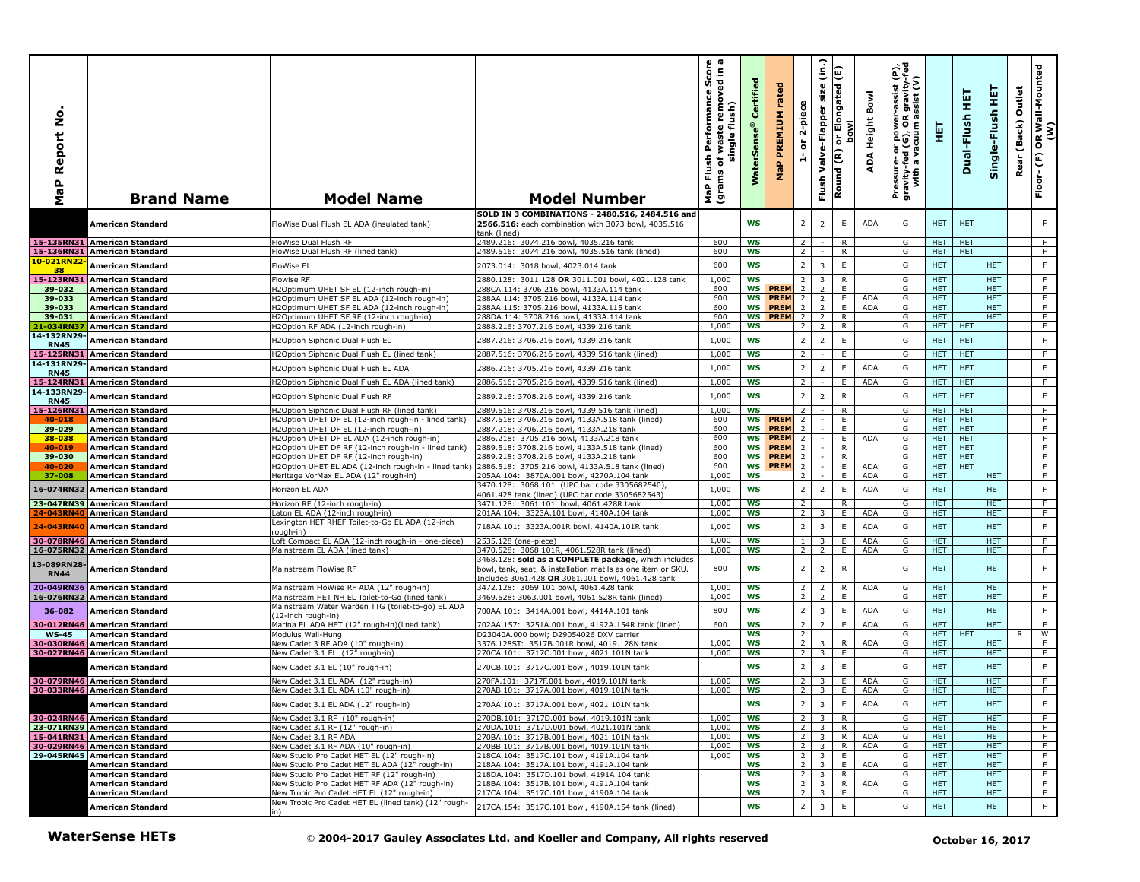| å<br>Report<br>a<br>@<br>Σ | <b>Brand Name</b>                                            | <b>Model Name</b>                                                                                   | <b>Model Number</b>                                                                                                    | Score<br>sdin a<br>sh Performance S<br>of waste removed<br>single flush)<br>Flush<br>ms of <sub>1</sub><br>MaP Flu<br>(grams | Certified<br><b>WaterSens</b> | rated<br>PREMIUM<br>MaP    | 2-piece<br>$\overleftarrow{\mathtt{o}}$<br>÷, | $\hat{a}$<br>size<br>Valve-Flapper<br>Flush        | E<br>or Elongated<br>bowl<br>$\overline{\epsilon}$<br>Round | ADA Height Bowl | Pressure- or power-assist (P),<br>gravity-fed (G), OR gravity-fed<br>with a vacuum assist (V) | 핓                        | 핓<br>Dual-Flush          | 듚<br>Single-Flush        | Outlet<br>(Back)<br>Rear | OR Wall-Mounted<br>(W)<br>$\widehat{\mathbb{E}}$<br>Floor- |
|----------------------------|--------------------------------------------------------------|-----------------------------------------------------------------------------------------------------|------------------------------------------------------------------------------------------------------------------------|------------------------------------------------------------------------------------------------------------------------------|-------------------------------|----------------------------|-----------------------------------------------|----------------------------------------------------|-------------------------------------------------------------|-----------------|-----------------------------------------------------------------------------------------------|--------------------------|--------------------------|--------------------------|--------------------------|------------------------------------------------------------|
|                            | American Standard                                            | FloWise Dual Flush EL ADA (insulated tank)                                                          | SOLD IN 3 COMBINATIONS - 2480.516, 2484.516 and<br>2566.516: each combination with 3073 bowl, 4035.516<br>tank (lined) |                                                                                                                              | <b>WS</b>                     |                            | $\overline{2}$                                | $\overline{2}$                                     | E                                                           | <b>ADA</b>      | G                                                                                             | <b>HET</b>               | <b>HET</b>               |                          |                          | F.                                                         |
|                            | 15-135RN31 American Standard                                 | FloWise Dual Flush RF                                                                               | 2489.216: 3074.216 bowl, 4035.216 tank                                                                                 | 600                                                                                                                          | <b>WS</b>                     |                            | 2                                             |                                                    | R                                                           |                 | G                                                                                             | HET.                     | <b>HET</b>               |                          |                          | F.                                                         |
| 10-021RN22                 | 15-136RN31 American Standard                                 | FloWise Dual Flush RF (lined tank)                                                                  | 2489.516: 3074.216 bowl, 4035.516 tank (lined)                                                                         | 600                                                                                                                          | ws                            |                            | 2                                             |                                                    | R                                                           |                 | G                                                                                             | HET.                     | <b>HET</b>               |                          |                          | F.                                                         |
| 38                         | American Standard                                            | FloWise EL                                                                                          | 2073.014: 3018 bowl, 4023.014 tank                                                                                     | 600                                                                                                                          | <b>WS</b>                     |                            | $\overline{2}$                                | $\overline{\mathbf{3}}$                            | $\mathsf E$                                                 |                 | G                                                                                             | <b>HET</b>               |                          | <b>HET</b>               |                          | F.                                                         |
| 15-123RN31<br>39-032       | <b>American Standard</b><br><b>American Standard</b>         | <b>Flowise RF</b><br>H2Optimum UHET SF EL (12-inch rough-in)                                        | 2880.128: 3011.128 OR 3011.001 bowl, 4021.128 tank<br>288CA.114: 3706.216 bowl, 4133A.114 tank                         | 1,000<br>600                                                                                                                 | <b>WS</b><br><b>WS</b>        | <b>PREM</b>                | $\overline{2}$<br>$\overline{2}$              | 3<br>2                                             | R<br>E                                                      |                 | G<br>G                                                                                        | <b>HET</b><br><b>HET</b> |                          | HET.<br>HET.             |                          | F.<br>F.                                                   |
| 39-033                     | <b>American Standard</b>                                     | H2Optimum UHET SF EL ADA (12-inch rough-in)                                                         | 288AA.114: 3705.216 bowl, 4133A.114 tank                                                                               | 600                                                                                                                          |                               | <b>WS PREM</b>             | $\overline{2}$                                | $\overline{2}$                                     | E.                                                          | <b>ADA</b>      | G                                                                                             | <b>HET</b>               |                          | <b>HET</b>               |                          | F                                                          |
| 39-033                     | <b>American Standard</b>                                     | H2Optimum UHET SF EL ADA (12-inch rough-in)                                                         | 288AA.115: 3705.216 bowl, 4133A.115 tank                                                                               | 600                                                                                                                          | <b>WS</b>                     | <b>PREM</b>                | $\overline{2}$                                | $\overline{2}$                                     | E.                                                          | ADA             | G                                                                                             | HET.                     |                          | <b>HET</b>               |                          | F.                                                         |
| 39-031<br>21-034RN3        | <b>American Standard</b><br><b>American Standard</b>         | H2Optimum UHET SF RF (12-inch rough-in)<br>H2Option RF ADA (12-inch rough-in)                       | 288DA.114: 3708.216 bowl, 4133A.114 tank<br>2888.216: 3707.216 bowl, 4339.216 tank                                     | 600<br>1,000                                                                                                                 | WS<br><b>WS</b>               | <b>PREM</b>                | $\overline{2}$<br>$\overline{2}$              | $\overline{2}$<br>$\overline{2}$                   | R<br>$\overline{R}$                                         |                 | G<br>G                                                                                        | <b>HET</b><br><b>HET</b> | <b>HET</b>               | <b>HET</b>               |                          | F.<br>F                                                    |
| 14-132RN29-                |                                                              |                                                                                                     |                                                                                                                        |                                                                                                                              |                               |                            |                                               |                                                    |                                                             |                 |                                                                                               |                          |                          |                          |                          |                                                            |
| <b>RN45</b>                | <b>American Standard</b>                                     | H2Option Siphonic Dual Flush EL                                                                     | 2887.216: 3706.216 bowl, 4339.216 tank                                                                                 | 1,000                                                                                                                        | <b>WS</b>                     |                            | $\overline{2}$                                | $\overline{2}$                                     | $\mathsf E$                                                 |                 | G                                                                                             | <b>HET</b>               | <b>HET</b>               |                          |                          | F                                                          |
| 14-131RN29                 | 15-125RN31 American Standard                                 | H2Option Siphonic Dual Flush EL (lined tank)                                                        | 2887.516: 3706.216 bowl, 4339.516 tank (lined)                                                                         | 1,000                                                                                                                        | <b>WS</b>                     |                            | $\overline{2}$                                |                                                    | Ε.                                                          |                 | G                                                                                             | <b>HET</b>               | <b>HET</b>               |                          |                          | F.                                                         |
| <b>RN45</b>                | <b>American Standard</b>                                     | H2Option Siphonic Dual Flush EL ADA                                                                 | 2886.216: 3705.216 bowl, 4339.216 tank                                                                                 | 1,000                                                                                                                        | <b>WS</b>                     |                            | $\overline{2}$                                | $\overline{2}$                                     | E                                                           | <b>ADA</b>      | G                                                                                             | <b>HET</b>               | <b>HET</b>               |                          |                          | F.                                                         |
| 15-124RN31                 | <b>American Standard</b>                                     | H2Option Siphonic Dual Flush EL ADA (lined tank)                                                    | 2886.516: 3705.216 bowl, 4339.516 tank (lined)                                                                         | 1,000                                                                                                                        | <b>WS</b>                     |                            | 2                                             |                                                    | E.                                                          | <b>ADA</b>      | G                                                                                             | <b>HET</b>               | <b>HET</b>               |                          |                          | F.                                                         |
| 14-133RN29-                | <b>American Standard</b>                                     | H2Option Siphonic Dual Flush RF                                                                     | 2889.216: 3708.216 bowl, 4339.216 tank                                                                                 | 1,000                                                                                                                        | <b>WS</b>                     |                            | $\overline{2}$                                | $\overline{2}$                                     | R                                                           |                 | G                                                                                             | HET                      | <b>HET</b>               |                          |                          | F                                                          |
| <b>RN45</b>                | 15-126RN31 American Standard                                 | H2Option Siphonic Dual Flush RF (lined tank)                                                        | 2889.516: 3708.216 bowl, 4339.516 tank (lined)                                                                         | 1,000                                                                                                                        | <b>WS</b>                     |                            | $\overline{2}$                                |                                                    | R                                                           |                 | G                                                                                             | HET.                     | <b>HET</b>               |                          |                          | F.                                                         |
| 40-018                     | <b>American Standard</b>                                     | H2Option UHET DF EL (12-inch rough-in - lined tank)                                                 | 2887.518: 3706.216 bowl, 4133A.518 tank (lined)                                                                        | 600                                                                                                                          | <b>WS</b>                     | <b>PREM</b>                | $\overline{2}$                                |                                                    | E.                                                          |                 | G                                                                                             | HET.                     | <b>HET</b>               |                          |                          | F.                                                         |
| 39-029                     | <b>American Standard</b>                                     | H2Option UHET DF EL (12-inch rough-in)                                                              | 2887.218: 3706.216 bowl, 4133A.218 tank                                                                                | 600                                                                                                                          | WS                            | <b>PREM</b>                | 2                                             |                                                    | E.                                                          |                 | G                                                                                             | HET.                     | <b>HET</b>               |                          |                          | F.                                                         |
| 38-038<br>40-019           | <b>American Standard</b><br>American Standard                | H2Option UHET DF EL ADA (12-inch rough-in)<br>H2Option UHET DF RF (12-inch rough-in - lined tank)   | 2886.218: 3705.216 bowl, 4133A.218 tank<br>2889.518: 3708.216 bowl, 4133A.518 tank (lined)                             | 600<br>600                                                                                                                   | WS<br>WS                      | <b>PREM</b><br><b>PREM</b> | 2<br>2                                        |                                                    | E<br>$\overline{R}$                                         | <b>ADA</b>      | G<br>G                                                                                        | <b>HET</b><br>HET.       | <b>HET</b><br><b>HET</b> |                          |                          | F<br>F                                                     |
| 39-030                     | <b>American Standard</b>                                     | H2Option UHET DF RF (12-inch rough-in)                                                              | 2889.218: 3708.216 bowl, 4133A.218 tank                                                                                | 600                                                                                                                          | WS                            | <b>PREM</b>                | $\overline{2}$                                |                                                    | R                                                           |                 | G                                                                                             | HET.                     | <b>HET</b>               |                          |                          | F                                                          |
| 40-020                     | <b>American Standard</b>                                     | H2Option UHET EL ADA (12-inch rough-in - lined tank                                                 | 2886.518: 3705.216 bowl, 4133A.518 tank (lined)                                                                        | 600                                                                                                                          | ws                            | <b>PREM</b>                | 2                                             | $\sim$                                             | E                                                           | ADA             | G                                                                                             | <b>HET</b>               | HET.                     |                          |                          | F                                                          |
| 37-008                     | <b>American Standard</b>                                     | Heritage VorMax EL ADA (12" rough-in)                                                               | 205AA.104: 3870A.001 bowl, 4270A.104 tank<br>3470.128: 3068.101 (UPC bar code 3305682540),                             | 1,000                                                                                                                        | <b>WS</b>                     |                            | $\overline{2}$                                |                                                    | E.                                                          | ADA             | G                                                                                             | <b>HET</b>               |                          | HET.                     |                          | F.                                                         |
|                            | 16-074RN32 American Standard                                 | Horizon EL ADA                                                                                      | 4061.428 tank (lined) (UPC bar code 3305682543)                                                                        | 1,000                                                                                                                        | <b>WS</b>                     |                            | $\overline{2}$                                | $\overline{2}$                                     | $\mathsf E$                                                 | ADA             | G                                                                                             | <b>HET</b>               |                          | <b>HET</b>               |                          | F                                                          |
| 23-047RN39                 | <b>American Standard</b>                                     | Horizon RF (12-inch rough-in)                                                                       | 3471.128: 3061.101 bowl, 4061.428R tank                                                                                | 1,000                                                                                                                        | <b>WS</b>                     |                            | $\overline{2}$                                |                                                    | R                                                           |                 | G                                                                                             | HET.                     |                          | <b>HET</b>               |                          | F                                                          |
| 24-043RN40                 | <b>American Standard</b>                                     | Laton EL ADA (12-inch rough-in)<br>Lexington HET RHEF Toilet-to-Go EL ADA (12-inch                  | 201AA.104: 3323A.101 bowl, 4140A.104 tank                                                                              | 1,000                                                                                                                        | <b>WS</b>                     |                            | 2 <sup>1</sup>                                | $\overline{3}$                                     | E                                                           | ADA             | G                                                                                             | HET.                     |                          | HET.                     |                          | F.                                                         |
| 24-043RN40                 | <b>American Standard</b>                                     | rough-in)                                                                                           | 718AA.101: 3323A.001R bowl, 4140A.101R tank                                                                            | 1,000                                                                                                                        | <b>WS</b>                     |                            | $\overline{2}$                                | $\overline{\mathbf{3}}$                            | E                                                           | ADA             | G                                                                                             | <b>HET</b>               |                          | <b>HET</b>               |                          | F.                                                         |
|                            | 30-078RN46 American Standard                                 | Loft Compact EL ADA (12-inch rough-in - one-piece)                                                  | 2535.128 (one-piece)                                                                                                   | 1,000                                                                                                                        | <b>WS</b>                     |                            | $\mathbf{1}$                                  | 3                                                  | Е                                                           | <b>ADA</b>      | G                                                                                             | <b>HET</b>               |                          | HET.                     |                          | F.                                                         |
|                            | 16-075RN32 American Standard                                 | Mainstream EL ADA (lined tank)                                                                      | 3470.528: 3068.101R, 4061.528R tank (lined)<br>3468.128: sold as a COMPLETE package, which includes                    | 1,000                                                                                                                        | <b>WS</b>                     |                            | 2                                             | $\overline{2}$                                     | E.                                                          | <b>ADA</b>      | G                                                                                             | HET.                     |                          | HET.                     |                          | F.                                                         |
| 13-089RN28<br><b>RN44</b>  | American Standard                                            | Mainstream FloWise RF                                                                               | bowl, tank, seat, & installation mat'ls as one item or SKU.<br>Includes 3061.428 OR 3061.001 bowl, 4061.428 tank       | 800                                                                                                                          | <b>WS</b>                     |                            | $\overline{2}$                                | $\overline{2}$                                     | $\mathsf{R}$                                                |                 | G                                                                                             | <b>HET</b>               |                          | <b>HET</b>               |                          | F.                                                         |
|                            | 20-049RN36 American Standard                                 | Mainstream FloWise RF ADA (12" rough-in)                                                            | 3472.128: 3069.101 bowl, 4061.428 tank                                                                                 | 1,000                                                                                                                        | <b>WS</b>                     |                            | $\overline{2}$                                | 2                                                  | R                                                           | ADA             | G                                                                                             | <b>HET</b>               |                          | <b>HET</b>               |                          | F.                                                         |
|                            | 16-076RN32 American Standard                                 | Mainstream HET NH EL Toilet-to-Go (lined tank)<br>Mainstream Water Warden TTG (toilet-to-go) EL ADA | 3469.528: 3063.001 bowl, 4061.528R tank (lined)                                                                        | 1,000                                                                                                                        | <b>WS</b>                     |                            | <sup>2</sup>                                  | 2                                                  | E.                                                          |                 | G                                                                                             | <b>HET</b>               |                          | <b>HET</b>               |                          | F.                                                         |
| 36-082                     | <b>American Standard</b>                                     | (12-inch rough-in)                                                                                  | 700AA.101: 3414A.001 bowl, 4414A.101 tank                                                                              | 800                                                                                                                          | <b>WS</b>                     |                            | $\overline{2}$                                | $\overline{\mathbf{3}}$                            | E                                                           | ADA             | G                                                                                             | <b>HET</b>               |                          | <b>HET</b>               |                          | F.                                                         |
| 30-012RN46                 | <b>American Standard</b>                                     | Marina EL ADA HET (12" rough-in)(lined tank)                                                        | 702AA.157: 3251A.001 bowl, 4192A.154R tank (lined)                                                                     | 600                                                                                                                          | <b>WS</b>                     |                            | $\overline{2}$                                | 2                                                  | E                                                           | <b>ADA</b>      | G                                                                                             | <b>HET</b>               |                          | <b>HET</b>               |                          | F.                                                         |
| <b>WS-45</b>               | <b>American Standard</b><br>30-030RN46 American Standard     | Modulus Wall-Hung<br>New Cadet 3 RF ADA (10" rough-in)                                              | D23040A.000 bowl; D29054026 DXV carrier<br>3376.128ST: 3517B.001R bowl, 4019.128N tank                                 | 1,000                                                                                                                        | ws<br><b>WS</b>               |                            | $\overline{2}$<br>$\overline{2}$              | 3                                                  | R                                                           | <b>ADA</b>      | G<br>G                                                                                        | HET.<br>HET.             | <b>HET</b>               | <b>HET</b>               | R                        | W<br>F.                                                    |
|                            | 30-027RN46 American Standard                                 | New Cadet 3.1 EL (12" rough-in)                                                                     | 270CA.101: 3717C.001 bowl. 4021.101N tank                                                                              | 1,000                                                                                                                        | WS                            |                            | $\overline{2}$                                | 3                                                  | E.                                                          |                 | G                                                                                             | HET.                     |                          | <b>HET</b>               |                          | F.                                                         |
|                            | American Standard                                            | New Cadet 3.1 EL (10" rough-in)                                                                     | 270CB.101: 3717C.001 bowl, 4019.101N tank                                                                              |                                                                                                                              | <b>WS</b>                     |                            | $\overline{2}$                                | $\overline{\mathbf{3}}$                            | E                                                           |                 | G                                                                                             | <b>HET</b>               |                          | <b>HET</b>               |                          | F.                                                         |
|                            |                                                              |                                                                                                     | 270FA.101: 3717F.001 bowl, 4019.101N tank                                                                              |                                                                                                                              | <b>WS</b>                     |                            | $\overline{2}$                                |                                                    | E                                                           | <b>ADA</b>      |                                                                                               | <b>HET</b>               |                          | <b>HET</b>               |                          | F                                                          |
|                            | 30-079RN46 American Standard<br>30-033RN46 American Standard | New Cadet 3.1 EL ADA (12" rough-in)<br>New Cadet 3.1 EL ADA (10" rough-in)                          | 270AB.101: 3717A.001 bowl, 4019.101N tank                                                                              | 1,000<br>1,000                                                                                                               | ws                            |                            | 2 <sup>1</sup>                                | $\overline{\mathbf{3}}$<br>$\overline{\mathbf{3}}$ | E.                                                          | ADA             | G<br>G                                                                                        | HET.                     |                          | HET.                     |                          | F.                                                         |
|                            | American Standard                                            | New Cadet 3.1 EL ADA (12" rough-in)                                                                 | 270AA.101: 3717A.001 bowl, 4021.101N tank                                                                              |                                                                                                                              | WS                            |                            | $2 \sqrt{ }$                                  | $\overline{\mathbf{3}}$                            | E                                                           | ADA             | G                                                                                             | <b>HET</b>               |                          | HET                      |                          | F.                                                         |
|                            | 30-024RN46 American Standard                                 | New Cadet 3.1 RF (10" rough-in)                                                                     | 270DB.101: 3717D.001 bowl, 4019.101N tank                                                                              | 1,000                                                                                                                        | <b>WS</b>                     |                            | 2 <sup>1</sup>                                | $\overline{\mathbf{3}}$                            | R                                                           |                 | G                                                                                             | <b>HET</b>               |                          | <b>HET</b>               |                          | F.                                                         |
|                            | 23-071RN39 American Standard<br>15-041RN31 American Standard | New Cadet 3.1 RF (12" rough-in)<br>New Cadet 3.1 RF ADA                                             | 270DA.101: 3717D.001 bowl, 4021.101N tank<br>270BA.101: 3717B.001 bowl, 4021.101N tank                                 | 1,000<br>1,000                                                                                                               | ws<br><b>WS</b>               |                            | $\overline{2}$                                | $2 \mid 3$<br>$\overline{\mathbf{3}}$              | R.<br>R                                                     | <b>ADA</b>      | G<br>G                                                                                        | <b>HET</b><br><b>HET</b> |                          | <b>HET</b><br><b>HET</b> |                          | F.<br>F                                                    |
|                            | 30-029RN46 American Standard                                 | New Cadet 3.1 RF ADA (10" rough-in)                                                                 | 270BB.101: 3717B.001 bowl, 4019.101N tank                                                                              | 1,000                                                                                                                        | ws                            |                            | $\overline{2}$                                | $\overline{\mathbf{3}}$                            | R.                                                          | <b>ADA</b>      | G                                                                                             | HET.                     |                          | HET.                     |                          | F                                                          |
|                            | 29-045RN45 American Standard                                 | New Studio Pro Cadet HET EL (12" rough-in)                                                          | 218CA.104: 3517C.101 bowl, 4191A.104 tank                                                                              | 1,000                                                                                                                        | ws                            |                            | $\overline{2}$                                | $\overline{\mathbf{3}}$                            | E.                                                          |                 | G                                                                                             | HET.                     |                          | <b>HET</b>               |                          | F                                                          |
|                            | <b>American Standard</b><br><b>American Standard</b>         | New Studio Pro Cadet HET EL ADA (12" rough-in)<br>New Studio Pro Cadet HET RF (12" rough-in)        | 218AA.104: 3517A.101 bowl, 4191A.104 tank<br>218DA.104: 3517D.101 bowl, 4191A.104 tank                                 |                                                                                                                              | ws<br><b>WS</b>               |                            | $\overline{2}$<br>2 <sub>1</sub>              | $\overline{\mathbf{3}}$<br>-3                      | E.<br>R                                                     | ADA             | G<br>G                                                                                        | <b>HET</b><br>HET.       |                          | <b>HET</b><br>HET.       |                          | F<br>F.                                                    |
|                            | American Standard                                            | New Studio Pro Cadet HET RF ADA (12" rough-in)                                                      | 218BA.104: 3517B.101 bowl, 4191A.104 tank                                                                              |                                                                                                                              | ws                            |                            | 2 <sup>1</sup>                                | $\overline{\mathbf{3}}$                            | R.                                                          | ADA             | G                                                                                             | <b>HET</b>               |                          | <b>HET</b>               |                          | F.                                                         |
|                            | <b>American Standard</b>                                     | New Tropic Pro Cadet HET EL (12" rough-in)                                                          | 217CA.104: 3517C.101 bowl, 4190A.104 tank                                                                              |                                                                                                                              | WS                            |                            | $\overline{2}$                                | $\overline{\mathbf{3}}$                            | E.                                                          |                 | G                                                                                             | HET                      |                          | <b>HET</b>               |                          | $\overline{F}$                                             |
|                            | American Standard                                            | New Tropic Pro Cadet HET EL (lined tank) (12" rough-<br>in)                                         | 217CA.154: 3517C.101 bowl, 4190A.154 tank (lined)                                                                      |                                                                                                                              | <b>WS</b>                     |                            | 2                                             | $\overline{\mathbf{3}}$                            | $\mathsf E$                                                 |                 | G                                                                                             | <b>HET</b>               |                          | <b>HET</b>               |                          | F.                                                         |
|                            | <b>WaterSense HETs</b>                                       |                                                                                                     | © 2004-2017 Gauley Associates Ltd. and Koeller and Company, All rights reserved                                        |                                                                                                                              |                               |                            |                                               |                                                    |                                                             |                 |                                                                                               |                          |                          | October 16, 2017         |                          |                                                            |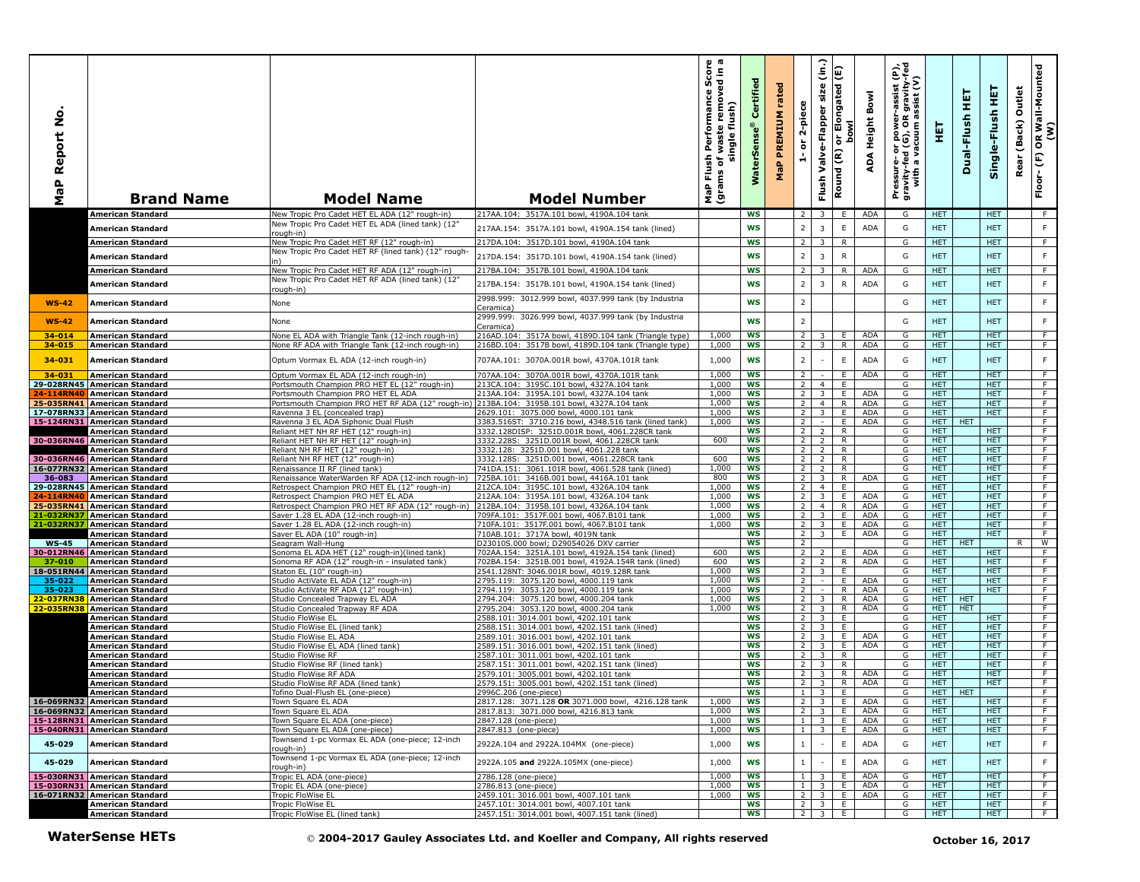| ş<br>aP Report<br>Σ   | <b>Brand Name</b>                                            | <b>Model Name</b>                                                                                   | <b>Model Number</b>                                                                           | s as<br>S. E<br>sh Performance Sco<br>of waste removed in<br>single flush)<br>Flush<br>ms of <sub>\</sub><br>(grams<br>MaP | Certified<br>WaterSens | rated<br>PREMIUM<br>MaP | 2-piece<br>$\overleftarrow{\mathtt{o}}$<br>÷, | $\hat{e}$<br>size<br>Valve-Flapper<br>Flush | E<br>ongated<br>or Elo<br>bowl<br>$\widetilde{\epsilon}$<br>Round | ADA Height Bowl          | Pressure- or power-assist (P),<br>gravity-fed (G), OR gravity-fed<br>with a vacuum assist (V) | 핓                        | 真<br>Dual-Flush  | Single-Flush HET         | Outlet<br>(Back)<br>Rear | OR Wall-Mounted<br>(W)<br>$\widehat{\mathbb{E}}$<br>Floor- |
|-----------------------|--------------------------------------------------------------|-----------------------------------------------------------------------------------------------------|-----------------------------------------------------------------------------------------------|----------------------------------------------------------------------------------------------------------------------------|------------------------|-------------------------|-----------------------------------------------|---------------------------------------------|-------------------------------------------------------------------|--------------------------|-----------------------------------------------------------------------------------------------|--------------------------|------------------|--------------------------|--------------------------|------------------------------------------------------------|
|                       | <b>American Standard</b>                                     | New Tropic Pro Cadet HET EL ADA (12" rough-in)<br>New Tropic Pro Cadet HET EL ADA (lined tank) (12" | 217AA.104: 3517A.101 bowl, 4190A.104 tank                                                     |                                                                                                                            | <b>WS</b>              |                         | 2                                             |                                             | E.                                                                | ADA                      | G                                                                                             | <b>HET</b>               |                  | <b>HET</b>               |                          | F.                                                         |
|                       | <b>American Standard</b>                                     | rough-in)                                                                                           | 217AA.154: 3517A.101 bowl, 4190A.154 tank (lined)                                             |                                                                                                                            | <b>WS</b>              |                         | $\overline{2}$                                | $\overline{\mathbf{3}}$                     | E                                                                 | <b>ADA</b>               | G                                                                                             | <b>HET</b>               |                  | <b>HET</b>               |                          | F.                                                         |
|                       | <b>American Standard</b>                                     | New Tropic Pro Cadet HET RF (12" rough-in)<br>New Tropic Pro Cadet HET RF (lined tank) (12" rough-  | 217DA.104: 3517D.101 bowl, 4190A.104 tank                                                     |                                                                                                                            | <b>WS</b>              |                         | $\overline{2}$                                | $\overline{\mathbf{3}}$                     | R                                                                 |                          | G                                                                                             | HET.                     |                  | HET.                     |                          | F.                                                         |
|                       | American Standard                                            |                                                                                                     | 217DA.154: 3517D.101 bowl, 4190A.154 tank (lined)                                             |                                                                                                                            | <b>WS</b>              |                         | $\overline{2}$                                | $\overline{\mathbf{3}}$                     | ${\sf R}$                                                         |                          | G                                                                                             | <b>HET</b>               |                  | <b>HET</b>               |                          | F.                                                         |
|                       | <b>American Standard</b>                                     | New Tropic Pro Cadet HET RF ADA (12" rough-in)<br>New Tropic Pro Cadet HET RF ADA (lined tank) (12' | 217BA.104: 3517B.101 bowl, 4190A.104 tank                                                     |                                                                                                                            | <b>WS</b>              |                         | $\overline{2}$                                | $\overline{\mathbf{3}}$                     | R<br>$\mathsf{R}$                                                 | <b>ADA</b>               | G                                                                                             | <b>HET</b>               |                  | <b>HET</b>               |                          | F                                                          |
|                       | American Standard                                            | ough-in)                                                                                            | 217BA.154: 3517B.101 bowl, 4190A.154 tank (lined)                                             |                                                                                                                            | <b>WS</b>              |                         | $\overline{2}$                                | $\overline{\mathbf{3}}$                     |                                                                   | <b>ADA</b>               | G                                                                                             | <b>HET</b>               |                  | <b>HET</b>               |                          | F.                                                         |
| $WS-42$               | <b>American Standard</b>                                     | None                                                                                                | 2998.999: 3012.999 bowl, 4037.999 tank (by Industria<br>Ceramica)                             |                                                                                                                            | WS                     |                         | $\overline{2}$                                |                                             |                                                                   |                          | G                                                                                             | <b>HET</b>               |                  | <b>HET</b>               |                          | F.                                                         |
| $WS-42$               | <b>American Standard</b>                                     | None                                                                                                | 2999.999: 3026.999 bowl, 4037.999 tank (by Industria                                          |                                                                                                                            | WS                     |                         | $\overline{2}$                                |                                             |                                                                   |                          | G                                                                                             | <b>HET</b>               |                  | <b>HET</b>               |                          | $\mathsf F$                                                |
| 34-014                | <b>American Standard</b>                                     | None EL ADA with Triangle Tank (12-inch rough-in)                                                   | Ceramica)<br>216AD.104: 3517A bowl, 4189D.104 tank (Triangle type)                            | 1,000                                                                                                                      | <b>WS</b>              |                         | $\overline{2}$                                | 3                                           | E.                                                                | <b>ADA</b>               | G                                                                                             | <b>HET</b>               |                  | <b>HET</b>               |                          | F                                                          |
| 34-015                | <b>American Standard</b>                                     | None RF ADA with Triangle Tank (12-inch rough-in)                                                   | 216BD.104: 3517B bowl, 4189D.104 tank (Triangle type)                                         | 1,000                                                                                                                      | ws                     |                         | $\overline{2}$                                | 3                                           | R.                                                                | ADA                      | G                                                                                             | HET.                     |                  | HET.                     |                          | F.                                                         |
| 34-031                | <b>American Standard</b>                                     | Optum Vormax EL ADA (12-inch rough-in)                                                              | 707AA.101: 3070A.001R bowl, 4370A.101R tank                                                   | 1,000                                                                                                                      | <b>WS</b>              |                         | $\overline{2}$                                |                                             | $\mathsf E$                                                       | <b>ADA</b>               | G                                                                                             | <b>HET</b>               |                  | <b>HET</b>               |                          | F.                                                         |
| 34-031                | <b>American Standard</b>                                     | Optum Vormax EL ADA (12-inch rough-in)                                                              | 707AA.104: 3070A.001R bowl, 4370A.101R tank                                                   | 1,000                                                                                                                      | <b>WS</b>              |                         | $\overline{2}$                                |                                             | E.                                                                | <b>ADA</b>               | G                                                                                             | <b>HET</b>               |                  | HET.                     |                          | F                                                          |
| <b>24-114RN40</b>     | 29-028RN45 American Standard<br><b>American Standard</b>     | Portsmouth Champion PRO HET EL (12" rough-in)<br>Portsmouth Champion PRO HET EL ADA                 | 213CA.104: 3195C.101 bowl, 4327A.104 tank<br>213AA.104: 3195A.101 bowl, 4327A.104 tank        | 1,000<br>1,000                                                                                                             | <b>WS</b><br>WS        |                         | $\overline{2}$<br>$\overline{2}$              | $\overline{4}$<br>3                         | E<br>E.                                                           | ADA                      | G<br>G                                                                                        | <b>HET</b><br>HET.       |                  | <b>HET</b><br>HET.       |                          | F<br>F                                                     |
|                       | 25-035RN41 American Standard                                 | Portsmouth Champion PRO HET RF ADA (12" rough-in                                                    | 213BA.104: 3195B.101 bowl, 4327A.104 tank                                                     | 1,000                                                                                                                      | <b>WS</b>              |                         | $\overline{2}$                                | $\overline{4}$                              | R                                                                 | <b>ADA</b>               | G                                                                                             | <b>HET</b>               |                  | <b>HET</b>               |                          | F.                                                         |
| 17-078RN33            | <b>American Standard</b>                                     | Ravenna 3 EL (concealed trap)                                                                       | 2629.101: 3075.000 bowl, 4000.101 tank                                                        | 1,000                                                                                                                      | WS                     |                         | $\overline{2}$                                | $\overline{\mathbf{3}}$                     | E                                                                 | <b>ADA</b>               | G                                                                                             | <b>HET</b>               |                  | <b>HET</b>               |                          | F                                                          |
| 15-124RN31            | <b>American Standard</b>                                     | Ravenna 3 EL ADA Siphonic Dual Flush                                                                | 3383.516ST: 3710.216 bowl, 4348.516 tank (lined tank)                                         | 1,000                                                                                                                      | WS                     |                         | $\overline{2}$                                |                                             | E                                                                 | <b>ADA</b>               | G                                                                                             | HET.                     | <b>HET</b>       |                          |                          | F                                                          |
|                       | American Standard<br>30-036RN46 American Standard            | Reliant HET NH RF HET (12" rough-in)<br>Reliant HET NH RF HET (12" rough-in)                        | 3332.128DISP: 3251D.001R bowl, 4061.228CR tank<br>3332.228S: 3251D.001R bowl, 4061.228CR tank | 600                                                                                                                        | WS<br>WS               |                         | 2 <sup>1</sup><br>$2^{\circ}$                 | $\overline{2}$<br>$\overline{2}$            | R.<br>R.                                                          |                          | G<br>G                                                                                        | <b>HET</b><br><b>HET</b> |                  | HET.<br><b>HET</b>       |                          | F.<br>F.                                                   |
|                       | American Standard                                            | Reliant NH RF HET (12" rough-in)                                                                    | 3332.128: 3251D.001 bowl, 4061.228 tank                                                       |                                                                                                                            | <b>WS</b>              |                         | $\overline{2}$                                | $\overline{2}$                              | $\mathsf{R}$                                                      |                          | G                                                                                             | <b>HET</b>               |                  | <b>HET</b>               |                          | F                                                          |
|                       | 30-036RN46 American Standard                                 | Reliant NH RF HET (12" rough-in)                                                                    | 3332.128S: 3251D.001 bowl, 4061.228CR tank                                                    | 600                                                                                                                        | WS                     |                         | 2 <sup>1</sup>                                | $\overline{2}$                              | R                                                                 |                          | G                                                                                             | <b>HET</b>               |                  | <b>HET</b>               |                          | F.                                                         |
| 16-077RN32            | <b>American Standard</b>                                     | Renaissance II RF (lined tank)                                                                      | 741DA.151: 3061.101R bowl, 4061.528 tank (lined)                                              | 1,000                                                                                                                      | <b>WS</b>              |                         | $\overline{2}$                                | $\overline{2}$                              | R                                                                 |                          | G                                                                                             | <b>HET</b>               |                  | <b>HET</b>               |                          | $\overline{F}$                                             |
| 36-083                | <b>American Standard</b>                                     | Renaissance WaterWarden RF ADA (12-inch rough-in)                                                   | 725BA.101: 3416B.001 bowl, 4416A.101 tank                                                     | 800                                                                                                                        | <b>WS</b>              |                         | $\overline{2}$                                | 3 <sup>2</sup>                              | $\overline{R}$                                                    | ADA                      | G                                                                                             | <b>HET</b>               |                  | <b>HET</b>               |                          | F                                                          |
| <b>24-114RN40</b>     | 29-028RN45 American Standard<br><b>American Standard</b>     | Retrospect Champion PRO HET EL (12" rough-in)<br>Retrospect Champion PRO HET EL ADA                 | 212CA.104: 3195C.101 bowl, 4326A.104 tank<br>212AA.104: 3195A.101 bowl, 4326A.104 tank        | 1,000<br>1,000                                                                                                             | WS<br>ws               |                         | 2 <sup>1</sup><br>$\overline{2}$              | $\overline{4}$<br>$\overline{\mathbf{3}}$   | E<br>Ε.                                                           | <b>ADA</b>               | G<br>G                                                                                        | <b>HET</b><br>HET.       |                  | <b>HET</b><br><b>HET</b> |                          | F<br>F                                                     |
|                       | 25-035RN41 American Standard                                 | Retrospect Champion PRO HET RF ADA (12" rough-in)                                                   | 212BA.104: 3195B.101 bowl, 4326A.104 tank                                                     | 1,000                                                                                                                      | <b>WS</b>              |                         | 2 <sup>1</sup>                                | $\overline{4}$                              | R.                                                                | ADA                      | G                                                                                             | <b>HET</b>               |                  | <b>HET</b>               |                          | F                                                          |
| 21-032RN37            | <b>American Standard</b>                                     | Saver 1.28 EL ADA (12-inch rough-in)                                                                | 709FA.101: 3517F.001 bowl, 4067.B101 tank                                                     | 1,000                                                                                                                      | WS                     |                         | $\overline{2}$                                | $\overline{3}$                              | E.                                                                | ADA                      | G                                                                                             | <b>HET</b>               |                  | <b>HET</b>               |                          | F.                                                         |
| 21-032RN37            | <b>American Standard</b>                                     | Saver 1.28 EL ADA (12-inch rough-in)                                                                | 710FA.101: 3517F.001 bowl, 4067.B101 tank                                                     | 1,000                                                                                                                      | ws                     |                         | $\overline{2}$                                | $\overline{\mathbf{3}}$                     | E.                                                                | ADA                      | G                                                                                             | <b>HET</b>               |                  | HET.                     |                          | $\overline{F}$                                             |
|                       | American Standard                                            | Saver EL ADA (10" rough-in)                                                                         | 710AB.101: 3717A bowl, 4019N tank                                                             |                                                                                                                            | <b>WS</b>              |                         | $\overline{2}$<br>$\overline{2}$              | $\overline{\mathbf{3}}$                     | E                                                                 | <b>ADA</b>               | G                                                                                             | <b>HET</b>               |                  | <b>HET</b>               | R                        | F<br>$\overline{w}$                                        |
| $WS-45$<br>30-012RN46 | <b>American Standard</b><br><b>American Standard</b>         | Seagram Wall-Hung<br>Sonoma EL ADA HET (12" rough-in)(lined tank)                                   | D23010S.000 bowl; D29054026 DXV carrier<br>702AA.154: 3251A.101 bowl, 4192A.154 tank (lined)  | 600                                                                                                                        | WS<br>WS               |                         | $\overline{2}$                                | $\overline{2}$                              | E.                                                                | <b>ADA</b>               | G<br>G                                                                                        | HET.<br><b>HET</b>       | <b>HET</b>       | <b>HET</b>               |                          | F.                                                         |
| 37-010                | <b>American Standard</b>                                     | Sonoma RF ADA (12" rough-in - insulated tank)                                                       | 702BA.154: 3251B.001 bowl, 4192A.154R tank (lined)                                            | 600                                                                                                                        | <b>WS</b>              |                         | $\overline{2}$                                | 2                                           | R.                                                                | <b>ADA</b>               | G                                                                                             | <b>HET</b>               |                  | <b>HET</b>               |                          | $\overline{F}$                                             |
|                       | 18-051RN44 American Standard                                 | Staton EL (10" rough-in)                                                                            | 2541.128NT: 3046.001R bowl, 4019.128R tank                                                    | 1,000                                                                                                                      | <b>WS</b>              |                         | <sup>2</sup>                                  | $\overline{\mathbf{3}}$                     | E.                                                                |                          | G                                                                                             | HET.                     |                  | <b>HET</b>               |                          | F.                                                         |
| 35-022                | American Standard                                            | Studio ActiVate EL ADA (12" rough-in)                                                               | 2795.119: 3075.120 bowl, 4000.119 tank                                                        | 1,000                                                                                                                      | WS                     |                         | <sup>2</sup>                                  |                                             | E                                                                 | ADA                      | G                                                                                             | <b>HET</b>               |                  | <b>HET</b>               |                          | F                                                          |
| 35-023<br>22-037RN38  | <b>American Standard</b><br><b>American Standard</b>         | Studio ActiVate RF ADA (12" rough-in)<br>Studio Concealed Trapway EL ADA                            | 2794.119: 3053.120 bowl, 4000.119 tank<br>2794.204: 3075.120 bowl, 4000.204 tank              | 1,000<br>1,000                                                                                                             | <b>WS</b><br>ws        |                         | $\overline{2}$<br>$\overline{2}$              | 3                                           | $\overline{R}$<br>$\overline{R}$                                  | <b>ADA</b><br><b>ADA</b> | G<br>G                                                                                        | <b>HET</b><br>HET.       | <b>HET</b>       | <b>HET</b>               |                          | $\overline{F}$<br>$\overline{F}$                           |
|                       | 22-035RN38 American Standard                                 | Studio Concealed Trapway RF ADA                                                                     | 2795.204: 3053.120 bowl, 4000.204 tank                                                        | 1,000                                                                                                                      | <b>WS</b>              |                         | 2 <sup>1</sup>                                | $\overline{\mathbf{3}}$                     | R                                                                 | <b>ADA</b>               | G                                                                                             | HET.                     | <b>HET</b>       |                          |                          | F                                                          |
|                       | American Standard                                            | Studio FloWise EL                                                                                   | 2588.101: 3014.001 bowl, 4202.101 tank                                                        |                                                                                                                            | WS                     |                         | 2 <sup>1</sup>                                | $\overline{\mathbf{3}}$                     | E.                                                                |                          | G                                                                                             | HET.                     |                  | <b>HET</b>               |                          | F                                                          |
|                       | American Standard                                            | Studio FloWise EL (lined tank)                                                                      | 2588.151: 3014.001 bowl, 4202.151 tank (lined)                                                |                                                                                                                            | WS                     |                         | $\overline{2}$                                | $\overline{\mathbf{3}}$                     | E.                                                                |                          | G                                                                                             | HET.                     |                  | HET.                     |                          | $\overline{F}$                                             |
|                       | American Standard                                            | Studio FloWise EL ADA<br>Studio FloWise EL ADA (lined tank)                                         | 2589.101: 3016.001 bowl, 4202.101 tank<br>2589.151: 3016.001 bowl, 4202.151 tank (lined)      |                                                                                                                            | <b>WS</b><br>WS        |                         | $\overline{2}$<br>$\overline{2}$              | 3<br>$\overline{3}$                         | E.<br>E                                                           | <b>ADA</b><br><b>ADA</b> | G<br>G                                                                                        | <b>HET</b><br><b>HET</b> |                  | <b>HET</b><br><b>HET</b> |                          | F<br>F                                                     |
|                       | <u>American Standard</u><br>American Standard                | Studio FloWise RF                                                                                   | 2587.101: 3011.001 bowl, 4202.101 tank                                                        |                                                                                                                            | <b>WS</b>              |                         | 2 <sup>1</sup>                                | $\overline{\mathbf{3}}$                     | R                                                                 |                          | G                                                                                             | <b>HET</b>               |                  | <b>HET</b>               |                          | F                                                          |
|                       | American Standard                                            | Studio FloWise RF (lined tank)                                                                      | 2587.151: 3011.001 bowl, 4202.151 tank (lined)                                                |                                                                                                                            | WS                     |                         | 2 <sup>1</sup>                                | 3                                           | R.                                                                |                          | G                                                                                             | <b>HET</b>               |                  | <b>HET</b>               |                          | F.                                                         |
|                       | American Standard                                            | Studio FloWise RF ADA                                                                               | 2579.101: 3005.001 bowl, 4202.101 tank                                                        |                                                                                                                            | <b>WS</b>              |                         | 2 <sup>1</sup>                                | $\overline{\mathbf{3}}$                     | R                                                                 | <b>ADA</b>               | G                                                                                             | <b>HET</b>               |                  | <b>HET</b>               |                          | F.                                                         |
|                       | American Standard<br>American Standard                       | Studio FloWise RF ADA (lined tank)<br>Tofino Dual-Flush EL (one-piece)                              | 2579.151: 3005.001 bowl, 4202.151 tank (lined)<br>2996C.206 (one-piece)                       |                                                                                                                            | WS<br>ws               |                         | $\overline{2}$<br>$\vert$ 1                   | 3<br>$\overline{\mathbf{3}}$                | R<br>E.                                                           | ADA                      | G<br>G                                                                                        | <b>HET</b><br>HET.       | <b>HET</b>       | <b>HET</b>               |                          | F.<br>F.                                                   |
|                       | 16-069RN32 American Standard                                 | Town Square EL ADA                                                                                  | 2817.128: 3071.128 OR 3071.000 bowl, 4216.128 tank                                            | 1,000                                                                                                                      | WS                     |                         | 2 <sup>1</sup>                                | $3-1$                                       | E ADA                                                             |                          | G                                                                                             | HET.                     |                  | <b>HET</b>               |                          |                                                            |
|                       | 16-069RN32 American Standard                                 | Town Square EL ADA                                                                                  | 2817.813: 3071.000 bowl, 4216.813 tank                                                        | 1,000                                                                                                                      | WS                     |                         |                                               | $2 \mid 3 \mid$                             | E                                                                 | ADA                      | G                                                                                             | <b>HET</b>               |                  | <b>HET</b>               |                          | F                                                          |
|                       | 15-128RN31 American Standard                                 | Town Square EL ADA (one-piece)                                                                      | 2847.128 (one-piece)                                                                          | 1,000                                                                                                                      | WS                     |                         |                                               | $1 \mid 3 \mid$                             | E                                                                 | ADA                      | G                                                                                             | <b>HET</b>               |                  | HET.                     |                          | F.                                                         |
| 45-029                | 15-040RN31 American Standard<br><b>American Standard</b>     | Town Square EL ADA (one-piece)<br>Townsend 1-pc Vormax EL ADA (one-piece; 12-inch                   | 2847.813 (one-piece)<br>2922A.104 and 2922A.104MX (one-piece)                                 | 1,000<br>1,000                                                                                                             | ws<br>WS               |                         | $1 \vert$                                     | $1 \quad 3$<br>$\sim$                       | E.<br>E                                                           | ADA<br>ADA               | G<br>G                                                                                        | HET.<br><b>HET</b>       |                  | <b>HET</b><br><b>HET</b> |                          | F<br>F.                                                    |
|                       |                                                              | rough-in)<br>Townsend 1-pc Vormax EL ADA (one-piece; 12-inch                                        |                                                                                               |                                                                                                                            |                        |                         |                                               |                                             |                                                                   |                          |                                                                                               |                          |                  |                          |                          |                                                            |
| 45-029                | <b>American Standard</b>                                     | rough-in)                                                                                           | 2922A.105 and 2922A.105MX (one-piece)                                                         | 1,000                                                                                                                      | <b>WS</b>              |                         | $\mathbf{1}$                                  | $\overline{\phantom{a}}$                    | E                                                                 | ADA                      | G                                                                                             | <b>HET</b>               |                  | <b>HET</b>               |                          | F.                                                         |
|                       | 15-030RN31 American Standard                                 | Tropic EL ADA (one-piece)                                                                           | 2786.128 (one-piece)                                                                          | 1,000                                                                                                                      | <b>WS</b>              |                         | 1                                             | $\overline{\mathbf{3}}$                     | E.                                                                | ADA                      | G                                                                                             | <b>HET</b>               |                  | <b>HET</b>               |                          | F                                                          |
|                       | 15-030RN31 American Standard<br>16-071RN32 American Standard | Tropic EL ADA (one-piece)<br>Tropic FloWise EL                                                      | 2786.813 (one-piece)<br>2459.101: 3016.001 bowl, 4007.101 tank                                | 1,000<br>1,000                                                                                                             | WS<br><b>WS</b>        |                         | 1                                             | 3 <sup>2</sup><br>$2 \quad 3$               | E.<br>E.                                                          | ADA<br>ADA               | G<br>G                                                                                        | HET.<br>HET.             |                  | HET.<br><b>HET</b>       |                          | F.<br>F.                                                   |
|                       | <b>American Standard</b>                                     | Tropic FloWise EL                                                                                   | 2457.101: 3014.001 bowl, 4007.101 tank                                                        |                                                                                                                            | ws                     |                         |                                               | $2 \mid 3$                                  | E.                                                                |                          | G                                                                                             | HET.                     |                  | HET.                     |                          | F.                                                         |
|                       | American Standard                                            | Tropic FloWise EL (lined tank)                                                                      | 2457.151: 3014.001 bowl, 4007.151 tank (lined)                                                |                                                                                                                            | ws                     |                         |                                               | $\overline{2}$   3                          | E.                                                                |                          | G                                                                                             | <b>HET</b>               |                  | <b>HET</b>               |                          | F                                                          |
|                       | <b>WaterSense HETs</b>                                       |                                                                                                     | © 2004-2017 Gauley Associates Ltd. and Koeller and Company, All rights reserved               |                                                                                                                            |                        |                         |                                               |                                             |                                                                   |                          |                                                                                               |                          | October 16, 2017 |                          |                          |                                                            |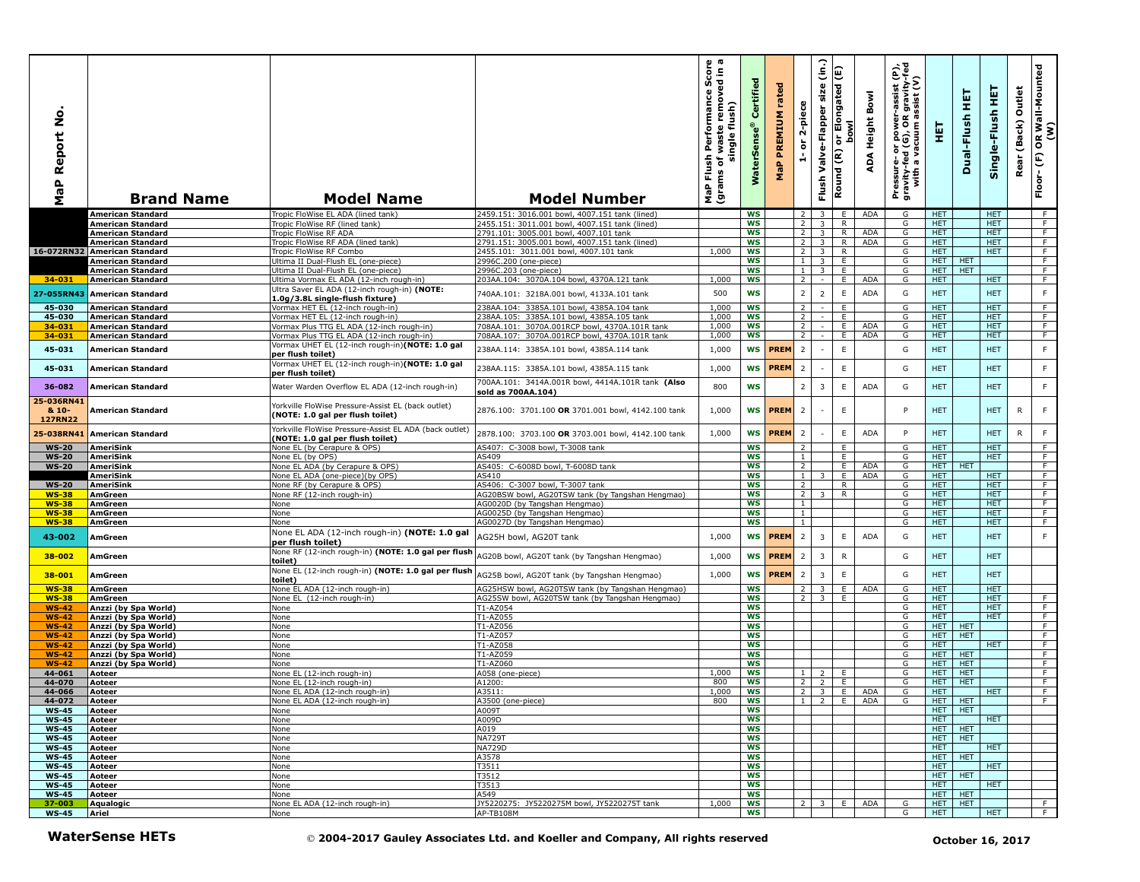| ġ<br>Report<br>a<br>G<br>ž            | <b>Brand Name</b>                                 | <b>Model Name</b>                                                                                                         | <b>Model Number</b>                                                             | യ ത<br>one<br>single flush)<br>single flush)<br>Flush<br>৳<br>(grams<br>MaP | ertifie<br>Ű<br>$^{\circ}$<br>rSens<br><b>RM</b> | rated<br>PREMIUM<br>MaP | 2-piece<br>$\overleftarrow{\mathtt{o}}$<br>÷ | $\widehat{\mathsf{lin}}$<br>size<br>Valve-Flapper<br>Flush | E<br>Elongated<br><b>bowl</b><br>ŏ<br>Round (R) | Bowl<br>Height<br>ADA | Pressure- or power-assist (P),<br>gravity-fed (G), OR gravity-fed<br>with a vacuum assist (V) | 王                        | 튍<br>Dual-Flush | 핓<br>Single-Flush        | Outlet<br>(Back)<br>Rear | OR Wall-Mounted<br>(W)<br>$Floor-(F)$ |
|---------------------------------------|---------------------------------------------------|---------------------------------------------------------------------------------------------------------------------------|---------------------------------------------------------------------------------|-----------------------------------------------------------------------------|--------------------------------------------------|-------------------------|----------------------------------------------|------------------------------------------------------------|-------------------------------------------------|-----------------------|-----------------------------------------------------------------------------------------------|--------------------------|-----------------|--------------------------|--------------------------|---------------------------------------|
|                                       | <b>American Standard</b>                          | Tropic FloWise EL ADA (lined tank)                                                                                        | 2459.151: 3016.001 bowl, 4007.151 tank (lined)                                  |                                                                             | WS                                               |                         | <sup>2</sup>                                 | $\overline{\mathbf{3}}$                                    | E.                                              | <b>ADA</b>            | G                                                                                             | <b>HET</b>               |                 | HET.                     |                          | F                                     |
|                                       | American Standard                                 | Tropic FloWise RF (lined tank)                                                                                            | 2455.151: 3011.001 bowl, 4007.151 tank (lined)                                  |                                                                             | <b>WS</b>                                        |                         | $\overline{2}$                               | 3                                                          | $\mathsf{R}$                                    |                       | G                                                                                             | <b>HET</b>               |                 | <b>HET</b>               |                          | F                                     |
|                                       | American Standard                                 | Tropic FloWise RF ADA                                                                                                     | 2791.101: 3005.001 bowl, 4007.101 tank                                          |                                                                             | ws                                               |                         | $\overline{2}$                               | $\overline{3}$                                             | R.                                              | ADA                   | G                                                                                             | HET.                     |                 | <b>HET</b>               |                          | F.                                    |
|                                       | American Standard                                 | Tropic FloWise RF ADA (lined tank)                                                                                        | 2791.151: 3005.001 bowl, 4007.151 tank (lined)                                  |                                                                             | WS                                               |                         | 2 <sup>1</sup>                               | $\overline{\mathbf{3}}$                                    | R                                               | ADA                   | G                                                                                             | HET.                     |                 | HET.                     |                          | F<br>F                                |
|                                       | 16-072RN32 American Standard<br>American Standard | Tropic FloWise RF Combo<br>Ultima II Dual-Flush EL (one-piece)                                                            | 2455.101: 3011.001 bowl, 4007.101 tank<br>2996C.200 (one-piece)                 | 1,000                                                                       | <b>WS</b><br>ws                                  |                         | 2 <sup>1</sup><br>1                          | $\overline{\mathbf{3}}$<br>$\overline{3}$                  | R<br>E.                                         |                       | G<br>G                                                                                        | HET.<br><b>HET</b>       | <b>HET</b>      | HET.                     |                          | F.                                    |
|                                       | American Standard                                 | Jltima II Dual-Flush EL (one-piece)                                                                                       | 2996C.203 (one-piece)                                                           |                                                                             | WS                                               |                         | 1 <sup>1</sup>                               | 3                                                          | E.                                              |                       | G                                                                                             | HET.                     | <b>HET</b>      |                          |                          | F                                     |
| $34 - 031$                            | <b>American Standard</b>                          | Ultima Vormax EL ADA (12-inch rough-in)                                                                                   | 203AA.104: 3070A.104 bowl, 4370A.121 tank                                       | 1,000                                                                       | <b>WS</b>                                        |                         | $\overline{2}$                               | $\sim$                                                     | E                                               | <b>ADA</b>            | G                                                                                             | <b>HET</b>               |                 | <b>HET</b>               |                          | F                                     |
|                                       |                                                   | Ultra Saver EL ADA (12-inch rough-in) (NOTE:                                                                              |                                                                                 |                                                                             |                                                  |                         |                                              |                                                            |                                                 |                       |                                                                                               |                          |                 |                          |                          |                                       |
| 27-055RN43                            | <b>American Standard</b>                          | 1.0g/3.8L single-flush fixture)                                                                                           | 740AA.101: 3218A.001 bowl, 4133A.101 tank                                       | 500                                                                         | <b>WS</b>                                        |                         | $\overline{2}$                               | $\overline{2}$                                             | E                                               | <b>ADA</b>            | G                                                                                             | <b>HET</b>               |                 | <b>HET</b>               |                          | F.                                    |
| 45-030                                | <b>American Standard</b>                          | Vormax HET EL (12-inch rough-in)                                                                                          | 238AA.104: 3385A.101 bowl, 4385A.104 tank                                       | 1,000                                                                       | <b>WS</b>                                        |                         | $\overline{2}$                               |                                                            | E                                               |                       | G                                                                                             | <b>HET</b>               |                 | <b>HET</b>               |                          | F                                     |
| 45-030                                | American Standard                                 | Vormax HET EL (12-inch rough-in)                                                                                          | 238AA.105: 3385A.101 bowl, 4385A.105 tank                                       | 1.000                                                                       | WS                                               |                         | $\overline{2}$                               |                                                            | E                                               |                       | G                                                                                             | <b>HET</b>               |                 | HET                      |                          | F                                     |
| 34-031                                | American Standard                                 | Vormax Plus TTG EL ADA (12-inch rough-in)                                                                                 | 708AA.101: 3070A.001RCP bowl, 4370A.101R tank                                   | 1,000                                                                       | ws                                               |                         | $\overline{2}$                               | $\sim$                                                     | E.                                              | ADA                   | G                                                                                             | HET.                     |                 | <b>HET</b>               |                          | $\overline{F}$                        |
| 34-031                                | American Standard                                 | Vormax Plus TTG EL ADA (12-inch rough-in)                                                                                 | 708AA.107: 3070A.001RCP bowl, 4370A.101R tank                                   | 1,000                                                                       | <b>WS</b>                                        |                         | $\overline{2}$                               |                                                            | E                                               | <b>ADA</b>            | G                                                                                             | <b>HET</b>               |                 | <b>HET</b>               |                          | $\overline{F}$                        |
| 45-031                                | <b>American Standard</b>                          | Vormax UHET EL (12-inch rough-in)(NOTE: 1.0 gal                                                                           | 238AA.114: 3385A.101 bowl, 4385A.114 tank                                       | 1,000                                                                       | <b>WS</b>                                        | <b>PREM</b>             | $\overline{2}$                               |                                                            | $\mathsf E$                                     |                       | G                                                                                             | <b>HET</b>               |                 | <b>HET</b>               |                          | F                                     |
|                                       |                                                   | per flush toilet)                                                                                                         |                                                                                 |                                                                             |                                                  |                         |                                              |                                                            |                                                 |                       |                                                                                               |                          |                 |                          |                          |                                       |
| 45-031                                | American Standard                                 | Vormax UHET EL (12-inch rough-in)(NOTE: 1.0 gal<br>per flush toilet)                                                      | 238AA.115: 3385A.101 bowl, 4385A.115 tank                                       | 1,000                                                                       | <b>WS</b>                                        | <b>PREM</b>             | $\overline{2}$                               |                                                            | $\mathsf E$                                     |                       | G                                                                                             | <b>HET</b>               |                 | <b>HET</b>               |                          | $\mathsf F$                           |
|                                       |                                                   |                                                                                                                           | 700AA.101: 3414A.001R bowl, 4414A.101R tank (Also                               |                                                                             |                                                  |                         |                                              |                                                            |                                                 |                       |                                                                                               |                          |                 |                          |                          |                                       |
| 36-082                                | American Standard                                 | Water Warden Overflow EL ADA (12-inch rough-in)                                                                           | sold as 700AA.104)                                                              | 800                                                                         | WS                                               |                         | $\overline{2}$                               | 3                                                          | E                                               | <b>ADA</b>            | G                                                                                             | <b>HET</b>               |                 | <b>HET</b>               |                          | F.                                    |
| 25-036RN41<br>& 10-<br><b>127RN22</b> | American Standard                                 | Yorkville FloWise Pressure-Assist EL (back outlet)<br>(NOTE: 1.0 gal per flush toilet)                                    | 2876.100: 3701.100 OR 3701.001 bowl, 4142.100 tank                              | 1,000                                                                       | <b>WS</b>                                        | <b>PREM</b>             | $\overline{2}$                               |                                                            | $\mathsf E$                                     |                       | P                                                                                             | <b>HET</b>               |                 | <b>HET</b>               | R                        | F.                                    |
|                                       | 25-038RN41 American Standard                      | Yorkville FloWise Pressure-Assist EL ADA (back outlet)                                                                    | 2878.100: 3703.100 OR 3703.001 bowl, 4142.100 tank                              | 1,000                                                                       | <b>WS</b>                                        | <b>PREM</b>             | $\overline{2}$                               |                                                            | E                                               | <b>ADA</b>            | P                                                                                             | <b>HET</b>               |                 | <b>HET</b>               | R                        | F                                     |
|                                       |                                                   | (NOTE: 1.0 gal per flush toilet)                                                                                          |                                                                                 |                                                                             |                                                  |                         |                                              |                                                            |                                                 |                       |                                                                                               |                          |                 |                          |                          |                                       |
| <b>WS-20</b>                          | <b>AmeriSink</b>                                  | None EL (by Cerapure & OPS)                                                                                               | AS407: C-3008 bowl, T-3008 tank                                                 |                                                                             | <b>WS</b>                                        |                         | $\overline{2}$                               |                                                            | E                                               |                       | G                                                                                             | HET.                     |                 | <b>HET</b>               |                          | F                                     |
| <b>WS-20</b>                          | AmeriSink<br><b>AmeriSink</b>                     | None EL (by OPS)                                                                                                          | AS409                                                                           |                                                                             | <b>WS</b><br>ws                                  |                         | $\mathbf{1}$<br>$\overline{2}$               |                                                            | E<br>E                                          | <b>ADA</b>            | G<br>G                                                                                        | HET.<br>HET.             | <b>HET</b>      | <b>HET</b>               |                          | F<br>F.                               |
| <b>WS-20</b>                          | AmeriSink                                         | Vone EL ADA (by Cerapure & OPS)<br>None EL ADA (one-piece)(by OPS)                                                        | AS405: C-6008D bowl, T-6008D tank<br>AS410                                      |                                                                             | ws                                               |                         | $\mathbf{1}$                                 | 3                                                          | E                                               | <b>ADA</b>            | G                                                                                             | HET.                     |                 | HET.                     |                          | F                                     |
| <b>WS-20</b>                          | AmeriSink                                         | None RF (by Cerapure & OPS)                                                                                               | AS406: C-3007 bowl, T-3007 tank                                                 |                                                                             | <b>WS</b>                                        |                         | $\overline{2}$                               |                                                            | R.                                              |                       | G                                                                                             | HET.                     |                 | HET.                     |                          | F                                     |
| $WS-38$                               | AmGreen                                           | None RF (12-inch rough-in)                                                                                                | AG20BSW bowl, AG20TSW tank (by Tangshan Hengmao)                                |                                                                             | ws                                               |                         | 2 <sup>1</sup>                               |                                                            | R                                               |                       | G                                                                                             | HET.                     |                 | HET.                     |                          | F.                                    |
| $WS-38$                               | AmGreen                                           | None                                                                                                                      | AG0020D (by Tangshan Hengmao)                                                   |                                                                             | WS                                               |                         | $\overline{1}$                               |                                                            |                                                 |                       | G                                                                                             | <b>HET</b>               |                 | <b>HET</b>               |                          | F                                     |
| $WS-38$                               | AmGreen                                           | None                                                                                                                      | AG0025D (by Tangshan Hengmao)                                                   |                                                                             | <b>WS</b>                                        |                         | $\mathbf{1}$                                 |                                                            |                                                 |                       | G                                                                                             | HET.                     |                 | <b>HET</b>               |                          | F                                     |
| $WS-38$                               | AmGreen                                           | Vone                                                                                                                      | AG0027D (by Tangshan Hengmao)                                                   |                                                                             | ws                                               |                         | $\mathbf{1}$                                 |                                                            |                                                 |                       | G                                                                                             | HET.                     |                 | HET.                     |                          | F                                     |
| 43-002                                | AmGreen                                           | None EL ADA (12-inch rough-in) (NOTE: 1.0 gal<br>per flush toilet)<br>None RF (12-inch rough-in) (NOTE: 1.0 gal per flush | AG25H bowl, AG20T tank                                                          | 1,000                                                                       | <b>WS</b>                                        | <b>PREM</b>             | $\overline{2}$                               | 3                                                          | E                                               | <b>ADA</b>            | G                                                                                             | <b>HET</b>               |                 | <b>HET</b>               |                          | $\mathsf F$                           |
| 38-002                                | AmGreen                                           | toilet)<br>None EL (12-inch rough-in) (NOTE: 1.0 gal per flush                                                            | AG20B bowl, AG20T tank (by Tangshan Hengmao)                                    | 1,000                                                                       | <b>WS</b>                                        | <b>PREM</b><br>PREM     | $\overline{2}$                               | 3                                                          | $\mathsf{R}$                                    |                       | G                                                                                             | <b>HET</b>               |                 | <b>HET</b>               |                          |                                       |
| 38-001                                | AmGreen                                           | toilet)                                                                                                                   | AG25B bowl, AG20T tank (by Tangshan Hengmao)                                    | 1,000                                                                       | <b>WS</b>                                        |                         | $\overline{2}$                               | 3                                                          | E                                               |                       | G                                                                                             | <b>HET</b>               |                 | <b>HET</b>               |                          |                                       |
| $WS-38$                               | AmGreen                                           | None EL ADA (12-inch rough-in)                                                                                            | AG25HSW bowl, AG20TSW tank (by Tangshan Hengmao)                                |                                                                             | <b>WS</b>                                        |                         | <sup>2</sup>                                 | 3                                                          | E.                                              | <b>ADA</b>            | G                                                                                             | HET.                     |                 | HET.                     |                          |                                       |
| <b>WS-38</b>                          | AmGreen                                           | Vone EL (12-inch rough-in)                                                                                                | AG25SW bowl, AG20TSW tank (by Tangshan Hengmao)                                 |                                                                             | <b>WS</b>                                        |                         | 2                                            |                                                            |                                                 |                       | G                                                                                             | HET.                     |                 | HET.                     |                          | F                                     |
| $WS-42$<br><b>WS-42</b>               | Anzzi (by Spa World)<br>Anzzi (by Spa World)      | None<br>None                                                                                                              | T1-AZ054<br>T1-AZ055                                                            |                                                                             | WS<br>ws                                         |                         |                                              |                                                            |                                                 |                       | G<br>G                                                                                        | <b>HET</b><br><b>HET</b> |                 | <b>HET</b><br><b>HET</b> |                          | F.<br>$\overline{F}$                  |
| $WS-42$                               | Anzzi (by Spa World)                              | Vone                                                                                                                      | T1-AZ056                                                                        |                                                                             | <b>WS</b>                                        |                         |                                              |                                                            |                                                 |                       | G                                                                                             | HET.                     | HET             |                          |                          | F                                     |
| $WS-42$                               | Anzzi (by Spa World)                              | None                                                                                                                      | T1-AZ057                                                                        |                                                                             | <b>WS</b>                                        |                         |                                              |                                                            |                                                 |                       | G                                                                                             | HET.                     | HET             |                          |                          | F.                                    |
| $WS-42$                               | Anzzi (by Spa World)                              | None                                                                                                                      | T1-AZ058                                                                        |                                                                             | ws                                               |                         |                                              |                                                            |                                                 |                       | G                                                                                             | HET.                     |                 | HET                      |                          | F.                                    |
| $WS-42$                               | Anzzi (by Spa World)                              | None                                                                                                                      | T1-AZ059                                                                        |                                                                             | <b>WS</b>                                        |                         |                                              |                                                            |                                                 |                       | G                                                                                             | HET.                     | HET.            |                          |                          | F                                     |
| $WS-42$                               | Anzzi (by Spa World)                              | Vone                                                                                                                      | T1-AZ060                                                                        |                                                                             | WS                                               |                         |                                              |                                                            |                                                 |                       | G                                                                                             | HET.                     | <b>HET</b>      |                          |                          | F                                     |
| 44-061                                | Aoteer                                            | None EL (12-inch rough-in)                                                                                                | A058 (one-piece)                                                                | 1,000                                                                       | <b>WS</b>                                        |                         | 1 <sup>1</sup>                               | 2                                                          | E                                               |                       | G                                                                                             | HET.                     | <b>HET</b>      |                          |                          | F                                     |
| 44-070<br>44-066                      | Aoteer<br>Aoteer                                  | Vone EL (12-inch rough-in)<br>None EL ADA (12-inch rough-in)                                                              | A1200:<br>A3511:                                                                | 800<br>1,000                                                                | ws<br>WS                                         |                         | 2 <sup>1</sup><br>$2^{\circ}$                | $\overline{2}$<br>$\overline{\mathbf{3}}$                  | E.<br>E                                         | <b>ADA</b>            | G<br>G                                                                                        | HET.<br>HET.             | <b>HET</b>      | HET.                     |                          | F.<br>F                               |
| 44-072                                | Aoteer                                            | Vone EL ADA (12-inch rough-in)                                                                                            | A3500 (one-piece)                                                               | 800                                                                         | l WS                                             |                         |                                              |                                                            |                                                 | 2 E ADA               | G                                                                                             | HET   HET                |                 |                          |                          |                                       |
| <b>WS-45</b>                          | Aoteer                                            | None                                                                                                                      | A009T                                                                           |                                                                             | WS                                               |                         |                                              |                                                            |                                                 |                       |                                                                                               | HET                      | HET             |                          |                          |                                       |
| <b>WS-45</b>                          | Aoteer                                            | None                                                                                                                      | A009D                                                                           |                                                                             | <b>WS</b>                                        |                         |                                              |                                                            |                                                 |                       |                                                                                               | HET.                     |                 | <b>HET</b>               |                          |                                       |
| <b>WS-45</b>                          | Aoteer                                            | None                                                                                                                      | A019                                                                            |                                                                             | WS                                               |                         |                                              |                                                            |                                                 |                       |                                                                                               | HET                      | <b>HET</b>      |                          |                          |                                       |
| <b>WS-45</b>                          | Aoteer                                            | None                                                                                                                      | <b>NA729T</b>                                                                   |                                                                             | WS                                               |                         |                                              |                                                            |                                                 |                       |                                                                                               | HET                      | HET             |                          |                          |                                       |
| <b>WS-45</b>                          | Aoteer                                            | None                                                                                                                      | <b>NA729D</b>                                                                   |                                                                             | ws                                               |                         |                                              |                                                            |                                                 |                       |                                                                                               | HET.                     |                 | <b>HET</b>               |                          |                                       |
| <b>WS-45</b>                          | Aoteer                                            | None                                                                                                                      | A3578                                                                           |                                                                             | <b>WS</b>                                        |                         |                                              |                                                            |                                                 |                       |                                                                                               | HET.                     | HET             |                          |                          |                                       |
| <b>WS-45</b>                          | Aoteer                                            | None                                                                                                                      | T3511                                                                           |                                                                             | WS                                               |                         |                                              |                                                            |                                                 |                       |                                                                                               | HET.                     |                 | HET.                     |                          |                                       |
| $WS-45$<br><b>WS-45</b>               | Aoteer<br>Aoteer                                  | Vone<br>None                                                                                                              | T3512<br>T3513                                                                  |                                                                             | WS<br><b>WS</b>                                  |                         |                                              |                                                            |                                                 |                       |                                                                                               | HET<br><b>HET</b>        | <b>HET</b>      | <b>HET</b>               |                          |                                       |
| <b>WS-45</b>                          | Aoteer                                            | None                                                                                                                      | A549                                                                            |                                                                             | <b>WS</b>                                        |                         |                                              |                                                            |                                                 |                       |                                                                                               | HET                      | <b>HET</b>      |                          |                          |                                       |
| 37-003                                | Aqualogic                                         | None EL ADA (12-inch rough-in)                                                                                            | JY5220275: JY5220275M bowl, JY5220275T tank                                     | 1,000                                                                       | ws                                               |                         | $2^{\circ}$                                  | 3 <sup>7</sup>                                             | E.                                              | ADA                   | G                                                                                             | HET.                     | <b>HET</b>      |                          |                          | F.                                    |
| <b>WS-45</b>                          | Ariel                                             | None                                                                                                                      | AP-TB108M                                                                       |                                                                             | ws                                               |                         |                                              |                                                            |                                                 |                       | G                                                                                             | <b>HET</b>               |                 | <b>HET</b>               |                          | F.                                    |
|                                       | <b>WaterSense HETs</b>                            |                                                                                                                           | © 2004-2017 Gauley Associates Ltd. and Koeller and Company, All rights reserved |                                                                             |                                                  |                         |                                              |                                                            |                                                 |                       |                                                                                               |                          |                 | October 16, 2017         |                          |                                       |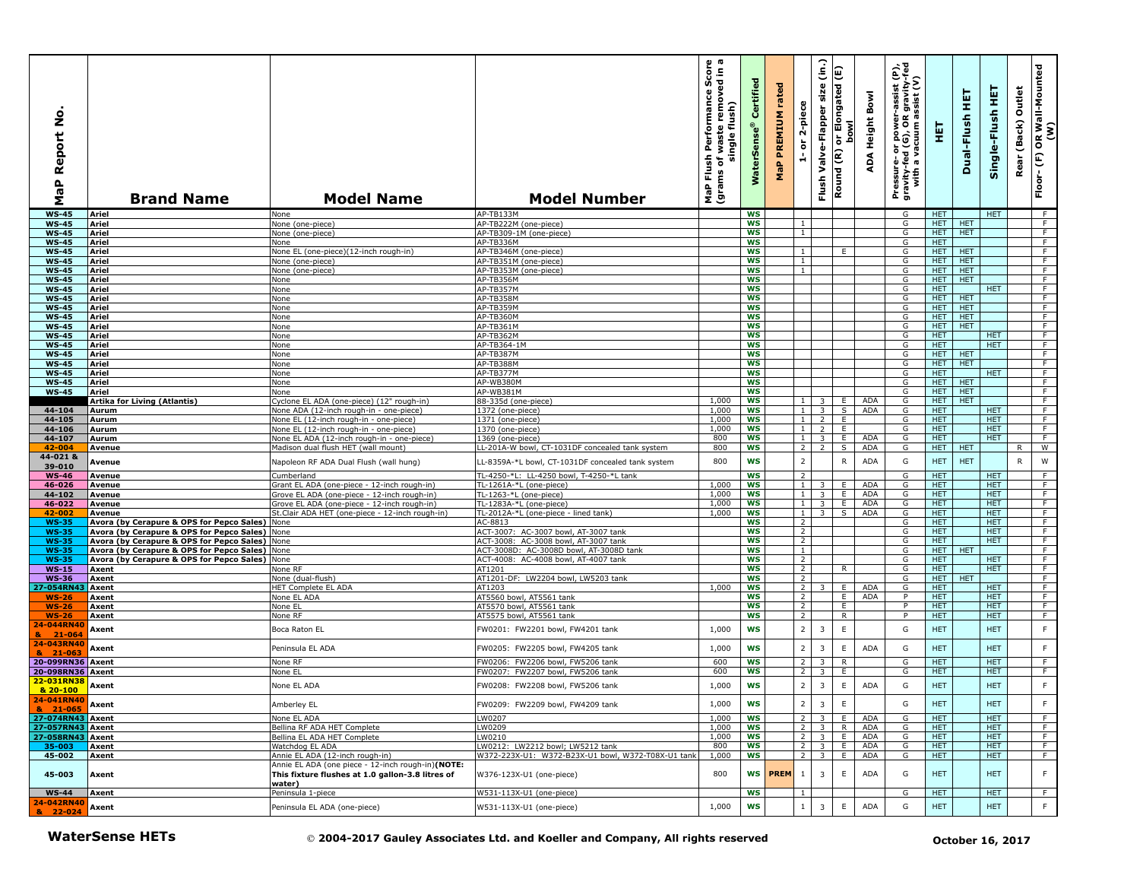| $\circ$<br>z<br>eport<br>≃<br>$\mathbf{a}$<br>œ<br>Σ                        | <b>Brand Name</b>                                                                      | <b>Model Name</b>                                                                                               | <b>Model Number</b>                                                                    | Score<br>sdin a<br>removed<br>Performance<br>waste remove<br>flush)<br>single<br>Flush<br>৳<br>(grams<br><b>P</b> | ertifi<br>ū<br>terSei<br>š | rated<br>PREMIUM<br>MaP | 2-piece<br>ត<br>÷                | (in.)<br>Valve-Flapper size<br>Flush  | or Elongated (E)<br><b>bowl</b><br>Round (R) | Bowl<br>Height<br>ADA    | rer-assist (P),<br>)R gravity-fed<br>1 assist (V)<br>Pressure- or power--<br>gravity-fed (G), OR g<br>with a vacuum as | 핓                        | 듚<br>Dual-Flush          | 뜊<br>Single-Flush        | Outlet<br>(Back)<br>Rear | OR Wall-Mounted<br>(W)<br>$\widehat{\mathsf{E}}$<br>Floor- |
|-----------------------------------------------------------------------------|----------------------------------------------------------------------------------------|-----------------------------------------------------------------------------------------------------------------|----------------------------------------------------------------------------------------|-------------------------------------------------------------------------------------------------------------------|----------------------------|-------------------------|----------------------------------|---------------------------------------|----------------------------------------------|--------------------------|------------------------------------------------------------------------------------------------------------------------|--------------------------|--------------------------|--------------------------|--------------------------|------------------------------------------------------------|
| $WS-45$                                                                     | <b>Ariel</b>                                                                           | None                                                                                                            | AP-TB133M                                                                              |                                                                                                                   | <b>WS</b>                  |                         |                                  |                                       |                                              |                          | G                                                                                                                      | HET.                     |                          | <b>HET</b>               |                          | - F                                                        |
| <b>WS-45</b>                                                                | <b>Ariel</b>                                                                           | None (one-piece)                                                                                                | AP-TB222M (one-piece)                                                                  |                                                                                                                   | ws                         |                         | $\mathbf{1}$                     |                                       |                                              |                          | G                                                                                                                      | HET.                     | <b>HET</b>               |                          |                          | F.                                                         |
| <b>WS-45</b><br><b>WS-45</b>                                                | Ariel<br>Ariel                                                                         | None (one-piece)                                                                                                | AP-TB309-1M (one-piece)<br>AP-TB336M                                                   |                                                                                                                   | WS<br><b>WS</b>            |                         | $\mathbf{1}$                     |                                       |                                              |                          | G<br>G                                                                                                                 | HET.<br>HET.             | <b>HET</b>               |                          |                          | $\overline{F}$<br>F                                        |
| <b>WS-45</b>                                                                | <b>Ariel</b>                                                                           | None<br>None EL (one-piece)(12-inch rough-in)                                                                   | AP-TB346M (one-piece)                                                                  |                                                                                                                   | <b>WS</b>                  |                         | $\mathbf{1}$                     |                                       | E                                            |                          | G                                                                                                                      | <b>HET</b>               | <b>HET</b>               |                          |                          | F                                                          |
| <b>WS-45</b>                                                                | <b>Ariel</b>                                                                           | None (one-piece)                                                                                                | AP-TB351M (one-piece)                                                                  |                                                                                                                   | <b>WS</b>                  |                         | $\mathbf{1}$                     |                                       |                                              |                          | G                                                                                                                      | <b>HET</b>               | <b>HET</b>               |                          |                          | $\overline{F}$                                             |
| <b>WS-45</b>                                                                | <b>Ariel</b>                                                                           | None (one-piece)                                                                                                | AP-TB353M (one-piece)                                                                  |                                                                                                                   | <b>WS</b>                  |                         | $\overline{1}$                   |                                       |                                              |                          | G                                                                                                                      | <b>HET</b>               | <b>HET</b>               |                          |                          | F                                                          |
| <b>WS-45</b>                                                                | Ariel                                                                                  | None                                                                                                            | AP-TB356M                                                                              |                                                                                                                   | <b>WS</b>                  |                         |                                  |                                       |                                              |                          | G                                                                                                                      | HET                      | <b>HET</b>               |                          |                          | F                                                          |
| <b>WS-45</b>                                                                | Ariel                                                                                  | None                                                                                                            | AP-TB357M                                                                              |                                                                                                                   | <b>WS</b>                  |                         |                                  |                                       |                                              |                          | G                                                                                                                      | HET.                     |                          | HET.                     |                          | F                                                          |
| <b>WS-45</b>                                                                | Ariel                                                                                  | None                                                                                                            | AP-TB358M                                                                              |                                                                                                                   | <b>WS</b><br><b>WS</b>     |                         |                                  |                                       |                                              |                          | G                                                                                                                      | HET.<br>HET.             | <b>HET</b><br><b>HET</b> |                          |                          | $\overline{F}$<br>F                                        |
| <b>WS-45</b><br><b>WS-45</b>                                                | Ariel<br><b>Ariel</b>                                                                  | None<br>None                                                                                                    | AP-TB359M<br>AP-TB360M                                                                 |                                                                                                                   | <b>WS</b>                  |                         |                                  |                                       |                                              |                          | G<br>G                                                                                                                 | <b>HET</b>               | <b>HET</b>               |                          |                          | F.                                                         |
| <b>WS-45</b>                                                                | Ariel                                                                                  | None                                                                                                            | AP-TB361M                                                                              |                                                                                                                   | <b>WS</b>                  |                         |                                  |                                       |                                              |                          | G                                                                                                                      | <b>HET</b>               | <b>HET</b>               |                          |                          | $\overline{F}$                                             |
| <b>WS-45</b>                                                                | Ariel                                                                                  | None                                                                                                            | <b>AP-TB362M</b>                                                                       |                                                                                                                   | <b>WS</b>                  |                         |                                  |                                       |                                              |                          | G                                                                                                                      | HET.                     |                          | <b>HET</b>               |                          | $\overline{F}$                                             |
| <b>WS-45</b>                                                                | Ariel                                                                                  | None                                                                                                            | AP-TB364-1M                                                                            |                                                                                                                   | <b>WS</b>                  |                         |                                  |                                       |                                              |                          | G                                                                                                                      | HET                      |                          | <b>HET</b>               |                          | F                                                          |
| <b>WS-45</b>                                                                | Ariel                                                                                  | None                                                                                                            | AP-TB387M                                                                              |                                                                                                                   | <b>WS</b>                  |                         |                                  |                                       |                                              |                          | G                                                                                                                      | HET.                     | <b>HET</b>               |                          |                          | F.                                                         |
| <b>WS-45</b><br><b>WS-45</b>                                                | Ariel<br>Ariel                                                                         | None                                                                                                            | AP-TB388M<br>AP-TB377M                                                                 |                                                                                                                   | <b>WS</b><br><b>WS</b>     |                         |                                  |                                       |                                              |                          | G<br>G                                                                                                                 | <b>HET</b><br>HET.       | <b>HET</b>               | <b>HET</b>               |                          | $\overline{F}$<br>F                                        |
| <b>WS-45</b>                                                                | <b>Ariel</b>                                                                           | None<br>None                                                                                                    | AP-WB380M                                                                              |                                                                                                                   | WS                         |                         |                                  |                                       |                                              |                          | G                                                                                                                      | HET.                     | <b>HET</b>               |                          |                          | F                                                          |
| <b>WS-45</b>                                                                | <b>Ariel</b>                                                                           | None                                                                                                            | AP-WB381M                                                                              |                                                                                                                   | <b>WS</b>                  |                         |                                  |                                       |                                              |                          | G                                                                                                                      | HET.                     | <b>HET</b>               |                          |                          | F                                                          |
|                                                                             | Artika for Living (Atlantis)                                                           | Cyclone EL ADA (one-piece) (12" rough-in)                                                                       | 88-335d (one-piece)                                                                    | 1,000                                                                                                             | WS                         |                         | $1 \mid$                         | 3                                     | E.                                           | ADA                      | G                                                                                                                      |                          | <b>HET HET</b>           |                          |                          | $\overline{F}$                                             |
| 44-104                                                                      | Aurum                                                                                  | None ADA (12-inch rough-in - one-piece)                                                                         | 1372 (one-piece)                                                                       | 1,000                                                                                                             | WS                         |                         | 1                                | 3                                     | S                                            | ADA                      | G                                                                                                                      | HET.                     |                          | <b>HET</b>               |                          | F.                                                         |
| 44-105                                                                      | Aurum                                                                                  | None EL (12-inch rough-in - one-piece)                                                                          | 1371 (one-piece)                                                                       | 1,000                                                                                                             | <b>WS</b>                  |                         | 1 <sup>1</sup>                   | 2                                     | E                                            |                          | G                                                                                                                      | HET.                     |                          | <b>HET</b>               |                          | F                                                          |
| 44-106<br>44-107                                                            | Aurum<br>Aurum                                                                         | None EL (12-inch rough-in - one-piece)<br>None EL ADA (12-inch rough-in - one-piece)                            | 1370 (one-piece)<br>1369 (one-piece)                                                   | 1,000<br>800                                                                                                      | WS<br><b>WS</b>            |                         | 1 <sup>1</sup><br>1 <sup>1</sup> | $\overline{2}$<br>3                   | E<br>E                                       | ADA                      | G<br>G                                                                                                                 | <b>HET</b><br><b>HET</b> |                          | <b>HET</b><br><b>HET</b> |                          | F.<br>F                                                    |
| 42-004                                                                      | Avenue                                                                                 | Madison dual flush HET (wall mount)                                                                             | LL-201A-W bowl, CT-1031DF concealed tank system                                        | 800                                                                                                               | <b>WS</b>                  |                         | 2                                | $\overline{2}$                        | $\overline{\mathsf{s}}$                      | <b>ADA</b>               | G                                                                                                                      | HET.                     | HET                      |                          | R                        | $\overline{w}$                                             |
| 44-021 &                                                                    |                                                                                        |                                                                                                                 |                                                                                        |                                                                                                                   | <b>WS</b>                  |                         | $\overline{2}$                   |                                       |                                              |                          |                                                                                                                        |                          | <b>HET</b>               |                          |                          |                                                            |
| 39-010                                                                      | Avenue                                                                                 | Napoleon RF ADA Dual Flush (wall hung)                                                                          | LL-8359A-*L bowl, CT-1031DF concealed tank system                                      | 800                                                                                                               |                            |                         |                                  |                                       | ${\sf R}$                                    | <b>ADA</b>               | G                                                                                                                      | <b>HET</b>               |                          |                          | R                        | W                                                          |
| <b>WS-46</b>                                                                | Avenue                                                                                 | Cumberland                                                                                                      | TL-4250-*L: LL-4250 bowl, T-4250-*L tank                                               |                                                                                                                   | <b>WS</b>                  |                         | 2                                |                                       |                                              |                          | G                                                                                                                      | HET.                     |                          | <b>HET</b>               |                          | F                                                          |
| 46-026<br>44-102                                                            | Avenue                                                                                 | Grant EL ADA (one-piece - 12-inch rough-in)                                                                     | TL-1261A-*L (one-piece)                                                                | 1,000<br>1,000                                                                                                    | <b>WS</b><br><b>WS</b>     |                         | $\mathbf{1}$<br>1                | 3<br>3                                | E<br>E.                                      | <b>ADA</b><br><b>ADA</b> | G<br>G                                                                                                                 | <b>HET</b><br><b>HET</b> |                          | <b>HET</b><br><b>HET</b> |                          | F<br>$\overline{F}$                                        |
| 46-022                                                                      | Avenue<br>Avenue                                                                       | Grove EL ADA (one-piece - 12-inch rough-in)<br>Grove EL ADA (one-piece - 12-inch rough-in)                      | TL-1263-*L (one-piece)<br>TL-1283A-*L (one-piece)                                      | 1,000                                                                                                             | <b>WS</b>                  |                         | $\perp$                          | $\overline{3}$                        | E                                            | ADA                      | G                                                                                                                      | <b>HET</b>               |                          | <b>HET</b>               |                          | F                                                          |
| 42-00                                                                       | Avenue                                                                                 | St.Clair ADA HET (one-piece - 12-inch rough-in)                                                                 | TL-2012A-*L (one-piece - lined tank)                                                   | 1,000                                                                                                             | <b>WS</b>                  |                         | 1 <sup>1</sup>                   | $3-1$                                 | S                                            | ADA                      | G                                                                                                                      | <b>HET</b>               |                          | <b>HET</b>               |                          | F                                                          |
| <b>WS-35</b>                                                                | Avora (by Cerapure & OPS for Pepco Sales) None                                         |                                                                                                                 | AC-8813                                                                                |                                                                                                                   | ws                         |                         | $\overline{2}$                   |                                       |                                              |                          | G                                                                                                                      | HET                      |                          | <b>HET</b>               |                          | F.                                                         |
| <b>WS-35</b>                                                                | Avora (by Cerapure & OPS for Pepco Sales)                                              | None                                                                                                            | ACT-3007: AC-3007 bowl, AT-3007 tank                                                   |                                                                                                                   | <b>WS</b>                  |                         | $\overline{2}$                   |                                       |                                              |                          | G                                                                                                                      | <b>HET</b>               |                          | <b>HET</b>               |                          | $\overline{F}$                                             |
| <b>WS-35</b>                                                                | Avora (by Cerapure & OPS for Pepco Sales)                                              | None                                                                                                            | ACT-3008: AC-3008 bowl, AT-3007 tank                                                   |                                                                                                                   | <b>WS</b>                  |                         | $\overline{2}$                   |                                       |                                              |                          | G                                                                                                                      | <b>HET</b>               |                          | <b>HET</b>               |                          | F.                                                         |
| <b>WS-35</b><br><b>WS-35</b>                                                | Avora (by Cerapure & OPS for Pepco Sales)<br>Avora (by Cerapure & OPS for Pepco Sales) | None<br>None                                                                                                    | ACT-3008D: AC-3008D bowl, AT-3008D tank<br>ACT-4008: AC-4008 bowl, AT-4007 tank        |                                                                                                                   | <b>WS</b><br><b>WS</b>     |                         | $\mathbf{1}$<br>$\overline{2}$   |                                       |                                              |                          | G<br>G                                                                                                                 | <b>HET</b><br>HET        | <b>HET</b>               | <b>HET</b>               |                          | F.<br>$\overline{F}$                                       |
| $WS-15$                                                                     | Axent                                                                                  | None RF                                                                                                         | AT1201                                                                                 |                                                                                                                   | <b>WS</b>                  |                         | $\overline{2}$                   |                                       | R.                                           |                          | G                                                                                                                      | <b>HET</b>               |                          | <b>HET</b>               |                          | $\overline{F}$                                             |
| <b>WS-36</b>                                                                | Axent                                                                                  | None (dual-flush)                                                                                               | AT1201-DF: LW2204 bowl, LW5203 tank                                                    |                                                                                                                   | <b>WS</b>                  |                         | 2                                |                                       |                                              |                          | G                                                                                                                      | HET.                     | <b>HET</b>               |                          |                          | F                                                          |
| 27-054RN43                                                                  | Axent                                                                                  | HET Complete EL ADA                                                                                             | AT1203                                                                                 | 1,000                                                                                                             | <b>WS</b>                  |                         | $\overline{2}$                   |                                       | E                                            | ADA                      | G                                                                                                                      | HET.                     |                          | <b>HET</b>               |                          | F.                                                         |
| $WS-26$                                                                     | Axent                                                                                  | None EL ADA                                                                                                     | AT5560 bowl, AT5561 tank                                                               |                                                                                                                   | WS                         |                         | $\overline{2}$                   |                                       | E.                                           | <b>ADA</b>               | P                                                                                                                      | <b>HET</b>               |                          | <b>HET</b>               |                          | $\overline{F}$                                             |
| $WS-26$                                                                     | Axent                                                                                  | None EL                                                                                                         | AT5570 bowl, AT5561 tank                                                               |                                                                                                                   | <b>WS</b><br><b>WS</b>     |                         | 2<br>2                           |                                       | E<br>R                                       |                          | P<br>P                                                                                                                 | <b>HET</b><br><b>HET</b> |                          | <b>HET</b>               |                          | F<br>F                                                     |
| $WS-26$<br>24-044RN40                                                       | Axent                                                                                  | None RF                                                                                                         | AT5575 bowl, AT5561 tank                                                               |                                                                                                                   |                            |                         |                                  |                                       |                                              |                          |                                                                                                                        |                          |                          | <b>HET</b>               |                          |                                                            |
|                                                                             | Axent                                                                                  | Boca Raton EL                                                                                                   | FW0201: FW2201 bowl, FW4201 tank                                                       | 1,000                                                                                                             | <b>WS</b>                  |                         | $\overline{2}$                   | 3                                     | $\mathsf E$                                  |                          | G                                                                                                                      | <b>HET</b>               |                          | <b>HET</b>               |                          | $\mathsf F$                                                |
| 8 21-064                                                                    | Axent                                                                                  | Peninsula EL ADA                                                                                                | FW0205: FW2205 bowl, FW4205 tank                                                       | 1,000                                                                                                             | <b>WS</b>                  |                         | $\overline{2}$                   | 3                                     | E                                            | ADA                      | G                                                                                                                      | <b>HET</b>               |                          | <b>HET</b>               |                          | F                                                          |
| & 21-063                                                                    |                                                                                        |                                                                                                                 |                                                                                        |                                                                                                                   |                            |                         |                                  |                                       |                                              |                          |                                                                                                                        |                          |                          |                          |                          |                                                            |
| 20-099RN36 Axent<br>20-098RN36 Axent                                        |                                                                                        | None RF<br>None EL                                                                                              | FW0206: FW2206 bowl, FW5206 tank<br>FW0207: FW2207 bowl, FW5206 tank                   | 600<br>600                                                                                                        | <b>WS</b><br><b>WS</b>     |                         | $\overline{2}$<br>2              | $\mathbf{3}$<br>3                     | R<br>E                                       |                          | G<br>G                                                                                                                 | <b>HET</b><br><b>HET</b> |                          | <b>HET</b><br><b>HET</b> |                          | F.<br>F                                                    |
| 22-031RN38                                                                  |                                                                                        |                                                                                                                 |                                                                                        |                                                                                                                   |                            |                         |                                  |                                       |                                              |                          |                                                                                                                        |                          |                          |                          |                          |                                                            |
| & 20-100                                                                    | Axent                                                                                  | None EL ADA                                                                                                     | FW0208: FW2208 bowl, FW5206 tank                                                       | 1,000                                                                                                             | <b>WS</b>                  |                         | $\overline{2}$                   | 3                                     | $\mathsf E$                                  | ADA                      | G                                                                                                                      | <b>HET</b>               |                          | <b>HET</b>               |                          | F                                                          |
| $\begin{array}{ c c }\n 24 - 041R N40 \\ \hline\n8 & 21 - 065\n\end{array}$ | Axent                                                                                  | Amberley EL                                                                                                     | FW0209: FW2209 bowl, FW4209 tank                                                       | 1,000                                                                                                             | WS                         |                         | $\overline{2}$                   | 3 <sup>1</sup>                        | E                                            |                          | G                                                                                                                      | <b>HET</b>               |                          | <b>HET</b>               |                          | F                                                          |
| 27-074RN43 Axent                                                            |                                                                                        | None EL ADA                                                                                                     | LW0207                                                                                 | 1,000                                                                                                             | <b>WS</b>                  |                         | $2^{\circ}$                      | 3 <sup>7</sup>                        | E.                                           | ADA                      | G                                                                                                                      | <b>HET</b>               |                          | <b>HET</b>               |                          | F.                                                         |
| 27-057RN43                                                                  | Axent                                                                                  | Bellina RF ADA HET Complete                                                                                     | LW0209                                                                                 | 1,000                                                                                                             | <b>WS</b>                  |                         |                                  | $2 \mid 3 \mid$                       | R                                            | ADA                      | G                                                                                                                      | <b>HET</b>               |                          | <b>HET</b>               |                          | $\overline{F}$                                             |
| 27-058RN43                                                                  | Axent                                                                                  | Bellina EL ADA HET Complete                                                                                     | LW0210                                                                                 | 1,000                                                                                                             | <b>WS</b>                  |                         | 2 <sup>1</sup>                   | $\overline{3}$                        | E.                                           | ADA                      | G                                                                                                                      | <b>HET</b>               |                          | <b>HET</b>               |                          | F                                                          |
| 35-003<br>45-002                                                            | Axent<br>Axent                                                                         | Watchdog EL ADA<br>Annie EL ADA (12-inch rough-in)                                                              | LW0212: LW2212 bowl; LW5212 tank<br>W372-223X-U1: W372-B23X-U1 bowl, W372-T08X-U1 tank | 800<br>1,000                                                                                                      | WS<br>WS                   |                         |                                  | $2 \mid 3 \mid$<br>$\overline{2}$   3 | E.<br>E                                      | ADA<br>ADA               | G<br>G                                                                                                                 | <b>HET</b><br>HET.       |                          | HET.<br><b>HET</b>       |                          | F<br>F.                                                    |
| 45-003                                                                      | Axent                                                                                  | Annie EL ADA (one piece - 12-inch rough-in)(NOTE:<br>This fixture flushes at 1.0 gallon-3.8 litres of<br>water) | W376-123X-U1 (one-piece)                                                               | 800                                                                                                               |                            | WS <b>PREM</b>          | 1                                | 3                                     | E                                            | ADA                      | G                                                                                                                      | <b>HET</b>               |                          | <b>HET</b>               |                          | F                                                          |
| <b>WS-44</b>                                                                | Axent                                                                                  | Peninsula 1-piece                                                                                               | W531-113X-U1 (one-piece)                                                               |                                                                                                                   | <b>WS</b>                  |                         | $\overline{1}$                   |                                       |                                              |                          | G                                                                                                                      | <b>HET</b>               |                          | <b>HET</b>               |                          | $\overline{F}$                                             |
| 24-042RN40<br>& 22-024                                                      | Axent                                                                                  | Peninsula EL ADA (one-piece)                                                                                    | W531-113X-U1 (one-piece)                                                               | 1,000                                                                                                             | WS                         |                         | $\mathbf{1}$                     | $\overline{3}$                        | $\mathsf E$                                  | ADA                      | G                                                                                                                      | <b>HET</b>               |                          | <b>HET</b>               |                          | F                                                          |
|                                                                             | <b>WaterSense HETs</b>                                                                 |                                                                                                                 | © 2004-2017 Gauley Associates Ltd. and Koeller and Company, All rights reserved        |                                                                                                                   |                            |                         |                                  |                                       |                                              |                          |                                                                                                                        |                          | October 16, 2017         |                          |                          |                                                            |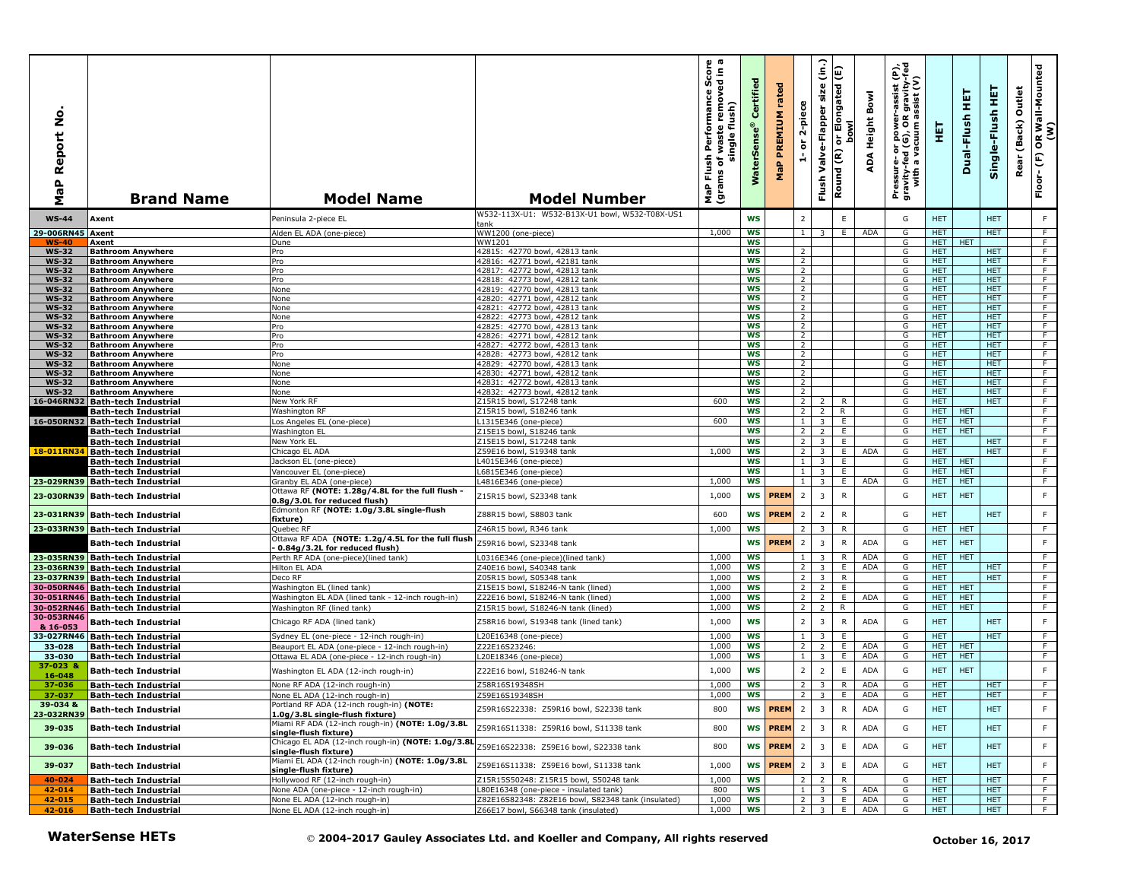| ۰<br>Ž<br>Report<br>a<br>@<br>Σ | <b>Brand Name</b>                                                           | <b>Model Name</b>                                                                                                               | <b>Model Number</b>                                                                          | ωm<br>르 흥<br>rmance Sco<br>removed in<br>rman<br>flush)<br>Perfor<br>waste<br>single<br>Flush<br>৳<br>MaP Flu<br>(grams | Certifi<br>ဖွဲ<br>š    | rated<br>PREMIUM<br>MaP | 2-piece<br>ត                     | (in.)<br>Valve-Flapper size<br>Flush | Round (R) or Elongated (E)<br><b>bowl</b> | Bowl<br>Height<br>ADA    | Pressure- or power-assist (P),<br>gravity-fed (G), OR gravity-fed<br>with a vacuum assist (V) | 핓                        | 듚<br>Dual-Flush          | 뜊<br>Single-Flush        | Outlet<br>(Back)<br>Rear | OR Wall-Mounted<br>(W)<br>$\mathop{\mathbb{E}}$<br>Floor- |
|---------------------------------|-----------------------------------------------------------------------------|---------------------------------------------------------------------------------------------------------------------------------|----------------------------------------------------------------------------------------------|-------------------------------------------------------------------------------------------------------------------------|------------------------|-------------------------|----------------------------------|--------------------------------------|-------------------------------------------|--------------------------|-----------------------------------------------------------------------------------------------|--------------------------|--------------------------|--------------------------|--------------------------|-----------------------------------------------------------|
| <b>WS-44</b>                    | Axent                                                                       | Peninsula 2-piece EL                                                                                                            | W532-113X-U1: W532-B13X-U1 bowl, W532-T08X-US1<br>tank                                       |                                                                                                                         | WS                     |                         | $\overline{2}$                   |                                      | $\mathsf E$                               |                          | G                                                                                             | <b>HET</b>               |                          | <b>HET</b>               |                          | F                                                         |
| 29-006RN45 Axent                |                                                                             | Alden EL ADA (one-piece)                                                                                                        | WW1200 (one-piece)                                                                           | 1,000                                                                                                                   | <b>WS</b>              |                         | 1                                | 3                                    | E.                                        | ADA                      | G                                                                                             | <b>HET</b>               |                          | <b>HET</b>               |                          | $\overline{F}$                                            |
| <b>WS-40</b>                    | Axent                                                                       | Dune                                                                                                                            | WW1201                                                                                       |                                                                                                                         | <b>WS</b>              |                         |                                  |                                      |                                           |                          | G                                                                                             | HET.                     | <b>HET</b>               |                          |                          | F                                                         |
| <b>WS-32</b><br><b>WS-32</b>    | <b>Bathroom Anywhere</b><br><b>Bathroom Anywhere</b>                        | Pro<br>Pro                                                                                                                      | 42815: 42770 bowl, 42813 tank<br>42816: 42771 bowl, 42181 tank                               |                                                                                                                         | <b>WS</b><br>ws        |                         | $\overline{2}$<br>$\overline{2}$ |                                      |                                           |                          | G<br>G                                                                                        | <b>HET</b><br><b>HET</b> |                          | <b>HET</b><br><b>HET</b> |                          | F<br>$\overline{F}$                                       |
| WS-32                           | <b>Bathroom Anywhere</b>                                                    | Pro                                                                                                                             | 42817: 42772 bowl, 42813 tank                                                                |                                                                                                                         | <b>WS</b>              |                         | $\overline{2}$                   |                                      |                                           |                          | G                                                                                             | <b>HET</b>               |                          | <b>HET</b>               |                          | F                                                         |
| <b>WS-32</b>                    | <b>Bathroom Anywhere</b>                                                    | Pro                                                                                                                             | 42818: 42773 bowl, 42812 tank                                                                |                                                                                                                         | <b>WS</b>              |                         | $\overline{2}$                   |                                      |                                           |                          | G                                                                                             | HET.                     |                          | HET.                     |                          | F                                                         |
| <b>WS-32</b>                    | <b>Bathroom Anywhere</b>                                                    | None                                                                                                                            | 42819: 42770 bowl, 42813 tank                                                                |                                                                                                                         | WS                     |                         | $\overline{2}$                   |                                      |                                           |                          | G                                                                                             | <b>HET</b>               |                          | <b>HET</b>               |                          | F                                                         |
| <b>WS-32</b><br><b>WS-32</b>    | <b>Bathroom Anywhere</b><br><b>Bathroom Anywhere</b>                        | None<br>None                                                                                                                    | 42820: 42771 bowl, 42812 tank<br>42821: 42772 bowl, 42813 tank                               |                                                                                                                         | ws<br>WS               |                         | $\overline{2}$<br>$\overline{2}$ |                                      |                                           |                          | G<br>G                                                                                        | <b>HET</b><br>HET.       |                          | <b>HET</b><br>HET.       |                          | $\overline{F}$<br>F.                                      |
| <b>WS-32</b>                    | <b>Bathroom Anywhere</b>                                                    | None                                                                                                                            | 42822: 42773 bowl, 42812 tank                                                                |                                                                                                                         | WS                     |                         | $\overline{2}$                   |                                      |                                           |                          | G                                                                                             | <b>HET</b>               |                          | <b>HET</b>               |                          | F                                                         |
| <b>WS-32</b>                    | <b>Bathroom Anywhere</b>                                                    | Pro                                                                                                                             | 42825: 42770 bowl, 42813 tank                                                                |                                                                                                                         | <b>WS</b>              |                         | $\overline{2}$                   |                                      |                                           |                          | G                                                                                             | <b>HET</b>               |                          | <b>HET</b>               |                          | F                                                         |
| <b>WS-32</b><br><b>WS-32</b>    | <b>Bathroom Anywhere</b><br><b>Bathroom Anywhere</b>                        | Pro<br>Pro                                                                                                                      | 42826: 42771 bowl, 42812 tank<br>42827: 42772 bowl, 42813 tank                               |                                                                                                                         | WS<br>ws               |                         | $\overline{2}$<br>$\overline{2}$ |                                      |                                           |                          | G<br>G                                                                                        | <b>HET</b><br>HET        |                          | <b>HET</b><br>HET.       |                          | F<br>F.                                                   |
| <b>WS-32</b>                    | <b>Bathroom Anywhere</b>                                                    | Pro                                                                                                                             | 42828: 42773 bowl, 42812 tank                                                                |                                                                                                                         | WS                     |                         | $\overline{2}$                   |                                      |                                           |                          | G                                                                                             | HET.                     |                          | <b>HET</b>               |                          | F                                                         |
| <b>WS-32</b>                    | <b>Bathroom Anywhere</b>                                                    | None                                                                                                                            | 42829: 42770 bowl, 42813 tank                                                                |                                                                                                                         | <b>WS</b>              |                         | $\overline{2}$                   |                                      |                                           |                          | G                                                                                             | <b>HET</b>               |                          | <b>HET</b>               |                          | $\overline{F}$                                            |
| <b>WS-32</b>                    | <b>Bathroom Anywhere</b>                                                    | None                                                                                                                            | 42830: 42771 bowl, 42812 tank                                                                |                                                                                                                         | <b>WS</b>              |                         | $\overline{2}$                   |                                      |                                           |                          | G                                                                                             | <b>HET</b>               |                          | <b>HET</b>               |                          | F                                                         |
| <b>WS-32</b><br><b>WS-32</b>    | <b>Bathroom Anywhere</b><br><b>Bathroom Anywhere</b>                        | <b>None</b><br>None                                                                                                             | 42772 bowl, 42813 tank<br>42831:<br>42832: 42773 bowl, 42812 tank                            |                                                                                                                         | <b>WS</b><br><b>WS</b> |                         | $\overline{2}$<br>$\overline{2}$ |                                      |                                           |                          | G<br>G                                                                                        | <b>HET</b><br>HET.       |                          | <b>HET</b><br><b>HET</b> |                          | F<br>F                                                    |
|                                 | 16-046RN32 Bath-tech Industrial                                             | New York RF                                                                                                                     | Z15R15 bowl, S17248 tank                                                                     | 600                                                                                                                     | <b>WS</b>              |                         | $2^{\circ}$                      | $\overline{2}$                       | R                                         |                          | G                                                                                             | HET.                     |                          | HET.                     |                          | F.                                                        |
|                                 | <b>Bath-tech Industrial</b>                                                 | Washington RF                                                                                                                   | Z15R15 bowl, S18246 tank                                                                     |                                                                                                                         | <b>WS</b>              |                         | 2                                | 2                                    | R                                         |                          | G                                                                                             | <b>HET</b>               | <b>HET</b>               |                          |                          | F                                                         |
|                                 | 16-050RN32 Bath-tech Industrial                                             | Los Angeles EL (one-piece)                                                                                                      | L1315E346 (one-piece)                                                                        | 600                                                                                                                     | <b>WS</b>              |                         | $\mathbf{1}$                     | 3                                    | E                                         |                          | G                                                                                             | <b>HET</b>               | <b>HET</b>               |                          |                          | F                                                         |
|                                 | <b>Bath-tech Industrial</b>                                                 | Washington EL                                                                                                                   | Z15E15 bowl, S18246 tank                                                                     |                                                                                                                         | WS                     |                         |                                  | $2 \mid 2$                           | E                                         |                          | G                                                                                             | HET.                     | HET                      |                          |                          | F                                                         |
|                                 | <b>Bath-tech Industrial</b>                                                 | New York EL                                                                                                                     | Z15E15 bowl, S17248 tank<br>Z59E16 bowl, S19348 tank                                         | 1,000                                                                                                                   | <b>WS</b><br><b>WS</b> |                         | $\overline{2}$<br>2              | 3<br>3                               | Ε.<br>E                                   | ADA                      | G<br>G                                                                                        | <b>HET</b><br><b>HET</b> |                          | HET<br><b>HET</b>        |                          | $\overline{F}$<br>F                                       |
|                                 | <mark>18-011RN34</mark> Bath-tech Industrial<br><b>Bath-tech Industrial</b> | Chicago EL ADA<br>Jackson EL (one-piece)                                                                                        | L4015E346 (one-piece)                                                                        |                                                                                                                         | WS                     |                         | 1                                | $\overline{\mathbf{3}}$              | E                                         |                          | G                                                                                             | <b>HET</b>               | <b>HET</b>               |                          |                          | F.                                                        |
|                                 | <b>Bath-tech Industrial</b>                                                 | Vancouver EL (one-piece)                                                                                                        | L6815E346 (one-piece)                                                                        |                                                                                                                         | <b>WS</b>              |                         | $\mathbf{1}$                     | 3                                    | E                                         |                          | G                                                                                             | HET.                     | <b>HET</b>               |                          |                          | F                                                         |
|                                 | 23-029RN39 Bath-tech Industrial                                             | Granby EL ADA (one-piece)                                                                                                       | L4816E346 (one-piece)                                                                        | 1,000                                                                                                                   | <b>WS</b>              |                         | $\overline{1}$                   | 3                                    | E                                         | <b>ADA</b>               | G                                                                                             | <b>HET</b>               | <b>HET</b>               |                          |                          | F                                                         |
| 23-030RN39                      | <b>Bath-tech Industrial</b>                                                 | Ottawa RF (NOTE: 1.28g/4.8L for the full flush -                                                                                | Z15R15 bowl, S23348 tank                                                                     | 1,000                                                                                                                   | <b>WS</b>              | <b>PREM</b>             | $\overline{2}$                   | $\overline{3}$                       | $\mathsf{R}$                              |                          | G                                                                                             | <b>HET</b>               | <b>HET</b>               |                          |                          | $\mathsf F$                                               |
|                                 |                                                                             | 0.8g/3.0L for reduced flush)<br>Edmonton RF (NOTE: 1.0g/3.8L single-flush                                                       |                                                                                              |                                                                                                                         |                        |                         |                                  |                                      |                                           |                          |                                                                                               |                          |                          |                          |                          |                                                           |
|                                 | 23-031RN39 Bath-tech Industrial                                             | fixture)                                                                                                                        | Z88R15 bowl, S8803 tank                                                                      | 600                                                                                                                     | <b>WS</b>              | <b>PREM</b>             | $\overline{2}$                   | $\overline{2}$                       | $\mathsf{R}$                              |                          | G                                                                                             | <b>HET</b>               |                          | <b>HET</b>               |                          | F                                                         |
|                                 | 23-033RN39 Bath-tech Industrial                                             | Quebec RF                                                                                                                       | Z46R15 bowl, R346 tank                                                                       | 1,000                                                                                                                   | <b>WS</b>              |                         | 2                                | $\mathbf{3}$                         | R                                         |                          | G                                                                                             | HET.                     | <b>HET</b>               |                          |                          | F.                                                        |
|                                 | Bath-tech Industrial                                                        | Ottawa RF ADA (NOTE: 1.2g/4.5L for the full flush                                                                               | Z59R16 bowl, S23348 tank                                                                     |                                                                                                                         | WS                     | <b>PREM</b>             | $\overline{2}$                   | 3                                    | ${\sf R}$                                 | <b>ADA</b>               | G                                                                                             | HET                      | <b>HET</b>               |                          |                          | F                                                         |
|                                 | 23-035RN39 Bath-tech Industrial                                             | 0.84g/3.2L for reduced flush)<br>Perth RF ADA (one-piece)(lined tank)                                                           | L0316E346 (one-piece)(lined tank)                                                            | 1,000                                                                                                                   | <b>WS</b>              |                         | $\mathbf{1}$                     | 3                                    | R                                         | <b>ADA</b>               | G                                                                                             | <b>HET</b>               | <b>HET</b>               |                          |                          | F                                                         |
|                                 | 23-036RN39 Bath-tech Industrial                                             | Hilton EL ADA                                                                                                                   | Z40E16 bowl, S40348 tank                                                                     | 1,000                                                                                                                   | <b>WS</b>              |                         | 2                                | 3                                    | E                                         | <b>ADA</b>               | G                                                                                             | HET                      |                          | <b>HET</b>               |                          | F                                                         |
|                                 | 23-037RN39 Bath-tech Industrial                                             | Deco RF                                                                                                                         | Z05R15 bowl, S05348 tank                                                                     | 1,000                                                                                                                   | <b>WS</b>              |                         | $\overline{2}$                   | $\overline{3}$                       | R                                         |                          | G                                                                                             | <b>HET</b>               |                          | <b>HET</b>               |                          | F                                                         |
|                                 | 30-050RN46 Bath-tech Industrial                                             | Washington EL (lined tank)                                                                                                      | Z15E15 bowl, S18246-N tank (lined)                                                           | 1,000                                                                                                                   | WS                     |                         | $\overline{2}$                   | $\overline{2}$                       | E                                         |                          | G                                                                                             | HET.                     | <b>HET</b>               |                          |                          | F                                                         |
|                                 | 30-051RN46 Bath-tech Industrial                                             | Washington EL ADA (lined tank - 12-inch rough-in)                                                                               | Z22E16 bowl, S18246-N tank (lined)                                                           | 1,000                                                                                                                   | <b>WS</b><br><b>WS</b> |                         | $\overline{2}$<br>$\overline{2}$ | $\overline{2}$                       | E<br>R                                    | ADA                      | G<br>G                                                                                        | <b>HET</b>               | <b>HET</b><br><b>HET</b> |                          |                          | F<br>F                                                    |
| 30-053RN46                      | 30-052RN46 Bath-tech Industrial                                             | Washington RF (lined tank)                                                                                                      | Z15R15 bowl, S18246-N tank (lined)                                                           | 1,000                                                                                                                   |                        |                         |                                  | $\overline{2}$                       |                                           |                          |                                                                                               | HET.                     |                          |                          |                          |                                                           |
| & 16-053                        | <b>Bath-tech Industrial</b>                                                 | Chicago RF ADA (lined tank)                                                                                                     | Z58R16 bowl, S19348 tank (lined tank)                                                        | 1,000                                                                                                                   | WS                     |                         | $\overline{2}$                   | 3                                    | $\mathsf{R}$                              | <b>ADA</b>               | G                                                                                             | <b>HET</b>               |                          | <b>HET</b>               |                          | F                                                         |
|                                 | 33-027RN46 Bath-tech Industrial                                             | Sydney EL (one-piece - 12-inch rough-in)                                                                                        | L20E16348 (one-piece)                                                                        | 1,000                                                                                                                   | <b>WS</b>              |                         | 1                                | 3                                    | Ε                                         |                          | G                                                                                             | <b>HET</b>               |                          | <b>HET</b>               |                          | F.                                                        |
| 33-028                          | <b>Bath-tech Industrial</b>                                                 | Beauport EL ADA (one-piece - 12-inch rough-in)                                                                                  | Z22E16S23246:                                                                                | 1,000                                                                                                                   | <b>WS</b>              |                         | $\overline{2}$                   | $\overline{2}$                       | E                                         | <b>ADA</b>               | G                                                                                             | HET.                     | <b>HET</b>               |                          |                          | F                                                         |
| 33-030<br>37-023 &              | <b>Bath-tech Industrial</b>                                                 | Ottawa EL ADA (one-piece - 12-inch rough-in)                                                                                    | L20E18346 (one-piece)                                                                        | 1,000                                                                                                                   | WS                     |                         | $\mathbf{1}$                     | 3                                    | E.                                        | ADA                      | G                                                                                             | HET.                     | <b>HET</b>               |                          |                          | F                                                         |
| 16-048                          | <b>Bath-tech Industrial</b>                                                 | Washington EL ADA (12-inch rough-in)                                                                                            | Z22E16 bowl, S18246-N tank                                                                   | 1,000                                                                                                                   | WS                     |                         | $\overline{2}$                   | $\overline{2}$                       | E                                         | <b>ADA</b>               | G                                                                                             | HET                      | <b>HET</b>               |                          |                          | $\mathsf F$                                               |
| 37-036                          | <b>Bath-tech Industrial</b>                                                 | None RF ADA (12-inch rough-in)                                                                                                  | Z58R16S19348SH                                                                               | 1,000                                                                                                                   | <b>WS</b>              |                         | $\overline{2}$                   | 3                                    | $\mathsf{R}$                              | ADA                      | G                                                                                             | <b>HET</b>               |                          | <b>HET</b>               |                          | F                                                         |
| 37-037                          | <b>Bath-tech Industrial</b>                                                 | None EL ADA (12-inch rough-in)                                                                                                  | Z59E16S19348SH                                                                               | 1,000                                                                                                                   | ws                     |                         | $\overline{2}$                   | 3                                    | E.                                        | ADA                      | G                                                                                             | <b>HET</b>               |                          | <b>HET</b>               |                          | F.                                                        |
| 39-034 &<br>23-032RN39          | <b>Bath-tech Industrial</b>                                                 | Portland RF ADA (12-inch rough-in) (NOTE:<br>1.0g/3.8L single-flush fixture)                                                    | Z59R16S22338: Z59R16 bowl, S22338 tank                                                       | 800                                                                                                                     | <b>WS</b>              | <b>PREM</b>             | $\overline{2}$                   | $\overline{3}$                       | $\mathsf{R}$                              | <b>ADA</b>               | G                                                                                             | <b>HET</b>               |                          | <b>HET</b>               |                          | F                                                         |
| 39-035                          | <b>Bath-tech Industrial</b>                                                 | Miami RF ADA (12-inch rough-in) (NOTE: 1.0g/3.8L<br>single-flush fixture)                                                       | Z59R16S11338: Z59R16 bowl, S11338 tank                                                       | 800                                                                                                                     | <b>WS</b>              | <b>PREM</b>             | $\overline{2}$                   | 3                                    | $\mathsf{R}$                              | ADA                      | G                                                                                             | <b>HET</b>               |                          | <b>HET</b>               |                          | F                                                         |
| 39-036                          | <b>Bath-tech Industrial</b>                                                 | Chicago EL ADA (12-inch rough-in) (NOTE: 1.0g/3.8L<br>single-flush fixture)<br>Miami EL ADA (12-inch rough-in) (NOTE: 1.0g/3.8L | Z59E16S22338: Z59E16 bowl, S22338 tank                                                       | 800                                                                                                                     | WS                     | <b>PREM</b>             | $\overline{2}$                   | 3                                    | $\mathsf E$                               | <b>ADA</b>               | G                                                                                             | <b>HET</b>               |                          | <b>HET</b>               |                          | F                                                         |
| 39-037                          | <b>Bath-tech Industrial</b>                                                 | single-flush fixture)                                                                                                           | Z59E16S11338: Z59E16 bowl, S11338 tank                                                       | 1,000                                                                                                                   | WS                     | <b>PREM</b>             | $\overline{2}$                   | $\overline{3}$                       | $\mathsf E$                               | <b>ADA</b>               | G                                                                                             | <b>HET</b>               |                          | <b>HET</b>               |                          | F                                                         |
| 40-024                          | <b>Bath-tech Industrial</b>                                                 | Hollywood RF (12-inch rough-in)                                                                                                 | Z15R15S50248: Z15R15 bowl, S50248 tank                                                       | 1,000                                                                                                                   | <b>WS</b>              |                         | $\overline{2}$                   | $\overline{z}$                       | R                                         |                          | G                                                                                             | <b>HET</b>               |                          | <b>HET</b>               |                          | F.                                                        |
| 42-014<br>42-015                | <b>Bath-tech Industrial</b>                                                 | None ADA (one-piece - 12-inch rough-in)<br>None EL ADA (12-inch rough-in)                                                       | L80E16348 (one-piece - insulated tank)<br>Z82E16S82348: Z82E16 bowl, S82348 tank (insulated) | 800<br>1,000                                                                                                            | WS<br>ws               |                         | 1<br>$\overline{2}$              | $\overline{\mathbf{3}}$<br>3         | S<br>E.                                   | <b>ADA</b><br><b>ADA</b> | G<br>G                                                                                        | HET.<br><b>HET</b>       |                          | <b>HET</b><br><b>HET</b> |                          | F.<br>F                                                   |
| 42-016                          | <b>Bath-tech Industrial</b><br><b>Bath-tech Industrial</b>                  | None EL ADA (12-inch rough-in)                                                                                                  | Z66E17 bowl, S66348 tank (insulated)                                                         | 1,000                                                                                                                   | WS                     |                         | 2                                | 3                                    | E                                         | ADA                      | G                                                                                             | <b>HET</b>               |                          | <b>HET</b>               |                          | F                                                         |
|                                 | <b>WaterSense HETs</b>                                                      |                                                                                                                                 | © 2004-2017 Gauley Associates Ltd. and Koeller and Company, All rights reserved              |                                                                                                                         |                        |                         |                                  |                                      |                                           |                          |                                                                                               |                          | October 16, 2017         |                          |                          |                                                           |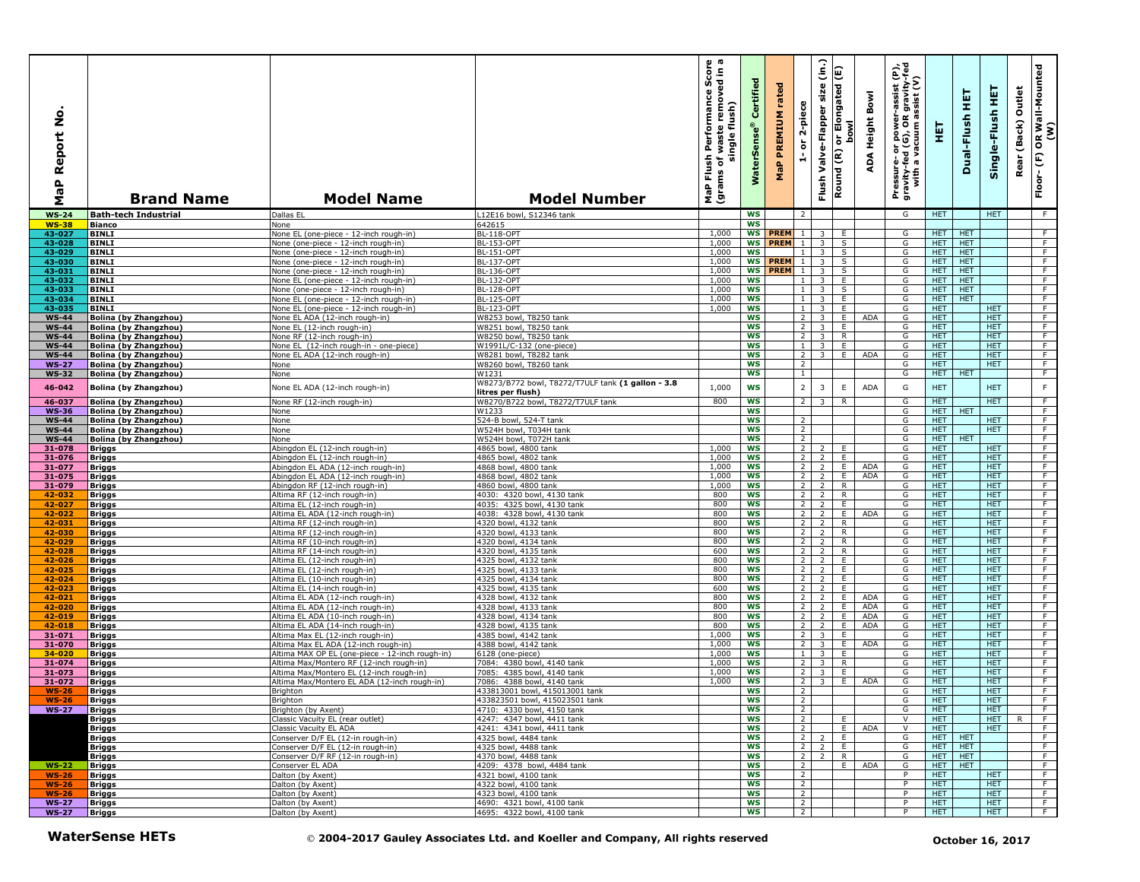| ş<br>Report<br>$\frac{a}{b}$<br>Σ | <b>Brand Name</b>                                            | <b>Model Name</b>                                                                    | <b>Model Number</b>                                                             | mance Score<br>removed in a<br>Performan<br>single flush)<br>waste<br>Flush<br>৳<br>(grams<br>NaP | Certified<br><b>WaterSens</b> | rated<br>PREMIUM<br>MaP | 2-piece<br>$\overleftarrow{\mathtt{o}}$<br>÷ | (in.)<br>size<br>Valve-Flapper<br>Flush            | or Elongated (E)<br><b>bowl</b><br>Round (R) | Bowl<br>Height<br>ADA | er-assist (P),<br>)R gravity-fed<br>) assist (V)<br>Pressure- or power-a<br>gravity-fed (G), OR g<br>with a vacuum as | 핓                        | 実<br>Dual-Flush          | 뜊<br>Single-Flush        | Outlet<br>(Back)<br>Rear | OR Wall-Mounted<br>(W)<br>$\mathop{\mathbb{E}}$<br>Floor- |
|-----------------------------------|--------------------------------------------------------------|--------------------------------------------------------------------------------------|---------------------------------------------------------------------------------|---------------------------------------------------------------------------------------------------|-------------------------------|-------------------------|----------------------------------------------|----------------------------------------------------|----------------------------------------------|-----------------------|-----------------------------------------------------------------------------------------------------------------------|--------------------------|--------------------------|--------------------------|--------------------------|-----------------------------------------------------------|
| <b>WS-24</b>                      | <b>Bath-tech Industrial</b>                                  | Dallas EL                                                                            | L12E16 bowl, S12346 tank                                                        |                                                                                                   | <b>WS</b>                     |                         | $\overline{2}$                               |                                                    |                                              |                       | G                                                                                                                     | <b>HET</b>               |                          | <b>HET</b>               |                          | F                                                         |
| <b>WS-38</b>                      | <b>Bianco</b>                                                | None                                                                                 | 642615                                                                          |                                                                                                   | <b>WS</b><br><b>WS</b>        | <b>PREM</b>             | $\overline{1}$                               |                                                    |                                              |                       |                                                                                                                       |                          |                          |                          |                          |                                                           |
| 43-027<br>43-028                  | <b>BINLI</b><br><b>BINLI</b>                                 | None EL (one-piece - 12-inch rough-in)<br>None (one-piece - 12-inch rough-in)        | <b>BL-118-OPT</b><br><b>BL-153-OPT</b>                                          | 1,000<br>1,000                                                                                    |                               | WS PREM 1               |                                              | 3<br>$\overline{3}$                                | E<br>S                                       |                       | G<br>G                                                                                                                | HET.<br>HET.             | HET<br><b>HET</b>        |                          |                          | F<br>F                                                    |
| 43-029                            | BINLI                                                        | None (one-piece - 12-inch rough-in)                                                  | BL-151-OPT                                                                      | 1,000                                                                                             | WS                            |                         | $\mathbf{1}$                                 | 3 <sup>7</sup>                                     | S                                            |                       | G                                                                                                                     | <b>HET</b>               | <b>HET</b>               |                          |                          | $\overline{F}$                                            |
| 43-030                            | <b>BINLI</b>                                                 | None (one-piece - 12-inch rough-in)                                                  | <b>BL-137-OPT</b>                                                               | 1,000                                                                                             | <b>WS</b>                     | PREM 1                  |                                              | $\overline{3}$                                     | s,                                           |                       | G                                                                                                                     | <b>HET</b>               | <b>HET</b>               |                          |                          | F                                                         |
| 43-031                            | <b>BINLI</b>                                                 | None (one-piece - 12-inch rough-in)                                                  | <b>BL-136-OPT</b>                                                               | 1,000                                                                                             |                               | <b>WS PREM</b> 1 3      |                                              |                                                    | S                                            |                       | G                                                                                                                     | HET                      | HET                      |                          |                          | F<br>F                                                    |
| 43-032<br>43-033                  | <b>BINLI</b><br><b>BINLI</b>                                 | None EL (one-piece - 12-inch rough-in)<br>None (one-piece - 12-inch rough-in)        | BL-132-OPT<br><b>BL-128-OPT</b>                                                 | 1,000<br>1,000                                                                                    | WS<br><b>WS</b>               |                         | $1\phantom{0}$                               | $\overline{\mathbf{3}}$<br>$1 \quad 3$             | E.<br>S                                      |                       | G<br>G                                                                                                                | <b>HET</b><br><b>HET</b> | <b>HET</b><br><b>HET</b> |                          |                          | $\overline{F}$                                            |
| 43-034                            | <b>BINLI</b>                                                 | None EL (one-piece - 12-inch rough-in)                                               | <b>BL-125-OPT</b>                                                               | 1,000                                                                                             | <b>WS</b>                     |                         |                                              | $1 \mid 3 \mid$                                    | E                                            |                       | G                                                                                                                     | HET.                     | <b>HET</b>               |                          |                          | F.                                                        |
| 43-035                            | <b>BINLI</b>                                                 | None EL (one-piece - 12-inch rough-in)                                               | <b>BL-123-OPT</b>                                                               | 1,000                                                                                             | <b>WS</b>                     |                         | $\mathbf{1}$                                 | $\overline{3}$                                     | E                                            |                       | G                                                                                                                     | HET.                     |                          | <b>HET</b>               |                          | F                                                         |
| <b>WS-44</b>                      | Bolina (by Zhangzhou)                                        | None EL ADA (12-inch rough-in)                                                       | W8253 bowl, T8250 tank                                                          |                                                                                                   | <b>WS</b>                     |                         | $\overline{2}$                               | $\overline{\mathbf{3}}$                            | E                                            | ADA                   | G                                                                                                                     | <b>HET</b>               |                          | <b>HET</b>               |                          | F                                                         |
| <b>WS-44</b><br><b>WS-44</b>      | <b>Bolina (by Zhangzhou)</b><br><b>Bolina (by Zhangzhou)</b> | None EL (12-inch rough-in)<br>None RF (12-inch rough-in)                             | W8251 bowl, T8250 tank<br>W8250 bowl, T8250 tank                                |                                                                                                   | <b>WS</b><br><b>WS</b>        |                         | $\overline{2}$<br>2                          | $\overline{\mathbf{3}}$<br>$\overline{3}$          | E<br>$\mathsf{R}$                            |                       | G<br>G                                                                                                                | <b>HET</b><br>HET.       |                          | <b>HET</b><br><b>HET</b> |                          | F<br>F                                                    |
| <b>WS-44</b>                      | <b>Bolina (by Zhangzhou)</b>                                 | None EL (12-inch rough-in - one-piece)                                               | W1991L/C-132 (one-piece)                                                        |                                                                                                   | <b>WS</b>                     |                         | $\mathbf{1}$                                 | $\overline{\mathbf{3}}$                            | E.                                           |                       | G                                                                                                                     | HET.                     |                          | <b>HET</b>               |                          | F                                                         |
| <b>WS-44</b>                      | <b>Bolina (by Zhangzhou)</b>                                 | None EL ADA (12-inch rough-in)                                                       | W8281 bowl, T8282 tank                                                          |                                                                                                   | <b>WS</b>                     |                         | $\overline{2}$                               | 3 I                                                | E.                                           | ADA                   | G                                                                                                                     | <b>HET</b>               |                          | <b>HET</b>               |                          | $\overline{F}$                                            |
| $WS-27$                           | Bolina (by Zhangzhou)                                        | None                                                                                 | W8260 bowl, T8260 tank                                                          |                                                                                                   | <b>WS</b>                     |                         | $\overline{2}$                               |                                                    |                                              |                       | G                                                                                                                     | <b>HET</b>               |                          | <b>HET</b>               |                          | F.                                                        |
| <b>WS-32</b>                      | <b>Bolina (by Zhangzhou)</b>                                 | None                                                                                 | W1231<br>W8273/B772 bowl, T8272/T7ULF tank (1 gallon - 3.8                      |                                                                                                   | <b>WS</b>                     |                         | $\mathbf{1}$                                 |                                                    |                                              |                       | G                                                                                                                     | HET                      | <b>HET</b>               |                          |                          | F                                                         |
| 46-042                            | <b>Bolina (by Zhangzhou)</b>                                 | None EL ADA (12-inch rough-in)                                                       | litres per flush)                                                               | 1,000                                                                                             | <b>WS</b>                     |                         | $\overline{2}$                               | $\overline{3}$                                     | $\mathsf E$                                  | <b>ADA</b>            | G                                                                                                                     | <b>HET</b>               |                          | <b>HET</b>               |                          | $\mathsf F$                                               |
| 46-037                            | <b>Bolina (by Zhangzhou)</b>                                 | None RF (12-inch rough-in)                                                           | W8270/B722 bowl, T8272/T7ULF tank                                               | 800                                                                                               | <b>WS</b>                     |                         | $\overline{2}$                               | $\overline{\mathbf{3}}$                            | $\mathsf{R}$                                 |                       | G                                                                                                                     | <b>HET</b>               |                          | <b>HET</b>               |                          | F                                                         |
| <b>WS-36</b>                      | <b>Bolina (by Zhangzhou)</b>                                 | None                                                                                 | W1233                                                                           |                                                                                                   | <b>WS</b>                     |                         |                                              |                                                    |                                              |                       | G                                                                                                                     | HET.                     | <b>HET</b>               |                          |                          | F                                                         |
| <b>WS-44</b><br><b>WS-44</b>      | Bolina (by Zhangzhou)<br>Bolina (by Zhangzhou)               | None<br>None                                                                         | 524-B bowl, 524-T tank<br>W524H bowl, T034H tank                                |                                                                                                   | WS<br><b>WS</b>               |                         | 2<br>$\overline{2}$                          |                                                    |                                              |                       | G<br>G                                                                                                                | <b>HET</b><br><b>HET</b> |                          | <b>HET</b><br><b>HET</b> |                          | F.<br>F                                                   |
| <b>WS-44</b>                      | Bolina (by Zhangzhou)                                        | None                                                                                 | W524H bowl, T072H tank                                                          |                                                                                                   | <b>WS</b>                     |                         | $\overline{2}$                               |                                                    |                                              |                       | G                                                                                                                     | HET.                     | <b>HET</b>               |                          |                          | F                                                         |
| 31-078                            | <b>Briggs</b>                                                | Abingdon EL (12-inch rough-in)                                                       | 4865 bowl, 4800 tank                                                            | 1,000                                                                                             | <b>WS</b>                     |                         | 2                                            | $\overline{2}$                                     | E.                                           |                       | G                                                                                                                     | HET.                     |                          | HET.                     |                          | F                                                         |
| 31-076                            | <u>Briggs</u>                                                | Abingdon EL (12-inch rough-in)                                                       | 4865 bowl, 4802 tank                                                            | 1,000                                                                                             | ws                            |                         | $\overline{2}$                               | $\overline{2}$                                     | Ε.                                           |                       | G                                                                                                                     | <b>HET</b>               |                          | <b>HET</b>               |                          | $\overline{F}$                                            |
| 31-077<br>31-075                  | Briggs                                                       | Abingdon EL ADA (12-inch rough-in)<br>Abingdon EL ADA (12-inch rough-in)             | 4868 bowl, 4800 tank<br>4868 bowl, 4802 tank                                    | 1,000<br>1,000                                                                                    | <b>WS</b><br><b>WS</b>        |                         | 2<br>$\overline{2}$                          | 2<br>$\overline{2}$                                | E.<br>E.                                     | ADA<br>ADA            | G<br>G                                                                                                                | <b>HET</b><br><b>HET</b> |                          | <b>HET</b><br><b>HET</b> |                          | F<br>F                                                    |
| 31-079                            | Briggs<br><b>Briggs</b>                                      | Abingdon RF (12-inch rough-in)                                                       | 4860 bowl, 4800 tank                                                            | 1,000                                                                                             | <b>WS</b>                     |                         | $\overline{2}$                               | $\overline{2}$                                     | $\overline{R}$                               |                       | G                                                                                                                     | <b>HET</b>               |                          | <b>HET</b>               |                          | $\overline{F}$                                            |
| 42-032                            | <b>Briggs</b>                                                | Altima RF (12-inch rough-in)                                                         | 4030: 4320 bowl, 4130 tank                                                      | 800                                                                                               | <b>WS</b>                     |                         | $\overline{2}$                               | $\overline{2}$                                     | $\overline{R}$                               |                       | G                                                                                                                     | <b>HET</b>               |                          | <b>HET</b>               |                          | F                                                         |
| 42-027                            | <b>Briggs</b>                                                | Altima EL (12-inch rough-in)                                                         | 4035: 4325 bowl, 4130 tank                                                      | 800                                                                                               | <b>WS</b>                     |                         |                                              | $2 \mid 2 \mid$                                    | E                                            |                       | G                                                                                                                     | HET.                     |                          | <b>HET</b>               |                          | F                                                         |
| 42-022<br>42-031                  | Briggs                                                       | Altima EL ADA (12-inch rough-in)<br>Altima RF (12-inch rough-in)                     | 4038: 4328 bowl, 4130 tank<br>4320 bowl, 4132 tank                              | 800<br>800                                                                                        | WS<br><b>WS</b>               |                         | $2^{\circ}$<br>2 <sub>1</sub>                | $\overline{2}$<br>$\overline{2}$                   | E.<br>R                                      | ADA                   | G<br>G                                                                                                                | HET.<br><b>HET</b>       |                          | <b>HET</b><br><b>HET</b> |                          | F.<br>$\overline{F}$                                      |
| 42-030                            | Briggs<br>Briggs                                             | Altima RF (12-inch rough-in)                                                         | 4320 bowl, 4133 tank                                                            | 800                                                                                               | <b>WS</b>                     |                         |                                              | $2 \mid 2 \mid$                                    | R                                            |                       | G                                                                                                                     | <b>HET</b>               |                          | HET.                     |                          | F                                                         |
| 42-029                            | <b>Briggs</b>                                                | Altima RF (10-inch rough-in)                                                         | 4320 bowl, 4134 tank                                                            | 800                                                                                               | <b>WS</b>                     |                         | 2                                            | $\overline{2}$                                     | R                                            |                       | G                                                                                                                     | <b>HET</b>               |                          | <b>HET</b>               |                          | F                                                         |
| 42-028                            | Briggs                                                       | Altima RF (14-inch rough-in)                                                         | 4320 bowl, 4135 tank                                                            | 600                                                                                               | <b>WS</b>                     |                         |                                              | $2 \mid 2$                                         | $\overline{R}$                               |                       | G                                                                                                                     | <b>HET</b>               |                          | <b>HET</b>               |                          | $\overline{F}$                                            |
| 42-026                            | <b>Briggs</b>                                                | Altima EL (12-inch rough-in)                                                         | 4325 bowl, 4132 tank                                                            | 800<br>800                                                                                        | <b>WS</b><br><b>WS</b>        |                         | $\overline{2}$                               | $\overline{2}$                                     | E<br>E                                       |                       | G<br>G                                                                                                                | <b>HET</b><br>HET.       |                          | <b>HET</b><br><b>HET</b> |                          | F<br>F                                                    |
| 42-025<br>42-024                  | Briggs<br>Briggs                                             | Altima EL (12-inch rough-in)<br>Altima EL (10-inch rough-in)                         | 4325 bowl, 4133 tank<br>4325 bowl, 4134 tank                                    | 800                                                                                               | WS                            |                         | $\overline{2}$<br>$\overline{2}$             | $\overline{2}$<br>$\overline{2}$                   | E                                            |                       | G                                                                                                                     | HET.                     |                          | <b>HET</b>               |                          | F                                                         |
| 42-023                            | Briggs                                                       | Altima EL (14-inch rough-in)                                                         | 4325 bowl, 4135 tank                                                            | 600                                                                                               | <b>WS</b>                     |                         | $\overline{2}$                               | $\overline{2}$                                     | Ε.                                           |                       | G                                                                                                                     | <b>HET</b>               |                          | <b>HET</b>               |                          | $\overline{F}$                                            |
| 42-021                            | <b>Briggs</b>                                                | Altima EL ADA (12-inch rough-in)                                                     | 4328 bowl, 4132 tank                                                            | 800                                                                                               | <b>WS</b>                     |                         | 2                                            | $\overline{2}$                                     | E                                            | <b>ADA</b>            | G                                                                                                                     | <b>HET</b>               |                          | <b>HET</b>               |                          | F                                                         |
| 42-020                            | <b>Briggs</b>                                                | Altima EL ADA (12-inch rough-in)                                                     | 4328 bowl, 4133 tank                                                            | 800<br>800                                                                                        | WS                            |                         | $\overline{2}$                               | $\overline{2}$                                     | E                                            | ADA<br><b>ADA</b>     | G<br>G                                                                                                                | <b>HET</b>               |                          | <b>HET</b><br><b>HET</b> |                          | F<br>F                                                    |
| 42-019<br>42-018                  | <b>Briggs</b><br><b>Briggs</b>                               | Altima EL ADA (10-inch rough-in)<br>Altima EL ADA (14-inch rough-in)                 | 4328 bowl, 4134 tank<br>4328 bowl, 4135 tank                                    | 800                                                                                               | <b>WS</b><br>WS               |                         | $\overline{2}$<br>2 <sup>1</sup>             | $\overline{2}$<br>$\overline{2}$                   | E<br>E.                                      | ADA                   | G                                                                                                                     | HET.<br>HET.             |                          | <b>HET</b>               |                          | $\overline{F}$                                            |
| 31-071                            | Briggs                                                       | Altima Max EL (12-inch rough-in)                                                     | 4385 bowl, 4142 tank                                                            | 1,000                                                                                             | <b>WS</b>                     |                         | 2 <sup>1</sup>                               | $\overline{\mathbf{3}}$                            | E.                                           |                       | G                                                                                                                     | HET.                     |                          | HET.                     |                          | F                                                         |
| 31-070                            | <b>Briggs</b>                                                | Altima Max EL ADA (12-inch rough-in)                                                 | 4388 bowl, 4142 tank                                                            | 1,000                                                                                             | <b>WS</b>                     |                         | $\overline{2}$                               | $\overline{\mathbf{3}}$                            | E                                            | ADA                   | G                                                                                                                     | <b>HET</b>               |                          | <b>HET</b>               |                          | F                                                         |
| 34-020                            | Briggs                                                       | Altima MAX OP EL (one-piece - 12-inch rough-in)                                      | 6128 (one-piece)                                                                | 1.000                                                                                             | <b>WS</b>                     |                         | $\mathbf{1}$                                 | $\overline{\mathbf{3}}$                            | E                                            |                       | G                                                                                                                     | <b>HET</b>               |                          | <b>HET</b>               |                          | F                                                         |
| 31-074<br>31-073                  | <b>Briggs</b><br>Briggs                                      | Altima Max/Montero RF (12-inch rough-in)<br>Altima Max/Montero EL (12-inch rough-in) | 7084: 4380 bowl, 4140 tank<br>7085: 4385 bowl, 4140 tank                        | 1,000<br>1,000                                                                                    | <b>WS</b><br><b>WS</b>        |                         | $\overline{2}$<br>2                          | $\overline{\mathbf{3}}$<br>$\overline{\mathbf{3}}$ | $\mathsf{R}$<br>E                            |                       | G<br>G                                                                                                                | <b>HET</b><br>HET.       |                          | <b>HET</b><br><b>HET</b> |                          | F<br>F                                                    |
| 31-072                            | <b>Briggs</b>                                                | Altima Max/Montero EL ADA (12-inch rough-in)                                         | 7086: 4388 bowl, 4140 tank                                                      | 1,000                                                                                             | ws                            |                         | 2                                            | $\overline{3}$                                     | Ε.                                           | <b>ADA</b>            | G                                                                                                                     | <b>HET</b>               |                          | <b>HET</b>               |                          | F.                                                        |
| $WS-26$                           | <b>Briggs</b>                                                | Brighton                                                                             | 433813001 bowl, 415013001 tank                                                  |                                                                                                   | WS                            |                         | $\overline{2}$                               |                                                    |                                              |                       | G                                                                                                                     | <b>HET</b>               |                          | HET.                     |                          | F                                                         |
| <b>WS-26</b>                      | Briggs                                                       | Brighton                                                                             | 433823501 bowl, 415023501 tank                                                  |                                                                                                   | ws                            |                         |                                              |                                                    |                                              |                       | G                                                                                                                     | <b>HET</b>               |                          | <b>HET</b>               |                          |                                                           |
| <b>WS-27</b>                      | Briggs<br><b>Briggs</b>                                      | Brighton (by Axent)<br>Classic Vacuity EL (rear outlet)                              | 4710: 4330 bowl, 4150 tank<br>4247: 4347 bowl, 4411 tank                        |                                                                                                   | WS<br>ws                      |                         | $\overline{2}$<br>$\overline{2}$             |                                                    | Ε.                                           |                       | G<br>V                                                                                                                | <b>HET</b><br>HET.       |                          | HET.<br><b>HET</b>       | R                        | $\overline{F}$<br>ਾਸ                                      |
|                                   | <b>Briggs</b>                                                | Classic Vacuity EL ADA                                                               | 4241: 4341 bowl, 4411 tank                                                      |                                                                                                   | <b>WS</b>                     |                         | $\overline{2}$                               |                                                    | $\blacksquare$                               | ADA                   | $\vee$                                                                                                                | <b>HET</b>               |                          | <b>HET</b>               |                          | F                                                         |
|                                   | <b>Briggs</b>                                                | Conserver D/F EL (12-in rough-in)                                                    | 4325 bowl, 4484 tank                                                            |                                                                                                   | <b>WS</b>                     |                         |                                              | 22 E                                               |                                              |                       | G                                                                                                                     |                          | HET HET                  |                          |                          | F                                                         |
|                                   | <b>Briggs</b>                                                | Conserver D/F EL (12-in rough-in)                                                    | 4325 bowl, 4488 tank                                                            |                                                                                                   | ws                            |                         | $2 \mid$                                     | $2-1$                                              | E                                            |                       | G                                                                                                                     | HET                      | <b>HET</b>               |                          |                          | F                                                         |
| $WS-22$                           | <u>Briggs</u><br><b>Briggs</b>                               | Conserver D/F RF (12-in rough-in)<br>Conserver EL ADA                                | 4370 bowl, 4488 tank<br>4209: 4378 bowl, 4484 tank                              |                                                                                                   | ws<br><b>WS</b>               |                         | 2                                            | $2 \mid 2 \mid$                                    | $\mathsf{R}$<br>E.                           | ADA                   | G<br>G                                                                                                                | <b>HET</b><br>HET        | <b>HET</b><br><b>HET</b> |                          |                          | ਾ<br>F.                                                   |
| $WS-26$                           | <b>Briggs</b>                                                | Dalton (by Axent)                                                                    | 4321 bowl, 4100 tank                                                            |                                                                                                   | WS                            |                         | $\overline{2}$                               |                                                    |                                              |                       | P                                                                                                                     | <b>HET</b>               |                          | <b>HET</b>               |                          | F                                                         |
| $WS-26$                           | <b>Briggs</b>                                                | Dalton (by Axent)                                                                    | 4322 bowl, 4100 tank                                                            |                                                                                                   | <b>WS</b>                     |                         | $\overline{2}$                               |                                                    |                                              |                       | P                                                                                                                     | <b>HET</b>               |                          | <b>HET</b>               |                          | $\overline{F}$                                            |
| $WS-26$                           | <b>Briggs</b>                                                | Dalton (by Axent)                                                                    | 4323 bowl, 4100 tank                                                            |                                                                                                   | ws                            |                         | $\overline{2}$                               |                                                    |                                              |                       | P                                                                                                                     | <b>HET</b>               |                          | <b>HET</b>               |                          | F                                                         |
| <b>WS-27</b>                      | <b>Briggs</b>                                                | Dalton (by Axent)                                                                    | 4690: 4321 bowl, 4100 tank<br>4695: 4322 bowl, 4100 tank                        |                                                                                                   | ws<br><b>WS</b>               |                         | $\overline{2}$<br>$\overline{2}$             |                                                    |                                              |                       | P<br>P                                                                                                                | HET.<br>HET.             |                          | HET.<br><b>HET</b>       |                          | F<br>F                                                    |
| <b>WS-27</b>                      | Briggs                                                       | Dalton (by Axent)                                                                    |                                                                                 |                                                                                                   |                               |                         |                                              |                                                    |                                              |                       |                                                                                                                       |                          |                          |                          |                          |                                                           |
|                                   | <b>WaterSense HETs</b>                                       |                                                                                      | © 2004-2017 Gauley Associates Ltd. and Koeller and Company, All rights reserved |                                                                                                   |                               |                         |                                              |                                                    |                                              |                       |                                                                                                                       |                          |                          | October 16, 2017         |                          |                                                           |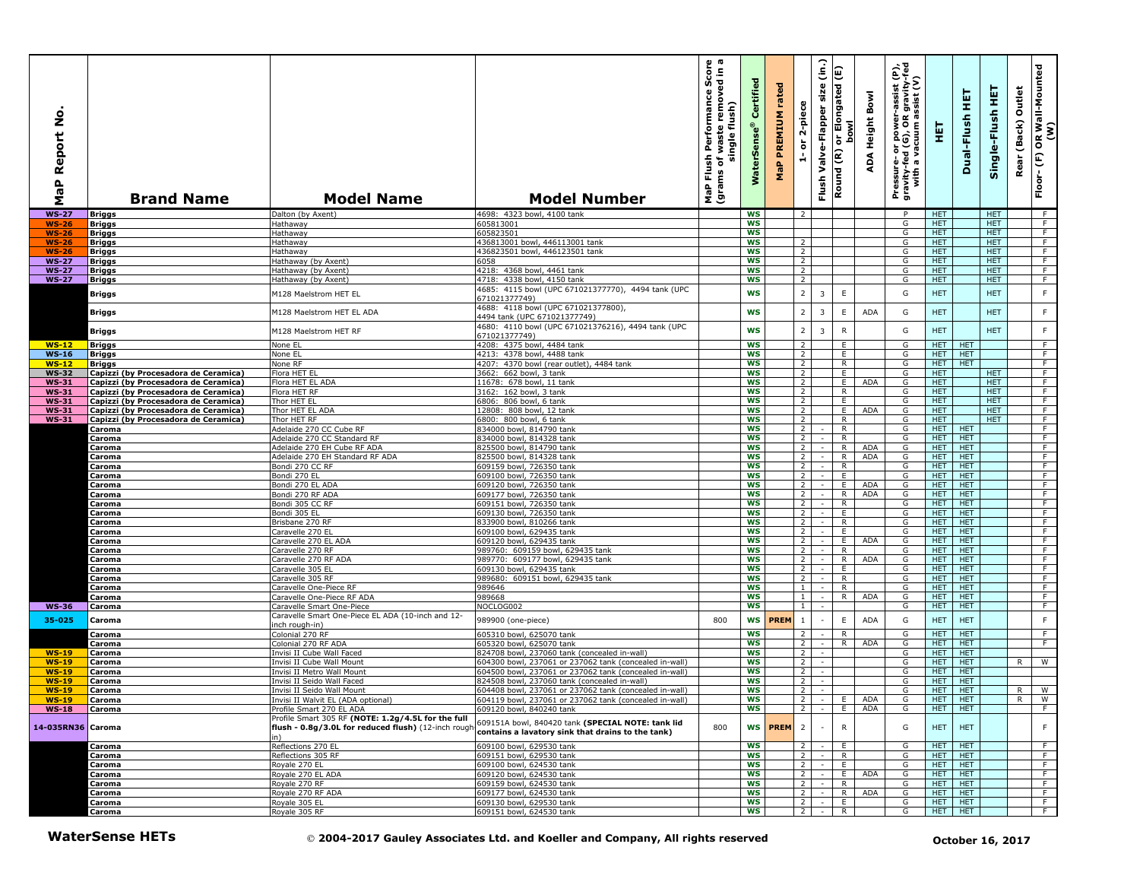| Report No<br>$\mathbf{r}$<br><b>r</b><br>Σ | <b>Brand Name</b>                              | <b>Model Name</b>                                                                                                | <b>Model Number</b>                                                                                        | <b>ormance Score</b><br><b>b</b> removed in a<br>Flush Performance<br>single flush)<br>waste<br>grams of<br>MaP | Certified<br><b>WaterSens</b> | rated<br><b>MaP PREMIUM</b> | 2-piece<br>$\overleftarrow{\mathtt{o}}$<br>ă | $\widehat{\epsilon}$<br>Flush Valve-Flapper size | or Elongated (E)<br>bowl<br>Round (R) | Bowl<br>ADA Height | e,<br>Pressure- or power-assist (I<br>gravity-fed (G), OR gravity-l<br>with a vacuum assist (V) | 핓                        | 実<br>Dual-Flush          | 뜊<br>Single-Flush        | Outlet<br>Rear (Back) | OR Wall-Mounted<br>(W)<br>Floor-(F) |
|--------------------------------------------|------------------------------------------------|------------------------------------------------------------------------------------------------------------------|------------------------------------------------------------------------------------------------------------|-----------------------------------------------------------------------------------------------------------------|-------------------------------|-----------------------------|----------------------------------------------|--------------------------------------------------|---------------------------------------|--------------------|-------------------------------------------------------------------------------------------------|--------------------------|--------------------------|--------------------------|-----------------------|-------------------------------------|
| <b>WS-27</b>                               | <b>Briggs</b>                                  | Dalton (by Axent)                                                                                                | 4698: 4323 bowl, 4100 tank                                                                                 |                                                                                                                 | <b>WS</b>                     |                             | $\overline{2}$                               |                                                  |                                       |                    | P                                                                                               | <b>HET</b>               |                          | <b>HET</b>               |                       | - F                                 |
| <b>WS-26</b>                               | Briggs                                         | <b>Tathaway</b>                                                                                                  | 605813001                                                                                                  |                                                                                                                 | <b>WS</b>                     |                             |                                              |                                                  |                                       |                    | G                                                                                               | HET.                     |                          | <b>HET</b>               |                       | F.                                  |
| <b>WS-26</b><br><b>WS-26</b>               | Briggs<br>Briggs                               | Hathaway<br>Hathaway                                                                                             | 605823501<br>436813001 bowl, 446113001 tank                                                                |                                                                                                                 | <b>WS</b><br><b>WS</b>        |                             | $\overline{2}$                               |                                                  |                                       |                    | G<br>G                                                                                          | HET<br><b>HET</b>        |                          | <b>HET</b><br><b>HET</b> |                       | $\overline{F}$<br>F                 |
| <b>WS-26</b>                               | Briggs                                         | Hathaway                                                                                                         | 436823501 bowl, 446123501 tank                                                                             |                                                                                                                 | <b>WS</b>                     |                             | $\overline{2}$                               |                                                  |                                       |                    | G                                                                                               | HET.                     |                          | <b>HET</b>               |                       | F                                   |
| <b>WS-27</b>                               | Briggs                                         | Hathaway (by Axent)                                                                                              | 6058                                                                                                       |                                                                                                                 | <b>WS</b>                     |                             | $\overline{2}$                               |                                                  |                                       |                    | G                                                                                               | <b>HET</b>               |                          | <b>HET</b>               |                       | F.                                  |
| <b>WS-27</b>                               | Briggs                                         | Hathaway (by Axent)                                                                                              | 4218: 4368 bowl, 4461 tank                                                                                 |                                                                                                                 | <b>WS</b>                     |                             | $\overline{2}$                               |                                                  |                                       |                    | G                                                                                               | <b>HET</b>               |                          | <b>HET</b>               |                       | F                                   |
| <b>WS-27</b>                               | <b>Briggs</b>                                  | Hathaway (by Axent)                                                                                              | 4718: 4338 bowl, 4150 tank                                                                                 |                                                                                                                 | <b>WS</b>                     |                             | $\overline{2}$                               |                                                  |                                       |                    | G                                                                                               | HET.                     |                          | HET.                     |                       | F                                   |
|                                            | Briggs                                         | M128 Maelstrom HET EL                                                                                            | 4685: 4115 bowl (UPC 671021377770), 4494 tank (UPC<br>671021377749)<br>4688: 4118 bowl (UPC 671021377800), |                                                                                                                 | <b>WS</b>                     |                             | $\overline{\mathbf{2}}$                      | 3                                                | $\mathsf E$                           |                    | G                                                                                               | <b>HET</b>               |                          | <b>HET</b>               |                       | $\mathsf F$                         |
|                                            | Briggs                                         | M128 Maelstrom HET EL ADA                                                                                        | 4494 tank (UPC 671021377749)<br>4680: 4110 bowl (UPC 671021376216), 4494 tank (UPC                         |                                                                                                                 | <b>WS</b>                     |                             | $\overline{2}$                               | 3                                                | E                                     | <b>ADA</b>         | G                                                                                               | <b>HET</b>               |                          | <b>HET</b>               |                       | $\mathsf F$                         |
|                                            | Briggs                                         | M128 Maelstrom HET RF                                                                                            | 571021377749)                                                                                              |                                                                                                                 | <b>WS</b>                     |                             | $\overline{2}$                               | $\overline{3}$                                   | ${\sf R}$                             |                    | G                                                                                               | <b>HET</b>               |                          | <b>HET</b>               |                       | $\mathsf F$                         |
| $WS-12$                                    | <b>Briggs</b>                                  | None EL                                                                                                          | 4208: 4375 bowl, 4484 tank                                                                                 |                                                                                                                 | <b>WS</b>                     |                             | $\overline{2}$                               |                                                  | E                                     |                    | G                                                                                               | HET.                     | <b>HET</b>               |                          |                       | F.                                  |
| $WS-16$                                    | <b>Briggs</b>                                  | None EL                                                                                                          | 4213: 4378 bowl, 4488 tank                                                                                 |                                                                                                                 | <b>WS</b>                     |                             | $\overline{2}$                               |                                                  | Ε.                                    |                    | G                                                                                               | HET.                     | <b>HET</b>               |                          |                       | F                                   |
| $WS-12$<br><b>WS-32</b>                    | Briggs<br>Capizzi (by Procesadora de Ceramica) | None RF<br>Flora HET EL                                                                                          | 4207: 4370 bowl (rear outlet), 4484 tank<br>3662: 662 bowl, 3 tank                                         |                                                                                                                 | WS<br>WS                      |                             | 2<br>$\overline{2}$                          |                                                  | R<br>E                                |                    | G<br>G                                                                                          | <b>HET</b><br>HET.       | <b>HET</b>               | <b>HET</b>               |                       | F.<br>F                             |
| <b>WS-31</b>                               | Capizzi (by Procesadora de Ceramica)           | Flora HET EL ADA                                                                                                 | 11678: 678 bowl, 11 tank                                                                                   |                                                                                                                 | <b>WS</b>                     |                             | $\overline{2}$                               |                                                  | E                                     | ADA                | G                                                                                               | <b>HET</b>               |                          | <b>HET</b>               |                       | F                                   |
| <b>WS-31</b>                               | Capizzi (by Procesadora de Ceramica)           | Flora HET RF                                                                                                     | 3162: 162 bowl, 3 tank                                                                                     |                                                                                                                 | <b>WS</b>                     |                             | $\overline{2}$                               |                                                  | R                                     |                    | G                                                                                               | HET.                     |                          | HET.                     |                       | F                                   |
| <b>WS-31</b>                               | Capizzi (by Procesadora de Ceramica)           | Thor HET EL                                                                                                      | 6806: 806 bowl, 6 tank                                                                                     |                                                                                                                 | WS                            |                             | $\overline{2}$                               |                                                  | E                                     |                    | G                                                                                               | <b>HET</b>               |                          | <b>HET</b>               |                       | $\overline{F}$                      |
| <b>WS-31</b>                               | Capizzi (by Procesadora de Ceramica)           | Thor HET EL ADA                                                                                                  | 12808: 808 bowl, 12 tank                                                                                   |                                                                                                                 | <b>WS</b>                     |                             | $\overline{2}$                               |                                                  | E                                     | <b>ADA</b>         | G                                                                                               | <b>HET</b>               |                          | HET.                     |                       | F                                   |
| <b>WS-31</b>                               | Capizzi (by Procesadora de Ceramica)           | Thor HET RF                                                                                                      | 6800: 800 bowl, 6 tank<br>334000 bowl, 814790 tank                                                         |                                                                                                                 | WS<br>WS                      |                             | 2<br>$\overline{2}$                          |                                                  | R<br>R                                |                    | G<br>G                                                                                          | HET.<br><b>HET</b>       | <b>HET</b>               | <b>HET</b>               |                       | F<br>$\overline{F}$                 |
|                                            | Caroma<br>Caroma                               | Adelaide 270 CC Cube RF<br>Adelaide 270 CC Standard RF                                                           | 834000 bowl, 814328 tank                                                                                   |                                                                                                                 | <b>WS</b>                     |                             | $\overline{2}$                               |                                                  | $\overline{R}$                        |                    | G                                                                                               | HET.                     | <b>HET</b>               |                          |                       | F                                   |
|                                            | Caroma                                         | Adelaide 270 EH Cube RF ADA                                                                                      | 825500 bowl, 814790 tank                                                                                   |                                                                                                                 | <b>WS</b>                     |                             | 2                                            |                                                  | R                                     | <b>ADA</b>         | G                                                                                               | HET.                     | <b>HET</b>               |                          |                       | F                                   |
|                                            | Caroma                                         | Adelaide 270 EH Standard RF ADA                                                                                  | 825500 bowl, 814328 tank                                                                                   |                                                                                                                 | <b>WS</b>                     |                             | $\overline{2}$                               |                                                  | R                                     | ADA                | G                                                                                               | HET.                     | <b>HET</b>               |                          |                       | F                                   |
|                                            | Caroma                                         | Bondi 270 CC RF                                                                                                  | 609159 bowl, 726350 tank                                                                                   |                                                                                                                 | <b>WS</b>                     |                             | $\overline{2}$                               |                                                  | $\overline{R}$                        |                    | G                                                                                               | <b>HET</b>               | <b>HET</b>               |                          |                       | $\overline{F}$                      |
|                                            | Caroma                                         | Bondi 270 EL                                                                                                     | 609100 bowl, 726350 tank                                                                                   |                                                                                                                 | <b>WS</b><br><b>WS</b>        |                             | $\overline{2}$<br>$\overline{2}$             |                                                  | E<br>E                                | ADA                | G                                                                                               | <b>HET</b><br>HET.       | <b>HET</b><br><b>HET</b> |                          |                       | F.<br>F                             |
|                                            | Caroma<br>Caroma                               | Bondi 270 EL ADA<br>Bondi 270 RF ADA                                                                             | 609120 bowl, 726350 tank<br>609177 bowl, 726350 tank                                                       |                                                                                                                 | <b>WS</b>                     |                             | $\overline{2}$                               | $\sim$                                           | $\overline{R}$                        | ADA                | G<br>G                                                                                          | <b>HET</b>               | HET                      |                          |                       | F.                                  |
|                                            | Caroma                                         | Bondi 305 CC RF                                                                                                  | 609151 bowl, 726350 tank                                                                                   |                                                                                                                 | <b>WS</b>                     |                             | $\overline{2}$                               | $\sim$                                           | R                                     |                    | G                                                                                               | <b>HET</b>               | <b>HET</b>               |                          |                       | F                                   |
|                                            | Caroma                                         | Bondi 305 EL                                                                                                     | 609130 bowl, 726350 tank                                                                                   |                                                                                                                 | <b>WS</b>                     |                             | $\overline{2}$                               | $\sim$                                           | E                                     |                    | G                                                                                               | HET.                     | <b>HET</b>               |                          |                       | F                                   |
|                                            | Caroma                                         | Brisbane 270 RF                                                                                                  | 833900 bowl, 810266 tank                                                                                   |                                                                                                                 | <b>WS</b>                     |                             | $2^{\circ}$                                  |                                                  | R                                     |                    | G                                                                                               | HET.                     | <b>HET</b>               |                          |                       | F                                   |
|                                            | Caroma                                         | Caravelle 270 EL                                                                                                 | 609100 bowl, 629435 tank                                                                                   |                                                                                                                 | <b>WS</b>                     |                             | $\overline{2}$                               |                                                  | E.                                    |                    | G                                                                                               | <b>HET</b>               | <b>HET</b>               |                          |                       | $\overline{F}$                      |
|                                            | Caroma                                         | Caravelle 270 EL ADA<br>Caravelle 270 RF                                                                         | 609120 bowl, 629435 tank<br>989760: 609159 bowl, 629435 tank                                               |                                                                                                                 | <b>WS</b><br>WS               |                             | 2<br>2                                       |                                                  | E<br>$\mathsf{R}$                     | <b>ADA</b>         | G<br>G                                                                                          | HET.<br><b>HET</b>       | <b>HET</b><br><b>HET</b> |                          |                       | F.<br>$\overline{F}$                |
|                                            | Caroma<br>Caroma                               | Caravelle 270 RF ADA                                                                                             | 989770: 609177 bowl, 629435 tank                                                                           |                                                                                                                 | <b>WS</b>                     |                             | $\overline{2}$                               | $\sim$                                           | $\overline{R}$                        | <b>ADA</b>         | G                                                                                               | <b>HET</b>               | <b>HET</b>               |                          |                       | F                                   |
|                                            | Caroma                                         | Caravelle 305 EL                                                                                                 | 609130 bowl, 629435 tank                                                                                   |                                                                                                                 | WS                            |                             | $\overline{2}$                               |                                                  | E.                                    |                    | G                                                                                               | HET.                     | <b>HET</b>               |                          |                       | $\overline{F}$                      |
|                                            | Caroma                                         | Caravelle 305 RF                                                                                                 | 989680: 609151 bowl, 629435 tank                                                                           |                                                                                                                 | <b>WS</b>                     |                             | $\overline{2}$                               |                                                  | R                                     |                    | G                                                                                               | HET.                     | <b>HET</b>               |                          |                       | F.                                  |
|                                            | Caroma                                         | Caravelle One-Piece RF                                                                                           | 989646                                                                                                     |                                                                                                                 | <b>WS</b>                     |                             | $\mathbf{1}$                                 |                                                  | $\mathsf{R}$                          |                    | G                                                                                               | HET.                     | <b>HET</b>               |                          |                       | F                                   |
| <b>WS-36</b>                               | Caroma                                         | Caravelle One-Piece RF ADA                                                                                       | 989668                                                                                                     |                                                                                                                 | WS<br><b>WS</b>               |                             | $\mathbf{1}$<br>$\mathbf{1}$                 |                                                  | R                                     | ADA                | G<br>G                                                                                          | HET.<br>HET.             | <b>HET</b><br><b>HET</b> |                          |                       | F.<br>F                             |
|                                            | Caroma                                         | Caravelle Smart One-Piece<br>Caravelle Smart One-Piece EL ADA (10-inch and 12-                                   | NOCLOG002                                                                                                  |                                                                                                                 |                               |                             |                                              |                                                  |                                       |                    |                                                                                                 |                          |                          |                          |                       |                                     |
| 35-025                                     | Caroma<br>Caroma                               | nch rough-in)<br>Colonial 270 RF                                                                                 | 989900 (one-piece)<br>605310 bowl, 625070 tank                                                             | 800                                                                                                             | <b>WS</b><br><b>WS</b>        | <b>PREM</b>                 | $\,$ 1<br>$\overline{2}$                     | $\sim$                                           | $\mathsf E$<br>R                      | <b>ADA</b>         | G<br>G                                                                                          | <b>HET</b><br><b>HET</b> | <b>HET</b><br><b>HET</b> |                          |                       | $\mathsf F$<br>F.                   |
|                                            | Caroma                                         | Colonial 270 RF ADA                                                                                              | 605320 bowl, 625070 tank                                                                                   |                                                                                                                 | <b>WS</b>                     |                             | $\overline{2}$                               | $\sim$                                           | R                                     | ADA                | G                                                                                               | HET.                     | <b>HET</b>               |                          |                       | F                                   |
| $WS-19$                                    | Caroma                                         | Invisi II Cube Wall Faced                                                                                        | 824708 bowl, 237060 tank (concealed in-wall)                                                               |                                                                                                                 | WS                            |                             | 2                                            |                                                  |                                       |                    | G                                                                                               | HET.                     | <b>HET</b>               |                          |                       |                                     |
| $WS-19$                                    | Caroma                                         | Invisi II Cube Wall Mount                                                                                        | 604300 bowl, 237061 or 237062 tank (concealed in-wall)                                                     |                                                                                                                 | ws                            |                             | $\overline{2}$                               | $\sim$                                           |                                       |                    | G                                                                                               | <b>HET</b>               | <b>HET</b>               |                          | R                     | W                                   |
| <b>WS-19</b><br><b>WS-19</b>               | Caroma                                         | Invisi II Metro Wall Mount<br>Invisi II Seido Wall Faced                                                         | 604500 bowl, 237061 or 237062 tank (concealed in-wall)<br>824508 bowl, 237060 tank (concealed in-wall)     |                                                                                                                 | <b>WS</b><br><b>WS</b>        |                             | $\overline{2}$<br>$\overline{2}$             | $\sim$                                           |                                       |                    | G<br>G                                                                                          | HET.<br>HET.             | <b>HET</b><br><b>HET</b> |                          |                       |                                     |
| <b>WS-19</b>                               | Caroma<br>Caroma                               | Invisi II Seido Wall Mount                                                                                       | 604408 bowl, 237061 or 237062 tank (concealed in-wall)                                                     |                                                                                                                 | WS                            |                             | $\overline{2}$                               |                                                  |                                       |                    | G                                                                                               | HET.                     | <b>HET</b>               |                          | R.                    | W                                   |
| WS-19                                      | Caroma                                         | Invisi II Walvit EL (ADA optional)                                                                               | 604119 bowl, 237061 or 237062 tank (concealed in-wall)                                                     |                                                                                                                 | ws                            |                             |                                              |                                                  |                                       | I E ADA            | G                                                                                               | HET I HET                |                          |                          |                       | R W                                 |
| $WS-18$                                    | Caroma                                         | Profile Smart 270 EL ADA                                                                                         | 609120 bowl, 840240 tank                                                                                   |                                                                                                                 | <b>WS</b>                     |                             | 2                                            | $\sim$ 1                                         | E                                     | ADA                | G                                                                                               | HET HET                  |                          |                          |                       | F                                   |
| 14-035RN36 Caroma                          |                                                | Profile Smart 305 RF (NOTE: 1.2g/4.5L for the full<br>flush - 0.8g/3.0L for reduced flush) (12-inch rougl<br>in) | 609151A bowl, 840420 tank (SPECIAL NOTE: tank lid<br>contains a lavatory sink that drains to the tank)     | 800                                                                                                             |                               | WS <b>PREM</b>              | $\overline{2}$                               |                                                  | $\mathsf{R}$                          |                    | G                                                                                               | HET.                     | <b>HET</b>               |                          |                       | F                                   |
|                                            | Caroma                                         | Reflections 270 EL                                                                                               | 609100 bowl, 629530 tank                                                                                   |                                                                                                                 | <b>WS</b>                     |                             | $\overline{2}$                               |                                                  | E                                     |                    | G                                                                                               |                          | HET HET                  |                          |                       | F                                   |
|                                            | Caroma                                         | Reflections 305 RF                                                                                               | 609151 bowl, 629530 tank                                                                                   |                                                                                                                 | WS                            |                             | 2 <sup>1</sup>                               | $\sim$                                           | R                                     |                    | G                                                                                               |                          | HET HET                  |                          |                       | F                                   |
|                                            | Caroma                                         | Royale 270 EL                                                                                                    | 609100 bowl, 624530 tank                                                                                   |                                                                                                                 | WS                            |                             | 2 <sub>1</sub>                               | $\sim$                                           | E                                     |                    | G                                                                                               | HET                      | <b>HET</b>               |                          |                       | F.                                  |
|                                            | Caroma                                         | Royale 270 EL ADA                                                                                                | 609120 bowl, 624530 tank                                                                                   |                                                                                                                 | WS                            |                             | 2                                            | $\sim$                                           | E<br>R                                | ADA                | G                                                                                               | HET.                     | <b>HET</b>               |                          |                       | F                                   |
|                                            | Caroma<br>Caroma                               | Royale 270 RF<br>Royale 270 RF ADA                                                                               | 609159 bowl, 624530 tank<br>609177 bowl, 624530 tank                                                       |                                                                                                                 | <b>WS</b><br>ws               |                             | 2 <sup>1</sup><br>2 <sup>1</sup>             | $\sim$                                           | R                                     | ADA                | G<br>G                                                                                          | <b>HET</b>               | <b>HET</b><br>HET HET    |                          |                       | F<br>$\overline{F}$                 |
|                                            | Caroma                                         | Royale 305 EL                                                                                                    | 609130 bowl, 629530 tank                                                                                   |                                                                                                                 | WS                            |                             | $\overline{2}$                               | $\sim$                                           | E.                                    |                    | G                                                                                               | HET                      | HET                      |                          |                       | $\overline{F}$                      |
|                                            | Caroma                                         | Royale 305 RF                                                                                                    | 609151 bowl, 624530 tank                                                                                   |                                                                                                                 | <b>WS</b>                     |                             | 2 <sup>1</sup>                               | $\sim$                                           | R                                     |                    | G                                                                                               | HET   HET                |                          |                          |                       | F                                   |
|                                            | <b>WaterSense HETs</b>                         |                                                                                                                  | © 2004-2017 Gauley Associates Ltd. and Koeller and Company, All rights reserved                            |                                                                                                                 |                               |                             |                                              |                                                  |                                       |                    |                                                                                                 |                          |                          | October 16, 2017         |                       |                                     |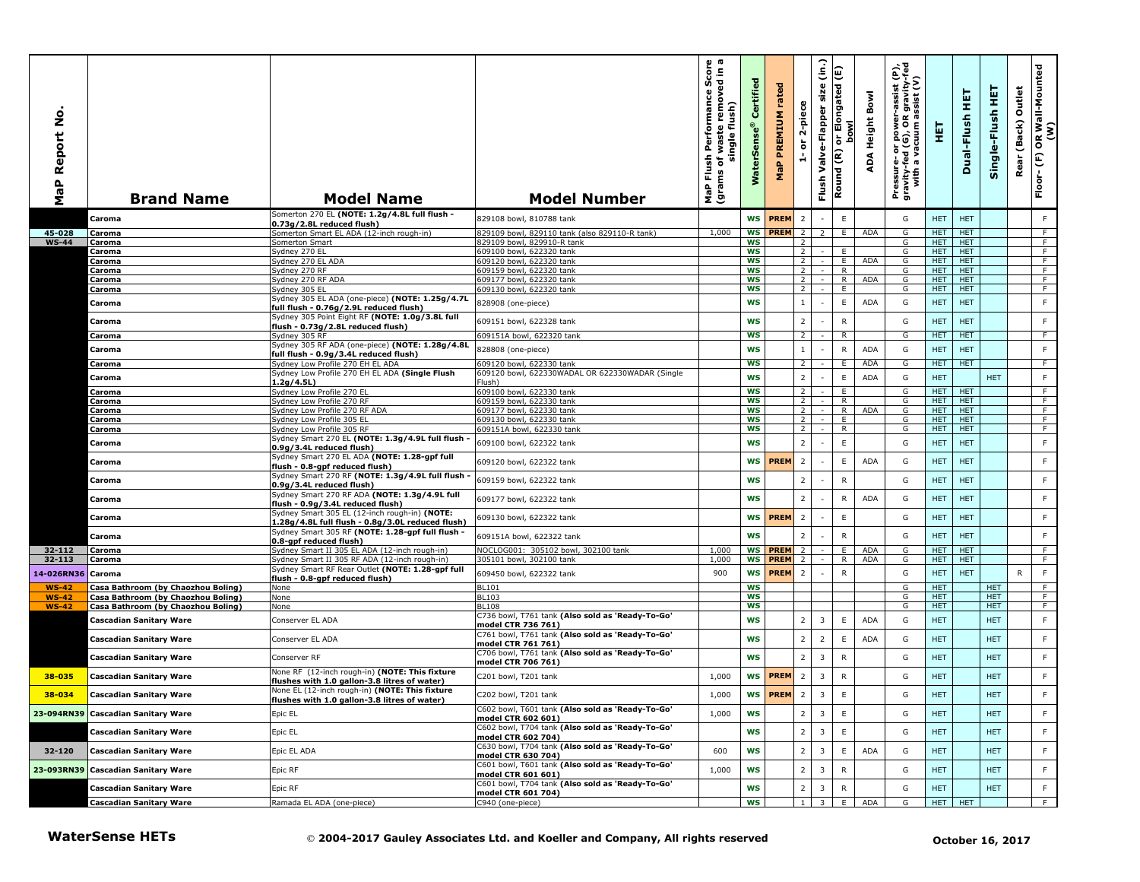| å<br>Report<br><b>MaP</b> | <b>Brand Name</b>                                                    | <b>Model Name</b>                                                                               | <b>Model Number</b>                                                             | ωm<br>르 흥<br>rmance Sco<br>removed in<br>Performan<br>single flush)<br>waste<br>Flush<br>৳<br>MaP Flu<br>(grams | Certifi<br>terSens<br>Š | rated<br><b>MaP PREMIUM</b> | 2-piece<br>$\overleftarrow{\mathtt{o}}$<br>ă | $\widehat{\mathsf{lin}}$<br>Valve-Flapper size<br>Flush | (Ε)<br>or Elongated<br>bowl<br>Round (R) | ADA Height Bowl | Pressure- or power-assist (P),<br>gravity-fed (G), OR gravity-fed<br>with a vacuum assist (V) | 핓                        | 更<br>Dual-Flush          | Single-Flush HET         | Outlet<br>(Back)<br>Rear | OR Wall-Mounted<br>(W)<br>$\widehat{\mathbb{E}}$<br>Floor- |
|---------------------------|----------------------------------------------------------------------|-------------------------------------------------------------------------------------------------|---------------------------------------------------------------------------------|-----------------------------------------------------------------------------------------------------------------|-------------------------|-----------------------------|----------------------------------------------|---------------------------------------------------------|------------------------------------------|-----------------|-----------------------------------------------------------------------------------------------|--------------------------|--------------------------|--------------------------|--------------------------|------------------------------------------------------------|
|                           | Caroma                                                               | Somerton 270 EL (NOTE: 1.2g/4.8L full flush -<br>0.73g/2.8L reduced flush)                      | 829108 bowl, 810788 tank                                                        |                                                                                                                 |                         | <b>WS PREM</b>              | $\overline{2}$                               |                                                         | $\mathsf E$                              |                 | G                                                                                             | HET.                     | <b>HET</b>               |                          |                          | F.                                                         |
| 45-028                    | Caroma                                                               | Somerton Smart EL ADA (12-inch rough-in)                                                        | 829109 bowl, 829110 tank (also 829110-R tank)                                   | 1,000                                                                                                           | WS                      | <b>PREM</b>                 | $\overline{2}$                               | 2                                                       | E                                        | <b>ADA</b>      | G                                                                                             | <b>HET</b>               | <b>HET</b>               |                          |                          | F.                                                         |
| $WS-44$                   | Caroma                                                               | Somerton Smart                                                                                  | 829109 bowl, 829910-R tank                                                      |                                                                                                                 | <b>WS</b>               |                             | $\overline{2}$                               |                                                         |                                          |                 | G                                                                                             | HET.                     | <b>HET</b>               |                          |                          | F.                                                         |
|                           | Caroma<br>Caroma                                                     | Sydney 270 EL<br>Sydney 270 EL ADA                                                              | 609100 bowl, 622320 tank<br>609120 bowl, 622320 tank                            |                                                                                                                 | <b>WS</b><br><b>WS</b>  |                             | 2 <sup>1</sup><br>$\overline{2}$             | $\sim$                                                  | E.<br>E                                  | <b>ADA</b>      | G<br>G                                                                                        | <b>HET</b><br><b>HET</b> | <b>HET</b><br><b>HET</b> |                          |                          | F.<br>$\overline{F}$                                       |
|                           | Caroma                                                               | Sydney 270 RF                                                                                   | 609159 bowl, 622320 tank                                                        |                                                                                                                 | <b>WS</b>               |                             | $\overline{2}$                               |                                                         | $\overline{R}$                           |                 | G                                                                                             | HET.                     | <b>HET</b>               |                          |                          | F                                                          |
|                           | Caroma                                                               | Sydney 270 RF ADA                                                                               | 609177 bowl, 622320 tank                                                        |                                                                                                                 | <b>WS</b>               |                             | $\overline{2}$                               | $\sim$                                                  | $\overline{R}$                           | <b>ADA</b>      | G                                                                                             | HET.                     | <b>HET</b>               |                          |                          | F                                                          |
|                           | Caroma                                                               | Sydney 305 EL                                                                                   | 609130 bowl, 622320 tank                                                        |                                                                                                                 | ws                      |                             | $\overline{2}$                               |                                                         | E                                        |                 | G                                                                                             | <b>HET</b>               | <b>HET</b>               |                          |                          | F.                                                         |
|                           | Caroma                                                               | Sydney 305 EL ADA (one-piece) (NOTE: 1.25g/4.7L<br>ull flush - 0.76g/2.9L reduced flush)        | 828908 (one-piece)                                                              |                                                                                                                 | <b>WS</b>               |                             | $1\,$                                        | $\sim$                                                  | E                                        | <b>ADA</b>      | G                                                                                             | <b>HET</b>               | <b>HET</b>               |                          |                          | F.                                                         |
|                           |                                                                      | Sydney 305 Point Eight RF (NOTE: 1.0g/3.8L full                                                 |                                                                                 |                                                                                                                 | <b>WS</b>               |                             | $\overline{2}$                               |                                                         | $\mathsf{R}$                             |                 | G                                                                                             | <b>HET</b>               | <b>HET</b>               |                          |                          | F.                                                         |
|                           | Caroma                                                               | flush - 0.73g/2.8L reduced flush)                                                               | 609151 bowl, 622328 tank                                                        |                                                                                                                 |                         |                             |                                              |                                                         |                                          |                 |                                                                                               |                          |                          |                          |                          |                                                            |
|                           | Caroma                                                               | Sydney 305 RF<br>Sydney 305 RF ADA (one-piece) (NOTE: 1.28g/4.8L                                | 609151A bowl, 622320 tank                                                       |                                                                                                                 | <b>WS</b>               |                             | $\overline{2}$                               |                                                         | $\overline{R}$                           |                 | G                                                                                             | <b>HET</b>               | <b>HET</b>               |                          |                          | F                                                          |
|                           | Caroma                                                               | ull flush - 0.9g/3.4L reduced flush)                                                            | 828808 (one-piece)                                                              |                                                                                                                 | <b>WS</b>               |                             | $\mathbf{1}$                                 |                                                         | ${\sf R}$                                | <b>ADA</b>      | G                                                                                             | <b>HET</b>               | <b>HET</b>               |                          |                          | F.                                                         |
|                           | Caroma                                                               | Sydney Low Profile 270 EH EL ADA                                                                | 609120 bowl, 622330 tank                                                        |                                                                                                                 | ws                      |                             | $\overline{2}$                               |                                                         | E.                                       | <b>ADA</b>      | G                                                                                             | <b>HET</b>               | <b>HET</b>               |                          |                          | F.                                                         |
|                           | Caroma                                                               | Sydney Low Profile 270 EH EL ADA (Single Flush                                                  | 609120 bowl, 622330WADAL OR 622330WADAR (Single                                 |                                                                                                                 | <b>WS</b>               |                             | $\overline{2}$                               |                                                         | $\mathsf E$                              | <b>ADA</b>      | G                                                                                             | <b>HET</b>               |                          | <b>HET</b>               |                          | F                                                          |
|                           | Caroma                                                               | 1.2g/4.5L)<br>Sydney Low Profile 270 EL                                                         | Flush)<br>609100 bowl, 622330 tank                                              |                                                                                                                 | <b>WS</b>               |                             | $\overline{2}$                               |                                                         | E                                        |                 | G                                                                                             | HET.                     | <b>HET</b>               |                          |                          | F                                                          |
|                           | Caroma                                                               | Sydney Low Profile 270 RF                                                                       | 609159 bowl, 622330 tank                                                        |                                                                                                                 | ws                      |                             | $\overline{2}$                               |                                                         | $\overline{R}$                           |                 | G                                                                                             | HET.                     | <b>HET</b>               |                          |                          | F                                                          |
|                           | Caroma                                                               | Sydney Low Profile 270 RF ADA                                                                   | 609177 bowl, 622330 tank                                                        |                                                                                                                 | WS                      |                             | 2 <sup>1</sup>                               | $\sim$                                                  | R                                        | <b>ADA</b>      | G                                                                                             | HET.                     | <b>HET</b>               |                          |                          | F                                                          |
|                           | Caroma<br>Caroma                                                     | Sydney Low Profile 305 EL<br>Sydney Low Profile 305 RF                                          | 609130 bowl, 622330 tank<br>609151A bowl, 622330 tank                           |                                                                                                                 | <b>WS</b><br>WS         |                             | $\overline{2}$<br>$\overline{2}$             |                                                         | E.<br>R                                  |                 | G<br>G                                                                                        | HET.<br><b>HET</b>       | <b>HET</b><br><b>HET</b> |                          |                          | F.<br>F.                                                   |
|                           |                                                                      | Sydney Smart 270 EL (NOTE: 1.3g/4.9L full flush                                                 |                                                                                 |                                                                                                                 |                         |                             | $\overline{2}$                               |                                                         |                                          |                 |                                                                                               |                          |                          |                          |                          |                                                            |
|                           | Caroma                                                               | 0.9g/3.4L reduced flush)                                                                        | 609100 bowl, 622322 tank                                                        |                                                                                                                 | <b>WS</b>               |                             |                                              |                                                         | E                                        |                 | G                                                                                             | <b>HET</b>               | <b>HET</b>               |                          |                          | F.                                                         |
|                           | Caroma                                                               | Sydney Smart 270 EL ADA (NOTE: 1.28-gpf full<br>flush - 0.8-gpf reduced flush)                  | 609120 bowl, 622322 tank                                                        |                                                                                                                 | <b>WS</b>               | <b>PREM</b>                 | $\overline{2}$                               |                                                         | $\mathsf E$                              | <b>ADA</b>      | G                                                                                             | <b>HET</b>               | <b>HET</b>               |                          |                          | F.                                                         |
|                           | Caroma                                                               | Sydney Smart 270 RF (NOTE: 1.3g/4.9L full flush<br>0.9g/3.4L reduced flush)                     | 609159 bowl, 622322 tank                                                        |                                                                                                                 | <b>WS</b>               |                             | $\overline{2}$                               |                                                         | ${\sf R}$                                |                 | G                                                                                             | <b>HET</b>               | <b>HET</b>               |                          |                          | F.                                                         |
|                           | Caroma                                                               | Sydney Smart 270 RF ADA (NOTE: 1.3g/4.9L full<br>flush - 0.9g/3.4L reduced flush)               | 609177 bowl, 622322 tank                                                        |                                                                                                                 | <b>WS</b>               |                             | $\overline{2}$                               |                                                         | $\mathsf{R}$                             | <b>ADA</b>      | G                                                                                             | <b>HET</b>               | <b>HET</b>               |                          |                          | F.                                                         |
|                           | Caroma                                                               | Sydney Smart 305 EL (12-inch rough-in) (NOTE:<br>28g/4.8L full flush - 0.8g/3.0L reduced flush) | 609130 bowl, 622322 tank                                                        |                                                                                                                 | <b>WS</b>               | <b>PREM</b>                 | $\overline{2}$                               |                                                         | $\mathsf E$                              |                 | G                                                                                             | <b>HET</b>               | <b>HET</b>               |                          |                          | F                                                          |
|                           | Caroma                                                               | Sydney Smart 305 RF (NOTE: 1.28-gpf full flush -<br>0.8-gpf reduced flush)                      | 609151A bowl, 622322 tank                                                       |                                                                                                                 | <b>WS</b>               |                             | $\overline{2}$                               |                                                         | $\mathsf{R}$                             |                 | G                                                                                             | <b>HET</b>               | <b>HET</b>               |                          |                          | F.                                                         |
| 32-112                    | Caroma                                                               | Sydney Smart II 305 EL ADA (12-inch rough-in)                                                   | NOCLOG001: 305102 bowl, 302100 tank                                             | 1,000                                                                                                           | WS                      | <b>PREM</b>                 | $\overline{2}$                               |                                                         | E                                        | <b>ADA</b>      | G                                                                                             | <b>HET</b>               | <b>HET</b>               |                          |                          | F.                                                         |
| 32-113                    | Caroma                                                               | Sydney Smart II 305 RF ADA (12-inch rough-in)                                                   | 305101 bowl, 302100 tank                                                        | 1,000                                                                                                           | <b>WS</b>               | <b>PREM</b>                 | $\overline{2}$                               |                                                         | $\overline{R}$                           | ADA             | G                                                                                             | <b>HET</b>               | <b>HET</b>               |                          |                          | F                                                          |
| 14-026RN36                | Caroma                                                               | Sydney Smart RF Rear Outlet (NOTE: 1.28-gpf full<br>flush - 0.8-gpf reduced flush)              | 609450 bowl, 622322 tank                                                        | 900                                                                                                             | <b>WS</b>               | <b>PREM</b>                 | $\overline{2}$                               |                                                         | $\mathsf{R}$                             |                 | G                                                                                             | <b>HET</b>               | <b>HET</b>               |                          | R                        | $\mathsf F$                                                |
| $WS-42$                   | Casa Bathroom (by Chaozhou Boling)                                   | None                                                                                            | <b>BL101</b>                                                                    |                                                                                                                 | WS                      |                             |                                              |                                                         |                                          |                 | G                                                                                             | HET.                     |                          | <b>HET</b>               |                          | F.                                                         |
| $WS-42$                   | Casa Bathroom (by Chaozhou Boling)                                   | None                                                                                            | <b>BL103</b>                                                                    |                                                                                                                 | WS                      |                             |                                              |                                                         |                                          |                 | G                                                                                             | <b>HET</b>               |                          | <b>HET</b>               |                          | F.                                                         |
| $WS-42$                   | Casa Bathroom (by Chaozhou Boling)                                   | <b>None</b>                                                                                     | <b>BL108</b><br>C736 bowl, T761 tank (Also sold as 'Ready-To-Go'                |                                                                                                                 | <b>WS</b>               |                             |                                              |                                                         |                                          |                 | G                                                                                             | <b>HET</b>               |                          | HET.                     |                          | F.                                                         |
|                           | Cascadian Sanitary Ware                                              | Conserver EL ADA                                                                                | model CTR 736 761)<br>C761 bowl, T761 tank (Also sold as 'Ready-To-Go'          |                                                                                                                 | <b>WS</b>               |                             | $\overline{2}$                               | $\overline{3}$                                          | E                                        | <b>ADA</b>      | G                                                                                             | <b>HET</b>               |                          | <b>HET</b>               |                          | F                                                          |
|                           | Cascadian Sanitary Ware<br>Cascadian Sanitary Ware                   | Conserver EL ADA<br>Conserver RF                                                                | model CTR 761 761)<br>C706 bowl, T761 tank (Also sold as 'Ready-To-Go'          |                                                                                                                 | WS<br><b>WS</b>         |                             | $\overline{2}$<br>$\overline{2}$             | $\overline{2}$<br>3                                     | E<br>$\mathsf{R}$                        | <b>ADA</b>      | G<br>G                                                                                        | <b>HET</b><br><b>HET</b> |                          | <b>HET</b><br><b>HET</b> |                          | F.<br>F.                                                   |
| 38-035                    | <b>Cascadian Sanitary Ware</b>                                       | Vone RF (12-inch rough-in) (NOTE: This fixture                                                  | model CTR 706 761)<br>C201 bowl, T201 tank                                      | 1,000                                                                                                           |                         | WS <b>PREM</b>              | $\overline{2}$                               | 3                                                       | ${\sf R}$                                |                 | G                                                                                             | <b>HET</b>               |                          | <b>HET</b>               |                          | F.                                                         |
| 38-034                    | <b>Cascadian Sanitary Ware</b>                                       | flushes with 1.0 gallon-3.8 litres of water)<br>None EL (12-inch rough-in) (NOTE: This fixture  | C202 bowl, T201 tank                                                            | 1,000                                                                                                           | <b>WS</b>               | <b>PREM</b>                 | $\overline{2}$                               | $\overline{3}$                                          | E                                        |                 | G                                                                                             | <b>HET</b>               |                          | <b>HET</b>               |                          | F                                                          |
|                           |                                                                      | flushes with 1.0 gallon-3.8 litres of water)                                                    | C602 bowl, T601 tank (Also sold as 'Ready-To-Go'                                |                                                                                                                 |                         |                             | 2                                            | $\overline{3}$                                          | $\mathsf E$                              |                 |                                                                                               |                          |                          |                          |                          |                                                            |
|                           | 23-094RN39 Cascadian Sanitary Ware                                   | Epic EL                                                                                         | model CTR 602 601)<br>C602 bowl, T704 tank (Also sold as 'Ready-To-Go'          | 1,000                                                                                                           | WS                      |                             |                                              |                                                         | $\mathsf E$                              |                 | G                                                                                             | <b>HET</b>               |                          | <b>HET</b>               |                          | F.                                                         |
|                           | Cascadian Sanitary Ware                                              | Epic EL                                                                                         | model CTR 602 704)<br>C630 bowl, T704 tank (Also sold as 'Ready-To-Go'          |                                                                                                                 | <b>WS</b>               |                             | 2 <sup>1</sup>                               | $\overline{\mathbf{3}}$                                 |                                          |                 | G                                                                                             | <b>HET</b>               |                          | <b>HET</b>               |                          | F.                                                         |
| 32-120                    | <b>Cascadian Sanitary Ware</b>                                       | Epic EL ADA                                                                                     | model CTR 630 704)<br>C601 bowl, T601 tank (Also sold as 'Ready-To-Go'          | 600                                                                                                             | WS                      |                             | 2                                            | $\overline{3}$                                          | E                                        | ADA             | G                                                                                             | <b>HET</b>               |                          | <b>HET</b>               |                          | F.                                                         |
|                           | 23-093RN39 Cascadian Sanitary Ware<br><b>Cascadian Sanitary Ware</b> | Epic RF                                                                                         | model CTR 601 601)<br>C601 bowl, T704 tank (Also sold as 'Ready-To-Go'          | 1,000                                                                                                           | WS                      |                             | 2                                            | $\overline{\mathbf{3}}$                                 | ${\sf R}$                                |                 | G                                                                                             | <b>HET</b>               |                          | <b>HET</b>               |                          | F.                                                         |
|                           |                                                                      | Epic RF                                                                                         | model CTR 601 704)                                                              |                                                                                                                 | WS                      |                             | 2                                            | $\overline{\mathbf{3}}$                                 | $\mathsf{R}$                             |                 | G                                                                                             | <b>HET</b>               |                          | <b>HET</b>               |                          | F.                                                         |
|                           | <b>Cascadian Sanitary Ware</b>                                       | Ramada EL ADA (one-piece)                                                                       | C940 (one-piece)                                                                |                                                                                                                 | WS                      |                             | $1\quad$                                     | 3 <sup>1</sup>                                          | E                                        | ADA             | G                                                                                             |                          | HET HET                  |                          |                          | F.                                                         |
|                           | <b>WaterSense HETs</b>                                               |                                                                                                 | © 2004-2017 Gauley Associates Ltd. and Koeller and Company, All rights reserved |                                                                                                                 |                         |                             |                                              |                                                         |                                          |                 |                                                                                               |                          | October 16, 2017         |                          |                          |                                                            |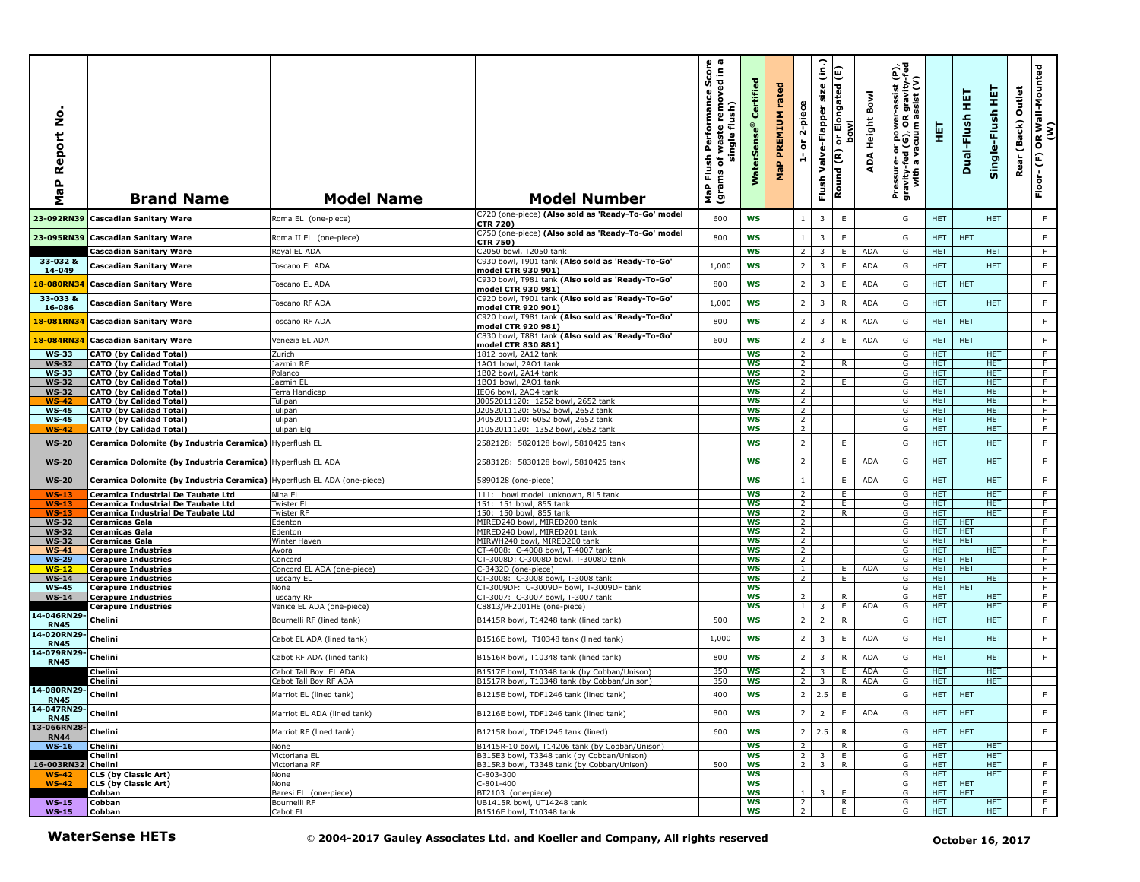| ş<br>aP Report<br>Σ          | <b>Brand Name</b>                                                       | <b>Model Name</b>                              | <b>Model Number</b>                                                                        | h Performance Score<br>f waste removed in a<br>single flush)<br>single<br>Flush<br>৳<br>MaP Flu<br>(grams | Certified<br>$\bullet$<br><b>WaterSens</b> | rated<br>PREMIUM<br>MaP | 2-piece<br>$\overleftarrow{\mathtt{o}}$<br>÷ | $\hat{c}$<br>size<br>Valve-Flapper<br>Flush | E<br>or Elongated<br>bowl<br>Round (R) | Bowl<br>ADA Height | Pressure- or power-assist (P),<br>gravity-fed (G), OR gravity-fed<br>with a vacuum assist (V) | 핓                  | 真<br>Dual-Flush          | 토<br>Single-Flush        | Outlet<br>(Back)<br>Rear | OR Wall-Mounted<br>(W)<br>(F)<br>Floor- |
|------------------------------|-------------------------------------------------------------------------|------------------------------------------------|--------------------------------------------------------------------------------------------|-----------------------------------------------------------------------------------------------------------|--------------------------------------------|-------------------------|----------------------------------------------|---------------------------------------------|----------------------------------------|--------------------|-----------------------------------------------------------------------------------------------|--------------------|--------------------------|--------------------------|--------------------------|-----------------------------------------|
| 23-092RN39                   | <b>Cascadian Sanitary Ware</b>                                          | Roma EL (one-piece)                            | C720 (one-piece) (Also sold as 'Ready-To-Go' model<br><b>CTR 720)</b>                      | 600                                                                                                       | <b>WS</b>                                  |                         | 1                                            | 3                                           | $\mathsf E$                            |                    | G                                                                                             | <b>HET</b>         |                          | <b>HET</b>               |                          | F                                       |
| 23-095RN39                   | <b>Cascadian Sanitary Ware</b>                                          | Roma II EL (one-piece)                         | C750 (one-piece) (Also sold as 'Ready-To-Go' model<br><b>CTR 750)</b>                      | 800                                                                                                       | <b>WS</b>                                  |                         | $\mathbf{1}$                                 | 3                                           | $\mathsf E$                            |                    | G                                                                                             | <b>HET</b>         | <b>HET</b>               |                          |                          | F                                       |
| 33-032 &                     | Cascadian Sanitary Ware                                                 | Royal EL ADA                                   | C2050 bowl, T2050 tank<br>C930 bowl, T901 tank (Also sold as 'Ready-To-Go'                 |                                                                                                           | <b>WS</b>                                  |                         | $2^{\circ}$                                  | 3                                           | E                                      | <b>ADA</b>         | G                                                                                             | <b>HET</b>         |                          | HET.                     |                          | F                                       |
| 14-049                       | <b>Cascadian Sanitary Ware</b>                                          | Toscano EL ADA                                 | model CTR 930 901)                                                                         | 1,000                                                                                                     | WS                                         |                         | $\overline{2}$                               | $\overline{\mathbf{3}}$                     | $\mathsf E$                            | <b>ADA</b>         | G                                                                                             | <b>HET</b>         |                          | <b>HET</b>               |                          | $\mathsf F$                             |
| 18-080RN34                   | <b>Cascadian Sanitary Ware</b>                                          | Toscano EL ADA                                 | C930 bowl, T981 tank (Also sold as 'Ready-To-Go'<br>model CTR 930 981)                     | 800                                                                                                       | <b>WS</b>                                  |                         | $\overline{2}$                               | $\overline{\mathbf{3}}$                     | E                                      | ADA                | G                                                                                             | <b>HET</b>         | <b>HET</b>               |                          |                          | F.                                      |
| 33-033 &<br>16-086           | <b>Cascadian Sanitary Ware</b>                                          | Toscano RF ADA                                 | C920 bowl, T901 tank (Also sold as 'Ready-To-Go'<br>model CTR 920 901)                     | 1,000                                                                                                     | <b>WS</b>                                  |                         | $\overline{2}$                               | $\overline{3}$                              | ${\sf R}$                              | ADA                | G                                                                                             | <b>HET</b>         |                          | <b>HET</b>               |                          | F                                       |
| 18-081RN34                   | <b>Cascadian Sanitary Ware</b>                                          | Toscano RF ADA                                 | C920 bowl, T981 tank (Also sold as 'Ready-To-Go'<br>model CTR 920 981)                     | 800                                                                                                       | <b>WS</b>                                  |                         | $\overline{2}$                               | 3                                           | ${\sf R}$                              | ADA                | G                                                                                             | <b>HET</b>         | <b>HET</b>               |                          |                          | $\mathsf F$                             |
| 18-084RN34                   | <b>Cascadian Sanitary Ware</b>                                          | Venezia EL ADA                                 | C830 bowl, T881 tank (Also sold as 'Ready-To-Go'                                           | 600                                                                                                       | <b>WS</b>                                  |                         | $\overline{2}$                               | 3                                           | $\mathsf E$                            | <b>ADA</b>         | G                                                                                             | <b>HET</b>         | <b>HET</b>               |                          |                          | F.                                      |
| <b>WS-33</b>                 | <b>CATO (by Calidad Total)</b>                                          | Zurich                                         | model CTR 830 881)<br>1812 bowl, 2A12 tank                                                 |                                                                                                           | WS                                         |                         | $\overline{2}$                               |                                             |                                        |                    | G                                                                                             | HET.               |                          | HET.                     |                          | F                                       |
| <b>WS-32</b>                 | <b>CATO (by Calidad Total)</b>                                          | Jazmin RF                                      | 1AO1 bowl, 2AO1 tank                                                                       |                                                                                                           | WS                                         |                         | $\overline{2}$                               |                                             | R                                      |                    | G                                                                                             | <b>HET</b>         |                          | <b>HET</b>               |                          | $\overline{F}$                          |
| <b>WS-33</b>                 | <b>CATO</b> (by Calidad Total)                                          | Polanco                                        | 1B02 bowl, 2A14 tank                                                                       |                                                                                                           | <b>WS</b>                                  |                         | 2<br>2                                       |                                             | F.                                     |                    | G                                                                                             | HET.               |                          | HET.                     |                          | F.<br>F                                 |
| <b>WS-32</b><br><b>WS-32</b> | <b>CATO (by Calidad Total)</b><br><b>CATO (by Calidad Total)</b>        | lazmin EL<br>Terra Handicap                    | 1B01 bowl, 2A01 tank<br>IEO6 bowl, 2AO4 tank                                               |                                                                                                           | WS<br><b>WS</b>                            |                         | $\overline{2}$                               |                                             |                                        |                    | G<br>G                                                                                        | <b>HET</b><br>HET. |                          | <b>HET</b><br><b>HET</b> |                          | F                                       |
| <b>WS-42</b>                 | <b>CATO (by Calidad Total)</b>                                          | Tulipan                                        | 0052011120: 1252 bowl, 2652 tank                                                           |                                                                                                           | ws                                         |                         | $\overline{2}$                               |                                             |                                        |                    | G                                                                                             | <b>HET</b>         |                          | <b>HET</b>               |                          | F.                                      |
| <b>WS-45</b>                 | <b>CATO (by Calidad Total)</b>                                          | Tulipan                                        | 12052011120: 5052 bowl, 2652 tank                                                          |                                                                                                           | WS                                         |                         | $\overline{2}$                               |                                             |                                        |                    | G                                                                                             | HET.               |                          | HET.                     |                          | F                                       |
| <b>WS-45</b>                 | <b>CATO (by Calidad Total)</b>                                          | Tulipan                                        | J4052011120: 6052 bowl, 2652 tank                                                          |                                                                                                           | <b>WS</b>                                  |                         | $\overline{2}$                               |                                             |                                        |                    | G                                                                                             | HET.               |                          | HET.                     |                          | F.                                      |
| <b>WS-42</b>                 | <b>CATO (by Calidad Total)</b>                                          | Tulipan Elg                                    | 1052011120: 1352 bowl, 2652 tank                                                           |                                                                                                           | WS                                         |                         | $\overline{2}$                               |                                             |                                        |                    | G                                                                                             | <b>HET</b>         |                          | HET.                     |                          | F.                                      |
| <b>WS-20</b>                 | Ceramica Dolomite (by Industria Ceramica) Hyperflush EL                 |                                                | 2582128: 5820128 bowl, 5810425 tank                                                        |                                                                                                           | <b>WS</b>                                  |                         | $\overline{2}$                               |                                             | E                                      |                    | G                                                                                             | <b>HET</b>         |                          | <b>HET</b>               |                          | $\mathsf F$                             |
| <b>WS-20</b>                 | Ceramica Dolomite (by Industria Ceramica) Hyperflush EL ADA             |                                                | 2583128: 5830128 bowl, 5810425 tank                                                        |                                                                                                           | <b>WS</b>                                  |                         | $\overline{2}$                               |                                             | E.                                     | ADA                | G                                                                                             | <b>HET</b>         |                          | <b>HET</b>               |                          | F.                                      |
| <b>WS-20</b>                 | Ceramica Dolomite (by Industria Ceramica) Hyperflush EL ADA (one-piece) |                                                | 5890128 (one-piece)                                                                        |                                                                                                           | <b>WS</b>                                  |                         | $\mathbf{1}$                                 |                                             | $\mathsf E$                            | ADA                | G                                                                                             | <b>HET</b>         |                          | <b>HET</b>               |                          | $\mathsf F$                             |
| <b>WS-13</b>                 | Ceramica Industrial De Taubate Ltd                                      | Nina EL                                        | 111: bowl model unknown, 815 tank                                                          |                                                                                                           | <b>WS</b>                                  |                         | 2                                            |                                             | E                                      |                    | G                                                                                             | <b>HET</b>         |                          | <b>HET</b>               |                          | F.                                      |
| $WS-13$                      | Ceramica Industrial De Taubate Ltd                                      | Twister EL                                     | 151: 151 bowl, 855 tank                                                                    |                                                                                                           | <b>WS</b>                                  |                         | $\overline{2}$                               |                                             | E                                      |                    | G                                                                                             | HET.               |                          | HET.                     |                          | F                                       |
| $WS-13$                      | Ceramica Industrial De Taubate Ltd                                      | Twister RF                                     | 150: 150 bowl, 855 tank                                                                    |                                                                                                           | WS                                         |                         | 2                                            |                                             | R                                      |                    | G                                                                                             | HET                |                          | HET.                     |                          | F                                       |
| <b>WS-32</b>                 | <b>Ceramicas Gala</b>                                                   | Edenton                                        | MIRED240 bowl, MIRED200 tank                                                               |                                                                                                           | <b>WS</b><br><b>WS</b>                     |                         | $\overline{2}$<br>$\overline{2}$             |                                             |                                        |                    | G                                                                                             | HET.               | <b>HET</b><br><b>HET</b> |                          |                          | F.<br>$\overline{F}$                    |
| <b>WS-32</b><br><b>WS-32</b> | <b>Ceramicas Gala</b><br><b>Ceramicas Gala</b>                          | Edenton<br>Winter Haven                        | MIRED240 bowl, MIRED201 tank<br>MIRWH240 bowl, MIRED200 tank                               |                                                                                                           | <b>WS</b>                                  |                         | 2                                            |                                             |                                        |                    | G<br>G                                                                                        | <b>HET</b><br>HET. | <b>HET</b>               |                          |                          | F.                                      |
| $WS-41$                      | <b>Cerapure Industries</b>                                              | Avora                                          | CT-4008: C-4008 bowl, T-4007 tank                                                          |                                                                                                           | <b>WS</b>                                  |                         | $\overline{2}$                               |                                             |                                        |                    | G                                                                                             | HET.               |                          | HET.                     |                          | F                                       |
| <b>WS-29</b>                 | <b>Cerapure Industries</b>                                              | Concord                                        | CT-3008D: C-3008D bowl, T-3008D tank                                                       |                                                                                                           | <b>WS</b>                                  |                         | $\overline{2}$                               |                                             |                                        |                    | G                                                                                             | <b>HET</b>         | <b>HET</b>               |                          |                          | $\overline{F}$                          |
| $WS-12$                      | <b>Cerapure Industries</b>                                              | Concord EL ADA (one-piece)                     | C-3432D (one-piece)                                                                        |                                                                                                           | WS                                         |                         | $\overline{1}$                               |                                             | E.                                     | ADA                | G                                                                                             | HET.               | <b>HET</b>               |                          |                          | $\overline{F}$                          |
| $WS-14$                      | <b>Cerapure Industries</b>                                              | Tuscany EL                                     | CT-3008: C-3008 bowl, T-3008 tank                                                          |                                                                                                           | <b>WS</b>                                  |                         | 2                                            |                                             | E                                      |                    | G                                                                                             | HET                |                          | HET.                     |                          | F                                       |
| <b>WS-45</b>                 | <b>Cerapure Industries</b>                                              | None                                           | CT-3009DF: C-3009DF bowl, T-3009DF tank                                                    |                                                                                                           | WS                                         |                         |                                              |                                             |                                        |                    | G                                                                                             | HET.               | <b>HET</b>               |                          |                          | F                                       |
| $WS-14$                      | <b>Cerapure Industries</b>                                              | Tuscany RF                                     | CT-3007: C-3007 bowl, T-3007 tank                                                          |                                                                                                           | <b>WS</b>                                  |                         | $\overline{2}$                               |                                             | R.                                     |                    | G                                                                                             | <b>HET</b>         |                          | HET                      |                          | F.                                      |
|                              | <b>Cerapure Industries</b>                                              | /enice EL ADA (one-piece)                      | C8813/PF2001HE (one-piece)                                                                 |                                                                                                           | <b>WS</b>                                  |                         | $\mathbf{1}$                                 | 3                                           | E                                      | <b>ADA</b>         | G                                                                                             | <b>HET</b>         |                          | <b>HET</b>               |                          | F                                       |
| 14-046RN29-<br><b>RN45</b>   | Chelini                                                                 | Bournelli RF (lined tank)                      | B1415R bowl, T14248 tank (lined tank)                                                      | 500                                                                                                       | WS                                         |                         | $\overline{2}$                               | $\overline{2}$                              | $\mathsf{R}$                           |                    | G                                                                                             | <b>HET</b>         |                          | <b>HET</b>               |                          | F                                       |
| 14-020RN29-<br><b>RN45</b>   | Chelini                                                                 | Cabot EL ADA (lined tank)                      | B1516E bowl, T10348 tank (lined tank)                                                      | 1,000                                                                                                     | WS                                         |                         | $\overline{2}$                               | 3                                           | E                                      | ADA                | G                                                                                             | <b>HET</b>         |                          | <b>HET</b>               |                          | F.                                      |
| 14-079RN29<br><b>RN45</b>    | Chelini                                                                 | Cabot RF ADA (lined tank)                      | B1516R bowl, T10348 tank (lined tank)                                                      | 800                                                                                                       | <b>WS</b>                                  |                         | $\overline{2}$                               | $\overline{3}$                              | $\mathsf{R}$                           | ADA                | G                                                                                             | <b>HET</b>         |                          | <b>HET</b>               |                          | F                                       |
|                              | Chelini<br>Chelini                                                      | Cabot Tall Boy EL ADA<br>Cabot Tall Boy RF ADA | B1517E bowl, T10348 tank (by Cobban/Unison)<br>B1517R bowl, T10348 tank (by Cobban/Unison) | 350<br>350                                                                                                | WS<br>WS                                   |                         | $2^{\circ}$<br>$\overline{2}$                | 3<br>$\overline{\mathbf{3}}$                | E<br>R                                 | <b>ADA</b><br>ADA  | G<br>G                                                                                        | <b>HET</b><br>HET. |                          | <b>HET</b><br>HET.       |                          |                                         |
| 14-080RN29-                  | Chelini                                                                 | Marriot EL (lined tank)                        | B1215E bowl, TDF1246 tank (lined tank)                                                     | 400                                                                                                       | <b>WS</b>                                  |                         | $\overline{2}$                               | 2.5                                         | E                                      |                    | G                                                                                             | HET.               | <b>HET</b>               |                          |                          | F                                       |
| <b>RN45</b><br>14-047RN29-   | Chelini                                                                 |                                                | B1216E bowl, TDF1246 tank (lined tank)                                                     | 800                                                                                                       | <b>WS</b>                                  |                         | $\overline{2}$                               | $\overline{2}$                              | $\mathsf E$                            | <b>ADA</b>         | G                                                                                             | <b>HET</b>         | <b>HET</b>               |                          |                          | F                                       |
| <b>RN45</b><br>13-066RN28-   |                                                                         | Marriot EL ADA (lined tank)                    |                                                                                            |                                                                                                           |                                            |                         |                                              |                                             | $\mathsf{R}$                           |                    |                                                                                               |                    |                          |                          |                          |                                         |
| <b>RN44</b>                  | Chelini                                                                 | Marriot RF (lined tank)                        | B1215R bowl, TDF1246 tank (lined)                                                          | 600                                                                                                       | WS                                         |                         | 2 <sup>1</sup>                               | 2.5                                         |                                        |                    | G                                                                                             | <b>HET</b>         | <b>HET</b>               |                          |                          | F.                                      |
| $WS-16$                      | Chelini                                                                 | None                                           | B1415R-10 bowl, T14206 tank (by Cobban/Unison)                                             |                                                                                                           | <b>WS</b>                                  |                         | 2                                            |                                             | R                                      |                    | G                                                                                             | HET.               |                          | HET.                     |                          |                                         |
| 16-003RN32 Chelini           | Chelini                                                                 | /ictoriana EL<br>Victoriana RF                 | B315E3 bowl, T3348 tank (by Cobban/Unison)<br>B315R3 bowl, T3348 tank (by Cobban/Unison)   | 500                                                                                                       | <b>WS</b><br><b>WS</b>                     |                         | 2 <sup>1</sup><br>$\overline{2}$             | 3                                           | E.<br>R.                               |                    | G<br>G                                                                                        | HET.<br><b>HET</b> |                          | HET.<br><b>HET</b>       |                          | F.                                      |
| $WS-42$                      | <b>CLS</b> (by Classic Art)                                             | None                                           | C-803-300                                                                                  |                                                                                                           | WS                                         |                         |                                              | 3                                           |                                        |                    | G                                                                                             | HET.               |                          | HET.                     |                          | F.                                      |
| $WS-42$                      | <b>CLS (by Classic Art)</b>                                             | Vone                                           | $C-801-400$                                                                                |                                                                                                           | WS                                         |                         |                                              |                                             |                                        |                    | G                                                                                             | HET.               | <b>HET</b>               |                          |                          | F                                       |
|                              | Cobban                                                                  | Baresi EL (one-piece)                          | BT2103 (one-piece)                                                                         |                                                                                                           | <b>WS</b>                                  |                         | 1                                            | $\overline{3}$                              | E.                                     |                    | G                                                                                             | HET                | <b>HET</b>               |                          |                          | ਾਸ                                      |
| $WS-15$                      | Cobban                                                                  | Bournelli RF                                   | UB1415R bowl, UT14248 tank                                                                 |                                                                                                           | ws                                         |                         | $\overline{2}$                               |                                             | R                                      |                    | G                                                                                             | <b>HET</b>         |                          | <b>HET</b>               |                          | $\overline{F}$                          |
| $WS-15$                      | Cobban                                                                  | Cabot EL                                       | B1516E bowl, T10348 tank                                                                   |                                                                                                           | <b>WS</b>                                  |                         | 2                                            |                                             | E.                                     |                    | G                                                                                             | HET.               |                          | HET.                     |                          | F.                                      |
|                              | <b>WaterSense HETs</b>                                                  |                                                | © 2004-2017 Gauley Associates Ltd. and Koeller and Company, All rights reserved            |                                                                                                           |                                            |                         |                                              |                                             |                                        |                    |                                                                                               |                    |                          | October 16, 2017         |                          |                                         |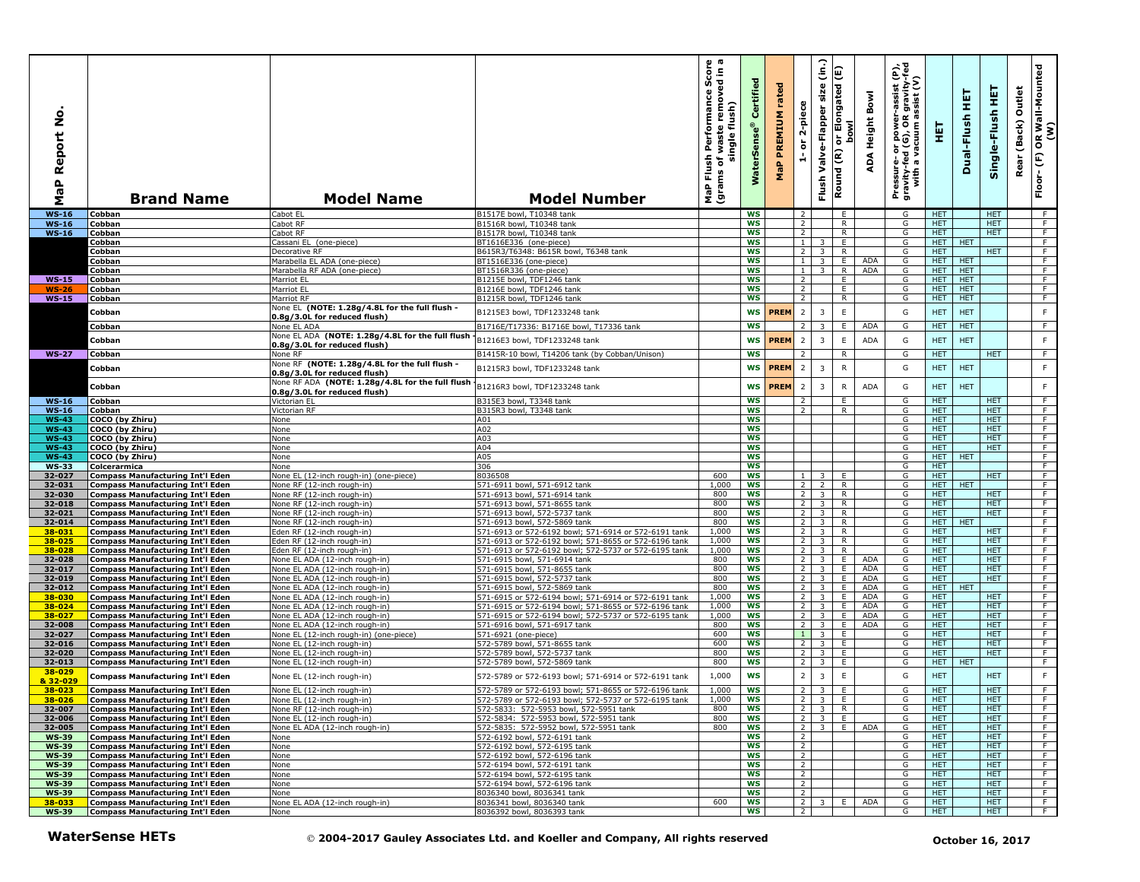| ġ<br>Report<br>a<br>G<br>Σ   | <b>Brand Name</b>                                                                  | <b>Model Name</b>                                                                | <b>Model Number</b>                                                                                          | γ ω<br>rmance Score<br>removed in<br>Performan<br>flush)<br>waste<br>single<br>Flush<br>৳<br>Ë<br>NaP<br>(grai | Certified<br>Ģ,<br>Water | rated<br>PREMIUM<br>MaP | 2-piece<br>$\overleftarrow{\mathtt{o}}$<br>÷ | (in.)<br>Elongated (E)<br>Valve-Flapper size<br>់ត<br>Round (R)<br>Flush | lwod               | εť<br>ε<br>$\frac{1}{2}$<br>Bowl<br>assis<br>gravi<br>sist<br>Pressure- or power--<br>gravity-fed (G), OR g<br>with a vacuum as<br>Height<br>ADA | 핓                        | 뚶<br>Dual-Flush  | 똪<br>Single-Flush        | Outlet<br>Rear (Back) | OR Wall-Mounted<br>(W)<br>$\overline{F}$<br>$Floor -$ |
|------------------------------|------------------------------------------------------------------------------------|----------------------------------------------------------------------------------|--------------------------------------------------------------------------------------------------------------|----------------------------------------------------------------------------------------------------------------|--------------------------|-------------------------|----------------------------------------------|--------------------------------------------------------------------------|--------------------|--------------------------------------------------------------------------------------------------------------------------------------------------|--------------------------|------------------|--------------------------|-----------------------|-------------------------------------------------------|
| <b>WS-16</b>                 | Cobban                                                                             | Cabot EL                                                                         | B1517E bowl, T10348 tank                                                                                     |                                                                                                                | <b>WS</b>                |                         | $\overline{2}$                               |                                                                          | E                  | G                                                                                                                                                | HET.                     |                  | <b>HET</b>               |                       | F                                                     |
| <b>WS-16</b>                 | Cobban                                                                             | Cabot RF                                                                         | B1516R bowl, T10348 tank                                                                                     |                                                                                                                | <b>WS</b>                |                         | $\overline{2}$                               |                                                                          | R                  | G                                                                                                                                                | HET.                     |                  | <b>HET</b>               |                       | F                                                     |
| $WS-16$                      | Cobban                                                                             | Cabot RF                                                                         | B1517R bowl, T10348 tank                                                                                     |                                                                                                                | ws                       |                         | $\overline{2}$                               |                                                                          | R.                 | G                                                                                                                                                | <b>HET</b>               |                  | <b>HET</b>               |                       | $\overline{F}$                                        |
|                              | Cobban<br>Cobban                                                                   | Cassani EL (one-piece)<br>Decorative RF                                          | BT1616E336 (one-piece)<br>B615R3/T6348: B615R bowl, T6348 tank                                               |                                                                                                                | <b>WS</b><br><b>WS</b>   |                         | $\mathbf{1}$<br>$\overline{2}$               | 3                                                                        | Ε.<br>$\mathsf{R}$ | G<br>G                                                                                                                                           | HET.<br>HET.             | <b>HET</b>       | <b>HET</b>               |                       | F<br>F                                                |
|                              | Cobban                                                                             | Marabella EL ADA (one-piece)                                                     | BT1516E336 (one-piece)                                                                                       |                                                                                                                | <b>WS</b>                |                         | $\overline{1}$                               | $\overline{3}$                                                           | E                  | ADA<br>G                                                                                                                                         | <b>HET</b>               | <b>HET</b>       |                          |                       | F.                                                    |
|                              | Cobban                                                                             | Marabella RF ADA (one-piece)                                                     | BT1516R336 (one-piece)                                                                                       |                                                                                                                | <b>WS</b>                |                         | $\mathbf{1}$                                 | 3 <sup>7</sup>                                                           | R                  | ADA<br>G                                                                                                                                         | HET                      | <b>HET</b>       |                          |                       | F                                                     |
| $WS-15$                      | Cobban                                                                             | Marriot EL                                                                       | B1215E bowl, TDF1246 tank                                                                                    |                                                                                                                | ws                       |                         | $\overline{2}$                               |                                                                          | E                  | G                                                                                                                                                | HET.                     | <b>HET</b>       |                          |                       | F                                                     |
| $WS-26$                      | Cobban                                                                             | Marriot EL                                                                       | B1216E bowl, TDF1246 tank                                                                                    |                                                                                                                | <b>WS</b>                |                         | $\overline{2}$                               |                                                                          | E                  | G                                                                                                                                                | <b>HET</b>               | <b>HET</b>       |                          |                       | F.                                                    |
| $WS-15$                      | Cobban                                                                             | Marriot RF                                                                       | B1215R bowl, TDF1246 tank                                                                                    |                                                                                                                | WS                       |                         | $\overline{2}$                               |                                                                          | R.                 | G                                                                                                                                                | <b>HET</b>               | <b>HET</b>       |                          |                       | F.                                                    |
|                              | Cobban                                                                             | None EL (NOTE: 1.28g/4.8L for the full flush -<br>0.8g/3.0L for reduced flush)   | B1215E3 bowl, TDF1233248 tank                                                                                |                                                                                                                | ws                       | <b>PREM</b>             | $\overline{2}$                               | 3                                                                        | $\mathsf E$        | G                                                                                                                                                | <b>HET</b>               | <b>HET</b>       |                          |                       | F                                                     |
|                              | Cobban                                                                             | None EL ADA                                                                      | B1716E/T17336: B1716E bowl, T17336 tank                                                                      |                                                                                                                | <b>WS</b>                |                         | 2                                            |                                                                          | Ε.                 | <b>ADA</b><br>G                                                                                                                                  | <b>HET</b>               | <b>HET</b>       |                          |                       | F                                                     |
|                              |                                                                                    | None EL ADA (NOTE: 1.28g/4.8L for the full flush                                 |                                                                                                              |                                                                                                                |                          | <b>PREM</b>             | $\overline{2}$                               | 3                                                                        |                    | G                                                                                                                                                |                          | <b>HET</b>       |                          |                       | F                                                     |
|                              | Cobban                                                                             | 0.8g/3.0L for reduced flush)                                                     | B1216E3 bowl, TDF1233248 tank                                                                                |                                                                                                                | WS                       |                         |                                              |                                                                          | E                  | <b>ADA</b>                                                                                                                                       | <b>HET</b>               |                  |                          |                       |                                                       |
| <b>WS-27</b>                 | Cobban                                                                             | None RF                                                                          | B1415R-10 bowl, T14206 tank (by Cobban/Unison)                                                               |                                                                                                                | <b>WS</b>                |                         | $\overline{z}$                               |                                                                          | R                  | G                                                                                                                                                | <b>HET</b>               |                  | <b>HET</b>               |                       | F                                                     |
|                              | Cobban                                                                             | None RF (NOTE: 1.28g/4.8L for the full flush -                                   | B1215R3 bowl, TDF1233248 tank                                                                                |                                                                                                                | WS                       | <b>PREM</b>             | $\overline{2}$                               | $\overline{3}$                                                           | ${\sf R}$          | G                                                                                                                                                | <b>HET</b>               | <b>HET</b>       |                          |                       | $\mathsf F$                                           |
|                              |                                                                                    | 0.8g/3.0L for reduced flush)<br>None RF ADA (NOTE: 1.28g/4.8L for the full flush |                                                                                                              |                                                                                                                |                          |                         |                                              |                                                                          |                    |                                                                                                                                                  |                          |                  |                          |                       |                                                       |
|                              | Cobban                                                                             | 0.8g/3.0L for reduced flush)                                                     | B1216R3 bowl, TDF1233248 tank                                                                                |                                                                                                                | <b>WS</b>                | <b>PREM</b>             | $\overline{2}$                               | $\overline{3}$                                                           | ${\sf R}$          | ADA<br>G                                                                                                                                         | HET.                     | <b>HET</b>       |                          |                       | $\mathsf F$                                           |
| $WS-16$                      | Cobban                                                                             | Victorian EL                                                                     | B315E3 bowl, T3348 tank                                                                                      |                                                                                                                | <b>WS</b>                |                         | $\overline{2}$                               |                                                                          | E.                 | G                                                                                                                                                | <b>HET</b>               |                  | <b>HET</b>               |                       | F                                                     |
| <b>WS-16</b>                 | Cobban                                                                             | Victorian RF                                                                     | B315R3 bowl, T3348 tank                                                                                      |                                                                                                                | <b>WS</b>                |                         | $\overline{2}$                               |                                                                          | $\mathsf{R}$       | G                                                                                                                                                | <b>HET</b>               |                  | <b>HET</b>               |                       | F                                                     |
| <b>WS-43</b>                 | COCO (by Zhiru)                                                                    | None                                                                             | A01                                                                                                          |                                                                                                                | WS                       |                         |                                              |                                                                          |                    | G                                                                                                                                                | <b>HET</b>               |                  | <b>HET</b>               |                       | F                                                     |
| <b>WS-43</b>                 | COCO (by Zhiru)                                                                    | None                                                                             | A02                                                                                                          |                                                                                                                | ws                       |                         |                                              |                                                                          |                    | G                                                                                                                                                | <b>HET</b>               |                  | <b>HET</b>               |                       | $\overline{F}$                                        |
| <b>WS-43</b>                 | COCO (by Zhiru)                                                                    | None                                                                             | A03<br>A04                                                                                                   |                                                                                                                | <b>WS</b><br><b>WS</b>   |                         |                                              |                                                                          |                    | G<br>G                                                                                                                                           | HET.<br>HET.             |                  | <b>HET</b><br><b>HET</b> |                       | F<br>F                                                |
| <b>WS-43</b><br><b>WS-43</b> | COCO (by Zhiru)<br>COCO (by Zhiru)                                                 | None<br>None                                                                     | A05                                                                                                          |                                                                                                                | <b>WS</b>                |                         |                                              |                                                                          |                    | G                                                                                                                                                | HET.                     | <b>HET</b>       |                          |                       | F                                                     |
| <b>WS-33</b>                 | Colcerarmica                                                                       | None                                                                             | 306                                                                                                          |                                                                                                                | <b>WS</b>                |                         |                                              |                                                                          |                    | G                                                                                                                                                | <b>HET</b>               |                  |                          |                       | $\overline{F}$                                        |
| 32-027                       | Compass Manufacturing Int'l Eden                                                   | None EL (12-inch rough-in) (one-piece)                                           | 8036508                                                                                                      | 600                                                                                                            | <b>WS</b>                |                         | $\mathbf{1}$                                 | 3                                                                        | E                  | G                                                                                                                                                | <b>HET</b>               |                  | <b>HET</b>               |                       | F.                                                    |
| 32-031                       | <b>Compass Manufacturing Int'l Eden</b>                                            | None RF (12-inch rough-in)                                                       | 571-6911 bowl, 571-6912 tank                                                                                 | 1,000                                                                                                          | WS                       |                         | 2                                            | $2^{\circ}$                                                              | $\mathsf{R}$       | G                                                                                                                                                | <b>HET</b>               | <b>HET</b>       |                          |                       | F                                                     |
| 32-030                       | <b>Compass Manufacturing Int'l Eden</b>                                            | None RF (12-inch rough-in)                                                       | 571-6913 bowl, 571-6914 tank                                                                                 | 800                                                                                                            | <b>WS</b>                |                         | $\overline{2}$                               | $\overline{3}$                                                           | $\overline{R}$     | G                                                                                                                                                | <b>HET</b>               |                  | <b>HET</b>               |                       | F                                                     |
| 32-018                       | <b>Compass Manufacturing Int'l Eden</b>                                            | None RF (12-inch rough-in)                                                       | 571-6913 bowl, 571-8655 tank                                                                                 | 800                                                                                                            | <b>WS</b>                |                         | $\overline{2}$                               | 3 <sup>1</sup>                                                           | R                  | G                                                                                                                                                | <b>HET</b>               |                  | <b>HET</b>               |                       | F                                                     |
| 32-021<br>32-014             | <b>Compass Manufacturing Int'l Eden</b><br><b>Compass Manufacturing Int'l Eden</b> | None RF (12-inch rough-in)                                                       | 571-6913 bowl, 572-5737 tank                                                                                 | 800<br>800                                                                                                     | ws<br>WS                 |                         | 2<br>2 <sub>1</sub>                          | $\overline{\mathbf{3}}$<br>$\overline{\mathbf{3}}$                       | R<br>R             | G<br>G                                                                                                                                           | HET.<br><b>HET</b>       | <b>HET</b>       | HET.                     |                       | F<br>F.                                               |
| 38-031                       | <b>Compass Manufacturing Int'l Eden</b>                                            | None RF (12-inch rough-in)<br>Eden RF (12-inch rough-in)                         | 571-6913 bowl, 572-5869 tank<br>571-6913 or 572-6192 bowl; 571-6914 or 572-6191 tank                         | 1,000                                                                                                          | <b>WS</b>                |                         |                                              | $2 \mid 3 \mid$                                                          | R                  | G                                                                                                                                                | <b>HET</b>               |                  | <b>HET</b>               |                       | $\overline{F}$                                        |
| 38-025                       | <b>Compass Manufacturing Int'l Eden</b>                                            | Eden RF (12-inch rough-in)                                                       | 571-6913 or 572-6192 bowl; 571-8655 or 572-6196 tank                                                         | 1,000                                                                                                          | <b>WS</b>                |                         | 2                                            | 3                                                                        | R                  | G                                                                                                                                                | <b>HET</b>               |                  | <b>HET</b>               |                       | F                                                     |
| 38-028                       | <b>Compass Manufacturing Int'l Eden</b>                                            | Eden RF (12-inch rough-in)                                                       | 571-6913 or 572-6192 bowl; 572-5737 or 572-6195 tank                                                         | 1,000                                                                                                          | WS                       |                         | $\overline{2}$                               | $\overline{3}$                                                           | $\mathsf{R}$       | G                                                                                                                                                | <b>HET</b>               |                  | <b>HET</b>               |                       | $\overline{F}$                                        |
| 32-028                       | <b>Compass Manufacturing Int'l Eden</b>                                            | None EL ADA (12-inch rough-in)                                                   | 571-6915 bowl, 571-6914 tank                                                                                 | 800                                                                                                            | <b>WS</b>                |                         | $\overline{2}$                               | $\overline{\mathbf{3}}$                                                  | E                  | ADA<br>G                                                                                                                                         | <b>HET</b>               |                  | <b>HET</b>               |                       | F                                                     |
| 32-017                       | <b>Compass Manufacturing Int'l Eden</b>                                            | None EL ADA (12-inch rough-in)                                                   | 571-6915 bowl, 571-8655 tank                                                                                 | 800                                                                                                            | WS                       |                         | $\overline{2}$                               | $\overline{\mathbf{3}}$                                                  | E.                 | <b>ADA</b><br>G                                                                                                                                  | HET.                     |                  | <b>HET</b>               |                       | F.                                                    |
| 32-019                       | <b>Compass Manufacturing Int'l Eden</b>                                            | None EL ADA (12-inch rough-in)                                                   | 571-6915 bowl, 572-5737 tank                                                                                 | 800                                                                                                            | WS                       |                         | $\overline{2}$                               | $\overline{\mathbf{3}}$                                                  | E                  | ADA<br>G                                                                                                                                         | HET.                     |                  | <b>HET</b>               |                       | F                                                     |
| 32-012                       | <b>Compass Manufacturing Int'l Eden</b>                                            | None EL ADA (12-inch rough-in)                                                   | 571-6915 bowl, 572-5869 tank                                                                                 | 800<br>1,000                                                                                                   | <b>WS</b>                |                         | $\overline{2}$                               | 3 <sup>7</sup>                                                           | E                  | ADA<br>G                                                                                                                                         | HET.                     | <b>HET</b>       |                          |                       | F                                                     |
| 38-030<br>38-024             | <b>Compass Manufacturing Int'l Eden</b><br><b>Compass Manufacturing Int'l Eden</b> | None EL ADA (12-inch rough-in)<br>None EL ADA (12-inch rough-in)                 | 571-6915 or 572-6194 bowl; 571-6914 or 572-6191 tank<br>571-6915 or 572-6194 bowl; 571-8655 or 572-6196 tank | 1,000                                                                                                          | ws<br>WS                 |                         | $\overline{2}$<br>$\overline{2}$             | $\overline{3}$<br>$\overline{\mathbf{3}}$                                | E<br>E             | <b>ADA</b><br>G<br>ADA<br>G                                                                                                                      | <b>HET</b><br><b>HET</b> |                  | <b>HET</b><br><b>HET</b> |                       | F.<br>F                                               |
| 38-027                       | <b>Compass Manufacturing Int'l Eden</b>                                            | None EL ADA (12-inch rough-in)                                                   | 571-6915 or 572-6194 bowl; 572-5737 or 572-6195 tank                                                         | 1,000                                                                                                          | <b>WS</b>                |                         | $2^{\circ}$                                  | $\overline{\mathbf{3}}$                                                  | E                  | ADA<br>G                                                                                                                                         | HET.                     |                  | <b>HET</b>               |                       | F                                                     |
| 32-008                       | <b>Compass Manufacturing Int'l Eden</b>                                            | None EL ADA (12-inch rough-in)                                                   | 571-6916 bowl, 571-6917 tank                                                                                 | 800                                                                                                            | ws                       |                         | $2^{\circ}$                                  | 3 <sup>7</sup>                                                           | E                  | G<br>ADA                                                                                                                                         | HET.                     |                  | HET.                     |                       | F                                                     |
| 32-027                       | <b>Compass Manufacturing Int'l Eden</b>                                            | None EL (12-inch rough-in) (one-piece)                                           | 571-6921 (one-piece)                                                                                         | 600                                                                                                            | WS                       |                         | $1 \quad$                                    | 3 <sup>1</sup>                                                           | E.                 | G                                                                                                                                                | HET.                     |                  | <b>HET</b>               |                       | $\overline{F}$                                        |
| 32-016                       | <b>Compass Manufacturing Int'l Eden</b>                                            | None EL (12-inch rough-in)                                                       | 572-5789 bowl, 571-8655 tank                                                                                 | 600                                                                                                            | <b>WS</b>                |                         | 2 <sup>1</sup>                               | 3 <sup>1</sup>                                                           | E                  | G                                                                                                                                                | <b>HET</b>               |                  | <b>HET</b>               |                       | $\overline{F}$                                        |
| 32-020                       | <b>Compass Manufacturing Int'l Eden</b>                                            | None EL (12-inch rough-in)                                                       | 572-5789 bowl, 572-5737 tank                                                                                 | 800                                                                                                            | ws                       |                         | 2 <sup>1</sup>                               | $\overline{\mathbf{3}}$                                                  | E                  | G                                                                                                                                                | HET.                     |                  | <b>HET</b>               |                       | F<br>$\overline{F}$                                   |
| 32-013<br>38-029             | <b>Compass Manufacturing Int'l Eden</b>                                            | None EL (12-inch rough-in)                                                       | 572-5789 bowl, 572-5869 tank                                                                                 | 800                                                                                                            | ws                       |                         | $\overline{2}$                               | 3                                                                        | E                  | G                                                                                                                                                | <b>HET</b>               | <b>HET</b>       |                          |                       |                                                       |
| & 32-029                     | <b>Compass Manufacturing Int'l Eden</b>                                            | None EL (12-inch rough-in)<br>None EL (12-inch rough-in)                         | 572-5789 or 572-6193 bowl; 571-6914 or 572-6191 tank                                                         | 1,000<br>1,000                                                                                                 | <b>WS</b><br><b>WS</b>   |                         | $\overline{2}$<br>$\overline{2}$             | $\overline{3}$<br>$\overline{3}$                                         | $\mathsf E$<br>E   | G<br>G                                                                                                                                           | <b>HET</b><br>HET.       |                  | <b>HET</b><br>HET.       |                       | F<br>F                                                |
| 38-023<br>$38 - 026$         | <b>Compass Manufacturing Int'l Eden</b><br>Compass Manufacturing Int'l Eden        | None EL (12-inch rough-in)                                                       | 572-5789 or 572-6193 bowl; 571-8655 or 572-6196 tank<br>572-5789 or 572-6193 howl: 572-5737 or 572-6195 tank | 1,000                                                                                                          | ws                       |                         |                                              |                                                                          |                    | G                                                                                                                                                | <b>HET</b>               |                  | HET                      |                       |                                                       |
| 32-007                       | <b>Compass Manufacturing Int'l Eden</b>                                            | None RF (12-inch rough-in)                                                       | 572-5833: 572-5953 bowl, 572-5951 tank                                                                       | 800                                                                                                            | WS                       |                         |                                              | $2 \times 3 \times R$                                                    |                    | G                                                                                                                                                | <b>HET</b>               |                  | HET.                     |                       | F                                                     |
| 32-006                       | <b>Compass Manufacturing Int'l Eden</b>                                            | None EL (12-inch rough-in)                                                       | 572-5834: 572-5953 bowl, 572-5951 tank                                                                       | 800                                                                                                            | ws                       |                         |                                              | $2 \overline{3}$ E                                                       |                    | G                                                                                                                                                | HET.                     |                  | HET.                     |                       | F                                                     |
| 32-005                       | <b>Compass Manufacturing Int'l Eden</b>                                            | None EL ADA (12-inch rough-in)                                                   | 572-5835: 572-5952 bowl, 572-5951 tank                                                                       | 800                                                                                                            | WS                       |                         |                                              | 23 E                                                                     |                    | ADA<br>G                                                                                                                                         | <b>HET</b>               |                  | <b>HET</b>               |                       | $\overline{F}$                                        |
| <b>WS-39</b>                 | <b>Compass Manufacturing Int'l Eden</b>                                            | None                                                                             | 572-6192 bowl, 572-6191 tank                                                                                 |                                                                                                                | <b>WS</b>                |                         | $\overline{2}$                               |                                                                          |                    | G                                                                                                                                                | <b>HET</b>               |                  | <b>HET</b>               |                       | F                                                     |
| <b>WS-39</b>                 | <b>Compass Manufacturing Int'l Eden</b>                                            | None                                                                             | 572-6192 bowl, 572-6195 tank                                                                                 |                                                                                                                | ws                       |                         | $\overline{2}$                               |                                                                          |                    | G                                                                                                                                                | HET.<br>HET.             |                  | HET.<br>HET.             |                       | F.<br>F.                                              |
| <b>WS-39</b><br><b>WS-39</b> | <b>Compass Manufacturing Int'l Eden</b><br><b>Compass Manufacturing Int'l Eden</b> | None<br>None                                                                     | 572-6192 bowl, 572-6196 tank<br>572-6194 bowl, 572-6191 tank                                                 |                                                                                                                | WS<br>ws                 |                         | $\overline{2}$<br>$\overline{2}$             |                                                                          |                    | G<br>G                                                                                                                                           | <b>HET</b>               |                  | <b>HET</b>               |                       | F.                                                    |
| <b>WS-39</b>                 | <b>Compass Manufacturing Int'l Eden</b>                                            | None                                                                             | 572-6194 bowl, 572-6195 tank                                                                                 |                                                                                                                | <b>WS</b>                |                         | $\overline{2}$                               |                                                                          |                    | G                                                                                                                                                | HET.                     |                  | <b>HET</b>               |                       | F                                                     |
| <b>WS-39</b>                 | <b>Compass Manufacturing Int'l Eden</b>                                            | None                                                                             | 572-6194 bowl, 572-6196 tank                                                                                 |                                                                                                                | <b>WS</b>                |                         | $\overline{2}$                               |                                                                          |                    | G                                                                                                                                                | <b>HET</b>               |                  | <b>HET</b>               |                       | F.                                                    |
| <b>WS-39</b>                 | <b>Compass Manufacturing Int'l Eden</b>                                            | None                                                                             | 8036340 bowl, 8036341 tank                                                                                   |                                                                                                                | <b>WS</b>                |                         | $\overline{2}$                               |                                                                          |                    | G                                                                                                                                                | <b>HET</b>               |                  | <b>HET</b>               |                       | F                                                     |
| 38-033                       | <b>Compass Manufacturing Int'l Eden</b>                                            | None EL ADA (12-inch rough-in)                                                   | 8036341 bowl, 8036340 tank                                                                                   | 600                                                                                                            | ws                       |                         | 2 <sup>1</sup>                               | 3 <sup>1</sup>                                                           | E                  | ADA<br>G                                                                                                                                         | HET.                     |                  | <b>HET</b>               |                       | F.                                                    |
| <b>WS-39</b>                 | <b>Compass Manufacturing Int'l Eden</b>                                            | None                                                                             | 8036392 bowl, 8036393 tank                                                                                   |                                                                                                                | WS                       |                         | 2                                            |                                                                          |                    | G                                                                                                                                                | HET.                     |                  | HET.                     |                       | F.                                                    |
|                              | <b>WaterSense HETs</b>                                                             |                                                                                  | © 2004-2017 Gauley Associates Ltd. and Koeller and Company, All rights reserved                              |                                                                                                                |                          |                         |                                              |                                                                          |                    |                                                                                                                                                  |                          | October 16, 2017 |                          |                       |                                                       |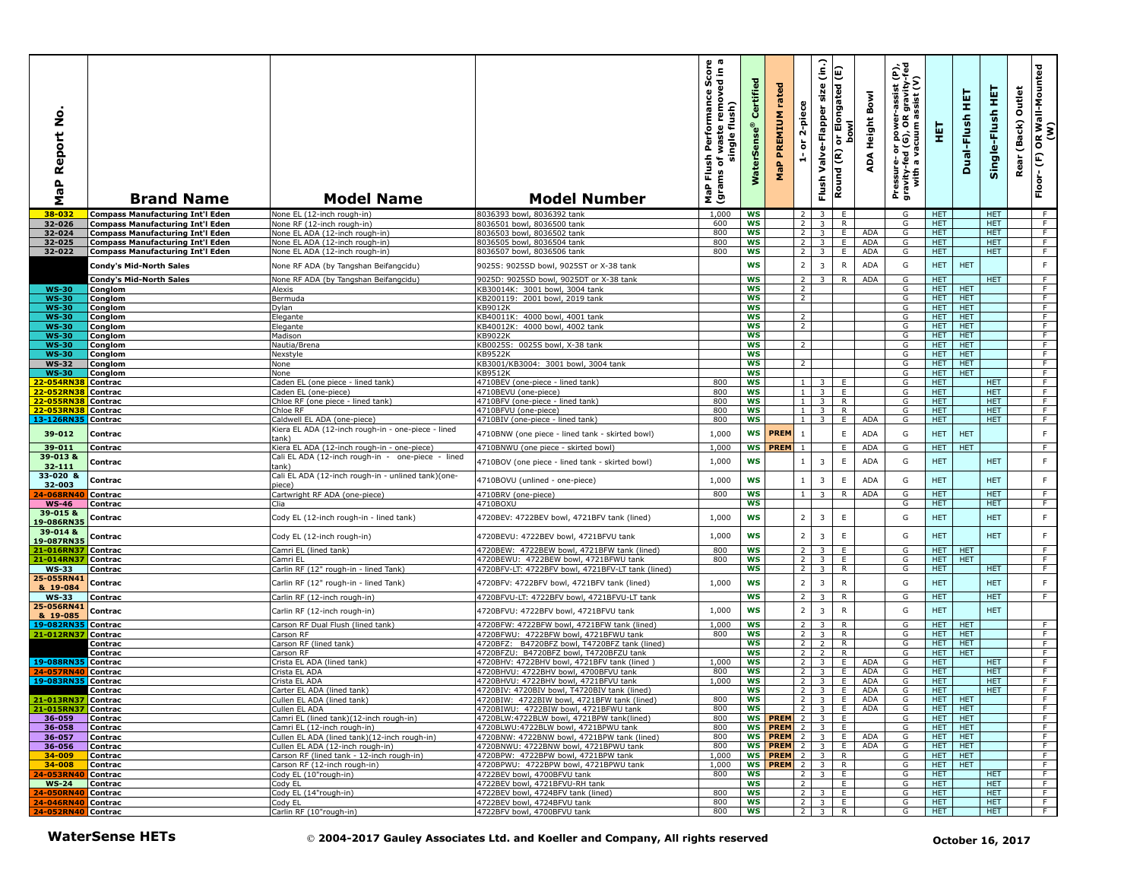| $\circ$<br>Ž<br>eport<br>≃<br>$\mathbf{a}$<br>œ<br>Σ                      | <b>Brand Name</b>                       | <b>Model Name</b>                                          | <b>Model Number</b>                                                                                                                                                                                                                         | o a<br>르.<br>Š<br>removed<br>Performance<br>waste remove<br>flush)<br>single<br>Flush<br>৳<br>(grams<br><b>P</b> | ertifi<br>ū<br>$^{\circ}$<br>rSens<br>š | rated<br>PREMIUM<br>$\mathbf{a}_i$<br>문 | 2-piece<br>ត<br>÷ | (in.)<br>size<br>Valve-Flapper<br>Flush      | Elongated (E)<br><b>bowl</b><br>້៰<br>Round (R) | Bowl<br>Height<br>∢<br>ą | Pressure- or power-assist (P),<br>gravity-fed (G), OR gravity-fed<br>with a vacuum assist (V) | 핓                     | 듚<br>Dual-Flush          | 뜊<br>Single-Flush        | Outlet<br>(Back)<br>Rear | R Wall-Mounted<br>(W)<br>$\mathbf{g}$<br>$\widehat{\mathsf{E}}$<br>Floor- |
|---------------------------------------------------------------------------|-----------------------------------------|------------------------------------------------------------|---------------------------------------------------------------------------------------------------------------------------------------------------------------------------------------------------------------------------------------------|------------------------------------------------------------------------------------------------------------------|-----------------------------------------|-----------------------------------------|-------------------|----------------------------------------------|-------------------------------------------------|--------------------------|-----------------------------------------------------------------------------------------------|-----------------------|--------------------------|--------------------------|--------------------------|---------------------------------------------------------------------------|
| 38-032                                                                    | <b>Compass Manufacturing Int'l Eden</b> | None EL (12-inch rough-in)                                 | 8036393 bowl, 8036392 tank                                                                                                                                                                                                                  | 1,000                                                                                                            | <b>WS</b>                               |                                         | 2 <sub>1</sub>    | $\overline{\mathbf{3}}$                      | E                                               |                          | G                                                                                             | <b>HET</b>            |                          | <b>HET</b>               |                          | - F                                                                       |
| 32-026                                                                    | <b>Compass Manufacturing Int'l Eden</b> | None RF (12-inch rough-in)                                 | 8036501 howl, 8036500 tank                                                                                                                                                                                                                  | 600                                                                                                              | <b>WS</b>                               |                                         | $2^{\circ}$       | $\overline{\mathbf{3}}$                      | R                                               |                          | G                                                                                             | HET.                  |                          | <b>HET</b>               |                          | F.                                                                        |
| 32-024                                                                    | <b>Compass Manufacturing Int'l Eden</b> | None EL ADA (12-inch rough-in)                             | 8036503 bowl, 8036502 tank                                                                                                                                                                                                                  | 800                                                                                                              | WS                                      |                                         | 2 <sub>1</sub>    | $\overline{\mathbf{3}}$                      | E.                                              | <b>ADA</b>               | G                                                                                             | <b>HET</b>            |                          | <b>HET</b>               |                          | $\overline{F}$                                                            |
| 32-025                                                                    | <b>Compass Manufacturing Int'l Eden</b> | None EL ADA (12-inch rough-in)                             | 8036505 bowl, 8036504 tank                                                                                                                                                                                                                  | 800                                                                                                              | <b>WS</b>                               |                                         | $2^{\circ}$       | 3 <sup>7</sup>                               | E                                               | <b>ADA</b>               | G                                                                                             | <b>HET</b>            |                          | <b>HET</b>               |                          | F                                                                         |
| 32-022                                                                    | <b>Compass Manufacturing Int'l Eden</b> | None EL ADA (12-inch rough-in)                             | 8036507 bowl, 8036506 tank                                                                                                                                                                                                                  | 800                                                                                                              | WS                                      |                                         | $\overline{2}$    | $\overline{3}$                               | E                                               | ADA                      | G                                                                                             | <b>HET</b>            |                          | <b>HET</b>               |                          | F                                                                         |
|                                                                           | Condy's Mid-North Sales                 | None RF ADA (by Tangshan Beifangcidu)                      | 9025S: 9025SD bowl, 9025ST or X-38 tank                                                                                                                                                                                                     |                                                                                                                  | <b>WS</b>                               |                                         | $\overline{2}$    | $\overline{3}$                               | ${\sf R}$                                       | <b>ADA</b>               | G                                                                                             | <b>HET</b>            | <b>HET</b>               |                          |                          | $\mathsf F$                                                               |
|                                                                           | Condy's Mid-North Sales                 | None RF ADA (by Tangshan Beifangcidu)                      | 9025D: 9025SD bowl, 9025DT or X-38 tank                                                                                                                                                                                                     |                                                                                                                  | <b>WS</b>                               |                                         | 2 <sup>1</sup>    | $3-1$                                        | R.                                              | <b>ADA</b>               | G                                                                                             | HET.                  |                          | <b>HET</b>               |                          | F                                                                         |
| <b>WS-30</b>                                                              | Conglom                                 | Alexis                                                     | <b30014k: 3001="" 3004="" bowl,="" tank<="" td=""><td></td><td><b>WS</b></td><td></td><td><math>\overline{2}</math></td><td></td><td></td><td></td><td>G</td><td>HET.</td><td><b>HET</b></td><td></td><td></td><td>F</td></b30014k:>        |                                                                                                                  | <b>WS</b>                               |                                         | $\overline{2}$    |                                              |                                                 |                          | G                                                                                             | HET.                  | <b>HET</b>               |                          |                          | F                                                                         |
| <b>WS-30</b>                                                              | Conglom                                 | Bermuda                                                    | KB200119: 2001 bowl, 2019 tank                                                                                                                                                                                                              |                                                                                                                  | <b>WS</b>                               |                                         | $\overline{2}$    |                                              |                                                 |                          | G                                                                                             | HET.                  | <b>HET</b>               |                          |                          | $\overline{F}$                                                            |
| <b>WS-30</b>                                                              | Conglom                                 | Dylan                                                      | KB9012K                                                                                                                                                                                                                                     |                                                                                                                  | <b>WS</b>                               |                                         |                   |                                              |                                                 |                          | G                                                                                             | HET.                  | <b>HET</b>               |                          |                          | F.                                                                        |
| <b>WS-30</b>                                                              | Conglom                                 | Elegante                                                   | <b40011k: 4000="" 4001="" bowl,="" tank<="" td=""><td></td><td><b>WS</b></td><td></td><td><math>\overline{2}</math></td><td></td><td></td><td></td><td>G</td><td><b>HET</b></td><td><b>HET</b></td><td></td><td></td><td>F.</td></b40011k:> |                                                                                                                  | <b>WS</b>                               |                                         | $\overline{2}$    |                                              |                                                 |                          | G                                                                                             | <b>HET</b>            | <b>HET</b>               |                          |                          | F.                                                                        |
| <b>WS-30</b>                                                              | Conglom                                 | Elegante                                                   | KB40012K: 4000 bowl, 4002 tank                                                                                                                                                                                                              |                                                                                                                  | <b>WS</b>                               |                                         | $\overline{2}$    |                                              |                                                 |                          | G                                                                                             | <b>HET</b>            | <b>HET</b>               |                          |                          | $\overline{F}$                                                            |
| <b>WS-30</b>                                                              | Conglom                                 | Madison                                                    | KB9022K<br>(B0025S: 0025S bowl, X-38 tank                                                                                                                                                                                                   |                                                                                                                  | <b>WS</b><br><b>WS</b>                  |                                         | 2                 |                                              |                                                 |                          | G                                                                                             | <b>HET</b><br>HET.    | <b>HET</b><br><b>HET</b> |                          |                          | $\overline{F}$<br>F                                                       |
| <b>WS-30</b><br><b>WS-30</b>                                              | Conglom<br>Conglom                      | Nautia/Brena<br>Nexstyle                                   | <b><b9522k< b=""></b9522k<></b>                                                                                                                                                                                                             |                                                                                                                  | <b>WS</b>                               |                                         |                   |                                              |                                                 |                          | G<br>G                                                                                        | HET.                  | <b>HET</b>               |                          |                          | F.                                                                        |
| <b>WS-32</b>                                                              | Conglom                                 | None                                                       | KB3001/KB3004: 3001 bowl, 3004 tank                                                                                                                                                                                                         |                                                                                                                  | <b>WS</b>                               |                                         | 2                 |                                              |                                                 |                          | G                                                                                             | <b>HET</b>            | <b>HET</b>               |                          |                          | $\overline{F}$                                                            |
| <b>WS-30</b>                                                              | Conglom                                 | None                                                       | <b><b9512k< b=""></b9512k<></b>                                                                                                                                                                                                             |                                                                                                                  | <b>WS</b>                               |                                         |                   |                                              |                                                 |                          | G                                                                                             | HET.                  | <b>HET</b>               |                          |                          | F.                                                                        |
| 2-054RN3                                                                  | Contrac                                 | Caden EL (one piece - lined tank)                          | 4710BEV (one-piece - lined tank)                                                                                                                                                                                                            | 800                                                                                                              | <b>WS</b>                               |                                         | $\mathbf{1}$      | $\mathbf{z}$                                 | E                                               |                          | G                                                                                             | HET.                  |                          | <b>HET</b>               |                          | F                                                                         |
| 22-052RN3                                                                 | Contrac                                 | Caden EL (one-piece)                                       | 4710BEVU (one-piece)                                                                                                                                                                                                                        | 800                                                                                                              | <b>WS</b>                               |                                         | 1                 | 3 <sup>7</sup>                               | E                                               |                          | G                                                                                             | <b>HET</b>            |                          | <b>HET</b>               |                          | F                                                                         |
| 22-055RN38 Contrac                                                        |                                         | Chloe RF (one piece - lined tank)                          | 4710BFV (one-piece - lined tank)                                                                                                                                                                                                            | 800                                                                                                              | WS                                      |                                         | 1                 | 3 <sup>7</sup>                               | $\mathsf{R}$                                    |                          | G                                                                                             | HET.                  |                          | <b>HET</b>               |                          | F                                                                         |
| 22-053RN38                                                                | Contrac                                 | Chloe RF                                                   | 4710BFVU (one-piece)                                                                                                                                                                                                                        | 800                                                                                                              | WS                                      |                                         | 1 <sup>1</sup>    | 3                                            | R                                               |                          | G                                                                                             | HET                   |                          | <b>HET</b>               |                          | F.                                                                        |
| 13-126RN35                                                                | Contrac                                 | Caldwell EL ADA (one-piece)                                | 4710BIV (one-piece - lined tank)                                                                                                                                                                                                            | 800                                                                                                              | <b>WS</b>                               |                                         | $\mathbf{1}$      | 3                                            | Ε.                                              | ADA                      | G                                                                                             | <b>HET</b>            |                          | <b>HET</b>               |                          | F                                                                         |
| 39-012                                                                    | Contrac                                 | Kiera EL ADA (12-inch rough-in - one-piece - lined<br>tank | 4710BNW (one piece - lined tank - skirted bowl)                                                                                                                                                                                             | 1,000                                                                                                            | <b>WS</b>                               | <b>PREM</b>                             | $\overline{1}$    |                                              | $\mathsf E$                                     | <b>ADA</b>               | G                                                                                             | <b>HET</b>            | <b>HET</b>               |                          |                          | $\mathsf F$                                                               |
| $39 - 011$                                                                | Contrac                                 | Kiera EL ADA (12-inch rough-in - one-piece)                | 4710BNWU (one piece - skirted bowl)                                                                                                                                                                                                         | 1,000                                                                                                            | <b>WS</b>                               | <b>PREM</b>                             |                   |                                              | E                                               | <b>ADA</b>               | G                                                                                             | <b>HET</b>            | <b>HET</b>               |                          |                          | F                                                                         |
| 39-013 &                                                                  |                                         | Cali EL ADA (12-inch rough-in - one-piece - lined          |                                                                                                                                                                                                                                             |                                                                                                                  |                                         |                                         |                   |                                              |                                                 |                          |                                                                                               |                       |                          |                          |                          |                                                                           |
| 32-111                                                                    | Contrac                                 | tank)                                                      | 4710BOV (one piece - lined tank - skirted bowl)                                                                                                                                                                                             | 1,000                                                                                                            | <b>WS</b>                               |                                         | $\overline{1}$    | 3                                            | $\mathsf E$                                     | <b>ADA</b>               | G                                                                                             | <b>HET</b>            |                          | <b>HET</b>               |                          | $\mathsf F$                                                               |
| 33-020 &                                                                  |                                         | Cali EL ADA (12-inch rough-in - unlined tank)(one-         |                                                                                                                                                                                                                                             | 1,000                                                                                                            | <b>WS</b>                               |                                         | $\overline{1}$    | 3                                            | $\mathsf E$                                     | <b>ADA</b>               | G                                                                                             |                       |                          |                          |                          | $\mathsf F$                                                               |
| 32-003                                                                    | Contrac                                 | piece)                                                     | 4710BOVU (unlined - one-piece)                                                                                                                                                                                                              |                                                                                                                  |                                         |                                         |                   |                                              |                                                 |                          |                                                                                               | <b>HET</b>            |                          | <b>HET</b>               |                          |                                                                           |
| 4-068RN4                                                                  | Contrac                                 | Cartwright RF ADA (one-piece)                              | 4710BRV (one-piece)                                                                                                                                                                                                                         | 800                                                                                                              | <b>WS</b>                               |                                         | $\mathbf{1}$      | $\overline{\mathbf{3}}$                      | R                                               | <b>ADA</b>               | G                                                                                             | <b>HET</b>            |                          | <b>HET</b>               |                          | $\overline{F}$                                                            |
| $WS-46$                                                                   | Contrac                                 | Clia                                                       | 4710BOXU                                                                                                                                                                                                                                    |                                                                                                                  | <b>WS</b>                               |                                         |                   |                                              |                                                 |                          | G                                                                                             | <b>HET</b>            |                          | <b>HET</b>               |                          | F                                                                         |
| 39-015 &                                                                  | Contrac                                 | Cody EL (12-inch rough-in - lined tank)                    | 4720BEV: 4722BEV bowl, 4721BFV tank (lined)                                                                                                                                                                                                 | 1,000                                                                                                            | <b>WS</b>                               |                                         | $\overline{2}$    | 3                                            | $\mathsf E$                                     |                          | G                                                                                             | <b>HET</b>            |                          | <b>HET</b>               |                          | F                                                                         |
| 19-086RN35<br>39-014 &                                                    |                                         |                                                            |                                                                                                                                                                                                                                             |                                                                                                                  |                                         |                                         |                   |                                              |                                                 |                          |                                                                                               |                       |                          |                          |                          |                                                                           |
| 19-087RN35                                                                | Contrac                                 | Cody EL (12-inch rough-in)                                 | 4720BEVU: 4722BEV bowl, 4721BFVU tank                                                                                                                                                                                                       | 1,000                                                                                                            | <b>WS</b>                               |                                         | $\overline{2}$    | 3                                            | $\mathsf E$                                     |                          | G                                                                                             | <b>HET</b>            |                          | <b>HET</b>               |                          | F                                                                         |
| 21-016RN37                                                                | Contrac                                 | Camri EL (lined tank)                                      | 4720BEW: 4722BEW bowl, 4721BFW tank (lined)                                                                                                                                                                                                 | 800                                                                                                              | <b>WS</b>                               |                                         | $\overline{2}$    | 3                                            | E                                               |                          | G                                                                                             | <b>HET</b>            | <b>HET</b>               |                          |                          | F                                                                         |
| 21-014RN3                                                                 | Contrac                                 | Camri EL                                                   | 4720BEWU: 4722BEW bowl, 4721BFWU tank                                                                                                                                                                                                       | 800                                                                                                              | <b>WS</b>                               |                                         | $\overline{2}$    | $\overline{3}$                               | E                                               |                          | G                                                                                             | <b>HET</b>            | <b>HET</b>               |                          |                          | $\overline{F}$                                                            |
| <b>WS-33</b>                                                              | Contrac                                 | Carlin RF (12" rough-in - lined Tank)                      | 4720BFV-LT: 4722BFV bowl, 4721BFV-LT tank (lined)                                                                                                                                                                                           |                                                                                                                  | <b>WS</b>                               |                                         | $\overline{2}$    | 3                                            | R                                               |                          | G                                                                                             | HET.                  |                          | <b>HET</b>               |                          | $\overline{F}$                                                            |
| 25-055RN41                                                                | Contrac                                 | Carlin RF (12" rough-in - lined Tank)                      | 4720BFV: 4722BFV bowl, 4721BFV tank (lined)                                                                                                                                                                                                 | 1,000                                                                                                            | <b>WS</b>                               |                                         | $\overline{2}$    | $\overline{3}$                               | $\mathsf{R}$                                    |                          | G                                                                                             | <b>HET</b>            |                          | <b>HET</b>               |                          | F                                                                         |
| & 19-084                                                                  |                                         |                                                            |                                                                                                                                                                                                                                             |                                                                                                                  |                                         |                                         |                   |                                              |                                                 |                          |                                                                                               |                       |                          |                          |                          |                                                                           |
| <b>WS-33</b>                                                              | Contrac                                 | Carlin RF (12-inch rough-in)                               | 4720BFVU-LT: 4722BFV bowl, 4721BFVU-LT tank                                                                                                                                                                                                 |                                                                                                                  | <b>WS</b>                               |                                         | $\overline{2}$    | 3                                            | R                                               |                          | G                                                                                             | <b>HET</b>            |                          | <b>HET</b>               |                          | F.                                                                        |
| 25-056RN41<br>& 19-085                                                    | Contrac                                 | Carlin RF (12-inch rough-in)                               | 4720BFVU: 4722BFV bowl, 4721BFVU tank                                                                                                                                                                                                       | 1,000                                                                                                            | <b>WS</b>                               |                                         | $\overline{2}$    | $\overline{3}$                               | $\mathsf{R}$                                    |                          | G                                                                                             | <b>HET</b>            |                          | <b>HET</b>               |                          |                                                                           |
| 19-082RN35                                                                | Contrac                                 | Carson RF Dual Flush (lined tank)                          | 4720BFW: 4722BFW bowl, 4721BFW tank (lined)                                                                                                                                                                                                 | 1,000                                                                                                            | <b>WS</b>                               |                                         | $\overline{2}$    | $\overline{3}$                               | $\mathsf{R}$                                    |                          | G                                                                                             | HET.                  | HET                      |                          |                          | F                                                                         |
| 21-012RN37                                                                | Contrac                                 | Carson RF                                                  | 4720BFWU: 4722BFW bowl, 4721BFWU tank                                                                                                                                                                                                       | 800                                                                                                              | ws                                      |                                         | 2 <sup>1</sup>    | 3                                            | R                                               |                          | G                                                                                             | HET.                  | <b>HET</b>               |                          |                          | $\overline{F}$                                                            |
|                                                                           | Contrac                                 | Carson RF (lined tank)                                     | 4720BFZ: B4720BFZ bowl, T4720BFZ tank (lined)                                                                                                                                                                                               |                                                                                                                  | <b>WS</b>                               |                                         | $2^{\circ}$       | $\overline{2}$                               | R                                               |                          | G                                                                                             | HET.                  | <b>HET</b>               |                          |                          | F                                                                         |
|                                                                           | Contrac                                 | Carson RF                                                  | 4720BFZU: B4720BFZ bowl, T4720BFZU tank                                                                                                                                                                                                     |                                                                                                                  | WS                                      |                                         | $2^{\circ}$       | 2                                            | R                                               |                          | G                                                                                             | HET.                  | <b>HET</b>               |                          |                          | F.                                                                        |
| 19-088RN35 Contrac                                                        |                                         | Crista EL ADA (lined tank)                                 | 4720BHV: 4722BHV bowl, 4721BFV tank (lined                                                                                                                                                                                                  | 1,000                                                                                                            | WS                                      |                                         | 2 <sup>1</sup>    | 3                                            | Ε.                                              | ADA                      | G                                                                                             | HET.                  |                          | <b>HET</b>               |                          | F.                                                                        |
| 24-057RN40                                                                | Contrac                                 | Crista EL ADA                                              | 4720BHVU: 4722BHV bowl, 4700BFVU tank                                                                                                                                                                                                       | 800                                                                                                              | <b>WS</b>                               |                                         | 2 <sup>1</sup>    | 3                                            | E.                                              | ADA                      | G                                                                                             | <b>HET</b>            |                          | <b>HET</b>               |                          | F                                                                         |
| 19-083RN35                                                                | Contrac                                 | Crista EL ADA                                              | 4720BHVU: 4722BHV bowl, 4721BFVU tank                                                                                                                                                                                                       | 1,000                                                                                                            | <b>WS</b>                               |                                         | $\overline{2}$    | $\overline{3}$                               | E                                               | <b>ADA</b><br><b>ADA</b> | G                                                                                             | HET.                  |                          | <b>HET</b>               |                          | F<br>F.                                                                   |
| 21-013RN37 Contrac                                                        | Contrac                                 | Carter EL ADA (lined tank)<br>Cullen EL ADA (lined tank)   | 4720BIV: 4720BIV bowl, T4720BIV tank (lined)<br>4720BIW: 4722BIW bowl, 4721BFW tank (lined)                                                                                                                                                 | 800                                                                                                              | ws<br>ws                                |                                         | $2^{\circ}$       | 3 <sup>7</sup>                               | E                                               | $2 \mid 3 \mid E$ ADA    | G<br>G                                                                                        | <b>HET</b><br>HET HET |                          | <b>HET</b>               |                          |                                                                           |
| 21-015RN37 Contrac                                                        |                                         | Cullen EL ADA                                              | 4720BIWU: 4722BIW bowl, 4721BFWU tank                                                                                                                                                                                                       | 800                                                                                                              | WS                                      |                                         |                   |                                              |                                                 | 2 3 E ADA                | G                                                                                             | HET   HET             |                          |                          |                          | F                                                                         |
| 36-059                                                                    | Contrac                                 | Camri EL (lined tank)(12-inch rough-in)                    | 4720BLW:4722BLW bowl, 4721BPW tank(lined)                                                                                                                                                                                                   | 800                                                                                                              |                                         | WS PREM $2$ 3 E                         |                   |                                              |                                                 |                          | G                                                                                             | HET                   | <b>HET</b>               |                          |                          | F.                                                                        |
| 36-058                                                                    | Contrac                                 | Camri EL (12-inch rough-in)                                | 4720BLWU:4722BLW bowl, 4721BPWU tank                                                                                                                                                                                                        | 800                                                                                                              |                                         | WS PREM 2 3 E                           |                   |                                              |                                                 |                          | G                                                                                             |                       | HET HET                  |                          |                          | F                                                                         |
| 36-057                                                                    | Contrac                                 | Cullen EL ADA (lined tank)(12-inch rough-in)               | 4720BNW: 4722BNW bowl, 4721BPW tank (lined)                                                                                                                                                                                                 | 800                                                                                                              |                                         | WS PREM $2$ 3 E                         |                   |                                              |                                                 | ADA                      | G                                                                                             |                       | HET HET                  |                          |                          | $\overline{F}$                                                            |
| 36-056                                                                    | Contrac                                 | Cullen EL ADA (12-inch rough-in)                           | 4720BNWU: 4722BNW bowl, 4721BPWU tank                                                                                                                                                                                                       | 800                                                                                                              |                                         | WS PREM 2 3 E ADA                       |                   |                                              |                                                 |                          | G                                                                                             |                       | HET   HET                |                          |                          | F                                                                         |
| 34-009                                                                    | Contrac                                 | Carson RF (lined tank - 12-inch rough-in)                  | 4720BPW: 4722BPW bowl, 4721BPW tank                                                                                                                                                                                                         | 1,000                                                                                                            |                                         | WS PREM 2 3                             |                   |                                              | R                                               |                          | G                                                                                             |                       | HET HET                  |                          |                          | F                                                                         |
| $34 - 008$                                                                | Contrac                                 | Carson RF (12-inch rough-in)                               | 4720BPWU: 4722BPW bowl, 4721BPWU tank                                                                                                                                                                                                       | 1,000                                                                                                            | <b>WS</b>                               | <b>PREM</b> 2 3 R                       |                   |                                              |                                                 |                          | G                                                                                             |                       | HET HET                  |                          |                          | $\overline{F}$                                                            |
| 24-053RN40<br><b>WS-24</b>                                                | Contrac<br>Contrac                      | Cody EL (10"rough-in)<br>Cody EL                           | 4722BEV bowl, 4700BFVU tank<br>4722BEV bowl, 4721BFVU-RH tank                                                                                                                                                                               | 800                                                                                                              | ws<br><b>WS</b>                         |                                         | <sup>2</sup>      | $2 \mid 3 \mid E$                            | E                                               |                          | G<br>G                                                                                        | <b>HET</b><br>HET.    |                          | <b>HET</b><br><b>HET</b> |                          | F.<br>F                                                                   |
|                                                                           |                                         | Cody EL (14"rough-in)                                      | 4722BEV bowl, 4724BFV tank (lined)                                                                                                                                                                                                          | 800                                                                                                              | <b>WS</b>                               |                                         |                   | $\overline{2}$ $\overline{3}$ $\overline{1}$ | E.                                              |                          | G                                                                                             | <b>HET</b>            |                          | <b>HET</b>               |                          | $\overline{F}$                                                            |
|                                                                           |                                         | Cody EL                                                    | 4722BEV bowl, 4724BFVU tank                                                                                                                                                                                                                 | 800                                                                                                              | ws                                      |                                         |                   | $\overline{2}$ $\overline{3}$                | E.                                              |                          | G                                                                                             | <b>HET</b>            |                          | <b>HET</b>               |                          | $\overline{F}$                                                            |
| <b>24-050RN40 Contrac<br/> 24-046RN40 Contrac<br/> 24-052RN40 Contrac</b> |                                         | Carlin RF (10"rough-in)                                    | 4722BFV bowl, 4700BFVU tank                                                                                                                                                                                                                 | 800                                                                                                              | WS                                      |                                         |                   | $2 \mid 3$                                   | R                                               |                          | G                                                                                             | HET.                  |                          | HET.                     |                          | F                                                                         |
|                                                                           | <b>WaterSense HETs</b>                  |                                                            | © 2004-2017 Gauley Associates Ltd. and Koeller and Company, All rights reserved                                                                                                                                                             |                                                                                                                  |                                         |                                         |                   |                                              |                                                 |                          |                                                                                               |                       | October 16, 2017         |                          |                          |                                                                           |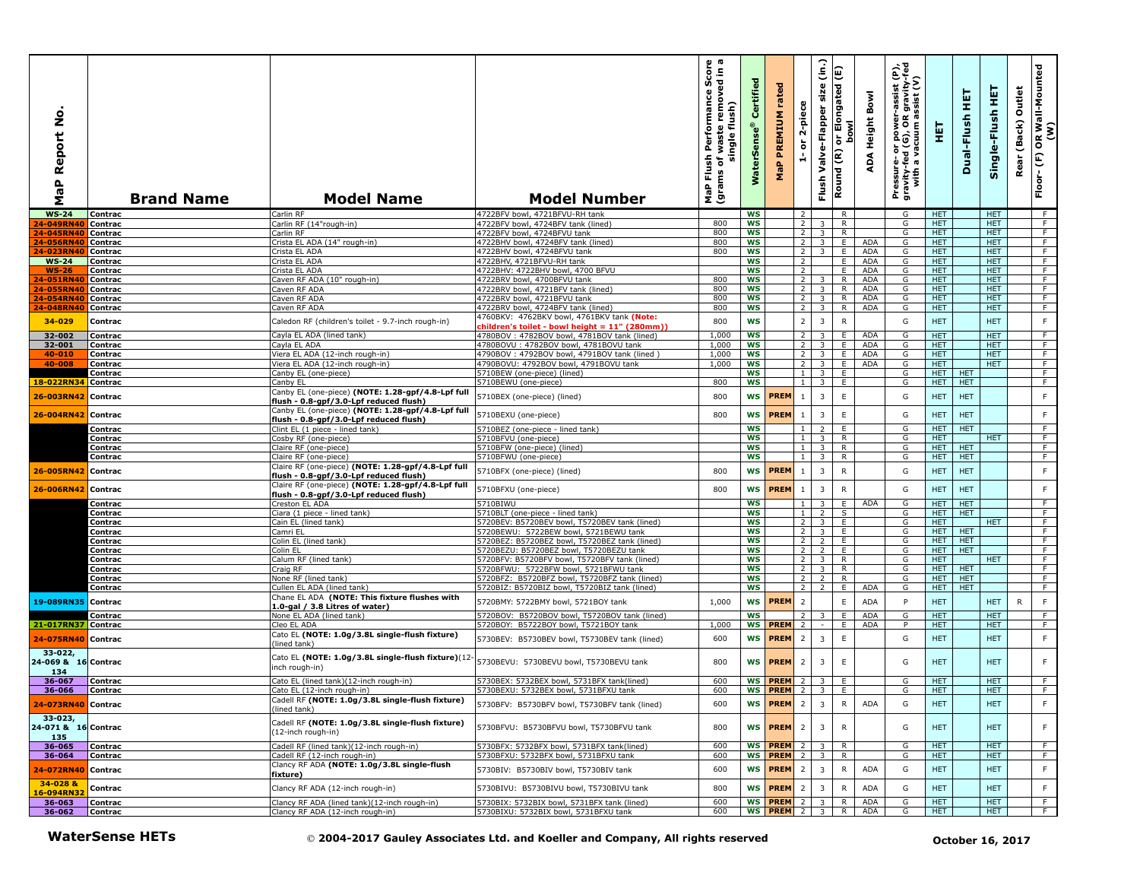| 2<br>S<br>Report<br>$\mathbf{a}$<br><b>G</b><br>Σ | <b>Brand Name</b>      | <b>Model Name</b>                                                                            | <b>Model Number</b>                                                                    | ωω<br>£,<br>ō<br>rmance Sco<br>removed in<br>Performan<br>flush)<br>waste<br>single<br>Flush<br>৳<br>(grams<br>MaP | $\overline{e}$<br>Certifi<br>Ģ,<br>፼<br>Š | rated<br>PREMIUM<br>MaP    | 2-piece<br>ត                     | (in.)<br>Flush Valve-Flapper size         | Elongated (E)<br>lwo<br>S<br>$\overleftarrow{\mathtt{o}}$<br>Round (R) | Bowl<br>Height<br>ADA    | εĮ<br>r-assist (P<br>: gravity-f<br>issist (V)<br>Pressure- or power-a<br>gravity-fed (G), OR g<br>with a vacuum as | 핓                        | 듚<br>Dual-Flush          | 뜊<br>Single-Flush        | Outlet<br>Rear (Back) | OR Wall-Mounted<br>(W)<br>$\overline{F}$<br>$Floor -$ |
|---------------------------------------------------|------------------------|----------------------------------------------------------------------------------------------|----------------------------------------------------------------------------------------|--------------------------------------------------------------------------------------------------------------------|-------------------------------------------|----------------------------|----------------------------------|-------------------------------------------|------------------------------------------------------------------------|--------------------------|---------------------------------------------------------------------------------------------------------------------|--------------------------|--------------------------|--------------------------|-----------------------|-------------------------------------------------------|
| <b>WS-24</b>                                      | Contrac                | Carlin RF                                                                                    | 4722BFV bowl, 4721BFVU-RH tank                                                         |                                                                                                                    | <b>WS</b>                                 |                            | $\overline{2}$                   |                                           | R                                                                      |                          | G                                                                                                                   | HET.                     |                          | <b>HET</b>               |                       | F                                                     |
| 4-049RN40                                         | Contrac                | Carlin RF (14"rough-in)                                                                      | 4722BFV bowl, 4724BFV tank (lined)                                                     | 800                                                                                                                | <b>WS</b>                                 |                            | $\overline{2}$                   | 3                                         | R                                                                      |                          | G                                                                                                                   | HET                      |                          | <b>HET</b>               |                       | F                                                     |
| 4-045RN40<br>4-056RN4(                            | Contrac<br>Contrac     | Carlin RF<br>Crista EL ADA (14" rough-in)                                                    | 4722BFV bowl, 4724BFVU tank<br>4722BHV bowl, 4724BFV tank (lined)                      | 800<br>800                                                                                                         | <b>WS</b><br><b>WS</b>                    |                            | $\overline{2}$<br>2              | $\overline{3}$<br>$\overline{3}$          | R.<br>Ε.                                                               | <b>ADA</b>               | G<br>G                                                                                                              | <b>HET</b><br><b>HET</b> |                          | <b>HET</b><br><b>HET</b> |                       | $\overline{F}$<br>F                                   |
| 4-023RN40                                         | Contrac                | Crista EL ADA                                                                                | 4722BHV bowl, 4724BFVU tank                                                            | 800                                                                                                                | WS                                        |                            | $\overline{2}$                   | $\overline{3}$                            | E                                                                      | <b>ADA</b>               | G                                                                                                                   | <b>HET</b>               |                          | <b>HET</b>               |                       | F.                                                    |
| <b>WS-24</b>                                      | Contrac                | Crista EL ADA                                                                                | 4722BHV, 4721BFVU-RH tank                                                              |                                                                                                                    | <b>WS</b>                                 |                            | $\overline{2}$                   |                                           | E                                                                      | <b>ADA</b>               | G                                                                                                                   | <b>HET</b>               |                          | <b>HET</b>               |                       | F                                                     |
| $WS-26$                                           | Contrac                | Crista EL ADA                                                                                | 4722BHV: 4722BHV bowl, 4700 BFVU                                                       |                                                                                                                    | <b>WS</b>                                 |                            | $\overline{2}$                   |                                           | E.                                                                     | <b>ADA</b>               | G                                                                                                                   | HET                      |                          | <b>HET</b>               |                       | F                                                     |
| 4-051RN40                                         | Contrac                | Caven RF ADA (10" rough-in)                                                                  | 4722BRV bowl, 4700BFVU tank                                                            | 800                                                                                                                | ws                                        |                            | $\overline{2}$                   | 3                                         | $\mathsf{R}$                                                           | <b>ADA</b>               | G                                                                                                                   | HET                      |                          | <b>HET</b>               |                       | F                                                     |
| 4-055RN40                                         | Contrac                | Caven RF ADA                                                                                 | 4722BRV bowl, 4721BFV tank (lined)                                                     | 800<br>800                                                                                                         | WS<br>WS                                  |                            | 2 <sup>1</sup><br><sup>2</sup>   | $\overline{\mathbf{3}}$                   | R                                                                      | <b>ADA</b><br><b>ADA</b> | G                                                                                                                   | HET.<br><b>HET</b>       |                          | HET.<br><b>HET</b>       |                       | F<br>$\overline{F}$                                   |
| 4-054RN40<br>4-048RN40                            | Contrac<br>Contrac     | Caven RF ADA<br>Caven RF ADA                                                                 | 4722BRV bowl, 4721BFVU tank<br>4722BRV bowl, 4724BFV tank (lined)                      | 800                                                                                                                | <b>WS</b>                                 |                            | 2                                | 3<br>3                                    | R<br>R                                                                 | <b>ADA</b>               | G<br>G                                                                                                              | HET.                     |                          | <b>HET</b>               |                       | F.                                                    |
|                                                   |                        |                                                                                              | 4760BKV: 4762BKV bowl, 4761BKV tank (Note:                                             |                                                                                                                    |                                           |                            |                                  |                                           |                                                                        |                          |                                                                                                                     |                          |                          |                          |                       |                                                       |
| 34-029                                            | Contrac                | Caledon RF (children's toilet - 9.7-inch rough-in)                                           | children's toilet - bowl height = 11" (280mm))                                         | 800                                                                                                                | WS                                        |                            | $\overline{2}$                   | $\overline{3}$                            | $\mathsf{R}$                                                           |                          | G                                                                                                                   | <b>HET</b>               |                          | <b>HET</b>               |                       | $\mathsf F$                                           |
| 32-002                                            | Contrac                | Cavla EL ADA (lined tank)                                                                    | 4780BOV: 4782BOV bowl, 4781BOV tank (lined)                                            | 1,000                                                                                                              | WS                                        |                            | $\overline{2}$                   | $\overline{3}$                            | Ε.                                                                     | <b>ADA</b>               | G                                                                                                                   | HET                      |                          | <b>HET</b>               |                       | $\overline{F}$                                        |
| 32-001                                            | Contrac                | Cayla EL ADA                                                                                 | 4780BOVU: 4782BOV bowl, 4781BOVU tank                                                  | 1,000                                                                                                              | WS                                        |                            | 2 <sup>1</sup>                   | 3                                         | E                                                                      | ADA                      | G                                                                                                                   | HET                      |                          | <b>HET</b>               |                       | F                                                     |
| 40-010<br>40-008                                  | Contrac<br>Contrac     | Viera EL ADA (12-inch rough-in)<br>Viera EL ADA (12-inch rough-in)                           | 4790BOV: 4792BOV bowl, 4791BOV tank (lined)<br>4790BOVU: 4792BOV bowl, 4791BOVU tank   | 1,000<br>1.000                                                                                                     | <b>WS</b><br><b>WS</b>                    |                            | $\overline{2}$<br>2              | $\overline{3}$<br>3                       | E<br>E                                                                 | ADA<br><b>ADA</b>        | G<br>G                                                                                                              | <b>HET</b><br><b>HET</b> |                          | <b>HET</b><br><b>HET</b> |                       | F<br>F.                                               |
|                                                   | Contrac                | Canby EL (one-piece)                                                                         | 5710BEW (one-piece) (lined)                                                            |                                                                                                                    | <b>WS</b>                                 |                            | $\mathbf{1}$                     | 3                                         | E                                                                      |                          | G                                                                                                                   | <b>HET</b>               | HET                      |                          |                       | F                                                     |
| 18-022RN34                                        | Contrac                | Canby EL                                                                                     | 5710BEWU (one-piece)                                                                   | 800                                                                                                                | <b>WS</b>                                 |                            | $\overline{1}$                   | $\overline{3}$                            | E                                                                      |                          | G                                                                                                                   | <b>HET</b>               | <b>HET</b>               |                          |                       | F                                                     |
| 26-003RN42                                        | Contrac                | Canby EL (one-piece) (NOTE: 1.28-gpf/4.8-Lpf full<br>flush - 0.8-gpf/3.0-Lpf reduced flush)  | 5710BEX (one-piece) (lined)                                                            | 800                                                                                                                | WS                                        | PREM                       | $\mathbf{1}$                     | $\overline{\mathbf{3}}$                   | $\mathsf E$                                                            |                          | G                                                                                                                   | <b>HET</b>               | <b>HET</b>               |                          |                       | $\mathsf F$                                           |
| 26-004RN42                                        | Contrac                | Canby EL (one-piece) (NOTE: 1.28-gpf/4.8-Lpf full<br>flush - 0.8-gpf/3.0-Lpf reduced flush)  | 5710BEXU (one-piece)                                                                   | 800                                                                                                                | <b>WS</b>                                 | <b>PREM</b>                | $\overline{1}$                   | 3                                         | $\mathsf E$                                                            |                          | G                                                                                                                   | <b>HET</b>               | <b>HET</b>               |                          |                       | F                                                     |
|                                                   | Contrac                | Clint EL (1 piece - lined tank)                                                              | 5710BEZ (one-piece - lined tank)                                                       |                                                                                                                    | <b>WS</b>                                 |                            | <sup>1</sup>                     | $\overline{2}$                            | E.                                                                     |                          | G                                                                                                                   | <b>HET</b>               | <b>HET</b>               |                          |                       | $\overline{F}$                                        |
|                                                   | Contrac                | Cosby RF (one-piece)                                                                         | 5710BFVU (one-piece)<br>5710BFW (one-piece) (lined)                                    |                                                                                                                    | <b>WS</b><br><b>WS</b>                    |                            | $\mathbf{1}$<br>1 <sup>1</sup>   | $\overline{3}$<br>$\overline{\mathbf{3}}$ | $\mathsf{R}$<br>R                                                      |                          | G<br>G                                                                                                              | <b>HET</b><br><b>HET</b> | <b>HET</b>               | HET.                     |                       | F<br>F                                                |
|                                                   | Contrac<br>Contrac     | Claire RF (one-piece)<br>Claire RF (one-piece)                                               | 5710BFWU (one-piece)                                                                   |                                                                                                                    | WS                                        |                            | 1 <sup>1</sup>                   | 3                                         | R                                                                      |                          | G                                                                                                                   | <b>HET</b>               | <b>HET</b>               |                          |                       | F                                                     |
|                                                   |                        | Claire RF (one-piece) (NOTE: 1.28-gpf/4.8-Lpf full                                           |                                                                                        |                                                                                                                    |                                           | <b>PREM</b>                |                                  | $\overline{3}$                            |                                                                        |                          |                                                                                                                     |                          |                          |                          |                       | $\mathsf F$                                           |
| 26-005RN42<br>26-006RN42 Contrac                  | Contrac                | flush - 0.8-gpf/3.0-Lpf reduced flush)<br>Claire RF (one-piece) (NOTE: 1.28-gpf/4.8-Lpf full | 5710BFX (one-piece) (lined)<br>5710BFXU (one-piece)                                    | 800<br>800                                                                                                         | WS<br>WS                                  | <b>PREM</b>                | $\mathbf{1}$<br>$\overline{1}$   | 3                                         | ${\sf R}$<br>$\mathsf{R}$                                              |                          | G<br>G                                                                                                              | <b>HET</b><br><b>HET</b> | <b>HET</b><br><b>HET</b> |                          |                       | $\mathsf F$                                           |
|                                                   | Contrac                | flush - 0.8-gpf/3.0-Lpf reduced flush)<br>Creston EL ADA                                     | 5710BIWU                                                                               |                                                                                                                    | <b>WS</b>                                 |                            | $\mathbf{1}$                     | 3 I                                       | E                                                                      | ADA                      | G                                                                                                                   | <b>HET</b>               | <b>HET</b>               |                          |                       | F                                                     |
|                                                   | Contrac                | Ciara (1 piece - lined tank)                                                                 | 5710BLT (one-piece - lined tank)                                                       |                                                                                                                    | ws                                        |                            | 1                                | $\overline{2}$                            | S                                                                      |                          | G                                                                                                                   | HET.                     | <b>HET</b>               |                          |                       | F                                                     |
|                                                   | Contrac                | Cain EL (lined tank)                                                                         | 5720BEV: B5720BEV bowl, T5720BEV tank (lined)                                          |                                                                                                                    | <b>WS</b>                                 |                            | 2 <sup>1</sup>                   | 3 <sup>1</sup>                            | E                                                                      |                          | G                                                                                                                   | HET                      |                          | <b>HET</b>               |                       | F                                                     |
|                                                   | Contrac<br>Contrac     | Camri EL<br>Colin EL (lined tank)                                                            | 5720BEWU: 5722BEW bowl, 5721BEWU tank<br>5720BEZ: B5720BEZ bowl, T5720BEZ tank (lined) |                                                                                                                    | WS<br><b>WS</b>                           |                            | $2^{\circ}$<br>$\overline{2}$    | 3 I<br>$\overline{2}$                     | E<br>Ε.                                                                |                          | G<br>G                                                                                                              | HET.<br>HET.             | <b>HET</b><br><b>HET</b> |                          |                       | F.<br>F.                                              |
|                                                   | Contrac                | Colin EL                                                                                     | 5720BEZU: B5720BEZ bowl, T5720BEZU tank                                                |                                                                                                                    | <b>WS</b>                                 |                            | $\overline{2}$                   | $\overline{2}$                            | E                                                                      |                          | G                                                                                                                   | <b>HET</b>               | <b>HET</b>               |                          |                       | F.                                                    |
|                                                   | Contrac                | Calum RF (lined tank)                                                                        | 5720BFV: B5720BFV bowl, T5720BFV tank (lined)                                          |                                                                                                                    | <b>WS</b>                                 |                            | $\overline{2}$                   | 3                                         | $\mathsf{R}$                                                           |                          | G                                                                                                                   | HET                      |                          | <b>HET</b>               |                       | F                                                     |
|                                                   | Contrac                | Craig RF                                                                                     | 5720BFWU: 5722BFW bowl, 5721BFWU tank                                                  |                                                                                                                    | WS                                        |                            | $\overline{2}$                   | $\overline{3}$                            | R                                                                      |                          | G                                                                                                                   | HET.                     | <b>HET</b>               |                          |                       | F.                                                    |
|                                                   | Contrac                | None RF (lined tank)                                                                         | 5720BFZ: B5720BFZ bowl, T5720BFZ tank (lined)                                          |                                                                                                                    | WS                                        |                            | 2 <sup>1</sup>                   | $\overline{2}$                            | R                                                                      |                          | G                                                                                                                   | HET.                     | <b>HET</b>               |                          |                       | F                                                     |
|                                                   | Contrac                | Cullen EL ADA (lined tank)<br>Chane EL ADA (NOTE: This fixture flushes with                  | 5720BIZ: B5720BIZ bowl, T5720BIZ tank (lined)                                          |                                                                                                                    | <b>WS</b>                                 |                            | 2                                | $\overline{2}$                            | E                                                                      | ADA                      | G                                                                                                                   | HET.                     | <b>HET</b>               |                          |                       | F                                                     |
| 19-089RN35                                        | Contrac<br>Contrac     | 1.0-gal / 3.8 Litres of water)<br>None EL ADA (lined tank)                                   | 5720BMY: 5722BMY bowl, 5721BOY tank<br>5720BOV: B5720BOV bowl, T5720BOV tank (lined)   | 1,000                                                                                                              | WS<br><b>WS</b>                           | <b>PREM</b>                | $\overline{2}$<br>$\overline{2}$ |                                           | E<br>E.                                                                | <b>ADA</b><br>ADA        | P<br>G                                                                                                              | <b>HET</b><br><b>HET</b> |                          | <b>HET</b><br><b>HET</b> | $\mathsf{R}$          | $\mathsf F$<br>F                                      |
| 21-017RN37 Contrac                                |                        | Cleo EL ADA                                                                                  | 5720BOY: B5722BOY bowl, T5721BOY tank                                                  | 1,000                                                                                                              | <b>WS</b>                                 | <b>PREM</b>                | $\overline{2}$                   |                                           | Ε.                                                                     | ADA                      | P                                                                                                                   | HET.                     |                          | <b>HET</b>               |                       | F                                                     |
| 24-075RN40                                        | Contrac                | Cato EL (NOTE: 1.0g/3.8L single-flush fixture)<br>(lined tank)                               | 5730BEV: B5730BEV bowl, T5730BEV tank (lined)                                          | 600                                                                                                                | <b>WS</b>                                 | <b>PREM</b>                | $\overline{2}$                   | $\overline{3}$                            | $\mathsf E$                                                            |                          | G                                                                                                                   | <b>HET</b>               |                          | <b>HET</b>               |                       | F                                                     |
| 33-022,<br>24-069 & 16 Contrac<br>134             |                        | Cato EL (NOTE: 1.0g/3.8L single-flush fixture)(12-<br>inch rough-in)                         | 5730BEVU: 5730BEVU bowl, T5730BEVU tank                                                | 800                                                                                                                |                                           | <b>WS PREM</b>             | $\overline{2}$                   | $\overline{3}$                            | $\mathsf E$                                                            |                          | G                                                                                                                   | <b>HET</b>               |                          | <b>HET</b>               |                       | F                                                     |
| 36-067                                            | Contrac                | Cato EL (lined tank)(12-inch rough-in)                                                       | 5730BEX: 5732BEX bowl, 5731BFX tank(lined)                                             | 600                                                                                                                |                                           | <b>WS PREM</b>             | <sup>2</sup>                     | 3                                         | E                                                                      |                          | G                                                                                                                   | HET.                     |                          | <b>HET</b>               |                       | F                                                     |
| 36-066                                            | Contrac                | Cato EL (12-inch rough-in)                                                                   | 5730BEXU: 5732BEX bowl, 5731BFXU tank                                                  | 600                                                                                                                |                                           | <b>WS PREM</b>             | $\overline{2}$                   | 3                                         | Ε.                                                                     |                          | G                                                                                                                   | HET                      |                          | <b>HET</b>               |                       | F.                                                    |
| 24-073RN40 Contrac                                |                        | Cadell RF (NOTE: 1.0g/3.8L single-flush fixture)<br>(lined tank)                             | 5730BFV: B5730BFV bowl, T5730BFV tank (lined)                                          | 600                                                                                                                |                                           | WS PREM 2                  |                                  | 3 <sup>1</sup>                            | R.                                                                     | ADA                      | G                                                                                                                   | <b>HET</b>               |                          | <b>HET</b>               |                       | F                                                     |
| 33-023,<br>24-071 & 16 Contrac<br>135             |                        | Cadell RF (NOTE: 1.0g/3.8L single-flush fixture)<br>(12-inch rough-in)                       | 5730BFVU: B5730BFVU bowl, T5730BFVU tank                                               | 800                                                                                                                |                                           | <b>WS PREM</b>             | $\overline{2}$                   | $\overline{3}$                            | $\mathsf{R}$                                                           |                          | G                                                                                                                   | <b>HET</b>               |                          | <b>HET</b>               |                       | F                                                     |
| 36-065                                            | Contrac                | Cadell RF (lined tank)(12-inch rough-in)                                                     | 5730BFX: 5732BFX bowl, 5731BFX tank(lined)<br>5730BFXU: 5732BFX bowl, 5731BFXU tank    | 600<br>600                                                                                                         |                                           | WS PREM 2 3<br>WS PREM 2 3 |                                  |                                           | R<br>R                                                                 |                          | G<br>G                                                                                                              | HET.<br>HET.             |                          | <b>HET</b><br>HET.       |                       | F.<br>F                                               |
| 36-064<br>24-072RN40 Contrac                      | Contrac                | Cadell RF (12-inch rough-in)<br>Clancy RF ADA (NOTE: 1.0g/3.8L single-flush<br>fixture)      | 5730BIV: B5730BIV bowl, T5730BIV tank                                                  | 600                                                                                                                | WS                                        | <b>PREM</b>                | $\overline{2}$                   | $\overline{3}$                            | R                                                                      | <b>ADA</b>               | G                                                                                                                   | <b>HET</b>               |                          | <b>HET</b>               |                       | F                                                     |
| 34-028 &<br>6-094RN32                             | Contrac                | Clancy RF ADA (12-inch rough-in)                                                             | 5730BIVU: B5730BIVU bowl, T5730BIVU tank                                               | 800                                                                                                                |                                           | WS <b>PREM</b>             | $\overline{2}$                   | $\overline{3}$                            | ${\sf R}$                                                              | ADA                      | G                                                                                                                   | <b>HET</b>               |                          | <b>HET</b>               |                       | F                                                     |
| 36-063                                            | Contrac                | Clancy RF ADA (lined tank)(12-inch rough-in)                                                 | 5730BIX: 5732BIX bowl, 5731BFX tank (lined)                                            | 600                                                                                                                |                                           | <b>WS PREM</b>             | 2                                | $\overline{\mathbf{3}}$                   | R                                                                      | ADA                      | G                                                                                                                   | <b>HET</b>               |                          | <b>HET</b>               |                       | F.                                                    |
| 36-062                                            | Contrac                | Clancy RF ADA (12-inch rough-in)                                                             | 5730BIXU: 5732BIX bowl, 5731BFXU tank                                                  | 600                                                                                                                |                                           | WS PREM 2 3                |                                  |                                           | R I                                                                    | ADA                      | G                                                                                                                   | HET.                     |                          | HET.                     |                       | F.                                                    |
|                                                   | <b>WaterSense HETs</b> |                                                                                              | © 2004-2017 Gauley Associates Ltd. and Koeller and Company, All rights reserved        |                                                                                                                    |                                           |                            |                                  |                                           |                                                                        |                          |                                                                                                                     |                          | October 16, 2017         |                          |                       |                                                       |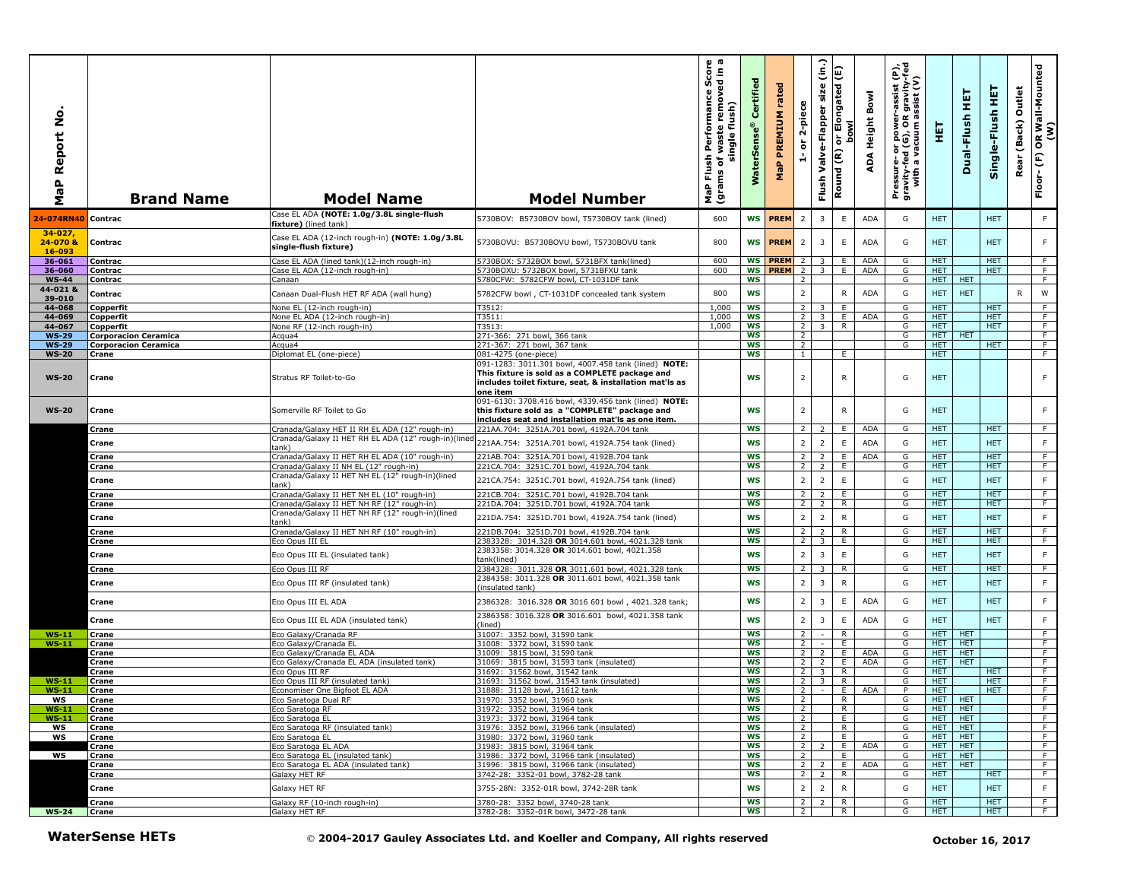| ۰<br>Ž<br>Report<br>a<br>G<br>Σ  | <b>Brand Name</b>             | <b>Model Name</b>                                                            | <b>Model Number</b>                                                                                                                                         | ish Performance Score<br>of waste removed in a<br>single flush)<br>Flush<br>ms of <sub>\</sub><br>MaP Flu<br>(grams | Certified<br><b>WaterSens</b> | rated<br>PREMIUM<br>MaP       | 2-piece<br>$\overleftarrow{\mathtt{o}}$<br>$\frac{1}{\sqrt{2}}$ | $\hat{a}$<br>size<br>Valve-Flapper<br>Flush        | E<br>or Elongated<br>bowl<br>$\widetilde{\epsilon}$<br>Round | ADA Height Bowl   | Pressure- or power-assist (P),<br>gravity-fed (G), OR gravity-fed<br>with a vacuum assist (V) | 핓                        | 펕<br>Dual-Flush          | Single-Flush HET         | Outlet<br>(Back)<br>Rear | OR Wall-Mounted<br>(W)<br>$\widehat{\mathbb{E}}$<br>Floor- |
|----------------------------------|-------------------------------|------------------------------------------------------------------------------|-------------------------------------------------------------------------------------------------------------------------------------------------------------|---------------------------------------------------------------------------------------------------------------------|-------------------------------|-------------------------------|-----------------------------------------------------------------|----------------------------------------------------|--------------------------------------------------------------|-------------------|-----------------------------------------------------------------------------------------------|--------------------------|--------------------------|--------------------------|--------------------------|------------------------------------------------------------|
| 24-074RN40                       | Contrac                       | Case EL ADA (NOTE: 1.0g/3.8L single-flush<br>fixture) (lined tank)           | 5730BOV: B5730BOV bowl, T5730BOV tank (lined)                                                                                                               | 600                                                                                                                 |                               | <b>WS PREM</b>                | $\overline{2}$                                                  | $\overline{\mathbf{3}}$                            | E                                                            | <b>ADA</b>        | G                                                                                             | <b>HET</b>               |                          | <b>HET</b>               |                          | F.                                                         |
| $34 - 027$<br>24-070 &<br>16-093 | Contrac                       | Case EL ADA (12-inch rough-in) (NOTE: 1.0g/3.8L<br>single-flush fixture)     | 5730BOVU: B5730BOVU bowl, T5730BOVU tank                                                                                                                    | 800                                                                                                                 | <b>WS</b>                     | <b>PREM</b>                   | $\overline{2}$                                                  | $\overline{3}$                                     | E                                                            | ADA               | G                                                                                             | <b>HET</b>               |                          | <b>HET</b>               |                          | F.                                                         |
| 36-061<br>36-060                 | Contrac<br>Contrac            | Case EL ADA (lined tank)(12-inch rough-in)<br>Case EL ADA (12-inch rough-in) | 5730BOX: 5732BOX bowl, 5731BFX tank(lined)<br>5730BOXU: 5732BOX bowl, 5731BFXU tank                                                                         | 600<br>600                                                                                                          |                               | WS <b>PREM</b> 2<br>WS PREM 2 |                                                                 | $\overline{3}$<br>$\overline{\mathbf{3}}$          | Ε.<br>E                                                      | ADA<br><b>ADA</b> | G<br>G                                                                                        | HET.<br><b>HET</b>       |                          | <b>HET</b><br><b>HET</b> |                          | F.<br>F                                                    |
| <b>WS-44</b>                     | Contrac                       | Canaan                                                                       | 5780CFW: 5782CFW bowl, CT-1031DF tank                                                                                                                       |                                                                                                                     | <b>WS</b>                     |                               | 2                                                               |                                                    |                                                              |                   | G                                                                                             | HET.                     | <b>HET</b>               |                          |                          | F                                                          |
| 44-021 &<br>39-010               | Contrac                       | Canaan Dual-Flush HET RF ADA (wall hung)                                     | 5782CFW bowl, CT-1031DF concealed tank system                                                                                                               | 800                                                                                                                 | <b>WS</b>                     |                               | $\overline{2}$                                                  |                                                    | R                                                            | <b>ADA</b>        | G                                                                                             | HET.                     | <b>HET</b>               |                          | R                        | W                                                          |
| 44-068                           | Copperfit                     | None EL (12-inch rough-in)                                                   | T3512:                                                                                                                                                      | 1,000                                                                                                               | <b>WS</b>                     |                               | 2                                                               | 3                                                  | E.                                                           |                   | G                                                                                             | <b>HET</b>               |                          | HET.                     |                          | F.                                                         |
| 44-069<br>44-067                 | Copperfit<br><b>Copperfit</b> | None EL ADA (12-inch rough-in)<br>None RF (12-inch rough-in)                 | T3511:<br>T3513:                                                                                                                                            | 1,000<br>1,000                                                                                                      | WS<br><b>WS</b>               |                               | $\overline{2}$<br>$\overline{2}$                                | $\overline{3}$<br>$\overline{3}$                   | E<br>$\overline{R}$                                          | <b>ADA</b>        | G<br>G                                                                                        | <b>HET</b><br><b>HET</b> |                          | <b>HET</b><br><b>HET</b> |                          | F.<br>$\overline{F}$                                       |
| <b>WS-29</b>                     | <b>Corporacion Ceramica</b>   | Acqua4                                                                       | 271-366: 271 bowl, 366 tank                                                                                                                                 |                                                                                                                     | ws                            |                               | $\overline{2}$                                                  |                                                    |                                                              |                   | G                                                                                             | HET.                     | <b>HET</b>               |                          |                          | F                                                          |
| <b>WS-29</b>                     | <b>Corporacion Ceramica</b>   | Acqua4                                                                       | 271-367: 271 bowl, 367 tank                                                                                                                                 |                                                                                                                     | <b>WS</b>                     |                               | $\overline{2}$                                                  |                                                    |                                                              |                   | G                                                                                             | <b>HET</b>               |                          | HET.                     |                          | F                                                          |
| <b>WS-20</b>                     | Crane                         | Diplomat EL (one-piece)                                                      | 081-4275 (one-piece)<br>091-1283: 3011.301 bowl, 4007.458 tank (lined) NOTE:                                                                                |                                                                                                                     | <b>WS</b>                     |                               | $\mathbf{1}$                                                    |                                                    | E.                                                           |                   |                                                                                               | HET.                     |                          |                          |                          | F.                                                         |
| <b>WS-20</b>                     | Crane                         | Stratus RF Toilet-to-Go                                                      | This fixture is sold as a COMPLETE package and<br>includes toilet fixture, seat, & installation mat'ls as<br>one item                                       |                                                                                                                     | <b>WS</b>                     |                               | $\overline{2}$                                                  |                                                    | R                                                            |                   | G                                                                                             | <b>HET</b>               |                          |                          |                          | F                                                          |
| <b>WS-20</b>                     | Crane                         | Somerville RF Toilet to Go                                                   | 091-6130: 3708.416 bowl, 4339.456 tank (lined) NOTE:<br>this fixture sold as a "COMPLETE" package and<br>includes seat and installation mat'ls as one item. |                                                                                                                     | WS                            |                               | $\overline{2}$                                                  |                                                    | R                                                            |                   | G                                                                                             | <b>HET</b>               |                          |                          |                          | F.                                                         |
|                                  | Crane                         | Cranada/Galaxy HET II RH EL ADA (12" rough-in)                               | 221AA.704: 3251A.701 bowl, 4192A.704 tank                                                                                                                   |                                                                                                                     | ws                            |                               | 2                                                               |                                                    | E.                                                           | ADA               | G                                                                                             | HET.                     |                          | HET.                     |                          | F.                                                         |
|                                  | Crane                         | Cranada/Galaxy II HET RH EL ADA (12" rough-in)(lined<br>tank)                | 221AA.754: 3251A.701 bowl, 4192A.754 tank (lined)                                                                                                           |                                                                                                                     | <b>WS</b>                     |                               | $\overline{2}$                                                  | $\overline{2}$                                     | $\mathsf E$                                                  | <b>ADA</b>        | G                                                                                             | <b>HET</b>               |                          | <b>HET</b>               |                          | F.                                                         |
|                                  | Crane                         | Cranada/Galaxy II HET RH EL ADA (10" rough-in)                               | 221AB.704: 3251A.701 bowl, 4192B.704 tank                                                                                                                   |                                                                                                                     | <b>WS</b>                     |                               | 2 <sup>1</sup>                                                  | $\overline{2}$                                     | E                                                            | <b>ADA</b>        | G                                                                                             | <b>HET</b>               |                          | HET.                     |                          | F                                                          |
|                                  | Crane                         | Cranada/Galaxy II NH EL (12" rough-in)                                       | 221CA.704: 3251C.701 bowl, 4192A.704 tank                                                                                                                   |                                                                                                                     | ws                            |                               | 2 <sup>1</sup>                                                  | $\overline{2}$                                     | E.                                                           |                   | G                                                                                             | HET.                     |                          | <b>HET</b>               |                          | F.                                                         |
|                                  | Crane                         | Cranada/Galaxy II HET NH EL (12" rough-in)(lined<br>tank)                    | 221CA.754: 3251C.701 bowl, 4192A.754 tank (lined)                                                                                                           |                                                                                                                     | <b>WS</b>                     |                               | $\overline{2}$                                                  | $\overline{2}$                                     | E                                                            |                   | G                                                                                             | <b>HET</b>               |                          | <b>HET</b>               |                          | F.                                                         |
|                                  | Crane                         | Cranada/Galaxy II HET NH EL (10" rough-in)                                   | 221CB.704: 3251C.701 bowl, 4192B.704 tank                                                                                                                   |                                                                                                                     | <b>WS</b>                     |                               | 2                                                               | $\overline{2}$                                     | E.                                                           |                   | G                                                                                             | <b>HET</b>               |                          | <b>HET</b>               |                          | F.                                                         |
|                                  | Crane                         | Cranada/Galaxy II HET NH RF (12" rough-in)                                   | 221DA.704: 3251D.701 bowl, 4192A.704 tank                                                                                                                   |                                                                                                                     | <b>WS</b>                     |                               | $\overline{2}$                                                  | $\overline{2}$                                     | $\overline{R}$                                               |                   | G                                                                                             | <b>HET</b>               |                          | <b>HET</b>               |                          | F                                                          |
|                                  | Crane                         | Cranada/Galaxy II HET NH RF (12" rough-in)(lined<br>:ank)                    | 221DA.754: 3251D.701 bowl, 4192A.754 tank (lined)                                                                                                           |                                                                                                                     | <b>WS</b>                     |                               | $\overline{2}$                                                  | $\overline{2}$                                     | $\mathsf{R}$                                                 |                   | G                                                                                             | <b>HET</b>               |                          | <b>HET</b>               |                          | F.                                                         |
|                                  | Crane                         | Cranada/Galaxy II HET NH RF (10" rough-in)                                   | 221DB.704: 3251D.701 bowl, 4192B.704 tank                                                                                                                   |                                                                                                                     | <b>WS</b>                     |                               | $\overline{2}$                                                  | $\overline{2}$                                     | R                                                            |                   | G                                                                                             | <b>HET</b>               |                          | <b>HET</b>               |                          | F.                                                         |
|                                  | Crane                         | Eco Opus III EL                                                              | 2383328: 3014.328 OR 3014.601 bowl, 4021.328 tank                                                                                                           |                                                                                                                     | <b>WS</b>                     |                               | $\overline{2}$                                                  | 3                                                  | E                                                            |                   | G                                                                                             | <b>HET</b>               |                          | HET.                     |                          | F                                                          |
|                                  | Crane                         | Eco Opus III EL (insulated tank)                                             | 2383358: 3014.328 OR 3014.601 bowl, 4021.358<br>tank(lined)                                                                                                 |                                                                                                                     | <b>WS</b>                     |                               | $\overline{2}$                                                  | $\overline{3}$                                     | E                                                            |                   | G                                                                                             | <b>HET</b>               |                          | <b>HET</b>               |                          | F.                                                         |
|                                  | Crane                         | Eco Opus III RF                                                              | 2384328: 3011.328 OR 3011.601 bowl, 4021.328 tank                                                                                                           |                                                                                                                     | <b>WS</b>                     |                               | $\overline{2}$                                                  | 3                                                  | R                                                            |                   | G                                                                                             | <b>HET</b>               |                          | <b>HET</b>               |                          | F                                                          |
|                                  | Crane                         | Eco Opus III RF (insulated tank)                                             | 2384358: 3011.328 OR 3011.601 bowl, 4021.358 tank                                                                                                           |                                                                                                                     | <b>WS</b>                     |                               | $\overline{2}$                                                  | $\overline{3}$                                     | R                                                            |                   | G                                                                                             | <b>HET</b>               |                          | <b>HET</b>               |                          | F                                                          |
|                                  | Crane                         | Eco Opus III EL ADA                                                          | (insulated tank)<br>2386328: 3016.328 OR 3016 601 bowl, 4021.328 tank;                                                                                      |                                                                                                                     | <b>WS</b>                     |                               | $\overline{2}$                                                  | $\overline{3}$                                     | E                                                            | <b>ADA</b>        | G                                                                                             | <b>HET</b>               |                          | <b>HET</b>               |                          | F                                                          |
|                                  |                               |                                                                              | 2386358: 3016.328 OR 3016.601 bowl, 4021.358 tank                                                                                                           |                                                                                                                     |                               |                               |                                                                 |                                                    |                                                              |                   |                                                                                               |                          |                          |                          |                          |                                                            |
|                                  | Crane                         | Eco Opus III EL ADA (insulated tank)                                         | (lined)                                                                                                                                                     |                                                                                                                     | <b>WS</b>                     |                               | $\overline{2}$                                                  | $\overline{3}$                                     | E                                                            | <b>ADA</b>        | G                                                                                             | <b>HET</b>               |                          | <b>HET</b>               |                          | F                                                          |
| $WS-11$<br><b>WS-11</b>          | Crane<br>Crane                | Eco Galaxy/Cranada RF<br>Eco Galaxy/Cranada EL                               | 31007: 3352 bowl, 31590 tank<br>31008: 3372 bowl, 31590 tank                                                                                                |                                                                                                                     | <b>WS</b><br><b>WS</b>        |                               | $\overline{2}$<br>$\overline{2}$                                | $\sim$                                             | R<br>E                                                       |                   | G<br>G                                                                                        | HET.<br>HET.             | <b>HET</b><br><b>HET</b> |                          |                          | F.<br>F                                                    |
|                                  | Crane                         | Eco Galaxy/Cranada EL ADA                                                    | 31009: 3815 bowl, 31590 tank                                                                                                                                |                                                                                                                     | <b>WS</b>                     |                               | $\overline{2}$                                                  | $\overline{2}$                                     | E.                                                           | <b>ADA</b>        | G                                                                                             | HET.                     | <b>HET</b>               |                          |                          | F.                                                         |
|                                  | Crane                         | Eco Galaxy/Cranada EL ADA (insulated tank)                                   | 31069: 3815 bowl, 31593 tank (insulated)                                                                                                                    |                                                                                                                     | ws                            |                               | $\overline{2}$                                                  | 2                                                  | E.                                                           | <b>ADA</b>        | G                                                                                             | HET.                     | <b>HET</b>               |                          |                          | F.                                                         |
| $WS-11$                          | Crane<br>Crane                | Eco Opus III RF<br>Eco Opus III RF (insulated tank)                          | 31692: 31562 bowl, 31542 tank<br>31693: 31562 bowl, 31543 tank (insulated)                                                                                  |                                                                                                                     | WS<br><b>WS</b>               |                               | $\overline{2}$<br>$\overline{2}$                                | $\overline{\mathbf{3}}$<br>$\overline{\mathbf{3}}$ | R<br>$\overline{R}$                                          |                   | G<br>G                                                                                        | <b>HET</b><br><b>HET</b> |                          | <b>HET</b><br>HET.       |                          | F.<br>F                                                    |
| <b>WS-11</b>                     | Crane                         | Economiser One Bigfoot EL ADA                                                | 31888: 31128 bowl, 31612 tank                                                                                                                               |                                                                                                                     | WS                            |                               | $\overline{2}$                                                  | $\sim$                                             | E.                                                           | ADA               | P                                                                                             | HET.                     |                          | HET.                     |                          | F                                                          |
| ws                               | Crane                         | Eco Saratoga Dual RF                                                         | 31970:   3352 bowl,  31960 tank                                                                                                                             |                                                                                                                     | ws                            |                               |                                                                 |                                                    | K.                                                           |                   | G                                                                                             | HEI HEI                  |                          |                          |                          | <b>F</b>                                                   |
| WS-11                            | Crane                         | Eco Saratoga RF                                                              | 31972: 3352 bowl, 31964 tank                                                                                                                                |                                                                                                                     | WS                            |                               | 2                                                               |                                                    | R.                                                           |                   | G                                                                                             | <b>HET</b>               | <b>HET</b>               |                          |                          | F                                                          |
| <b>WS-11</b><br>ws               | Crane<br>Crane                | Eco Saratoga EL<br>Eco Saratoga RF (insulated tank)                          | 31973: 3372 bowl, 31964 tank<br>31976: 3352 bowl, 31966 tank (insulated)                                                                                    |                                                                                                                     | ws<br>ws                      |                               | 2<br>$\overline{2}$                                             |                                                    | E.<br>R.                                                     |                   | G<br>G                                                                                        | HET.<br><b>HET</b>       | HET<br>HET               |                          |                          | F.<br>F                                                    |
| ws                               | Crane                         | Eco Saratoga EL                                                              | 31980: 3372 bowl, 31960 tank                                                                                                                                |                                                                                                                     | <b>WS</b>                     |                               | $\overline{2}$                                                  |                                                    | F                                                            |                   | G                                                                                             | HET.                     | <b>HET</b>               |                          |                          | F                                                          |
|                                  | Crane                         | Eco Saratoga EL ADA                                                          | 31983: 3815 bowl, 31964 tank                                                                                                                                |                                                                                                                     | ws                            |                               | $\overline{2}$                                                  | 2                                                  | E.                                                           | ADA               | G                                                                                             | HET.                     | <b>HET</b>               |                          |                          | F                                                          |
| ws                               | Crane                         | Eco Saratoga EL (insulated tank)<br>Eco Saratoga EL ADA (insulated tank)     | 31986: 3372 bowl, 31966 tank (insulated)<br>31996: 3815 bowl, 31966 tank (insulated)                                                                        |                                                                                                                     | WS<br><b>WS</b>               |                               | $\overline{2}$<br>$\overline{2}$                                |                                                    | Ε.<br>E.                                                     | ADA               | G<br>G                                                                                        | <b>HET</b><br>HET        | <b>HET</b><br><b>HET</b> |                          |                          | F<br>F                                                     |
|                                  | Crane<br>Crane                | Galaxy HET RF                                                                | 3742-28: 3352-01 bowl, 3782-28 tank                                                                                                                         |                                                                                                                     | <b>WS</b>                     |                               | 2 <sub>1</sub>                                                  | -2<br>2                                            | R                                                            |                   | G                                                                                             | HET.                     |                          | <b>HET</b>               |                          | F.                                                         |
|                                  | Crane                         | Galaxy HET RF                                                                | 3755-28N: 3352-01R bowl, 3742-28R tank                                                                                                                      |                                                                                                                     | WS                            |                               | $\overline{2}$                                                  | $\overline{2}$                                     | R                                                            |                   | G                                                                                             | <b>HET</b>               |                          | <b>HET</b>               |                          | F.                                                         |
|                                  | Crane                         | Galaxy RF (10-inch rough-in)                                                 | 3780-28: 3352 bowl, 3740-28 tank                                                                                                                            |                                                                                                                     | ws                            |                               | $\overline{2}$                                                  | 2                                                  | R                                                            |                   | G                                                                                             | <b>HET</b>               |                          | HET.                     |                          | F                                                          |
| <b>WS-24</b>                     | Crane                         | Galaxy HET RF                                                                | 3782-28: 3352-01R bowl, 3472-28 tank                                                                                                                        |                                                                                                                     | WS                            |                               | $\overline{2}$                                                  |                                                    | R.                                                           |                   | G                                                                                             | HET.                     |                          | HET.                     |                          | F                                                          |
|                                  | <b>WaterSense HETs</b>        |                                                                              | © 2004-2017 Gauley Associates Ltd. and Koeller and Company, All rights reserved                                                                             |                                                                                                                     |                               |                               |                                                                 |                                                    |                                                              |                   |                                                                                               |                          |                          | October 16, 2017         |                          |                                                            |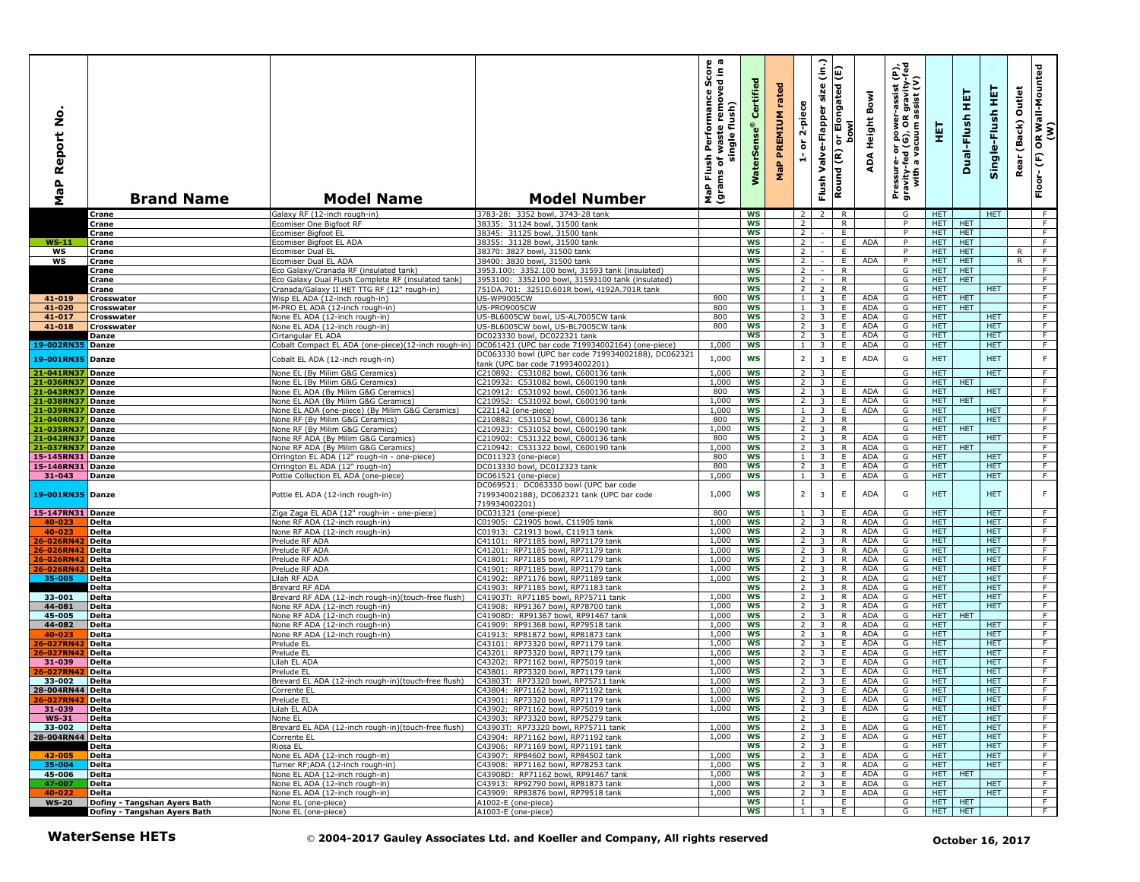| ş<br>Report<br>$\overline{\mathbf{e}}$<br>Σ | <b>Brand Name</b>            | <b>Model Name</b>                                                                                 | <b>Model Number</b>                                                                                  | ωω<br>rmance Scor<br>Performan<br>single flush)<br>waste<br>Flush<br>৳<br>(grams<br><b>P</b> | ertifi<br>terSens<br>Š | rated<br>PREMIUM<br>MaP | 2-piece<br>$\overleftarrow{\mathtt{o}}$<br>÷ | $\widehat{\mathsf{lin}}$<br>size<br>Valve-Flapper<br>Flush | ί<br>Elongated<br>bowl<br>ŏ<br>Round (R) | Bowl<br>Height<br>ADA    | Pressure- or power-assist (P),<br>gravity-fed (G), OR gravity-fed<br>with a vacuum assist (V) | 둊                        | 真<br>Dual-Flush    | 토<br>Single-Flush        | Outlet<br>(Back)<br>Rear | OR Wall-Mounted<br>(W)<br>$\mathop{\mathbb{E}}$<br>Floor- |
|---------------------------------------------|------------------------------|---------------------------------------------------------------------------------------------------|------------------------------------------------------------------------------------------------------|----------------------------------------------------------------------------------------------|------------------------|-------------------------|----------------------------------------------|------------------------------------------------------------|------------------------------------------|--------------------------|-----------------------------------------------------------------------------------------------|--------------------------|--------------------|--------------------------|--------------------------|-----------------------------------------------------------|
|                                             | Crane                        | Galaxy RF (12-inch rough-in)                                                                      | 3783-28: 3352 bowl, 3743-28 tanl                                                                     |                                                                                              | WS                     |                         | 2 <sup>1</sup>                               | $\overline{z}$                                             | $\mathsf{R}$                             |                          | G                                                                                             | <b>HET</b>               |                    | <b>HET</b>               |                          | $-F$                                                      |
|                                             | Crane                        | comiser One Bigfoot RF                                                                            | 38335: 31124 howl. 31500 tank                                                                        |                                                                                              | <b>WS</b>              |                         | $\overline{2}$                               |                                                            | R                                        |                          | P                                                                                             | HET.                     | HET.               |                          |                          | F                                                         |
| $WS-11$                                     | Crane<br>Crane               | Ecomiser Bigfoot EL<br>Ecomiser Bigfoot EL ADA                                                    | 38345: 31125 bowl, 31500 tank<br>38355: 31128 bowl, 31500 tank                                       |                                                                                              | ws<br><b>WS</b>        |                         | 2 <sup>1</sup><br>$\overline{2}$             |                                                            | E.<br>E                                  | ADA                      | P<br>P                                                                                        | HET.<br>HET.             | <b>HET</b><br>HET. |                          |                          | $\overline{F}$<br>F                                       |
| WS                                          | Crane                        | Ecomiser Dual EL                                                                                  | 38370: 3827 bowl, 31500 tank                                                                         |                                                                                              | <b>WS</b>              |                         | $\overline{2}$                               |                                                            | E.                                       |                          | P                                                                                             | HET.                     | <b>HET</b>         |                          | R                        | F.                                                        |
| ws                                          | Crane                        | comiser Dual EL ADA                                                                               | 38400: 3830 bowl, 31500 tank                                                                         |                                                                                              | <b>WS</b>              |                         | $\overline{2}$                               |                                                            | E                                        | <b>ADA</b>               | P                                                                                             | <b>HET</b>               | <b>HET</b>         |                          | R                        | $\overline{F}$                                            |
|                                             | Crane                        | Eco Galaxy/Cranada RF (insulated tank)                                                            | 3953.100: 3352.100 bowl, 31593 tank (insulated)                                                      |                                                                                              | <b>WS</b>              |                         | $\overline{2}$                               | $\sim$                                                     | $\overline{R}$                           |                          | G                                                                                             | HET.                     | <b>HET</b>         |                          |                          | F                                                         |
|                                             | Crane<br>Crane               | Eco Galaxy Dual Flush Complete RF (insulated tank)<br>Cranada/Galaxy II HET TTG RF (12" rough-in) | 3953100: 3352100 bowl, 31593100 tank (insulated)<br>751DA.701: 3251D.601R bowl, 4192A.701R tank      |                                                                                              | <b>WS</b><br>ws        |                         | $\overline{2}$<br>2 <sup>1</sup>             | $\sim$<br>$\overline{2}$                                   | $\mathsf{R}$<br>$\mathsf{R}$             |                          | G<br>G                                                                                        | HET<br>HET.              | HET                | HET.                     |                          | F<br>F                                                    |
| 41-019                                      | Crosswater                   | Wisp EL ADA (12-inch rough-in)                                                                    | <b>US-WP9005CW</b>                                                                                   | 800                                                                                          | <b>WS</b>              |                         | 1                                            | 3                                                          | E.                                       | <b>ADA</b>               | G                                                                                             | <b>HET</b>               | <b>HET</b>         |                          |                          | $\overline{F}$                                            |
| 41-020                                      | Crosswater                   | M-PRO EL ADA (12-inch rough-in)                                                                   | US-PRO9005CW                                                                                         | 800                                                                                          | <b>WS</b>              |                         | 1                                            | 3                                                          | E.                                       | <b>ADA</b>               | G                                                                                             | HET.                     | HET                |                          |                          | F                                                         |
| 41-017                                      | Crosswater                   | None EL ADA (12-inch rough-in)                                                                    | US-BL6005CW bowl, US-AL7005CW tank                                                                   | 800                                                                                          | <b>WS</b>              |                         | 2 <sup>1</sup>                               | 3                                                          | E.                                       | <b>ADA</b>               | G                                                                                             | HET.                     |                    | <b>HET</b>               |                          | F                                                         |
| 41-018                                      | Crosswater<br>Danze          | None EL ADA (12-inch rough-in)<br>Cirtangular EL ADA                                              | US-BL6005CW bowl, US-BL7005CW tank<br>DC023330 bowl, DC022321 tank                                   | 800                                                                                          | <b>WS</b><br><b>WS</b> |                         | $\overline{2}$<br>$\overline{2}$             | $\overline{\mathbf{3}}$<br>3                               | E<br>E.                                  | <b>ADA</b><br><b>ADA</b> | G<br>G                                                                                        | <b>HET</b><br>HET.       |                    | <b>HET</b><br><b>HET</b> |                          | $\overline{F}$<br>$\overline{F}$                          |
| 19-002RN35 Danze                            |                              | Cobalt Compact EL ADA (one-piece)(12-inch rough-in)                                               | DC061421 (UPC bar code 719934002164) (one-piece)                                                     | 1,000                                                                                        | <b>WS</b>              |                         | 1 <sup>1</sup>                               | 3                                                          | E                                        | <b>ADA</b>               | G                                                                                             | HET.                     |                    | HET.                     |                          | F                                                         |
| 19-001RN35 Danze                            |                              | Cobalt EL ADA (12-inch rough-in)                                                                  | DC063330 bowl (UPC bar code 719934002188), DC062321                                                  | 1,000                                                                                        | <b>WS</b>              |                         | $\overline{2}$                               | $\overline{\mathbf{3}}$                                    | $\mathsf E$                              | <b>ADA</b>               | G                                                                                             | <b>HET</b>               |                    | <b>HET</b>               |                          | F                                                         |
|                                             |                              |                                                                                                   | tank (UPC bar code 719934002201)<br>C210892: C531082 bowl, C600136 tank                              |                                                                                              |                        |                         |                                              |                                                            |                                          |                          |                                                                                               |                          |                    |                          |                          |                                                           |
| 21-041RN37 Danze<br>21-036RN37              | Danze                        | None EL (By Milim G&G Ceramics)<br>Vone EL (By Milim G&G Ceramics)                                | C210932: C531082 bowl, C600190 tank                                                                  | 1.000<br>1,000                                                                               | <b>WS</b><br>WS        |                         | $\overline{2}$<br>$\overline{2}$             | 3<br>$\overline{3}$                                        | E<br>E                                   |                          | G<br>G                                                                                        | HET.<br><b>HET</b>       | <b>HET</b>         | HET.                     |                          | F<br>F.                                                   |
| 21-043RN37                                  | Danze                        | None EL ADA (By Milim G&G Ceramics)                                                               | C210912: C531092 bowl, C600136 tank                                                                  | 800                                                                                          | WS                     |                         | $\overline{2}$                               | $\overline{\mathbf{3}}$                                    | E.                                       | <b>ADA</b>               | G                                                                                             | HET.                     |                    | <b>HET</b>               |                          | F                                                         |
| 21-038RN37                                  | Danze                        | Vone EL ADA (By Milim G&G Ceramics)                                                               | C210952: C531092 bowl, C600190 tank                                                                  | 1,000                                                                                        | WS                     |                         | 2 <sup>1</sup>                               | 3                                                          | E.                                       | <b>ADA</b>               | G                                                                                             | HET                      | <b>HET</b>         |                          |                          | F.                                                        |
| 21-039RN37                                  | Danze                        | None EL ADA (one-piece) (By Milim G&G Ceramics)                                                   | C221142 (one-piece)                                                                                  | 1,000<br>800                                                                                 | WS<br><b>WS</b>        |                         | 1<br>2 <sup>1</sup>                          | 3                                                          | E.<br>R                                  | <b>ADA</b>               | G                                                                                             | HET.<br>HET.             |                    | HET.<br>HET.             |                          | F<br>F                                                    |
| 21-040RN37<br>21-035RN37                    | Danze<br><b>Danze</b>        | None RF (By Milim G&G Ceramics)<br>None RF (By Milim G&G Ceramics)                                | C210882: C531052 bowl, C600136 tank<br>C210923: C531052 bowl, C600190 tank                           | 1,000                                                                                        | ws                     |                         | 2 <sup>1</sup>                               | 3<br>$\overline{\mathbf{3}}$                               | R                                        |                          | G<br>G                                                                                        | HET.                     | <b>HET</b>         |                          |                          | F.                                                        |
| 21-042RN37                                  | Danze                        | None RF ADA (By Milim G&G Ceramics)                                                               | C210902: C531322 bowl, C600136 tank                                                                  | 800                                                                                          | WS                     |                         | 2 <sup>1</sup>                               | $\overline{\mathbf{3}}$                                    | R                                        | <b>ADA</b>               | G                                                                                             | <b>HET</b>               |                    | <b>HET</b>               |                          | F                                                         |
| 21-037RN37                                  | Danze                        | None RF ADA (By Milim G&G Ceramics)                                                               | 2210942: C531322 bowl, C600190 tank                                                                  | 1,000                                                                                        | <b>WS</b>              |                         | $\overline{2}$                               | $\overline{\mathbf{3}}$                                    | $\mathsf{R}$                             | <b>ADA</b>               | G                                                                                             | HET.                     | HET.               |                          |                          | F                                                         |
| 15-145RN31 Danze                            |                              | Orrington EL ADA (12" rough-in - one-piece)                                                       | DC011323 (one-piece)                                                                                 | 800<br>800                                                                                   | WS<br>WS               |                         | 1<br>2 <sup>1</sup>                          | 3                                                          | E.<br>E.                                 | <b>ADA</b><br><b>ADA</b> | G<br>G                                                                                        | HET.<br>HET.             |                    | HET.<br><b>HET</b>       |                          | F<br>$\overline{F}$                                       |
| 15-146RN31 Danze<br>31-043                  | Danze                        | Orrington EL ADA (12" rough-in)<br>Pottie Collection EL ADA (one-piece)                           | DC013330 bowl, DC012323 tank<br>DC061521 (one-piece)                                                 | 1,000                                                                                        | <b>WS</b>              |                         | 1 <sup>1</sup>                               | 3<br>$\overline{\mathbf{3}}$                               | E                                        | <b>ADA</b>               | G                                                                                             | <b>HET</b>               |                    | <b>HET</b>               |                          | F                                                         |
| 19-001RN35 Danze                            |                              | Pottie EL ADA (12-inch rough-in)                                                                  | DC069521: DC063330 bowl (UPC bar code<br>719934002188), DC062321 tank (UPC bar code<br>719934002201) | 1,000                                                                                        | ws                     |                         | $\overline{2}$                               | 3                                                          | E                                        | <b>ADA</b>               | G                                                                                             | <b>HET</b>               |                    | <b>HET</b>               |                          | F.                                                        |
| 15-147RN31 Danze<br>40-023                  |                              | Ziga Zaga EL ADA (12" rough-in - one-piece)<br>None RF ADA (12-inch rough-in)                     | DC031321 (one-piece)<br>C01905: C21905 bowl, C11905 tank                                             | 800<br>1.000                                                                                 | <b>WS</b><br><b>WS</b> |                         | 1 <sub>1</sub><br>2 <sup>1</sup>             | 3<br>3                                                     | E.<br>R                                  | <b>ADA</b><br>ADA        | G<br>G                                                                                        | HET.<br>HET.             |                    | HET.<br>HET.             |                          | F.<br>F                                                   |
| 40-023                                      | Delta<br>Delta               | None RF ADA (12-inch rough-in)                                                                    | C01913: C21913 bowl, C11913 tank                                                                     | 1,000                                                                                        | <b>WS</b>              |                         | $\overline{2}$                               | $\overline{\mathbf{3}}$                                    | R.                                       | <b>ADA</b>               | G                                                                                             | <b>HET</b>               |                    | <b>HET</b>               |                          | $\overline{F}$                                            |
| 26-026RN4                                   | Delta                        | Prelude RF ADA                                                                                    | C41101: RP71185 bowl, RP71179 tank                                                                   | 1,000                                                                                        | <b>WS</b>              |                         | 2 <sup>1</sup>                               | 3                                                          | R                                        | <b>ADA</b>               | G                                                                                             | HET.                     |                    | HET.                     |                          | F.                                                        |
| 26-026RN42                                  | <b>Delta</b>                 | Prelude RF ADA                                                                                    | C41201: RP71185 bowl, RP71179 tank                                                                   | 1,000                                                                                        | <b>WS</b>              |                         | 2 <sup>1</sup>                               | 3                                                          | R                                        | <b>ADA</b>               | G                                                                                             | HET.                     |                    | HET.                     |                          | F                                                         |
| 26-026RN42<br>26-026RN42                    | Delta<br>Delta               | Prelude RF ADA<br>Prelude RF ADA                                                                  | C41801: RP71185 bowl, RP71179 tank<br>C41901: RP71185 bowl, RP71179 tank                             | 1,000<br>1,000                                                                               | <b>WS</b><br><b>WS</b> |                         | $\overline{2}$<br>$\overline{2}$             | $\overline{3}$<br>$\overline{\mathbf{3}}$                  | R.<br>R                                  | <b>ADA</b><br><b>ADA</b> | G<br>G                                                                                        | <b>HET</b><br>HET.       |                    | <b>HET</b><br><b>HET</b> |                          | $\overline{F}$<br>$\overline{F}$                          |
| 35-005                                      | <b>Delta</b>                 | ilah RF ADA                                                                                       | 241902: RP71176 bowl, RP71189 tank                                                                   | 1,000                                                                                        | <b>WS</b>              |                         | 2 <sup>1</sup>                               | 3                                                          | R                                        | <b>ADA</b>               | G                                                                                             | HET.                     |                    | HET.                     |                          | F                                                         |
|                                             | Delta                        | Brevard RF ADA                                                                                    | C41903: RP71185 bowl, RP71183 tank                                                                   |                                                                                              | <b>WS</b>              |                         | 2 <sup>1</sup>                               | 3                                                          | R                                        | <b>ADA</b>               | G                                                                                             | HET.                     |                    | HET.                     |                          | F                                                         |
| 33-001                                      | Delta                        | Brevard RF ADA (12-inch rough-in)(touch-free flush)                                               | C41903T: RP71185 bowl, RP75711 tank                                                                  | 1,000                                                                                        | <b>WS</b>              |                         | 2 <sup>1</sup>                               | 3                                                          | R.                                       | <b>ADA</b>               | G                                                                                             | <b>HET</b>               |                    | <b>HET</b>               |                          | F.                                                        |
| 44-081<br>45-005                            | Delta<br><b>Delta</b>        | None RF ADA (12-inch rough-in)<br>None RF ADA (12-inch rough-in)                                  | C41908: RP91367 bowl, RP78700 tank<br>C41908D: RP91367 bowl, RP91467 tank                            | 1.000<br>1,000                                                                               | <b>WS</b><br>WS        |                         | $\overline{2}$<br>2 <sup>1</sup>             | 3<br>$\overline{\mathbf{3}}$                               | R<br>$\mathsf{R}$                        | <b>ADA</b><br><b>ADA</b> | G<br>G                                                                                        | HET.<br>HET              | <b>HET</b>         | HET.                     |                          | F.<br>F                                                   |
| 44-082                                      | Delta                        | None RF ADA (12-inch rough-in)                                                                    | C41909: RP91368 bowl, RP79518 tank                                                                   | 1,000                                                                                        | WS                     |                         | $\overline{2}$                               | 3                                                          | R                                        | <b>ADA</b>               | G                                                                                             | HET.                     |                    | <b>HET</b>               |                          | F                                                         |
| 40-023                                      | Delta                        | None RF ADA (12-inch rough-in)                                                                    | C41913: RP81872 bowl, RP81873 tank                                                                   | 1,000                                                                                        | WS                     |                         | 2 <sup>1</sup>                               | 3                                                          | R.                                       | ADA                      | G                                                                                             | HET.                     |                    | <b>HET</b>               |                          | $\overline{F}$                                            |
| 26-027RN42<br>26-027RN42                    | Delta                        | Prelude EL                                                                                        | C43101: RP73320 bowl, RP71179 tank<br>C43201: RP73320 bowl, RP71179 tank                             | 1,000<br>1,000                                                                               | WS<br><b>WS</b>        |                         | $2^{\circ}$<br>2 <sup>1</sup>                | $\overline{\mathbf{3}}$                                    | E<br>E.                                  | <b>ADA</b><br><b>ADA</b> | G<br>G                                                                                        | HET.<br>HET.             |                    | HET.<br>HET.             |                          | F<br>F                                                    |
| 31-039                                      | Delta<br>Delta               | Prelude EL<br>ilah EL ADA                                                                         | C43202: RP71162 bowl, RP75019 tank                                                                   | 1,000                                                                                        | ws                     |                         | 2 <sup>1</sup>                               | 3<br>3                                                     | E.                                       | ADA                      | G                                                                                             | HET.                     |                    | <b>HET</b>               |                          | F.                                                        |
| 26-027RN42                                  | Delta                        | Prelude EL                                                                                        | C43801: RP73320 bowl, RP71179 tank                                                                   | 1,000                                                                                        | WS                     |                         | 2 <sup>1</sup>                               | $\overline{\mathbf{3}}$                                    | E                                        | <b>ADA</b>               | G                                                                                             | <b>HET</b>               |                    | <b>HET</b>               |                          | F                                                         |
| 33-002                                      | Delta                        | Brevard EL ADA (12-inch rough-in)(touch-free flush)                                               | C43803T: RP73320 bowl, RP75711 tank                                                                  | 1,000                                                                                        | <b>WS</b>              |                         | $\overline{2}$                               | $\overline{\mathbf{3}}$                                    | E                                        | <b>ADA</b>               | G                                                                                             | HET.                     |                    | HET.                     |                          | F                                                         |
| 28-004RN44 Delta<br>26-027RN42   Delta      |                              | Corrente EL<br>Prelude EL                                                                         | C43804: RP71162 bowl, RP71192 tank<br>:43901:  RP73320 bowl, RP71179 tank                            | 1,000<br>1,000                                                                               | ws<br>ws               |                         | $2^{\circ}$                                  | 3 <sup>7</sup>                                             | E.                                       | <b>ADA</b><br>3 E ADA    | G<br>G                                                                                        | HET.<br>HEI              |                    | HET.<br>HEI              |                          | F.                                                        |
| 31-039 Delta                                |                              | Lilah EL ADA                                                                                      | C43902: RP71162 bowl, RP75019 tank                                                                   | 1,000                                                                                        | <b>WS</b>              |                         | 2 <sup>1</sup>                               | 3 <sup>1</sup>                                             | E                                        | ADA                      | G                                                                                             | <b>HET</b>               |                    | HET.                     |                          | $-$ F                                                     |
| $WS-31$                                     | Delta                        | None EL                                                                                           | C43903: RP73320 bowl, RP75279 tank                                                                   |                                                                                              | ws                     |                         | 2 <sup>1</sup>                               |                                                            | E.                                       |                          | G                                                                                             | HET.                     |                    | HET.                     |                          | F                                                         |
| 33-002                                      | <b>Delta</b>                 | Brevard EL ADA (12-inch rough-in)(touch-free flush)                                               | C43903T: RP73320 bowl, RP75711 tank                                                                  | 1,000                                                                                        | ws                     |                         | $2^{\prime}$                                 | 3 <sup>1</sup>                                             | E.                                       | ADA                      | G                                                                                             | HET.                     |                    | <b>HET</b>               |                          | $\overline{F}$                                            |
| 28-004RN44 Delta                            | Delta                        | Corrente EL<br>Riosa EL                                                                           | C43904: RP71162 bowl, RP71192 tank<br>C43906: RP71169 bowl, RP71191 tank                             | 1,000                                                                                        | WS<br>WS               |                         | $2^{\circ}$                                  | $2 \mid 3 \mid$<br>3 <sup>1</sup>                          | E<br>E.                                  | ADA                      | G<br>G                                                                                        | HET.<br>HET.             |                    | HET.<br>HET.             |                          | F<br>F.                                                   |
| 42-005                                      | Delta                        | None EL ADA (12-inch rough-in)                                                                    | C43907: RP84602 bowl, RP84502 tank                                                                   | 1,000                                                                                        | ws                     |                         |                                              | $2 \mid 3 \mid$                                            | E.                                       | <b>ADA</b>               | G                                                                                             | HET.                     |                    | HET.                     |                          | F.                                                        |
| 35-004                                      | <b>Delta</b>                 | Turner RF;ADA (12-inch rough-in)                                                                  | C43908: RP71162 bowl, RP78253 tank                                                                   | 1,000                                                                                        | ws                     |                         |                                              | $2 \mid 3$                                                 | R.                                       | ADA                      | G                                                                                             | <b>HET</b>               |                    | <b>HET</b>               |                          | $\overline{F}$                                            |
| 45-006                                      | Delta                        | None EL ADA (12-inch rough-in)                                                                    | C43908D: RP71162 bowl, RP91467 tank                                                                  | 1,000                                                                                        | ws                     |                         |                                              | $2 \mid 3$                                                 | E                                        | ADA                      | G                                                                                             | <b>HET</b>               | <b>HET</b>         |                          |                          | F.                                                        |
| 47-007<br>40-022                            | Delta<br><b>Delta</b>        | None EL ADA (12-inch rough-in)<br>None EL ADA (12-inch rough-in)                                  | C43913: RP92790 bowl, RP81873 tank<br>C43909: RP83876 bowl, RP79518 tank                             | 1,000<br>1,000                                                                               | ws<br><b>WS</b>        |                         | $2^{\circ}$                                  | 3 <sup>7</sup><br>$2 \mid 3 \mid$                          | E.<br>E.                                 | ADA<br>ADA               | G<br>G                                                                                        | <b>HET</b><br><b>HET</b> |                    | <b>HET</b><br><b>HET</b> |                          | F<br>ਾਸ                                                   |
| <b>WS-20</b>                                | Dofiny - Tangshan Ayers Bath | None EL (one-piece)                                                                               | A1002-E (one-piece)                                                                                  |                                                                                              | ws                     |                         | 1                                            |                                                            | E.                                       |                          | G                                                                                             | HET                      | HET                |                          |                          | $\overline{F}$                                            |
|                                             | Dofiny - Tangshan Ayers Bath | None EL (one-piece)                                                                               | A1003-E (one-piece)                                                                                  |                                                                                              | <b>WS</b>              |                         | $1 \quad$                                    | $\overline{\mathbf{3}}$                                    | E.                                       |                          | G                                                                                             | HET                      | <b>HET</b>         |                          |                          | F                                                         |
|                                             | <b>WaterSense HETs</b>       |                                                                                                   | © 2004-2017 Gauley Associates Ltd. and Koeller and Company, All rights reserved                      |                                                                                              |                        |                         |                                              |                                                            |                                          |                          |                                                                                               |                          | October 16, 2017   |                          |                          |                                                           |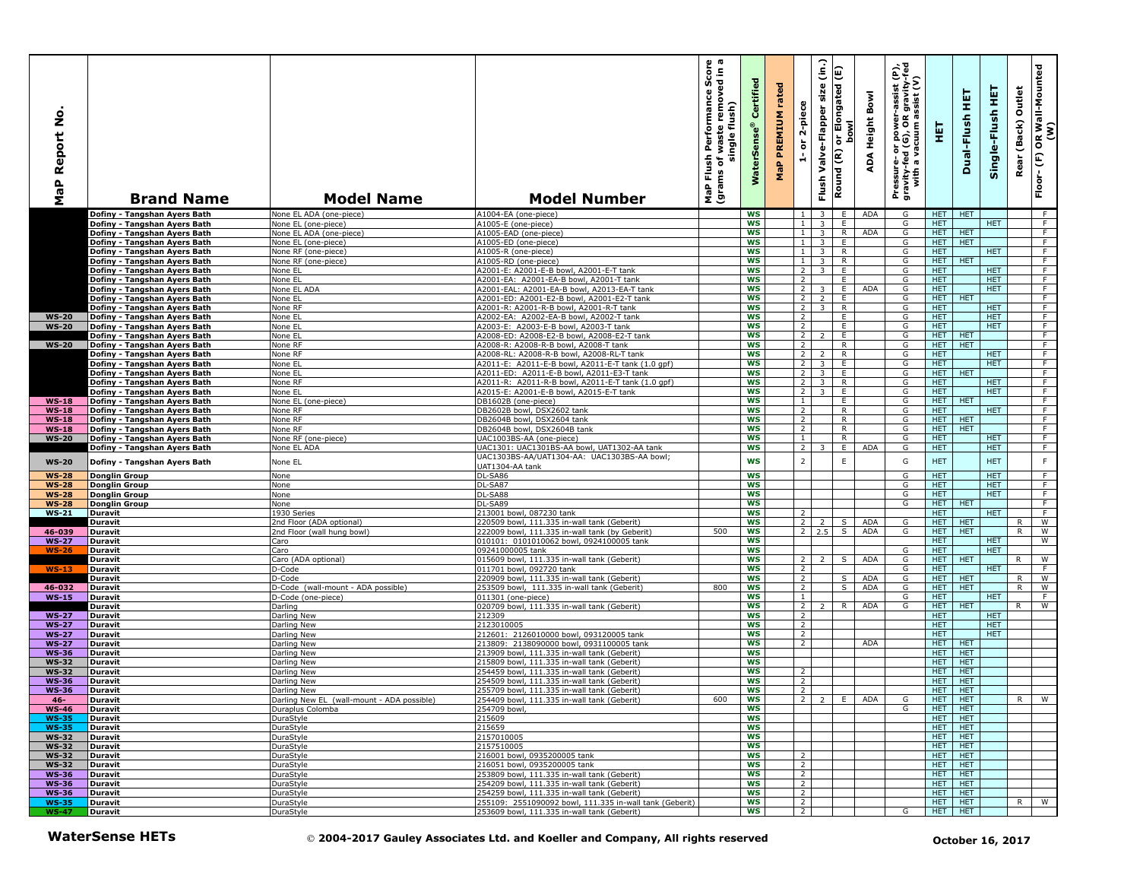| å<br>Report<br>MaP           | <b>Brand Name</b>                                            | <b>Model Name</b>                                      | <b>Model Number</b>                                                                            | ā<br>Score<br>٤.<br>waste removed<br>Performance<br>single flush)<br>Flush<br>٥t<br>(grams<br>MaP | Certified<br><b>WaterSens</b> | rated<br>PREMIUM<br>MaP | 2-piece<br>$\overleftarrow{\mathtt{o}}$<br>ă | $\hat{c}$<br>or Elongated (E)<br>size<br>Valve-Flapper<br>Round (R)<br>Flush | <b>bowl</b>  | Bowl<br>Height<br>ADA | Pressure- or power-a<br>gravity-fed (G), OR g<br>with a vacuum ass | 핓                        | 틡<br>Dual-Flush          | 뜊<br>Single-Flush        | Outlet<br>(Back)<br>Rear | OR Wall-Mounted<br>(W)<br>$\mathop{\mathbb{E}}$<br>Floor- |
|------------------------------|--------------------------------------------------------------|--------------------------------------------------------|------------------------------------------------------------------------------------------------|---------------------------------------------------------------------------------------------------|-------------------------------|-------------------------|----------------------------------------------|------------------------------------------------------------------------------|--------------|-----------------------|--------------------------------------------------------------------|--------------------------|--------------------------|--------------------------|--------------------------|-----------------------------------------------------------|
|                              | Dofiny - Tangshan Ayers Bath                                 | None EL ADA (one-piece)                                | A1004-EA (one-piece)                                                                           |                                                                                                   | <b>WS</b>                     |                         | $\overline{1}$                               | $\overline{3}$                                                               | E.           | ADA                   | G                                                                  | HET.                     | <b>HET</b>               |                          |                          | - F                                                       |
|                              | Dofiny - Tangshan Ayers Bath                                 | None EL (one-piece)                                    | A1005-E (one-piece)                                                                            |                                                                                                   | <b>WS</b>                     |                         | $\mathbf{1}$                                 | $\overline{3}$                                                               | E.           | <b>ADA</b>            | G                                                                  | HET.<br><b>HET</b>       |                          | HET.                     |                          | F.<br>$\overline{F}$                                      |
|                              | Dofiny - Tangshan Ayers Bath<br>Dofiny - Tangshan Ayers Bath | None EL ADA (one-piece)<br>None EL (one-piece)         | A1005-EAD (one-piece)<br>A1005-ED (one-piece)                                                  |                                                                                                   | WS<br><b>WS</b>               |                         | $\mathbf{1}$<br>$\mathbf{1}$                 | $\overline{3}$<br>$\overline{\mathbf{3}}$                                    | R<br>E       |                       | G<br>G                                                             | <b>HET</b>               | <b>HET</b><br><b>HET</b> |                          |                          | F                                                         |
|                              | Dofiny - Tangshan Ayers Bath                                 | None RF (one-piece)                                    | A1005-R (one-piece)                                                                            |                                                                                                   | <b>WS</b>                     |                         | 1 <sup>1</sup>                               | $\overline{3}$                                                               | R            |                       | G                                                                  | HET.                     |                          | <b>HET</b>               |                          | F                                                         |
|                              | Dofiny - Tangshan Ayers Bath                                 | None RF (one-piece)                                    | A1005-RD (one-piece)                                                                           |                                                                                                   | <b>WS</b>                     |                         | $\mathbf{1}$                                 | $\overline{\mathbf{3}}$                                                      | R            |                       | G                                                                  | <b>HET</b>               | <b>HET</b>               |                          |                          | $\overline{F}$                                            |
|                              | Dofiny - Tangshan Ayers Bath                                 | None EL                                                | A2001-E: A2001-E-B bowl, A2001-E-T tank                                                        |                                                                                                   | <b>WS</b>                     |                         | $\overline{2}$                               | $\overline{3}$                                                               | E            |                       | G                                                                  | <b>HET</b>               |                          | <b>HET</b><br><b>HET</b> |                          | F<br>F                                                    |
|                              | Dofiny - Tangshan Ayers Bath<br>Dofiny - Tangshan Ayers Bath | None EL<br>None EL ADA                                 | A2001-EA: A2001-EA-B bowl, A2001-T tank<br>A2001-EAL: A2001-EA-B bowl, A2013-EA-T tank         |                                                                                                   | <b>WS</b><br>ws               |                         | $\overline{2}$<br>2 <sup>1</sup>             | 3                                                                            | E.<br>E      | <b>ADA</b>            | G<br>G                                                             | HET.<br>HET.             |                          | HET.                     |                          | F.                                                        |
|                              | Dofiny - Tangshan Ayers Bath                                 | None EL                                                | A2001-ED: A2001-E2-B bowl, A2001-E2-T tank                                                     |                                                                                                   | <b>WS</b>                     |                         | $\overline{2}$                               | $\overline{2}$                                                               | E            |                       | G                                                                  | <b>HET</b>               | <b>HET</b>               |                          |                          | $\overline{F}$                                            |
|                              | Dofiny - Tangshan Ayers Bath                                 | None RF                                                | A2001-R: A2001-R-B bowl, A2001-R-T tank                                                        |                                                                                                   | <b>WS</b>                     |                         | 2 <sup>1</sup>                               | $\overline{\mathbf{3}}$                                                      | R            |                       | G                                                                  | <b>HET</b>               |                          | <b>HET</b>               |                          | F                                                         |
| <b>WS-20</b>                 | Dofiny - Tangshan Ayers Bath                                 | None EL                                                | A2002-EA: A2002-EA-B bowl, A2002-T tank                                                        |                                                                                                   | <b>WS</b>                     |                         | $\overline{2}$                               |                                                                              | E.<br>E      |                       | G                                                                  | <b>HET</b><br><b>HET</b> |                          | <b>HET</b><br><b>HET</b> |                          | F.<br>$\overline{F}$                                      |
| <b>WS-20</b>                 | Dofiny - Tangshan Ayers Bath<br>Dofiny - Tangshan Avers Bath | None EL<br>None EL                                     | A2003-E: A2003-E-B bowl, A2003-T tank<br>A2008-ED: A2008-E2-B bowl, A2008-E2-T tank            |                                                                                                   | <b>WS</b><br><b>WS</b>        |                         | $\overline{2}$<br>2 <sup>1</sup>             | $\mathcal{L}$                                                                | E            |                       | G<br>G                                                             | <b>HET</b>               | <b>HET</b>               |                          |                          | $\overline{F}$                                            |
| <b>WS-20</b>                 | Dofiny - Tangshan Ayers Bath                                 | None RF                                                | A2008-R: A2008-R-B bowl, A2008-T tank                                                          |                                                                                                   | <b>WS</b>                     |                         | 2                                            |                                                                              | $\mathsf{R}$ |                       | G                                                                  | HET.                     | <b>HET</b>               |                          |                          | F                                                         |
|                              | Dofiny - Tangshan Ayers Bath                                 | None RF                                                | A2008-RL: A2008-R-B bowl, A2008-RL-T tank                                                      |                                                                                                   | <b>WS</b>                     |                         | $\overline{2}$                               | $\overline{\phantom{0}}$                                                     | R            |                       | G                                                                  | <b>HET</b>               |                          | <b>HET</b>               |                          | F.                                                        |
|                              | Dofiny - Tangshan Ayers Bath                                 | None EL                                                | A2011-E: A2011-E-B bowl, A2011-E-T tank (1.0 qpf)                                              |                                                                                                   | <b>WS</b>                     |                         | $\overline{2}$                               | 3                                                                            | E.           |                       | G                                                                  | <b>HET</b>               |                          | <b>HET</b>               |                          | $\overline{F}$                                            |
|                              | Dofiny - Tangshan Ayers Bath<br>Dofiny - Tangshan Ayers Bath | None EL<br>None RF                                     | A2011-ED: A2011-E-B bowl, A2011-E3-T tank<br>A2011-R: A2011-R-B bowl, A2011-E-T tank (1.0 qpf) |                                                                                                   | <b>WS</b><br>WS               |                         | $\overline{2}$<br>$\overline{2}$             | 3<br>$\overline{3}$                                                          | E.<br>R      |                       | G<br>G                                                             | HET.<br><b>HET</b>       | <b>HET</b>               | <b>HET</b>               |                          | F.<br>F                                                   |
|                              | Dofiny - Tangshan Ayers Bath                                 | None EL                                                | A2015-E: A2001-E-B bowl, A2015-E-T tank                                                        |                                                                                                   | <b>WS</b>                     |                         | $\overline{2}$                               | $\overline{\mathbf{3}}$                                                      | Ε            |                       | G                                                                  | <b>HET</b>               |                          | <b>HET</b>               |                          | F                                                         |
| $WS-18$                      | Dofiny - Tangshan Ayers Bath                                 | None EL (one-piece)                                    | DB1602B (one-piece)                                                                            |                                                                                                   | WS                            |                         | $\mathbf{1}$                                 |                                                                              | E.           |                       | G                                                                  | HET                      | <b>HET</b>               |                          |                          | $\overline{F}$                                            |
| <b>WS-18</b>                 | Dofiny - Tangshan Ayers Bath                                 | None RF                                                | DB2602B bowl, DSX2602 tank                                                                     |                                                                                                   | <b>WS</b>                     |                         | $\overline{2}$                               |                                                                              | R.           |                       | G                                                                  | HET.                     |                          | <b>HET</b>               |                          | F                                                         |
| $WS-18$                      | Dofiny - Tangshan Ayers Bath                                 | None RF<br>None RF                                     | DB2604B bowl, DSX2604 tank<br>DB2604B bowl, DSX2604B tank                                      |                                                                                                   | <b>WS</b><br>WS               |                         | $\overline{2}$                               |                                                                              | R<br>R       |                       | G<br>G                                                             | HET.<br>HET.             | <b>HET</b><br><b>HET</b> |                          |                          | F<br>$\overline{F}$                                       |
| $WS-18$<br><b>WS-20</b>      | Dofiny - Tangshan Ayers Bath<br>Dofiny - Tangshan Ayers Bath | None RF (one-piece)                                    | UAC1003BS-AA (one-piece)                                                                       |                                                                                                   | <b>WS</b>                     |                         | $\overline{2}$<br>$\mathbf{1}$               |                                                                              | R            |                       | G                                                                  | <b>HET</b>               |                          | <b>HET</b>               |                          | F                                                         |
|                              | Dofiny - Tangshan Ayers Bath                                 | None EL ADA                                            | UAC1301: UAC1301BS-AA bowl, UAT1302-AA tank                                                    |                                                                                                   | <b>WS</b>                     |                         | $\overline{2}$                               | 3                                                                            | E            | <b>ADA</b>            | G                                                                  | <b>HET</b>               |                          | <b>HET</b>               |                          | F                                                         |
| <b>WS-20</b>                 | Dofiny - Tangshan Ayers Bath                                 | None EL                                                | UAC1303BS-AA/UAT1304-AA: UAC1303BS-AA bowl;                                                    |                                                                                                   | WS                            |                         | $\overline{2}$                               |                                                                              | $\mathsf E$  |                       | G                                                                  | <b>HET</b>               |                          | <b>HET</b>               |                          | $\mathsf F$                                               |
| <b>WS-28</b>                 | <b>Donglin Group</b>                                         | None                                                   | JAT1304-AA tank<br>DL-SA86                                                                     |                                                                                                   | <b>WS</b>                     |                         |                                              |                                                                              |              |                       | G                                                                  | <b>HET</b>               |                          | <b>HET</b>               |                          | F                                                         |
| <b>WS-28</b>                 | <b>Donglin Group</b>                                         | None                                                   | DL-SA87                                                                                        |                                                                                                   | <b>WS</b>                     |                         |                                              |                                                                              |              |                       | G                                                                  | <b>HET</b>               |                          | <b>HET</b>               |                          | F                                                         |
| <b>WS-28</b>                 | <b>Donglin Group</b>                                         | None                                                   | DL-SA88                                                                                        |                                                                                                   | <b>WS</b>                     |                         |                                              |                                                                              |              |                       | G                                                                  | <b>HET</b>               |                          | <b>HET</b>               |                          | $\overline{F}$                                            |
| <b>WS-28</b>                 | <b>Donglin Group</b>                                         | None                                                   | DL-SA89                                                                                        |                                                                                                   | <b>WS</b>                     |                         |                                              |                                                                              |              |                       | G                                                                  | <b>HET</b>               | <b>HET</b>               |                          |                          | F                                                         |
| $WS-21$                      | <b>Duravit</b>                                               | 1930 Series                                            | 213001 bowl, 087230 tank                                                                       |                                                                                                   | <b>WS</b><br>WS               |                         | 2<br>$2^{\circ}$                             | $\overline{2}$                                                               | S            | <b>ADA</b>            | G                                                                  | HET.<br>HET.             | <b>HET</b>               | <b>HET</b>               |                          | F<br>W                                                    |
| 46-039                       | Duravit<br>Duravit                                           | 2nd Floor (ADA optional)<br>2nd Floor (wall hung bowl) | 220509 bowl, 111.335 in-wall tank (Geberit)<br>222009 bowl, 111.335 in-wall tank (by Geberit)  | 500                                                                                               | <b>WS</b>                     |                         |                                              | $2 \quad 2.5$                                                                | $\mathsf{s}$ | ADA                   | G                                                                  | <b>HET</b>               | <b>HET</b>               |                          | R<br>R.                  | W                                                         |
| <b>WS-27</b>                 | <b>Duravit</b>                                               | Caro                                                   | 010101: 0101010062 bowl, 0924100005 tank                                                       |                                                                                                   | <b>WS</b>                     |                         |                                              |                                                                              |              |                       |                                                                    | <b>HET</b>               |                          | <b>HET</b>               |                          | W                                                         |
| <b>WS-26</b>                 | <b>Duravit</b>                                               | Caro                                                   | 09241000005 tank                                                                               |                                                                                                   | <b>WS</b>                     |                         |                                              |                                                                              |              |                       | G                                                                  | <b>HET</b>               |                          | HET.                     |                          |                                                           |
|                              | Duravit                                                      | Caro (ADA optional)                                    | 015609 bowl, 111.335 in-wall tank (Geberit)                                                    |                                                                                                   | <b>WS</b>                     |                         | $\overline{2}$                               | $\overline{z}$                                                               | $\mathsf{s}$ | <b>ADA</b>            | G                                                                  | <b>HET</b>               | <b>HET</b>               |                          |                          | W                                                         |
| $WS-13$                      | <b>Duravit</b><br>Duravit                                    | D-Code<br>D-Code                                       | 011701 bowl, 092720 tank<br>220909 bowl, 111.335 in-wall tank (Geberit)                        |                                                                                                   | <b>WS</b><br><b>WS</b>        |                         | 2<br>2                                       |                                                                              | S            | <b>ADA</b>            | G<br>G                                                             | <b>HET</b><br>HET.       | <b>HET</b>               | <b>HET</b>               | R                        | F<br>W                                                    |
| 46-032                       | <b>Duravit</b>                                               | D-Code (wall-mount - ADA possible)                     | 253509 bowl, 111.335 in-wall tank (Geberit)                                                    | 800                                                                                               | <b>WS</b>                     |                         | $\overline{2}$                               |                                                                              | S.           | ADA                   | G                                                                  | HET.                     | <b>HET</b>               |                          | $\overline{R}$           | W                                                         |
| $WS-15$                      | <b>Duravit</b>                                               | D-Code (one-piece)                                     | 011301 (one-piece)                                                                             |                                                                                                   | <b>WS</b>                     |                         | $\mathbf{1}$                                 |                                                                              |              |                       | G                                                                  | <b>HET</b>               |                          | <b>HET</b>               |                          | $\overline{F}$                                            |
|                              | Duravit                                                      | Darling                                                | 020709 bowl, 111.335 in-wall tank (Geberit)                                                    |                                                                                                   | <b>WS</b>                     |                         | $\overline{2}$                               |                                                                              | $\mathsf{R}$ | <b>ADA</b>            | G                                                                  | HET.                     | <b>HET</b>               |                          | R                        | W                                                         |
| <b>WS-27</b><br><b>WS-27</b> | <b>Duravit</b>                                               | Darling New                                            | 212309<br>2123010005                                                                           |                                                                                                   | <b>WS</b><br><b>WS</b>        |                         | $\overline{2}$<br>$\overline{2}$             |                                                                              |              |                       |                                                                    | <b>HET</b><br><b>HET</b> |                          | <b>HET</b><br><b>HET</b> |                          |                                                           |
| <b>WS-27</b>                 | Duravit<br><b>Duravit</b>                                    | Darling New<br>Darling New                             | 212601: 2126010000 bowl, 093120005 tank                                                        |                                                                                                   | WS                            |                         | $\overline{2}$                               |                                                                              |              |                       |                                                                    | HET.                     |                          | <b>HET</b>               |                          |                                                           |
| <b>WS-27</b>                 | <b>Duravit</b>                                               | Darling New                                            | 213809: 2138090000 bowl, 0931100005 tank                                                       |                                                                                                   | <b>WS</b>                     |                         | $\overline{2}$                               |                                                                              |              | ADA                   |                                                                    | HET.                     | <b>HET</b>               |                          |                          |                                                           |
| <b>WS-36</b>                 | <b>Duravit</b>                                               | Darling New                                            | 213909 bowl, 111.335 in-wall tank (Geberit)                                                    |                                                                                                   | <b>WS</b>                     |                         |                                              |                                                                              |              |                       |                                                                    | HET.                     | <b>HET</b>               |                          |                          |                                                           |
| <b>WS-32</b>                 | <b>Duravit</b>                                               | Darling New                                            | 215809 bowl, 111.335 in-wall tank (Geberit)                                                    |                                                                                                   | WS                            |                         |                                              |                                                                              |              |                       |                                                                    | HET.                     | <b>HET</b>               |                          |                          |                                                           |
| <b>WS-32</b><br><b>WS-36</b> | <b>Duravit</b><br>Duravit                                    | Darling New<br>Darling New                             | 254459 bowl, 111.335 in-wall tank (Geberit)<br>254509 bowl, 111.335 in-wall tank (Geberit)     |                                                                                                   | WS<br><b>WS</b>               |                         | $\overline{2}$<br>$\overline{2}$             |                                                                              |              |                       |                                                                    | HET.<br>HET.             | <b>HET</b><br><b>HET</b> |                          |                          |                                                           |
| <b>WS-36</b>                 | <b>Duravit</b>                                               | Darling New                                            | 255709 bowl, 111.335 in-wall tank (Geberit)                                                    |                                                                                                   | WS                            |                         | $\overline{2}$                               |                                                                              |              |                       |                                                                    | HET.                     | <b>HET</b>               |                          |                          |                                                           |
| - 46 -                       | Duravit                                                      | Darling New EL (wall-mount - ADA possible)             | 254409 bowl, 111.335 in-wall tank (Geberit)                                                    | <b>600</b>                                                                                        | ws                            |                         | $\mathcal{L}_{\mathcal{L}}$                  | 2 E                                                                          |              |                       | G                                                                  | HEI HEI                  |                          |                          |                          | R I W                                                     |
| WS-46 Duravit                |                                                              | Duraplus Colomba                                       | 254709 bowl,                                                                                   |                                                                                                   | WS<br>ws                      |                         |                                              |                                                                              |              |                       | G                                                                  | HET HET<br>HET   HET     |                          |                          |                          |                                                           |
| <b>WS-35</b><br><b>WS-35</b> | Duravit<br><b>Duravit</b>                                    | DuraStyle<br>DuraStyle                                 | 215609<br>215659                                                                               |                                                                                                   | WS                            |                         |                                              |                                                                              |              |                       |                                                                    | HET   HET                |                          |                          |                          |                                                           |
| <b>WS-32</b>                 | Duravit                                                      | DuraStyle                                              | 2157010005                                                                                     |                                                                                                   | <b>WS</b>                     |                         |                                              |                                                                              |              |                       |                                                                    | HET HET                  |                          |                          |                          |                                                           |
| <b>WS-32</b>                 | Duravit                                                      | DuraStyle                                              | 2157510005                                                                                     |                                                                                                   | ws                            |                         |                                              |                                                                              |              |                       |                                                                    |                          | HET HET                  |                          |                          |                                                           |
| <b>WS-32</b>                 | Duravit                                                      | DuraStyle                                              | 216001 bowl, 0935200005 tank                                                                   |                                                                                                   | ws                            |                         | $\overline{2}$                               |                                                                              |              |                       |                                                                    |                          | HET HET                  |                          |                          |                                                           |
| <b>WS-32</b><br><b>WS-36</b> | Duravit<br>Duravit                                           | DuraStyle<br>DuraStyle                                 | 216051 bowl, 0935200005 tank<br>253809 bowl, 111.335 in-wall tank (Geberit)                    |                                                                                                   | ws<br><b>WS</b>               |                         | $\overline{2}$<br>2                          |                                                                              |              |                       |                                                                    | HET HET<br>HET   HET     |                          |                          |                          |                                                           |
| <b>WS-36</b>                 | Duravit                                                      | DuraStyle                                              | 254209 bowl, 111.335 in-wall tank (Geberit)                                                    |                                                                                                   | WS                            |                         | $\overline{2}$                               |                                                                              |              |                       |                                                                    | HET   HET                |                          |                          |                          |                                                           |
| <b>WS-36</b>                 | Duravit                                                      | DuraStyle                                              | 254259 bowl, 111.335 in-wall tank (Geberit)                                                    |                                                                                                   | <b>WS</b>                     |                         | $\overline{2}$                               |                                                                              |              |                       |                                                                    | HET HET                  |                          |                          |                          |                                                           |
| <b>WS-35</b>                 | Duravit                                                      | DuraStyle                                              | 255109: 2551090092 bowl, 111.335 in-wall tank (Geberit)                                        |                                                                                                   | ws                            |                         | $\overline{2}$                               |                                                                              |              |                       |                                                                    | HET HET                  |                          |                          |                          | R W                                                       |
| <b>WS-47</b>                 | Duravit                                                      | DuraStyle                                              | 253609 bowl, 111.335 in-wall tank (Geberit)                                                    |                                                                                                   | <b>WS</b>                     |                         | $\overline{2}$                               |                                                                              |              |                       | G                                                                  | HET   HET                |                          |                          |                          |                                                           |
|                              | <b>WaterSense HETs</b>                                       |                                                        | © 2004-2017 Gauley Associates Ltd. and Koeller and Company, All rights reserved                |                                                                                                   |                               |                         |                                              |                                                                              |              |                       |                                                                    |                          | October 16, 2017         |                          |                          |                                                           |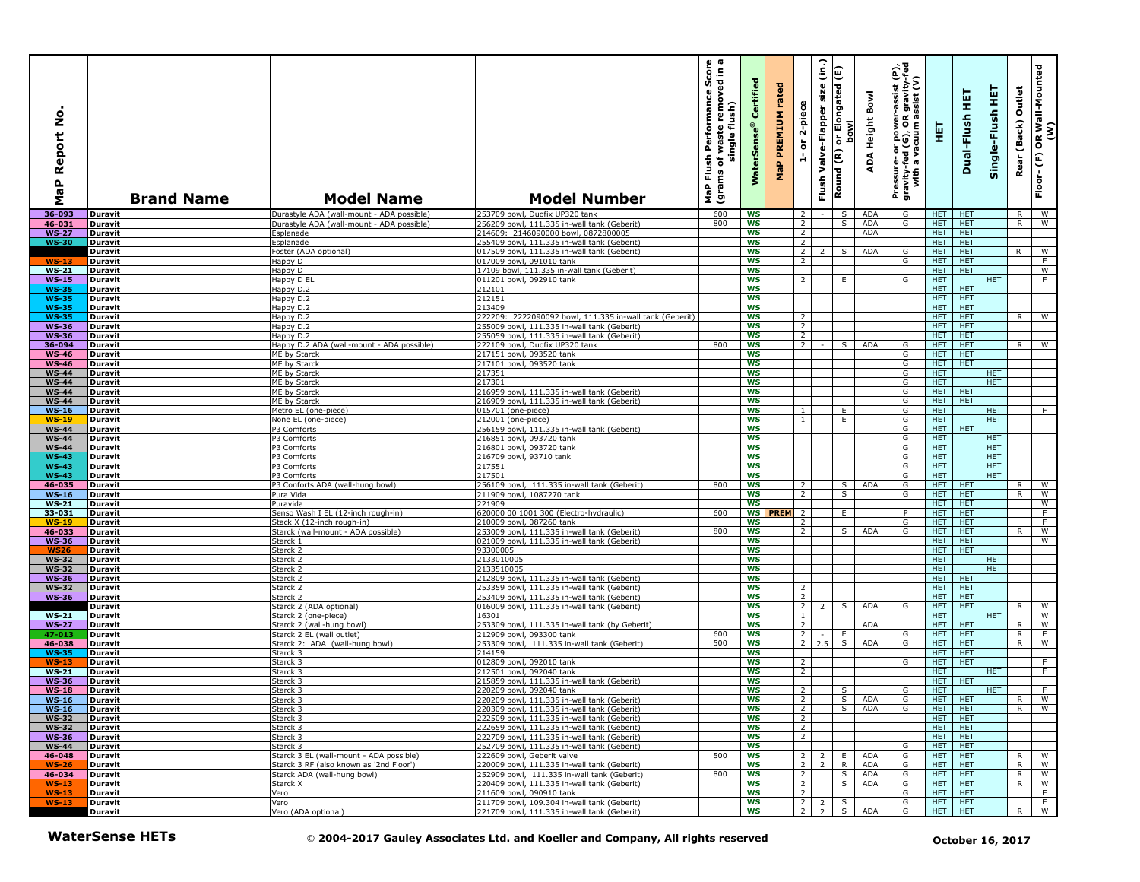| $\circ$<br>z<br>eport<br>≃<br>$\mathbf{r}$<br>œ<br>Σ | <b>Brand Name</b>                | <b>Model Name</b>                                                | <b>Model Number</b>                                                                        | ωm<br>rmance Score<br>removed in a<br>Performan<br>flush)<br>waste<br>single<br>Flush<br>৳<br>(grams<br>NaP | Certified<br><b>WaterSens</b> | rated<br>PREMIUM<br>$\mathbf{a}$<br>운 | 2-piece<br>$\overleftarrow{\mathtt{o}}$<br>÷ | $\widehat{\epsilon}$<br>size<br>Valve-Flapper<br>Flush | Elongated (E)<br><b>bowl</b><br>ð<br>Round (R) | Bowl<br>Height<br>∢<br>ą | $\hat{\mathbf{e}}$<br>R gravity-f<br>assist (V)<br>assist<br>ad (G), OR<br>vacuum as<br>or power-<br>d (G), OR<br>Pressure- oi<br>gravity-fed<br>with a va | 듚                        | 핖<br>Dual-Flush          | 뿦<br>Single-Flush  | Outlet<br>(Back)<br>Rear | OR Wall-Mounted<br>(W)<br>$\widehat{\mathbf{f}}$<br>Floor- |
|------------------------------------------------------|----------------------------------|------------------------------------------------------------------|--------------------------------------------------------------------------------------------|-------------------------------------------------------------------------------------------------------------|-------------------------------|---------------------------------------|----------------------------------------------|--------------------------------------------------------|------------------------------------------------|--------------------------|------------------------------------------------------------------------------------------------------------------------------------------------------------|--------------------------|--------------------------|--------------------|--------------------------|------------------------------------------------------------|
| $36 - 093$                                           | Duravit                          | Durastyle ADA (wall-mount - ADA possible)                        | 253709 bowl, Duofix UP320 tank                                                             | 600                                                                                                         | WS                            |                                       | $\overline{2}$                               |                                                        | S I                                            | ADA                      | G                                                                                                                                                          | HET HET                  |                          |                    | R.                       | l W                                                        |
| 46-031                                               | Duravit                          | Durastyle ADA (wall-mount - ADA possible)                        | 256209 bowl, 111.335 in-wall tank (Geberit)                                                | 800                                                                                                         | <b>WS</b>                     |                                       | $\overline{2}$                               |                                                        | S.                                             | ADA                      | G                                                                                                                                                          | HET.                     | <b>HET</b>               |                    | R                        | W                                                          |
| <b>WS-27</b><br><b>WS-30</b>                         | <b>Duravit</b><br>Duravit        | Esplanade<br>Esplanade                                           | 214609: 2146090000 bowl, 0872800005<br>255409 bowl, 111.335 in-wall tank (Geberit)         |                                                                                                             | WS<br><b>WS</b>               |                                       | $\overline{2}$<br>2                          |                                                        |                                                | ADA                      |                                                                                                                                                            | HET.<br>HET.             | <b>HET</b><br><b>HET</b> |                    |                          |                                                            |
|                                                      | <b>Duravit</b>                   | Foster (ADA optional)                                            | 017509 bowl, 111.335 in-wall tank (Geberit)                                                |                                                                                                             | WS                            |                                       | $\overline{2}$                               | $\overline{2}$                                         | S                                              | ADA                      | G                                                                                                                                                          | HET.                     | <b>HET</b>               |                    | R                        | W                                                          |
| $WS-13$                                              | <b>Duravit</b>                   | Happy D                                                          | 017009 bowl, 091010 tank                                                                   |                                                                                                             | <b>WS</b>                     |                                       | $\overline{2}$                               |                                                        |                                                |                          | G                                                                                                                                                          | HET.                     | <b>HET</b>               |                    |                          | $\overline{F}$                                             |
| $WS-21$                                              | <b>Duravit</b>                   | Happy D                                                          | 17109 bowl, 111.335 in-wall tank (Geberit)                                                 |                                                                                                             | <b>WS</b>                     |                                       |                                              |                                                        |                                                |                          |                                                                                                                                                            | <b>HET</b>               | <b>HET</b>               |                    |                          | W                                                          |
| $WS-15$<br><b>WS-35</b>                              | <b>Duravit</b><br><b>Duravit</b> | Happy D EL<br>Happy D.2                                          | 011201 bowl, 092910 tank<br>212101                                                         |                                                                                                             | <b>WS</b><br><b>WS</b>        |                                       | $\overline{2}$                               |                                                        | E                                              |                          | G                                                                                                                                                          | HET.<br>HET.             | <b>HET</b>               | <b>HET</b>         |                          | F                                                          |
| <b>WS-35</b>                                         | Duravit                          | Happy D.2                                                        | 212151                                                                                     |                                                                                                             | <b>WS</b>                     |                                       |                                              |                                                        |                                                |                          |                                                                                                                                                            | <b>HET</b>               | <b>HET</b>               |                    |                          |                                                            |
| <b>WS-35</b>                                         | <b>Duravit</b>                   | Happy D.2                                                        | 213409                                                                                     |                                                                                                             | <b>WS</b>                     |                                       |                                              |                                                        |                                                |                          |                                                                                                                                                            | <b>HET</b>               | <b>HET</b>               |                    |                          |                                                            |
| <b>WS-35</b>                                         | <b>Duravit</b>                   | Happy D.2                                                        | 222209: 22222090092 bowl, 111.335 in-wall tank (Geberit)                                   |                                                                                                             | <b>WS</b>                     |                                       | $\overline{2}$                               |                                                        |                                                |                          |                                                                                                                                                            | HET.                     | <b>HET</b>               |                    | R                        | W                                                          |
| <b>WS-36</b><br><b>WS-36</b>                         | Duravit<br><b>Duravit</b>        | Happy D.2<br>Happy D.2                                           | 255009 bowl, 111.335 in-wall tank (Geberit)<br>255059 bowl, 111.335 in-wall tank (Geberit) |                                                                                                             | <b>WS</b><br><b>WS</b>        |                                       | $\overline{2}$<br>$\overline{2}$             |                                                        |                                                |                          |                                                                                                                                                            | <b>HET</b><br><b>HET</b> | <b>HET</b><br><b>HET</b> |                    |                          |                                                            |
| 36-094                                               | <b>Duravit</b>                   | Happy D.2 ADA (wall-mount - ADA possible)                        | 222109 bowl, Duofix UP320 tank                                                             | 800                                                                                                         | <b>WS</b>                     |                                       | 2                                            |                                                        | S.                                             | <b>ADA</b>               | G                                                                                                                                                          | HET.                     | <b>HET</b>               |                    | R.                       | <b>W</b>                                                   |
| <b>WS-46</b>                                         | <b>Duravit</b>                   | ME by Starck                                                     | 217151 bowl, 093520 tank                                                                   |                                                                                                             | <b>WS</b>                     |                                       |                                              |                                                        |                                                |                          | G                                                                                                                                                          | HET.                     | <b>HET</b>               |                    |                          |                                                            |
| <b>WS-46</b>                                         | <b>Duravit</b>                   | ME by Starck                                                     | 217101 bowl, 093520 tank                                                                   |                                                                                                             | <b>WS</b>                     |                                       |                                              |                                                        |                                                |                          | G                                                                                                                                                          | <b>HET</b>               | <b>HET</b>               |                    |                          |                                                            |
| <b>WS-44</b><br><b>WS-44</b>                         | <b>Duravit</b>                   | ME by Starck                                                     | 217351<br>217301                                                                           |                                                                                                             | <b>WS</b><br><b>WS</b>        |                                       |                                              |                                                        |                                                |                          | G<br>G                                                                                                                                                     | HET.<br><b>HET</b>       |                          | HET.<br><b>HET</b> |                          |                                                            |
| <b>WS-44</b>                                         | <b>Duravit</b><br><b>Duravit</b> | ME by Starck<br>ME by Starck                                     | 216959 bowl, 111.335 in-wall tank (Geberit)                                                |                                                                                                             | <b>WS</b>                     |                                       |                                              |                                                        |                                                |                          | G                                                                                                                                                          | HET.                     | <b>HET</b>               |                    |                          |                                                            |
| $WS-44$                                              | <b>Duravit</b>                   | ME by Starck                                                     | 216909 bowl, 111.335 in-wall tank (Geberit)                                                |                                                                                                             | WS                            |                                       |                                              |                                                        |                                                |                          | G                                                                                                                                                          | HET                      | <b>HET</b>               |                    |                          |                                                            |
| <b>WS-16</b>                                         | Duravit                          | Metro EL (one-piece)                                             | 015701 (one-piece)                                                                         |                                                                                                             | <b>WS</b>                     |                                       | $\mathbf{1}$                                 |                                                        | E                                              |                          | G                                                                                                                                                          | HET.                     |                          | <b>HET</b>         |                          | F                                                          |
| $WS-19$                                              | <b>Duravit</b>                   | None EL (one-piece)                                              | 212001 (one-piece)                                                                         |                                                                                                             | <b>WS</b>                     |                                       | $\mathbf{1}$                                 |                                                        | E.                                             |                          | G                                                                                                                                                          | <b>HET</b>               |                          | <b>HET</b>         |                          |                                                            |
| <b>WS-44</b><br><b>WS-44</b>                         | <b>Duravit</b><br>Duravit        | P3 Comforts<br>P3 Comforts                                       | 256159 bowl, 111.335 in-wall tank (Geberit)<br>216851 bowl, 093720 tank                    |                                                                                                             | WS<br><b>WS</b>               |                                       |                                              |                                                        |                                                |                          | G<br>G                                                                                                                                                     | HET.<br><b>HET</b>       | <b>HET</b>               | <b>HET</b>         |                          |                                                            |
| <b>WS-44</b>                                         | Duravit                          | P3 Comforts                                                      | 216801 bowl, 093720 tank                                                                   |                                                                                                             | <b>WS</b>                     |                                       |                                              |                                                        |                                                |                          | G                                                                                                                                                          | <b>HET</b>               |                          | <b>HET</b>         |                          |                                                            |
| <b>WS-43</b>                                         | <b>Duravit</b>                   | P3 Comforts                                                      | 216709 bowl, 93710 tank                                                                    |                                                                                                             | <b>WS</b>                     |                                       |                                              |                                                        |                                                |                          | G                                                                                                                                                          | HET.                     |                          | HET.               |                          |                                                            |
| <b>WS-43</b>                                         | Duravit                          | P3 Comforts                                                      | 217551                                                                                     |                                                                                                             | ws                            |                                       |                                              |                                                        |                                                |                          | G                                                                                                                                                          | <b>HET</b>               |                          | HET.               |                          |                                                            |
| <b>WS-43</b><br>46-035                               | Duravit<br>Duravit               | P3 Comforts<br>P3 Conforts ADA (wall-hung bowl)                  | 217501<br>256109 bowl, 111.335 in-wall tank (Geberit)                                      | 800                                                                                                         | <b>WS</b><br><b>WS</b>        |                                       | 2                                            |                                                        | S                                              | ADA                      | G<br>G                                                                                                                                                     | <b>HET</b><br>HET.       | <b>HET</b>               | HET.               | R.                       | W                                                          |
| <b>WS-16</b>                                         | Duravit                          | Pura Vida                                                        | 211909 bowl, 1087270 tank                                                                  |                                                                                                             | <b>WS</b>                     |                                       | 2                                            |                                                        | $\mathsf{s}$                                   |                          | G                                                                                                                                                          | <b>HET</b>               | <b>HET</b>               |                    | R.                       | $\overline{w}$                                             |
| <b>WS-21</b>                                         | <b>Duravit</b>                   | Puravida                                                         | 221909                                                                                     |                                                                                                             | <b>WS</b>                     |                                       |                                              |                                                        |                                                |                          |                                                                                                                                                            | HET.                     | <b>HET</b>               |                    |                          | $\overline{w}$                                             |
| 33-031                                               | <b>Duravit</b>                   | Senso Wash I EL (12-inch rough-in)                               | 620000 00 1001 300 (Electro-hydraulic)                                                     | 600                                                                                                         |                               | WS PREM 2                             |                                              |                                                        | E                                              |                          | P                                                                                                                                                          | HET.                     | <b>HET</b>               |                    |                          | F                                                          |
| <b>WS-19</b><br>46-033                               | <b>Duravit</b><br>Duravit        | Stack X (12-inch rough-in)<br>Starck (wall-mount - ADA possible) | 210009 bowl, 087260 tank<br>253009 bowl, 111.335 in-wall tank (Geberit)                    | 800                                                                                                         | <b>WS</b><br><b>WS</b>        |                                       | 2<br>$\overline{2}$                          |                                                        | S -                                            | <b>ADA</b>               | G<br>G                                                                                                                                                     | HET.<br><b>HET</b>       | <b>HET</b><br><b>HET</b> |                    | R.                       | F<br>$\overline{w}$                                        |
| <b>WS-36</b>                                         | <b>Duravit</b>                   | Starck 1                                                         | 021009 bowl, 111.335 in-wall tank (Geberit)                                                |                                                                                                             | <b>WS</b>                     |                                       |                                              |                                                        |                                                |                          |                                                                                                                                                            | HET.                     | <b>HET</b>               |                    |                          | W                                                          |
| <b>WS26</b>                                          | <b>Duravit</b>                   | Starck 2                                                         | 93300005                                                                                   |                                                                                                             | <b>WS</b>                     |                                       |                                              |                                                        |                                                |                          |                                                                                                                                                            | HET.                     | <b>HET</b>               |                    |                          |                                                            |
| <b>WS-32</b>                                         | <b>Duravit</b>                   | Starck 2                                                         | 2133010005                                                                                 |                                                                                                             | <b>WS</b>                     |                                       |                                              |                                                        |                                                |                          |                                                                                                                                                            | HET                      |                          | <b>HET</b>         |                          |                                                            |
| <b>WS-32</b>                                         | Duravit                          | Starck 2                                                         | 2133510005                                                                                 |                                                                                                             | <b>WS</b>                     |                                       |                                              |                                                        |                                                |                          |                                                                                                                                                            | <b>HET</b>               |                          | <b>HET</b>         |                          |                                                            |
| <b>WS-36</b><br><b>WS-32</b>                         | <b>Duravit</b><br><b>Duravit</b> | Starck 2<br>Starck 2                                             | 212809 bowl, 111.335 in-wall tank (Geberit)<br>253359 bowl, 111.335 in-wall tank (Geberit) |                                                                                                             | <b>WS</b><br><b>WS</b>        |                                       | $\overline{2}$                               |                                                        |                                                |                          |                                                                                                                                                            | HET.<br>HET.             | <b>HET</b><br><b>HET</b> |                    |                          |                                                            |
| <b>WS-36</b>                                         | <b>Duravit</b>                   | Starck 2                                                         | 253409 bowl, 111.335 in-wall tank (Geberit)                                                |                                                                                                             | <b>WS</b>                     |                                       | 2                                            |                                                        |                                                |                          |                                                                                                                                                            | <b>HET</b>               | <b>HET</b>               |                    |                          |                                                            |
|                                                      | <b>Duravit</b>                   | Starck 2 (ADA optional)                                          | 016009 bowl, 111.335 in-wall tank (Geberit)                                                |                                                                                                             | <b>WS</b>                     |                                       | 2                                            | 2                                                      | S.                                             | <b>ADA</b>               | G                                                                                                                                                          | HET.                     | <b>HET</b>               |                    | R                        | W                                                          |
| <b>WS-21</b>                                         | <b>Duravit</b>                   | Starck 2 (one-piece)                                             | 16301                                                                                      |                                                                                                             | <b>WS</b>                     |                                       | $\mathbf{1}$                                 |                                                        |                                                |                          |                                                                                                                                                            | <b>HET</b>               |                          | <b>HET</b>         |                          | $\overline{\mathsf{w}}$                                    |
| <b>WS-27</b><br>47-013                               | <b>Duravit</b><br><b>Duravit</b> | Starck 2 (wall-hung bowl)<br>Starck 2 EL (wall outlet)           | 253309 bowl, 111.335 in-wall tank (by Geberit)<br>212909 bowl, 093300 tank                 | 600                                                                                                         | <b>WS</b><br>WS               |                                       | $\overline{2}$<br>$\overline{2}$             | $\sim$                                                 | E.                                             | ADA                      | G                                                                                                                                                          | HET.<br>HET.             | <b>HET</b><br><b>HET</b> |                    | R.<br>R.                 | <b>W</b><br>$\overline{F}$                                 |
| 46-038                                               | <b>Duravit</b>                   | Starck 2: ADA (wall-hung bowl)                                   | 253309 bowl, 111.335 in-wall tank (Geberit)                                                | 500                                                                                                         | <b>WS</b>                     |                                       |                                              | $2 \quad 2.5$ S                                        |                                                | <b>ADA</b>               | G                                                                                                                                                          | HET.                     | <b>HET</b>               |                    | R.                       | W                                                          |
| <b>WS-35</b>                                         | <b>Duravit</b>                   | Starck 3                                                         | 214159                                                                                     |                                                                                                             | ws                            |                                       |                                              |                                                        |                                                |                          |                                                                                                                                                            | HET.                     | <b>HET</b>               |                    |                          |                                                            |
| $WS-13$                                              | <b>Duravit</b>                   | Starck 3                                                         | 012809 bowl, 092010 tank                                                                   |                                                                                                             | WS                            |                                       | $\overline{2}$                               |                                                        |                                                |                          | G                                                                                                                                                          | <b>HET</b>               | <b>HET</b>               |                    |                          | F.                                                         |
| <b>WS-21</b><br><b>WS-36</b>                         | Duravit<br>Duravit               | Starck <sub>3</sub><br>Starck 3                                  | 212501 bowl, 092040 tank<br>215859 bowl, 111.335 in-wall tank (Geberit)                    |                                                                                                             | <b>WS</b><br><b>WS</b>        |                                       | 2                                            |                                                        |                                                |                          |                                                                                                                                                            | <b>HET</b><br>HET.       | <b>HET</b>               | HET.               |                          | F                                                          |
| <b>WS-18</b>                                         | <b>Duravit</b>                   | Starck 3                                                         | 220209 bowl, 092040 tank                                                                   |                                                                                                             | WS                            |                                       | $\overline{2}$                               |                                                        | S                                              |                          | G                                                                                                                                                          | HET.                     |                          | HET.               |                          | F                                                          |
| WS-16                                                | Duravit                          | Starck 3                                                         | :20209 bowl, 111.335 in-wall tank (Geberit)                                                |                                                                                                             | ws                            |                                       |                                              |                                                        |                                                | S I ADA                  | G                                                                                                                                                          | HEI HEI                  |                          |                    |                          | R W                                                        |
| $WS-16$                                              | Duravit                          | Starck 3                                                         | 220309 bowl, 111.335 in-wall tank (Geberit)                                                |                                                                                                             | WS                            |                                       | $\overline{2}$                               |                                                        | s I                                            | ADA                      | G                                                                                                                                                          | HET HET                  |                          |                    |                          | $R$ W                                                      |
| <b>WS-32</b><br><b>WS-32</b>                         | Duravit                          | Starck 3<br>Starck 3                                             | 222509 bowl, 111.335 in-wall tank (Geberit)<br>222659 bowl, 111.335 in-wall tank (Geberit) |                                                                                                             | WS<br>ws                      |                                       | 2<br>2                                       |                                                        |                                                |                          |                                                                                                                                                            | HET   HET<br>HET   HET   |                          |                    |                          |                                                            |
| <b>WS-36</b>                                         | <b>Duravit</b><br>Duravit        | Starck 3                                                         | 222709 bowl, 111.335 in-wall tank (Geberit)                                                |                                                                                                             | <b>WS</b>                     |                                       | $\overline{2}$                               |                                                        |                                                |                          |                                                                                                                                                            | HET   HET                |                          |                    |                          |                                                            |
| $WS-44$                                              | <b>Duravit</b>                   | Starck 3                                                         | 252709 bowl, 111.335 in-wall tank (Geberit)                                                |                                                                                                             | ws                            |                                       |                                              |                                                        |                                                |                          | G                                                                                                                                                          | HET HET                  |                          |                    |                          |                                                            |
| 46-048                                               | Duravit                          | Starck 3 EL (wall-mount - ADA possible)                          | 222609 bowl, Geberit valve                                                                 | 500                                                                                                         | ws                            |                                       |                                              | $2 \mid 2 \mid$                                        | E I                                            | ADA                      | G                                                                                                                                                          | <b>HET</b>               | <b>HET</b>               |                    | R.                       | W                                                          |
| $WS-26$                                              | Duravit                          | Starck 3 RF (also known as '2nd Floor')                          | 220009 bowl, 111.335 in-wall tank (Geberit)                                                |                                                                                                             | ws                            |                                       |                                              | $2 \quad 2 \quad R$                                    |                                                | ADA                      | G                                                                                                                                                          | HET                      | <b>HET</b>               |                    |                          | R W                                                        |
| 46-034<br><b>WS-13</b>                               | Duravit<br><b>Duravit</b>        | Starck ADA (wall-hung bowl)<br>Starck X                          | 252909 bowl, 111.335 in-wall tank (Geberit)<br>220409 bowl, 111.335 in-wall tank (Geberit) | 800                                                                                                         | WS<br>ws                      |                                       | 2 <sup>1</sup><br>$\overline{2}$             |                                                        | S.<br>S                                        | ADA<br>ADA               | G<br>G                                                                                                                                                     | HET.<br>HET.             | <b>HET</b><br><b>HET</b> |                    |                          | R W<br>$R$   W                                             |
| <b>WS-13</b>                                         | Duravit                          | Vero                                                             | 211609 bowl, 090910 tank                                                                   |                                                                                                             | <b>WS</b>                     |                                       | $\overline{2}$                               |                                                        |                                                |                          | G                                                                                                                                                          | <b>HET</b>               | HET                      |                    |                          | ਾਸ                                                         |
| $WS-13$                                              | Duravit                          | Vero                                                             | 211709 bowl, 109.304 in-wall tank (Geberit)                                                |                                                                                                             | ws                            |                                       |                                              | $\overline{2}$ $\overline{2}$ $\overline{2}$           | S.                                             |                          | G                                                                                                                                                          | <b>HET</b>               | <b>HET</b>               |                    |                          | $-F$                                                       |
|                                                      | Duravit                          | Vero (ADA optional)                                              | 221709 bowl, 111.335 in-wall tank (Geberit)                                                |                                                                                                             | WS                            |                                       |                                              | $2 \mid 2 \mid$                                        | S                                              | ADA                      | G                                                                                                                                                          | HET HET                  |                          |                    |                          | R W                                                        |
|                                                      | <b>WaterSense HETs</b>           |                                                                  | © 2004-2017 Gauley Associates Ltd. and Koeller and Company, All rights reserved            |                                                                                                             |                               |                                       |                                              |                                                        |                                                |                          |                                                                                                                                                            |                          |                          | October 16, 2017   |                          |                                                            |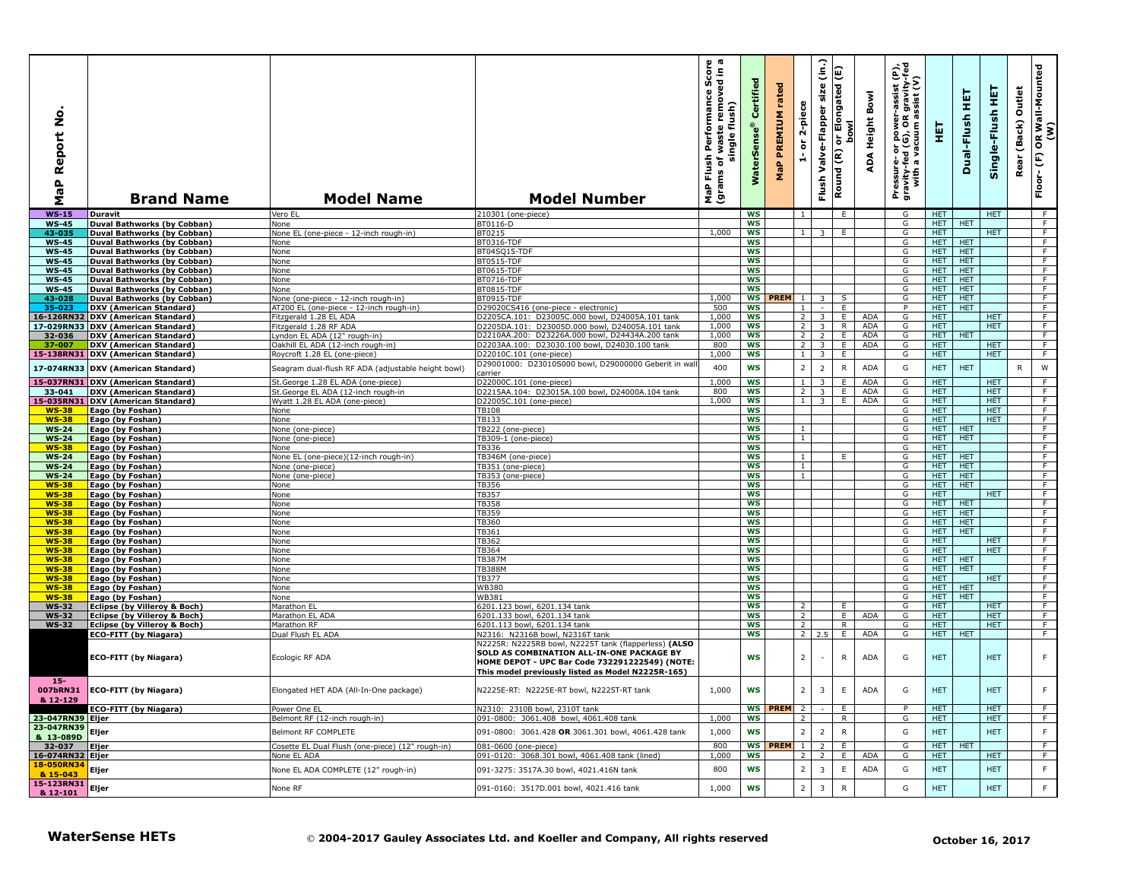| ۰<br>z<br>eport<br>≃<br>$\mathbf{a}$<br>œ<br>Σ      | <b>Brand Name</b>                                                    | <b>Model Name</b>                                      | <b>Model Number</b>                                                                                                                                                                                       | ο ω<br>rmance Score<br>removed in a<br>Performan<br>flush)<br>waste<br>single<br>Flush<br>৳<br>(grams<br>MaP | Certified<br><b>WaterSens</b> | rated<br><b>PREMIUM</b><br>MaP | 2-piece<br>$\overleftarrow{\mathtt{o}}$ | $\widehat{\epsilon}$<br>size<br>Valve-Flapper<br>Flush | Elongated (E)<br><b>bowl</b><br>ð<br>Round (R) | Bowl<br>Height<br>⋖<br>ą | Ë<br>-assist<br>R gravi<br>assist<br>ed (G), OR<br>vacuum as<br>power<br>ㅎ<br>Pressure- o<br>gravity-fed<br>with a va | 핓                        | 틫<br>Dual-Flush          | 王<br>Single-Flush        | Outlet<br>(Back)<br>Rea | OR Wall-Mounted<br>(W)<br>$\boldsymbol{\epsilon}$<br>Floor- |
|-----------------------------------------------------|----------------------------------------------------------------------|--------------------------------------------------------|-----------------------------------------------------------------------------------------------------------------------------------------------------------------------------------------------------------|--------------------------------------------------------------------------------------------------------------|-------------------------------|--------------------------------|-----------------------------------------|--------------------------------------------------------|------------------------------------------------|--------------------------|-----------------------------------------------------------------------------------------------------------------------|--------------------------|--------------------------|--------------------------|-------------------------|-------------------------------------------------------------|
| $WS-15$                                             | Duravit                                                              | Vero EL                                                | 210301 (one-piece)                                                                                                                                                                                        |                                                                                                              | <b>WS</b>                     |                                | $\overline{1}$                          |                                                        | E                                              |                          | G                                                                                                                     | <b>HET</b>               |                          | <b>HET</b>               |                         | - F                                                         |
| <b>WS-45</b>                                        | <b>Duval Bathworks (by Cobban)</b>                                   | None                                                   | BT0116-D                                                                                                                                                                                                  | 1,000                                                                                                        | ws                            |                                | $\mathbf{1}$                            |                                                        | E                                              |                          | G                                                                                                                     | HET.<br><b>HET</b>       | <b>HET</b>               | <b>HET</b>               |                         | $\overline{F}$<br>$\overline{F}$                            |
| 43-035<br><b>WS-45</b>                              | <b>Duval Bathworks (by Cobban)</b><br>Duval Bathworks (by Cobban)    | None EL (one-piece - 12-inch rough-in)<br>None         | BT0215<br>BT0316-TDF                                                                                                                                                                                      |                                                                                                              | WS<br><b>WS</b>               |                                |                                         | $\overline{\mathbf{3}}$                                |                                                |                          | G<br>G                                                                                                                | HET.                     | <b>HET</b>               |                          |                         | F                                                           |
| <b>WS-45</b>                                        | <b>Duval Bathworks (by Cobban)</b>                                   | None                                                   | BT04SO15-TDF                                                                                                                                                                                              |                                                                                                              | WS                            |                                |                                         |                                                        |                                                |                          | G                                                                                                                     | HET.                     | <b>HET</b>               |                          |                         | F                                                           |
| <b>WS-45</b>                                        | Duval Bathworks (by Cobban)                                          | None                                                   | BT0515-TDF                                                                                                                                                                                                |                                                                                                              | <b>WS</b>                     |                                |                                         |                                                        |                                                |                          | G                                                                                                                     | HET                      | <b>HET</b>               |                          |                         | $\overline{F}$                                              |
| <b>WS-45</b>                                        | Duval Bathworks (by Cobban)                                          | None                                                   | <b>BT0615-TDF</b>                                                                                                                                                                                         |                                                                                                              | <b>WS</b>                     |                                |                                         |                                                        |                                                |                          | G                                                                                                                     | HET.                     | <b>HET</b>               |                          |                         | F                                                           |
| <b>WS-45</b><br><b>WS-45</b>                        | Duval Bathworks (by Cobban)<br><b>Duval Bathworks (by Cobban)</b>    | None<br>None                                           | BT0716-TDF<br>BT0815-TDF                                                                                                                                                                                  |                                                                                                              | <b>WS</b><br><b>WS</b>        |                                |                                         |                                                        |                                                |                          | G<br>G                                                                                                                | HET.<br><b>HET</b>       | <b>HET</b><br><b>HET</b> |                          |                         | F<br>F                                                      |
| 43-028                                              | Duval Bathworks (by Cobban)                                          | None (one-piece - 12-inch rough-in)                    | BT0915-TDF                                                                                                                                                                                                | 1,000                                                                                                        | ws                            | PREM 1                         |                                         | 3                                                      | S                                              |                          | G                                                                                                                     | HET.                     | <b>HET</b>               |                          |                         | $\overline{F}$                                              |
| 35-023                                              | <b>DXV (American Standard)</b>                                       | AT200 EL (one-piece - 12-inch rough-in)                | D29020CS416 (one-piece - electronic)                                                                                                                                                                      | 500                                                                                                          | <b>WS</b>                     |                                | $\overline{1}$                          |                                                        | E                                              |                          | P                                                                                                                     | HET.                     | <b>HET</b>               |                          |                         | F                                                           |
| 16-126RN32                                          | <b>DXV (American Standard)</b>                                       | Fitzgerald 1.28 EL ADA                                 | D2205CA.101: D23005C.000 bowl, D24005A.101 tank                                                                                                                                                           | 1,000<br>1,000                                                                                               | ws<br><b>WS</b>               |                                | $\overline{2}$<br>$\overline{2}$        | 3                                                      | E.<br>$\overline{R}$                           | ADA<br>ADA               | G<br>G                                                                                                                | <b>HET</b><br>HET        |                          | <b>HET</b><br><b>HET</b> |                         | F<br>$\overline{F}$                                         |
| 32-036                                              | 17-029RN33 DXV (American Standard)<br><b>DXV (American Standard)</b> | Fitzgerald 1.28 RF ADA<br>Lyndon EL ADA (12" rough-in) | D2205DA.101: D23005D.000 bowl, D24005A.101 tank<br>D2210AA.200: D23226A.000 bowl, D24434A.200 tank                                                                                                        | 1,000                                                                                                        | ws                            |                                | 2 <sub>1</sub>                          | $\overline{3}$<br>$\overline{2}$                       | E.                                             | <b>ADA</b>               | G                                                                                                                     | HET.                     | HET                      |                          |                         | F                                                           |
| 37-007                                              | DXV (American Standard)                                              | Oakhill EL ADA (12-inch rough-in)                      | D2203AA.100: D23030.100 bowl, D24030.100 tank                                                                                                                                                             | 800                                                                                                          | <b>WS</b>                     |                                | $\overline{2}$                          | 3                                                      | E                                              | ADA                      | G                                                                                                                     | HET.                     |                          | HET.                     |                         | F                                                           |
|                                                     | 15-138RN31 DXV (American Standard)                                   | Roycroft 1.28 EL (one-piece)                           | D22010C.101 (one-piece)                                                                                                                                                                                   | 1,000                                                                                                        | WS                            |                                | 1                                       | $\overline{3}$                                         | E.                                             |                          | G                                                                                                                     | <b>HET</b>               |                          | HET.                     |                         | F                                                           |
| 17-074RN33                                          | <b>DXV (American Standard)</b>                                       | Seagram dual-flush RF ADA (adjustable height bowl)     | D29001000: D23010S000 bowl, D29000000 Geberit in wal                                                                                                                                                      | 400                                                                                                          | <b>WS</b>                     |                                | $\overline{2}$                          | $\overline{2}$                                         | $\mathsf{R}$                                   | <b>ADA</b>               | G                                                                                                                     | <b>HET</b>               | <b>HET</b>               |                          | R                       | W                                                           |
| 15-037RN31                                          | <b>DXV (American Standard)</b>                                       | St. George 1.28 EL ADA (one-piece)                     | carrier<br>D22000C.101 (one-piece)                                                                                                                                                                        | 1,000                                                                                                        | <b>WS</b>                     |                                | $\mathbf{1}$                            |                                                        | E                                              | <b>ADA</b>               | G                                                                                                                     | <b>HET</b>               |                          | <b>HET</b>               |                         | F                                                           |
| 33-041                                              | DXV (American Standard)                                              | St. George EL ADA (12-inch rough-in                    | D2215AA.104: D23015A.100 bowl, D24000A.104 tank                                                                                                                                                           | 800                                                                                                          | <b>WS</b>                     |                                | $\overline{2}$                          | $\overline{\mathbf{3}}$                                | E                                              | <b>ADA</b>               | G                                                                                                                     | <b>HET</b>               |                          | <b>HET</b>               |                         | F                                                           |
|                                                     | 15-035RN31 DXV (American Standard)                                   | Wyatt 1.28 EL ADA (one-piece)                          | D22005C.101 (one-piece)                                                                                                                                                                                   | 1,000                                                                                                        | WS                            |                                | 1                                       | $\overline{\mathbf{3}}$                                | Ε.                                             | ADA                      | G                                                                                                                     | HET.                     |                          | <b>HET</b>               |                         | F.                                                          |
| <b>WS-38</b>                                        | Eago (by Foshan)                                                     | None                                                   | TB108                                                                                                                                                                                                     |                                                                                                              | WS                            |                                |                                         |                                                        |                                                |                          | G                                                                                                                     | HET.                     |                          | <b>HET</b>               |                         | F                                                           |
| <b>WS-38</b>                                        | Eago (by Foshan)                                                     | None                                                   | TB133                                                                                                                                                                                                     |                                                                                                              | WS                            |                                |                                         |                                                        |                                                |                          | G<br>G                                                                                                                | <b>HET</b><br>HET.       | <b>HET</b>               | <b>HET</b>               |                         | F<br>F.                                                     |
| <b>WS-24</b><br>WS-24                               | Eago (by Foshan)<br>Eago (by Foshan)                                 | None (one-piece)<br>None (one-piece)                   | TB222 (one-piece)<br>TB309-1 (one-piece)                                                                                                                                                                  |                                                                                                              | WS<br>WS                      |                                | 1<br>$\mathbf{1}$                       |                                                        |                                                |                          | G                                                                                                                     | HET.                     | <b>HET</b>               |                          |                         | F                                                           |
| WS-38                                               | Eago (by Foshan)                                                     | None                                                   | TB336                                                                                                                                                                                                     |                                                                                                              | <b>WS</b>                     |                                |                                         |                                                        |                                                |                          | G                                                                                                                     | <b>HET</b>               |                          |                          |                         | $\overline{F}$                                              |
| <b>WS-24</b>                                        | Eago (by Foshan)                                                     | None EL (one-piece)(12-inch rough-in)                  | TB346M (one-piece)                                                                                                                                                                                        |                                                                                                              | ws                            |                                | $\mathbf{1}$                            |                                                        | E.                                             |                          | G                                                                                                                     | HET.                     | <b>HET</b>               |                          |                         | F                                                           |
| WS-24                                               | Eago (by Foshan)                                                     | None (one-piece)                                       | FB351 (one-piece)                                                                                                                                                                                         |                                                                                                              | ws                            |                                | $\mathbf{1}$                            |                                                        |                                                |                          | G                                                                                                                     | HET.                     | HET.<br><b>HET</b>       |                          |                         | $\overline{F}$<br>F                                         |
| <b>WS-24</b><br><b>WS-38</b>                        | Eago (by Foshan)<br>Eago (by Foshan)                                 | None (one-piece)<br>None                               | TB353 (one-piece)<br>TB356                                                                                                                                                                                |                                                                                                              | <b>WS</b><br>WS               |                                | $\mathbf{1}$                            |                                                        |                                                |                          | G<br>G                                                                                                                | HET.<br><b>HET</b>       | <b>HET</b>               |                          |                         | F                                                           |
| <b>WS-38</b>                                        | Eago (by Foshan)                                                     | None                                                   | TB357                                                                                                                                                                                                     |                                                                                                              | ws                            |                                |                                         |                                                        |                                                |                          | G                                                                                                                     | <b>HET</b>               |                          | <b>HET</b>               |                         | $\overline{F}$                                              |
| <b>WS-38</b>                                        | Eago (by Foshan)                                                     | None                                                   | TB358                                                                                                                                                                                                     |                                                                                                              | <b>WS</b>                     |                                |                                         |                                                        |                                                |                          | G                                                                                                                     | HET.                     | <b>HET</b>               |                          |                         | $-F$                                                        |
| <b>WS-38</b>                                        | Eago (by Foshan)                                                     | None                                                   | TB359                                                                                                                                                                                                     |                                                                                                              | ws                            |                                |                                         |                                                        |                                                |                          | G                                                                                                                     | HET.                     | <b>HET</b>               |                          |                         | F<br>F                                                      |
| <b>WS-38</b><br><b>WS-38</b>                        | Eago (by Foshan)<br>Eago (by Foshan)                                 | None<br>None                                           | TB360<br>TB361                                                                                                                                                                                            |                                                                                                              | <b>WS</b><br>ws               |                                |                                         |                                                        |                                                |                          | G<br>G                                                                                                                | <b>HET</b><br><b>HET</b> | <b>HET</b><br><b>HET</b> |                          |                         | $\overline{F}$                                              |
| <b>WS-38</b>                                        | Eago (by Foshan)                                                     | None                                                   | TB362                                                                                                                                                                                                     |                                                                                                              | <b>WS</b>                     |                                |                                         |                                                        |                                                |                          | G                                                                                                                     | <b>HET</b>               |                          | <b>HET</b>               |                         | F                                                           |
| <b>WS-38</b>                                        | Eago (by Foshan)                                                     | None                                                   | TB364                                                                                                                                                                                                     |                                                                                                              | <b>WS</b>                     |                                |                                         |                                                        |                                                |                          | G                                                                                                                     | <b>HET</b>               |                          | <b>HET</b>               |                         | F                                                           |
| <b>WS-38</b>                                        | Eago (by Foshan)                                                     | None                                                   | <b>TB387M</b>                                                                                                                                                                                             |                                                                                                              | <b>WS</b>                     |                                |                                         |                                                        |                                                |                          | G                                                                                                                     | <b>HET</b>               | <b>HET</b>               |                          |                         | $\overline{F}$                                              |
| <b>WS-38</b>                                        | Eago (by Foshan)                                                     | None                                                   | TB388M                                                                                                                                                                                                    |                                                                                                              | ws                            |                                |                                         |                                                        |                                                |                          | G                                                                                                                     | <b>HET</b>               | <b>HET</b>               |                          |                         | F                                                           |
| <b>WS-38</b><br><b>WS-38</b>                        | Eago (by Foshan)<br>Eago (by Foshan)                                 | None<br>None                                           | TB377<br><b>WB380</b>                                                                                                                                                                                     |                                                                                                              | <b>WS</b><br>WS               |                                |                                         |                                                        |                                                |                          | G<br>G                                                                                                                | HET<br><b>HET</b>        | <b>HET</b>               | HET.                     |                         | F<br>F.                                                     |
| <b>WS-38</b>                                        | Eago (by Foshan)                                                     | None                                                   | <b>WB381</b>                                                                                                                                                                                              |                                                                                                              | WS                            |                                |                                         |                                                        |                                                |                          | G                                                                                                                     | HET.                     | <b>HET</b>               |                          |                         | $\overline{F}$                                              |
| WS-32                                               | <b>Eclipse (by Villeroy &amp; Boch)</b>                              | Marathon EL                                            | 6201.123 bowl, 6201.134 tank                                                                                                                                                                              |                                                                                                              | <b>WS</b>                     |                                | $\overline{2}$                          |                                                        | E.                                             |                          | G                                                                                                                     | <b>HET</b>               |                          | <b>HET</b>               |                         | F                                                           |
| <b>WS-32</b>                                        | Eclipse (by Villeroy & Boch)                                         | Marathon EL ADA                                        | 6201.133 bowl, 6201.134 tank                                                                                                                                                                              |                                                                                                              | WS                            |                                | $\overline{2}$                          |                                                        | E                                              | ADA                      | G<br>G                                                                                                                | <b>HET</b>               |                          | <b>HET</b><br><b>HET</b> |                         | $\overline{F}$<br>F                                         |
| <b>WS-32</b>                                        | Eclipse (by Villeroy & Boch)<br>ECO-FITT (by Niagara)                | Marathon RF<br>Dual Flush EL ADA                       | 6201.113 bowl, 6201.134 tank<br>N2316: N2316B bowl, N2316T tank                                                                                                                                           |                                                                                                              | <b>WS</b><br>WS               |                                | $\overline{2}$                          | $2 \quad 2.5$                                          | $\mathsf{R}$<br>Ε.                             | ADA                      | G                                                                                                                     | <b>HET</b><br>HET        | <b>HET</b>               |                          |                         | $\overline{F}$                                              |
|                                                     | ECO-FITT (by Niagara)                                                | Ecologic RF ADA                                        | N2225R: N2225RB bowl, N2225T tank (flapperless) (ALSO<br>SOLD AS COMBINATION ALL-IN-ONE PACKAGE BY<br>HOME DEPOT - UPC Bar Code 732291222549) (NOTE:<br>This model previously listed as Model N2225R-165) |                                                                                                              | WS                            |                                | $\overline{2}$                          |                                                        | R                                              | ADA                      | G                                                                                                                     | <b>HET</b>               |                          | <b>HET</b>               |                         | F                                                           |
| $15 -$<br>007bRN31                                  | <b>ECO-FITT (by Niagara)</b>                                         | Elongated HET ADA (All-In-One package)                 | N2225E-RT: N2225E-RT bowl, N2225T-RT tank                                                                                                                                                                 | 1,000                                                                                                        | WS                            |                                | $\overline{2}$                          | 3                                                      | E                                              | ADA                      | G                                                                                                                     | <b>HET</b>               |                          | <b>HET</b>               |                         | F                                                           |
| $812-129$                                           | <b>ECO-FITT (by Niagara)</b>                                         | Power One EL                                           | N2310: 2310B bowl, 2310T tank                                                                                                                                                                             |                                                                                                              |                               | WS PREM 2                      |                                         |                                                        | E.                                             |                          | P                                                                                                                     | <b>HET</b>               |                          | <b>HET</b>               |                         | F                                                           |
| <b>23-047RN39</b> Eljer                             |                                                                      | Belmont RF (12-inch rough-in)                          | 091-0800: 3061.408 bowl, 4061.408 tank                                                                                                                                                                    | 1,000                                                                                                        | ws                            |                                | 2                                       |                                                        | R                                              |                          | G                                                                                                                     | <b>HET</b>               |                          | <b>HET</b>               |                         | F                                                           |
|                                                     | <b>Eljer</b>                                                         | Belmont RF COMPLETE                                    | 091-0800: 3061.428 OR 3061.301 bowl, 4061.428 tank                                                                                                                                                        | 1,000                                                                                                        | WS                            |                                | $\overline{2}$                          | $\overline{2}$                                         | $\mathsf{R}$                                   |                          | G                                                                                                                     | <b>HET</b>               |                          | <b>HET</b>               |                         | $\mathsf F$                                                 |
| 8 13-089D Eljer<br>32-037 Eljer<br>16-074RN32 Eljer |                                                                      | Cosette EL Dual Flush (one-piece) (12" rough-in)       | 081-0600 (one-piece)                                                                                                                                                                                      | 800                                                                                                          |                               | <b>WS PREM</b>                 | $\mathbf{1}$                            | 2 <sup>1</sup>                                         | E.                                             |                          | G                                                                                                                     |                          | HET   HET                |                          |                         | - F                                                         |
|                                                     |                                                                      | None EL ADA                                            | 091-0120: 3068.301 bowl, 4061.408 tank (lined)                                                                                                                                                            | 1,000                                                                                                        | ws                            |                                | $\overline{2}$                          | $\overline{2}$                                         | E                                              | ADA                      | G                                                                                                                     | HET.                     |                          | <b>HET</b>               |                         | F.                                                          |
| 18-050RN34<br>& 15-043                              | Eljer                                                                | None EL ADA COMPLETE (12" rough-in)                    | 091-3275: 3517A.30 bowl, 4021.416N tank                                                                                                                                                                   | 800                                                                                                          | WS                            |                                | $\overline{2}$                          | 3                                                      | E                                              | ADA                      | G                                                                                                                     | HET                      |                          | <b>HET</b>               |                         | F                                                           |
| 15-123RN31                                          |                                                                      |                                                        |                                                                                                                                                                                                           |                                                                                                              |                               |                                | $\overline{2}$                          | 3                                                      | $\mathsf{R}$                                   |                          | G                                                                                                                     |                          |                          | <b>HET</b>               |                         | F                                                           |
| & 12-101                                            | <b>Eljer</b>                                                         | None RF                                                | 091-0160: 3517D.001 bowl, 4021.416 tank                                                                                                                                                                   | 1,000                                                                                                        | WS                            |                                |                                         |                                                        |                                                |                          |                                                                                                                       | <b>HET</b>               |                          |                          |                         |                                                             |
|                                                     | <b>WaterSense HETs</b>                                               |                                                        | © 2004-2017 Gauley Associates Ltd. and Koeller and Company, All rights reserved                                                                                                                           |                                                                                                              |                               |                                |                                         |                                                        |                                                |                          |                                                                                                                       |                          |                          | October 16, 2017         |                         |                                                             |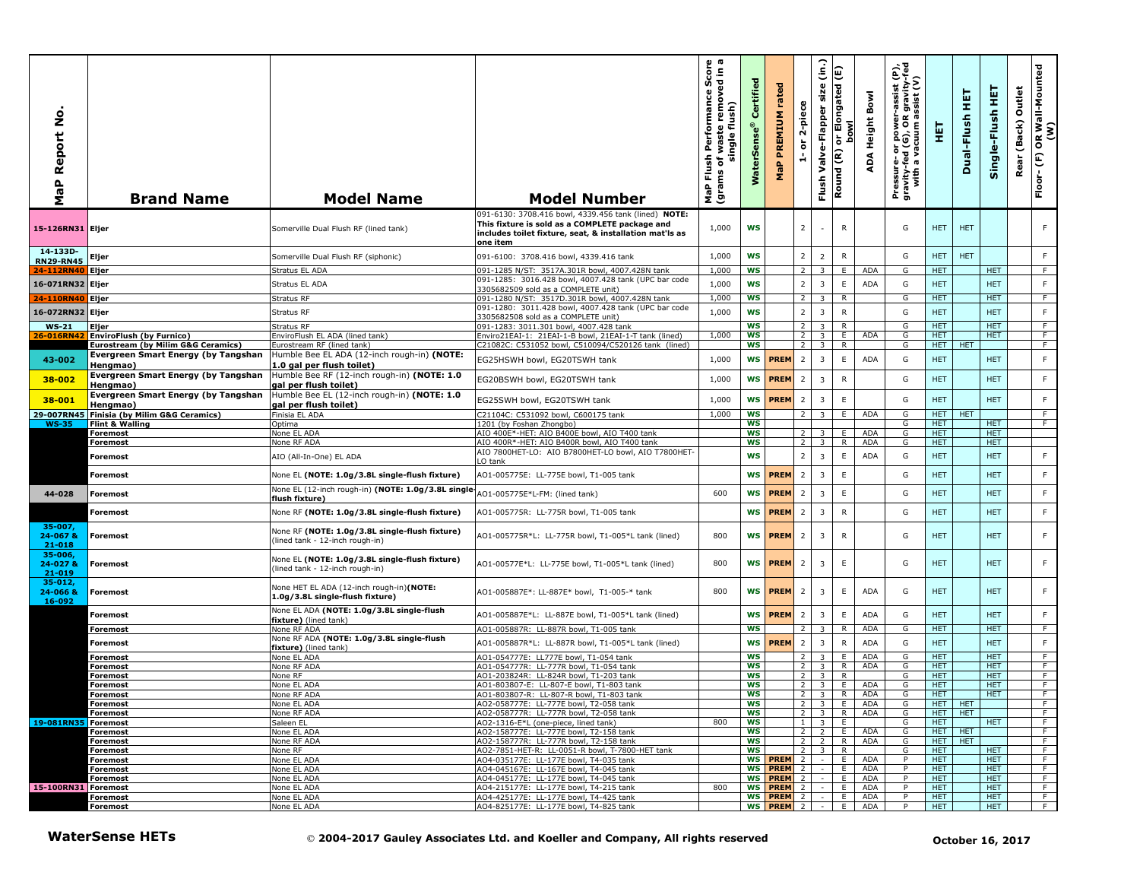| ż<br>MaP Report                  | <b>Brand Name</b>                                                                             | <b>Model Name</b>                                                                                                   | <b>Model Number</b>                                                                                                                                                           | s als<br>sh Performance Sco<br>of waste removed in<br>single flush)<br>Flush<br>৳<br><b>u</b><br>MaP Fl<br>(gram: | Certified<br>$\bullet$<br>WaterSen | rated<br><b>MaP PREMIUM</b> | 2-piece<br>ŏ<br>÷,               | $\widehat{\mathsf{lin}}$<br>size<br>Valve-Flapper<br>Flush | E<br>or Elongated<br>bowl<br>Round (R) | Bowl<br>ADA Height | Pressure- or power-assist (P),<br>gravity-fed (G), OR gravity-fed<br>with a vacuum assist (V) | 핓                        | 뎙<br>Dual-Flush | Single-Flush HET         | Outlet<br>(Back)<br>Rear | OR Wall-Mounted<br>(W)<br>$\widehat{\mathbf{f}}$<br>Floor- |
|----------------------------------|-----------------------------------------------------------------------------------------------|---------------------------------------------------------------------------------------------------------------------|-------------------------------------------------------------------------------------------------------------------------------------------------------------------------------|-------------------------------------------------------------------------------------------------------------------|------------------------------------|-----------------------------|----------------------------------|------------------------------------------------------------|----------------------------------------|--------------------|-----------------------------------------------------------------------------------------------|--------------------------|-----------------|--------------------------|--------------------------|------------------------------------------------------------|
| 15-126RN31 Eljer                 |                                                                                               | Somerville Dual Flush RF (lined tank)                                                                               | 091-6130: 3708.416 bowl, 4339.456 tank (lined) NOTE:<br>This fixture is sold as a COMPLETE package and<br>includes toilet fixture, seat, & installation mat'ls as<br>one item | 1,000                                                                                                             | <b>WS</b>                          |                             | $\overline{2}$                   |                                                            | $\mathsf{R}$                           |                    | G                                                                                             | <b>HET</b>               | <b>HET</b>      |                          |                          | F                                                          |
| 14-133D-<br><b>RN29-RN45</b>     | Eljer                                                                                         | Somerville Dual Flush RF (siphonic)                                                                                 | 091-6100: 3708.416 bowl, 4339.416 tank                                                                                                                                        | 1,000                                                                                                             | <b>WS</b>                          |                             | 2 <sup>1</sup>                   | $\overline{2}$                                             | ${\sf R}$                              |                    | G                                                                                             | <b>HET</b>               | <b>HET</b>      |                          |                          | F.                                                         |
| 24-112RN40                       | Eljer                                                                                         | Stratus EL ADA                                                                                                      | 091-1285 N/ST: 3517A.301R bowl, 4007.428N tank                                                                                                                                | 1,000                                                                                                             | <b>WS</b>                          |                             | 2                                | 3                                                          | E                                      | <b>ADA</b>         | G                                                                                             | <b>HET</b>               |                 | HET.                     |                          | F.                                                         |
| 16-071RN32                       | Eljer                                                                                         | Stratus EL ADA                                                                                                      | 091-1285: 3016.428 bowl, 4007.428 tank (UPC bar code                                                                                                                          | 1,000                                                                                                             | <b>WS</b>                          |                             | $\overline{2}$                   | $\overline{\mathbf{3}}$                                    | $\mathsf E$                            | ADA                | G                                                                                             | <b>HET</b>               |                 | <b>HET</b>               |                          | F.                                                         |
| 24-110RN40                       | Eljer                                                                                         | Stratus RF                                                                                                          | 3305682509 sold as a COMPLETE unit)<br>091-1280 N/ST: 3517D.301R bowl, 4007.428N tank                                                                                         | 1,000                                                                                                             | <b>WS</b>                          |                             | 2 <sup>1</sup>                   | $\overline{\mathbf{3}}$                                    | R                                      |                    | G                                                                                             | <b>HET</b>               |                 | <b>HET</b>               |                          | F                                                          |
| 16-072RN32 Eljer                 |                                                                                               | Stratus RF                                                                                                          | 091-1280: 3011.428 bowl, 4007.428 tank (UPC bar code                                                                                                                          | 1,000                                                                                                             | <b>WS</b>                          |                             | $\overline{2}$                   | $\overline{\mathbf{3}}$                                    | ${\sf R}$                              |                    | G                                                                                             | <b>HET</b>               |                 | <b>HET</b>               |                          | F                                                          |
| <b>WS-21</b>                     | Eljer                                                                                         | Stratus RF                                                                                                          | 3305682508 sold as a COMPLETE unit)<br>091-1283: 3011.301 bowl, 4007.428 tank                                                                                                 |                                                                                                                   | <b>WS</b>                          |                             | $\overline{2}$                   | $\overline{3}$                                             | $\overline{R}$                         |                    | G                                                                                             | <b>HET</b>               |                 | <b>HET</b>               |                          | F                                                          |
| 26-016RN42                       | <b>EnviroFlush (by Furnico)</b>                                                               | EnviroFlush EL ADA (lined tank)                                                                                     | Enviro21EAI-1: 21EAI-1-B bowl, 21EAI-1-T tank (lined)                                                                                                                         | 1,000                                                                                                             | <b>WS</b>                          |                             | $\overline{2}$                   | $\overline{\mathbf{3}}$                                    | E                                      | ADA                | G                                                                                             | <b>HET</b>               |                 | <b>HET</b>               |                          | $\overline{F}$                                             |
|                                  | <b>Eurostream (by Milim G&amp;G Ceramics)</b>                                                 | Eurostream RF (lined tank)                                                                                          | C21082C: C531052 bowl, C510094/C520126 tank (lined)                                                                                                                           |                                                                                                                   | ws                                 |                             | 2 <sup>1</sup>                   | $\overline{\mathbf{3}}$                                    | R                                      |                    | G                                                                                             | HET.                     | <b>HET</b>      |                          |                          | F.                                                         |
| 43-002                           | Evergreen Smart Energy (by Tangshan<br>Hengmao)                                               | Humble Bee EL ADA (12-inch rough-in) (NOTE:<br>L.0 gal per flush toilet)                                            | EG25HSWH bowl, EG20TSWH tank                                                                                                                                                  | 1,000                                                                                                             | <b>WS</b>                          | <b>PREM</b>                 | $\overline{2}$                   | $\overline{\mathbf{3}}$                                    | E                                      | ADA                | G                                                                                             | <b>HET</b>               |                 | <b>HET</b>               |                          | F.                                                         |
| 38-002                           | Evergreen Smart Energy (by Tangshan<br>Hengmao)<br><b>Evergreen Smart Energy (by Tangshan</b> | Humble Bee RF (12-inch rough-in) (NOTE: 1.0<br>gal per flush toilet)<br>Humble Bee EL (12-inch rough-in) (NOTE: 1.0 | EG20BSWH bowl, EG20TSWH tank                                                                                                                                                  | 1,000                                                                                                             | <b>WS</b>                          | <b>PREM</b>                 | $\cdot$ 2                        | $\overline{\mathbf{3}}$                                    | $\mathsf{R}$                           |                    | G                                                                                             | <b>HET</b>               |                 | <b>HET</b>               |                          | F                                                          |
| 38-001                           | Hengmao)                                                                                      | gal per flush toilet)<br>Finisia FL ADA                                                                             | EG25SWH bowl, EG20TSWH tank                                                                                                                                                   | 1,000                                                                                                             | <b>WS</b><br><b>WS</b>             | <b>PREM</b>                 | $\overline{2}$                   | $\overline{\mathbf{3}}$                                    | $\mathsf E$<br>E                       | <b>ADA</b>         | G                                                                                             | <b>HET</b><br><b>HET</b> | <b>HET</b>      | <b>HET</b>               |                          | F.<br>$\overline{F}$                                       |
| <b>WS-35</b>                     | 29-007RN45 Finisia (by Milim G&G Ceramics)<br>Flint & Walling                                 | Optima                                                                                                              | 21104C: C531092 bowl, C600175 tank<br>1201 (by Foshan Zhongbo)                                                                                                                | 1,000                                                                                                             | WS                                 |                             | 2 <sup>1</sup>                   | $\overline{\mathbf{3}}$                                    |                                        |                    | G<br>G                                                                                        | <b>HET</b>               |                 | <b>HET</b>               |                          | F.                                                         |
|                                  | <b>Foremost</b>                                                                               | None EL ADA                                                                                                         | AIO 400E*-HET: AIO B400E bowl, AIO T400 tank                                                                                                                                  |                                                                                                                   | <b>WS</b>                          |                             | $\overline{2}$                   | 3                                                          | E.                                     | ADA                | G                                                                                             | <b>HET</b>               |                 | <b>HET</b>               |                          |                                                            |
|                                  | <b>Foremost</b>                                                                               | None RF ADA                                                                                                         | AIO 400R*-HET: AIO B400R bowl, AIO T400 tank                                                                                                                                  |                                                                                                                   | WS                                 |                             | $\overline{2}$                   | 3                                                          | R                                      | ADA                | G                                                                                             | <b>HET</b>               |                 | HET.                     |                          |                                                            |
|                                  | Foremost                                                                                      | AIO (All-In-One) EL ADA                                                                                             | AIO 7800HET-LO: AIO B7800HET-LO bowl, AIO T7800HET-<br>LO tank                                                                                                                |                                                                                                                   | <b>WS</b>                          |                             | $\overline{2}$                   | $\overline{\mathbf{3}}$                                    | E                                      | ADA                | G                                                                                             | <b>HET</b>               |                 | <b>HET</b>               |                          | F.                                                         |
|                                  | Foremost                                                                                      | None EL (NOTE: 1.0g/3.8L single-flush fixture)<br>None EL (12-inch rough-in) (NOTE: 1.0g/3.8L single                | AO1-005775E: LL-775E bowl, T1-005 tank                                                                                                                                        |                                                                                                                   | ws                                 | <b>PREM</b>                 | $\overline{2}$                   | $\overline{3}$                                             | $\mathsf E$                            |                    | G                                                                                             | <b>HET</b>               |                 | <b>HET</b>               |                          | F.                                                         |
| 44-028                           | <b>Foremost</b>                                                                               | flush fixture)                                                                                                      | AO1-005775E*L-FM: (lined tank)                                                                                                                                                | 600                                                                                                               | WS                                 | <b>PREM</b>                 | $\overline{2}$                   | $\overline{\mathbf{3}}$                                    | E                                      |                    | G                                                                                             | <b>HET</b>               |                 | <b>HET</b>               |                          | F.                                                         |
|                                  | Foremost                                                                                      | None RF (NOTE: 1.0g/3.8L single-flush fixture)                                                                      | AO1-005775R: LL-775R bowl, T1-005 tank                                                                                                                                        |                                                                                                                   | <b>WS</b>                          | <b>PREM</b>                 | $\overline{2}$                   | $\overline{\mathbf{3}}$                                    | $\mathsf{R}$                           |                    | G                                                                                             | <b>HET</b>               |                 | <b>HET</b>               |                          | F                                                          |
| $35-007$<br>24-067 &<br>21-018   | Foremost                                                                                      | None RF (NOTE: 1.0g/3.8L single-flush fixture)<br>(lined tank - 12-inch rough-in)                                   | AO1-005775R*L: LL-775R bowl, T1-005*L tank (lined)                                                                                                                            | 800                                                                                                               | <b>WS</b>                          | <b>PREM</b>                 | $\overline{2}$                   | $\overline{3}$                                             | $\mathsf{R}$                           |                    | G                                                                                             | <b>HET</b>               |                 | <b>HET</b>               |                          | F                                                          |
| $35 - 006$<br>24-027 &<br>21-019 | <b>Foremost</b>                                                                               | None EL (NOTE: 1.0g/3.8L single-flush fixture)<br>(lined tank - 12-inch rough-in)                                   | AO1-00577E*L: LL-775E bowl, T1-005*L tank (lined)                                                                                                                             | 800                                                                                                               |                                    | <b>WS PREM</b>              | $\overline{2}$                   | $\overline{3}$                                             | E                                      |                    | G                                                                                             | <b>HET</b>               |                 | <b>HET</b>               |                          | F                                                          |
| $35 - 012$<br>24-066 &<br>16-092 | <b>Foremost</b>                                                                               | None HET EL ADA (12-inch rough-in)(NOTE:<br>1.0g/3.8L single-flush fixture)                                         | AO1-005887E*: LL-887E* bowl, T1-005-* tank                                                                                                                                    | 800                                                                                                               | <b>WS</b>                          | <b>PREM</b>                 | $\overline{2}$                   | $\overline{3}$                                             | E                                      | <b>ADA</b>         | G                                                                                             | <b>HET</b>               |                 | <b>HET</b>               |                          | F                                                          |
|                                  | Foremost                                                                                      | None EL ADA (NOTE: 1.0g/3.8L single-flush<br>fixture) (lined tank)                                                  | AO1-005887E*L: LL-887E bowl, T1-005*L tank (lined)                                                                                                                            |                                                                                                                   | <b>WS</b>                          | <b>PREM</b>                 | $\overline{2}$                   | $\overline{\mathbf{3}}$                                    | E                                      | <b>ADA</b>         | G                                                                                             | <b>HET</b>               |                 | <b>HET</b>               |                          | F.                                                         |
|                                  | Foremost                                                                                      | None RF ADA<br>None RF ADA (NOTE: 1.0g/3.8L single-flush                                                            | AO1-005887R: LL-887R bowl, T1-005 tank                                                                                                                                        |                                                                                                                   | <b>WS</b>                          |                             |                                  | -3                                                         | R                                      | <b>ADA</b>         | G                                                                                             | <b>HET</b>               |                 | <b>HET</b>               |                          | F.                                                         |
|                                  | Foremost                                                                                      | fixture) (lined tank)                                                                                               | AO1-005887R*L: LL-887R bowl, T1-005*L tank (lined)                                                                                                                            |                                                                                                                   | <b>WS</b>                          | <b>PREM</b>                 | $\overline{2}$                   | $\overline{\mathbf{3}}$                                    | $\mathsf{R}$                           | <b>ADA</b>         | G                                                                                             | <b>HET</b>               |                 | <b>HET</b>               |                          | $\mathsf F$                                                |
|                                  | Foremost                                                                                      | None EL ADA                                                                                                         | AO1-054777E: LL777E bowl, T1-054 tank                                                                                                                                         |                                                                                                                   | WS                                 |                             | 2 <sup>1</sup>                   | $\overline{\mathbf{3}}$                                    | E                                      | ADA                | G                                                                                             | <b>HET</b>               |                 | <b>HET</b>               |                          | F                                                          |
|                                  | Foremost                                                                                      | None RF ADA                                                                                                         | AO1-054777R: LL-777R bowl, T1-054 tank                                                                                                                                        |                                                                                                                   | <b>WS</b>                          |                             | $\overline{2}$                   | 3                                                          | R                                      | ADA                | G                                                                                             | <b>HET</b>               |                 | <b>HET</b>               |                          | F.                                                         |
|                                  | <b>Foremost</b><br>Foremost                                                                   | None RF<br>None EL ADA                                                                                              | AO1-203824R: LL-824R bowl, T1-203 tank<br>AO1-803807-E: LL-807-E bowl, T1-803 tank                                                                                            |                                                                                                                   | ws<br>WS                           |                             | $\overline{2}$<br>$2 \mid 3$     | $\overline{\mathbf{3}}$                                    | R.<br>E                                | ADA                | G<br>G                                                                                        | <b>HET</b><br><b>HET</b> |                 | <b>HET</b><br><b>HET</b> |                          | F.<br>F                                                    |
|                                  | Foremost                                                                                      | None RF ADA                                                                                                         | AO1-803807-R: LL-807-R bowl, T1-803 tank                                                                                                                                      |                                                                                                                   | WS                                 |                             | $2 \mid 3 \mid$                  |                                                            | $\overline{R}$                         | ADA                | G                                                                                             | <b>HET</b>               |                 | HET.                     |                          | F                                                          |
|                                  | <b>Foremost</b>                                                                               | None EL ADA                                                                                                         | AO2-058777E: LL-777E bowl, T2-058 tank                                                                                                                                        |                                                                                                                   | ws                                 |                             | $2^{\circ}$                      | $\overline{\mathbf{3}}$                                    | E.                                     | ADA                | G                                                                                             | HET                      | <b>HET</b>      |                          |                          | F.                                                         |
|                                  | Foremost                                                                                      | None RF ADA                                                                                                         | AO2-058777R: LL-777R bowl, T2-058 tank                                                                                                                                        |                                                                                                                   | ws                                 |                             | $2 \mid 3$                       |                                                            | R.                                     | ADA                | G                                                                                             | HET.                     | <b>HET</b>      |                          |                          | F                                                          |
| 19-081RN35 Foremost              |                                                                                               | Saleen EL                                                                                                           | AO2-1316-E*L (one-piece, lined tank)                                                                                                                                          | 800                                                                                                               | <b>WS</b>                          |                             | $1 \quad 3$                      |                                                            | E                                      |                    | G                                                                                             | HET.                     |                 | HET.                     |                          | F                                                          |
|                                  | <b>Foremost</b>                                                                               | None EL ADA                                                                                                         | AO2-158777E: LL-777E bowl, T2-158 tank                                                                                                                                        |                                                                                                                   | ws                                 |                             | $2 \mid 2$                       |                                                            | E.                                     | ADA                | G                                                                                             | HET.                     | <b>HET</b>      |                          |                          | F.                                                         |
|                                  | <b>Foremost</b>                                                                               | None RF ADA<br>None RF                                                                                              | AO2-158777R: LL-777R bowl, T2-158 tank<br>AO2-7851-HET-R: LL-0051-R bowl, T-7800-HET tank                                                                                     |                                                                                                                   | ws<br><b>WS</b>                    |                             | $\overline{2}$   2<br>$2 \mid 3$ |                                                            | R.<br>R.                               | ADA                | G<br>G                                                                                        | <b>HET</b><br><b>HET</b> | <b>HET</b>      | <b>HET</b>               |                          | F<br>$\overline{F}$                                        |
|                                  | Foremost<br><b>Foremost</b>                                                                   | None EL ADA                                                                                                         | AO4-035177E: LL-177E bowl, T4-035 tank                                                                                                                                        |                                                                                                                   |                                    | <b>WS PREM</b>              | $\overline{2}$                   | $\sim$                                                     | E.                                     | ADA                |                                                                                               | <b>HET</b>               |                 | HET.                     |                          | F.                                                         |
|                                  | Foremost                                                                                      | None EL ADA                                                                                                         | AO4-045167E: LL-167E bowl, T4-045 tank                                                                                                                                        |                                                                                                                   |                                    | WS PREM 2                   |                                  | $\sim$                                                     | E.                                     | ADA                | P                                                                                             | <b>HET</b>               |                 | HET.                     |                          | F.                                                         |
|                                  | Foremost                                                                                      | None EL ADA                                                                                                         | AO4-045177E: LL-177E bowl, T4-045 tank                                                                                                                                        |                                                                                                                   |                                    | WS PREM 2                   |                                  | $\sim$                                                     | E.                                     | ADA                | P                                                                                             | <b>HET</b>               |                 | <b>HET</b>               |                          | F                                                          |
| 15-100RN31 Foremost              |                                                                                               | None EL ADA                                                                                                         | AO4-215177E: LL-177E bowl, T4-215 tank                                                                                                                                        | 800                                                                                                               |                                    | WS PREM 2                   |                                  | $\sim$                                                     | E.                                     | ADA                | P                                                                                             | <b>HET</b>               |                 | HET.                     |                          | F.                                                         |
|                                  | <b>Foremost</b>                                                                               | None EL ADA                                                                                                         | AO4-425177E: LL-177E bowl, T4-425 tank                                                                                                                                        |                                                                                                                   |                                    | WS PREM 2                   |                                  |                                                            | E.                                     | ADA                | P                                                                                             | <b>HET</b>               |                 | HET.                     |                          | F                                                          |
|                                  | <b>Foremost</b>                                                                               | None EL ADA                                                                                                         | AO4-825177E: LL-177E bowl, T4-825 tank                                                                                                                                        |                                                                                                                   |                                    | WS PREM 2                   |                                  | $\sim$                                                     | E                                      | ADA                | P                                                                                             | <b>HET</b>               |                 | <b>HET</b>               |                          | F                                                          |
|                                  | <b>WaterSense HETs</b>                                                                        |                                                                                                                     | © 2004-2017 Gauley Associates Ltd. and Koeller and Company, All rights reserved                                                                                               |                                                                                                                   |                                    |                             |                                  |                                                            |                                        |                    |                                                                                               |                          |                 | October 16, 2017         |                          |                                                            |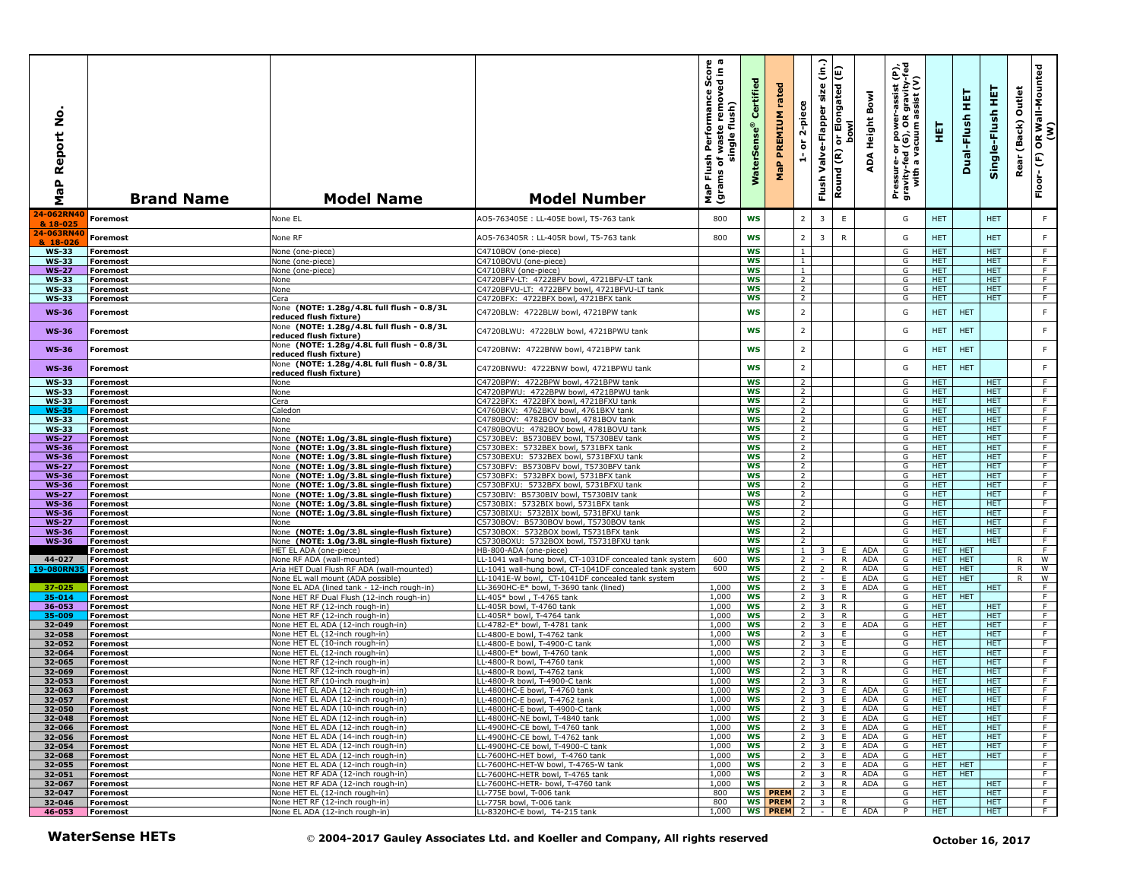| å<br>Report<br>a<br>@<br>Σ   | <b>Brand Name</b>                  | <b>Model Name</b>                                                                          | <b>Model Number</b>                                                                                                | rmance Score<br>removed in a<br>Performance<br>single flush)<br>waste<br>Flush<br>৳<br>(grams<br>MaP | Certified<br><b>WaterSens</b> | rated<br>PREMIUM<br>MaP           | 2-piece<br>$\overleftarrow{\mathtt{o}}$<br>÷ | $\hat{e}$<br>size<br>Valve-Flapper<br>Flush        | Elongated (E)<br><b>bow</b><br>동<br>Round (R) | Bowl<br>Height<br>ADA      | $\hat{\mathbf{e}}$<br>R gravity-f<br>assist (V)<br>assist<br>ed (G), OR<br>vacuum as<br>or power-<br>d (G), OR<br>Pressure- oi<br>gravity-fed<br>with a va | 팣                        | 듚<br>Dual-Flush          | 王<br>Single-Flush        | Outlet<br>(Back)<br>Rear | OR Wall-Mounted<br>(W)<br>Floor-(F) |
|------------------------------|------------------------------------|--------------------------------------------------------------------------------------------|--------------------------------------------------------------------------------------------------------------------|------------------------------------------------------------------------------------------------------|-------------------------------|-----------------------------------|----------------------------------------------|----------------------------------------------------|-----------------------------------------------|----------------------------|------------------------------------------------------------------------------------------------------------------------------------------------------------|--------------------------|--------------------------|--------------------------|--------------------------|-------------------------------------|
| 24-062RN4<br>& 18-025        | Foremost                           | None EL                                                                                    | AO5-763405E : LL-405E bowl, T5-763 tank                                                                            | 800                                                                                                  | <b>WS</b>                     |                                   | $\overline{2}$                               | 3                                                  | $\mathsf E$                                   |                            | G                                                                                                                                                          | <b>HET</b>               |                          | <b>HET</b>               |                          | $\mathsf F$                         |
| 24-063RN40<br>& 18-026       | Foremost                           | None RF                                                                                    | AO5-763405R : LL-405R bowl, T5-763 tank                                                                            | 800                                                                                                  | <b>WS</b>                     |                                   | $\overline{2}$                               | $\overline{3}$                                     | $\mathsf{R}$                                  |                            | G                                                                                                                                                          | <b>HET</b>               |                          | <b>HET</b>               |                          | F                                   |
| <b>WS-33</b>                 | <b>Foremost</b>                    | None (one-piece)                                                                           | C4710BOV (one-piece)                                                                                               |                                                                                                      | <b>WS</b>                     |                                   | 1                                            |                                                    |                                               |                            | G                                                                                                                                                          | <b>HET</b>               |                          | <b>HET</b>               |                          | F.                                  |
| <b>WS-33</b>                 | <b>Foremost</b>                    | None (one-piece)                                                                           | C4710BOVU (one-piece)                                                                                              |                                                                                                      | <b>WS</b>                     |                                   | $\mathbf{1}$                                 |                                                    |                                               |                            | G                                                                                                                                                          | <b>HET</b>               |                          | <b>HET</b>               |                          | $\overline{F}$                      |
| <b>WS-27</b><br><b>WS-33</b> | Foremost<br><b>Foremost</b>        | None (one-piece)<br>None                                                                   | C4710BRV (one-piece)<br>C4720BFV-LT: 4722BFV bowl, 4721BFV-LT tank                                                 |                                                                                                      | <b>WS</b><br><b>WS</b>        |                                   | $\overline{1}$<br>$\overline{2}$             |                                                    |                                               |                            | G<br>G                                                                                                                                                     | <b>HET</b><br>HET.       |                          | <b>HET</b><br><b>HET</b> |                          | F<br>F                              |
| <b>WS-33</b>                 | <b>Foremost</b>                    | None                                                                                       | C4720BFVU-LT: 4722BFV bowl, 4721BFVU-LT tank                                                                       |                                                                                                      | <b>WS</b>                     |                                   | $\overline{2}$                               |                                                    |                                               |                            | G                                                                                                                                                          | HET.                     |                          | <b>HET</b>               |                          | F                                   |
| <b>WS-33</b>                 | Foremost                           | Cera                                                                                       | C4720BFX: 4722BFX bowl, 4721BFX tank                                                                               |                                                                                                      | <b>WS</b>                     |                                   | $\overline{2}$                               |                                                    |                                               |                            | G                                                                                                                                                          | <b>HET</b>               |                          | <b>HET</b>               |                          | $\overline{F}$                      |
| <b>WS-36</b>                 | <b>Foremost</b>                    | None (NOTE: 1.28g/4.8L full flush - 0.8/3L<br>reduced flush fixture)                       | C4720BLW: 4722BLW bowl, 4721BPW tank                                                                               |                                                                                                      | <b>WS</b>                     |                                   | $\mathbf 2$                                  |                                                    |                                               |                            | G                                                                                                                                                          | <b>HET</b>               | <b>HET</b>               |                          |                          | $\mathsf F$                         |
| <b>WS-36</b>                 | <b>Foremost</b>                    | None (NOTE: 1.28g/4.8L full flush - 0.8/3L<br>reduced flush fixture)                       | C4720BLWU: 4722BLW bowl, 4721BPWU tank                                                                             |                                                                                                      | <b>WS</b>                     |                                   | $\overline{2}$                               |                                                    |                                               |                            | G                                                                                                                                                          | <b>HET</b>               | <b>HET</b>               |                          |                          | F                                   |
| <b>WS-36</b>                 | Foremost                           | None (NOTE: 1.28g/4.8L full flush - 0.8/3L<br>reduced flush fixture)                       | C4720BNW: 4722BNW bowl, 4721BPW tank                                                                               |                                                                                                      | <b>WS</b>                     |                                   | $\overline{2}$                               |                                                    |                                               |                            | G                                                                                                                                                          | <b>HET</b>               | <b>HET</b>               |                          |                          | F                                   |
| <b>WS-36</b>                 | <b>Foremost</b>                    | None (NOTE: 1.28g/4.8L full flush - 0.8/3L<br>reduced flush fixture)                       | C4720BNWU: 4722BNW bowl, 4721BPWU tank                                                                             |                                                                                                      | <b>WS</b>                     |                                   | $\overline{2}$                               |                                                    |                                               |                            | G                                                                                                                                                          | <b>HET</b>               | <b>HET</b>               |                          |                          | $\mathsf F$                         |
| <b>WS-33</b><br><b>WS-33</b> | Foremost<br><b>Foremost</b>        | None<br>None                                                                               | C4720BPW: 4722BPW bowl, 4721BPW tank<br>C4720BPWU: 4722BPW bowl, 4721BPWU tank                                     |                                                                                                      | <b>WS</b><br><b>WS</b>        |                                   | 2<br>$\overline{2}$                          |                                                    |                                               |                            | G<br>G                                                                                                                                                     | <b>HET</b><br><b>HET</b> |                          | HET.<br><b>HET</b>       |                          | F<br>F                              |
| <b>WS-33</b>                 | <b>Foremost</b>                    | Cera                                                                                       | C4722BFX: 4722BFX bowl, 4721BFXU tank                                                                              |                                                                                                      | ws                            |                                   | $\overline{2}$                               |                                                    |                                               |                            | G                                                                                                                                                          | HET.                     |                          | <b>HET</b>               |                          | $\overline{F}$                      |
| <b>WS-35</b>                 | Foremost                           | Caledon                                                                                    | C4760BKV: 4762BKV bowl, 4761BKV tank                                                                               |                                                                                                      | <b>WS</b>                     |                                   | $\overline{2}$                               |                                                    |                                               |                            | G                                                                                                                                                          | HET.                     |                          | <b>HET</b>               |                          | F                                   |
| <b>WS-33</b>                 | <b>Foremost</b>                    | None                                                                                       | C4780BOV: 4782BOV bowl, 4781BOV tank                                                                               |                                                                                                      | <b>WS</b>                     |                                   | $\overline{2}$                               |                                                    |                                               |                            | G                                                                                                                                                          | <b>HET</b>               |                          | <b>HET</b>               |                          | F                                   |
| <b>WS-33</b><br><b>WS-27</b> | <b>Foremost</b><br>Foremost        | None<br>None (NOTE: 1.0g/3.8L single-flush fixture)                                        | C4780BOVU: 4782BOV bowl, 4781BOVU tank<br>C5730BEV: B5730BEV bowl, T5730BEV tank                                   |                                                                                                      | WS<br><b>WS</b>               |                                   | $\overline{2}$<br>$\overline{2}$             |                                                    |                                               |                            | G<br>G                                                                                                                                                     | <b>HET</b><br><b>HET</b> |                          | <b>HET</b><br><b>HET</b> |                          | F.<br>F                             |
| <b>WS-36</b>                 | Foremost                           | None (NOTE: 1.0g/3.8L single-flush fixture)                                                | C5730BEX: 5732BEX bowl, 5731BFX tank                                                                               |                                                                                                      | <b>WS</b>                     |                                   | $\overline{2}$                               |                                                    |                                               |                            | G                                                                                                                                                          | <b>HET</b>               |                          | <b>HET</b>               |                          | $\overline{F}$                      |
| <b>WS-36</b>                 | <b>Foremost</b>                    | None (NOTE: 1.0g/3.8L single-flush fixture)                                                | C5730BEXU: 5732BEX bowl, 5731BFXU tank                                                                             |                                                                                                      | WS                            |                                   | $\overline{2}$                               |                                                    |                                               |                            | G                                                                                                                                                          | <b>HET</b>               |                          | HET.                     |                          | $\overline{F}$                      |
| <b>WS-27</b>                 | Foremost                           | None (NOTE: 1.0g/3.8L single-flush fixture)                                                | C5730BFV: B5730BFV bowl, T5730BFV tank<br>C5730BFX: 5732BFX bowl, 5731BFX tank                                     |                                                                                                      | WS<br><b>WS</b>               |                                   | $\overline{2}$<br>$\overline{2}$             |                                                    |                                               |                            | G                                                                                                                                                          | HET.<br>HET.             |                          | HET.<br>HET.             |                          | $\overline{F}$<br>F                 |
| <b>WS-36</b><br><b>WS-36</b> | <b>Foremost</b><br><b>Foremost</b> | None (NOTE: 1.0g/3.8L single-flush fixture)<br>None (NOTE: 1.0g/3.8L single-flush fixture) | C5730BFXU: 5732BFX bowl, 5731BFXU tank                                                                             |                                                                                                      | <b>WS</b>                     |                                   | $\overline{2}$                               |                                                    |                                               |                            | G<br>G                                                                                                                                                     | <b>HET</b>               |                          | <b>HET</b>               |                          | F                                   |
| <b>WS-27</b>                 | <b>Foremost</b>                    | None (NOTE: 1.0g/3.8L single-flush fixture)                                                | C5730BIV: B5730BIV bowl, T5730BIV tank                                                                             |                                                                                                      | <b>WS</b>                     |                                   | $\overline{2}$                               |                                                    |                                               |                            | G                                                                                                                                                          | <b>HET</b>               |                          | <b>HET</b>               |                          | $\overline{F}$                      |
| <b>WS-36</b>                 | Foremost                           | None (NOTE: 1.0g/3.8L single-flush fixture)                                                | C5730BIX: 5732BIX bowl, 5731BFX tank                                                                               |                                                                                                      | <b>WS</b>                     |                                   | $\overline{2}$                               |                                                    |                                               |                            | G                                                                                                                                                          | HET.                     |                          | <b>HET</b>               |                          | $-F$                                |
| <b>WS-36</b><br><b>WS-27</b> | <b>Foremost</b><br><b>Foremost</b> | None (NOTE: 1.0g/3.8L single-flush fixture)<br>None                                        | C5730BIXU: 5732BIX bowl, 5731BFXU tank<br>C5730BOV: B5730BOV bowl, T5730BOV tank                                   |                                                                                                      | <b>WS</b><br>ws               |                                   | $\overline{2}$<br>$\overline{2}$             |                                                    |                                               |                            | G<br>G                                                                                                                                                     | HET.<br>HET.             |                          | HET.<br><b>HET</b>       |                          | F<br>F                              |
| <b>WS-36</b>                 | Foremost                           | None (NOTE: 1.0g/3.8L single-flush fixture)                                                | C5730BOX: 5732BOX bowl, T5731BFX tank                                                                              |                                                                                                      | <b>WS</b>                     |                                   | $\overline{2}$                               |                                                    |                                               |                            | G                                                                                                                                                          | <b>HET</b>               |                          | <b>HET</b>               |                          | $\overline{F}$                      |
| <b>WS-36</b>                 | <b>Foremost</b>                    | None (NOTE: 1.0g/3.8L single-flush fixture)                                                | C5730BOXU: 5732BOX bowl, T5731BFXU tank                                                                            |                                                                                                      | <b>WS</b>                     |                                   | $\overline{2}$                               |                                                    |                                               |                            | G                                                                                                                                                          | HET.                     |                          | HET.                     |                          | F                                   |
|                              | Foremost                           | HET EL ADA (one-piece)                                                                     | HB-800-ADA (one-piece)                                                                                             | 600                                                                                                  | <b>WS</b><br><b>WS</b>        |                                   | $\mathbf{1}$<br>$\overline{2}$               | 3                                                  | Ε.<br>$\overline{R}$                          | ADA<br><b>ADA</b>          | G<br>G                                                                                                                                                     | HET.<br><b>HET</b>       | <b>HET</b><br><b>HET</b> |                          |                          | F<br>W                              |
| 44-027<br>19-080RN35         | <b>Foremost</b><br><b>Foremost</b> | None RF ADA (wall-mounted)<br>Aria HET Dual Flush RF ADA (wall-mounted)                    | LL-1041 wall-hung bowl, CT-1031DF concealed tank system<br>LL-1041 wall-hung bowl, CT-1041DF concealed tank system | 600                                                                                                  | ws                            |                                   | $\overline{2}$                               | $\sim$<br>$\overline{2}$                           | R                                             | <b>ADA</b>                 | G                                                                                                                                                          | <b>HET</b>               | <b>HET</b>               |                          | R<br>R                   | $\overline{w}$                      |
|                              | Foremost                           | None EL wall mount (ADA possible)                                                          | LL-1041E-W bowl, CT-1041DF concealed tank system                                                                   |                                                                                                      | <b>WS</b>                     |                                   | $\overline{2}$                               | $\sim$                                             | E.                                            | <b>ADA</b>                 | G                                                                                                                                                          | HET.                     | <b>HET</b>               |                          | $\mathsf{R}$             | W                                   |
| 37-025                       | <b>Foremost</b>                    | None EL ADA (lined tank - 12-inch rough-in)                                                | LL-3690HC-E* bowl, T-3690 tank (lined)                                                                             | 1,000                                                                                                | <b>WS</b>                     |                                   | $\overline{2}$                               | $\overline{3}$                                     | E                                             | ADA                        | G                                                                                                                                                          | HET.                     |                          | HET.                     |                          | F                                   |
| 35-014<br>36-053             | <b>Foremost</b><br><b>Foremost</b> | None HET RF Dual Flush (12-inch rough-in)<br>None HET RF (12-inch rough-in)                | LL-405* bowl, T-4765 tank<br>LL-405R bowl, T-4760 tank                                                             | 1,000<br>1.000                                                                                       | <b>WS</b><br><b>WS</b>        |                                   | $\overline{2}$<br>2                          | $\overline{3}$<br>$\overline{\mathbf{3}}$          | R<br>R                                        |                            | G<br>G                                                                                                                                                     | <b>HET</b><br><b>HET</b> | <b>HET</b>               | HET.                     |                          | $\overline{F}$<br>F                 |
| 35-009                       | <b>Foremost</b>                    | None HET RF (12-inch rough-in)                                                             | LL-405R* bowl, T-4764 tank                                                                                         | 1,000                                                                                                | WS                            |                                   | $\overline{2}$                               | 3                                                  | R                                             |                            | G                                                                                                                                                          | <b>HET</b>               |                          | <b>HET</b>               |                          | F                                   |
| 32-049                       | <b>Foremost</b>                    | None HET EL ADA (12-inch rough-in)                                                         | LL-4782-E* bowl, T-4781 tank                                                                                       | 1,000                                                                                                | <b>WS</b>                     |                                   | $\overline{2}$                               | $\overline{\mathbf{3}}$                            | E                                             | ADA                        | G                                                                                                                                                          | <b>HET</b>               |                          | <b>HET</b>               |                          | $\overline{F}$                      |
| 32-058<br>32-052             | <b>Foremost</b><br><b>Foremost</b> | None HET EL (12-inch rough-in)<br>None HET EL (10-inch rough-in)                           | LL-4800-E bowl, T-4762 tank<br>LL-4800-E bowl, T-4900-C tank                                                       | 1,000<br>1,000                                                                                       | ws<br>WS                      |                                   | $\overline{2}$<br>2 <sup>1</sup>             | 3<br>3 <sup>1</sup>                                | E.<br>E                                       |                            | G<br>G                                                                                                                                                     | HET.<br>HET.             |                          | <b>HET</b><br>HET.       |                          | $\overline{F}$<br>F                 |
| 32-064                       | <b>Foremost</b>                    | None HET EL (12-inch rough-in)                                                             | LL-4800-E* bowl, T-4760 tank                                                                                       | 1,000                                                                                                | <b>WS</b>                     |                                   | $\overline{2}$                               | $\overline{\mathbf{3}}$                            | E.                                            |                            | G                                                                                                                                                          | <b>HET</b>               |                          | <b>HET</b>               |                          | F                                   |
| 32-065                       | <b>Foremost</b>                    | None HET RF (12-inch rough-in)                                                             | LL-4800-R bowl, T-4760 tank                                                                                        | 1,000                                                                                                | WS                            |                                   | $\overline{2}$                               | $\overline{3}$                                     | R                                             |                            | G                                                                                                                                                          | <b>HET</b>               |                          | <b>HET</b>               |                          | F                                   |
| 32-069                       | Foremost                           | None HET RF (12-inch rough-in)<br>None HET RF (10-inch rough-in)                           | LL-4800-R bowl, T-4762 tank                                                                                        | 1,000                                                                                                | WS<br><b>WS</b>               |                                   | $\overline{2}$<br>$\overline{2}$             | $\overline{\mathbf{3}}$<br>$\overline{\mathbf{3}}$ | R<br>$\overline{R}$                           |                            | G                                                                                                                                                          | HET.                     |                          | <b>HET</b><br><b>HET</b> |                          | F<br>F                              |
| 32-053<br>32-063             | <b>Foremost</b><br><b>Foremost</b> | None HET EL ADA (12-inch rough-in)                                                         | LL-4800-R bowl, T-4900-C tank<br>LL-4800HC-E bowl, T-4760 tank                                                     | 1,000<br>1,000                                                                                       | WS                            |                                   | $\overline{2}$                               | $\overline{3}$                                     | E.                                            | ADA                        | G<br>G                                                                                                                                                     | HET.<br>HET.             |                          | HET.                     |                          | F.                                  |
| 32-057                       | Foremost                           | None HET EL ADA (12-inch rough-in)                                                         | LL-4800HC-E bowl, T-4762 tank                                                                                      | 1,000                                                                                                | ws                            |                                   |                                              | 3 E JADA                                           |                                               |                            | G                                                                                                                                                          | HEL                      |                          | HEL                      |                          |                                     |
| 32-050                       | Foremost                           | None HET EL ADA (10-inch rough-in)                                                         | LL-4800HC-E bowl, T-4900-C tank                                                                                    | 1,000                                                                                                | WS                            |                                   |                                              |                                                    |                                               | $2 \mid 3 \mid E \mid ADA$ | G                                                                                                                                                          | <b>HET</b>               |                          | <b>HET</b>               |                          | F                                   |
| 32-048<br>32-066             | <b>Foremost</b><br>Foremost        | None HET EL ADA (12-inch rough-in)<br>None HET EL ADA (12-inch rough-in)                   | LL-4800HC-NE bowl, T-4840 tank<br>LL-4900HC-CE bowl, T-4760 tank                                                   | 1,000<br>1,000                                                                                       | WS<br>ws                      |                                   |                                              | $2$ 3 E                                            |                                               | ADA<br>2 3 E ADA           | G<br>G                                                                                                                                                     | <b>HET</b><br><b>HET</b> |                          | <b>HET</b><br><b>HET</b> |                          | F<br>F                              |
| 32-056                       | <b>Foremost</b>                    | None HET EL ADA (14-inch rough-in)                                                         | LL-4900HC-CE bowl, T-4762 tank                                                                                     | 1,000                                                                                                | <b>WS</b>                     |                                   |                                              | $2 \quad 3 \quad E$                                |                                               | ADA                        | G                                                                                                                                                          | HET.                     |                          | HET.                     |                          | $\overline{F}$                      |
| 32-054                       | <b>Foremost</b>                    | None HET EL ADA (12-inch rough-in)                                                         | LL-4900HC-CE bowl, T-4900-C tank                                                                                   | 1,000                                                                                                | WS                            |                                   |                                              | $2 \mid 3 \mid E$                                  |                                               | ADA                        | G                                                                                                                                                          | HET.                     |                          | HET.                     |                          | F                                   |
| 32-068                       | Foremost                           | None HET EL ADA (12-inch rough-in)                                                         | LL-7600HC-HET bowl, T-4760 tank                                                                                    | 1,000                                                                                                | ws                            |                                   |                                              | $2 \mid 3 \mid$                                    | E.                                            | ADA                        | G                                                                                                                                                          | HET.                     |                          | HET.                     |                          | F.                                  |
| 32-055<br>32-051             | <b>Foremost</b><br><b>Foremost</b> | None HET EL ADA (12-inch rough-in)<br>None HET RF ADA (12-inch rough-in)                   | LL-7600HC-HET-W bowl, T-4765-W tank<br>LL-7600HC-HETR bowl, T-4765 tank                                            | 1,000<br>1,000                                                                                       | ws<br>WS                      |                                   |                                              | $2 \mid 3 \mid$<br>$2 \mid 3 \mid$                 | E I<br>R.                                     | ADA<br>ADA                 | G<br>G                                                                                                                                                     | <b>HET</b><br>HET        | <b>HET</b><br><b>HET</b> |                          |                          | $\overline{F}$<br>F                 |
| 32-067                       | Foremost                           | None HET RF ADA (12-inch rough-in)                                                         | LL-7600HC-HETR- bowl, T-4760 tank                                                                                  | 1,000                                                                                                | WS                            |                                   |                                              | $2 \quad 3$                                        | R                                             | ADA                        | G                                                                                                                                                          | <b>HET</b>               |                          | <b>HET</b>               |                          | F                                   |
| 32-047                       | Foremost                           | None HET EL (12-inch rough-in)                                                             | LL-775E bowl, T-006 tank                                                                                           | 800                                                                                                  |                               | WS PREM 2 3                       |                                              |                                                    | E                                             |                            | G                                                                                                                                                          | <b>HET</b>               |                          | <b>HET</b>               |                          | $\overline{F}$                      |
| 32-046<br>46-053             | Foremost<br><b>Foremost</b>        | None HET RF (12-inch rough-in)<br>None EL ADA (12-inch rough-in)                           | LL-775R bowl, T-006 tank<br>LL-8320HC-E bowl, T4-215 tank                                                          | 800<br>1,000                                                                                         |                               | <b>WS PREM</b> 2 3<br>WS PREM 2 - |                                              |                                                    | R.<br>E.                                      | ADA                        | G<br>P                                                                                                                                                     | <b>HET</b><br>HET.       |                          | HET.<br>HET.             |                          | $\overline{F}$<br>F                 |
|                              | <b>WaterSense HETs</b>             |                                                                                            | © 2004-2017 Gauley Associates Ltd. and Koeller and Company, All rights reserved                                    |                                                                                                      |                               |                                   |                                              |                                                    |                                               |                            |                                                                                                                                                            |                          |                          | October 16, 2017         |                          |                                     |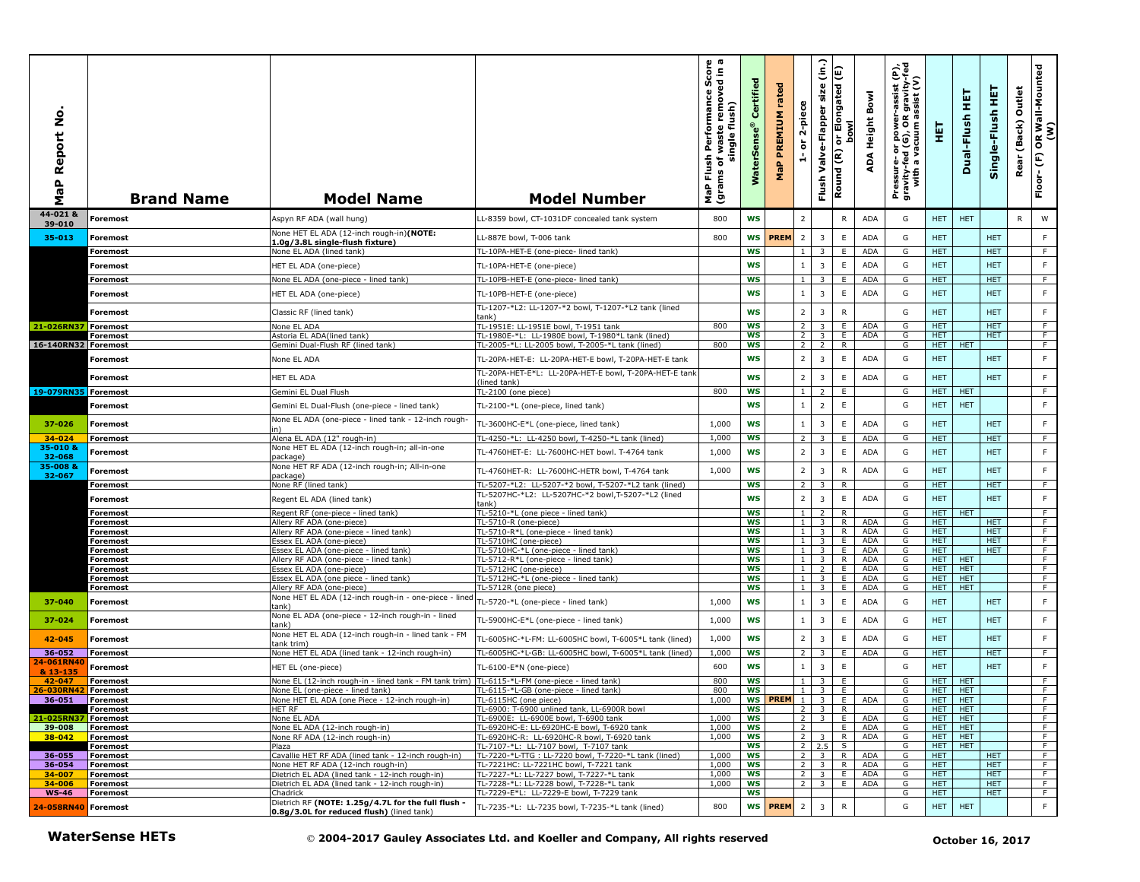| ş<br>aP Report<br>Σ        | <b>Brand Name</b>           | <b>Model Name</b>                                                                               | <b>Model Number</b>                                                                       | h Performance Score<br>f waste removed in a<br>single flush)<br>single<br>Flush<br>৳<br>(grams<br>MaP | Certified<br>$\bullet$<br><b>WaterSens</b> | rated<br>PREMIUM<br>MaP | 2-piece<br>$\overleftarrow{\mathtt{o}}$<br>÷ | $\hat{c}$<br>size<br>Valve-Flapper<br>Flush | E<br>or Elongated<br>bowl<br>Round (R) | Bowl<br>ADA Height       | Pressure- or power-assist (P),<br>gravity-fed (G), OR gravity-fed<br>with a vacuum assist (V) | 핓                        | 王<br>Dual-Flush          | 토<br>Single-Flush        | Outlet<br>(Back)<br>Rear | OR Wall-Mounted<br>(W)<br>$\widehat{\mathbf{E}}$<br>Floor- |
|----------------------------|-----------------------------|-------------------------------------------------------------------------------------------------|-------------------------------------------------------------------------------------------|-------------------------------------------------------------------------------------------------------|--------------------------------------------|-------------------------|----------------------------------------------|---------------------------------------------|----------------------------------------|--------------------------|-----------------------------------------------------------------------------------------------|--------------------------|--------------------------|--------------------------|--------------------------|------------------------------------------------------------|
| 44-021 &<br>39-010         | <b>Foremost</b>             | Aspyn RF ADA (wall hung)                                                                        | LL-8359 bowl, CT-1031DF concealed tank system                                             | 800                                                                                                   | <b>WS</b>                                  |                         | $\overline{2}$                               |                                             | $\mathsf{R}$                           | <b>ADA</b>               | G                                                                                             | HET.                     | <b>HET</b>               |                          | R                        | W                                                          |
| 35-013                     | <b>Foremost</b>             | None HET EL ADA (12-inch rough-in)(NOTE:<br>1.0g/3.8L single-flush fixture)                     | LL-887E bowl, T-006 tank                                                                  | 800                                                                                                   | <b>WS</b>                                  | <b>PREM</b>             | $\overline{2}$                               | 3                                           | E                                      | <b>ADA</b>               | G                                                                                             | <b>HET</b>               |                          | <b>HET</b>               |                          | F                                                          |
|                            | <b>Foremost</b>             | None EL ADA (lined tank)                                                                        | TL-10PA-HET-E (one-piece- lined tank)                                                     |                                                                                                       | <b>WS</b>                                  |                         | $\mathbf{1}$                                 | 3                                           | E.                                     | <b>ADA</b>               | G                                                                                             | HET.                     |                          | <b>HET</b>               |                          | -F                                                         |
|                            | Foremost                    | HET EL ADA (one-piece)                                                                          | TL-10PA-HET-E (one-piece)                                                                 |                                                                                                       | <b>WS</b>                                  |                         | $\mathbf{1}$                                 | $\overline{3}$                              | E                                      | <b>ADA</b>               | G                                                                                             | <b>HET</b>               |                          | <b>HET</b>               |                          | $\mathsf F$                                                |
|                            | <b>Foremost</b>             | None EL ADA (one-piece - lined tank)                                                            | TL-10PB-HET-E (one-piece- lined tank)                                                     |                                                                                                       | <b>WS</b>                                  |                         | $1\phantom{0}$                               | 3                                           | Е                                      | ADA                      | G                                                                                             | HET.                     |                          | HET.                     |                          | F                                                          |
|                            | Foremost                    | HET EL ADA (one-piece)                                                                          | TL-10PB-HET-E (one-piece)<br>TL-1207-*L2: LL-1207-*2 bowl, T-1207-*L2 tank (lined         |                                                                                                       | <b>WS</b>                                  |                         | $\mathbf{1}$                                 | 3                                           | E                                      | <b>ADA</b>               | G                                                                                             | <b>HET</b>               |                          | <b>HET</b>               |                          | F                                                          |
|                            | Foremost                    | Classic RF (lined tank)                                                                         | tank)                                                                                     |                                                                                                       | <b>WS</b>                                  |                         | $\overline{2}$                               | $\overline{3}$                              | $\mathsf{R}$                           |                          | G                                                                                             | <b>HET</b>               |                          | <b>HET</b>               |                          | F                                                          |
| 21-026RN37 Foremost        | <b>Foremost</b>             | None EL ADA<br>Astoria EL ADA(lined tank)                                                       | TL-1951E: LL-1951E bowl, T-1951 tank<br>TL-1980E-*L: LL-1980E bowl, T-1980*L tank (lined) | 800                                                                                                   | <b>WS</b><br>WS                            |                         | $\overline{2}$<br>2 <sup>1</sup>             | $\overline{3}$<br>3                         | E<br>Ε.                                | ADA<br><b>ADA</b>        | G<br>G                                                                                        | <b>HET</b><br><b>HET</b> |                          | <b>HET</b><br><b>HET</b> |                          | $\overline{F}$<br>F.                                       |
| 16-140RN32 Foremost        |                             | Gemini Dual-Flush RF (lined tank)                                                               | TL-2005-*L: LL-2005 bowl, T-2005-*L tank (lined)                                          | 800                                                                                                   | <b>WS</b>                                  |                         | 2 <sup>1</sup>                               | $\overline{2}$                              | R                                      |                          | G                                                                                             | HET.                     | HET                      |                          |                          | F                                                          |
|                            | Foremost                    | None EL ADA                                                                                     | TL-20PA-HET-E: LL-20PA-HET-E bowl, T-20PA-HET-E tank                                      |                                                                                                       | <b>WS</b>                                  |                         | $\overline{2}$                               | $\overline{3}$                              | E                                      | ADA                      | G                                                                                             | <b>HET</b>               |                          | <b>HET</b>               |                          | F                                                          |
|                            | Foremost                    | HET EL ADA                                                                                      | TL-20PA-HET-E*L: LL-20PA-HET-E bowl, T-20PA-HET-E tank<br>(lined tank)                    |                                                                                                       | <b>WS</b>                                  |                         | $\overline{2}$                               | $\overline{\mathbf{3}}$                     | E                                      | <b>ADA</b>               | G                                                                                             | <b>HET</b>               |                          | <b>HET</b>               |                          | F.                                                         |
| 19-079RN35 Foremost        |                             | Gemini EL Dual Flush                                                                            | TL-2100 (one piece)                                                                       | 800                                                                                                   | <b>WS</b>                                  |                         | 1                                            | $\overline{z}$                              | E                                      |                          | G                                                                                             | <b>HET</b>               | <b>HET</b>               |                          |                          | $\overline{F}$                                             |
|                            | Foremost                    | Gemini EL Dual-Flush (one-piece - lined tank)                                                   | TL-2100-*L (one-piece, lined tank)                                                        |                                                                                                       | <b>WS</b>                                  |                         | $\mathbf{1}$                                 | $\overline{2}$                              | $\mathsf E$                            |                          | G                                                                                             | <b>HET</b>               | <b>HET</b>               |                          |                          | F.                                                         |
| 37-026                     | <b>Foremost</b>             | None EL ADA (one-piece - lined tank - 12-inch rough-                                            | TL-3600HC-E*L (one-piece, lined tank)                                                     | 1,000                                                                                                 | <b>WS</b>                                  |                         | $\mathbf{1}$                                 | $\overline{3}$                              | $\mathsf E$                            | ADA                      | G                                                                                             | <b>HET</b>               |                          | <b>HET</b>               |                          | F                                                          |
| $34 - 024$                 | <b>Foremost</b>             | Alena EL ADA (12" rough-in)                                                                     | TL-4250-*L: LL-4250 bowl, T-4250-*L tank (lined)                                          | 1,000                                                                                                 | <b>WS</b>                                  |                         | $\overline{2}$                               | $\overline{\mathbf{3}}$                     | E                                      | <b>ADA</b>               | G                                                                                             | <b>HET</b>               |                          | <b>HET</b>               |                          | F                                                          |
| 35-010 &<br>32-068         | <b>Foremost</b>             | None HET EL ADA (12-inch rough-in; all-in-one<br>oackage)                                       | TL-4760HET-E: LL-7600HC-HET bowl. T-4764 tank                                             | 1,000                                                                                                 | <b>WS</b>                                  |                         | $\overline{2}$                               | $\overline{3}$                              | $\mathsf E$                            | ADA                      | G                                                                                             | <b>HET</b>               |                          | <b>HET</b>               |                          | F                                                          |
| 35-008 &                   | Foremost                    | None HET RF ADA (12-inch rough-in; All-in-one                                                   | TL-4760HET-R: LL-7600HC-HETR bowl, T-4764 tank                                            | 1,000                                                                                                 | <b>WS</b>                                  |                         | $\overline{2}$                               | $\overline{3}$                              | ${\sf R}$                              | ADA                      | G                                                                                             | <b>HET</b>               |                          | <b>HET</b>               |                          | F                                                          |
| 32-067                     | <b>Foremost</b>             | )ackage)<br>None RF (lined tank)                                                                | TL-5207-*L2: LL-5207-*2 bowl, T-5207-*L2 tank (lined)                                     |                                                                                                       | <b>WS</b>                                  |                         | $\overline{2}$                               | 3                                           | R                                      |                          | G                                                                                             | HET.                     |                          | HET.                     |                          | F.                                                         |
|                            | Foremost                    | Regent EL ADA (lined tank)                                                                      | TL-5207HC-*L2: LL-5207HC-*2 bowl,T-5207-*L2 (lined<br>tank)                               |                                                                                                       | <b>WS</b>                                  |                         | $\overline{2}$                               | $\overline{3}$                              | E                                      | <b>ADA</b>               | G                                                                                             | <b>HET</b>               |                          | <b>HET</b>               |                          | $\mathsf F$                                                |
|                            | <b>Foremost</b>             | Regent RF (one-piece - lined tank)                                                              | TL-5210-*L (one piece - lined tank)                                                       |                                                                                                       | <b>WS</b>                                  |                         | 1 <sup>1</sup>                               | 2                                           | $\mathsf{R}$                           |                          | G                                                                                             | HET                      | <b>HET</b>               |                          |                          | F                                                          |
|                            | Foremost                    | Allery RF ADA (one-piece)                                                                       | TL-5710-R (one-piece)<br>TL-5710-R*L (one-piece - lined tank)                             |                                                                                                       | <b>WS</b><br><b>WS</b>                     |                         | 1 <sup>1</sup><br>1 <sup>1</sup>             | 3                                           | R<br>R.                                | <b>ADA</b><br>ADA        | G<br>G                                                                                        | HET<br><b>HET</b>        |                          | <b>HET</b><br><b>HET</b> |                          | F.<br>$\overline{F}$                                       |
|                            | <b>Foremost</b><br>Foremost | Allery RF ADA (one-piece - lined tank)<br>Essex EL ADA (one-piece)                              | TL-5710HC (one-piece)                                                                     |                                                                                                       | <b>WS</b>                                  |                         | 1 <sup>1</sup>                               | 3<br>3                                      | Ε.                                     | <b>ADA</b>               | G                                                                                             | HET.                     |                          | HET.                     |                          | F.                                                         |
|                            | <b>Foremost</b>             | Essex EL ADA (one-piece - lined tank)                                                           | TL-5710HC-*L (one-piece - lined tank)                                                     |                                                                                                       | <b>WS</b>                                  |                         | 1 <sub>1</sub>                               | 3                                           | E                                      | <b>ADA</b>               | G                                                                                             | HET.                     |                          | HET.                     |                          | F                                                          |
|                            | Foremost                    | Allery RF ADA (one-piece - lined tank)                                                          | TL-5712-R*L (one-piece - lined tank)                                                      |                                                                                                       | <b>WS</b><br>WS                            |                         | 1 <sup>1</sup><br>$1 \mid$                   | $\overline{\mathbf{3}}$                     | $\overline{R}$<br>Ε.                   | <b>ADA</b><br><b>ADA</b> | G                                                                                             | <b>HET</b><br><b>HET</b> | <b>HET</b><br><b>HET</b> |                          |                          | $\overline{F}$<br>$\overline{F}$                           |
|                            | Foremost<br><b>Foremost</b> | Essex EL ADA (one-piece)<br>Essex EL ADA (one piece - lined tank)                               | TL-5712HC (one-piece)<br>TL-5712HC-*L (one-piece - lined tank)                            |                                                                                                       | <b>WS</b>                                  |                         | $\mathbf{1}$                                 | $\overline{2}$<br>3                         | E                                      | <b>ADA</b>               | G<br>G                                                                                        | HET                      | HET                      |                          |                          | F                                                          |
|                            | Foremost                    | Allery RF ADA (one-piece)                                                                       | TL-5712R (one piece)                                                                      |                                                                                                       | WS                                         |                         | 1 <sup>1</sup>                               | 3                                           | Ε.                                     | <b>ADA</b>               | G                                                                                             | <b>HET</b>               | <b>HET</b>               |                          |                          | F                                                          |
| 37-040                     | <b>Foremost</b>             | None HET EL ADA (12-inch rough-in - one-piece - linec<br>ank'                                   | TL-5720-*L (one-piece - lined tank)                                                       | 1,000                                                                                                 | <b>WS</b>                                  |                         | $\mathbf{1}$                                 | 3                                           | E                                      | ADA                      | G                                                                                             | <b>HET</b>               |                          | <b>HET</b>               |                          | F                                                          |
| 37-024                     | Foremost                    | None EL ADA (one-piece - 12-inch rough-in - lined<br>้ลทk)                                      | TL-5900HC-E*L (one-piece - lined tank)                                                    | 1,000                                                                                                 | <b>WS</b>                                  |                         | 1                                            | $\overline{\mathbf{3}}$                     | E                                      | <b>ADA</b>               | G                                                                                             | <b>HET</b>               |                          | <b>HET</b>               |                          | F                                                          |
| 42-045                     | <b>Foremost</b>             | None HET EL ADA (12-inch rough-in - lined tank - FM<br>tank trim)                               | TL-6005HC-*L-FM: LL-6005HC bowl, T-6005*L tank (lined)                                    | 1,000                                                                                                 | <b>WS</b>                                  |                         | $\overline{2}$                               | 3                                           | E                                      | ADA                      | G                                                                                             | <b>HET</b>               |                          | <b>HET</b>               |                          | F.                                                         |
| 36-052                     | <b>Foremost</b>             | None HET EL ADA (lined tank - 12-inch rough-in)                                                 | TL-6005HC-*L-GB: LL-6005HC bowl, T-6005*L tank (lined)                                    | 1,000                                                                                                 | WS                                         |                         | $2^{\circ}$                                  | 3                                           | Е.                                     | <b>ADA</b>               | G                                                                                             | <b>HET</b>               |                          | <b>HET</b>               |                          | F                                                          |
| 24-061RN40<br>& 13-135     | Foremost                    | HET EL (one-piece)                                                                              | TL-6100-E*N (one-piece)                                                                   | 600                                                                                                   | <b>WS</b>                                  |                         | $\mathbf{1}$                                 | $\overline{\mathbf{3}}$                     | E                                      |                          | G                                                                                             | <b>HET</b>               |                          | <b>HET</b>               |                          | F                                                          |
| 42-047                     | <b>Foremost</b>             | None EL (12-inch rough-in - lined tank - FM tank trim)                                          | TL-6115-*L-FM (one-piece - lined tank)                                                    | 800                                                                                                   | <b>WS</b>                                  |                         | 1 <sup>1</sup>                               | 3                                           | E                                      |                          | G                                                                                             | HET.                     | <b>HET</b>               |                          |                          | F                                                          |
| 26-030RN42 Foremost        |                             | None EL (one-piece - lined tank)                                                                | TL-6115-*L-GB (one-piece - lined tank)                                                    | 800                                                                                                   | ws                                         |                         | 1                                            | 3                                           | Ε.                                     |                          | G                                                                                             | HET.                     | HET                      |                          |                          | F.                                                         |
| 36-051   Foremost          | <b>Foremost</b>             | Vone HET EL ADA (one Piece - 12-inch rough-in)<br>HET RF                                        | IL-6115HC (one piece)<br>TL-6900: T-6900 unlined tank, LL-6900R bowl                      | 1,000                                                                                                 | ws                                         | WS PREM 1               |                                              | $2 \mid 3$                                  | R                                      | E I ADA                  | G                                                                                             | HET I HET<br>HET I       | <b>HET</b>               |                          |                          | F                                                          |
| 21-025RN37                 | Foremost                    | None EL ADA                                                                                     | TL-6900E: LL-6900E bowl, T-6900 tank                                                      | 1,000                                                                                                 | ws                                         |                         |                                              | $2 \mid 3 \mid$                             | E I                                    | ADA                      | G                                                                                             | HET.                     | <b>HET</b>               |                          |                          | F                                                          |
| 39-008                     | Foremost                    | None EL ADA (12-inch rough-in)                                                                  | TL-6920HC-E: LL-6920HC-E bowl, T-6920 tank                                                | 1,000                                                                                                 | <b>WS</b>                                  |                         | $\overline{2}$                               |                                             | E.                                     | ADA                      | G                                                                                             | HET                      | <b>HET</b>               |                          |                          | F.                                                         |
| $38 - 042$                 | Foremost<br><b>Foremost</b> | None RF ADA (12-inch rough-in)<br>Plaza                                                         | TL-6920HC-R: LL-6920HC-R bowl, T-6920 tank<br>TL-7107-*L: LL-7107 bowl, T-7107 tank       | 1,000                                                                                                 | <b>WS</b><br>ws                            |                         |                                              | $2 \mid 3 \mid$<br>$2 \mid 2.5$             | R<br>S.                                | ADA                      | G<br>G                                                                                        | HET<br>HET I             | <b>HET</b><br><b>HET</b> |                          |                          | F<br>F.                                                    |
| 36-055                     | Foremost                    | Cavallie HET RF ADA (lined tank - 12-inch rough-in)                                             | TL-7220-*L-TTG: LL-7220 bowl, T-7220-*L tank (lined)                                      | 1,000                                                                                                 | WS                                         |                         |                                              | $2 \quad 3$                                 | R                                      | <b>ADA</b>               | G                                                                                             | <b>HET</b>               |                          | <b>HET</b>               |                          | F                                                          |
| 36-054                     | Foremost                    | None HET RF ADA (12-inch rough-in)                                                              | TL-7221HC: LL-7221HC bowl, T-7221 tank                                                    | 1,000                                                                                                 | ws                                         |                         |                                              | $2 \mid 3$                                  | R.                                     | ADA                      | G                                                                                             | <b>HET</b>               |                          | HET.                     |                          | $\overline{F}$                                             |
| 34-007                     | Foremost                    | Dietrich EL ADA (lined tank - 12-inch rough-in)                                                 | TL-7227-*L: LL-7227 bowl, T-7227-*L tank                                                  | 1,000                                                                                                 | ws                                         |                         |                                              | $2 \mid 3 \mid$                             | E.                                     | <b>ADA</b>               | G                                                                                             | <b>HET</b>               |                          | HET.                     |                          | F.                                                         |
| $34 - 006$<br><b>WS-46</b> | <b>Foremost</b><br>Foremost | Dietrich EL ADA (lined tank - 12-inch rough-in)<br>Chadrick                                     | TL-7228-*L: LL-7228 bowl, T-7228-*L tank<br>TL-7229-E*L: LL-7229-E bowl, T-7229 tank      | 1,000                                                                                                 | WS<br><b>WS</b>                            |                         | 2 <sup>1</sup>                               | 3                                           | E.                                     | <b>ADA</b>               | G<br>G                                                                                        | <b>HET</b><br><b>HET</b> |                          | <b>HET</b><br><b>HET</b> |                          | F.<br>$\overline{F}$                                       |
| 24-058RN40 Foremost        |                             | Dietrich RF (NOTE: 1.25g/4.7L for the full flush -<br>0.8g/3.0L for reduced flush) (lined tank) | TL-7235-*L: LL-7235 bowl, T-7235-*L tank (lined)                                          | 800                                                                                                   |                                            | WS <b>PREM</b>          | $\overline{2}$                               | $\overline{\mathbf{3}}$                     | $\mathsf{R}$                           |                          | G                                                                                             | HET.                     | <b>HET</b>               |                          |                          | F                                                          |
|                            | <b>WaterSense HETs</b>      |                                                                                                 | © 2004-2017 Gauley Associates Ltd. and Koeller and Company, All rights reserved           |                                                                                                       |                                            |                         |                                              |                                             |                                        |                          |                                                                                               |                          |                          | October 16, 2017         |                          |                                                            |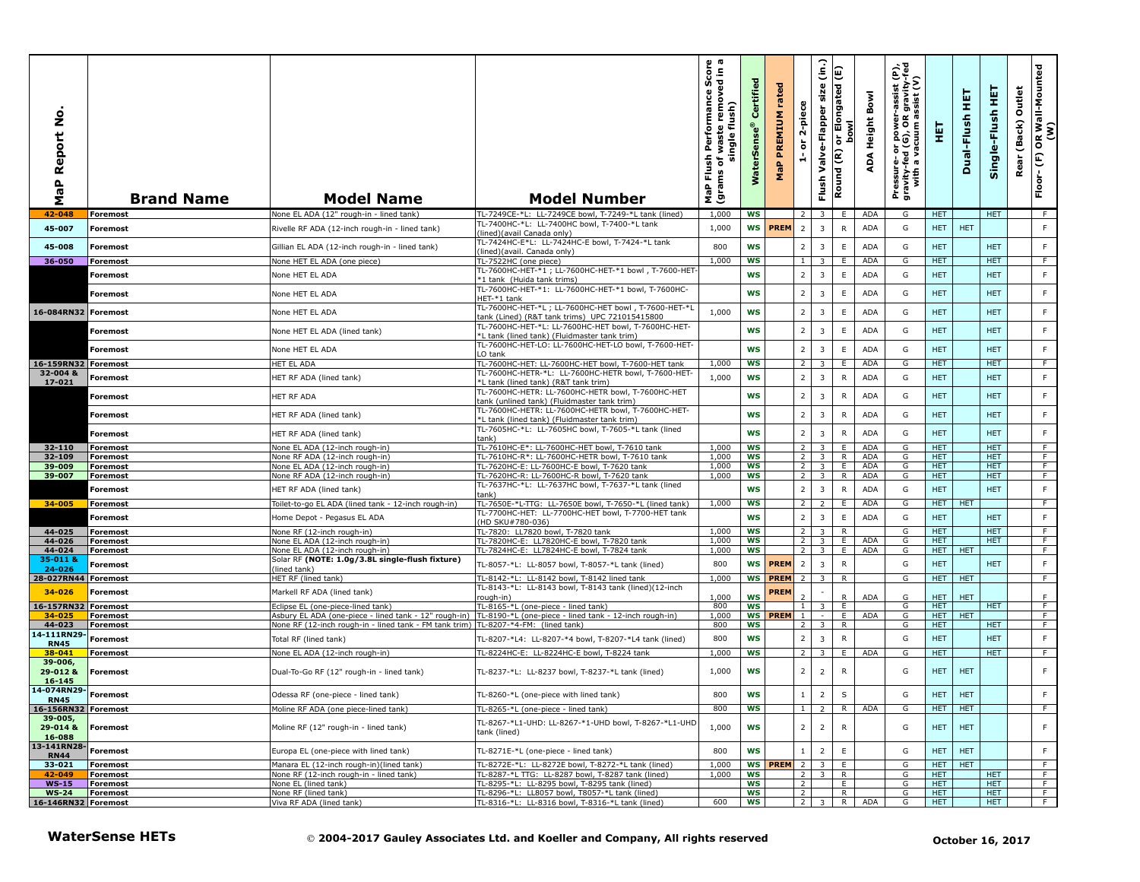| å<br>aP Report<br>Σ                 | <b>Brand Name</b>           | <b>Model Name</b>                                                                  | <b>Model Number</b>                                                                                          | na<br>B.n<br>sh Performance Sco<br>of waste removed in<br>single flush)<br>Flush<br>ns of <sub>\</sub><br>MaP Flu<br>(grams | ertified<br>Ű<br>WaterSens | rated<br>PREMIUM<br>MaP | 2-piece<br>$\overleftarrow{\mathtt{o}}$<br>÷. | $\widehat{\mathsf{lin}}$<br>size<br>Valve-Flapper<br>Flush | E<br>longated<br><b>Dowl</b><br>$\widetilde{\epsilon}$<br>Round | Bowl<br>ADA Height | r-assist (P),<br>! gravity-fed<br>assist (V)<br>Pressure- or power--<br>gravity-fed (G), OR g<br>with a vacuum as | 핓                        | 틡<br>Dual-Flush         | 王<br>Single-Flush        | Outlet<br>(Back)<br>Rear | OR Wall-Mounted<br>(W)<br>$\boldsymbol{\mathsf{E}}$<br>Floor- |
|-------------------------------------|-----------------------------|------------------------------------------------------------------------------------|--------------------------------------------------------------------------------------------------------------|-----------------------------------------------------------------------------------------------------------------------------|----------------------------|-------------------------|-----------------------------------------------|------------------------------------------------------------|-----------------------------------------------------------------|--------------------|-------------------------------------------------------------------------------------------------------------------|--------------------------|-------------------------|--------------------------|--------------------------|---------------------------------------------------------------|
| 42-048                              | <b>Foremost</b>             | None EL ADA (12" rough-in - lined tank                                             | TL-7249CE-*L: LL-7249CE bowl, T-7249-*L tank (lined)<br>TL-7400HC-*L: LL-7400HC bowl, T-7400-*L tank         | 1,000                                                                                                                       | <b>WS</b>                  |                         | 2                                             | -3                                                         | E                                                               | ADA                | G                                                                                                                 | <b>HET</b>               |                         | <b>HET</b>               |                          | F                                                             |
| 45-007                              | <b>Foremost</b>             | Rivelle RF ADA (12-inch rough-in - lined tank)                                     | (lined) (avail Canada only)<br>TL-7424HC-E*L: LL-7424HC-E bowl, T-7424-*L tank                               | 1,000                                                                                                                       | <b>WS</b>                  | <b>PREM</b>             | $\overline{2}$                                | $\overline{\mathbf{3}}$                                    | R                                                               | <b>ADA</b>         | G                                                                                                                 | <b>HET</b>               | <b>HET</b>              |                          |                          | F.                                                            |
| 45-008                              | <b>Foremost</b>             | Gillian EL ADA (12-inch rough-in - lined tank)                                     | (lined)(avail. Canada only)                                                                                  | 800                                                                                                                         | WS                         |                         | 2 <sup>1</sup>                                | $\overline{\mathbf{3}}$                                    | $\mathsf E$                                                     | <b>ADA</b>         | G                                                                                                                 | <b>HET</b>               |                         | <b>HET</b>               |                          | F.                                                            |
| 36-050                              | Foremost                    | None HET EL ADA (one piece)                                                        | TL-7522HC (one piece)<br>TL-7600HC-HET-*1; LL-7600HC-HET-*1 bowl, T-7600-HET                                 | 1,000                                                                                                                       | <b>WS</b>                  |                         | $\mathbf{1}$                                  | $\overline{3}$                                             | Ε.                                                              | <b>ADA</b>         | G                                                                                                                 | <b>HET</b>               |                         | <b>HET</b>               |                          | F                                                             |
|                                     | Foremost                    | None HET EL ADA                                                                    | *1 tank (Huida tank trims)                                                                                   |                                                                                                                             | <b>WS</b>                  |                         | $\overline{2}$                                | $\overline{\mathbf{3}}$                                    | $\mathsf E$                                                     | ADA                | G                                                                                                                 | <b>HET</b>               |                         | <b>HET</b>               |                          | F.                                                            |
|                                     | Foremost                    | None HET EL ADA                                                                    | TL-7600HC-HET-*1: LL-7600HC-HET-*1 bowl, T-7600HC-<br>HET-*1 tank                                            |                                                                                                                             | WS                         |                         | $\overline{2}$                                | $\overline{\mathbf{3}}$                                    | E                                                               | ADA                | G                                                                                                                 | <b>HET</b>               |                         | <b>HET</b>               |                          | F.                                                            |
| 16-084RN32 Foremost                 |                             | None HET EL ADA                                                                    | TL-7600HC-HET-*L; LL-7600HC-HET bowl, T-7600-HET-*L<br>ank (Lined) (R&T tank trims) UPC 721015415800         | 1,000                                                                                                                       | WS                         |                         | $\overline{2}$                                | $\overline{\mathbf{3}}$                                    | E                                                               | ADA                | G                                                                                                                 | <b>HET</b>               |                         | <b>HET</b>               |                          | F.                                                            |
|                                     | <b>Foremost</b>             | None HET EL ADA (lined tank)                                                       | TL-7600HC-HET-*L: LL-7600HC-HET bowl, T-7600HC-HET-<br>*L tank (lined tank) (Fluidmaster tank trim)          |                                                                                                                             | <b>WS</b>                  |                         | $\overline{2}$                                | $\overline{\mathbf{3}}$                                    | $\mathsf E$                                                     | ADA                | G                                                                                                                 | <b>HET</b>               |                         | <b>HET</b>               |                          | F.                                                            |
|                                     | Foremost                    | None HET EL ADA                                                                    | TL-7600HC-HET-LO: LL-7600HC-HET-LO bowl, T-7600-HET-                                                         |                                                                                                                             | <b>WS</b>                  |                         | $\overline{2}$                                | $\overline{\mathbf{3}}$                                    | $\mathsf E$                                                     | <b>ADA</b>         | G                                                                                                                 | <b>HET</b>               |                         | <b>HET</b>               |                          | F.                                                            |
| 16-159RN32 Foremost                 |                             | HET EL ADA                                                                         | O tank<br>TL-7600HC-HET: LL-7600HC-HET bowl, T-7600-HET tank                                                 | 1,000                                                                                                                       | ws                         |                         | <sup>2</sup>                                  | 3                                                          | E.                                                              | ADA                | G                                                                                                                 | <b>HET</b>               |                         | <b>HET</b>               |                          | F.                                                            |
| 32-004 &                            | Foremost                    | HET RF ADA (lined tank)                                                            | TL-7600HC-HETR-*L: LL-7600HC-HETR bowl, T-7600-HET-                                                          | 1,000                                                                                                                       | WS                         |                         | 2                                             | $\overline{\mathbf{3}}$                                    | $\mathsf{R}$                                                    | ADA                | G                                                                                                                 | <b>HET</b>               |                         | <b>HET</b>               |                          | F                                                             |
| 17-021                              | Foremost                    | HET RF ADA                                                                         | *L tank (lined tank) (R&T tank trim)<br>TL-7600HC-HETR: LL-7600HC-HETR bowl, T-7600HC-HET                    |                                                                                                                             | <b>WS</b>                  |                         | 2                                             | $\overline{\mathbf{3}}$                                    | $\mathsf{R}$                                                    | <b>ADA</b>         | G                                                                                                                 | <b>HET</b>               |                         | <b>HET</b>               |                          | F.                                                            |
|                                     |                             |                                                                                    | ank (unlined tank) (Fluidmaster tank trim)<br>TL-7600HC-HETR: LL-7600HC-HETR bowl, T-7600HC-HET-             |                                                                                                                             |                            |                         |                                               |                                                            |                                                                 |                    |                                                                                                                   |                          |                         |                          |                          |                                                               |
|                                     | Foremost                    | HET RF ADA (lined tank)                                                            | *L tank (lined tank) (Fluidmaster tank trim)                                                                 |                                                                                                                             | WS                         |                         | $\overline{2}$                                | $\overline{\mathbf{3}}$                                    | ${\sf R}$                                                       | ADA                | G                                                                                                                 | <b>HET</b>               |                         | <b>HET</b>               |                          | F                                                             |
|                                     | Foremost                    | HET RF ADA (lined tank)                                                            | TL-7605HC-*L: LL-7605HC bowl, T-7605-*L tank (lined<br>ank)                                                  |                                                                                                                             | <b>WS</b>                  |                         | $\overline{2}$                                | $\overline{\mathbf{3}}$                                    | $\mathsf{R}$                                                    | ADA                | G                                                                                                                 | <b>HET</b>               |                         | <b>HET</b>               |                          | F                                                             |
| 32-110<br>32-109                    | Foremost<br><b>Foremost</b> | None EL ADA (12-inch rough-in)<br>None RF ADA (12-inch rough-in)                   | TL-7610HC-E*: LL-7600HC-HET bowl, T-7610 tank<br>TL-7610HC-R*: LL-7600HC-HETR bowl, T-7610 tank              | 1,000<br>1,000                                                                                                              | <b>WS</b><br>ws            |                         | $\overline{2}$<br>2 <sup>1</sup>              | $\overline{\mathbf{3}}$<br>$\overline{\mathbf{3}}$         | E<br>R.                                                         | <b>ADA</b><br>ADA  | G<br>G                                                                                                            | <b>HET</b><br><b>HET</b> |                         | <b>HET</b><br><b>HET</b> |                          | F<br>F.                                                       |
| 39-009                              | <b>Foremost</b>             | None EL ADA (12-inch rough-in)                                                     | TL-7620HC-E: LL-7600HC-E bowl, T-7620 tank                                                                   | 1,000                                                                                                                       | ws                         |                         | $\overline{2}$                                | $\overline{\mathbf{3}}$                                    | E.                                                              | <b>ADA</b>         | G                                                                                                                 | <b>HET</b>               |                         | <b>HET</b>               |                          | F.                                                            |
| 39-007                              | Foremost                    | None RF ADA (12-inch rough-in)                                                     | TL-7620HC-R: LL-7600HC-R bowl, T-7620 tank                                                                   | 1,000                                                                                                                       | <b>WS</b>                  |                         | $\overline{2}$                                | 3                                                          | R                                                               | ADA                | G                                                                                                                 | HET.                     |                         | HET.                     |                          | F.                                                            |
|                                     | <b>Foremost</b>             | HET RF ADA (lined tank)                                                            | TL-7637HC-*L: LL-7637HC bowl, T-7637-*L tank (lined<br>ank)                                                  |                                                                                                                             | <b>WS</b>                  |                         | 2                                             | $\overline{\mathbf{3}}$                                    | ${\sf R}$                                                       | <b>ADA</b>         | G                                                                                                                 | <b>HET</b>               |                         | <b>HET</b>               |                          | F                                                             |
| 34-005                              | Foremost                    | Toilet-to-go EL ADA (lined tank - 12-inch rough-in)                                | TL-7650E-*L-TTG: LL-7650E bowl, T-7650-*L (lined tank)<br>TL-7700HC-HET: LL-7700HC-HET bowl, T-7700-HET tank | 1,000                                                                                                                       | <b>WS</b>                  |                         | $\overline{2}$                                | $\overline{2}$                                             | E                                                               | <b>ADA</b>         | G                                                                                                                 | <b>HET</b>               | <b>HET</b>              |                          |                          | F                                                             |
|                                     | <b>Foremost</b>             | Home Depot - Pegasus EL ADA                                                        | HD SKU#780-036)                                                                                              |                                                                                                                             | <b>WS</b>                  |                         | $\overline{2}$                                | $\overline{\mathbf{3}}$                                    | $\mathsf E$                                                     | <b>ADA</b>         | G                                                                                                                 | <b>HET</b>               |                         | <b>HET</b>               |                          | F                                                             |
| 44-025<br>44-026                    | Foremost<br>Foremost        | None RF (12-inch rough-in)<br>None EL ADA (12-inch rough-in)                       | TL-7820: LL7820 bowl, T-7820 tank<br>TL-7820HC-E: LL7820HC-E bowl, T-7820 tank                               | 1,000<br>1,000                                                                                                              | WS<br><b>WS</b>            |                         | $\overline{2}$<br>$\overline{2}$              | 3<br>3                                                     | R<br>Ε.                                                         | <b>ADA</b>         | G<br>G                                                                                                            | <b>HET</b><br>HET.       |                         | <b>HET</b><br>HET.       |                          | F.<br>F.                                                      |
| 44-024                              | <b>Foremost</b>             | None EL ADA (12-inch rough-in)                                                     | TL-7824HC-E: LL7824HC-E bowl, T-7824 tank                                                                    | 1,000                                                                                                                       | WS                         |                         | $\overline{2}$                                | $\overline{3}$                                             | E.                                                              | <b>ADA</b>         | G                                                                                                                 | HET.                     | <b>HET</b>              |                          |                          | F                                                             |
| 35-011 8<br>24-026                  | Foremost                    | Solar RF (NOTE: 1.0g/3.8L single-flush fixture)<br>lined tank)                     | TL-8057-*L: LL-8057 bowl, T-8057-*L tank (lined)                                                             | 800                                                                                                                         | <b>WS</b>                  | <b>PREM</b>             | $\overline{2}$                                | $\overline{\mathbf{3}}$                                    | $\mathsf{R}$                                                    |                    | G                                                                                                                 | <b>HET</b>               |                         | <b>HET</b>               |                          | F                                                             |
| 28-027RN44 Foremost                 |                             | HET RF (lined tank)                                                                | TL-8142-*L: LL-8142 bowl, T-8142 lined tank                                                                  | 1,000                                                                                                                       |                            | <b>WS PREM</b>          | 2                                             | -3                                                         | R                                                               |                    | G                                                                                                                 | HET.                     | <b>HET</b>              |                          |                          | F                                                             |
| 34-026                              | Foremost                    | Markell RF ADA (lined tank)                                                        | TL-8143-*L: LL-8143 bowl, T-8143 tank (lined)(12-inch<br>rough-in)                                           |                                                                                                                             |                            | PREM                    |                                               |                                                            | $\mathsf{R}$                                                    | ADA                | G                                                                                                                 |                          | <b>HET</b>              |                          |                          | F                                                             |
| 16-157RN32 Foremost                 |                             | Eclipse EL (one-piece-lined tank)                                                  | TL-8165-*L (one-piece - lined tank)                                                                          | 1,000<br>800                                                                                                                | WS<br>WS                   |                         | $\mathbf{1}$                                  | 3                                                          | E                                                               |                    | G                                                                                                                 | HET.<br><b>HET</b>       |                         | HET.                     |                          | F                                                             |
| 34-025                              | <b>Foremost</b>             | Asbury EL ADA (one-piece - lined tank - 12" rough-in)                              | TL-8190-*L (one-piece - lined tank - 12-inch rough-in)                                                       | 1,000                                                                                                                       |                            | WS PREM                 | $\mathbf{1}$                                  |                                                            | E                                                               | <b>ADA</b>         | G                                                                                                                 | <b>HET</b>               | <b>HET</b>              |                          |                          | F.                                                            |
| 44-023                              | Foremost                    | None RF (12-inch rough-in - lined tank - FM tank trim) TL-8207-*4-FM: (lined tank) |                                                                                                              | 800                                                                                                                         | WS                         |                         | 2 <sup>1</sup>                                | $\overline{3}$                                             | R                                                               |                    | G                                                                                                                 | <b>HET</b>               |                         | HET.                     |                          | F                                                             |
| 14-111RN29-<br><b>RN45</b>          | Foremost                    | Total RF (lined tank)                                                              | TL-8207-*L4: LL-8207-*4 bowl, T-8207-*L4 tank (lined)                                                        | 800                                                                                                                         | WS                         |                         | 2                                             | $\overline{\mathbf{3}}$                                    | $\mathsf{R}$                                                    |                    | G                                                                                                                 | <b>HET</b>               |                         | <b>HET</b>               |                          | F.                                                            |
| 38-041                              | <b>Foremost</b>             | None EL ADA (12-inch rough-in)                                                     | TL-8224HC-E: LL-8224HC-E bowl, T-8224 tank                                                                   | 1,000                                                                                                                       | <b>WS</b>                  |                         | 2 <sup>1</sup>                                | 3                                                          | E.                                                              | ADA                | G                                                                                                                 | <b>HET</b>               |                         | <b>HET</b>               |                          | F.                                                            |
| 39-006,<br>29-012 &<br>16-145       | <b>Foremost</b>             | Dual-To-Go RF (12" rough-in - lined tank)                                          | TL-8237-*L: LL-8237 bowl, T-8237-*L tank (lined)                                                             | 1,000                                                                                                                       | WS                         |                         | $\overline{2}$                                | $\overline{2}$                                             | R                                                               |                    | G                                                                                                                 | <b>HET</b>               | <b>HET</b>              |                          |                          | F.                                                            |
| 14-074RN29- Foremost<br><b>RN45</b> |                             | Odessa RF (one-piece - lined tank)                                                 | TL-8260-*L (one-piece with lined tank)                                                                       | 800                                                                                                                         | <b>WS</b>                  |                         | $\mathbf{1}$                                  | $\overline{2}$                                             | $\sf S$                                                         |                    | G                                                                                                                 | <b>HET</b>               | <b>HET</b>              |                          |                          | F                                                             |
| 16-156RN32 Foremost                 |                             | Moline RF ADA (one piece-lined tank)                                               | TL-8265-*L (one-piece - lined tank)                                                                          | 800                                                                                                                         | <b>WS</b>                  |                         | 1 <sub>1</sub>                                | $\overline{2}$                                             | R                                                               | ADA                | G                                                                                                                 | HET.                     | <b>HET</b>              |                          |                          | F                                                             |
| 39-005,<br>29-014 &<br>16-088       | Foremost                    | Moline RF (12" rough-in - lined tank)                                              | TL-8267-*L1-UHD: LL-8267-*1-UHD bowl, T-8267-*L1-UHD<br>tank (lined)                                         | 1,000                                                                                                                       | WS                         |                         | $\overline{2}$                                | $\overline{2}$                                             | R                                                               |                    | G                                                                                                                 | <b>HET</b>               | <b>HET</b>              |                          |                          | F.                                                            |
| 13-141RN28-                         | <b>Foremost</b>             | Europa EL (one-piece with lined tank)                                              | TL-8271E-*L (one-piece - lined tank)                                                                         | 800                                                                                                                         | <b>WS</b>                  |                         | $1 \mid$                                      | $\overline{2}$                                             | E                                                               |                    | G                                                                                                                 | <b>HET</b>               | <b>HET</b>              |                          |                          | F.                                                            |
| <b>RN44</b><br>33-021               | Foremost                    | Manara EL (12-inch rough-in)(lined tank)                                           | TL-8272E-*L: LL-8272E bowl, T-8272-*L tank (lined)                                                           | 1,000                                                                                                                       | WS                         | <b>PREM</b>             | $\overline{2}$                                | $\overline{3}$                                             | E.                                                              |                    | G                                                                                                                 | HET.                     | <b>HET</b>              |                          |                          | F.                                                            |
| 42-049                              | <b>Foremost</b>             | None RF (12-inch rough-in - lined tank)                                            | TL-8287-*L TTG: LL-8287 bowl, T-8287 tank (lined)                                                            | 1,000                                                                                                                       | WS                         |                         | <sup>2</sup>                                  | $\overline{\mathbf{3}}$                                    | R.                                                              |                    | G                                                                                                                 | <b>HET</b>               |                         | <b>HET</b>               |                          | F.                                                            |
| $WS-15$                             | Foremost                    | None EL (lined tank)                                                               | TL-8295-*L: LL-8295 bowl, T-8295 tank (lined)                                                                |                                                                                                                             | WS                         |                         | $\overline{2}$                                |                                                            | E.                                                              |                    | G                                                                                                                 | <b>HET</b>               |                         | <b>HET</b>               |                          | F                                                             |
| <b>WS-24</b><br>16-146RN32 Foremost | Foremost                    | None RF (lined tank)<br>Viva RF ADA (lined tank)                                   | TL-8296-*L: LL8057 bowl, T8057-*L tank (lined)<br>TL-8316-*L: LL-8316 bowl, T-8316-*L tank (lined)           | 600                                                                                                                         | ws<br>ws                   |                         | $\overline{2}$                                | $2 \mid 3$                                                 | R.<br>R                                                         | ADA                | G<br>G                                                                                                            | <b>HET</b><br><b>HET</b> |                         | <b>HET</b><br><b>HET</b> |                          | ਾ<br>$\overline{F}$                                           |
|                                     | <b>WaterSense HETs</b>      |                                                                                    | © 2004-2017 Gauley Associates Ltd. and Koeller and Company, All rights reserved                              |                                                                                                                             |                            |                         |                                               |                                                            |                                                                 |                    |                                                                                                                   |                          | <b>October 16, 2017</b> |                          |                          |                                                               |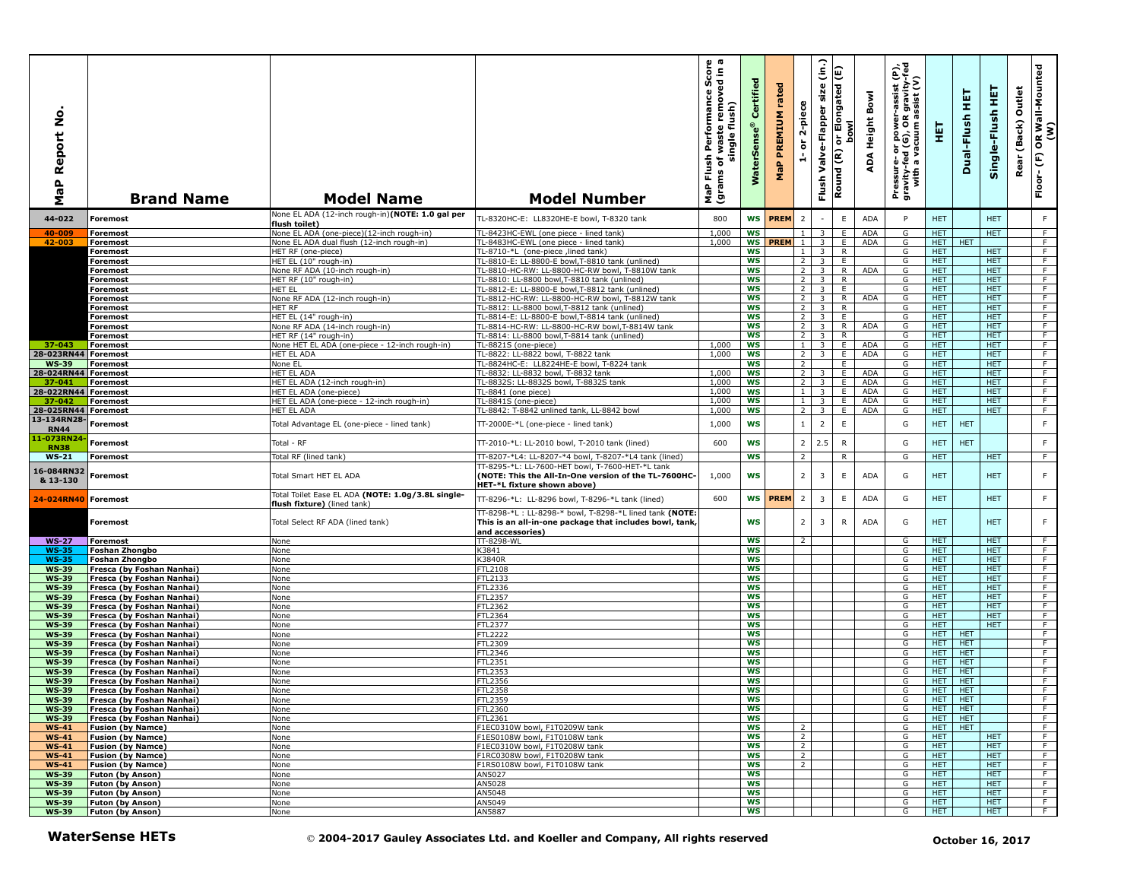| Report No<br>$\mathbf{a}$<br>æ<br>Σ | <b>Brand Name</b>                                      | <b>Model Name</b>                                                                | <b>Model Number</b>                                                                                                                     | rmance Score<br>cremoved in a<br>Performance<br>single flush)<br>waste<br>Flush<br>৳<br>(grams<br>MaP | Certified<br><b>WaterSens</b> | rated<br>PREMIUM<br>MaP | 2-piece<br>$\overleftarrow{\mathtt{o}}$<br>ă | $\widehat{\epsilon}$<br>size<br>Valve-Flapper<br>Flush | or Elongated (E)<br><b>bowl</b><br>Round (R) | Bowl<br>Height<br>ADA | er-assist (P),<br>)R gravity-fed<br>) assist (V)<br>Pressure- or power-a<br>gravity-fed (G), OR g<br>with a vacuum as | 핓                        | 実<br>Dual-Flush          | 뜊<br>Single-Flush        | Outlet<br>(Back)<br>Rear | OR Wall-Mounted<br>(W)<br>$\mathop{\mathbb{E}}$<br>Floor- |
|-------------------------------------|--------------------------------------------------------|----------------------------------------------------------------------------------|-----------------------------------------------------------------------------------------------------------------------------------------|-------------------------------------------------------------------------------------------------------|-------------------------------|-------------------------|----------------------------------------------|--------------------------------------------------------|----------------------------------------------|-----------------------|-----------------------------------------------------------------------------------------------------------------------|--------------------------|--------------------------|--------------------------|--------------------------|-----------------------------------------------------------|
| 44-022                              | <b>Foremost</b>                                        | None EL ADA (12-inch rough-in)(NOTE: 1.0 gal per<br>flush toilet)                | TL-8320HC-E: LL8320HE-E bowl, T-8320 tank                                                                                               | 800                                                                                                   | <b>WS</b>                     | <b>PREM</b>             | $\overline{2}$                               |                                                        | $\mathsf E$                                  | <b>ADA</b>            | P                                                                                                                     | <b>HET</b>               |                          | <b>HET</b>               |                          | F                                                         |
| 40-009                              | Foremost                                               | None EL ADA (one-piece)(12-inch rough-in)                                        | TL-8423HC-EWL (one piece - lined tank)                                                                                                  | 1,000                                                                                                 | <b>WS</b>                     |                         | $\mathbf{1}$                                 | 3                                                      | E                                            | <b>ADA</b>            | G                                                                                                                     | <b>HET</b>               |                          | <b>HET</b>               |                          | F.                                                        |
| 42-003                              | Foremost                                               | None EL ADA dual flush (12-inch rough-in)                                        | TL-8483HC-EWL (one piece - lined tank)                                                                                                  | 1,000                                                                                                 | <b>WS</b>                     | <b>PREM</b>             | $\mathbf{1}$                                 | $\overline{3}$                                         | E                                            | <b>ADA</b>            | G                                                                                                                     | HET.                     | HET.                     |                          |                          | F                                                         |
|                                     | Foremost<br>Foremost                                   | HET RF (one-piece)<br>HET EL (10" rough-in)                                      | TL-8710-*L (one-piece ,lined tank)<br>FL-8810-E: LL-8800-E bowl, T-8810 tank (unlined)                                                  |                                                                                                       | WS<br>WS                      |                         | $\mathbf{1}$<br>$\overline{2}$               | $\overline{3}$<br>$\overline{3}$                       | R<br>E                                       |                       | G<br>G                                                                                                                | <b>HET</b><br><b>HET</b> |                          | <b>HET</b><br><b>HET</b> |                          | F<br>$\overline{F}$                                       |
|                                     | <b>Foremost</b>                                        | None RF ADA (10-inch rough-in)                                                   | TL-8810-HC-RW: LL-8800-HC-RW bowl, T-8810W tank                                                                                         |                                                                                                       | <b>WS</b>                     |                         | $\overline{2}$                               | $\overline{\mathbf{3}}$                                | $\overline{R}$                               | ADA                   | G                                                                                                                     | <b>HET</b>               |                          | <b>HET</b>               |                          | F                                                         |
|                                     | Foremost                                               | HET RF (10" rough-in)                                                            | TL-8810: LL-8800 bowl, T-8810 tank (unlined)                                                                                            |                                                                                                       | <b>WS</b>                     |                         | 2                                            | 3 <sup>1</sup>                                         | R                                            |                       | G                                                                                                                     | HET.                     |                          | <b>HET</b>               |                          | F                                                         |
|                                     | Foremost                                               | HET EL<br>None RF ADA (12-inch rough-in)                                         | [L-8812-E: LL-8800-E bowl, T-8812 tank (unlined)<br>TL-8812-HC-RW: LL-8800-HC-RW bowl, T-8812W tank                                     |                                                                                                       | <b>WS</b><br><b>WS</b>        |                         | 2 <sup>1</sup><br>2 <sup>1</sup>             | $\overline{\mathbf{3}}$<br>$\overline{\mathbf{3}}$     | E<br>R.                                      | ADA                   | G<br>G                                                                                                                | HET.<br><b>HET</b>       |                          | <b>HET</b><br><b>HET</b> |                          | F.<br>$\overline{F}$                                      |
|                                     | Foremost<br>Foremost                                   | HET RF                                                                           | TL-8812: LL-8800 bowl, T-8812 tank (unlined)                                                                                            |                                                                                                       | <b>WS</b>                     |                         | 2 <sup>1</sup>                               | $\overline{\mathbf{3}}$                                | R                                            |                       | G                                                                                                                     | <b>HET</b>               |                          | <b>HET</b>               |                          | F                                                         |
|                                     | Foremost                                               | HET EL (14" rough-in)                                                            | [L-8814-E: LL-8800-E bowl, T-8814 tank (unlined)                                                                                        |                                                                                                       | <b>WS</b>                     |                         | $2^{\circ}$                                  | $\overline{3}$                                         | E                                            |                       | G                                                                                                                     | HET                      |                          | <b>HET</b>               |                          | F.                                                        |
|                                     | Foremost                                               | None RF ADA (14-inch rough-in)<br>HET RF (14" rough-in)                          | TL-8814-HC-RW: LL-8800-HC-RW bowl,T-8814W tank                                                                                          |                                                                                                       | <b>WS</b><br><b>WS</b>        |                         | 2 <sub>1</sub><br><sup>2</sup>               | $\overline{\mathbf{3}}$<br>$\overline{\mathbf{3}}$     | $\overline{R}$<br>R.                         | ADA                   | G<br>G                                                                                                                | <b>HET</b><br>HET        |                          | <b>HET</b><br><b>HET</b> |                          | $\overline{F}$<br>$\overline{F}$                          |
| 37-043                              | Foremost<br><b>Foremost</b>                            | Vone HET EL ADA (one-piece - 12-inch rough-in)                                   | TL-8814: LL-8800 bowl, T-8814 tank (unlined)<br>TL-8821S (one-piece)                                                                    | 1,000                                                                                                 | <b>WS</b>                     |                         | $\mathbf{1}$                                 | 3                                                      | E                                            | <b>ADA</b>            | G                                                                                                                     | <b>HET</b>               |                          | <b>HET</b>               |                          | F.                                                        |
| 28-023RN44 Foremost                 |                                                        | HET EL ADA                                                                       | TL-8822: LL-8822 bowl, T-8822 tank                                                                                                      | 1,000                                                                                                 | <b>WS</b>                     |                         | $\overline{2}$                               | $\overline{3}$                                         | E                                            | ADA                   | G                                                                                                                     | HET.                     |                          | <b>HET</b>               |                          | F                                                         |
| <b>WS-39</b>                        | <b>Foremost</b>                                        | None EL                                                                          | TL-8824HC-E: LL8224HE-E bowl, T-8224 tank                                                                                               |                                                                                                       | <b>WS</b>                     |                         | 2                                            |                                                        | E.                                           |                       | G                                                                                                                     | <b>HET</b>               |                          | <b>HET</b>               |                          | F                                                         |
| 28-024RN44 Foremost<br>37-041       | Foremost                                               | HET EL ADA<br>HET EL ADA (12-inch rough-in)                                      | TL-8832: LL-8832 bowl, T-8832 tank<br>TL-8832S: LL-8832S bowl, T-8832S tank                                                             | 1,000<br>1,000                                                                                        | <b>WS</b><br><b>WS</b>        |                         | $\overline{2}$<br>$\overline{2}$             | 3<br>$\overline{3}$                                    | E<br>E                                       | <b>ADA</b><br>ADA     | G<br>G                                                                                                                | HET.<br><b>HET</b>       |                          | <b>HET</b><br>HET        |                          | F.<br>F                                                   |
| 28-022RN44                          | <b>Foremost</b>                                        | HET EL ADA (one-piece)                                                           | TL-8841 (one piece)                                                                                                                     | 1,000                                                                                                 | <b>WS</b>                     |                         | $\mathbf{1}$                                 | $\overline{\mathbf{3}}$                                | E                                            | ADA                   | G                                                                                                                     | <b>HET</b>               |                          | <b>HET</b>               |                          | F                                                         |
| 37-042                              | Foremost                                               | HET EL ADA (one-piece - 12-inch rough-in)                                        | TL-8841S (one-piece)                                                                                                                    | 1,000                                                                                                 | ws                            |                         | 1 <sup>1</sup>                               | $\overline{\mathbf{3}}$                                | E.                                           | ADA                   | G                                                                                                                     | HET.                     |                          | <b>HET</b>               |                          | $\overline{F}$                                            |
| 28-025RN44 Foremost<br>13-134RN28   |                                                        | HET EL ADA                                                                       | TL-8842: T-8842 unlined tank, LL-8842 bowl                                                                                              | 1,000                                                                                                 | <b>WS</b>                     |                         | $2^{\circ}$                                  | $\overline{\mathbf{3}}$                                | E                                            | ADA                   | G                                                                                                                     | HET.                     |                          | HET.                     |                          | F.                                                        |
| <b>RN44</b><br>1-073RN24            | Foremost                                               | Total Advantage EL (one-piece - lined tank)                                      | TT-2000E-*L (one-piece - lined tank)                                                                                                    | 1,000                                                                                                 | <b>WS</b>                     |                         | $\,$ 1 $\,$                                  | $\overline{2}$                                         | $\mathsf E$                                  |                       | G                                                                                                                     | <b>HET</b>               | <b>HET</b>               |                          |                          | $\mathsf F$                                               |
| <b>RN38</b>                         | Foremost                                               | Total - RF                                                                       | TT-2010-*L: LL-2010 bowl, T-2010 tank (lined)                                                                                           | 600                                                                                                   | <b>WS</b>                     |                         | $\overline{2}$                               | 2.5                                                    | $\mathsf{R}$                                 |                       | G                                                                                                                     | <b>HET</b>               | <b>HET</b>               |                          |                          | $\mathsf F$                                               |
| $WS-21$                             | Foremost                                               | Total RF (lined tank)                                                            | TT-8207-*L4: LL-8207-*4 bowl, T-8207-*L4 tank (lined)                                                                                   |                                                                                                       | <b>WS</b>                     |                         | $\overline{2}$                               |                                                        | R                                            |                       | G                                                                                                                     | <b>HET</b>               |                          | HET.                     |                          | F.                                                        |
| 16-084RN32<br>& 13-130              | Foremost                                               | Total Smart HET EL ADA                                                           | TT-8295-*L: LL-7600-HET bowl, T-7600-HET-*L tank<br>(NOTE: This the All-In-One version of the TL-7600HC-<br>HET-*L fixture shown above) | 1,000                                                                                                 | <b>WS</b>                     |                         | $\overline{2}$                               | 3                                                      | $\mathsf E$                                  | <b>ADA</b>            | G                                                                                                                     | <b>HET</b>               |                          | <b>HET</b>               |                          | F                                                         |
| 24-024RN40                          | <b>Foremost</b>                                        | Total Toilet Ease EL ADA (NOTE: 1.0g/3.8L single-<br>flush fixture) (lined tank) | TT-8296-*L: LL-8296 bowl, T-8296-*L tank (lined)                                                                                        | 600                                                                                                   | <b>WS</b>                     | PREM                    | $\overline{2}$                               | $\overline{3}$                                         | $\mathsf E$                                  | ADA                   | G                                                                                                                     | <b>HET</b>               |                          | <b>HET</b>               |                          | $\mathsf F$                                               |
|                                     | Foremost                                               | Total Select RF ADA (lined tank)                                                 | TT-8298-*L: LL-8298-* bowl, T-8298-*L lined tank (NOTE:<br>This is an all-in-one package that includes bowl, tank,<br>and accessories)  |                                                                                                       | <b>WS</b>                     |                         | $\overline{2}$                               | 3                                                      | $\mathsf{R}$                                 | <b>ADA</b>            | G                                                                                                                     | <b>HET</b>               |                          | <b>HET</b>               |                          | F                                                         |
| <b>WS-27</b>                        | Foremost                                               | None                                                                             | TT-8298-WL                                                                                                                              |                                                                                                       | <b>WS</b>                     |                         | $\mathcal{L}$                                |                                                        |                                              |                       | G                                                                                                                     | HET.                     |                          | <b>HET</b>               |                          | F.                                                        |
| <b>WS-35</b>                        | Foshan Zhongbo                                         | None                                                                             | K3841                                                                                                                                   |                                                                                                       | <b>WS</b>                     |                         |                                              |                                                        |                                              |                       | G                                                                                                                     | <b>HET</b>               |                          | <b>HET</b>               |                          | F<br>F                                                    |
| <b>WS-35</b><br><b>WS-39</b>        | Foshan Zhongbo<br>Fresca (by Foshan Nanhai)            | None<br>None                                                                     | <3840R<br>TL2108                                                                                                                        |                                                                                                       | <b>WS</b><br>WS               |                         |                                              |                                                        |                                              |                       | G<br>G                                                                                                                | <b>HET</b><br><b>HET</b> |                          | <b>HET</b><br><b>HET</b> |                          | F                                                         |
| <b>WS-39</b>                        | Fresca (by Foshan Nanhai)                              | None                                                                             | TL2133                                                                                                                                  |                                                                                                       | <b>WS</b>                     |                         |                                              |                                                        |                                              |                       | G                                                                                                                     | HET.                     |                          | <b>HET</b>               |                          | F                                                         |
| <b>WS-39</b>                        | Fresca (by Foshan Nanhai)                              | None                                                                             | FTL2336                                                                                                                                 |                                                                                                       | <b>WS</b>                     |                         |                                              |                                                        |                                              |                       | G                                                                                                                     | HET.                     |                          | <b>HET</b>               |                          | F                                                         |
| <b>WS-39</b><br><b>WS-39</b>        | Fresca (by Foshan Nanhai)<br>Fresca (by Foshan Nanhai) | None<br><b>None</b>                                                              | <b>FTL2357</b><br><b>FTL2362</b>                                                                                                        |                                                                                                       | <b>WS</b><br><b>WS</b>        |                         |                                              |                                                        |                                              |                       | G<br>G                                                                                                                | <b>HET</b><br><b>HET</b> |                          | <b>HET</b><br><b>HET</b> |                          | $\overline{F}$<br>F                                       |
| <b>WS-39</b>                        | Fresca (by Foshan Nanhai)                              | None                                                                             | FTL2364                                                                                                                                 |                                                                                                       | WS                            |                         |                                              |                                                        |                                              |                       | G                                                                                                                     | <b>HET</b>               |                          | <b>HET</b>               |                          | F                                                         |
| <b>WS-39</b>                        | Fresca (by Foshan Nanhai)                              | None                                                                             | FTL2377                                                                                                                                 |                                                                                                       | <b>WS</b>                     |                         |                                              |                                                        |                                              |                       | G                                                                                                                     | HET.                     |                          | <b>HET</b>               |                          | F                                                         |
| <b>WS-39</b><br><b>WS-39</b>        | Fresca (by Foshan Nanhai)<br>Fresca (by Foshan Nanhai) | None<br>None                                                                     | FTL2222<br>FTL2309                                                                                                                      |                                                                                                       | WS<br><b>WS</b>               |                         |                                              |                                                        |                                              |                       | G<br>G                                                                                                                | HET<br>HET.              | <b>HET</b><br><b>HET</b> |                          |                          | $\overline{F}$<br>F                                       |
| <b>WS-39</b>                        | Fresca (by Foshan Nanhai)                              | None                                                                             | FTL2346                                                                                                                                 |                                                                                                       | <b>WS</b>                     |                         |                                              |                                                        |                                              |                       | G                                                                                                                     | HET.                     | <b>HET</b>               |                          |                          | F                                                         |
| <b>WS-39</b>                        | Fresca (by Foshan Nanhai)                              | None                                                                             | FTL2351                                                                                                                                 |                                                                                                       | WS                            |                         |                                              |                                                        |                                              |                       | G                                                                                                                     | HET.                     | <b>HET</b>               |                          |                          | F.                                                        |
| <b>WS-39</b><br><b>WS-39</b>        | Fresca (by Foshan Nanhai)<br>Fresca (by Foshan Nanhai) | None<br>None                                                                     | TL2353<br>FTL2356                                                                                                                       |                                                                                                       | WS<br><b>WS</b>               |                         |                                              |                                                        |                                              |                       | G<br>G                                                                                                                | <b>HET</b><br>HET.       | <b>HET</b><br><b>HET</b> |                          |                          | F<br>F                                                    |
| <b>WS-39</b>                        | Fresca (by Foshan Nanhai)                              | None                                                                             | FTL2358                                                                                                                                 |                                                                                                       | WS                            |                         |                                              |                                                        |                                              |                       | G                                                                                                                     | HET.                     | <b>HET</b>               |                          |                          | F.                                                        |
| <b>WS-39</b>                        | Fresca (by Foshan Nanhai                               | None                                                                             | -TL2359                                                                                                                                 |                                                                                                       | ws                            |                         |                                              |                                                        |                                              |                       | G                                                                                                                     | HELL HELL                |                          |                          |                          | - F                                                       |
| <b>WS-39</b>                        | Fresca (by Foshan Nanhai)                              | None                                                                             | FTL2360                                                                                                                                 |                                                                                                       | WS                            |                         |                                              |                                                        |                                              |                       | G                                                                                                                     | HET HET                  |                          |                          |                          | F                                                         |
| <b>WS-39</b><br>$WS-41$             | Fresca (by Foshan Nanhai)<br><b>Fusion (by Namce)</b>  | None<br>None                                                                     | FTL2361<br>F1EC0310W bowl, F1T0209W tank                                                                                                |                                                                                                       | ws<br>ws                      |                         | 2                                            |                                                        |                                              |                       | G<br>G                                                                                                                | HET  <br>HET   HET       | <b>HET</b>               |                          |                          | F.<br>ਾਸ                                                  |
| $WS-41$                             | <b>Fusion (by Namce)</b>                               | None                                                                             | F1ES0108W bowl, F1T0108W tank                                                                                                           |                                                                                                       | <b>WS</b>                     |                         | $\overline{2}$                               |                                                        |                                              |                       | G                                                                                                                     | HET.                     |                          | <b>HET</b>               |                          | F                                                         |
| $WS-41$                             | <b>Fusion (by Namce)</b>                               | None                                                                             | F1EC0310W bowl, F1T0208W tank                                                                                                           |                                                                                                       | WS                            |                         | $\overline{2}$                               |                                                        |                                              |                       | G                                                                                                                     | HET.                     |                          | <b>HET</b>               |                          | F                                                         |
| $WS-41$<br>$WS-41$                  | <b>Fusion (by Namce)</b><br><b>Fusion (by Namce)</b>   | None<br>None                                                                     | F1RC0308W bowl, F1T0208W tank<br>F1RS0108W bowl, F1T0108W tank                                                                          |                                                                                                       | ws<br>ws                      |                         | $\overline{2}$<br>$\overline{2}$             |                                                        |                                              |                       | G<br>G                                                                                                                | HET.<br><b>HET</b>       |                          | HET.<br><b>HET</b>       |                          | F.<br>$\overline{F}$                                      |
| <b>WS-39</b>                        | <b>Futon (by Anson)</b>                                | None                                                                             | AN5027                                                                                                                                  |                                                                                                       | WS                            |                         |                                              |                                                        |                                              |                       | G                                                                                                                     | HET.                     |                          | <b>HET</b>               |                          | F.                                                        |
| <b>WS-39</b>                        | Futon (by Anson)                                       | None                                                                             | AN5028                                                                                                                                  |                                                                                                       | WS                            |                         |                                              |                                                        |                                              |                       | G                                                                                                                     | <b>HET</b>               |                          | <b>HET</b>               |                          | F.                                                        |
| <b>WS-39</b>                        | <b>Futon (by Anson)</b>                                | None                                                                             | AN5048<br>AN5049                                                                                                                        |                                                                                                       | <b>WS</b><br>ws               |                         |                                              |                                                        |                                              |                       | G<br>G                                                                                                                | <b>HET</b><br><b>HET</b> |                          | <b>HET</b><br><b>HET</b> |                          | $-$ F<br>$\overline{F}$                                   |
| <b>WS-39</b><br><b>WS-39</b>        | <b>Futon (by Anson)</b><br><b>Futon (by Anson)</b>     | None<br>None                                                                     | AN5887                                                                                                                                  |                                                                                                       | <b>WS</b>                     |                         |                                              |                                                        |                                              |                       | G                                                                                                                     | HET.                     |                          | HET.                     |                          | F                                                         |
|                                     | <b>WaterSense HETs</b>                                 |                                                                                  | © 2004-2017 Gauley Associates Ltd. and Koeller and Company, All rights reserved                                                         |                                                                                                       |                               |                         |                                              |                                                        |                                              |                       |                                                                                                                       |                          |                          | October 16, 2017         |                          |                                                           |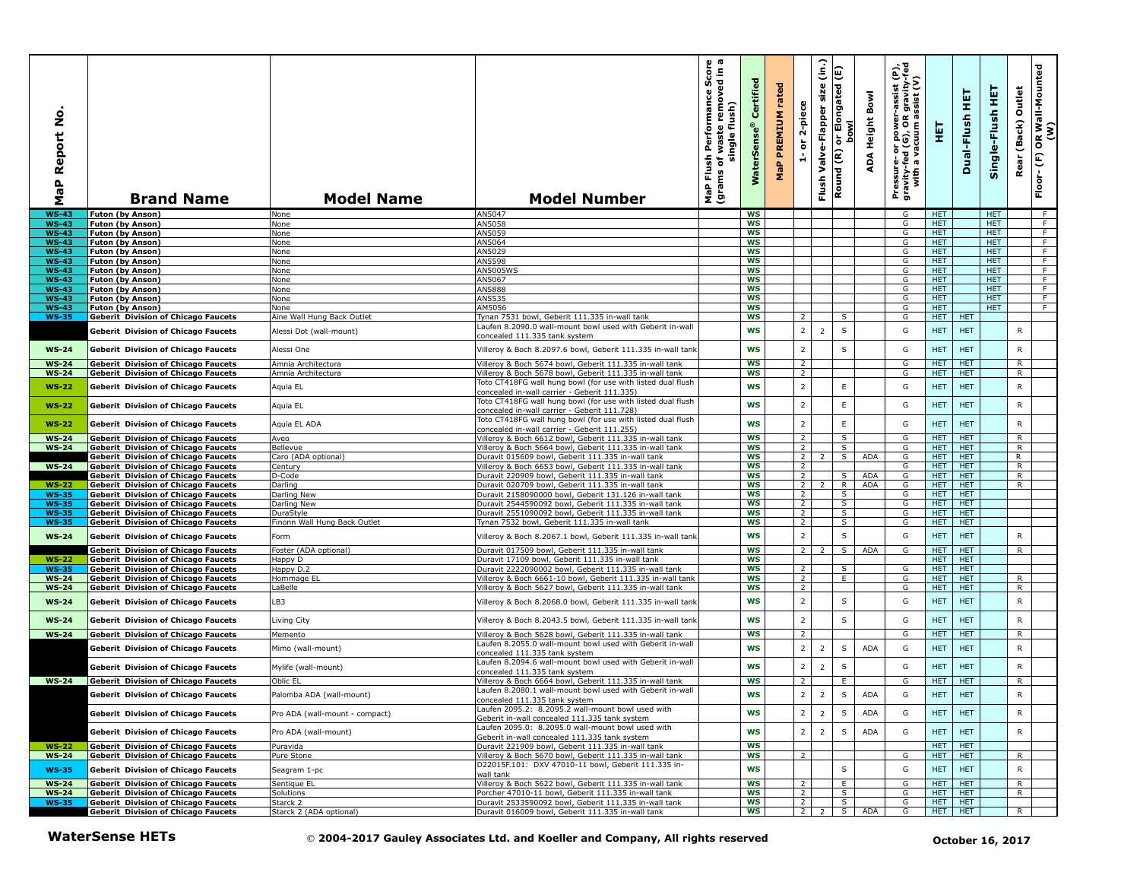| <u>ó</u><br>Report<br>$\mathbf{a}$<br><b>G</b><br>Σ | <b>Brand Name</b>                                                                        | <b>Model Name</b>                        | <b>Model Number</b>                                                                                                  | ā<br>£.<br>ō<br>rmance Sco<br>removed in<br>Performan<br>flush)<br>waste<br>single<br>Flush<br>৳<br>MaP Flu<br>(grams | Certified<br>terSens<br>Š | rated<br>PREMIUM<br>MaP | 2-piece<br>$\overleftarrow{\mathtt{o}}$<br>÷ | (in.)<br>Flush Valve-Flapper size | Elongated (E)<br>bowl<br>Round (R) or | Bowl<br><b>ADA Height</b> | εť<br>ξ<br>Pressure- or power-assist<br>gravity-fed (G), OR gravity<br>with a vacuum assist (V | 핓                        | 듚<br>Dual-Flush          | 똪<br>Single-Flush        | Outlet<br>Rear (Back) | OR Wall-Mounted<br>(W)<br>Floor-(F) |
|-----------------------------------------------------|------------------------------------------------------------------------------------------|------------------------------------------|----------------------------------------------------------------------------------------------------------------------|-----------------------------------------------------------------------------------------------------------------------|---------------------------|-------------------------|----------------------------------------------|-----------------------------------|---------------------------------------|---------------------------|------------------------------------------------------------------------------------------------|--------------------------|--------------------------|--------------------------|-----------------------|-------------------------------------|
| <b>WS-43</b>                                        | <b>Futon (by Anson)</b>                                                                  | None                                     | AN5047                                                                                                               |                                                                                                                       | <b>WS</b>                 |                         |                                              |                                   |                                       |                           | G                                                                                              | HET.                     |                          | <b>HET</b>               |                       | - F                                 |
| <b>WS-43</b><br>$WS-43$                             | <b>Futon (by Anson)</b><br><b>Futon (by Anson)</b>                                       | None<br>None                             | AN5058<br>AN5059                                                                                                     |                                                                                                                       | ws<br>WS                  |                         |                                              |                                   |                                       |                           | G<br>G                                                                                         | <b>HET</b><br>HET.       |                          | <b>HET</b><br><b>HET</b> |                       | F.<br>$\overline{F}$                |
| <b>WS-43</b>                                        | Futon (by Anson)                                                                         | None                                     | AN5064                                                                                                               |                                                                                                                       | <b>WS</b>                 |                         |                                              |                                   |                                       |                           | G                                                                                              | <b>HET</b>               |                          | <b>HET</b>               |                       | F.                                  |
| <b>WS-43</b>                                        | Futon (by Anson)                                                                         | None                                     | AN5029                                                                                                               |                                                                                                                       | ws                        |                         |                                              |                                   |                                       |                           | G                                                                                              | <b>HET</b>               |                          | <b>HET</b>               |                       | F.                                  |
| $WS-43$                                             | Futon (by Anson)                                                                         | None                                     | AN5598                                                                                                               |                                                                                                                       | <b>WS</b>                 |                         |                                              |                                   |                                       |                           | G                                                                                              | <b>HET</b>               |                          | <b>HET</b>               |                       | F.                                  |
| <b>WS-43</b><br><b>WS-43</b>                        | Futon (by Anson)<br><b>Futon (by Anson)</b>                                              | None<br>None                             | AN5005W9<br>AN5067                                                                                                   |                                                                                                                       | WS<br>ws                  |                         |                                              |                                   |                                       |                           | G<br>G                                                                                         | HET.<br>HET.             |                          | HET.<br><b>HET</b>       |                       | F<br>F.                             |
| <b>WS-43</b>                                        | <b>Futon (by Anson)</b>                                                                  | None                                     | AN5888                                                                                                               |                                                                                                                       | WS                        |                         |                                              |                                   |                                       |                           | G                                                                                              | HET.                     |                          | <b>HET</b>               |                       | F.                                  |
| <b>WS-43</b>                                        | <b>Futon (by Anson)</b>                                                                  | None                                     | AN5535                                                                                                               |                                                                                                                       | ws                        |                         |                                              |                                   |                                       |                           | G                                                                                              | <b>HET</b>               |                          | <b>HET</b>               |                       | F.                                  |
| <b>WS-43</b>                                        | <b>Futon (by Anson)</b>                                                                  | None                                     | AM5056                                                                                                               |                                                                                                                       | <b>WS</b>                 |                         |                                              |                                   |                                       |                           | G                                                                                              | <b>HET</b>               |                          | <b>HET</b>               |                       | F.                                  |
| <b>WS-35</b>                                        | <b>Geberit Division of Chicago Faucets</b>                                               | Aine Wall Hung Back Outlet               | Tynan 7531 bowl, Geberit 111.335 in-wall tank<br>Laufen 8.2090.0 wall-mount bowl used with Geberit in-wall           |                                                                                                                       | <b>WS</b>                 |                         | $\overline{2}$                               |                                   | S                                     |                           | G                                                                                              | <b>HET</b>               | <b>HET</b>               |                          |                       |                                     |
|                                                     | <b>Geberit Division of Chicago Faucets</b>                                               | Alessi Dot (wall-mount)                  | concealed 111.335 tank system                                                                                        |                                                                                                                       | <b>WS</b>                 |                         | $\overline{2}$                               | $\overline{2}$                    | $\sf S$                               |                           | G                                                                                              | <b>HET</b>               | <b>HET</b>               |                          | R                     |                                     |
| $WS-24$                                             | <b>Geberit Division of Chicago Faucets</b>                                               | Alessi One                               | Villeroy & Boch 8.2097.6 bowl, Geberit 111.335 in-wall tank                                                          |                                                                                                                       | <b>WS</b>                 |                         | $\overline{\mathbf{2}}$                      |                                   | $\sf S$                               |                           | G                                                                                              | HET.                     | <b>HET</b>               |                          | R                     |                                     |
|                                                     |                                                                                          |                                          |                                                                                                                      |                                                                                                                       |                           |                         |                                              |                                   |                                       |                           |                                                                                                |                          |                          |                          |                       |                                     |
| <b>WS-24</b><br><b>WS-24</b>                        | <b>Geberit Division of Chicago Faucets</b><br><b>Geberit Division of Chicago Faucets</b> | Amnia Architectura<br>Amnia Architectura | Villeroy & Boch 5674 bowl, Geberit 111.335 in-wall tank<br>/illeroy & Boch 5678 bowl, Geberit 111.335 in-wall tank   |                                                                                                                       | <b>WS</b><br><b>WS</b>    |                         | 2<br>$\overline{2}$                          |                                   |                                       |                           | G<br>G                                                                                         | <b>HET</b><br><b>HET</b> | <b>HET</b><br><b>HET</b> |                          | R<br>R                |                                     |
|                                                     |                                                                                          |                                          | Toto CT418FG wall hung bowl (for use with listed dual flush                                                          |                                                                                                                       |                           |                         |                                              |                                   |                                       |                           |                                                                                                |                          |                          |                          |                       |                                     |
| <b>WS-22</b>                                        | <b>Geberit Division of Chicago Faucets</b>                                               | Aquia EL                                 | concealed in-wall carrier - Geberit 111.335)<br>Toto CT418FG wall hung bowl (for use with listed dual flush          |                                                                                                                       | WS                        |                         | $\overline{2}$<br>$\overline{2}$             |                                   | E<br>$\mathsf E$                      |                           | G                                                                                              | HET                      | <b>HET</b>               |                          | ${\sf R}$             |                                     |
| $WS-22$                                             | <b>Geberit Division of Chicago Faucets</b>                                               | Aquia EL                                 | concealed in-wall carrier - Geberit 111.728)<br>Toto CT418FG wall hung bowl (for use with listed dual flush          |                                                                                                                       | WS                        |                         |                                              |                                   |                                       |                           | G                                                                                              | HET.                     | <b>HET</b>               |                          | R                     |                                     |
| $WS-22$<br><b>WS-24</b>                             | <b>Geberit Division of Chicago Faucets</b><br><b>Geberit Division of Chicago Faucets</b> | Aquia EL ADA<br>Aveo                     | concealed in-wall carrier - Geberit 111.255)<br>Villeroy & Boch 6612 bowl, Geberit 111.335 in-wall tank              |                                                                                                                       | WS<br><b>WS</b>           |                         | $\overline{2}$<br>$\overline{2}$             |                                   | $\mathsf E$<br>s,                     |                           | G<br>G                                                                                         | HET.<br>HET.             | <b>HET</b><br><b>HET</b> |                          | R<br>R                |                                     |
| <b>WS-24</b>                                        | <b>Geberit Division of Chicago Faucets</b>                                               | Bellevue                                 | Villeroy & Boch 5664 bowl, Geberit 111.335 in-wall tank                                                              |                                                                                                                       | WS                        |                         | $\overline{2}$                               |                                   | S                                     |                           | G                                                                                              | HET.                     | <b>HET</b>               |                          | R                     |                                     |
|                                                     | <b>Geberit Division of Chicago Faucets</b>                                               | Caro (ADA optional)                      | Duravit 015609 bowl, Geberit 111.335 in-wall tank                                                                    |                                                                                                                       | WS                        |                         | $\overline{2}$                               |                                   | S                                     | ADA                       | G                                                                                              | HET.                     | <b>HET</b>               |                          | R                     |                                     |
| $WS-24$                                             | <b>Geberit Division of Chicago Faucets</b>                                               | Century<br>D-Code                        | Villeroy & Boch 6653 bowl, Geberit 111.335 in-wall tank                                                              |                                                                                                                       | WS<br><b>WS</b>           |                         | $\overline{2}$<br>$\overline{2}$             |                                   |                                       | <b>ADA</b>                | G<br>G                                                                                         | HET.<br>HET.             | <b>HET</b><br><b>HET</b> |                          | R.<br>R               |                                     |
| <b>WS-22</b>                                        | <b>Geberit Division of Chicago Faucets</b><br><b>Geberit Division of Chicago Faucets</b> | Darling                                  | Duravit 220909 bowl, Geberit 111.335 in-wall tank<br>Duravit 020709 bowl, Geberit 111.335 in-wall tank               |                                                                                                                       | ws                        |                         | $\overline{2}$                               |                                   | S<br>$\mathsf{R}$                     | <b>ADA</b>                | G                                                                                              | <b>HET</b>               | <b>HET</b>               |                          | R                     |                                     |
| <b>WS-35</b>                                        | <b>Geberit Division of Chicago Faucets</b>                                               | Darling New                              | Duravit 2158090000 bowl, Geberit 131.126 in-wall tank                                                                |                                                                                                                       | <b>WS</b>                 |                         | $\overline{2}$                               |                                   | S                                     |                           | G                                                                                              | <b>HET</b>               | <b>HET</b>               |                          |                       |                                     |
| <b>WS-35</b>                                        | <b>Geberit Division of Chicago Faucets</b>                                               | Darling New                              | Duravit 2544590092 bowl, Geberit 111.335 in-wall tank                                                                |                                                                                                                       | WS                        |                         | $\overline{2}$                               |                                   | S                                     |                           | G                                                                                              | <b>HET</b>               | <b>HET</b>               |                          |                       |                                     |
| <b>WS-35</b>                                        | <b>Geberit Division of Chicago Faucets</b>                                               | DuraStyle                                | Duravit 2551090092 bowl, Geberit 111.335 in-wall tank                                                                |                                                                                                                       | WS                        |                         | $\overline{2}$                               |                                   | S                                     |                           | G                                                                                              | HET.                     | <b>HET</b>               |                          |                       |                                     |
| <b>WS-35</b>                                        | <b>Geberit Division of Chicago Faucets</b>                                               | Finonn Wall Hung Back Outlet             | Tynan 7532 bowl, Geberit 111.335 in-wall tank                                                                        |                                                                                                                       | WS                        |                         | $\overline{2}$                               |                                   | S                                     |                           | G                                                                                              | <b>HET</b>               | <b>HET</b>               |                          |                       |                                     |
| <b>WS-24</b>                                        | <b>Geberit Division of Chicago Faucets</b>                                               | Form                                     | Villeroy & Boch 8.2067.1 bowl, Geberit 111.335 in-wall tank                                                          |                                                                                                                       | WS                        |                         | $\overline{2}$                               |                                   | $\sf S$                               |                           | G                                                                                              | HET                      | <b>HET</b>               |                          | R                     |                                     |
|                                                     | <b>Geberit Division of Chicago Faucets</b>                                               | Foster (ADA optional)                    | Duravit 017509 bowl, Geberit 111.335 in-wall tank                                                                    |                                                                                                                       | <b>WS</b>                 |                         | $\overline{2}$                               |                                   | S                                     | <b>ADA</b>                | G                                                                                              | <b>HET</b>               | <b>HET</b>               |                          | R                     |                                     |
| <b>WS-22</b>                                        | <b>Geberit Division of Chicago Faucets</b>                                               | Happy D                                  | Duravit 17109 bowl, Geberit 111.335 in-wall tank                                                                     |                                                                                                                       | WS                        |                         |                                              |                                   |                                       |                           |                                                                                                | <b>HET</b>               | <b>HET</b>               |                          |                       |                                     |
| <b>WS-35</b><br><b>WS-24</b>                        | <b>Geberit Division of Chicago Faucets</b><br><b>Geberit Division of Chicago Faucets</b> | Happy D.2<br>Hommage EL                  | Duravit 2222090002 bowl, Geberit 111.335 in-wall tank<br>Villeroy & Boch 6661-10 bowl, Geberit 111.335 in-wall tank  |                                                                                                                       | WS<br>WS                  |                         | $\overline{2}$<br>$\overline{2}$             |                                   | S<br>Ε.                               |                           | G<br>G                                                                                         | HET.<br>HET.             | <b>HET</b><br><b>HET</b> |                          | R                     |                                     |
| <b>WS-24</b>                                        | <b>Geberit Division of Chicago Faucets</b>                                               | LaBelle                                  | Villeroy & Boch 5627 bowl, Geberit 111.335 in-wall tank                                                              |                                                                                                                       | WS                        |                         | $\overline{2}$                               |                                   |                                       |                           | G                                                                                              | HET.                     | <b>HET</b>               |                          | R.                    |                                     |
| <b>WS-24</b>                                        | <b>Geberit Division of Chicago Faucets</b>                                               | LB3                                      | Villeroy & Boch 8.2068.0 bowl, Geberit 111.335 in-wall tank                                                          |                                                                                                                       | WS                        |                         | $\overline{\mathbf{2}}$                      |                                   | S                                     |                           | G                                                                                              | HET                      | <b>HET</b>               |                          | $\mathsf{R}$          |                                     |
| <b>WS-24</b>                                        | <b>Geberit Division of Chicago Faucets</b>                                               | Living City                              | Villeroy & Boch 8.2043.5 bowl, Geberit 111.335 in-wall tank                                                          |                                                                                                                       | WS                        |                         | $\overline{2}$                               |                                   | $\sf S$                               |                           | G                                                                                              | HET                      | <b>HET</b>               |                          | ${\sf R}$             |                                     |
|                                                     |                                                                                          |                                          |                                                                                                                      |                                                                                                                       | WS                        |                         |                                              |                                   |                                       |                           | G                                                                                              |                          | <b>HET</b>               |                          |                       |                                     |
| <b>WS-24</b>                                        | <b>Geberit Division of Chicago Faucets</b>                                               | Memento                                  | Villeroy & Boch 5628 bowl, Geberit 111.335 in-wall tank<br>Laufen 8.2055.0 wall-mount bowl used with Geberit in-wall |                                                                                                                       |                           |                         | $\overline{2}$                               |                                   |                                       |                           |                                                                                                | <b>HET</b>               |                          |                          | R.                    |                                     |
|                                                     | <b>Geberit Division of Chicago Faucets</b>                                               | Mimo (wall-mount)                        | concealed 111.335 tank system                                                                                        |                                                                                                                       | WS                        |                         | $\overline{2}$                               | 2                                 | S                                     | <b>ADA</b>                | G                                                                                              | HET                      | <b>HET</b>               |                          | R                     |                                     |
|                                                     | <b>Geberit Division of Chicago Faucets</b>                                               | Mylife (wall-mount)                      | Laufen 8.2094.6 wall-mount bowl used with Geberit in-wall<br>concealed 111.335 tank system                           |                                                                                                                       | WS                        |                         | $\overline{2}$                               | $\overline{2}$                    | $\sf S$                               |                           | G                                                                                              | <b>HET</b>               | <b>HET</b>               |                          | ${\sf R}$             |                                     |
| <b>WS-24</b>                                        | <b>Geberit Division of Chicago Faucets</b>                                               | Oblic EL                                 | Villerov & Boch 6664 bowl, Geberit 111.335 in-wall tank                                                              |                                                                                                                       | WS                        |                         | 2                                            |                                   | E                                     |                           | G                                                                                              | HET                      | <b>HET</b>               |                          | R.                    |                                     |
|                                                     | Geberit Division of Chicago Faucets                                                      | Palomba ADA (wall-mount)                 | Laufen 8.2080.1 wall-mount bowl used with Geberit in-wall<br>concealed 111.335 tank system                           |                                                                                                                       | WS                        |                         | $\overline{2}$                               |                                   | $\sf S$                               | <b>ADA</b>                | G                                                                                              | <b>HET</b>               | <b>HET</b>               |                          | ${\sf R}$             |                                     |
|                                                     | <b>Geberit Division of Chicago Faucets</b>                                               | Pro ADA (wall-mount - compact)           | Laufen 2095.2: 8.2095.2 wall-mount bowl used with<br>Geberit in-wall concealed 111.335 tank system                   |                                                                                                                       | WS                        |                         | $\overline{2}$                               | $\overline{2}$                    | $\sf S$                               | ADA                       | G                                                                                              | <b>HET</b>               | <b>HET</b>               |                          | R                     |                                     |
|                                                     | Geberit Division of Chicago Faucets                                                      | Pro ADA (wall-mount)                     | Laufen 2095.0: 8.2095.0 wall-mount bowl used with<br>Geberit in-wall concealed 111.335 tank system                   |                                                                                                                       | WS                        |                         | $\overline{2}$                               | $\overline{2}$                    | $\sf S$                               | ADA                       | G                                                                                              | <b>HET</b>               | <b>HET</b>               |                          | R                     |                                     |
| <b>WS-22</b>                                        | <b>Geberit Division of Chicago Faucets</b>                                               | Puravida                                 | Duravit 221909 bowl, Geberit 111.335 in-wall tank                                                                    |                                                                                                                       | <b>WS</b>                 |                         |                                              |                                   |                                       |                           |                                                                                                | HET.                     | <b>HET</b>               |                          |                       |                                     |
| <b>WS-24</b>                                        | <b>Geberit Division of Chicago Faucets</b>                                               | Pure Stone                               | Villeroy & Boch 5670 bowl, Geberit 111.335 in-wall tank<br>D22015F.101: DXV 47010-11 bowl, Geberit 111.335 in-       |                                                                                                                       | WS                        |                         | $\overline{2}$                               |                                   |                                       |                           | G                                                                                              | <b>HET</b>               | <b>HET</b>               |                          | R.                    |                                     |
| <b>WS-35</b>                                        | <b>Geberit Division of Chicago Faucets</b>                                               | Seagram 1-pc                             | wall tank                                                                                                            |                                                                                                                       | WS                        |                         |                                              |                                   | $\sf S$                               |                           | G                                                                                              | HET                      | <b>HET</b>               |                          | $\mathsf{R}$          |                                     |
| <b>WS-24</b>                                        | <b>Geberit Division of Chicago Faucets</b>                                               | Sentique EL                              | Villeroy & Boch 5622 bowl, Geberit 111.335 in-wall tank                                                              |                                                                                                                       | <b>WS</b>                 |                         | $\overline{2}$                               |                                   | E                                     |                           | G                                                                                              | <b>HET</b>               | <b>HET</b>               |                          | R                     |                                     |
| <b>WS-24</b>                                        | <b>Geberit Division of Chicago Faucets</b>                                               | Solutions                                | Porcher 47010-11 bowl, Geberit 111.335 in-wall tank                                                                  |                                                                                                                       | ws                        |                         | $\overline{2}$                               |                                   | S                                     |                           | G                                                                                              | <b>HET</b>               | HET                      |                          | $\overline{R}$        |                                     |
| $WS-35$                                             | <b>Geberit Division of Chicago Faucets</b><br>Geberit Division of Chicago Faucets        | Starck 2<br>Starck 2 (ADA optional)      | Duravit 2533590092 bowl, Geberit 111.335 in-wall tank<br>Duravit 016009 bowl, Geberit 111.335 in-wall tank           |                                                                                                                       | ws<br>WS                  |                         | $\overline{2}$<br>2 <sub>1</sub>             | 2                                 | S<br>s l                              | ADA                       | G<br>G                                                                                         | HET.                     | <b>HET</b><br>HET HET    |                          | R                     |                                     |
|                                                     | <b>WaterSense HETs</b>                                                                   |                                          | © 2004-2017 Gauley Associates Ltd. and Koeller and Company, All rights reserved                                      |                                                                                                                       |                           |                         |                                              |                                   |                                       |                           |                                                                                                |                          | October 16, 2017         |                          |                       |                                     |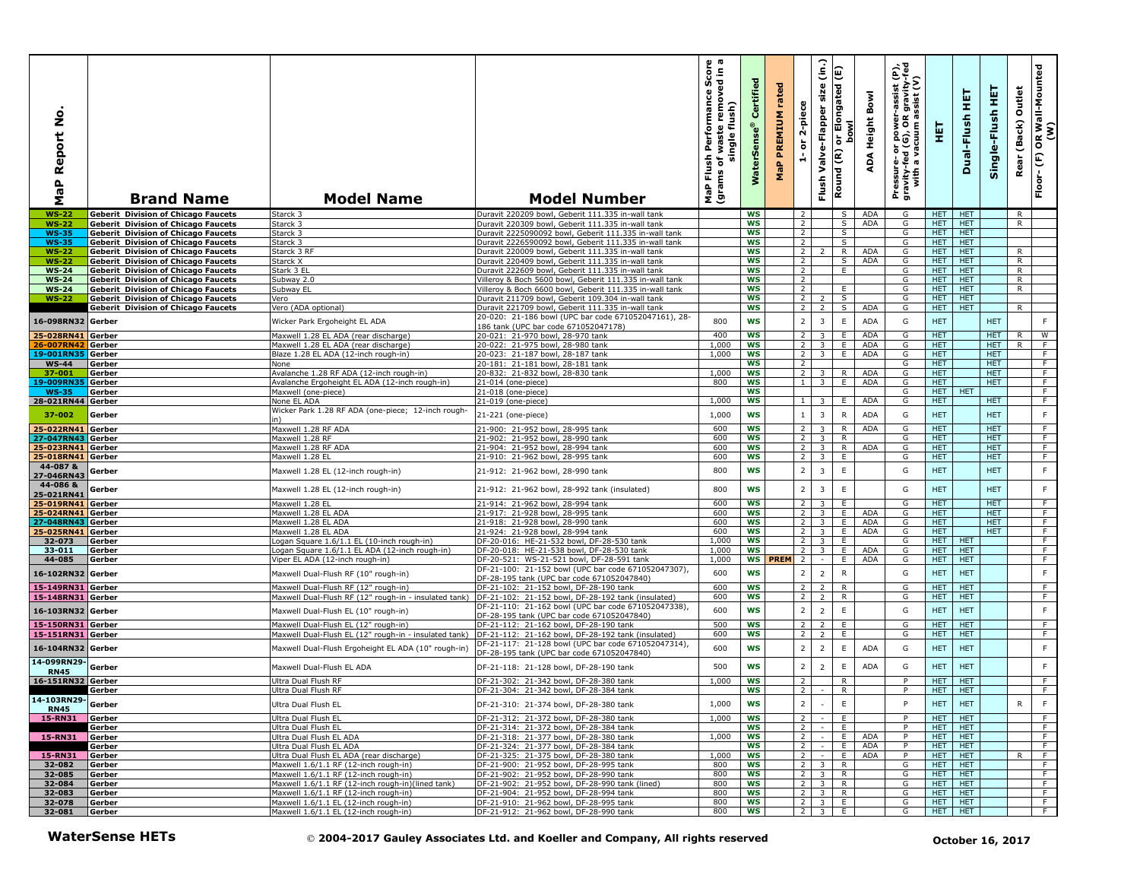| ġ<br>Report<br>MaP              | <b>Brand Name</b>                                                                        | <b>Model Name</b>                                                                           | <b>Model Number</b>                                                                                       | sh Performance Score<br>of waste removed in a<br>single flush)<br>Flush<br>৳<br>(grams<br>Δ<br>g | ertified<br>Ű<br>$\bullet$<br><b>WaterSe</b> | rated<br>PREMIUM<br>MaP | 2-piece<br>ŏ<br>÷                | $\hat{a}$<br>size<br>Valve-Flapper<br>Flush | E<br>Elongated<br><b>bowl</b><br>$\overline{5}$<br>Round (R) | Bowl<br>ADA Height | Pressure- or power-assist (P),<br>gravity-fed (G), OR gravity-fed<br>with a vacuum assist (V) | 토                        | 듚<br>Dual-Flush          | 莫<br>Single-Flush        | Outlet<br>(Back)<br>Rear | OR Wall-Mounted<br>(W)<br>E<br>Floor- |
|---------------------------------|------------------------------------------------------------------------------------------|---------------------------------------------------------------------------------------------|-----------------------------------------------------------------------------------------------------------|--------------------------------------------------------------------------------------------------|----------------------------------------------|-------------------------|----------------------------------|---------------------------------------------|--------------------------------------------------------------|--------------------|-----------------------------------------------------------------------------------------------|--------------------------|--------------------------|--------------------------|--------------------------|---------------------------------------|
| $WS-22$                         | <b>Geberit Division of Chicago Faucets</b>                                               | Starck 3                                                                                    | Duravit 220209 bowl, Geberit 111.335 in-wall tank                                                         |                                                                                                  | ws                                           |                         | 2                                |                                             | S.                                                           | ADA                | G                                                                                             | HET.                     | <b>HET</b>               |                          | R                        |                                       |
| <b>WS-22</b>                    | <b>Geberit Division of Chicago Faucets</b>                                               | Starck 3                                                                                    | Duravit 220309 bowl, Geberit 111.335 in-wall tank                                                         |                                                                                                  | <b>WS</b>                                    |                         | $\overline{2}$                   |                                             | S                                                            | <b>ADA</b>         | G                                                                                             | <b>HET</b>               | <b>HET</b>               |                          | R                        |                                       |
| <b>WS-35</b>                    | <b>Geberit Division of Chicago Faucets</b>                                               | Starck 3                                                                                    | Duravit 2225090092 bowl, Geberit 111.335 in-wall tank                                                     |                                                                                                  | ws                                           |                         | $\overline{2}$                   |                                             | S                                                            |                    | G                                                                                             | <b>HET</b>               | <b>HET</b>               |                          |                          |                                       |
| <b>WS-35</b>                    | Geberit Division of Chicago Faucets                                                      | Starck 3                                                                                    | Duravit 2226590092 bowl, Geberit 111.335 in-wall tank                                                     |                                                                                                  | WS<br><b>WS</b>                              |                         | 2<br>$\overline{2}$              |                                             | S<br>R                                                       | <b>ADA</b>         | G<br>G                                                                                        | HET.<br>HET.             | HET.<br><b>HET</b>       |                          |                          |                                       |
| <b>WS-22</b><br><b>WS-22</b>    | <b>Geberit Division of Chicago Faucets</b><br><b>Geberit Division of Chicago Faucets</b> | Starck 3 RF<br>Starck X                                                                     | Duravit 220009 bowl, Geberit 111.335 in-wall tank<br>Duravit 220409 bowl, Geberit 111.335 in-wall tank    |                                                                                                  | WS                                           |                         | $\overline{2}$                   |                                             | S.                                                           | ADA                | G                                                                                             | <b>HET</b>               | <b>HET</b>               |                          | R<br>R                   |                                       |
| <b>WS-24</b>                    | Geberit Division of Chicago Faucets                                                      | Stark 3 EL                                                                                  | Duravit 222609 bowl, Geberit 111.335 in-wall tank                                                         |                                                                                                  | <b>WS</b>                                    |                         | $\overline{2}$                   |                                             | E                                                            |                    | G                                                                                             | <b>HET</b>               | <b>HET</b>               |                          | $\mathsf{R}$             |                                       |
| $WS-24$                         | <b>Geberit Division of Chicago Faucets</b>                                               | Subway 2.0                                                                                  | Villeroy & Boch 5600 bowl, Geberit 111.335 in-wall tank                                                   |                                                                                                  | <b>WS</b>                                    |                         | $\overline{2}$                   |                                             |                                                              |                    | G                                                                                             | HET.                     | <b>HET</b>               |                          | $\overline{R}$           |                                       |
| <b>WS-24</b>                    | <b>Geberit Division of Chicago Faucets</b>                                               | Subway EL                                                                                   | Villeroy & Boch 6600 bowl, Geberit 111.335 in-wall tank                                                   |                                                                                                  | ws                                           |                         | $\overline{2}$                   |                                             | E                                                            |                    | G                                                                                             | <b>HET</b>               | <b>HET</b>               |                          | $\mathsf{R}$             |                                       |
| $WS-22$                         | <b>Geberit Division of Chicago Faucets</b>                                               | Vero                                                                                        | Duravit 211709 bowl, Geberit 109.304 in-wall tank                                                         |                                                                                                  | ws                                           |                         | $\overline{2}$<br>$\overline{2}$ | 2                                           | S.                                                           |                    | G                                                                                             | HET.                     | <b>HET</b><br><b>HET</b> |                          |                          |                                       |
|                                 | <b>Geberit Division of Chicago Faucets</b>                                               | Vero (ADA optional)                                                                         | Duravit 221709 bowl, Geberit 111.335 in-wall tank<br>20-020: 21-186 bowl (UPC bar code 671052047161), 28- |                                                                                                  | <b>WS</b>                                    |                         |                                  | $\overline{2}$                              | S                                                            | ADA                | G                                                                                             | HET.                     |                          |                          | R.                       |                                       |
| 16-098RN32 Gerber               |                                                                                          | Wicker Park Ergoheight EL ADA                                                               | 186 tank (UPC bar code 671052047178)                                                                      | 800                                                                                              | WS                                           |                         | 2                                | $\overline{\mathbf{3}}$                     | $\mathsf E$                                                  | <b>ADA</b>         | G                                                                                             | <b>HET</b>               |                          | <b>HET</b>               |                          | F.                                    |
| 25-028RN41                      | Gerber                                                                                   | Maxwell 1.28 EL ADA (rear discharge)                                                        | 20-021: 21-970 bowl, 28-970 tank                                                                          | 400                                                                                              | WS                                           |                         | $\overline{2}$                   | 3                                           | E                                                            | ADA                | G                                                                                             | <b>HET</b>               |                          | <b>HET</b>               | R                        | W                                     |
| 26-007RN42                      | Gerber                                                                                   | Maxwell 1.28 EL ADA (rear discharge)                                                        | 20-022: 21-975 bowl, 28-980 tank                                                                          | 1,000                                                                                            | WS                                           |                         | $2^{\circ}$                      | 3                                           | E                                                            | <b>ADA</b>         | G                                                                                             | HET.                     |                          | HET.                     | $\mathsf{R}$             | F.                                    |
| 19-001RN35                      | Gerber                                                                                   | Blaze 1.28 EL ADA (12-inch rough-in)                                                        | 20-023: 21-187 bowl, 28-187 tank<br>20-181: 21-181 bowl, 28-181 tank                                      | 1.000                                                                                            | WS<br><b>WS</b>                              |                         | 2 <sup>1</sup><br>$\overline{2}$ | 3                                           | E                                                            | <b>ADA</b>         | G<br>G                                                                                        | <b>HET</b><br><b>HET</b> |                          | HET.<br><b>HET</b>       |                          | F.<br>F                               |
| $WS-44$<br>37-001               | Gerber<br>Gerber                                                                         | None<br>Avalanche 1.28 RF ADA (12-inch rough-in)                                            | 20-832: 21-832 bowl, 28-830 tank                                                                          | 1,000                                                                                            | <b>WS</b>                                    |                         | <sup>2</sup>                     | 3                                           | R                                                            | ADA                | G                                                                                             | <b>HET</b>               |                          | <b>HET</b>               |                          | F.                                    |
| 19-009RN                        | Gerber                                                                                   | Avalanche Ergoheight EL ADA (12-inch rough-in)                                              | 21-014 (one-piece)                                                                                        | 800                                                                                              | <b>WS</b>                                    |                         | $\mathbf{1}$                     | $\overline{\mathbf{3}}$                     | E                                                            | <b>ADA</b>         | G                                                                                             | <b>HET</b>               |                          | <b>HET</b>               |                          | F                                     |
| <b>WS-35</b>                    | Gerber                                                                                   | Maxwell (one-piece)                                                                         | 21-018 (one-piece)                                                                                        |                                                                                                  | <b>WS</b>                                    |                         |                                  |                                             |                                                              |                    | G                                                                                             | <b>HET</b>               | <b>HET</b>               |                          |                          | F                                     |
| 28-021RN44 Gerber               |                                                                                          | None EL ADA                                                                                 | 21-019 (one-piece)                                                                                        | 1,000                                                                                            | <b>WS</b>                                    |                         | $1 \mid$                         | $\overline{\mathbf{3}}$                     | Ε.                                                           | <b>ADA</b>         | G                                                                                             | <b>HET</b>               |                          | <b>HET</b>               |                          | F                                     |
| 37-002                          | Gerber                                                                                   | Wicker Park 1.28 RF ADA (one-piece; 12-inch rough-                                          | 21-221 (one-piece)                                                                                        | 1,000                                                                                            | <b>WS</b>                                    |                         | 1                                | $\overline{\mathbf{3}}$                     | $\mathsf{R}$                                                 | <b>ADA</b>         | G                                                                                             | <b>HET</b>               |                          | <b>HET</b>               |                          | F.                                    |
| 25-022RN41 Gerber               |                                                                                          | Maxwell 1.28 RF ADA                                                                         | 21-900: 21-952 bowl, 28-995 tank                                                                          | 600                                                                                              | <b>WS</b>                                    |                         | 2 <sub>1</sub>                   | 3                                           | R                                                            | ADA                | G                                                                                             | <b>HET</b>               |                          | <b>HET</b>               |                          | F.                                    |
| 27-047RN43 Gerber               |                                                                                          | Maxwell 1.28 RF                                                                             | 21-902: 21-952 bowl, 28-990 tank                                                                          | 600                                                                                              | <b>WS</b>                                    |                         | 2                                | 3                                           | R                                                            |                    | G                                                                                             | <b>HET</b>               |                          | HET.                     |                          | F                                     |
| 25-023RN41 Gerber               |                                                                                          | Maxwell 1.28 RF ADA                                                                         | 21-904: 21-952 bowl, 28-994 tank                                                                          | 600                                                                                              | WS                                           |                         | 2 <sub>1</sub>                   | $\overline{\mathbf{3}}$                     | R                                                            | ADA                | G                                                                                             | HET.                     |                          | HET.                     |                          | F                                     |
| 25-018RN41<br>44-087 &          | Gerber                                                                                   | Maxwell 1.28 EL                                                                             | 21-910: 21-962 bowl, 28-995 tank                                                                          | 600                                                                                              | WS                                           |                         | $\overline{2}$                   | $\overline{3}$                              | E                                                            |                    | G                                                                                             | <b>HET</b>               |                          | <b>HET</b>               |                          | F                                     |
| 27-046RN43<br>44-086 &          | Gerber                                                                                   | Maxwell 1.28 EL (12-inch rough-in)                                                          | 21-912: 21-962 bowl, 28-990 tank                                                                          | 800                                                                                              | WS                                           |                         | $\overline{2}$                   | 3                                           | E                                                            |                    | G                                                                                             | <b>HET</b>               |                          | <b>HET</b>               |                          | F                                     |
| 25-021RN41<br>25-019RN41 Gerber | Gerber                                                                                   | Maxwell 1.28 EL (12-inch rough-in)<br>Maxwell 1.28 EL                                       | 21-912: 21-962 bowl, 28-992 tank (insulated)<br>21-914: 21-962 bowl, 28-994 tank                          | 800<br>600                                                                                       | <b>WS</b><br><b>WS</b>                       |                         | $\overline{2}$<br>$\overline{2}$ | $\overline{\mathbf{3}}$<br>$\overline{3}$   | $\mathsf E$<br>E                                             |                    | G<br>G                                                                                        | <b>HET</b><br><b>HET</b> |                          | <b>HET</b><br><b>HET</b> |                          | F.<br>F                               |
| 25-024RN41 Gerber               |                                                                                          | Maxwell 1.28 EL ADA                                                                         | 21-917: 21-928 bowl, 28-995 tank                                                                          | 600                                                                                              | <b>WS</b>                                    |                         | $\overline{2}$                   | $\overline{\mathbf{3}}$                     | E                                                            | <b>ADA</b>         | G                                                                                             | <b>HET</b>               |                          | <b>HET</b>               |                          | F                                     |
| 27-048RN43                      | Gerber                                                                                   | Maxwell 1.28 EL ADA                                                                         | 21-918: 21-928 bowl, 28-990 tank                                                                          | 600                                                                                              | WS                                           |                         | $2^{\circ}$                      | 3                                           | E.                                                           | ADA                | G                                                                                             | <b>HET</b>               |                          | <b>HET</b>               |                          | F                                     |
| 25-025RN41 Gerber               |                                                                                          | Maxwell 1.28 EL ADA                                                                         | 21-924: 21-928 bowl, 28-994 tank                                                                          | 600                                                                                              | WS                                           |                         | 2 <sup>1</sup>                   | $\overline{\mathbf{3}}$                     | Ε.                                                           | ADA                | G                                                                                             | <b>HET</b>               |                          | <b>HET</b>               |                          | F                                     |
| 32-073<br>33-011                | Gerber<br>Gerber                                                                         | Logan Square 1.6/1.1 EL (10-inch rough-in)<br>ogan Square 1.6/1.1 EL ADA (12-inch rough-in) | DF-20-016: HE-21-532 bowl, DF-28-530 tank<br>DF-20-018: HE-21-538 bowl, DF-28-530 tank                    | 1,000<br>1,000                                                                                   | <b>WS</b><br>WS                              |                         | 2 <sup>1</sup><br>2 <sup>1</sup> | $\overline{\mathbf{3}}$<br>$\overline{3}$   | E<br>E.                                                      | ADA                | G<br>G                                                                                        | HET.<br><b>HET</b>       | <b>HET</b><br><b>HET</b> |                          |                          | F<br>F                                |
| 44-085                          | Gerber                                                                                   | Viper EL ADA (12-inch rough-in)                                                             | DF-20-521: WS-21-521 bowl, DF-28-591 tank                                                                 | 1,000                                                                                            | WS                                           | <b>PREM</b>             | $\overline{2}$                   | $\sim$                                      | E.                                                           | ADA                | G                                                                                             | <b>HET</b>               | <b>HET</b>               |                          |                          | F                                     |
| 16-102RN32                      | Gerber                                                                                   | Maxwell Dual-Flush RF (10" rough-in)                                                        | DF-21-100: 21-152 bowl (UPC bar code 671052047307),                                                       | 600                                                                                              | <b>WS</b>                                    |                         | $2^{\circ}$                      | $\overline{2}$                              | $\mathsf{R}$                                                 |                    | G                                                                                             | <b>HET</b>               | <b>HET</b>               |                          |                          | F                                     |
|                                 |                                                                                          |                                                                                             | DF-28-195 tank (UPC bar code 671052047840)                                                                |                                                                                                  |                                              |                         |                                  |                                             |                                                              |                    |                                                                                               |                          |                          |                          |                          |                                       |
| 15-149RN31                      | Gerber                                                                                   | Maxwell Dual-Flush RF (12" rough-in)                                                        | DF-21-102: 21-152 bowl, DF-28-190 tank                                                                    | 600<br>600                                                                                       | <b>WS</b><br><b>WS</b>                       |                         | 2 <sup>1</sup><br>$\overline{2}$ | $\overline{2}$                              | $\mathsf{R}$<br>R.                                           |                    | G<br>G                                                                                        | <b>HET</b><br><b>HET</b> | <b>HET</b><br><b>HET</b> |                          |                          | F.<br>$\overline{F}$                  |
| 15-148RN31 Gerber               |                                                                                          | Maxwell Dual-Flush RF (12" rough-in - insulated tank)                                       | DF-21-102: 21-152 bowl, DF-28-192 tank (insulated)<br>DF-21-110: 21-162 bowl (UPC bar code 671052047338), |                                                                                                  |                                              |                         |                                  | $\overline{2}$                              |                                                              |                    |                                                                                               |                          |                          |                          |                          |                                       |
| 16-103RN32                      | Gerber                                                                                   | Maxwell Dual-Flush EL (10" rough-in)                                                        | DF-28-195 tank (UPC bar code 671052047840)                                                                | 600                                                                                              | <b>WS</b>                                    |                         | $2^{\circ}$                      | $\overline{2}$                              | $\mathsf E$                                                  |                    | G                                                                                             | <b>HET</b>               | <b>HET</b>               |                          |                          | F                                     |
| 15-150RN31                      | Gerber                                                                                   | Maxwell Dual-Flush EL (12" rough-in)                                                        | DF-21-112: 21-162 bowl, DF-28-190 tank                                                                    | 500                                                                                              | <b>WS</b>                                    |                         | $\overline{2}$                   | $\overline{z}$                              | E                                                            |                    | G                                                                                             | <b>HET</b>               | <b>HET</b>               |                          |                          | F                                     |
| 15-151RN31 Gerber               |                                                                                          | Maxwell Dual-Flush EL (12" rough-in - insulated tank)                                       | DF-21-112: 21-162 bowl, DF-28-192 tank (insulated)                                                        | 600                                                                                              | <b>WS</b>                                    |                         | $\overline{2}$                   | $\overline{2}$                              | Έ                                                            |                    | G                                                                                             | <b>HET</b>               | <b>HET</b>               |                          |                          | F                                     |
| 16-104RN32                      | Gerber                                                                                   | Maxwell Dual-Flush Ergoheight EL ADA (10" rough-in)                                         | DF-21-117: 21-128 bowl (UPC bar code 671052047314),<br>DF-28-195 tank (UPC bar code 671052047840)         | 600                                                                                              | <b>WS</b>                                    |                         | $\overline{2}$                   | $\overline{2}$                              | E                                                            | <b>ADA</b>         | G                                                                                             | <b>HET</b>               | <b>HET</b>               |                          |                          | F.                                    |
| 14-099RN29<br><b>RN45</b>       | Gerber                                                                                   | Maxwell Dual-Flush EL ADA                                                                   | DF-21-118: 21-128 bowl, DF-28-190 tank                                                                    | 500                                                                                              | <b>WS</b>                                    |                         | $\overline{2}$                   | $\overline{2}$                              | E                                                            | <b>ADA</b>         | G                                                                                             | <b>HET</b>               | <b>HET</b>               |                          |                          | F                                     |
| 16-151RN32 Gerber               |                                                                                          | Ultra Dual Flush RF                                                                         | DF-21-302: 21-342 bowl, DF-28-380 tank                                                                    | 1,000                                                                                            | <b>WS</b>                                    |                         | $\overline{2}$                   |                                             | R                                                            |                    | P                                                                                             | <b>HET</b>               | <b>HET</b>               |                          |                          | F.                                    |
|                                 | Gerber                                                                                   | Ultra Dual Flush RF                                                                         | DF-21-304: 21-342 bowl, DF-28-384 tank                                                                    |                                                                                                  | ws                                           |                         | $\overline{2}$                   |                                             | $\overline{R}$                                               |                    | P                                                                                             | HET.                     | <b>HET</b>               |                          |                          | F                                     |
| 14-103RN29-<br><b>RN45</b>      | Gerber                                                                                   | Ultra Dual Flush EL                                                                         | DF-21-310: 21-374 bowl, DF-28-380 tank                                                                    | 1,000                                                                                            | ws                                           |                         | 2                                | $\sim$                                      | E                                                            |                    | P                                                                                             | HET.                     | <b>HET</b>               |                          | R                        | F                                     |
| 15-RN31                         | Gerber                                                                                   | Ultra Dual Flush EL                                                                         | DF-21-312: 21-372 bowl, DF-28-380 tank                                                                    | 1,000                                                                                            | <b>WS</b>                                    |                         | 2 <sup>1</sup>                   |                                             | E                                                            |                    | P                                                                                             | HET.                     | <b>HET</b>               |                          |                          | F                                     |
| 15-RN31 Gerber                  | Gerber                                                                                   | Ultra Dual Flush EL<br>Ultra Dual Flush EL ADA                                              | DF-21-314: 21-372 bowl, DF-28-384 tank<br>DF-21-318: 21-377 bowl, DF-28-380 tank                          | 1,000                                                                                            | WS<br>WS                                     |                         | 2 <sup>1</sup><br>2 <sup>1</sup> |                                             | E.<br>E                                                      | <b>ADA</b>         | P                                                                                             | <b>HET</b><br><b>HET</b> | <b>HET</b><br><b>HET</b> |                          |                          | F.<br>F                               |
|                                 | Gerber                                                                                   | Ultra Dual Flush EL ADA                                                                     | DF-21-324: 21-377 bowl, DF-28-384 tank                                                                    |                                                                                                  | ws                                           |                         | $\overline{2}$                   | $\sim$                                      | E                                                            | ADA                | P                                                                                             | HET                      | <b>HET</b>               |                          |                          | F                                     |
| 15-RN31                         | Gerber                                                                                   | Ultra Dual Flush EL ADA (rear discharge)                                                    | DF-21-325: 21-375 bowl, DF-28-380 tank                                                                    | 1,000                                                                                            | WS                                           |                         | $\overline{2}$                   | $\sim$                                      | E                                                            | ADA                |                                                                                               | HET                      | <b>HET</b>               |                          | R.                       | F                                     |
| 32-082                          | Gerber                                                                                   | Maxwell 1.6/1.1 RF (12-inch rough-in)                                                       | DF-21-900: 21-952 bowl, DF-28-995 tank                                                                    | 800                                                                                              | ws                                           |                         |                                  | $\overline{2}$   3                          | R                                                            |                    | G                                                                                             | HET                      | <b>HET</b>               |                          |                          | F.                                    |
| 32-085                          | Gerber                                                                                   | Maxwell 1.6/1.1 RF (12-inch rough-in)                                                       | DF-21-902: 21-952 bowl, DF-28-990 tank                                                                    | 800                                                                                              | ws                                           |                         |                                  | $2 \mid 3$                                  | R.                                                           |                    | G                                                                                             | HET.                     | <b>HET</b><br><b>HET</b> |                          |                          | F.                                    |
| 32-084<br>32-083                | Gerber<br>Gerber                                                                         | Maxwell 1.6/1.1 RF (12-inch rough-in)(lined tank)<br>Maxwell 1.6/1.1 RF (12-inch rough-in)  | DF-21-902: 21-952 bowl, DF-28-990 tank (lined)<br>DF-21-904: 21-952 bowl, DF-28-994 tank                  | 800<br>800                                                                                       | ws<br>ws                                     |                         |                                  | $2 \quad 3$<br>$2 \quad 3$                  | R.<br>R.                                                     |                    | G<br>G                                                                                        | HET.<br>HET.             | <b>HET</b>               |                          |                          | F.<br>$\overline{F}$                  |
| 32-078                          | Gerber                                                                                   | Maxwell 1.6/1.1 EL (12-inch rough-in)                                                       | DF-21-910: 21-962 bowl, DF-28-995 tank                                                                    | 800                                                                                              | ws                                           |                         |                                  | $2 \mid 3 \mid$                             | E                                                            |                    | G                                                                                             | HET.                     | <b>HET</b>               |                          |                          | $\overline{F}$                        |
| 32-081                          | Gerber                                                                                   | Maxwell 1.6/1.1 EL (12-inch rough-in)                                                       | DF-21-912: 21-962 bowl, DF-28-990 tank                                                                    | 800                                                                                              | ws                                           |                         |                                  | $2 \mid 3 \mid$                             | E.                                                           |                    | G                                                                                             | HET                      | <b>HET</b>               |                          |                          | F                                     |
|                                 | <b>WaterSense HETs</b>                                                                   |                                                                                             | © 2004-2017 Gauley Associates Ltd. and Koeller and Company, All rights reserved                           |                                                                                                  |                                              |                         |                                  |                                             |                                                              |                    |                                                                                               |                          |                          | October 16, 2017         |                          |                                       |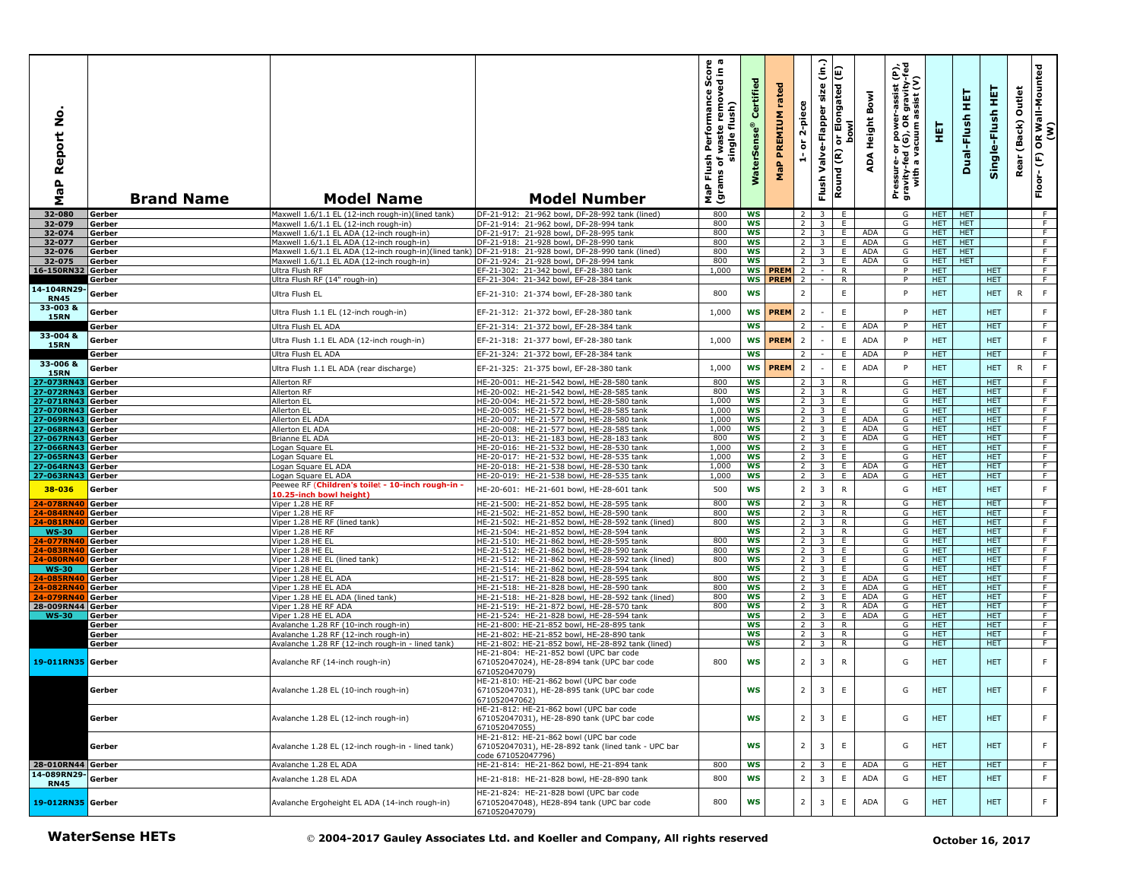| <u>ہ</u><br>Report<br>$\mathbf{r}$<br><b>r</b><br>Σ | <b>Brand Name</b>       | <b>Model Name</b>                                                                                 | <b>Model Number</b>                                                                                                  | rmance Score<br>cremoved in a<br>Performance<br>flush)<br>waste<br>single<br>Flush<br>৳<br>Ë<br>MaP<br>grai | Certified<br><b>WaterSe</b> | ᄝ<br>rat<br>PREMIUM<br>Δ.<br>$\overline{\mathbf{g}}$ | 2-piece<br>$\overleftarrow{\mathtt{o}}$<br>÷ | size<br>Elongated<br>Valve-Flapper<br>$\overleftarrow{\mathtt{o}}$<br>Round (R)<br>Flush | ه                 | ε<br>$\frac{1}{2}$ is $\frac{1}{2}$<br>Bowl<br>gravi<br>ssist<br>iss.<br>Pressure- or power-<br>gravity-fed (G), OR g<br>with a vacuum as<br><b>Height</b><br>$\blacktriangleleft$<br>ą | 핓                        | 띂<br>Dual-Flush          | 듚<br>Single-Flush        | Outlet<br>(Back)<br>Rear | R Wall-Mounted<br>(W)<br>$\overline{\mathbf{6}}$<br>$\widehat{\mathsf{E}}$<br>Floor- |
|-----------------------------------------------------|-------------------------|---------------------------------------------------------------------------------------------------|----------------------------------------------------------------------------------------------------------------------|-------------------------------------------------------------------------------------------------------------|-----------------------------|------------------------------------------------------|----------------------------------------------|------------------------------------------------------------------------------------------|-------------------|-----------------------------------------------------------------------------------------------------------------------------------------------------------------------------------------|--------------------------|--------------------------|--------------------------|--------------------------|--------------------------------------------------------------------------------------|
| 32-080                                              | Gerber                  | Maxwell 1.6/1.1 EL (12-inch rough-in)(lined tank)                                                 | DF-21-912: 21-962 bowl, DF-28-992 tank (lined)                                                                       | 800                                                                                                         | <b>WS</b>                   |                                                      | $\overline{2}$                               | $\overline{\mathbf{3}}$                                                                  | E                 | G                                                                                                                                                                                       |                          | HET <b>HET</b>           |                          |                          | - F                                                                                  |
| 32-079                                              | Gerber                  | Maxwell 1.6/1.1 EL (12-inch rough-in)                                                             | DF-21-914: 21-962 bowl, DF-28-994 tank                                                                               | 800                                                                                                         | WS                          |                                                      | $\overline{2}$                               | 3                                                                                        | E                 | G                                                                                                                                                                                       | <b>HET</b>               | <b>HET</b>               |                          |                          | F.                                                                                   |
| 32-074                                              | Gerber                  | Maxwell 1.6/1.1 EL ADA (12-inch rough-in)                                                         | DF-21-917: 21-928 bowl, DF-28-995 tank                                                                               | 800                                                                                                         | WS                          |                                                      | $\overline{2}$                               | $\overline{\mathbf{3}}$                                                                  | Ε.                | ADA<br>G                                                                                                                                                                                | HET.                     | <b>HET</b>               |                          |                          | $\overline{F}$                                                                       |
| 32-077<br>32-076                                    | Gerber<br>Gerber        | Maxwell 1.6/1.1 EL ADA (12-inch rough-in)<br>Maxwell 1.6/1.1 EL ADA (12-inch rough-in)(lined tank | DF-21-918: 21-928 bowl, DF-28-990 tank<br>DF-21-918: 21-928 bowl, DF-28-990 tank (lined)                             | 800<br>800                                                                                                  | <b>WS</b><br><b>WS</b>      |                                                      | 2<br>$\overline{2}$                          | $\overline{3}$<br>$\overline{3}$                                                         | E.<br>E           | ADA<br>G<br>ADA<br>G                                                                                                                                                                    | HET.<br><b>HET</b>       | <b>HET</b><br><b>HET</b> |                          |                          | F<br>F                                                                               |
| 32-075                                              | Gerber                  | Maxwell 1.6/1.1 EL ADA (12-inch rough-in)                                                         | DF-21-924: 21-928 bowl, DF-28-994 tank                                                                               | 800                                                                                                         | <b>WS</b>                   |                                                      | $\overline{2}$                               | $\overline{3}$                                                                           | E                 | ADA<br>G                                                                                                                                                                                | <b>HET</b>               | <b>HET</b>               |                          |                          | $\overline{F}$                                                                       |
| 16-150RN32                                          | Gerber                  | Jltra Flush RF                                                                                    | EF-21-302: 21-342 bowl, EF-28-380 tank                                                                               | 1,000                                                                                                       |                             | <b>WS PREM</b>                                       | $\overline{2}$                               | $\sim$                                                                                   | R                 | P                                                                                                                                                                                       | HET.                     |                          | HET.                     |                          | F                                                                                    |
|                                                     | Gerber                  | Jitra Flush RF (14" rough-in)                                                                     | EF-21-304: 21-342 bowl, EF-28-384 tank                                                                               |                                                                                                             |                             | WS PREM 2                                            |                                              |                                                                                          | R                 | P                                                                                                                                                                                       | HET.                     |                          | <b>HET</b>               |                          | F                                                                                    |
| 14-104RN29-<br><b>RN45</b>                          | Gerber                  | Ultra Flush EL                                                                                    | EF-21-310: 21-374 bowl, EF-28-380 tank                                                                               | 800                                                                                                         | <b>WS</b>                   |                                                      | $\overline{2}$                               |                                                                                          | $\mathsf E$       | P                                                                                                                                                                                       | <b>HET</b>               |                          | <b>HET</b>               | $\mathsf{R}$             | F                                                                                    |
| 33-003 &<br><b>15RN</b>                             | Gerber                  | Ultra Flush 1.1 EL (12-inch rough-in)                                                             | EF-21-312: 21-372 bowl, EF-28-380 tank                                                                               | 1,000                                                                                                       | WS                          | <b>PREM</b>                                          | $\overline{2}$                               |                                                                                          | $\mathsf E$       | P                                                                                                                                                                                       | <b>HET</b>               |                          | <b>HET</b>               |                          | F                                                                                    |
|                                                     | Gerber                  | Ultra Flush EL ADA                                                                                | EF-21-314: 21-372 bowl, EF-28-384 tank                                                                               |                                                                                                             | <b>WS</b>                   |                                                      | 2                                            |                                                                                          | E.                | ADA<br>P                                                                                                                                                                                | HET.                     |                          | <b>HET</b>               |                          | F.                                                                                   |
| 33-004 &                                            |                         |                                                                                                   |                                                                                                                      |                                                                                                             | <b>WS</b>                   | <b>PREM</b>                                          |                                              |                                                                                          |                   | P                                                                                                                                                                                       | <b>HET</b>               |                          |                          |                          | F                                                                                    |
| <b>15RN</b>                                         | Gerber                  | Ultra Flush 1.1 EL ADA (12-inch rough-in)                                                         | EF-21-318: 21-377 bowl, EF-28-380 tank                                                                               | 1,000                                                                                                       |                             |                                                      | $\overline{2}$                               |                                                                                          | Ε                 | ADA                                                                                                                                                                                     |                          |                          | <b>HET</b>               |                          |                                                                                      |
|                                                     | Gerber                  | Ultra Flush EL ADA                                                                                | EF-21-324: 21-372 bowl, EF-28-384 tank                                                                               |                                                                                                             | <b>WS</b>                   |                                                      | 2                                            |                                                                                          | Ε.                | ADA<br><b>P</b>                                                                                                                                                                         | <b>HET</b>               |                          | <b>HET</b>               |                          | F.                                                                                   |
| 33-006 &<br><b>15RN</b>                             | Gerber                  | Ultra Flush 1.1 EL ADA (rear discharge)                                                           | EF-21-325: 21-375 bowl, EF-28-380 tank                                                                               | 1,000                                                                                                       | WS                          | <b>PREM</b>                                          | $\overline{2}$                               |                                                                                          | Ε                 | ADA<br>P                                                                                                                                                                                | <b>HET</b>               |                          | <b>HET</b>               | $\mathsf{R}$             | F                                                                                    |
| 27-073RN43                                          | Gerber                  | Allerton RF                                                                                       | HE-20-001: HE-21-542 bowl, HE-28-580 tank                                                                            | 800                                                                                                         | <b>WS</b>                   |                                                      | 2                                            | 3                                                                                        | R                 | G                                                                                                                                                                                       | <b>HET</b>               |                          | <b>HET</b>               |                          | F                                                                                    |
| 27-072RN43 Gerber                                   |                         | Allerton RF                                                                                       | HE-20-002: HE-21-542 bowl, HE-28-585 tank                                                                            | 800                                                                                                         | WS                          |                                                      | $\overline{2}$                               | $\overline{3}$                                                                           | R                 | G                                                                                                                                                                                       | HET.                     |                          | <b>HET</b>               |                          | F                                                                                    |
| 27-071RN43                                          | Gerber                  | Allerton EL                                                                                       | HE-20-004: HE-21-572 bowl, HE-28-580 tank                                                                            | 1,000                                                                                                       | WS                          |                                                      | $\overline{2}$                               | $\overline{\mathbf{3}}$                                                                  | Ε.                | G                                                                                                                                                                                       | HET.                     |                          | <b>HET</b>               |                          | $\overline{F}$                                                                       |
| 27-070RN43                                          | Gerber                  | Allerton EL                                                                                       | HE-20-005: HE-21-572 bowl, HE-28-585 tank                                                                            | 1,000                                                                                                       | <b>WS</b>                   |                                                      | 2 <sup>1</sup>                               | $\overline{\mathbf{3}}$                                                                  | E.                | G                                                                                                                                                                                       | HET.                     |                          | HET.                     |                          | F                                                                                    |
| 27-069RN43                                          | Gerber                  | Allerton EL ADA                                                                                   | HE-20-007: HE-21-577 bowl, HE-28-580 tank                                                                            | 1,000                                                                                                       | WS                          |                                                      | 2 <sup>1</sup>                               | 3                                                                                        | E.                | ADA<br>G                                                                                                                                                                                | <b>HET</b>               |                          | <b>HET</b>               |                          | F                                                                                    |
| 27-068RN43<br>27-067RN43                            | Gerber<br>Gerber        | Allerton EL ADA<br>Brianne EL ADA                                                                 | HE-20-008: HE-21-577 bowl, HE-28-585 tank<br>HE-20-013: HE-21-183 bowl, HE-28-183 tank                               | 1,000<br>800                                                                                                | WS<br><b>WS</b>             |                                                      | $\overline{2}$<br>2 <sup>1</sup>             | $\overline{\mathbf{3}}$<br>$\overline{\mathbf{3}}$                                       | E.<br>E           | ADA<br>G<br>ADA<br>G                                                                                                                                                                    | <b>HET</b><br><b>HET</b> |                          | <b>HET</b><br><b>HET</b> |                          | $\overline{F}$<br>F                                                                  |
| 27-066RN43                                          | Gerber                  | ogan Square EL                                                                                    | HE-20-016: HE-21-532 bowl, HE-28-530 tank                                                                            | 1,000                                                                                                       | WS                          |                                                      | $\overline{2}$                               | 3                                                                                        | Ε.                | G                                                                                                                                                                                       | HET.                     |                          | HET.                     |                          | F                                                                                    |
| 27-065RN43                                          | Gerber                  | Logan Square EL                                                                                   | HE-20-017: HE-21-532 bowl, HE-28-535 tank                                                                            | 1,000                                                                                                       | <b>WS</b>                   |                                                      | $\overline{2}$                               | $\overline{\mathbf{3}}$                                                                  | E                 | G                                                                                                                                                                                       | HET.                     |                          | <b>HET</b>               |                          | F                                                                                    |
| 27-064RN43                                          | Gerber                  | ogan Square EL ADA                                                                                | HE-20-018: HE-21-538 bowl, HE-28-530 tank                                                                            | 1,000                                                                                                       | <b>WS</b>                   |                                                      | $\overline{2}$                               | $\overline{3}$                                                                           | Ε.                | <b>ADA</b><br>G                                                                                                                                                                         | <b>HET</b>               |                          | <b>HET</b>               |                          | $\overline{F}$                                                                       |
| 27-063RN43                                          | Gerber                  | Logan Square EL ADA                                                                               | HE-20-019: HE-21-538 bowl, HE-28-535 tank                                                                            | 1,000                                                                                                       | <b>WS</b>                   |                                                      | $\overline{2}$                               | $\overline{\mathbf{3}}$                                                                  | E.                | <b>ADA</b><br>G                                                                                                                                                                         | HET.                     |                          | <b>HET</b>               |                          | F                                                                                    |
| 38-036<br>24-078RN40                                | Gerber<br>Gerber        | Peewee RF (Children's toilet - 10-inch rough-in -<br>L0.25-inch bowl height)<br>Viper 1.28 HE RF  | HE-20-601: HE-21-601 bowl, HE-28-601 tank<br>HE-21-500: HE-21-852 bowl, HE-28-595 tank                               | 500<br>800                                                                                                  | <b>WS</b><br><b>WS</b>      |                                                      | $\overline{2}$<br>2 <sup>1</sup>             | $\overline{3}$<br>3 <sup>1</sup>                                                         | $\mathsf{R}$<br>R | G<br>G                                                                                                                                                                                  | <b>HET</b><br>HET.       |                          | HET<br><b>HET</b>        |                          | F<br>F                                                                               |
| 24-084RN40                                          | Gerber                  | Viper 1.28 HE RF                                                                                  | HE-21-502: HE-21-852 bowl, HE-28-590 tank                                                                            | 800                                                                                                         | WS                          |                                                      | $\overline{2}$                               | 3                                                                                        | R                 | G                                                                                                                                                                                       | HET.                     |                          | <b>HET</b>               |                          | F.                                                                                   |
| 24-081RN40                                          | Gerber                  | Viper 1.28 HE RF (lined tank)                                                                     | HE-21-502: HE-21-852 bowl, HE-28-592 tank (lined)                                                                    | 800                                                                                                         | WS                          |                                                      | 2 <sup>1</sup>                               | $\overline{3}$                                                                           | R                 | G                                                                                                                                                                                       | HET.                     |                          | <b>HET</b>               |                          | F.                                                                                   |
| <b>WS-30</b>                                        | Gerber                  | Viper 1.28 HE RF                                                                                  | HE-21-504: HE-21-852 bowl, HE-28-594 tank                                                                            |                                                                                                             | WS                          |                                                      | $\overline{2}$                               | $\overline{\mathbf{3}}$                                                                  | R                 | G                                                                                                                                                                                       | HET.                     |                          | <b>HET</b>               |                          | $\overline{F}$                                                                       |
| 24-077RN40                                          | Gerber                  | Viper 1.28 HE EL                                                                                  | HE-21-510: HE-21-862 bowl, HE-28-595 tank                                                                            | 800                                                                                                         | WS                          |                                                      | $\overline{2}$                               | 3                                                                                        | E.                | G                                                                                                                                                                                       | <b>HET</b>               |                          | <b>HET</b>               |                          | F.                                                                                   |
| 24-083RN40                                          | Gerber                  | Viper 1.28 HE EL                                                                                  | HE-21-512: HE-21-862 bowl, HE-28-590 tank                                                                            | 800<br>800                                                                                                  | WS<br>WS                    |                                                      | $\overline{2}$                               | 3                                                                                        | E.<br>E.          | G<br>G                                                                                                                                                                                  | <b>HET</b><br><b>HET</b> |                          | <b>HET</b><br><b>HET</b> |                          | $\overline{F}$<br>F                                                                  |
| 24-080RN40<br><b>WS-30</b>                          | Gerber<br>Gerber        | Viper 1.28 HE EL (lined tank)<br>liper 1.28 HE EL                                                 | HE-21-512: HE-21-862 bowl, HE-28-592 tank (lined)<br>HE-21-514: HE-21-862 bowl, HE-28-594 tank                       |                                                                                                             | WS                          |                                                      | $\overline{2}$<br>$\overline{2}$             | $\overline{\mathbf{3}}$<br>3                                                             | Ε.                | G                                                                                                                                                                                       | HET.                     |                          | <b>HET</b>               |                          | F.                                                                                   |
| 24-085RN40                                          | Gerber                  | Viper 1.28 HE EL ADA                                                                              | HE-21-517: HE-21-828 bowl, HE-28-595 tank                                                                            | 800                                                                                                         | WS                          |                                                      | $\overline{2}$                               | 3                                                                                        | E                 | ADA<br>G                                                                                                                                                                                | HET.                     |                          | <b>HET</b>               |                          | F.                                                                                   |
| 24-082RN40                                          | Gerber                  | Viper 1.28 HE EL ADA                                                                              | HE-21-518: HE-21-828 bowl, HE-28-590 tank                                                                            | 800                                                                                                         | <b>WS</b>                   |                                                      | $\overline{2}$                               | $\overline{3}$                                                                           | E.                | ADA<br>G                                                                                                                                                                                | <b>HET</b>               |                          | <b>HET</b>               |                          | F                                                                                    |
| 24-079RN40                                          | Gerber                  | Viper 1.28 HE EL ADA (lined tank)                                                                 | HE-21-518: HE-21-828 bowl, HE-28-592 tank (lined)                                                                    | 800                                                                                                         | WS                          |                                                      | 2                                            | 3                                                                                        | Ε.                | <b>ADA</b><br>G                                                                                                                                                                         | <b>HET</b>               |                          | <b>HET</b>               |                          | F.                                                                                   |
| 28-009RN44 Gerber                                   |                         | Viper 1.28 HE RF ADA                                                                              | HE-21-519: HE-21-872 bowl, HE-28-570 tank                                                                            | 800                                                                                                         | <b>WS</b>                   |                                                      | 2                                            | $\overline{\mathbf{3}}$<br>$\overline{3}$                                                | $\mathsf{R}$      | <b>ADA</b><br>G                                                                                                                                                                         | <b>HET</b>               |                          | <b>HET</b>               |                          | F<br>F                                                                               |
| $WS-30$                                             | <u>Gerber</u><br>Gerber | Viper 1.28 HE EL ADA<br>Avalanche 1.28 RF (10-inch rough-in)                                      | HE-21-524: HE-21-828 bowl, HE-28-594 tank<br>HE-21-800: HE-21-852 bowl, HE-28-895 tank                               |                                                                                                             | <b>WS</b><br>WS             |                                                      | $2^{\circ}$<br>2 <sub>1</sub>                | 3 <sup>7</sup>                                                                           | E<br>R            | ADA<br>G<br>G                                                                                                                                                                           | HET.<br>HET.             |                          | <b>HET</b><br>HET.       |                          | F                                                                                    |
|                                                     | Gerber                  | Avalanche 1.28 RF (12-inch rough-in)                                                              | HE-21-802: HE-21-852 bowl, HE-28-890 tank                                                                            |                                                                                                             | WS                          |                                                      | 2 <sup>1</sup>                               | $\overline{\mathbf{3}}$                                                                  | R                 | G                                                                                                                                                                                       | HET.                     |                          | <b>HET</b>               |                          | $\overline{F}$                                                                       |
|                                                     | Gerber                  | Avalanche 1.28 RF (12-inch rough-in - lined tank)                                                 | HE-21-802: HE-21-852 bowl, HE-28-892 tank (lined)                                                                    |                                                                                                             | <b>WS</b>                   |                                                      | $\overline{2}$                               | $\overline{\mathbf{3}}$                                                                  | R                 | G                                                                                                                                                                                       | <b>HET</b>               |                          | <b>HET</b>               |                          | F                                                                                    |
| 19-011RN35 Gerber                                   |                         | Avalanche RF (14-inch rough-in)                                                                   | HE-21-804: HE-21-852 bowl (UPC bar code<br>671052047024), HE-28-894 tank (UPC bar code<br>571052047079)              | 800                                                                                                         | <b>WS</b>                   |                                                      | $\overline{2}$                               | 3                                                                                        | $\mathsf{R}$      | G                                                                                                                                                                                       | <b>HET</b>               |                          | <b>HET</b>               |                          | F                                                                                    |
|                                                     | Gerber                  | Avalanche 1.28 EL (10-inch rough-in)                                                              | HE-21-810: HE-21-862 bowl (UPC bar code<br>671052047031), HE-28-895 tank (UPC bar code<br>671052047062)              |                                                                                                             | WS                          |                                                      | $\mathbf 2$                                  | 3                                                                                        | $\mathsf E$       | G                                                                                                                                                                                       | <b>HET</b>               |                          | <b>HET</b>               |                          | F                                                                                    |
|                                                     | Gerber                  | Avalanche 1.28 EL (12-inch rough-in)                                                              | HE-21-812: HE-21-862 bowl (UPC bar code<br>671052047031), HE-28-890 tank (UPC bar code<br>671052047055)              |                                                                                                             | <b>WS</b>                   |                                                      | $\overline{2}$                               | $\overline{3}$                                                                           | E                 | G                                                                                                                                                                                       | <b>HET</b>               |                          | <b>HET</b>               |                          | F                                                                                    |
|                                                     | Gerber                  | Avalanche 1.28 EL (12-inch rough-in - lined tank)                                                 | HE-21-812: HE-21-862 bowl (UPC bar code<br>671052047031), HE-28-892 tank (lined tank - UPC bar<br>code 671052047796) |                                                                                                             | <b>WS</b>                   |                                                      | $\overline{2}$                               | $\mathbf{3}$                                                                             | $\mathsf E$       | G                                                                                                                                                                                       | <b>HET</b>               |                          | <b>HET</b>               |                          | F.                                                                                   |
| 28-010RN44 Gerber<br>14-089RN29-                    |                         | Avalanche 1.28 EL ADA                                                                             | HE-21-814: HE-21-862 bowl, HE-21-894 tank                                                                            | 800                                                                                                         | ws                          |                                                      | -2                                           | 3                                                                                        | E.                | ADA<br>G                                                                                                                                                                                | HET.                     |                          | <b>HET</b>               |                          | F.                                                                                   |
| <b>RN45</b>                                         | Gerber                  | Avalanche 1.28 EL ADA                                                                             | HE-21-818: HE-21-828 bowl, HE-28-890 tank<br>HE-21-824: HE-21-828 bowl (UPC bar code                                 | 800                                                                                                         | WS                          |                                                      | $\overline{2}$                               | 3                                                                                        | Ε                 | ADA<br>G                                                                                                                                                                                | <b>HET</b>               |                          | HET                      |                          | F                                                                                    |
| 19-012RN35 Gerber                                   |                         | Avalanche Ergoheight EL ADA (14-inch rough-in)                                                    | 671052047048), HE28-894 tank (UPC bar code<br>671052047079)                                                          | 800                                                                                                         | WS                          |                                                      | $\overline{2}$                               | 3                                                                                        | Ε                 | ADA<br>G                                                                                                                                                                                | <b>HET</b>               |                          | <b>HET</b>               |                          | F                                                                                    |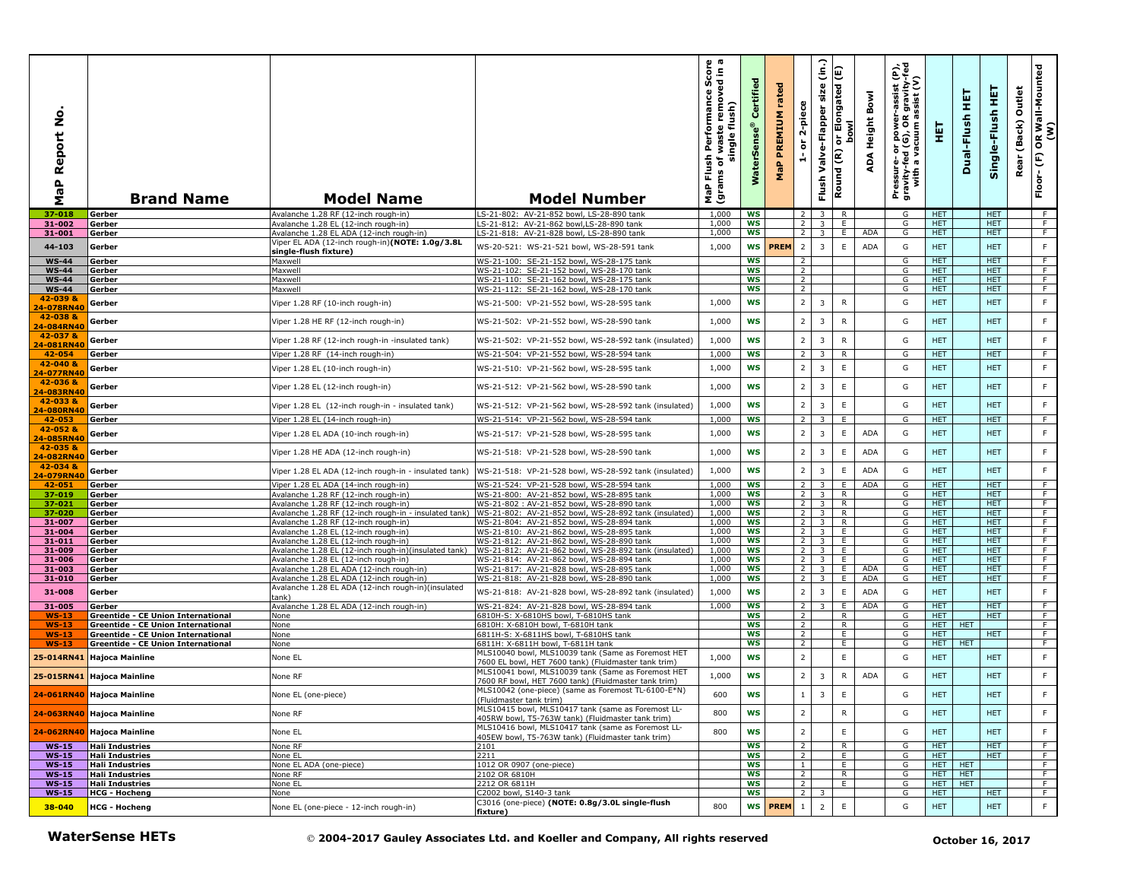| ş<br>Report<br>a<br>B<br>Σ | <b>Brand Name</b>                                                               | <b>Model Name</b>                                                                            | <b>Model Number</b>                                                                                         | o a<br>ance Score<br>moved in<br>Performan<br>flush)<br>혼<br>waste<br>single<br>Flush<br>৳<br>(grams<br>MaP | Certified<br>WaterSens | rated<br><b>PREMIUM</b><br>$\mathbf{a}_i$<br>운 | 2-piece<br>$\overleftarrow{\mathtt{o}}$<br>é | (in.)<br>size<br>Valve-Flapper<br>Flush | or Elongated (E)<br><b>bowl</b><br>Round (R) | Bowl<br>Height<br>ADA | Pressure- or power-assist (P),<br>gravity-fed (G), OR gravity-fed<br>with a vacuum assist (V) | 틯                        | 뚶<br>Dual-Flush | 뜊<br>Single-Flush        | Outlet<br>(Back)<br>Rear | OR Wall-Mounted<br>(W)<br>(F)<br>Floor- |
|----------------------------|---------------------------------------------------------------------------------|----------------------------------------------------------------------------------------------|-------------------------------------------------------------------------------------------------------------|-------------------------------------------------------------------------------------------------------------|------------------------|------------------------------------------------|----------------------------------------------|-----------------------------------------|----------------------------------------------|-----------------------|-----------------------------------------------------------------------------------------------|--------------------------|-----------------|--------------------------|--------------------------|-----------------------------------------|
| 37-018                     | Gerber                                                                          | Avalanche 1.28 RF (12-inch rough-in)                                                         | LS-21-802: AV-21-852 bowl, LS-28-890 tank                                                                   | 1,000                                                                                                       | <b>WS</b>              |                                                | 2                                            | $\overline{\mathbf{3}}$                 | R                                            |                       | G                                                                                             | <b>HET</b>               |                 | <b>HET</b>               |                          | - F                                     |
| 31-002                     | Gerber                                                                          | Avalanche 1.28 EL (12-inch rough-in)                                                         | LS-21-812: AV-21-862 bowl, LS-28-890 tank                                                                   | 1,000                                                                                                       | WS                     |                                                | $\overline{2}$                               | $\overline{3}$                          | Ε.                                           |                       | G                                                                                             | HET.                     |                 | <b>HET</b>               |                          | F.                                      |
| 31-001                     | Gerber                                                                          | Avalanche 1.28 EL ADA (12-inch rough-in)                                                     | LS-21-818: AV-21-828 bowl, LS-28-890 tank                                                                   | 1,000                                                                                                       | ws                     |                                                | $2^{\circ}$                                  | $\overline{\mathbf{3}}$                 | E.                                           | <b>ADA</b>            | G                                                                                             | HET.                     |                 | HET.                     |                          | $\overline{F}$                          |
| 44-103                     | Gerber                                                                          | Viper EL ADA (12-inch rough-in)(NOTE: 1.0g/3.8L<br>single-flush fixture)                     | WS-20-521: WS-21-521 bowl, WS-28-591 tank                                                                   | 1,000                                                                                                       | <b>WS</b>              | <b>PREM</b>                                    | $\overline{2}$                               | $\overline{3}$                          | $\mathsf E$                                  | <b>ADA</b>            | G                                                                                             | <b>HET</b>               |                 | <b>HET</b>               |                          | $\mathsf F$                             |
| <b>WS-44</b>               | Gerber                                                                          | Maxwell                                                                                      | WS-21-100: SE-21-152 bowl, WS-28-175 tank                                                                   |                                                                                                             | <b>WS</b>              |                                                | 2                                            |                                         |                                              |                       | G                                                                                             | <b>HET</b>               |                 | <b>HET</b>               |                          | $\overline{F}$                          |
| <b>WS-44</b>               | Gerber                                                                          | Maxwell                                                                                      | WS-21-102: SE-21-152 bowl, WS-28-170 tank                                                                   |                                                                                                             | <b>WS</b>              |                                                | $\overline{2}$                               |                                         |                                              |                       | G                                                                                             | <b>HET</b>               |                 | <b>HET</b>               |                          | F                                       |
| <b>WS-44</b>               | Gerber                                                                          | Maxwell                                                                                      | WS-21-110: SE-21-162 bowl, WS-28-175 tank                                                                   |                                                                                                             | WS                     |                                                | $\overline{2}$                               |                                         |                                              |                       | G                                                                                             | HET.                     |                 | <b>HET</b>               |                          | F                                       |
| <b>WS-44</b>               | Gerber                                                                          | Maxwell                                                                                      | WS-21-112: SE-21-162 bowl, WS-28-170 tank                                                                   |                                                                                                             | WS                     |                                                | $\overline{2}$                               |                                         |                                              |                       | G                                                                                             | HET.                     |                 | HET.                     |                          | F                                       |
| 42-039 &<br>24-078RN40     | Gerber                                                                          | Viper 1.28 RF (10-inch rough-in)                                                             | WS-21-500: VP-21-552 bowl, WS-28-595 tank                                                                   | 1,000                                                                                                       | WS                     |                                                | $\overline{2}$                               | 3                                       | $\mathsf{R}$                                 |                       | G                                                                                             | <b>HET</b>               |                 | <b>HET</b>               |                          | $\mathsf F$                             |
| 42-038 &                   |                                                                                 | Viper 1.28 HE RF (12-inch rough-in)                                                          | WS-21-502: VP-21-552 bowl, WS-28-590 tank                                                                   | 1,000                                                                                                       | <b>WS</b>              |                                                | $\overline{2}$                               | 3                                       | $\mathsf{R}$                                 |                       | G                                                                                             | <b>HET</b>               |                 | <b>HET</b>               |                          | $\mathsf F$                             |
| 24-084RN40                 | Gerber                                                                          |                                                                                              |                                                                                                             |                                                                                                             |                        |                                                |                                              |                                         |                                              |                       |                                                                                               |                          |                 |                          |                          |                                         |
| 42-037 &<br>24-081RN40     | Gerber                                                                          | Viper 1.28 RF (12-inch rough-in -insulated tank)                                             | WS-21-502: VP-21-552 bowl, WS-28-592 tank (insulated)                                                       | 1,000                                                                                                       | <b>WS</b>              |                                                | $\overline{2}$                               | 3                                       | ${\sf R}$                                    |                       | G                                                                                             | <b>HET</b>               |                 | <b>HET</b>               |                          | F                                       |
| 42-054                     | Gerber                                                                          | Viper 1.28 RF (14-inch rough-in)                                                             | WS-21-504: VP-21-552 bowl, WS-28-594 tank                                                                   | 1,000                                                                                                       | WS                     |                                                | $\overline{2}$                               | 3                                       | R                                            |                       | G                                                                                             | HET.                     |                 | <b>HET</b>               |                          | F.                                      |
| 42-040 &                   |                                                                                 |                                                                                              |                                                                                                             |                                                                                                             | WS                     |                                                | $\overline{2}$                               | $\overline{3}$                          | $\mathsf E$                                  |                       | G                                                                                             | <b>HET</b>               |                 | <b>HET</b>               |                          | F                                       |
| 24-077RN40                 | Gerber                                                                          | Viper 1.28 EL (10-inch rough-in)                                                             | WS-21-510: VP-21-562 bowl, WS-28-595 tank                                                                   | 1,000                                                                                                       |                        |                                                |                                              |                                         |                                              |                       |                                                                                               |                          |                 |                          |                          |                                         |
| 42-036 &                   | Gerber                                                                          | Viper 1.28 EL (12-inch rough-in)                                                             | WS-21-512: VP-21-562 bowl, WS-28-590 tank                                                                   | 1,000                                                                                                       | <b>WS</b>              |                                                | $\overline{2}$                               | $\overline{3}$                          | $\mathsf E$                                  |                       | G                                                                                             | <b>HET</b>               |                 | <b>HET</b>               |                          | $\mathsf F$                             |
| 24-083RN40<br>42-033 &     |                                                                                 |                                                                                              |                                                                                                             |                                                                                                             |                        |                                                |                                              |                                         |                                              |                       |                                                                                               |                          |                 |                          |                          |                                         |
| 24-080RN40                 | Gerber                                                                          | Viper 1.28 EL (12-inch rough-in - insulated tank)                                            | WS-21-512: VP-21-562 bowl, WS-28-592 tank (insulated)                                                       | 1,000                                                                                                       | <b>WS</b>              |                                                | $\overline{2}$                               | 3                                       | Ε                                            |                       | G                                                                                             | <b>HET</b>               |                 | <b>HET</b>               |                          | F                                       |
| 42-053                     | Gerber                                                                          | Viper 1.28 EL (14-inch rough-in)                                                             | WS-21-514: VP-21-562 bowl, WS-28-594 tank                                                                   | 1,000                                                                                                       | WS                     |                                                | 2                                            | 3                                       | E                                            |                       | G                                                                                             | <b>HET</b>               |                 | <b>HET</b>               |                          | F.                                      |
| 42-052 &                   | Gerber                                                                          | Viper 1.28 EL ADA (10-inch rough-in)                                                         | WS-21-517: VP-21-528 bowl, WS-28-595 tank                                                                   | 1,000                                                                                                       | <b>WS</b>              |                                                | $\overline{2}$                               | 3                                       | E                                            | <b>ADA</b>            | G                                                                                             | <b>HET</b>               |                 | <b>HET</b>               |                          | F                                       |
| 24-085RN40<br>42-035 &     |                                                                                 |                                                                                              |                                                                                                             |                                                                                                             |                        |                                                |                                              |                                         |                                              |                       |                                                                                               |                          |                 |                          |                          |                                         |
| 24-082RN40                 | Gerber                                                                          | Viper 1.28 HE ADA (12-inch rough-in)                                                         | WS-21-518: VP-21-528 bowl, WS-28-590 tank                                                                   | 1,000                                                                                                       | <b>WS</b>              |                                                | $\overline{2}$                               | 3                                       | $\mathsf E$                                  | <b>ADA</b>            | G                                                                                             | <b>HET</b>               |                 | <b>HET</b>               |                          | $\mathsf F$                             |
| 42-034 &                   | Gerber                                                                          | Viper 1.28 EL ADA (12-inch rough-in - insulated tank)                                        | WS-21-518: VP-21-528 bowl, WS-28-592 tank (insulated)                                                       | 1,000                                                                                                       | <b>WS</b>              |                                                | $\overline{2}$                               | $\overline{3}$                          | Ε                                            | <b>ADA</b>            | G                                                                                             | <b>HET</b>               |                 | <b>HET</b>               |                          | F                                       |
| 24-079RN40                 |                                                                                 |                                                                                              |                                                                                                             |                                                                                                             |                        |                                                |                                              |                                         |                                              |                       |                                                                                               |                          |                 |                          |                          |                                         |
| 42-051<br>37-019           | Gerber                                                                          | Viper 1.28 EL ADA (14-inch rough-in)<br>Avalanche 1.28 RF (12-inch rough-in)                 | WS-21-524: VP-21-528 bowl, WS-28-594 tank<br>WS-21-800: AV-21-852 bowl, WS-28-895 tank                      | 1,000<br>1,000                                                                                              | <b>WS</b><br>ws        |                                                | $\overline{2}$<br>2                          | 3<br>$\overline{\mathbf{3}}$            | E.<br>R                                      | <b>ADA</b>            | G<br>G                                                                                        | <b>HET</b><br><b>HET</b> |                 | <b>HET</b><br><b>HET</b> |                          | F.<br>$\overline{F}$                    |
| 37-021                     | Gerber<br>Gerber                                                                | Avalanche 1.28 RF (12-inch rough-in)                                                         | WS-21-802: AV-21-852 bowl, WS-28-890 tank                                                                   | 1,000                                                                                                       | <b>WS</b>              |                                                | $\overline{2}$                               | $\overline{3}$                          | $\mathsf{R}$                                 |                       | G                                                                                             | <b>HET</b>               |                 | <b>HET</b>               |                          | F                                       |
| 37-020                     | Gerber                                                                          |                                                                                              | Avalanche 1.28 RF (12-inch rough-in - insulated tank) WS-21-802: AV-21-852 bowl, WS-28-892 tank (insulated) | 1,000                                                                                                       | WS                     |                                                | $\overline{2}$                               | 3 <sup>1</sup>                          | $\mathsf{R}$                                 |                       | G                                                                                             | HET.                     |                 | <b>HET</b>               |                          | F                                       |
| 31-007                     | Gerber                                                                          | Avalanche 1.28 RF (12-inch rough-in)                                                         | WS-21-804: AV-21-852 bowl, WS-28-894 tank                                                                   | 1,000                                                                                                       | WS                     |                                                | $\overline{2}$                               | $\overline{\mathbf{3}}$                 | R                                            |                       | G                                                                                             | HET.                     |                 | <b>HET</b>               |                          | F                                       |
| 31-004                     | Gerber                                                                          | Avalanche 1.28 EL (12-inch rough-in)                                                         | WS-21-810: AV-21-862 bowl, WS-28-895 tank                                                                   | 1,000                                                                                                       | WS                     |                                                | 2 <sub>1</sub>                               | $\overline{\mathbf{3}}$                 | E.                                           |                       | G                                                                                             | <b>HET</b>               |                 | <b>HET</b>               |                          | $\overline{F}$                          |
| 31-011<br>31-009           | Gerber<br>Gerber                                                                | Avalanche 1.28 EL (12-inch rough-in)<br>Avalanche 1.28 EL (12-inch rough-in)(insulated tank) | WS-21-812: AV-21-862 bowl, WS-28-890 tank<br>WS-21-812: AV-21-862 bowl, WS-28-892 tank (insulated)          | 1,000<br>1,000                                                                                              | <b>WS</b><br>WS        |                                                | 2 <sup>1</sup><br>$\overline{2}$             | 3 <sup>1</sup><br>$\overline{3}$        | E<br>E                                       |                       | G<br>G                                                                                        | HET.<br>HET              |                 | <b>HET</b><br><b>HET</b> |                          | F<br>F                                  |
| 31-006                     | Gerber                                                                          | Avalanche 1.28 EL (12-inch rough-in)                                                         | WS-21-814: AV-21-862 bowl, WS-28-894 tank                                                                   | 1,000                                                                                                       | <b>WS</b>              |                                                | $\overline{2}$                               | $\overline{\mathbf{3}}$                 | E                                            |                       | G                                                                                             | <b>HET</b>               |                 | <b>HET</b>               |                          | $\overline{F}$                          |
| 31-003                     | Gerber                                                                          | Avalanche 1.28 EL ADA (12-inch rough-in)                                                     | WS-21-817: AV-21-828 bowl, WS-28-895 tank                                                                   | 1,000                                                                                                       | WS                     |                                                | $\overline{2}$                               | $\overline{3}$                          | E                                            | <b>ADA</b>            | G                                                                                             | <b>HET</b>               |                 | <b>HET</b>               |                          | F                                       |
| 31-010                     | Gerber                                                                          | Avalanche 1.28 EL ADA (12-inch rough-in)                                                     | WS-21-818: AV-21-828 bowl, WS-28-890 tank                                                                   | 1,000                                                                                                       | <b>WS</b>              |                                                | $\overline{2}$                               | 3                                       | E.                                           | <b>ADA</b>            | G                                                                                             | HET.                     |                 | HET.                     |                          | F.                                      |
| 31-008                     | Gerber                                                                          | Avalanche 1.28 EL ADA (12-inch rough-in)(insulated<br>tank)                                  | WS-21-818: AV-21-828 bowl, WS-28-892 tank (insulated)                                                       | 1,000                                                                                                       | <b>WS</b>              |                                                | $\overline{2}$                               | 3                                       | $\mathsf E$                                  | <b>ADA</b>            | G                                                                                             | <b>HET</b>               |                 | <b>HET</b>               |                          | $\mathsf F$                             |
| 31-005                     | Gerber                                                                          | Avalanche 1.28 EL ADA (12-inch rough-in)                                                     | WS-21-824: AV-21-828 bowl, WS-28-894 tank                                                                   | 1.000                                                                                                       | <b>WS</b>              |                                                | $\overline{2}$                               | 3                                       | E                                            | <b>ADA</b>            | G                                                                                             | <b>HET</b>               |                 | <b>HET</b>               |                          | F                                       |
| $WS-13$                    | <b>Greentide - CE Union International</b>                                       | None                                                                                         | 6810H-S: X-6810HS bowl, T-6810HS tank                                                                       |                                                                                                             | WS                     |                                                | $\overline{2}$                               |                                         | $\mathsf{R}$                                 |                       | G                                                                                             | <b>HET</b>               |                 | <b>HET</b>               |                          | F                                       |
| <b>WS-13</b>               | <b>Greentide - CE Union International</b>                                       | None                                                                                         | 6810H: X-6810H bowl, T-6810H tank                                                                           |                                                                                                             | <b>WS</b>              |                                                | $\overline{2}$                               |                                         | R                                            |                       | G                                                                                             | HET                      | <b>HET</b>      |                          |                          | F                                       |
| $WS-13$                    | Greentide - CE Union International<br><b>Greentide - CE Union International</b> | None                                                                                         | 5811H-S: X-6811HS bowl, T-6810HS tank<br>5811H: X-6811H bowl, T-6811H tank                                  |                                                                                                             | WS<br><b>WS</b>        |                                                | $\overline{2}$<br>$\overline{2}$             |                                         | Ε.<br>E                                      |                       | G<br>G                                                                                        | <b>HET</b><br>HET        | <b>HET</b>      | <b>HET</b>               |                          | $\overline{F}$<br>F.                    |
| $WS-13$<br>25-014RN41      | <b>Hajoca Mainline</b>                                                          | None<br>None EL                                                                              | MLS10040 bowl, MLS10039 tank (Same as Foremost HET<br>7600 EL bowl, HET 7600 tank) (Fluidmaster tank trim)  | 1,000                                                                                                       | WS                     |                                                | $\mathbf 2$                                  |                                         | $\mathsf E$                                  |                       | G                                                                                             | <b>HET</b>               |                 | <b>HET</b>               |                          | F                                       |
|                            | 25-015RN41 Hajoca Mainline                                                      | None RF                                                                                      | MLS10041 bowl, MLS10039 tank (Same as Foremost HET<br>7600 RF bowl, HET 7600 tank) (Fluidmaster tank trim)  | 1,000                                                                                                       | <b>WS</b>              |                                                | $\overline{2}$                               | $\overline{3}$                          | $\mathsf{R}$                                 | ADA                   | G                                                                                             | <b>HET</b>               |                 | <b>HET</b>               |                          | $\mathsf F$                             |
|                            | 24-061RN40 Hajoca Mainline                                                      | None EL (one-piece)                                                                          | MLS10042 (one-piece) (same as Foremost TL-6100-E*N)<br>(Fluidmaster tank trim)                              | 600                                                                                                         | <b>WS</b>              |                                                | $\overline{1}$                               | $\overline{3}$                          | E                                            |                       | G                                                                                             | HET.                     |                 | <b>HET</b>               |                          | F                                       |
|                            | 24-063RN40 Hajoca Mainline                                                      | None RF                                                                                      | MLS10415 bowl, MLS10417 tank (same as Foremost LL-<br>405RW bowl, T5-763W tank) (Fluidmaster tank trim)     | 800                                                                                                         | WS                     |                                                | $\overline{\mathbf{2}}$                      |                                         | ${\sf R}$                                    |                       | G                                                                                             | <b>HET</b>               |                 | <b>HET</b>               |                          | $\mathsf F$                             |
| 24-062RN40                 | <b>Hajoca Mainline</b>                                                          | None EL                                                                                      | MLS10416 bowl, MLS10417 tank (same as Foremost LL-                                                          | 800                                                                                                         | <b>WS</b>              |                                                | $\overline{2}$                               |                                         | $\mathsf E$                                  |                       | G                                                                                             | <b>HET</b>               |                 | <b>HET</b>               |                          | F                                       |
| $WS-15$                    | <b>Hali Industries</b>                                                          | None RF                                                                                      | 405EW bowl, T5-763W tank) (Fluidmaster tank trim)<br>2101                                                   |                                                                                                             | <b>WS</b>              |                                                | $\overline{2}$                               |                                         | R                                            |                       | G                                                                                             | HET.                     |                 | HET.                     |                          | F.                                      |
| $WS-15$                    | <b>Hali Industries</b>                                                          | None EL                                                                                      | 2211                                                                                                        |                                                                                                             | WS                     |                                                | $\overline{2}$                               |                                         | E                                            |                       | G                                                                                             | HET.                     |                 | HET.                     |                          | F.                                      |
| $WS-15$                    | <b>Hali Industries</b>                                                          | None EL ADA (one-piece)                                                                      | 1012 OR 0907 (one-piece)                                                                                    |                                                                                                             | ws                     |                                                | $\mathbf{1}$                                 |                                         | E.                                           |                       | G                                                                                             | HET.                     | <b>HET</b>      |                          |                          | $\overline{F}$                          |
| $WS-15$                    | <b>Hali Industries</b>                                                          | None RF                                                                                      | 2102 OR 6810H                                                                                               |                                                                                                             | ws                     |                                                | 2                                            |                                         | R.                                           |                       | G                                                                                             | <b>HET</b>               | <b>HET</b>      |                          |                          | F.                                      |
| $WS-15$                    | <b>Hali Industries</b>                                                          | None EL                                                                                      | 2212 OR 6811H                                                                                               |                                                                                                             | ws<br><b>WS</b>        |                                                | $\overline{2}$<br>$\overline{2}$             |                                         | Ε.                                           |                       | G<br>G                                                                                        | <b>HET</b>               | <b>HET</b>      |                          |                          | F.<br>$\overline{F}$                    |
| $WS-15$                    | <b>HCG - Hocheng</b>                                                            | None                                                                                         | C2002 bowl, S140-3 tank<br>C3016 (one-piece) (NOTE: 0.8g/3.0L single-flush                                  |                                                                                                             |                        |                                                |                                              | 3                                       |                                              |                       |                                                                                               | <b>HET</b>               |                 | <b>HET</b>               |                          |                                         |
| 38-040                     | <b>HCG - Hocheng</b>                                                            | None EL (one-piece - 12-inch rough-in)                                                       | fixture)                                                                                                    | 800                                                                                                         | WS                     | <b>PREM</b>                                    | $\,$ 1                                       | $\overline{2}$                          | $\mathsf E$                                  |                       | G                                                                                             | <b>HET</b>               |                 | <b>HET</b>               |                          | $\mathsf F$                             |
|                            | <b>WaterSense HETs</b>                                                          |                                                                                              | © 2004-2017 Gauley Associates Ltd. and Koeller and Company, All rights reserved                             |                                                                                                             |                        |                                                |                                              |                                         |                                              |                       |                                                                                               |                          |                 | October 16, 2017         |                          |                                         |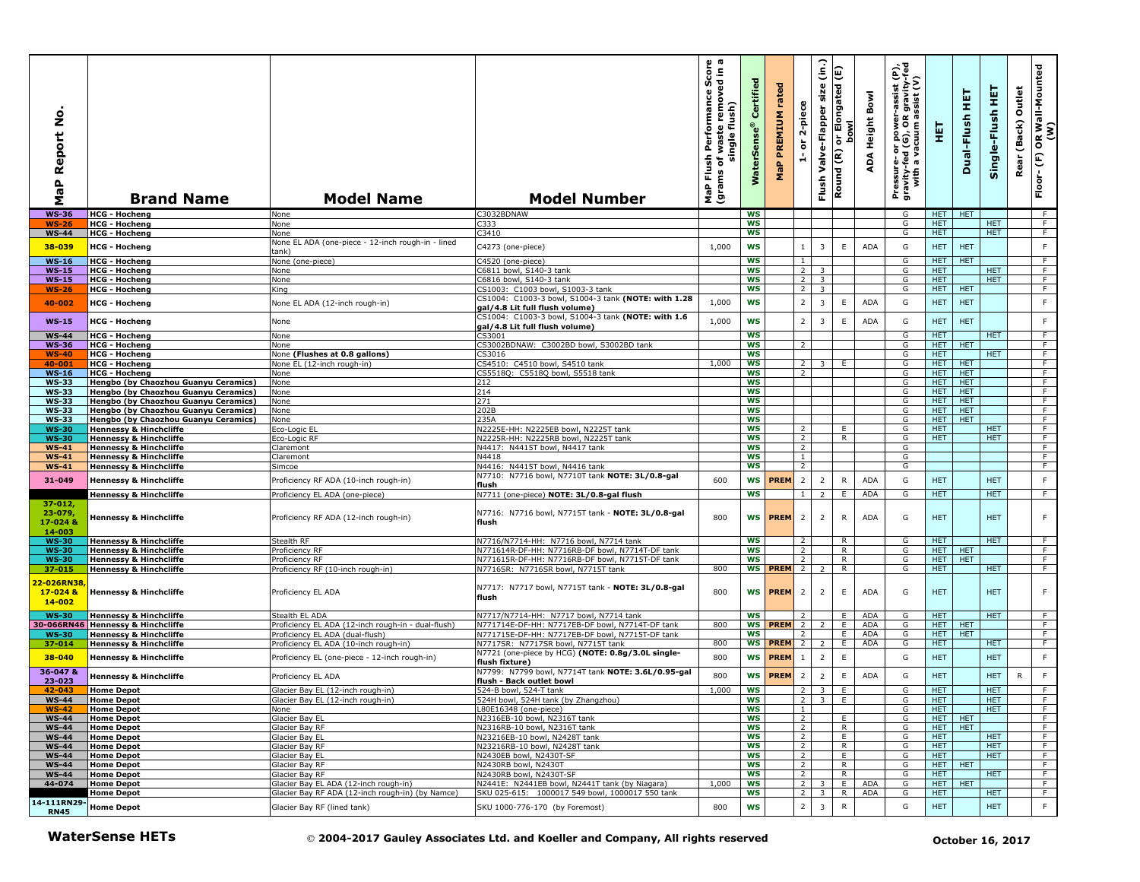| $\circ$<br>z<br>eport<br>≃<br>$\mathbf{r}$<br>œ<br>Σ | <b>Brand Name</b>                                                                 | <b>Model Name</b>                                                                     | <b>Model Number</b>                                                                                | o a<br>rmance Score<br>removed in a<br>Performance<br>waste remove<br>flush)<br>single<br>Flush<br>৳<br>(grams<br><b>P</b> | Certifi<br>terSei<br>š | rated<br>PREMIUM<br>$\mathbf{a}_i$<br>문 | 2-piece<br>ត<br>÷                | (in.)<br>size<br>Valve-Flapper<br>Flush | Elongated (E)<br><b>bowl</b><br>$\overline{5}$<br>Round (R) | Bowl<br>Height<br>ADA | Pressure- or power-assist (P),<br>gravity-fed (G), OR gravity-fed<br>with a vacuum assist (V) | 핓                        | 듚<br>Dual-Flush          | 뙆<br>Single-Flush | Outlet<br>(Back)<br>Rear | OR Wall-Mounted<br>(W)<br>$\mathop{\mathbb{E}}$<br>Floor- |
|------------------------------------------------------|-----------------------------------------------------------------------------------|---------------------------------------------------------------------------------------|----------------------------------------------------------------------------------------------------|----------------------------------------------------------------------------------------------------------------------------|------------------------|-----------------------------------------|----------------------------------|-----------------------------------------|-------------------------------------------------------------|-----------------------|-----------------------------------------------------------------------------------------------|--------------------------|--------------------------|-------------------|--------------------------|-----------------------------------------------------------|
| <b>WS-36</b>                                         | <b>HCG - Hocheng</b>                                                              | None                                                                                  | C3032BDNAW                                                                                         |                                                                                                                            | <b>WS</b>              |                                         |                                  |                                         |                                                             |                       | G                                                                                             | HET.                     | <b>HET</b>               |                   |                          | - F                                                       |
| <b>WS-26</b>                                         | <b>HCG - Hocheng</b>                                                              | None                                                                                  | 2333                                                                                               |                                                                                                                            | ws                     |                                         |                                  |                                         |                                                             |                       | G                                                                                             | HET.                     |                          | HET.              |                          | F.                                                        |
| <b>WS-44</b>                                         | <b>HCG - Hocheng</b>                                                              | None<br>None EL ADA (one-piece - 12-inch rough-in - lined                             | 3410                                                                                               |                                                                                                                            | ws                     |                                         |                                  |                                         |                                                             |                       | G                                                                                             | <b>HET</b>               |                          | HET.              |                          | F.                                                        |
| 38-039                                               | HCG - Hocheng                                                                     | tank)                                                                                 | C4273 (one-piece)                                                                                  | 1,000                                                                                                                      | <b>WS</b>              |                                         | $\mathbf{1}$                     | 3                                       | $\mathsf E$                                                 | <b>ADA</b>            | G                                                                                             | <b>HET</b>               | <b>HET</b>               |                   |                          | $\mathsf F$                                               |
| <b>WS-16</b>                                         | <b>HCG - Hocheng</b>                                                              | None (one-piece)                                                                      | C4520 (one-piece)                                                                                  |                                                                                                                            | <b>WS</b>              |                                         | 1                                |                                         |                                                             |                       | G                                                                                             | <b>HET</b>               | <b>HET</b>               |                   |                          | $\overline{F}$                                            |
| <b>WS-15</b>                                         | <b>HCG - Hocheng</b>                                                              | None                                                                                  | C6811 bowl, S140-3 tank                                                                            |                                                                                                                            | <b>WS</b>              |                                         | $\overline{2}$                   | $\overline{\mathbf{3}}$                 |                                                             |                       | G                                                                                             | <b>HET</b>               |                          | <b>HET</b>        |                          | F                                                         |
| $WS-15$                                              | <b>HCG - Hocheng</b>                                                              | None                                                                                  | C6816 bowl, S140-3 tank                                                                            |                                                                                                                            | <b>WS</b>              |                                         | $2^{\circ}$                      | 3 <sup>2</sup>                          |                                                             |                       | G                                                                                             | HET                      |                          | <b>HET</b>        |                          | F                                                         |
| <b>WS-26</b>                                         | <b>HCG - Hocheng</b>                                                              | King                                                                                  | CS1003: C1003 bowl, S1003-3 tank                                                                   |                                                                                                                            | ws                     |                                         | 2 <sup>1</sup>                   | $\overline{3}$                          |                                                             |                       | G                                                                                             | HET                      | <b>HET</b>               |                   |                          | F                                                         |
| 40-002                                               | <b>HCG - Hocheng</b>                                                              | None EL ADA (12-inch rough-in)                                                        | CS1004: C1003-3 bowl, S1004-3 tank (NOTE: with 1.28<br>gal/4.8 Lit full flush volume)              | 1,000                                                                                                                      | <b>WS</b>              |                                         | $\overline{2}$                   | 3                                       | $\mathsf E$                                                 | <b>ADA</b>            | G                                                                                             | <b>HET</b>               | <b>HET</b>               |                   |                          | F                                                         |
| <b>WS-15</b>                                         | <b>HCG - Hocheng</b>                                                              | None                                                                                  | CS1004: C1003-3 bowl, S1004-3 tank (NOTE: with 1.6<br>gal/4.8 Lit full flush volume)               | 1,000                                                                                                                      | <b>WS</b>              |                                         | $\overline{2}$                   | 3                                       | $\mathsf E$                                                 | <b>ADA</b>            | G                                                                                             | <b>HET</b>               | <b>HET</b>               |                   |                          | $\mathsf F$                                               |
| <b>WS-44</b>                                         | <b>HCG - Hocheng</b>                                                              | None                                                                                  | CS3001                                                                                             |                                                                                                                            | WS                     |                                         |                                  |                                         |                                                             |                       | G                                                                                             | <b>HET</b>               |                          | <b>HET</b>        |                          | $\overline{F}$                                            |
| WS-36                                                | <b>HCG - Hocheng</b>                                                              | None                                                                                  | CS3002BDNAW: C3002BD bowl, S3002BD tank                                                            |                                                                                                                            | <b>WS</b>              |                                         | 2                                |                                         |                                                             |                       | G                                                                                             | HET.                     | <b>HET</b>               |                   |                          | F.                                                        |
| WS-40                                                | <b>HCG - Hocheng</b>                                                              | None (Flushes at 0.8 gallons)                                                         | CS3016                                                                                             |                                                                                                                            | WS                     |                                         |                                  |                                         |                                                             |                       | G                                                                                             | HET.                     |                          | <b>HET</b>        |                          | F.                                                        |
| 40-001<br><b>WS-16</b>                               | <b>HCG - Hocheng</b>                                                              | None EL (12-inch rough-in)<br>None                                                    | CS4510: C4510 bowl, S4510 tank<br>CS5518O: C5518O bowl, S5518 tank                                 | 1,000                                                                                                                      | <b>WS</b><br><b>WS</b> |                                         | <sup>2</sup><br>2                | 3                                       | E                                                           |                       | G<br>G                                                                                        | <b>HET</b><br>HET.       | HET<br><b>HET</b>        |                   |                          | $\overline{F}$<br>F                                       |
| <b>WS-33</b>                                         | <b>HCG - Hocheng</b><br>Hengbo (by Chaozhou Guanyu Ceramics)                      | None                                                                                  | 212                                                                                                |                                                                                                                            | WS                     |                                         |                                  |                                         |                                                             |                       | G                                                                                             | HET.                     | <b>HET</b>               |                   |                          | F                                                         |
| <b>WS-33</b>                                         | Hengbo (by Chaozhou Guanvu Ceramics)                                              | None                                                                                  | 214                                                                                                |                                                                                                                            | <b>WS</b>              |                                         |                                  |                                         |                                                             |                       | G                                                                                             | HET.                     | <b>HET</b>               |                   |                          | F                                                         |
| <b>WS-33</b>                                         | Hengbo (by Chaozhou Guanyu Ceramics)                                              | None                                                                                  | 271                                                                                                |                                                                                                                            | ws                     |                                         |                                  |                                         |                                                             |                       | G                                                                                             | HET.                     | <b>HET</b>               |                   |                          | $\overline{F}$                                            |
| <b>WS-33</b>                                         | Hengbo (by Chaozhou Guanyu Ceramics)                                              | None                                                                                  | 202B                                                                                               |                                                                                                                            | WS                     |                                         |                                  |                                         |                                                             |                       | G                                                                                             | HET.                     | <b>HET</b>               |                   |                          | F.                                                        |
| <b>WS-33</b>                                         | Hengbo (by Chaozhou Guanyu Ceramics)<br><b>Hennessy &amp; Hinchcliffe</b>         | None                                                                                  | 235A<br>N2225E-HH: N2225EB bowl, N2225T tank                                                       |                                                                                                                            | WS<br>WS               |                                         |                                  |                                         |                                                             |                       | G<br>G                                                                                        | HET.<br><b>HET</b>       | <b>HET</b>               | <b>HET</b>        |                          | F                                                         |
| <b>WS-30</b><br><b>WS-30</b>                         | <b>Hennessy &amp; Hinchcliffe</b>                                                 | Eco-Logic EL<br>Eco-Logic RF                                                          | N2225R-HH: N2225RB bowl, N2225T tank                                                               |                                                                                                                            | <b>WS</b>              |                                         | $\overline{2}$<br>2              |                                         | E.<br>$\mathsf{R}$                                          |                       | G                                                                                             | <b>HET</b>               |                          | <b>HET</b>        |                          | F.<br>F                                                   |
| <b>WS-41</b>                                         | <b>Hennessy &amp; Hinchcliffe</b>                                                 | Claremont                                                                             | N4417: N4415T bowl, N4417 tank                                                                     |                                                                                                                            | <b>WS</b>              |                                         | $\overline{2}$                   |                                         |                                                             |                       | G                                                                                             |                          |                          |                   |                          | F                                                         |
| <b>WS-41</b>                                         | <b>Hennessy &amp; Hinchcliffe</b>                                                 | Claremont                                                                             | N4418                                                                                              |                                                                                                                            | <b>WS</b>              |                                         | $\mathbf{1}$                     |                                         |                                                             |                       | G                                                                                             |                          |                          |                   |                          | F                                                         |
| $WS-41$                                              | <b>Hennessy &amp; Hinchcliffe</b>                                                 | Simcoe                                                                                | V4416: N4415T bowl, N4416 tank                                                                     |                                                                                                                            | WS                     |                                         | $\overline{2}$                   |                                         |                                                             |                       | G                                                                                             |                          |                          |                   |                          | $\overline{F}$                                            |
| 31-049                                               | <b>Hennessy &amp; Hinchcliffe</b>                                                 | Proficiency RF ADA (10-inch rough-in)                                                 | N7710: N7716 bowl, N7710T tank NOTE: 3L/0.8-gal<br>flush                                           | 600                                                                                                                        | <b>WS</b>              | <b>PREM</b>                             | $\overline{2}$                   | $\overline{2}$                          | $\mathsf{R}$                                                | ADA                   | G                                                                                             | <b>HET</b>               |                          | <b>HET</b>        |                          | $\mathsf F$                                               |
|                                                      | Hennessy & Hinchcliffe                                                            | Proficiency EL ADA (one-piece)                                                        | N7711 (one-piece) NOTE: 3L/0.8-gal flush                                                           |                                                                                                                            | <b>WS</b>              |                                         | $\overline{1}$                   | $\overline{2}$                          | Ε                                                           | <b>ADA</b>            | G                                                                                             | <b>HET</b>               |                          | <b>HET</b>        |                          | $\overline{F}$                                            |
| $37 - 012,$<br>$23 - 079$<br>17-024 8<br>14-003      | Hennessy & Hinchcliffe                                                            | Proficiency RF ADA (12-inch rough-in)                                                 | N7716: N7716 bowl, N7715T tank - NOTE: 3L/0.8-gal<br>flush                                         | 800                                                                                                                        |                        | <b>WS PREM</b>                          | $\overline{2}$                   | $\overline{2}$                          | $\mathsf{R}$                                                | ADA                   | G                                                                                             | <b>HET</b>               |                          | <b>HET</b>        |                          | F                                                         |
| <b>WS-30</b>                                         | <b>Hennessy &amp; Hinchcliffe</b>                                                 | Stealth RF                                                                            | N7716/N7714-HH: N7716 bowl, N7714 tank                                                             |                                                                                                                            | <b>WS</b><br><b>WS</b> |                                         | $\overline{2}$<br>$\overline{2}$ |                                         | R<br>$\mathsf{R}$                                           |                       | G                                                                                             | HET.                     | <b>HET</b>               | <b>HET</b>        |                          | F.<br>F.                                                  |
| <b>WS-30</b><br><b>WS-30</b>                         | <b>Hennessy &amp; Hinchcliffe</b><br><b>Hennessy &amp; Hinchcliffe</b>            | Proficiency RF<br>Proficiency RF                                                      | N771614R-DF-HH: N7716RB-DF bowl, N7714T-DF tank<br>N771615R-DF-HH: N7716RB-DF bowl, N7715T-DF tank |                                                                                                                            | <b>WS</b>              |                                         | $\overline{2}$                   |                                         | $\overline{R}$                                              |                       | G<br>G                                                                                        | <b>HET</b><br><b>HET</b> | <b>HET</b>               |                   |                          | $\overline{F}$                                            |
| 37-015                                               | <b>Hennessy &amp; Hinchcliffe</b>                                                 | Proficiency RF (10-inch rough-in)                                                     | N7716SR: N7716SR bowl, N7715T tank                                                                 | 800                                                                                                                        |                        | <b>WS PREM</b>                          | $\overline{2}$                   | $\mathcal{L}$                           | R                                                           |                       | G                                                                                             | <b>HET</b>               |                          | <b>HET</b>        |                          | $\overline{F}$                                            |
| 22-026RN38<br>17-024 &<br>$14 - 002$                 | <b>Hennessy &amp; Hinchcliffe</b>                                                 | Proficiency EL ADA                                                                    | N7717: N7717 bowl, N7715T tank - NOTE: 3L/0.8-gal<br>flush                                         | 800                                                                                                                        |                        | <b>WS PREM</b>                          | $\overline{2}$                   | $\overline{2}$                          | E                                                           | ADA                   | G                                                                                             | <b>HET</b>               |                          | <b>HET</b>        |                          | F                                                         |
| <b>WS-30</b>                                         | <b>Hennessy &amp; Hinchcliffe</b>                                                 | Stealth EL ADA                                                                        | N7717/N7714-HH: N7717 bowl, N7714 tank                                                             |                                                                                                                            | <b>WS</b>              |                                         | 2                                |                                         | E                                                           | <b>ADA</b>            | G                                                                                             | <b>HET</b>               |                          | <b>HET</b>        |                          | F                                                         |
| <b>WS-30</b>                                         | <b>80-066RN46 Hennessy &amp; Hinchcliffe</b><br><b>Hennessy &amp; Hinchcliffe</b> | Proficiency EL ADA (12-inch rough-in - dual-flush)<br>Proficiency EL ADA (dual-flush) | N771714E-DF-HH: N7717EB-DF bowl, N7714T-DF tank<br>N771715E-DF-HH: N7717EB-DF bowl, N7715T-DF tank | 800                                                                                                                        | <b>WS</b><br>WS        | <b>PREM</b>                             | $\overline{2}$<br>2              | 2                                       | E.<br>E.                                                    | ADA<br>ADA            | G<br>G                                                                                        | HET.<br><b>HET</b>       | <b>HET</b><br><b>HET</b> |                   |                          | F<br>$\overline{F}$                                       |
| 37-014                                               | <b>Hennessy &amp; Hinchcliffe</b>                                                 | Proficiency EL ADA (10-inch rough-in)                                                 | N7717SR: N7717SR bowl, N7715T tank                                                                 | 800                                                                                                                        | <b>WS</b>              | <b>PREM</b>                             | $\overline{2}$                   | 2                                       | E.                                                          | ADA                   | G                                                                                             | HET.                     |                          | HET.              |                          | F.                                                        |
| 38-040                                               | <b>Hennessy &amp; Hinchcliffe</b>                                                 | Proficiency EL (one-piece - 12-inch rough-in)                                         | N7721 (one-piece by HCG) (NOTE: 0.8g/3.0L single-<br>flush fixture)                                | 800                                                                                                                        | WS                     | <b>PREM</b>                             | $\overline{1}$                   | 2                                       | $\mathsf E$                                                 |                       | G                                                                                             | <b>HET</b>               |                          | <b>HET</b>        |                          | $\mathsf F$                                               |
| $36 - 047$ &<br>23-023                               | <b>Hennessy &amp; Hinchcliffe</b>                                                 | Proficiency EL ADA                                                                    | N7799: N7799 bowl, N7714T tank NOTE: 3.6L/0.95-gal<br>flush - Back outlet bowl                     | 800                                                                                                                        | <b>WS</b>              | <b>PREM</b>                             | $\overline{2}$                   | $\overline{2}$                          | $\mathsf E$                                                 | <b>ADA</b>            | G                                                                                             | <b>HET</b>               |                          | <b>HET</b>        | $\mathsf{R}$             | $\mathsf F$                                               |
| 42-043                                               | <b>Home Depot</b>                                                                 | Glacier Bay EL (12-inch rough-in)                                                     | 524-B bowl, 524-T tank                                                                             | 1,000                                                                                                                      | <b>WS</b>              |                                         | $\overline{2}$                   | 3                                       | E                                                           |                       | G                                                                                             | <b>HET</b>               |                          | HET.              |                          | F                                                         |
| ws-44                                                | l Home Depot                                                                      | Glacier Bay EL (12-inch rough-in)                                                     | 24H bowl, 524H tank (by Zhangzhou)                                                                 |                                                                                                                            | ws                     |                                         |                                  |                                         |                                                             |                       | G                                                                                             | HET                      |                          | HET               |                          |                                                           |
| $WS-42$                                              | <b>Home Depot</b>                                                                 | None                                                                                  | L80E16348 (one-piece)                                                                              |                                                                                                                            | WS                     |                                         | 1                                |                                         |                                                             |                       | G                                                                                             | <b>HET</b>               |                          | <b>HET</b>        |                          | $-F$                                                      |
| <b>WS-44</b><br><b>WS-44</b>                         | <b>Home Depot</b><br><b>Home Depot</b>                                            | Glacier Bay EL<br>Glacier Bay RF                                                      | N2316EB-10 bowl, N2316T tank<br>N2316RB-10 bowl, N2316T tank                                       |                                                                                                                            | ws<br>ws               |                                         | 2<br>$\overline{2}$              |                                         | E<br>R                                                      |                       | G<br>G                                                                                        | HET.<br>HET   HET        | <b>HET</b>               |                   |                          | F<br>F                                                    |
| <b>WS-44</b>                                         | <b>Home Depot</b>                                                                 | Glacier Bay EL                                                                        | N23216EB-10 bowl, N2428T tank                                                                      |                                                                                                                            | <b>WS</b>              |                                         | $\overline{2}$                   |                                         | E                                                           |                       | G                                                                                             | HET.                     |                          | <b>HET</b>        |                          | F                                                         |
| $WS-44$                                              | <b>Home Depot</b>                                                                 | Glacier Bay RF                                                                        | N23216RB-10 bowl, N2428T tank                                                                      |                                                                                                                            | ws                     |                                         | $\overline{2}$                   |                                         | R                                                           |                       | G                                                                                             | HET.                     |                          | HET.              |                          | F                                                         |
| <b>WS-44</b>                                         | <b>Home Depot</b>                                                                 | Glacier Bay EL                                                                        | N2430EB bowl, N2430T-SF                                                                            |                                                                                                                            | ws                     |                                         | $\overline{2}$                   |                                         | E                                                           |                       | G                                                                                             | <b>HET</b>               |                          | HET.              |                          | F                                                         |
| <b>WS-44</b>                                         | <b>Home Depot</b>                                                                 | Glacier Bav RF                                                                        | N2430RB bowl, N2430T                                                                               |                                                                                                                            | ws                     |                                         | $\overline{2}$                   |                                         | R.                                                          |                       | G                                                                                             | HET.                     | <b>HET</b>               |                   |                          | ਾ                                                         |
| <b>WS-44</b><br>44-074                               | <b>Home Depot</b><br><b>Home Depot</b>                                            | Glacier Bay RF<br>Glacier Bay EL ADA (12-inch rough-in)                               | N2430RB bowl, N2430T-SF<br>N2441E: N2441EB bowl, N2441T tank (by Niagara)                          | 1,000                                                                                                                      | WS<br>ws               |                                         | $\overline{2}$<br>2 <sup>1</sup> | 3                                       | R.<br>E                                                     | ADA                   | G<br>G                                                                                        | HET.<br><b>HET</b>       | <b>HET</b>               | <b>HET</b>        |                          | F.<br>F                                                   |
|                                                      | <b>Home Depot</b>                                                                 | Glacier Bay RF ADA (12-inch rough-in) (by Namce)                                      | SKU 025-615: 1000017 549 bowl, 1000017 550 tank                                                    |                                                                                                                            | <b>WS</b>              |                                         | $\overline{2}$                   | $\overline{3}$                          | R.                                                          | ADA                   | G                                                                                             | <b>HET</b>               |                          | <b>HET</b>        |                          | $\overline{F}$                                            |
| 14-111RN29<br><b>RN45</b>                            | <b>Home Depot</b>                                                                 | Glacier Bay RF (lined tank)                                                           | SKU 1000-776-170 (by Foremost)                                                                     | 800                                                                                                                        | ws                     |                                         | $\overline{2}$                   | $\overline{3}$                          | ${\sf R}$                                                   |                       | G                                                                                             | <b>HET</b>               |                          | <b>HET</b>        |                          | F                                                         |
|                                                      | <b>WaterSense HETs</b>                                                            |                                                                                       | © 2004-2017 Gauley Associates Ltd. and Koeller and Company, All rights reserved                    |                                                                                                                            |                        |                                         |                                  |                                         |                                                             |                       |                                                                                               |                          | October 16, 2017         |                   |                          |                                                           |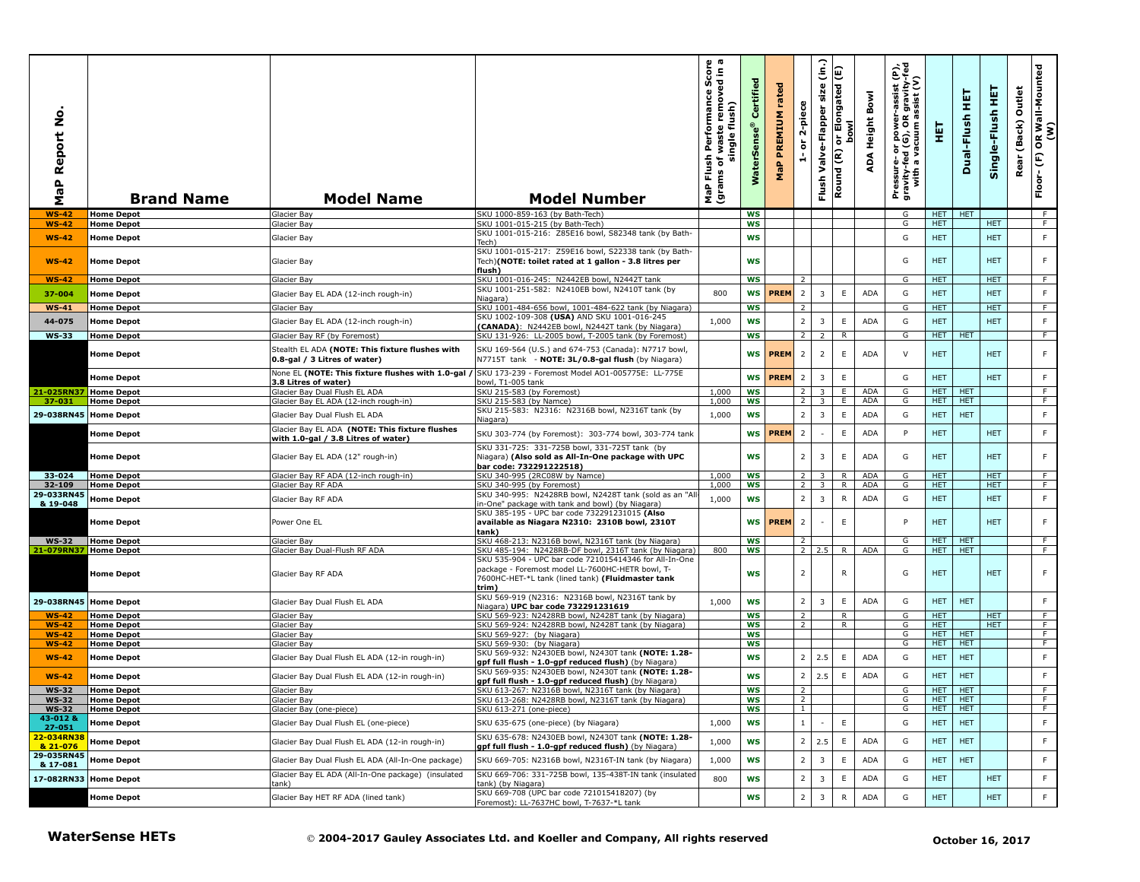| <u>o</u><br>aP Report<br>Σ            | <b>Brand Name</b>                      | <b>Model Name</b>                                                                                        | <b>Model Number</b>                                                                                                                                                      | h Performance Score<br>f waste removed in a<br>single flush)<br>single<br>Flush<br>৳<br>MaP Flu<br>(grams | Certified<br><b>WaterSens</b> | rated<br>PREMIUM<br>MaP | 2-piece<br>$\overleftarrow{\mathtt{o}}$<br>÷ | $\hat{c}$<br>size<br>Valve-Flapper<br>Flush | E<br>or Elongated<br>bowl<br>Round (R) | Bowl<br>ADA Height       | Pressure- or power-assist (P),<br>gravity-fed (G), OR gravity-fed<br>with a vacuum assist (V) | 핓                  | 真<br>Dual-Flush          | 토<br>Single-Flush  | Outlet<br>(Back)<br>Rear | OR Wall-Mounted<br>(W)<br>$\mathop{\mathbb{E}}$<br>Floor- |
|---------------------------------------|----------------------------------------|----------------------------------------------------------------------------------------------------------|--------------------------------------------------------------------------------------------------------------------------------------------------------------------------|-----------------------------------------------------------------------------------------------------------|-------------------------------|-------------------------|----------------------------------------------|---------------------------------------------|----------------------------------------|--------------------------|-----------------------------------------------------------------------------------------------|--------------------|--------------------------|--------------------|--------------------------|-----------------------------------------------------------|
| <b>WS-42</b>                          | <b>Home Depot</b>                      | Glacier Bay                                                                                              | SKU 1000-859-163 (by Bath-Tech)                                                                                                                                          |                                                                                                           | <b>WS</b>                     |                         |                                              |                                             |                                        |                          | G                                                                                             | HET I              | <b>HET</b>               |                    |                          | F                                                         |
| <b>WS-42</b>                          | <b>Home Depot</b>                      | <b>Glacier Bay</b>                                                                                       | SKU 1001-015-215 (by Bath-Tech)<br>SKU 1001-015-216: Z85E16 bowl, S82348 tank (by Bath-                                                                                  |                                                                                                           | <b>WS</b>                     |                         |                                              |                                             |                                        |                          | G<br>G                                                                                        | HET.<br><b>HET</b> |                          | HET.<br><b>HET</b> |                          | F<br>F                                                    |
| $WS-42$<br>$WS-42$                    | <b>Home Depot</b><br><b>Home Depot</b> | Glacier Bay<br>Glacier Bay                                                                               | Tech)<br>SKU 1001-015-217: Z59E16 bowl, S22338 tank (by Bath-<br>Tech)(NOTE: toilet rated at 1 gallon - 3.8 litres per                                                   |                                                                                                           | <b>WS</b><br><b>WS</b>        |                         |                                              |                                             |                                        |                          | G                                                                                             | <b>HET</b>         |                          | <b>HET</b>         |                          | F                                                         |
|                                       |                                        |                                                                                                          | flush)                                                                                                                                                                   |                                                                                                           |                               |                         |                                              |                                             |                                        |                          |                                                                                               |                    |                          |                    |                          |                                                           |
| <b>WS-42</b>                          | <b>Home Depot</b>                      | Glacier Bay                                                                                              | SKU 1001-016-245: N2442EB bowl, N2442T tank<br>SKU 1001-251-582: N2410EB bowl, N2410T tank (by                                                                           |                                                                                                           | <b>WS</b>                     |                         | 2                                            |                                             |                                        |                          | G                                                                                             | HET.               |                          | HET.               |                          | F.                                                        |
| 37-004                                | <b>Home Depot</b>                      | Glacier Bay EL ADA (12-inch rough-in)                                                                    | Niagara)                                                                                                                                                                 | 800                                                                                                       | ws                            | <b>PREM</b>             | $\overline{2}$                               | 3                                           | E                                      | <b>ADA</b>               | G                                                                                             | <b>HET</b>         |                          | <b>HET</b>         |                          | $\mathsf F$                                               |
| <b>WS-41</b>                          | <b>Home Depot</b>                      | Glacier Bay                                                                                              | SKU 1001-484-656 bowl, 1001-484-622 tank (by Niagara)<br>SKU 1002-109-308 (USA) AND SKU 1001-016-245                                                                     |                                                                                                           | <b>WS</b>                     |                         | 2                                            |                                             |                                        |                          | G                                                                                             | HET.               |                          | HET.               |                          | F.                                                        |
| 44-075                                | <b>Home Depot</b>                      | Glacier Bay EL ADA (12-inch rough-in)                                                                    | (CANADA): N2442EB bowl, N2442T tank (by Niagara)                                                                                                                         | 1,000                                                                                                     | <b>WS</b>                     |                         | $\overline{2}$                               | $\overline{\mathbf{3}}$                     | $\mathsf E$                            | <b>ADA</b>               | G                                                                                             | <b>HET</b>         |                          | <b>HET</b>         |                          | F                                                         |
| <b>WS-33</b>                          | <b>Home Depot</b>                      | Glacier Bay RF (by Foremost)                                                                             | SKU 131-926: LL-2005 bowl, T-2005 tank (by Foremost)                                                                                                                     |                                                                                                           | <b>WS</b>                     |                         | $\overline{2}$                               | 2                                           | $\overline{R}$                         |                          | G                                                                                             | HET I              | <b>HET</b>               |                    |                          | $\overline{F}$                                            |
|                                       | <b>Home Depot</b>                      | Stealth EL ADA (NOTE: This fixture flushes with<br>0.8-gal / 3 Litres of water)                          | SKU 169-564 (U.S.) and 674-753 (Canada): N7717 bowl,<br>N7715T tank - NOTE: 3L/0.8-gal flush (by Niagara)                                                                |                                                                                                           |                               | WS <b>PREM</b>          | $\overline{2}$                               | $\overline{2}$                              | $\mathsf E$                            | ADA                      | $\vee$                                                                                        | HET.               |                          | <b>HET</b>         |                          | F                                                         |
|                                       | <b>Home Depot</b>                      | None EL (NOTE: This fixture flushes with 1.0-gal /<br>3.8 Litres of water)                               | SKU 173-239 - Foremost Model AO1-005775E: LL-775E<br>bowl, T1-005 tank                                                                                                   |                                                                                                           | <b>WS</b>                     | <b>PREM</b>             | $\overline{2}$                               | 3                                           | $\mathsf E$                            |                          | G                                                                                             | <b>HET</b>         |                          | <b>HET</b>         |                          | F.                                                        |
| 21-025RN37 Home Depot                 |                                        | Glacier Bay Dual Flush EL ADA                                                                            | SKU 215-583 (by Foremost)                                                                                                                                                | 1,000                                                                                                     | <b>WS</b>                     |                         | $\overline{2}$                               | $\overline{3}$                              | E                                      | <b>ADA</b>               | G                                                                                             | HET.               | <b>HET</b>               |                    |                          | F                                                         |
| 37-031                                | <b>Home Depot</b>                      | Glacier Bay EL ADA (12-inch rough-in)                                                                    | SKU 215-583 (by Namce)<br>SKU 215-583: N2316: N2316B bowl, N2316T tank (by                                                                                               | 1,000                                                                                                     | WS                            |                         | $\overline{2}$                               | 3                                           | Ε.                                     | <b>ADA</b>               | G                                                                                             | HET.               | <b>HET</b>               |                    |                          | F.                                                        |
| 29-038RN45 Home Depot                 |                                        | Glacier Bay Dual Flush EL ADA                                                                            | Niagara)                                                                                                                                                                 | 1,000                                                                                                     | <b>WS</b>                     |                         | $\overline{2}$                               | 3                                           | E                                      | <b>ADA</b>               | G                                                                                             | <b>HET</b>         | <b>HET</b>               |                    |                          | F                                                         |
|                                       | <b>Home Depot</b>                      | Glacier Bay EL ADA (NOTE: This fixture flushes<br>with 1.0-gal / 3.8 Litres of water)                    | SKU 303-774 (by Foremost): 303-774 bowl, 303-774 tank<br>SKU 331-725: 331-725B bowl, 331-725T tank (by                                                                   |                                                                                                           |                               | WS PREM                 | $\overline{2}$                               |                                             | E                                      | ADA                      | P                                                                                             | <b>HET</b>         |                          | <b>HET</b>         |                          | F.                                                        |
|                                       | <b>Home Depot</b>                      | Glacier Bay EL ADA (12" rough-in)                                                                        | Niagara) (Also sold as All-In-One package with UPC<br>bar code: 732291222518)                                                                                            |                                                                                                           | <b>WS</b>                     |                         | $\overline{2}$                               | 3                                           | E                                      | ADA                      | G                                                                                             | <b>HET</b>         |                          | <b>HET</b>         |                          | F                                                         |
| $33 - 024$<br>32-109                  | <b>Home Depot</b><br><b>Home Depot</b> | Glacier Bay RF ADA (12-inch rough-in)<br>Glacier Bay RF ADA                                              | SKU 340-995 (2RC08W by Namce)<br>SKU 340-995 (by Foremost)                                                                                                               | 1,000<br>1,000                                                                                            | <b>WS</b><br><b>WS</b>        |                         | 2<br>2 <sup>1</sup>                          | -3<br>3                                     | R<br>R                                 | <b>ADA</b><br><b>ADA</b> | G<br>G                                                                                        | HET.<br>HET.       |                          | HET.<br>HET.       |                          | F<br>F.                                                   |
| 29-033RN45                            | <b>Home Depot</b>                      | Glacier Bay RF ADA                                                                                       | SKU 340-995: N2428RB bowl, N2428T tank (sold as an "A                                                                                                                    | 1,000                                                                                                     | <b>WS</b>                     |                         | $\overline{2}$                               | 3                                           | $\mathsf{R}$                           | <b>ADA</b>               | G                                                                                             | <b>HET</b>         |                          | <b>HET</b>         |                          | F                                                         |
| & 19-048                              |                                        |                                                                                                          | n-One" package with tank and bowl) (by Niagara)<br>SKU 385-195 - UPC bar code 732291231015 (Also                                                                         |                                                                                                           |                               |                         |                                              |                                             |                                        |                          |                                                                                               |                    |                          |                    |                          |                                                           |
|                                       | <b>Home Depot</b>                      | Power One EL                                                                                             | available as Niagara N2310: 2310B bowl, 2310T<br>tank)                                                                                                                   |                                                                                                           | WS                            | <b>PREM</b>             | $\overline{2}$                               |                                             | $\mathsf E$                            |                          | P                                                                                             | <b>HET</b>         |                          | <b>HET</b>         |                          | F.                                                        |
| <b>WS-32</b><br>21-079RN37 Home Depot | Home Depot                             | <b>Glacier Bay</b><br>Glacier Bay Dual-Flush RF ADA                                                      | SKU 468-213: N2316B bowl, N2316T tank (by Niagara)<br>SKU 485-194: N2428RB-DF bowl, 2316T tank (by Niagara)                                                              | 800                                                                                                       | <b>WS</b><br><b>WS</b>        |                         | $\overline{2}$                               | $2 \mid 2.5$                                | R                                      | <b>ADA</b>               | G<br>G                                                                                        | HET.<br>HET.       | <b>HET</b><br><b>HET</b> |                    |                          | F.<br>F                                                   |
|                                       | <b>Home Depot</b>                      | Glacier Bay RF ADA                                                                                       | SKU 535-904 - UPC bar code 721015414346 for All-In-One<br>package - Foremost model LL-7600HC-HETR bowl, T-<br>7600HC-HET-*L tank (lined tank) (Fluidmaster tank<br>trim) |                                                                                                           | <b>WS</b>                     |                         | $\overline{2}$                               |                                             | $\mathsf{R}$                           |                          | G                                                                                             | <b>HET</b>         |                          | <b>HET</b>         |                          | F                                                         |
| 29-038RN45 Home Depot                 |                                        | Glacier Bay Dual Flush EL ADA                                                                            | SKU 569-919 (N2316: N2316B bowl, N2316T tank by<br>Niagara) UPC bar code 732291231619                                                                                    | 1,000                                                                                                     | <b>WS</b>                     |                         | $2^{\circ}$                                  | $\overline{3}$                              | E                                      | <b>ADA</b>               | G                                                                                             | HET.               | <b>HET</b>               |                    |                          | $\mathsf F$                                               |
| $WS-42$                               | <b>Home Depot</b>                      | Glacier Bay                                                                                              | SKU 569-923: N2428RB bowl, N2428T tank (by Niagara)                                                                                                                      |                                                                                                           | <b>WS</b>                     |                         | 2                                            |                                             | R                                      |                          | G                                                                                             | HET.               |                          | <b>HET</b>         |                          | F                                                         |
| $WS-42$                               | <b>Home Depot</b><br><b>Home Depot</b> | Glacier Bav                                                                                              | SKU 569-924: N2428RB bowl, N2428T tank (by Niagara)                                                                                                                      |                                                                                                           | <b>WS</b><br><b>WS</b>        |                         | $\overline{2}$                               |                                             | $\mathsf{R}$                           |                          | G<br>G                                                                                        | HET.<br>HET.       | <b>HET</b>               | <b>HET</b>         |                          | F                                                         |
| $WS-42$<br><b>WS-42</b>               | <b>Home Depot</b>                      | <b>Glacier Bay</b><br>Glacier Bay                                                                        | SKU 569-927: (by Niagara)<br>SKU 569-930: (by Niagara)                                                                                                                   |                                                                                                           | WS                            |                         |                                              |                                             |                                        |                          | G                                                                                             | HET.               | HET                      |                    |                          | F.<br>F.                                                  |
| $WS-42$                               | <b>Home Depot</b>                      | Glacier Bay Dual Flush EL ADA (12-in rough-in)                                                           | SKU 569-932: N2430EB bowl, N2430T tank (NOTE: 1.28-<br>gpf full flush - 1.0-gpf reduced flush) (by Niagara)                                                              |                                                                                                           | <b>WS</b>                     |                         | 2                                            | 2.5                                         | $\mathsf E$                            | ADA                      | G                                                                                             | <b>HET</b>         | <b>HET</b>               |                    |                          | F                                                         |
| $WS-42$<br><b>WS-32</b>               | <b>Home Depot</b><br><b>Home Depot</b> | Glacier Bay Dual Flush EL ADA (12-in rough-in)<br>Glacier Bay                                            | SKU 569-935: N2430EB bowl, N2430T tank (NOTE: 1.28-<br>gpf full flush - 1.0-gpf reduced flush) (by Niagara)<br>SKU 613-267: N2316B bowl, N2316T tank (by Niagara)        |                                                                                                           | <b>WS</b><br><b>WS</b>        |                         | $\overline{2}$<br>2                          | 2.5                                         | $\mathsf E$                            | <b>ADA</b>               | G<br>G                                                                                        | HET.<br>HET        | <b>HET</b><br>HET        |                    |                          | F<br>F.                                                   |
| <b>WS-32</b>                          | Home Depot                             | Glacier Bay                                                                                              | SKU 613-268: N2428RB bowl, N2316T tank (by Niagara)                                                                                                                      |                                                                                                           | ws                            |                         | $\mathcal{L}$                                |                                             |                                        |                          | G                                                                                             | HELL HEL           |                          |                    |                          |                                                           |
| <b>WS-32</b>                          | <b>Home Depot</b>                      | Glacier Bay (one-piece)                                                                                  | SKU 613-271 (one-piece)                                                                                                                                                  |                                                                                                           | <b>WS</b>                     |                         | $\mathbf{1}$                                 |                                             |                                        |                          | G                                                                                             | HET                | <b>HET</b>               |                    |                          | F                                                         |
| 43-012 &<br>27-051<br>22-034RN38      | <b>Home Depot</b>                      | Glacier Bay Dual Flush EL (one-piece)                                                                    | SKU 635-675 (one-piece) (by Niagara)<br>SKU 635-678: N2430EB bowl, N2430T tank (NOTE: 1.28-                                                                              | 1,000                                                                                                     | <b>WS</b>                     |                         | $\mathbf{1}$<br>2                            |                                             | E<br>E                                 |                          | G<br>G                                                                                        | <b>HET</b>         | <b>HET</b><br><b>HET</b> |                    |                          | F<br>F                                                    |
| & 21-076                              | <b>Home Depot</b>                      | Glacier Bay Dual Flush EL ADA (12-in rough-in)                                                           | gpf full flush - 1.0-gpf reduced flush) (by Niagara)                                                                                                                     | 1,000                                                                                                     | <b>WS</b>                     |                         |                                              | 2.5                                         |                                        | <b>ADA</b>               |                                                                                               | <b>HET</b>         |                          |                    |                          |                                                           |
| 29-035RN45<br>& 17-081                | <b>Home Depot</b>                      | Glacier Bay Dual Flush EL ADA (All-In-One package)<br>Glacier Bay EL ADA (All-In-One package) (insulated | SKU 669-705: N2316B bowl, N2316T-IN tank (by Niagara)<br>SKU 669-706: 331-725B bowl, 135-438T-IN tank (insulated                                                         | 1,000                                                                                                     | WS                            |                         | $\overline{2}$                               | 3                                           | E.                                     | ADA                      | G                                                                                             | <b>HET</b>         | <b>HET</b>               |                    |                          | F.                                                        |
| 17-082RN33 Home Depot                 |                                        | :ank)                                                                                                    | tank) (by Niagara)                                                                                                                                                       | 800                                                                                                       | WS                            |                         | $2^{\circ}$                                  | $\overline{\mathbf{3}}$                     | E                                      | ADA                      | G                                                                                             | <b>HET</b>         |                          | <b>HET</b>         |                          | F                                                         |
|                                       | <b>Home Depot</b>                      | Glacier Bay HET RF ADA (lined tank)                                                                      | SKU 669-708 (UPC bar code 721015418207) (by<br>Foremost): LL-7637HC bowl, T-7637-*L tank                                                                                 |                                                                                                           | <b>WS</b>                     |                         | $2^{\circ}$                                  | $\overline{\mathbf{3}}$                     | ${\sf R}$                              | <b>ADA</b>               | G                                                                                             | <b>HET</b>         |                          | <b>HET</b>         |                          | F.                                                        |
|                                       | <b>WaterSense HETs</b>                 |                                                                                                          | © 2004-2017 Gauley Associates Ltd. and Koeller and Company, All rights reserved                                                                                          |                                                                                                           |                               |                         |                                              |                                             |                                        |                          |                                                                                               |                    |                          | October 16, 2017   |                          |                                                           |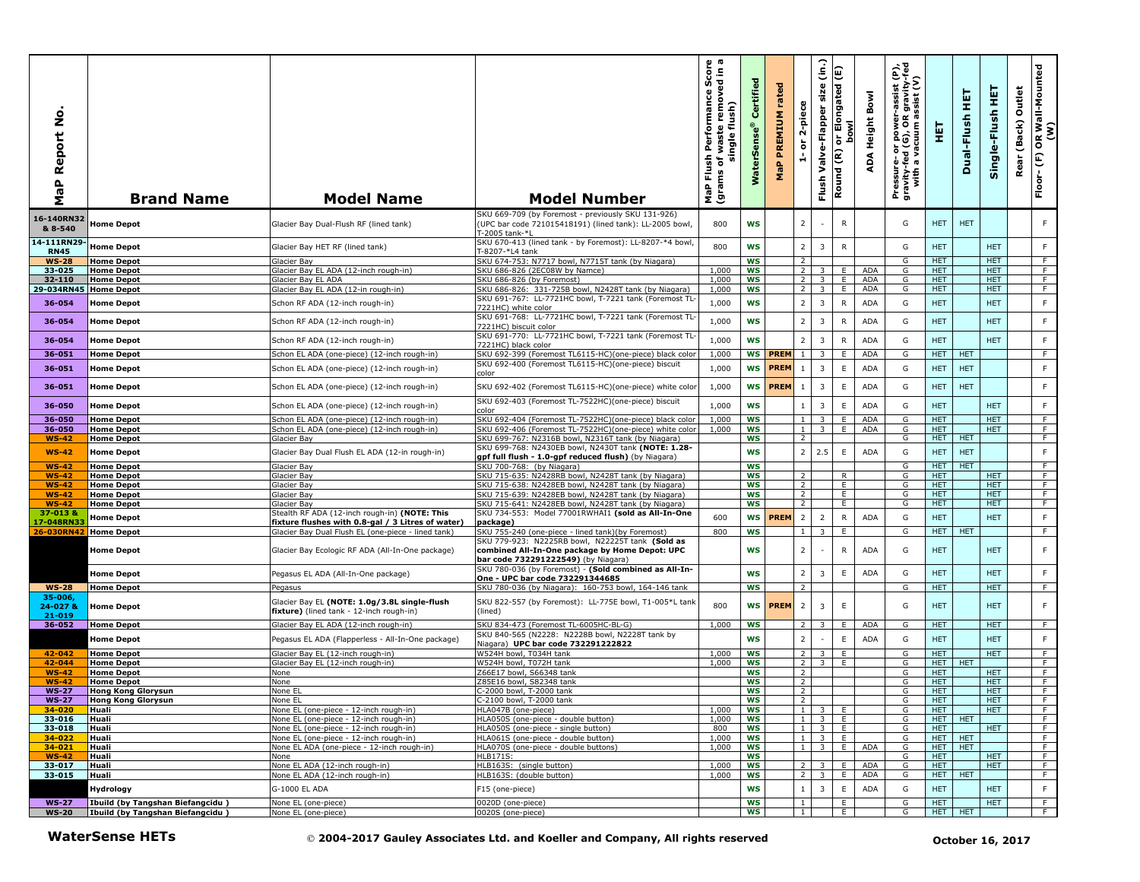| aP Report No<br>Σ                   | <b>Brand Name</b>                                                    | <b>Model Name</b>                                                                                       | <b>Model Number</b>                                                                                                                            | h Performance Score<br>f waste removed in a<br>single flush)<br>single<br>Flush<br>৳<br>MaP Flu<br>(grams | Certified<br>$\bullet$<br><b>WaterSens</b> | rated<br>PREMIUM<br>MaP | 2-piece<br>$\overleftarrow{\mathtt{o}}$<br>÷ | $\hat{c}$<br>size<br>Valve-Flapper<br>Flush | E<br>or Elongated<br>bowl<br>Round (R) | Bowl<br>ADA Height       | Pressure- or power-assist (P),<br>gravity-fed (G), OR gravity-fed<br>with a vacuum assist (V) | 真                  | 真<br>Dual-Flush | 王<br>Single-Flush        | Outlet<br>(Back)<br>Rear | OR Wall-Mounted<br>(W)<br>$\mathsf{E}$<br>Floor- |
|-------------------------------------|----------------------------------------------------------------------|---------------------------------------------------------------------------------------------------------|------------------------------------------------------------------------------------------------------------------------------------------------|-----------------------------------------------------------------------------------------------------------|--------------------------------------------|-------------------------|----------------------------------------------|---------------------------------------------|----------------------------------------|--------------------------|-----------------------------------------------------------------------------------------------|--------------------|-----------------|--------------------------|--------------------------|--------------------------------------------------|
| 16-140RN32<br>& 8-540               | <b>Home Depot</b>                                                    | Glacier Bay Dual-Flush RF (lined tank)                                                                  | SKU 669-709 (by Foremost - previously SKU 131-926)<br>(UPC bar code 721015418191) (lined tank): LL-2005 bowl,<br>F-2005 tank-*l                | 800                                                                                                       | <b>WS</b>                                  |                         | $\overline{2}$                               |                                             | $\mathsf{R}$                           |                          | G                                                                                             | HET.               | <b>HET</b>      |                          |                          | F                                                |
| 14-111RN29-<br><b>RN45</b>          | <b>Home Depot</b>                                                    | Glacier Bay HET RF (lined tank)                                                                         | SKU 670-413 (lined tank - by Foremost): LL-8207-*4 bowl,<br>T-8207-*L4 tank                                                                    | 800                                                                                                       | <b>WS</b>                                  |                         | $\overline{2}$                               | $\overline{3}$                              | ${\sf R}$                              |                          | G                                                                                             | <b>HET</b>         |                 | <b>HET</b>               |                          | F                                                |
| <b>WS-28</b>                        | <b>Home Depot</b>                                                    | Glacier Bay                                                                                             | SKU 674-753: N7717 bowl, N7715T tank (by Niagara)                                                                                              |                                                                                                           | <b>WS</b>                                  |                         | 2                                            |                                             |                                        |                          | G                                                                                             | <b>HET</b>         |                 | <b>HET</b>               |                          | $\overline{F}$                                   |
| 33-025                              | <b>Home Depot</b>                                                    | Glacier Bay EL ADA (12-inch rough-in)                                                                   | SKU 686-826 (2EC08W by Namce)                                                                                                                  | 1,000                                                                                                     | <b>WS</b>                                  |                         | $\overline{2}$                               | $\overline{3}$                              | E                                      | <b>ADA</b>               | G                                                                                             | <b>HET</b>         |                 | <b>HET</b>               |                          | F                                                |
| 32-110                              | <b>Home Depot</b>                                                    | Slacier Bay EL ADA                                                                                      | SKU 686-826 (by Foremost)                                                                                                                      | 1,000                                                                                                     | <b>WS</b>                                  |                         | 2 <sup>1</sup><br>2 <sup>1</sup>             | 3                                           | E<br>E                                 | <b>ADA</b><br><b>ADA</b> | G<br>G                                                                                        | HET.<br>HET.       |                 | HET.<br>HET.             |                          | F<br>F.                                          |
| 29-034RN45 Home Depot               |                                                                      | Glacier Bay EL ADA (12-in rough-in)                                                                     | SKU 686-826: 331-725B bowl, N2428T tank (by Niagara)<br>SKU 691-767: LL-7721HC bowl, T-7221 tank (Foremost TL-                                 | 1,000                                                                                                     | WS                                         |                         |                                              | 3                                           |                                        |                          |                                                                                               |                    |                 |                          |                          |                                                  |
| 36-054                              | <b>Home Depot</b>                                                    | Schon RF ADA (12-inch rough-in)                                                                         | 7221HC) white color                                                                                                                            | 1,000                                                                                                     | <b>WS</b>                                  |                         | $2^{\circ}$                                  | 3                                           | ${\sf R}$                              | ADA                      | G                                                                                             | <b>HET</b>         |                 | <b>HET</b>               |                          | $\mathsf F$                                      |
| 36-054                              | <b>Home Depot</b>                                                    | Schon RF ADA (12-inch rough-in)                                                                         | SKU 691-768: LL-7721HC bowl, T-7221 tank (Foremost TL<br>7221HC) biscuit color                                                                 | 1,000                                                                                                     | WS                                         |                         | $\overline{2}$                               | $\overline{\mathbf{3}}$                     | ${\sf R}$                              | <b>ADA</b>               | G                                                                                             | <b>HET</b>         |                 | <b>HET</b>               |                          | $\mathsf F$                                      |
| 36-054                              | <b>Home Depot</b>                                                    | Schon RF ADA (12-inch rough-in)                                                                         | SKU 691-770: LL-7721HC bowl, T-7221 tank (Foremost TL                                                                                          | 1,000                                                                                                     | <b>WS</b>                                  |                         | $\overline{2}$                               | $\overline{\mathbf{3}}$                     | ${\sf R}$                              | <b>ADA</b>               | G                                                                                             | <b>HET</b>         |                 | <b>HET</b>               |                          | F                                                |
| 36-051                              | <b>Home Depot</b>                                                    | Schon EL ADA (one-piece) (12-inch rough-in)                                                             | 7221HC) black color<br>SKU 692-399 (Foremost TL6115-HC)(one-piece) black color                                                                 | 1,000                                                                                                     | <b>WS</b>                                  | <b>PREM</b>             |                                              | 3                                           | E                                      | <b>ADA</b>               | G                                                                                             | <b>HET</b>         | HET             |                          |                          | F                                                |
|                                     |                                                                      |                                                                                                         | SKU 692-400 (Foremost TL6115-HC)(one-piece) biscuit                                                                                            |                                                                                                           |                                            |                         |                                              |                                             |                                        |                          |                                                                                               |                    |                 |                          |                          |                                                  |
| 36-051                              | <b>Home Depot</b>                                                    | Schon EL ADA (one-piece) (12-inch rough-in)                                                             | color                                                                                                                                          | 1,000                                                                                                     | <b>WS</b>                                  | <b>PREM</b>             | <sup>1</sup>                                 | 3                                           | $\mathsf E$                            | <b>ADA</b>               | G                                                                                             | <b>HET</b>         | <b>HET</b>      |                          |                          | F                                                |
| 36-051                              | <b>Home Depot</b>                                                    | Schon EL ADA (one-piece) (12-inch rough-in)                                                             | SKU 692-402 (Foremost TL6115-HC)(one-piece) white colo                                                                                         | 1,000                                                                                                     | <b>WS</b>                                  | <b>PREM</b>             | $\mathbf{1}$                                 | 3                                           | $\mathsf E$                            | ADA                      | G                                                                                             | <b>HET</b>         | <b>HET</b>      |                          |                          | $\mathsf F$                                      |
| 36-050                              | <b>Home Depot</b>                                                    | Schon EL ADA (one-piece) (12-inch rough-in)                                                             | SKU 692-403 (Foremost TL-7522HC)(one-piece) biscuit<br>color                                                                                   | 1,000                                                                                                     | <b>WS</b>                                  |                         | $\,$ 1 $\,$                                  | $\overline{\mathbf{3}}$                     | $\mathsf E$                            | <b>ADA</b>               | G                                                                                             | <b>HET</b>         |                 | <b>HET</b>               |                          | F                                                |
| 36-050                              | <b>Home Depot</b>                                                    | Schon EL ADA (one-piece) (12-inch rough-in)                                                             | SKU 692-404 (Foremost TL-7522HC)(one-piece) black color                                                                                        | 1,000                                                                                                     | <b>WS</b>                                  |                         | 1                                            | 3                                           | E                                      | <b>ADA</b>               | G                                                                                             | <b>HET</b>         |                 | <b>HET</b>               |                          | F                                                |
| 36-050                              | <b>Home Depot</b>                                                    | Schon EL ADA (one-piece) (12-inch rough-in)                                                             | SKU 692-406 (Foremost TL-7522HC)(one-piece) white color                                                                                        | 1,000                                                                                                     | <b>WS</b>                                  |                         | $\perp$                                      | 3                                           | E                                      | <b>ADA</b>               | G                                                                                             | HET                |                 | HET                      |                          | F                                                |
| <b>WS-42</b>                        | <b>Home Depot</b>                                                    | <b>Glacier Bay</b>                                                                                      | SKU 699-767: N2316B bowl, N2316T tank (by Niagara)                                                                                             |                                                                                                           | <b>WS</b>                                  |                         | 2                                            |                                             |                                        |                          | G                                                                                             | <b>HET</b>         | <b>HET</b>      |                          |                          | F                                                |
| $WS-42$                             | <b>Home Depot</b>                                                    | Glacier Bay Dual Flush EL ADA (12-in rough-in)                                                          | SKU 699-768: N2430EB bowl, N2430T tank (NOTE: 1.28-                                                                                            |                                                                                                           | <b>WS</b>                                  |                         | $\overline{2}$                               | 2.5                                         | E                                      | <b>ADA</b>               | G                                                                                             | <b>HET</b>         | <b>HET</b>      |                          |                          | $\mathsf F$                                      |
| <b>WS-42</b>                        | <b>Home Depot</b>                                                    | Glacier Bay                                                                                             | gpf full flush - 1.0-gpf reduced flush) (by Niagara)<br>SKU 700-768: (by Niagara)                                                              |                                                                                                           | WS                                         |                         |                                              |                                             |                                        |                          | G                                                                                             | <b>HET</b>         | <b>HET</b>      |                          |                          | F.                                               |
| $WS-42$                             | <b>Home Depot</b>                                                    | Glacier Bay                                                                                             | SKU 715-635: N2428RB bowl, N2428T tank (by Niagara)                                                                                            |                                                                                                           | <b>WS</b>                                  |                         | 2                                            |                                             | R                                      |                          | G                                                                                             | HET.               |                 | HET.                     |                          | F                                                |
| $WS-42$                             | <b>Home Depot</b>                                                    | Glacier Bay                                                                                             | SKU 715-638: N2428EB bowl, N2428T tank (by Niagara)                                                                                            |                                                                                                           | <b>WS</b>                                  |                         | 2                                            |                                             | E                                      |                          | G                                                                                             | HET.               |                 | HET.                     |                          | F                                                |
| <b>WS-42</b>                        | <b>Home Depot</b>                                                    | <b>Slacier Bay</b>                                                                                      | SKU 715-639: N2428EB bowl, N2428T tank (by Niagara)                                                                                            |                                                                                                           | WS                                         |                         | 2                                            |                                             | E                                      |                          | G                                                                                             | <b>HET</b>         |                 | <b>HET</b>               |                          | $\overline{F}$                                   |
| <b>WS-42</b>                        | <b>Home Depot</b>                                                    | Glacier Bay                                                                                             | SKU 715-641: N2428EB bowl, N2428T tank (by Niagara)                                                                                            |                                                                                                           | <b>WS</b>                                  |                         | $\overline{2}$                               |                                             | E                                      |                          | G                                                                                             | <b>HET</b>         |                 | <b>HET</b>               |                          | F                                                |
| 37-013 &                            | <b>Home Depot</b>                                                    | Stealth RF ADA (12-inch rough-in) (NOTE: This                                                           | SKU 734-553: Model 77001RWHAI1 (sold as All-In-One                                                                                             | 600                                                                                                       | WS                                         | <b>PREM</b>             | $\overline{2}$                               | $\overline{2}$                              | R                                      | <b>ADA</b>               | G                                                                                             | <b>HET</b>         |                 | <b>HET</b>               |                          | $\mathsf F$                                      |
| 17-048RN33<br>26-030RN42 Home Depot |                                                                      | fixture flushes with 0.8-gal / 3 Litres of water)<br>Glacier Bay Dual Flush EL (one-piece - lined tank) | package)<br>SKU 755-240 (one-piece - lined tank)(by Foremost)                                                                                  | 800                                                                                                       | <b>WS</b>                                  |                         | $1\phantom{0}$                               | 3                                           | Ε.                                     |                          | G                                                                                             | <b>HET</b>         | <b>HET</b>      |                          |                          | $\overline{F}$                                   |
|                                     |                                                                      |                                                                                                         | SKU 779-923: N2225RB bowl, N22225T tank (Sold as                                                                                               |                                                                                                           |                                            |                         | $\overline{2}$                               |                                             | $\mathsf{R}$                           | ADA                      | G                                                                                             | <b>HET</b>         |                 | <b>HET</b>               |                          | F                                                |
|                                     | <b>Home Depot</b>                                                    | Glacier Bay Ecologic RF ADA (All-In-One package)                                                        | combined All-In-One package by Home Depot: UPC<br>bar code 732291222549) (by Niagara)<br>SKU 780-036 (by Foremost) - (Sold combined as All-In- |                                                                                                           | <b>WS</b>                                  |                         |                                              |                                             |                                        |                          |                                                                                               |                    |                 |                          |                          |                                                  |
|                                     | <b>Home Depot</b>                                                    | Pegasus EL ADA (All-In-One package)                                                                     | One - UPC bar code 732291344685                                                                                                                |                                                                                                           | <b>WS</b>                                  |                         | $\overline{2}$                               | 3                                           | $\mathsf E$                            | ADA                      | G                                                                                             | <b>HET</b>         |                 | <b>HET</b>               |                          | F                                                |
| <b>WS-28</b>                        | <b>Home Depot</b>                                                    | Pegasus                                                                                                 | SKU 780-036 (by Niagara): 160-753 bowl, 164-146 tank                                                                                           |                                                                                                           | <b>WS</b>                                  |                         | $\overline{2}$                               |                                             |                                        |                          | G                                                                                             | HET.               |                 | HET.                     |                          | F.                                               |
| 35-006,<br>24-027 &                 | <b>Home Depot</b>                                                    | Glacier Bay EL (NOTE: 1.0g/3.8L single-flush<br>fixture) (lined tank - 12-inch rough-in)                | SKU 822-557 (by Foremost): LL-775E bowl, T1-005*L tank<br>(lined)                                                                              | 800                                                                                                       |                                            | <b>WS PREM</b>          | $\overline{2}$                               | 3                                           | $\mathsf E$                            |                          | G                                                                                             | <b>HET</b>         |                 | <b>HET</b>               |                          | F.                                               |
| $21 - 019$                          |                                                                      |                                                                                                         |                                                                                                                                                | 1,000                                                                                                     |                                            |                         | 2 <sup>1</sup>                               |                                             | E                                      | <b>ADA</b>               |                                                                                               | HET.               |                 | <b>HET</b>               |                          | F                                                |
| 36-052                              | <b>Home Depot</b>                                                    | Glacier Bay EL ADA (12-inch rough-in)                                                                   | SKU 834-473 (Foremost TL-6005HC-BL-G)<br>SKU 840-565 (N2228: N2228B bowl, N2228T tank by                                                       |                                                                                                           | WS                                         |                         |                                              | 3                                           |                                        |                          | G                                                                                             |                    |                 |                          |                          |                                                  |
|                                     | <b>Home Depot</b>                                                    | Pegasus EL ADA (Flapperless - All-In-One package)                                                       | Niagara) UPC bar code 732291222822                                                                                                             |                                                                                                           | <b>WS</b>                                  |                         | $\overline{2}$                               |                                             | E                                      | <b>ADA</b>               | G                                                                                             | <b>HET</b>         |                 | <b>HET</b>               |                          | F                                                |
| 42-042                              | <b>Home Depot</b>                                                    | Glacier Bay EL (12-inch rough-in)                                                                       | W524H bowl. T034H tank                                                                                                                         | 1,000                                                                                                     | <b>WS</b>                                  |                         | 2 <sup>1</sup>                               | 3                                           | E                                      |                          | G                                                                                             | <b>HET</b>         |                 | HET                      |                          | F                                                |
| 42-044                              | <b>Home Depot</b>                                                    | Slacier Bay EL (12-inch rough-in)                                                                       | W524H bowl, T072H tank                                                                                                                         | 1,000                                                                                                     | WS                                         |                         | $2^{\circ}$                                  | 3                                           | E                                      |                          | G                                                                                             | <b>HET</b>         | <b>HET</b>      |                          |                          | F                                                |
| <b>WS-42</b>                        | <b>Home Depot</b>                                                    | None                                                                                                    | Z66E17 bowl, S66348 tank                                                                                                                       |                                                                                                           | <b>WS</b>                                  |                         | $\overline{2}$                               |                                             |                                        |                          | G                                                                                             | <b>HET</b>         |                 | HET.                     |                          | F                                                |
| $WS-42$                             | <b>Home Depot</b>                                                    | None                                                                                                    | Z85E16 bowl, S82348 tank                                                                                                                       |                                                                                                           | <b>WS</b>                                  |                         | 2                                            |                                             |                                        |                          | G                                                                                             | HET<br>HET.        |                 | HET<br>HET.              |                          | F<br>F                                           |
| <b>WS-27</b><br><b>WS-27</b>        | <b>Hong Kong Glorysun</b><br><b>Hong Kong Glorysun</b>               | None EL<br>None EL                                                                                      | C-2000 bowl, T-2000 tank<br>C-2100 bowl, T-2000 tank                                                                                           |                                                                                                           | WS<br>ws                                   |                         | $\overline{2}$                               |                                             |                                        |                          | G<br>G                                                                                        | <b>HET</b>         |                 | <b>HET</b>               |                          |                                                  |
| $34 - 020$                          | <b>Huali</b>                                                         | None EL (one-piece - 12-inch rough-in)                                                                  | HLA047B (one-piece)                                                                                                                            | 1,000                                                                                                     | <b>WS</b>                                  |                         | $1 \mid$                                     | $\overline{\mathbf{3}}$                     | E                                      |                          | G                                                                                             | <b>HET</b>         |                 | HET.                     |                          | F                                                |
| 33-016                              | Huali                                                                | None EL (one-piece - 12-inch rough-in)                                                                  | HLA050S (one-piece - double button)                                                                                                            | 1,000                                                                                                     | WS                                         |                         |                                              | $1 \quad 3$                                 | E.                                     |                          | G                                                                                             | HET                | <b>HET</b>      |                          |                          | $\overline{F}$                                   |
| 33-018                              | Huali                                                                | None EL (one-piece - 12-inch rough-in)                                                                  | HLA050S (one-piece - single button)                                                                                                            | 800                                                                                                       | WS                                         |                         |                                              | $1 \mid 3 \mid$                             | E                                      |                          | G                                                                                             | HET.               |                 | <b>HET</b>               |                          | F                                                |
| 34-022                              | Huali                                                                | None EL (one-piece - 12-inch rough-in)                                                                  | HLA061S (one-piece - double button)                                                                                                            | 1,000                                                                                                     | WS                                         |                         | $\overline{1}$                               | 3 <sup>1</sup>                              | E                                      |                          | G                                                                                             | HET                | <b>HET</b>      |                          |                          | F.                                               |
| 34-021                              | Huali                                                                | None EL ADA (one-piece - 12-inch rough-in)                                                              | HLA070S (one-piece - double buttons)                                                                                                           | 1,000                                                                                                     | WS                                         |                         |                                              | $1 \quad 3$                                 | E                                      | ADA                      | G                                                                                             | HET                | <b>HET</b>      |                          |                          | F                                                |
| <b>WS-42</b><br>33-017              | Huali<br>Huali                                                       | None<br>None EL ADA (12-inch rough-in)                                                                  | HLB171S:<br>HLB163S: (single button)                                                                                                           | 1,000                                                                                                     | WS<br>WS                                   |                         | 2 <sub>1</sub>                               | 3                                           | E.                                     | <b>ADA</b>               | G<br>G                                                                                        | <b>HET</b><br>HET. |                 | <b>HET</b><br><b>HET</b> |                          | $\overline{F}$<br>F.                             |
| $33 - 015$                          | Huali                                                                | None EL ADA (12-inch rough-in)                                                                          | HLB163S: (double button)                                                                                                                       | 1,000                                                                                                     | WS                                         |                         | $2^{\circ}$                                  | 3                                           | E.                                     | <b>ADA</b>               | G                                                                                             | <b>HET</b>         | <b>HET</b>      |                          |                          | F.                                               |
|                                     |                                                                      |                                                                                                         |                                                                                                                                                |                                                                                                           |                                            |                         |                                              |                                             |                                        |                          |                                                                                               |                    |                 |                          |                          |                                                  |
|                                     | Hydrology                                                            | G-1000 EL ADA                                                                                           | F15 (one-piece)                                                                                                                                |                                                                                                           | <b>WS</b>                                  |                         | $1 \mid$                                     | $\overline{\mathbf{3}}$                     | E                                      | <b>ADA</b>               | G                                                                                             | <b>HET</b>         |                 | <b>HET</b>               |                          | F                                                |
| <b>WS-27</b>                        | Ibuild (by Tangshan Biefangcidu)<br>Ibuild (by Tangshan Biefangcidu) | None EL (one-piece)                                                                                     | 0020D (one-piece)                                                                                                                              |                                                                                                           | ws<br><b>WS</b>                            |                         | $\mathbf{1}$<br>1                            |                                             | E<br>E                                 |                          | G<br>G                                                                                        | HET.<br>HET        | <b>HET</b>      | HET.                     |                          | F<br>F                                           |
| <b>WS-20</b>                        |                                                                      | None EL (one-piece)                                                                                     | 0020S (one-piece)                                                                                                                              |                                                                                                           |                                            |                         |                                              |                                             |                                        |                          |                                                                                               |                    |                 |                          |                          |                                                  |
|                                     | <b>WaterSense HETs</b>                                               |                                                                                                         | © 2004-2017 Gauley Associates Ltd. and Koeller and Company, All rights reserved                                                                |                                                                                                           |                                            |                         |                                              |                                             |                                        |                          |                                                                                               |                    |                 | October 16, 2017         |                          |                                                  |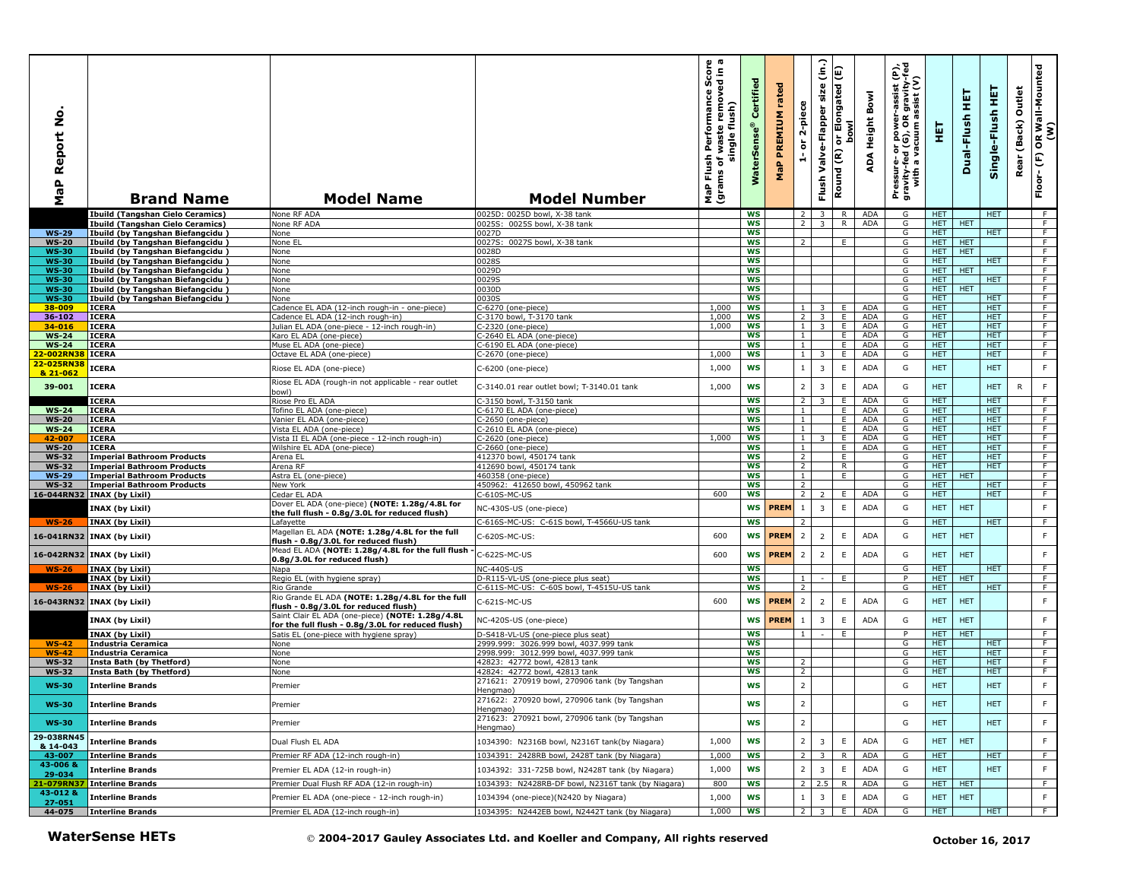| ġ<br>aP Report<br>Σ          | <b>Brand Name</b>                                                      | <b>Model Name</b>                                                                                     | <b>Model Number</b>                                                             | ωω<br>rmance Score<br>removed in<br>Performan<br>flush)<br>waste<br>single<br>Flush<br>৳<br>(grams<br>MaP | Certified<br>Sens<br>Water | rated<br>PREMIUM<br>MaP | 2-piece<br>$\overleftarrow{\mathtt{o}}$<br>÷ | (in.)<br>Valve-Flapper size<br>Flush      | Elongated (E)<br>lwod<br>$\overleftarrow{\mathtt{o}}$<br>Round (R) | Bowl<br>Height<br>ADA    | e,<br>$\epsilon$<br>$\frac{1}{2}$ is $\frac{1}{2}$<br>assis<br>gravi<br>sist<br>Pressure- or power-a<br>gravity-fed (G), OR g<br>with a vacuum as | 핓                        | 実<br>Dual-Flush  | 똪<br>Single-Flush        | Outlet<br>Rear (Back) | OR Wall-Mounted<br>(W)<br>$\widehat{\mathsf{E}}$<br>$Floor -$ |
|------------------------------|------------------------------------------------------------------------|-------------------------------------------------------------------------------------------------------|---------------------------------------------------------------------------------|-----------------------------------------------------------------------------------------------------------|----------------------------|-------------------------|----------------------------------------------|-------------------------------------------|--------------------------------------------------------------------|--------------------------|---------------------------------------------------------------------------------------------------------------------------------------------------|--------------------------|------------------|--------------------------|-----------------------|---------------------------------------------------------------|
|                              | <b>Ibuild (Tangshan Cielo Ceramics)</b>                                | None RF ADA                                                                                           | 0025D: 0025D bowl, X-38 tank                                                    |                                                                                                           | <b>WS</b>                  |                         | 2                                            | $\overline{\mathbf{3}}$                   | R.                                                                 | ADA                      | G                                                                                                                                                 | HET.                     |                  | <b>HET</b>               |                       | F                                                             |
| $WS-29$                      | <b>Ibuild (Tangshan Cielo Ceramics)</b>                                | None RF ADA                                                                                           | 0025S: 0025S bowl, X-38 tank                                                    |                                                                                                           | <b>WS</b><br><b>WS</b>     |                         | $\overline{2}$                               | $\overline{\mathbf{3}}$                   | R.                                                                 | ADA                      | G<br>G                                                                                                                                            | HET.<br><b>HET</b>       | <b>HET</b>       | <b>HET</b>               |                       | F.<br>$\overline{F}$                                          |
| <b>WS-20</b>                 | Ibuild (by Tangshan Biefangcidu)<br>Ibuild (by Tangshan Biefangcidu)   | None<br>None EL                                                                                       | 0027D<br>0027S: 0027S bowl, X-38 tank                                           |                                                                                                           | <b>WS</b>                  |                         | $\mathcal{L}$                                |                                           | E                                                                  |                          | G                                                                                                                                                 | HET.                     | <b>HET</b>       |                          |                       | F.                                                            |
| <b>WS-30</b>                 | Ibuild (by Tangshan Biefangcidu)                                       | None                                                                                                  | 0028D                                                                           |                                                                                                           | <b>WS</b>                  |                         |                                              |                                           |                                                                    |                          | G                                                                                                                                                 | <b>HET</b>               | <b>HET</b>       |                          |                       | F.                                                            |
| <b>WS-30</b>                 | Ibuild (by Tangshan Biefangcidu)                                       | None                                                                                                  | 0028S                                                                           |                                                                                                           | <b>WS</b>                  |                         |                                              |                                           |                                                                    |                          | G                                                                                                                                                 | <b>HET</b>               |                  | <b>HET</b>               |                       | F                                                             |
| <b>WS-30</b>                 | Ibuild (by Tangshan Biefangcidu)<br>Ibuild (by Tangshan Biefangcidu)   | None                                                                                                  | 0029D<br>0029S                                                                  |                                                                                                           | <b>WS</b><br><b>WS</b>     |                         |                                              |                                           |                                                                    |                          | G<br>G                                                                                                                                            | HET.                     | HET <b>HET</b>   | HET.                     |                       | F<br>F                                                        |
| <b>WS-30</b><br><b>WS-30</b> | Ibuild (by Tangshan Biefangcidu)                                       | None<br>None                                                                                          | 0030D                                                                           |                                                                                                           | <b>WS</b>                  |                         |                                              |                                           |                                                                    |                          | G                                                                                                                                                 | <b>HET</b>               | <b>HET</b>       |                          |                       | F                                                             |
| <b>WS-30</b>                 | Ibuild (by Tangshan Biefangcidu)                                       | None                                                                                                  | 0030S                                                                           |                                                                                                           | WS                         |                         |                                              |                                           |                                                                    |                          | G                                                                                                                                                 | <b>HET</b>               |                  | <b>HET</b>               |                       | $\overline{F}$                                                |
| 38-009                       | ICERA                                                                  | Cadence EL ADA (12-inch rough-in - one-piece)                                                         | C-6270 (one-piece)                                                              | 1,000                                                                                                     | <b>WS</b>                  |                         |                                              |                                           | Ε.                                                                 | <b>ADA</b>               | G                                                                                                                                                 | <b>HET</b>               |                  | <b>HET</b>               |                       | F.                                                            |
| 36-102                       | ICERA                                                                  | Cadence EL ADA (12-inch rough-in)                                                                     | -3170 bowl, T-3170 tank                                                         | 1,000<br>1,000                                                                                            | WS<br><b>WS</b>            |                         | 2<br>$\mathbf{1}$                            | $\overline{3}$<br>$\overline{\mathbf{3}}$ | E<br>E                                                             | <b>ADA</b><br><b>ADA</b> | G<br>G                                                                                                                                            | <b>HET</b><br><b>HET</b> |                  | <b>HET</b><br><b>HET</b> |                       | F<br>F                                                        |
| 34-016<br>$WS-24$            | ICERA<br><b>ICERA</b>                                                  | Julian EL ADA (one-piece - 12-inch rough-in)<br>Karo EL ADA (one-piece)                               | C-2320 (one-piece)<br>-2640 EL ADA (one-piece)                                  |                                                                                                           | ws                         |                         | $\mathbf{1}$                                 |                                           | Ε.                                                                 | <b>ADA</b>               | G                                                                                                                                                 | HET.                     |                  | <b>HET</b>               |                       | $\overline{F}$                                                |
| <b>WS-24</b>                 | <b>ICERA</b>                                                           | Muse EL ADA (one-piece)                                                                               | C-6190 EL ADA (one-piece)                                                       |                                                                                                           | <b>WS</b>                  |                         | $\mathbf{1}$                                 |                                           | Ε.                                                                 | <b>ADA</b>               | G                                                                                                                                                 | HET.                     |                  | <b>HET</b>               |                       | F                                                             |
| 22-002RN3                    | ICERA                                                                  | Octave EL ADA (one-piece)                                                                             | C-2670 (one-piece)                                                              | 1,000                                                                                                     | <b>WS</b>                  |                         | $\mathbf{1}$                                 | 3                                         | Ε.                                                                 | ADA                      | G                                                                                                                                                 | HET.                     |                  | <b>HET</b>               |                       | F                                                             |
| 22-025RN38<br>& 21-062       | <b>ICERA</b>                                                           | Riose EL ADA (one-piece)                                                                              | C-6200 (one-piece)                                                              | 1,000                                                                                                     | WS                         |                         | $\mathbf{1}$                                 | 3                                         | $\mathsf E$                                                        | ADA                      | G                                                                                                                                                 | <b>HET</b>               |                  | HET                      |                       | $\mathsf F$                                                   |
| 39-001                       | <b>ICERA</b>                                                           | Riose EL ADA (rough-in not applicable - rear outlet<br>(lwoc                                          | C-3140.01 rear outlet bowl; T-3140.01 tank                                      | 1,000                                                                                                     | <b>WS</b>                  |                         | $\overline{2}$                               | $\overline{3}$                            | $\mathsf E$                                                        | <b>ADA</b>               | G                                                                                                                                                 | <b>HET</b>               |                  | <b>HET</b>               | R                     | $\mathsf F$                                                   |
|                              | <b>ICERA</b>                                                           | Riose Pro EL ADA                                                                                      | C-3150 bowl, T-3150 tank                                                        |                                                                                                           | <b>WS</b>                  |                         | $\overline{2}$                               | 3                                         | Ε.                                                                 | <b>ADA</b>               | G                                                                                                                                                 | <b>HET</b>               |                  | <b>HET</b>               |                       | F                                                             |
| $WS-24$                      | <b>ICERA</b>                                                           | Tofino EL ADA (one-piece)                                                                             | C-6170 EL ADA (one-piece)                                                       |                                                                                                           | <b>WS</b>                  |                         | $\mathbf{1}$                                 |                                           | E                                                                  | <b>ADA</b>               | G                                                                                                                                                 | <b>HET</b><br><b>HET</b> |                  | <b>HET</b>               |                       | F<br>F                                                        |
| <b>WS-20</b><br><b>WS-24</b> | ICERA<br><b>ICERA</b>                                                  | Vanier EL ADA (one-piece)<br>Vista EL ADA (one-piece)                                                 | C-2650 (one-piece)<br>C-2610 EL ADA (one-piece)                                 |                                                                                                           | WS<br>ws                   |                         | $\mathbf{1}$<br>$\mathbf{1}$                 |                                           | E.<br>E                                                            | ADA<br>ADA               | G<br>G                                                                                                                                            | <b>HET</b>               |                  | <b>HET</b><br><b>HET</b> |                       | $\overline{F}$                                                |
| 42-007                       | ICERA                                                                  | Vista II EL ADA (one-piece - 12-inch rough-in)                                                        | C-2620 (one-piece)                                                              | 1,000                                                                                                     | <b>WS</b>                  |                         | $\overline{1}$                               | २                                         | E.                                                                 | <b>ADA</b>               | G                                                                                                                                                 | HET.                     |                  | <b>HET</b>               |                       | F                                                             |
| <b>WS-20</b>                 | <b>ICERA</b>                                                           | Wilshire EL ADA (one-piece)                                                                           | C-2660 (one-piece)                                                              |                                                                                                           | <b>WS</b>                  |                         | $\mathbf{1}$                                 |                                           | E.                                                                 | <b>ADA</b>               | G                                                                                                                                                 | HET.                     |                  | <b>HET</b>               |                       | F                                                             |
| <b>WS-32</b><br><b>WS-32</b> | <b>Imperial Bathroom Products</b><br><b>Imperial Bathroom Products</b> | Arena EL<br>Arena RF                                                                                  | 412370 bowl, 450174 tank<br>412690 bowl, 450174 tank                            |                                                                                                           | <b>WS</b><br><b>WS</b>     |                         | $\overline{2}$<br>$\overline{2}$             |                                           | Ε.<br>R.                                                           |                          | G<br>G                                                                                                                                            | HET.<br><b>HET</b>       |                  | <b>HET</b><br><b>HET</b> |                       | F<br>$\overline{F}$                                           |
| <b>WS-29</b>                 | <b>Imperial Bathroom Products</b>                                      | Astra EL (one-piece)                                                                                  | 460358 (one-piece)                                                              |                                                                                                           | <b>WS</b>                  |                         | $\mathbf{1}$                                 |                                           | E                                                                  |                          | G                                                                                                                                                 | HET.                     | <b>HET</b>       |                          |                       | F.                                                            |
| <b>WS-32</b>                 | <b>Imperial Bathroom Products</b>                                      | New York                                                                                              | 450962: 412650 bowl, 450962 tank                                                |                                                                                                           | <b>WS</b>                  |                         | $\overline{2}$                               |                                           |                                                                    |                          | G                                                                                                                                                 | HET.                     |                  | <b>HET</b>               |                       | F                                                             |
|                              | 16-044RN32 INAX (by Lixil)                                             | Cedar EL ADA                                                                                          | C-610S-MC-US                                                                    | 600                                                                                                       | <b>WS</b>                  |                         | $\overline{2}$                               | $\overline{2}$                            | E                                                                  | ADA                      | G                                                                                                                                                 | <b>HET</b>               |                  | <b>HET</b>               |                       | F                                                             |
|                              | INAX (by Lixil)                                                        | Dover EL ADA (one-piece) (NOTE: 1.28g/4.8L for<br>the full flush - 0.8g/3.0L for reduced flush)       | NC-430S-US (one-piece)                                                          |                                                                                                           | <b>WS</b>                  | <b>PREM</b>             | 1                                            | $\overline{3}$                            | $\mathsf E$                                                        | <b>ADA</b>               | G                                                                                                                                                 | HET.                     | <b>HET</b>       |                          |                       | F                                                             |
| $WS-26$                      | <b>INAX (by Lixil)</b>                                                 | Lafayette                                                                                             | C-616S-MC-US: C-61S bowl, T-4566U-US tank                                       |                                                                                                           | <b>WS</b>                  |                         | 2                                            |                                           |                                                                    |                          | G                                                                                                                                                 | <b>HET</b>               |                  | HET.                     |                       | F                                                             |
|                              | 16-041RN32 INAX (by Lixil)                                             | Magellan EL ADA (NOTE: 1.28g/4.8L for the full<br>flush - 0.8g/3.0L for reduced flush)                | C-620S-MC-US:                                                                   | 600                                                                                                       | <b>WS</b>                  | <b>PREM</b>             | $\overline{2}$                               | $\overline{2}$                            | $\mathsf E$                                                        | <b>ADA</b>               | G                                                                                                                                                 | <b>HET</b>               | <b>HET</b>       |                          |                       | $\mathsf F$                                                   |
|                              | 16-042RN32 INAX (by Lixil)                                             | Mead EL ADA (NOTE: 1.28g/4.8L for the full flush<br>0.8g/3.0L for reduced flush)                      | C-622S-MC-US                                                                    | 600                                                                                                       | <b>WS</b>                  | <b>PREM</b>             | $\overline{2}$                               | $\overline{2}$                            | E                                                                  | ADA                      | G                                                                                                                                                 | <b>HET</b>               | <b>HET</b>       |                          |                       | $\mathsf F$                                                   |
| $WS-26$                      | <b>INAX (by Lixil)</b>                                                 | Napa                                                                                                  | <b>NC-440S-US</b>                                                               |                                                                                                           | <b>WS</b>                  |                         |                                              |                                           |                                                                    |                          | G                                                                                                                                                 | HET.                     |                  | <b>HET</b>               |                       | $\overline{F}$                                                |
|                              | INAX (by Lixil)                                                        | Regio EL (with hygiene spray)                                                                         | D-R115-VL-US (one-piece plus seat)                                              |                                                                                                           | <b>WS</b>                  |                         | $\mathbf{1}$                                 |                                           | E                                                                  |                          | P                                                                                                                                                 | HET.                     | <b>HET</b>       |                          |                       | F                                                             |
| $WS-26$                      | <b>INAX (by Lixil)</b>                                                 | Rio Grande<br>Rio Grande EL ADA (NOTE: 1.28g/4.8L for the full                                        | C-611S-MC-US: C-60S bowl, T-4515U-US tank                                       |                                                                                                           | <b>WS</b>                  |                         | 2                                            |                                           |                                                                    |                          | G                                                                                                                                                 | HET.                     |                  | <b>HET</b>               |                       | F                                                             |
|                              | 16-043RN32 INAX (by Lixil)                                             | flush - 0.8g/3.0L for reduced flush)                                                                  | C-621S-MC-US                                                                    | 600                                                                                                       | WS                         | <b>PREM</b>             | $\overline{2}$                               | $\overline{2}$                            | $\mathsf E$                                                        | ADA                      | G                                                                                                                                                 | <b>HET</b>               | <b>HET</b>       |                          |                       | $\mathsf F$                                                   |
|                              | INAX (by Lixil)                                                        | Saint Clair EL ADA (one-piece) (NOTE: 1.28g/4.8L<br>for the full flush - 0.8g/3.0L for reduced flush) | NC-420S-US (one-piece)                                                          |                                                                                                           | <b>WS</b>                  | <b>PREM</b>             | -1                                           | $\overline{3}$                            | $\mathsf E$                                                        | ADA                      | G                                                                                                                                                 | <b>HET</b>               | <b>HET</b>       |                          |                       | $\mathsf F$                                                   |
| $WS-42$                      | <b>INAX (by Lixil)</b><br><b>Industria Ceramica</b>                    | Satis EL (one-piece with hygiene spray)<br>None                                                       | D-S418-VL-US (one-piece plus seat)<br>2999.999: 3026.999 bowl, 4037.999 tank    |                                                                                                           | <b>WS</b><br><b>WS</b>     |                         | $\mathbf{1}$                                 | $\sim$                                    | E                                                                  |                          | P<br>G                                                                                                                                            | <b>HET</b><br><b>HET</b> | <b>HET</b>       | <b>HET</b>               |                       | F<br>F                                                        |
| $WS-42$                      | <b>Industria Ceramica</b>                                              | None                                                                                                  | 2998.999: 3012.999 bowl, 4037.999 tank                                          |                                                                                                           | WS                         |                         |                                              |                                           |                                                                    |                          | G                                                                                                                                                 | <b>HET</b>               |                  | <b>HET</b>               |                       | F                                                             |
| <b>WS-32</b>                 | Insta Bath (by Thetford)                                               | None                                                                                                  | 42823: 42772 bowl, 42813 tank                                                   |                                                                                                           | WS                         |                         | 2                                            |                                           |                                                                    |                          | G                                                                                                                                                 | <b>HET</b>               |                  | <b>HET</b>               |                       | $\overline{F}$                                                |
| <b>WS-32</b>                 | <b>Insta Bath (by Thetford)</b>                                        | None                                                                                                  | 42824: 42772 bowl, 42813 tank                                                   |                                                                                                           | <b>WS</b>                  |                         | $\overline{2}$                               |                                           |                                                                    |                          | G                                                                                                                                                 | HET.                     |                  | <b>HET</b>               |                       | F                                                             |
| <b>WS-30</b>                 | <b>Interline Brands</b>                                                | Premier                                                                                               | 271621: 270919 bowl, 270906 tank (by Tangshan<br>Hengmao)                       |                                                                                                           | <b>WS</b>                  |                         | $\overline{2}$                               |                                           |                                                                    |                          | G                                                                                                                                                 | <b>HET</b>               |                  | <b>HET</b>               |                       | F                                                             |
| <b>WS-30</b>                 | <b>Interline Brands</b>                                                | Premier                                                                                               | 271622: 270920 bowl, 270906 tank (by Tangshan<br>Hengmao)                       |                                                                                                           | WS                         |                         | $\overline{2}$                               |                                           |                                                                    |                          | G                                                                                                                                                 | <b>HET</b>               |                  | <b>HET</b>               |                       | F.                                                            |
| <b>WS-30</b>                 | <b>Interline Brands</b>                                                | Premier                                                                                               | 271623: 270921 bowl, 270906 tank (by Tangshan<br>Hengmao)                       |                                                                                                           | <b>WS</b>                  |                         | $\overline{2}$                               |                                           |                                                                    |                          | G                                                                                                                                                 | <b>HET</b>               |                  | <b>HET</b>               |                       | F                                                             |
| 29-038RN45<br>& 14-043       | <b>Interline Brands</b>                                                | Dual Flush EL ADA                                                                                     | 1034390: N2316B bowl, N2316T tank(by Niagara)                                   | 1,000                                                                                                     | <b>WS</b>                  |                         | $\overline{2}$                               | 3                                         | E                                                                  | ADA                      | G                                                                                                                                                 | <b>HET</b>               | <b>HET</b>       |                          |                       | F                                                             |
| 43-007                       | <b>Interline Brands</b>                                                | Premier RF ADA (12-inch rough-in)                                                                     | 1034391: 2428RB bowl, 2428T tank (by Niagara)                                   | 1,000                                                                                                     | <b>WS</b>                  |                         | $\overline{2}$                               | 3                                         | R                                                                  | ADA                      | G                                                                                                                                                 | HET                      |                  | <b>HET</b>               |                       | F.                                                            |
| 43-006 &<br>29-034           | <b>Interline Brands</b>                                                | Premier EL ADA (12-in rough-in)                                                                       | 1034392: 331-725B bowl, N2428T tank (by Niagara)                                | 1,000                                                                                                     | WS                         |                         | $\overline{2}$                               | 3                                         | E                                                                  | <b>ADA</b>               | G                                                                                                                                                 | HET                      |                  | <b>HET</b>               |                       | $\mathsf F$                                                   |
|                              | 21-079RN37 Interline Brands                                            | Premier Dual Flush RF ADA (12-in rough-in)                                                            | 1034393: N2428RB-DF bowl, N2316T tank (by Niagara)                              | 800                                                                                                       | <b>WS</b>                  |                         | 2                                            |                                           | R                                                                  | ADA                      | G                                                                                                                                                 | HET                      | <b>HET</b>       |                          |                       | F.                                                            |
| 43-012 &                     | <b>Interline Brands</b>                                                | Premier EL ADA (one-piece - 12-inch rough-in)                                                         | 1034394 (one-piece)(N2420 by Niagara)                                           | 1,000                                                                                                     | WS                         |                         | 1                                            | 3                                         | E                                                                  | ADA                      | G                                                                                                                                                 | <b>HET</b>               | <b>HET</b>       |                          |                       | F.                                                            |
| 27-051<br>44-075             | Interline Brands                                                       | Premier EL ADA (12-inch rough-in)                                                                     | 1034395: N2442EB bowl, N2442T tank (by Niagara)                                 | 1,000                                                                                                     | WS                         |                         | 2                                            | $\overline{3}$                            | E.                                                                 | ADA                      | G                                                                                                                                                 | HET.                     |                  | HET.                     |                       | F.                                                            |
|                              | <b>WaterSense HETs</b>                                                 |                                                                                                       | © 2004-2017 Gauley Associates Ltd. and Koeller and Company, All rights reserved |                                                                                                           |                            |                         |                                              |                                           |                                                                    |                          |                                                                                                                                                   |                          | October 16, 2017 |                          |                       |                                                               |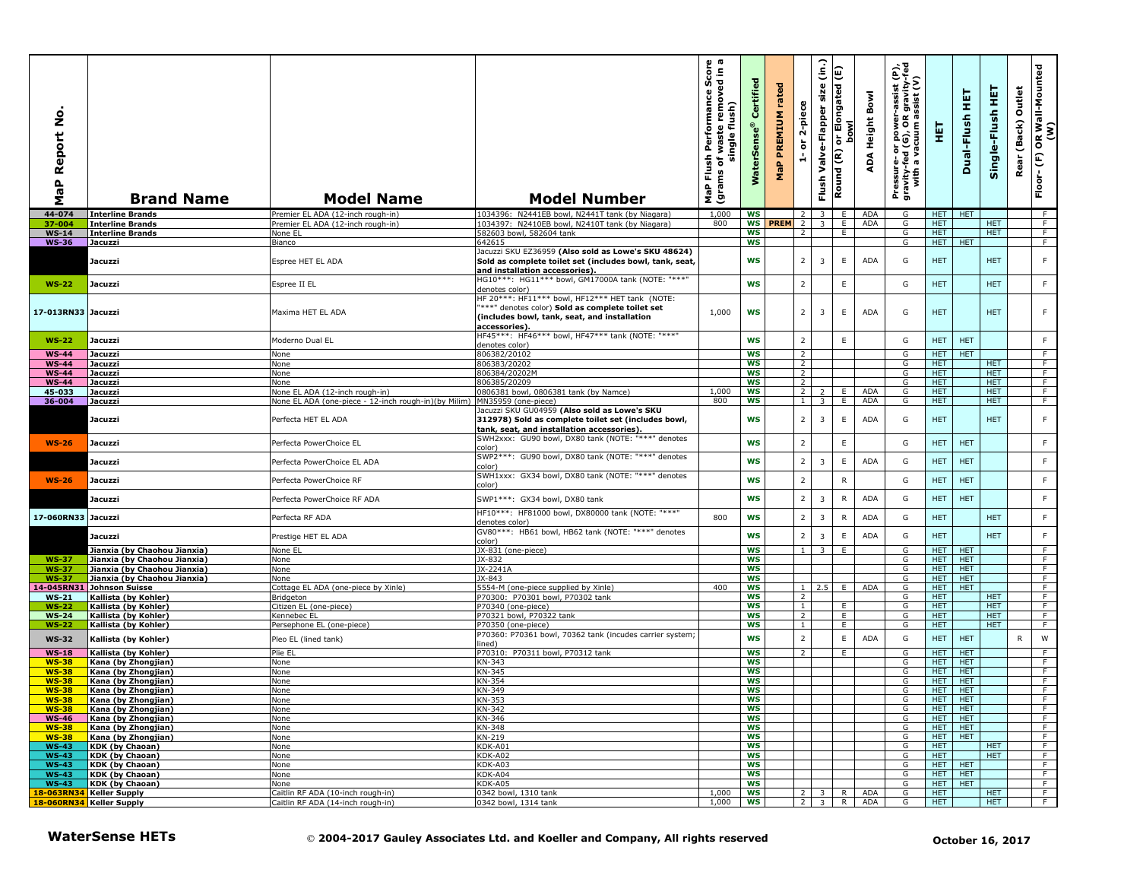| ş<br>Report<br>a<br>G<br>Σ | <b>Brand Name</b>                                            | <b>Model Name</b>                                                           | <b>Model Number</b>                                                                                                                                                      | sh Performance Score<br>of waste removed in a<br>single flush)<br>Flush<br>৳<br>MaP Flu<br>(grams | Certified<br>WaterSense® | MaP PREMIUM rated | 2-piece<br>$\overleftarrow{\mathtt{o}}$<br>$\frac{1}{\sqrt{2}}$ | Valve-Flapper size (in.)<br>E<br>Round (R)<br>Flush <sup>1</sup> | or Elongated (<br>bowl    | Bowl<br>ADA Height       | Pressure- or power-assist (P),<br>gravity-fed (G), OR gravity-fed<br>with a vacuum assist (V) | 핓                        | 莫<br>Dual-Flush          | Single-Flush HET         | Rear (Back) Outlet | OR Wall-Mounted<br>(W)<br>Floor- $(F)$ |
|----------------------------|--------------------------------------------------------------|-----------------------------------------------------------------------------|--------------------------------------------------------------------------------------------------------------------------------------------------------------------------|---------------------------------------------------------------------------------------------------|--------------------------|-------------------|-----------------------------------------------------------------|------------------------------------------------------------------|---------------------------|--------------------------|-----------------------------------------------------------------------------------------------|--------------------------|--------------------------|--------------------------|--------------------|----------------------------------------|
| 44-074                     | <b>Interline Brands</b>                                      | Premier EL ADA (12-inch rough-in)                                           | 1034396: N2441EB bowl, N2441T tank (by Niagara)                                                                                                                          | 1,000                                                                                             | ws                       |                   | $2^{\circ}$                                                     | $\overline{\mathbf{3}}$                                          | E.                        | ADA                      | G                                                                                             | HET                      | <b>HET</b>               |                          |                    | $-F$                                   |
| 37-004                     | <b>Interline Brands</b>                                      | Premier EL ADA (12-inch rough-in)                                           | 1034397: N2410EB bowl, N2410T tank (by Niagara)                                                                                                                          | 800                                                                                               | WS                       | <b>PREM</b>       | $\overline{2}$                                                  | $\overline{\mathbf{3}}$                                          | E                         | <b>ADA</b>               | G                                                                                             | HET.                     |                          | <b>HET</b>               |                    | F                                      |
| $WS-14$                    | <b>Interline Brands</b>                                      | None EL                                                                     | 582603 bowl, 582604 tank                                                                                                                                                 |                                                                                                   | ws                       |                   | $\overline{2}$                                                  |                                                                  | E.                        |                          | G                                                                                             | <b>HET</b>               |                          | <b>HET</b>               |                    | F.                                     |
| <b>WS-36</b>               | <b>Jacuzzi</b>                                               | Bianco                                                                      | 642615<br>Jacuzzi SKU EZ36959 (Also sold as Lowe's SKU 48624)                                                                                                            |                                                                                                   | <b>WS</b>                |                   |                                                                 |                                                                  |                           |                          | G                                                                                             | HET                      | <b>HET</b>               |                          |                    | F                                      |
|                            | Jacuzzi                                                      | Espree HET EL ADA                                                           | Sold as complete toilet set (includes bowl, tank, seat,<br>and installation accessories).                                                                                |                                                                                                   | WS                       |                   | 2 <sup>1</sup>                                                  | 3                                                                | $\mathsf E$               | ADA                      | G                                                                                             | <b>HET</b>               |                          | <b>HET</b>               |                    | F                                      |
| <b>WS-22</b>               | Jacuzzi                                                      | Espree II EL                                                                | HG10***: HG11*** bowl, GM17000A tank (NOTE: "***"<br>denotes color)                                                                                                      |                                                                                                   | <b>WS</b>                |                   | $\overline{2}$                                                  |                                                                  | E                         |                          | G                                                                                             | <b>HET</b>               |                          | <b>HET</b>               |                    | F                                      |
| 17-013RN33 Jacuzzi         |                                                              | Maxima HET EL ADA                                                           | HF 20***: HF11*** bowl, HF12*** HET tank (NOTE:<br>***" denotes color) Sold as complete toilet set<br>(includes bowl, tank, seat, and installation<br>accessories).      | 1,000                                                                                             | WS                       |                   | 2 <sup>1</sup>                                                  | 3                                                                | E                         | ADA                      | G                                                                                             | HET.                     |                          | <b>HET</b>               |                    | F                                      |
| <b>WS-22</b>               | Jacuzzi                                                      | Moderno Dual EL                                                             | HF45***: HF46*** bowl, HF47*** tank (NOTE: "***"<br>denotes color)                                                                                                       |                                                                                                   | <b>WS</b>                |                   | $\overline{2}$                                                  |                                                                  | $\mathsf E$               |                          | G                                                                                             | HET.                     | <b>HET</b>               |                          |                    | F                                      |
| <b>WS-44</b>               | Jacuzzi                                                      | None                                                                        | 806382/20102                                                                                                                                                             |                                                                                                   | <b>WS</b>                |                   | $\overline{2}$                                                  |                                                                  |                           |                          | G                                                                                             | HET.                     | <b>HET</b>               |                          |                    | F                                      |
| <b>WS-44</b>               | Jacuzzi                                                      | None                                                                        | 806383/20202                                                                                                                                                             |                                                                                                   | <b>WS</b>                |                   | $\overline{2}$                                                  |                                                                  |                           |                          | G                                                                                             | <b>HET</b>               |                          | <b>HET</b>               |                    | $\overline{F}$                         |
| <b>WS-44</b>               | Jacuzzi                                                      | None                                                                        | 806384/20202M                                                                                                                                                            |                                                                                                   | <b>WS</b>                |                   | 2                                                               |                                                                  |                           |                          | G                                                                                             | HET.                     |                          | HET.                     |                    | F.                                     |
| <b>WS-44</b>               | Jacuzzi                                                      | None                                                                        | 806385/20209                                                                                                                                                             |                                                                                                   | <b>WS</b>                |                   | 2                                                               |                                                                  |                           |                          | G                                                                                             | HET.                     |                          | HET.                     |                    | F                                      |
| 45-033                     | Jacuzzi                                                      | None EL ADA (12-inch rough-in)                                              | 0806381 bowl, 0806381 tank (by Namce)                                                                                                                                    | 1,000                                                                                             | <b>WS</b>                |                   | $\overline{2}$                                                  | $\overline{z}$                                                   | E                         | <b>ADA</b>               | G                                                                                             | <b>HET</b>               |                          | <b>HET</b>               |                    | F                                      |
| 36-004                     | Jacuzzi<br>Jacuzzi                                           | None EL ADA (one-piece - 12-inch rough-in)(by Milim)<br>Perfecta HET EL ADA | MN35959 (one-piece)<br>Jacuzzi SKU GU04959 (Also sold as Lowe's SKU<br>312978) Sold as complete toilet set (includes bowl,<br>tank, seat, and installation accessories). | 800                                                                                               | <b>WS</b><br>WS          |                   | $\overline{1}$<br>2 <sup>1</sup>                                | $\overline{3}$<br>3                                              | E<br>$\mathsf E$          | ADA<br>ADA               | G<br>G                                                                                        | <b>HET</b><br><b>HET</b> |                          | <b>HET</b><br><b>HET</b> |                    | $\overline{F}$<br>F                    |
| <b>WS-26</b>               | Jacuzzi                                                      | Perfecta PowerChoice EL                                                     | SWH2xxx: GU90 bowl, DX80 tank (NOTE: "***" denotes<br>color)                                                                                                             |                                                                                                   | <b>WS</b>                |                   | $\overline{2}$                                                  |                                                                  | E                         |                          | G                                                                                             | HET.                     | <b>HET</b>               |                          |                    | F                                      |
|                            | Jacuzzi                                                      | Perfecta PowerChoice EL ADA                                                 | SWP2***: GU90 bowl, DX80 tank (NOTE: "***" denotes<br>color)                                                                                                             |                                                                                                   | <b>WS</b>                |                   | $2^{\circ}$                                                     | $\overline{3}$                                                   | $\mathsf E$               | <b>ADA</b>               | G                                                                                             | HET.                     | <b>HET</b>               |                          |                    | $\mathsf F$                            |
| <b>WS-26</b>               | Jacuzzi                                                      | Perfecta PowerChoice RF                                                     | SWH1xxx: GX34 bowl, DX80 tank (NOTE: "***" denotes<br>color)                                                                                                             |                                                                                                   | <b>WS</b>                |                   | $\overline{2}$                                                  |                                                                  | $\mathsf{R}$              |                          | G                                                                                             | HET.                     | <b>HET</b>               |                          |                    | F                                      |
| 17-060RN33 Jacuzzi         | Jacuzzi                                                      | Perfecta PowerChoice RF ADA                                                 | SWP1***: GX34 bowl, DX80 tank<br>HF10***: HF81000 bowl, DX80000 tank (NOTE: "***"                                                                                        | 800                                                                                               | <b>WS</b><br><b>WS</b>   |                   | $\overline{2}$<br>$\overline{2}$                                | $\overline{\mathbf{3}}$<br>$\overline{3}$                        | $\mathsf{R}$<br>${\sf R}$ | <b>ADA</b><br><b>ADA</b> | G<br>G                                                                                        | HET.<br><b>HET</b>       | <b>HET</b>               | <b>HET</b>               |                    | F<br>F                                 |
|                            | Jacuzzi                                                      | Perfecta RF ADA<br>Prestige HET EL ADA                                      | denotes color)<br>GV80***: HB61 bowl, HB62 tank (NOTE: "***" denotes                                                                                                     |                                                                                                   | <b>WS</b>                |                   | $\overline{2}$                                                  | 3                                                                | E                         | <b>ADA</b>               | G                                                                                             | <b>HET</b>               |                          | <b>HET</b>               |                    | F                                      |
|                            |                                                              |                                                                             | color)                                                                                                                                                                   |                                                                                                   | <b>WS</b>                |                   |                                                                 |                                                                  |                           |                          |                                                                                               | HET.                     | HET.                     |                          |                    |                                        |
| <b>WS-37</b>               | Jianxia (by Chaohou Jianxia)<br>Jianxia (by Chaohou Jianxia) | None EL<br>None                                                             | JX-831 (one-piece)<br>JX-832                                                                                                                                             |                                                                                                   | <b>WS</b>                |                   | $1 \mid$                                                        | $\overline{\mathbf{3}}$                                          | E                         |                          | G<br>G                                                                                        | <b>HET</b>               | <b>HET</b>               |                          |                    | F.<br>$\overline{F}$                   |
| <b>WS-37</b>               | Jianxia (by Chaohou Jianxia)                                 | None                                                                        | JX-2241A                                                                                                                                                                 |                                                                                                   | <b>WS</b>                |                   |                                                                 |                                                                  |                           |                          | G                                                                                             | <b>HET</b>               | <b>HET</b>               |                          |                    | $\overline{F}$                         |
| <b>WS-37</b>               | Jianxia (by Chaohou Jianxia)                                 | None                                                                        | JX-843                                                                                                                                                                   |                                                                                                   | ws                       |                   |                                                                 |                                                                  |                           |                          | G                                                                                             | HET.                     | <b>HET</b>               |                          |                    | F                                      |
| 4-045RN31                  | <b>Johnson Suisse</b>                                        | Cottage EL ADA (one-piece by Xinle)                                         | 5554-M (one-piece supplied by Xinle)                                                                                                                                     | 400                                                                                               | WS                       |                   |                                                                 | $1 \quad 2.5$                                                    | E.                        | ADA                      | G                                                                                             | HET.                     | HET                      |                          |                    | F                                      |
| $WS-21$                    | Kallista (by Kohler)                                         | Bridgeton                                                                   | P70300: P70301 bowl, P70302 tank                                                                                                                                         |                                                                                                   | <b>WS</b>                |                   | $\overline{2}$                                                  |                                                                  |                           |                          | G                                                                                             | <b>HET</b>               |                          | <b>HET</b>               |                    | $\overline{F}$                         |
| <b>WS-22</b>               | Kallista (by Kohler)                                         | Citizen EL (one-piece)                                                      | P70340 (one-piece)                                                                                                                                                       |                                                                                                   | <b>WS</b>                |                   | $\mathbf{1}$                                                    |                                                                  | E                         |                          | G                                                                                             | HET.                     |                          | <b>HET</b>               |                    | F.                                     |
| <b>WS-24</b>               | Kallista (by Kohler)                                         | Kennebec EL                                                                 | P70321 bowl, P70322 tank                                                                                                                                                 |                                                                                                   | <b>WS</b><br><b>WS</b>   |                   | $\overline{2}$<br>$\mathbf{1}$                                  |                                                                  | E<br>E                    |                          | G<br>G                                                                                        | HET.<br><b>HET</b>       |                          | HET.<br><b>HET</b>       |                    | F<br>F                                 |
| $WS-22$                    | Kallista (by Kohler)                                         | Persephone EL (one-piece)                                                   | P70350 (one-piece)<br>P70360: P70361 bowl, 70362 tank (incudes carrier system;                                                                                           |                                                                                                   |                          |                   |                                                                 |                                                                  |                           |                          |                                                                                               |                          |                          |                          |                    |                                        |
| <b>WS-32</b>               | Kallista (by Kohler)                                         | Pleo EL (lined tank)                                                        | lined)                                                                                                                                                                   |                                                                                                   | <b>WS</b>                |                   | $\overline{2}$                                                  |                                                                  | E                         | <b>ADA</b>               | G                                                                                             | HET.                     | <b>HET</b>               |                          | R                  | ${\sf W}$                              |
| $WS-18$                    | Kallista (by Kohler)                                         | Plie EL                                                                     | P70310: P70311 bowl, P70312 tank                                                                                                                                         |                                                                                                   | <b>WS</b>                |                   | $\overline{2}$                                                  |                                                                  | E                         |                          | G                                                                                             | <b>HET</b>               | <b>HET</b>               |                          |                    | F.                                     |
| <b>WS-38</b>               | Kana (by Zhongjian)                                          | None                                                                        | KN-343                                                                                                                                                                   |                                                                                                   | <b>WS</b>                |                   |                                                                 |                                                                  |                           |                          | G                                                                                             | HET.                     | <b>HET</b>               |                          |                    | $\overline{F}$                         |
| $WS-38$                    | Kana (by Zhongjian)                                          | None                                                                        | KN-345                                                                                                                                                                   |                                                                                                   | <b>WS</b>                |                   |                                                                 |                                                                  |                           |                          | G                                                                                             | HET.                     | HET                      |                          |                    | F                                      |
| <b>WS-38</b>               | Kana (by Zhongjian)                                          | None                                                                        | KN-354                                                                                                                                                                   |                                                                                                   | WS<br>ws                 |                   |                                                                 |                                                                  |                           |                          | G<br>G                                                                                        | <b>HET</b><br><b>HET</b> | <b>HET</b><br>HET.       |                          |                    | F<br>F                                 |
| <b>WS-38</b>               | Kana (by Zhongjian)                                          | None                                                                        | KN-349                                                                                                                                                                   |                                                                                                   |                          |                   |                                                                 |                                                                  |                           |                          | ◡                                                                                             |                          |                          |                          |                    |                                        |
| <b>WS-38</b><br>$WS-38$    | Kana (by Zhongjian)<br>Kana (by Zhongjian)                   | None<br>None                                                                | KN-35.<br>KN-342                                                                                                                                                         |                                                                                                   | ws<br><b>WS</b>          |                   |                                                                 |                                                                  |                           |                          | G                                                                                             | <b>HEL</b><br>HET        | <b>HEI</b><br><b>HET</b> |                          |                    | F                                      |
| <b>WS-46</b>               | Kana (by Zhongjian)                                          | None                                                                        | KN-346                                                                                                                                                                   |                                                                                                   | WS                       |                   |                                                                 |                                                                  |                           |                          | G                                                                                             | <b>HET</b>               | <b>HET</b>               |                          |                    | F                                      |
| $WS-38$                    | Kana (by Zhongjian)                                          | None                                                                        | KN-348                                                                                                                                                                   |                                                                                                   | ws                       |                   |                                                                 |                                                                  |                           |                          | G                                                                                             | HET.                     | <b>HET</b>               |                          |                    | F.                                     |
| $WS-38$                    | Kana (by Zhongjian)                                          | None                                                                        | KN-219                                                                                                                                                                   |                                                                                                   | <b>WS</b>                |                   |                                                                 |                                                                  |                           |                          | G                                                                                             | HET                      | <b>HET</b>               |                          |                    | F                                      |
| <b>WS-43</b>               | <b>KDK (by Chaoan)</b>                                       | None                                                                        | $\overline{K}$ DK-A01                                                                                                                                                    |                                                                                                   | <b>WS</b>                |                   |                                                                 |                                                                  |                           |                          | G                                                                                             | <b>HET</b>               |                          | HET.                     |                    | F                                      |
| $WS-43$                    | <b>KDK (by Chaoan)</b>                                       | None                                                                        | KDK-A02                                                                                                                                                                  |                                                                                                   | WS                       |                   |                                                                 |                                                                  |                           |                          | G                                                                                             | <b>HET</b>               |                          | HET.                     |                    | F.                                     |
| $WS-43$                    | <b>KDK (by Chaoan)</b>                                       | None                                                                        | <dk-a03< td=""><td></td><td>ws</td><td></td><td></td><td></td><td></td><td></td><td>G</td><td>HET</td><td><b>HET</b></td><td></td><td></td><td>F</td></dk-a03<>          |                                                                                                   | ws                       |                   |                                                                 |                                                                  |                           |                          | G                                                                                             | HET                      | <b>HET</b>               |                          |                    | F                                      |
| $WS-43$<br>$WS-43$         | <b>KDK (by Chaoan)</b><br><b>KDK (by Chaoan)</b>             | None<br>None                                                                | KDK-A04<br>KDK-A05                                                                                                                                                       |                                                                                                   | WS<br>ws                 |                   |                                                                 |                                                                  |                           |                          | G<br>G                                                                                        | HET.<br><b>HET</b>       | HET.<br><b>HET</b>       |                          |                    | F<br>F.                                |
|                            | 18-063RN34 Keller Supply                                     | Caitlin RF ADA (10-inch rough-in)                                           | 0342 bowl, 1310 tank                                                                                                                                                     | 1,000                                                                                             | WS                       |                   | 2 <sup>1</sup>                                                  | 3                                                                | R                         | <b>ADA</b>               | G                                                                                             | <b>HET</b>               |                          | HET                      |                    | $\overline{F}$                         |
|                            | 18-060RN34 Keller Supply                                     | Caitlin RF ADA (14-inch rough-in)                                           | 0342 bowl, 1314 tank                                                                                                                                                     | 1,000                                                                                             | WS                       |                   |                                                                 | $2 \mid 3 \mid$                                                  | R.                        | ADA                      | G                                                                                             | HET                      |                          | <b>HET</b>               |                    | ਾਸ                                     |
|                            | <b>WaterSense HETs</b>                                       |                                                                             | © 2004-2017 Gauley Associates Ltd. and Koeller and Company, All rights reserved                                                                                          |                                                                                                   |                          |                   |                                                                 |                                                                  |                           |                          |                                                                                               |                          |                          | October 16, 2017         |                    |                                        |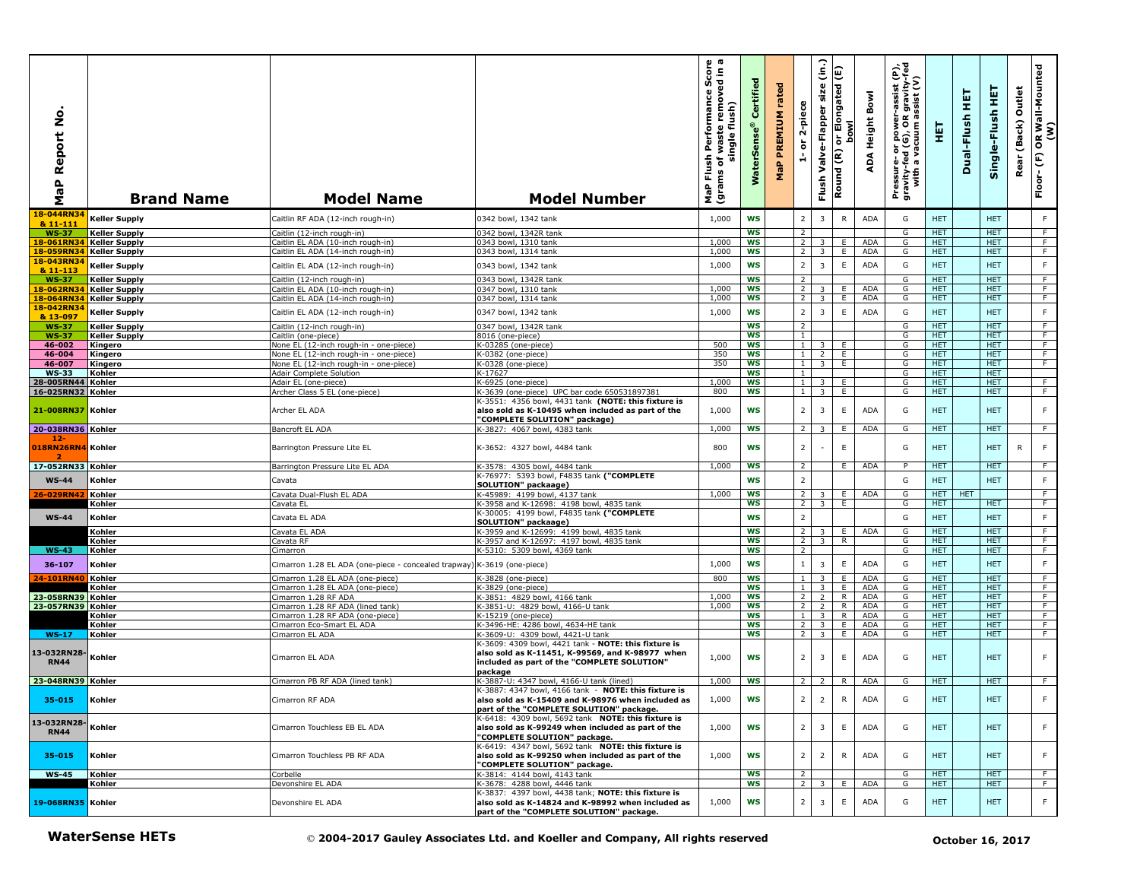| aP Report No<br>Σ                      | <b>Brand Name</b>                            | <b>Model Name</b>                                                       | <b>Model Number</b>                                                                                                                                    | rmance Score<br>Performan<br>single flush)<br>waste<br>Flush<br>৳<br>(grams<br>MaP | Certified<br>WaterSens | rated<br><b>PREMIUM</b><br>MaP | 2-piece<br>$\overleftarrow{\mathtt{o}}$<br>A | $\hat{\epsilon}$<br>size<br>Valve-Flapper<br>Flush | or Elongated (E)<br><b>bowl</b><br>Round (R) | Bowl<br>Height<br>ADA | Pressure- or power-assist (P),<br>gravity-fed (G), OR gravity-fed<br>with a vacuum assist (V) | 팕                        | 実<br>Dual-Flush  | 뜊<br>Single-Flush        | Outlet<br>(Back)<br>Rear | OR Wall-Mounted<br>(W)<br>$\widehat{\mathbf{E}}$<br>Floor- |
|----------------------------------------|----------------------------------------------|-------------------------------------------------------------------------|--------------------------------------------------------------------------------------------------------------------------------------------------------|------------------------------------------------------------------------------------|------------------------|--------------------------------|----------------------------------------------|----------------------------------------------------|----------------------------------------------|-----------------------|-----------------------------------------------------------------------------------------------|--------------------------|------------------|--------------------------|--------------------------|------------------------------------------------------------|
| 18-044RN34<br>& 11-111                 | <b>Keller Supply</b>                         | Caitlin RF ADA (12-inch rough-in)                                       | 0342 bowl, 1342 tank                                                                                                                                   | 1,000                                                                              | <b>WS</b>              |                                | $\overline{2}$                               | 3                                                  | ${\sf R}$                                    | ADA                   | G                                                                                             | <b>HET</b>               |                  | <b>HET</b>               |                          | F                                                          |
| <b>WS-37</b>                           | <b>Keller Supply</b>                         | Caitlin (12-inch rough-in)                                              | 0342 bowl, 1342R tank                                                                                                                                  |                                                                                    | <b>WS</b>              |                                | $\overline{2}$                               |                                                    |                                              |                       | G                                                                                             | <b>HET</b>               |                  | <b>HET</b>               |                          | $\overline{F}$                                             |
| 18-061RN34                             | <b>Keller Supply</b>                         | Caitlin EL ADA (10-inch rough-in)                                       | 0343 bowl, 1310 tank                                                                                                                                   | 1,000                                                                              | <b>WS</b>              |                                | 2                                            | $\overline{\mathbf{3}}$                            | E.                                           | ADA                   | G                                                                                             | <b>HET</b>               |                  | <b>HET</b>               |                          | F                                                          |
| 18-059RN34<br>18-043RN34               | <b>Keller Supply</b>                         | Caitlin EL ADA (14-inch rough-in)                                       | 0343 bowl, 1314 tank                                                                                                                                   | 1,000                                                                              | <b>WS</b>              |                                | 2                                            | $\overline{3}$                                     | Ε.                                           | <b>ADA</b>            | G                                                                                             | <b>HET</b>               |                  | <b>HET</b>               |                          | F                                                          |
| & 11-113                               | <b>Keller Supply</b>                         | Caitlin EL ADA (12-inch rough-in)                                       | 0343 bowl, 1342 tank                                                                                                                                   | 1,000                                                                              | <b>WS</b>              |                                | $\overline{2}$                               | $\overline{3}$                                     | $\mathsf E$                                  | ADA                   | G                                                                                             | <b>HET</b>               |                  | <b>HET</b>               |                          | $\mathsf F$                                                |
| <b>WS-37</b>                           | <b>Keller Supply</b>                         | Caitlin (12-inch rough-in)                                              | 0343 bowl, 1342R tank                                                                                                                                  |                                                                                    | <b>WS</b>              |                                | $\overline{2}$                               |                                                    |                                              |                       | G                                                                                             | <b>HET</b>               |                  | <b>HET</b>               |                          | F                                                          |
| 18-062RN34<br>18-064RN34 Keller Supply | <b>Keller Supply</b>                         | Caitlin EL ADA (10-inch rough-in)<br>Caitlin EL ADA (14-inch rough-in)  | 0347 bowl, 1310 tank<br>0347 bowl, 1314 tank                                                                                                           | 1,000<br>1,000                                                                     | <b>WS</b><br><b>WS</b> |                                | $\overline{2}$<br>2 <sup>1</sup>             | 3<br>$\overline{3}$                                | E<br>E.                                      | <b>ADA</b><br>ADA     | G<br>G                                                                                        | HET.<br><b>HET</b>       |                  | <b>HET</b><br><b>HET</b> |                          | F.<br>$\overline{F}$                                       |
| 18-042RN34                             |                                              |                                                                         | 0347 bowl, 1342 tank                                                                                                                                   | 1,000                                                                              | <b>WS</b>              |                                | $\overline{2}$                               | $\overline{3}$                                     | $\mathsf E$                                  | <b>ADA</b>            | G                                                                                             | <b>HET</b>               |                  | <b>HET</b>               |                          | $\mathsf F$                                                |
| & 13-097                               | <b>Keller Supply</b>                         | Caitlin EL ADA (12-inch rough-in)                                       |                                                                                                                                                        |                                                                                    |                        |                                |                                              |                                                    |                                              |                       |                                                                                               |                          |                  |                          |                          |                                                            |
| <b>WS-37</b><br><b>WS-37</b>           | <b>Keller Supply</b><br><b>Keller Supply</b> | Caitlin (12-inch rough-in)<br>Caitlin (one-piece)                       | 0347 bowl, 1342R tank<br>8016 (one-piece)                                                                                                              |                                                                                    | WS<br><b>WS</b>        |                                | $\overline{2}$<br>$\mathbf{1}$               |                                                    |                                              |                       | G<br>G                                                                                        | <b>HET</b><br><b>HET</b> |                  | <b>HET</b><br><b>HET</b> |                          | $\overline{F}$<br>F                                        |
| 46-002                                 | Kingero                                      | None EL (12-inch rough-in - one-piece)                                  | K-0328S (one-piece)                                                                                                                                    | 500                                                                                | <b>WS</b>              |                                | $\mathbf{1}$                                 | 3                                                  | E                                            |                       | G                                                                                             | HET.                     |                  | HET.                     |                          | F                                                          |
| 46-004                                 | Kingero                                      | None EL (12-inch rough-in - one-piece)                                  | K-0382 (one-piece)                                                                                                                                     | 350                                                                                | WS                     |                                | $\mathbf{1}$                                 | $\overline{2}$                                     | E.                                           |                       | G                                                                                             | HET.                     |                  | <b>HET</b>               |                          | F                                                          |
| 46-007<br><b>WS-33</b>                 | Kingero<br>Kohler                            | None EL (12-inch rough-in - one-piece)<br>Adair Complete Solution       | K-0328 (one-piece)<br>K-17627                                                                                                                          | 350                                                                                | <b>WS</b><br><b>WS</b> |                                | $\mathbf{1}$<br>1                            | $\overline{\mathbf{3}}$                            | E                                            |                       | G<br>G                                                                                        | <b>HET</b><br><b>HET</b> |                  | <b>HET</b><br><b>HET</b> |                          | $\overline{F}$                                             |
| 28-005RN44                             | Kohler                                       | Adair EL (one-piece)                                                    | K-6925 (one-piece)                                                                                                                                     | 1,000                                                                              | WS                     |                                | $\mathbf{1}$                                 |                                                    | E                                            |                       | G                                                                                             | <b>HET</b>               |                  | <b>HET</b>               |                          | F                                                          |
| 16-025RN32 Kohler                      |                                              | Archer Class 5 EL (one-piece)                                           | K-3639 (one-piece) UPC bar code 650531897381                                                                                                           | 800                                                                                | <b>WS</b>              |                                | $\mathbf{1}$                                 | $\overline{3}$                                     | E                                            |                       | G                                                                                             | <b>HET</b>               |                  | <b>HET</b>               |                          | F                                                          |
| 21-008RN37 Kohler                      |                                              | Archer EL ADA                                                           | K-3551: 4356 bowl, 4431 tank (NOTE: this fixture is<br>also sold as K-10495 when included as part of the<br>"COMPLETE SOLUTION" package)               | 1,000                                                                              | WS                     |                                | $\overline{2}$                               | 3                                                  | $\mathsf E$                                  | ADA                   | G                                                                                             | <b>HET</b>               |                  | <b>HET</b>               |                          | $\mathsf F$                                                |
| 20-038RN36 Kohler                      |                                              | Bancroft EL ADA                                                         | K-3827: 4067 bowl, 4383 tank                                                                                                                           | 1,000                                                                              | <b>WS</b>              |                                | $\overline{2}$                               | 3                                                  | E.                                           | ADA                   | G                                                                                             | HET.                     |                  | <b>HET</b>               |                          | F.                                                         |
| 12<br>018RN26RN4 Kohler                |                                              | Barrington Pressure Lite EL                                             | K-3652: 4327 bowl, 4484 tank                                                                                                                           | 800                                                                                | <b>WS</b>              |                                | $\overline{2}$                               |                                                    | $\mathsf E$                                  |                       | G                                                                                             | <b>HET</b>               |                  | <b>HET</b>               | $\mathsf{R}$             | F                                                          |
| 17-052RN33 Kohler                      |                                              | Barrington Pressure Lite EL ADA                                         | K-3578: 4305 bowl, 4484 tank                                                                                                                           | 1,000                                                                              | <b>WS</b>              |                                | $\overline{2}$                               |                                                    | Ε.                                           | <b>ADA</b>            | P                                                                                             | HET.                     |                  | <b>HET</b>               |                          | $\overline{F}$                                             |
| <b>WS-44</b>                           | Kohler                                       | Cavata                                                                  | K-76977: 5393 bowl, F4835 tank ("COMPLETE<br>SOLUTION" packaage)                                                                                       |                                                                                    | <b>WS</b>              |                                | $\overline{\mathbf{2}}$                      |                                                    |                                              |                       | G                                                                                             | <b>HET</b>               |                  | <b>HET</b>               |                          | F                                                          |
| 26-029RN42                             | Kohler                                       | Cavata Dual-Flush EL ADA                                                | K-45989: 4199 bowl, 4137 tank                                                                                                                          | 1,000                                                                              | <b>WS</b>              |                                | $\overline{2}$                               | 3 <sup>1</sup>                                     | E.                                           | ADA                   | G                                                                                             | HET                      | <b>HET</b>       |                          |                          | - F                                                        |
|                                        | Kohler                                       | Cavata EL                                                               | K-3958 and K-12698: 4198 bowl, 4835 tank                                                                                                               |                                                                                    | <b>WS</b>              |                                | $\overline{2}$                               | 3                                                  | E                                            |                       | G                                                                                             | <b>HET</b>               |                  | <b>HET</b>               |                          | F                                                          |
| $WS-44$                                | Kohler                                       | Cavata EL ADA                                                           | K-30005: 4199 bowl, F4835 tank ("COMPLETE<br>SOLUTION" packaage)                                                                                       |                                                                                    | <b>WS</b>              |                                | $\overline{\mathbf{2}}$                      |                                                    |                                              |                       | G                                                                                             | <b>HET</b>               |                  | <b>HET</b>               |                          | F                                                          |
|                                        | Kohler                                       | Cavata EL ADA                                                           | K-3959 and K-12699: 4199 bowl, 4835 tank                                                                                                               |                                                                                    | <b>WS</b>              |                                | 2 <sub>1</sub>                               | 3 <sup>1</sup>                                     | E.                                           | ADA                   | G                                                                                             | <b>HET</b>               |                  | <b>HET</b>               |                          | $\overline{F}$                                             |
|                                        | Kohler                                       | Cavata RF                                                               | K-3957 and K-12697: 4197 bowl, 4835 tank                                                                                                               |                                                                                    | <b>WS</b>              |                                | 2 <sub>1</sub>                               | 3 I                                                | R                                            |                       | G                                                                                             | <b>HET</b>               |                  | <b>HET</b>               |                          | F                                                          |
| <b>WS-43</b>                           | Kohler                                       | Cimarron                                                                | K-5310: 5309 bowl, 4369 tank                                                                                                                           |                                                                                    | <b>WS</b>              |                                | <sup>2</sup>                                 |                                                    |                                              |                       | G                                                                                             | HET.                     |                  | <b>HET</b>               |                          | F                                                          |
| 36-107                                 | Kohler<br>Kohler                             | Cimarron 1.28 EL ADA (one-piece - concealed trapway) K-3619 (one-piece) |                                                                                                                                                        | 1,000<br>800                                                                       | <b>WS</b><br><b>WS</b> |                                | $\mathbf{1}$                                 | $\overline{3}$<br>$\overline{3}$                   | $\mathsf E$<br>E                             | ADA<br><b>ADA</b>     | G                                                                                             | <b>HET</b><br><b>HET</b> |                  | <b>HET</b><br><b>HET</b> |                          | F<br>F                                                     |
| 24-101RN40                             | Kohler                                       | Cimarron 1.28 EL ADA (one-piece)<br>Cimarron 1.28 EL ADA (one-piece)    | K-3828 (one-piece)<br>K-3829 (one-piece)                                                                                                               |                                                                                    | <b>WS</b>              |                                | $\mathbf{1}$<br>1                            | $\overline{\mathbf{3}}$                            | E.                                           | ADA                   | G<br>G                                                                                        | HET.                     |                  | <b>HET</b>               |                          | F                                                          |
| 23-058RN39 Kohler                      |                                              | Cimarron 1.28 RF ADA                                                    | K-3851: 4829 bowl, 4166 tank                                                                                                                           | 1,000                                                                              | <b>WS</b>              |                                | $\overline{2}$                               | $2^{\circ}$                                        | R.                                           | <b>ADA</b>            | G                                                                                             | <b>HET</b>               |                  | <b>HET</b>               |                          | $\overline{F}$                                             |
| 23-057RN39 Kohler                      |                                              | Cimarron 1.28 RF ADA (lined tank)                                       | K-3851-U: 4829 bowl, 4166-U tank                                                                                                                       | 1.000                                                                              | <b>WS</b>              |                                | 2                                            | $\overline{2}$                                     | R                                            | ADA                   | G                                                                                             | HET.                     |                  | <b>HET</b>               |                          | F                                                          |
|                                        | <b>Kohler</b><br>Kohler                      | Cimarron 1.28 RF ADA (one-piece)<br>Cimarron Eco-Smart EL ADA           | K-15219 (one-piece)<br>K-3496-HE: 4286 bowl, 4634-HE tank                                                                                              |                                                                                    | WS<br><b>WS</b>        |                                | $\mathbf{1}$<br>2 <sup>1</sup>               | $\overline{3}$<br>$\overline{3}$                   | $\mathsf{R}$<br>E.                           | ADA<br><b>ADA</b>     | G<br>G                                                                                        | <b>HET</b><br>HET.       |                  | <b>HET</b><br><b>HET</b> |                          | F<br>F                                                     |
| <b>WS-17</b>                           | Kohler                                       | Cimarron EL ADA                                                         | K-3609-U: 4309 bowl, 4421-U tank                                                                                                                       |                                                                                    | WS                     |                                | 2 <sup>1</sup>                               | $\overline{\mathbf{3}}$                            | Ε.                                           | ADA                   | G                                                                                             | HET.                     |                  | <b>HET</b>               |                          | F                                                          |
| 13-032RN28-<br><b>RN44</b>             | Kohler                                       | Cimarron EL ADA                                                         | K-3609: 4309 bowl, 4421 tank - NOTE: this fixture is<br>also sold as K-11451, K-99569, and K-98977 when<br>included as part of the "COMPLETE SOLUTION" | 1,000                                                                              | <b>WS</b>              |                                | $\overline{2}$                               | 3                                                  | E                                            | <b>ADA</b>            | G                                                                                             | <b>HET</b>               |                  | <b>HET</b>               |                          | F                                                          |
| 23-048RN39 Kohler                      |                                              | Cimarron PB RF ADA (lined tank)                                         | package<br>K-3887-U: 4347 bowl, 4166-U tank (lined)                                                                                                    | 1,000                                                                              | <b>WS</b>              |                                | 2                                            | $\overline{2}$                                     | R                                            | <b>ADA</b>            | G                                                                                             | <b>HET</b>               |                  | <b>HET</b>               |                          | $\overline{F}$                                             |
| 35-015                                 | Kohler                                       | Cimarron RF ADA                                                         | K-3887: 4347 bowl, 4166 tank - NOTE: this fixture is<br>also sold as K-15409 and K-98976 when included as<br>part of the "COMPLETE SOLUTION" package.  | 1,000                                                                              | WS                     |                                |                                              |                                                    |                                              | ADA                   |                                                                                               | <b>HET</b>               |                  | <b>HET</b>               |                          |                                                            |
| 13-032RN28-<br><b>RN44</b>             | Kohler                                       | Cimarron Touchless EB EL ADA                                            | K-6418: 4309 bowl, 5692 tank NOTE: this fixture is<br>also sold as K-99249 when included as part of the<br>"COMPLETE SOLUTION" package.                | 1,000                                                                              | <b>WS</b>              |                                | $\overline{2}$                               | $\overline{3}$                                     | E                                            | <b>ADA</b>            | G                                                                                             | HET.                     |                  | <b>HET</b>               |                          | F.                                                         |
| 35-015                                 | Kohler                                       | Cimarron Touchless PB RF ADA                                            | K-6419: 4347 bowl, 5692 tank NOTE: this fixture is<br>also sold as K-99250 when included as part of the<br>'COMPLETE SOLUTION" package.                | 1,000                                                                              | <b>WS</b>              |                                | $\overline{2}$                               | $\overline{2}$                                     | $\mathsf{R}$                                 | <b>ADA</b>            | G                                                                                             | HET.                     |                  | <b>HET</b>               |                          | F.                                                         |
| <b>WS-45</b>                           | Kohler                                       | Corbelle                                                                | K-3814: 4144 bowl, 4143 tank                                                                                                                           |                                                                                    | <b>WS</b>              |                                | $\overline{2}$                               |                                                    |                                              |                       | G                                                                                             | HET.                     |                  | <b>HET</b>               |                          | F                                                          |
| 19-068RN35 Kohler                      | Kohler                                       | Devonshire EL ADA<br>Devonshire EL ADA                                  | K-3678: 4288 bowl, 4446 tank<br>K-3837: 4397 bowl, 4438 tank; NOTE: this fixture is<br>also sold as K-14824 and K-98992 when included as               | 1,000                                                                              | <b>WS</b><br>WS        |                                | $\overline{2}$<br>$\overline{2}$             | 3<br>$\overline{3}$                                | E.<br>$\mathsf E$                            | ADA<br>ADA            | G<br>G                                                                                        | <b>HET</b><br><b>HET</b> |                  | <b>HET</b><br><b>HET</b> |                          | F<br>F                                                     |
|                                        | <b>WaterSense HETs</b>                       |                                                                         | part of the "COMPLETE SOLUTION" package.<br>© 2004-2017 Gauley Associates Ltd. and Koeller and Company, All rights reserved                            |                                                                                    |                        |                                |                                              |                                                    |                                              |                       |                                                                                               |                          | October 16, 2017 |                          |                          |                                                            |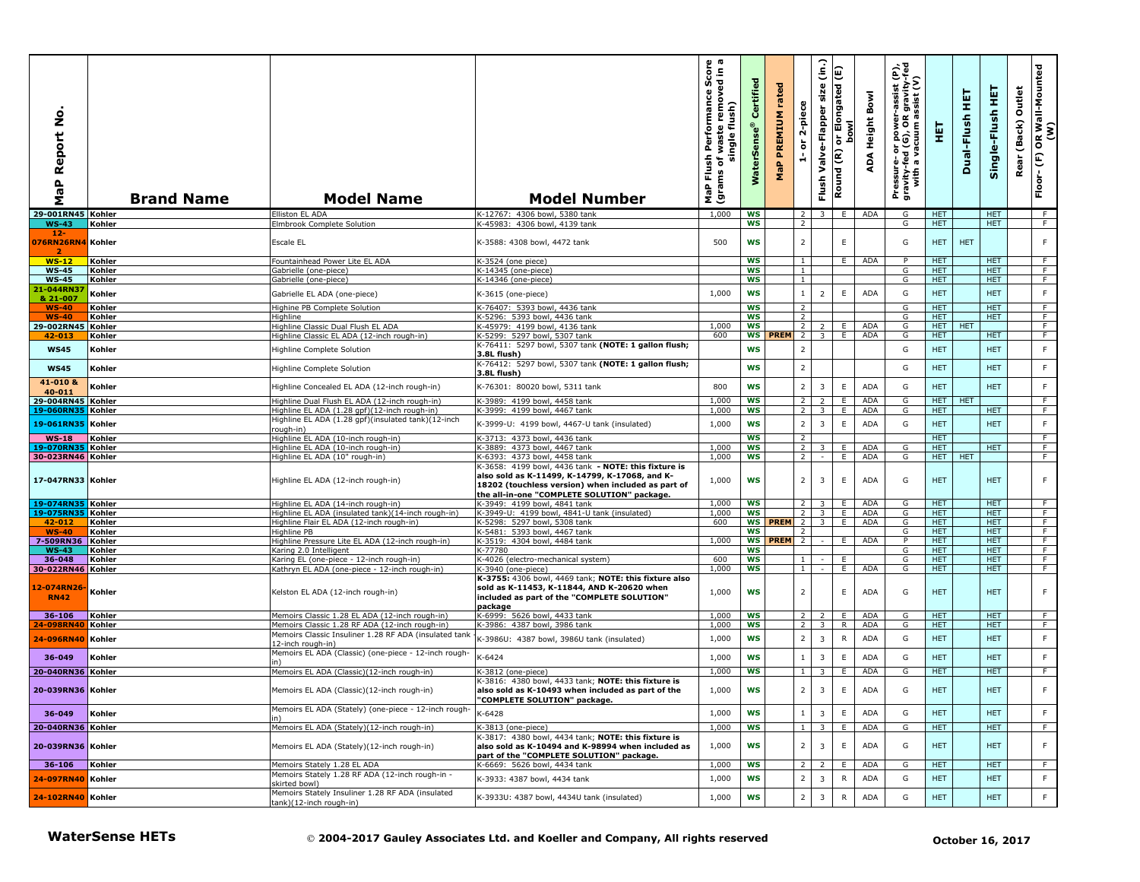| å<br>Report<br>$\mathbf{a}$<br><b>r</b><br>Σ |                  | <b>Brand Name</b>      | <b>Model Name</b>                                                                                  | <b>Model Number</b>                                                                                                                                  | 0 ത<br>르 휴<br>rmance Sco<br>removed in<br>Performan<br>flush)<br>waste<br>single<br>Flush<br>৳<br>(grams<br>MaP | Certifi<br><b>Se</b><br>š | rated<br>PREMIUM<br>$\pmb{\mathtt{a}}$<br>운 | 2-piece<br>ត                     | (in.)<br>size<br>Valve-Flapper<br>Flush | Elongated (E)<br><b>bowl</b><br>$\overline{5}$<br>Round (R) | Bowl<br>Height<br>⋖<br>ą | Pressure- or power-assist (P),<br>gravity-fed (G), OR gravity-fed<br>with a vacuum assist (V) | 핅                        | 뚶<br>Dual-Flush  | 뜊<br>Single-Flush        | Outlet<br>(Back)<br>Rear | OR Wall-Mounted<br>(W)<br>$\mathop{\mathbb{E}}$<br>Floor- |
|----------------------------------------------|------------------|------------------------|----------------------------------------------------------------------------------------------------|------------------------------------------------------------------------------------------------------------------------------------------------------|-----------------------------------------------------------------------------------------------------------------|---------------------------|---------------------------------------------|----------------------------------|-----------------------------------------|-------------------------------------------------------------|--------------------------|-----------------------------------------------------------------------------------------------|--------------------------|------------------|--------------------------|--------------------------|-----------------------------------------------------------|
| 29-001RN45 Kohler<br><b>WS-43</b>            |                  |                        | Elliston EL ADA                                                                                    | K-12767: 4306 bowl, 5380 tank<br>K-45983: 4306 bowl, 4139 tank                                                                                       | 1,000                                                                                                           | <b>WS</b><br>WS           |                                             | $\overline{2}$<br>$\overline{2}$ | 3 I                                     | E                                                           | ADA                      | G<br>G                                                                                        | <b>HET</b><br>HET.       |                  | HET.<br><b>HET</b>       |                          | F<br>F.                                                   |
| 12-                                          | Kohler           |                        | Elmbrook Complete Solution                                                                         |                                                                                                                                                      |                                                                                                                 |                           |                                             |                                  |                                         |                                                             |                          |                                                                                               |                          |                  |                          |                          |                                                           |
| 076RN26RN4 Kohler<br>-2                      |                  |                        | Escale EL                                                                                          | K-3588: 4308 bowl, 4472 tank                                                                                                                         | 500                                                                                                             | ws                        |                                             | $\overline{2}$                   |                                         | E                                                           |                          | G                                                                                             | HET.                     | <b>HET</b>       |                          |                          | F                                                         |
| $WS-12$<br><b>WS-45</b>                      | Kohler<br>Kohler |                        | Fountainhead Power Lite EL ADA<br>Gabrielle (one-piece)                                            | K-3524 (one piece)<br>K-14345 (one-piece)                                                                                                            |                                                                                                                 | <b>WS</b><br><b>WS</b>    |                                             | $\mathbf{1}$<br>$\mathbf{1}$     |                                         | E                                                           | ADA                      | P<br>G                                                                                        | <b>HET</b><br><b>HET</b> |                  | <b>HET</b><br><b>HET</b> |                          | - F<br>F                                                  |
| <b>WS-45</b>                                 | Kohler           |                        | Gabrielle (one-piece)                                                                              | K-14346 (one-piece)                                                                                                                                  |                                                                                                                 | <b>WS</b>                 |                                             | 1                                |                                         |                                                             |                          | G                                                                                             | HET                      |                  | <b>HET</b>               |                          | F                                                         |
| 1-044RN3<br>& 21-007                         | Kohler           |                        | Gabrielle EL ADA (one-piece)                                                                       | K-3615 (one-piece)                                                                                                                                   | 1,000                                                                                                           | WS                        |                                             | -1                               | $\overline{2}$                          | E                                                           | <b>ADA</b>               | G                                                                                             | <b>HET</b>               |                  | <b>HET</b>               |                          | F                                                         |
| $WS-40$                                      | Kohler           |                        | Highine PB Complete Solution                                                                       | K-76407: 5393 bowl, 4436 tank                                                                                                                        |                                                                                                                 | <b>WS</b>                 |                                             | 2                                |                                         |                                                             |                          | G                                                                                             | <b>HET</b>               |                  | <b>HET</b>               |                          | F.<br>F                                                   |
| $WS-40$<br>29-002RN45                        | Kohler<br>Kohler |                        | Highline<br>Highline Classic Dual Flush EL ADA                                                     | K-5296: 5393 bowl, 4436 tank<br>K-45979: 4199 bowl, 4136 tank                                                                                        | 1,000                                                                                                           | <b>WS</b><br><b>WS</b>    |                                             | $\overline{2}$<br>$\overline{2}$ | $\overline{2}$                          | E.                                                          | ADA                      | G<br>G                                                                                        | HET.<br><b>HET</b>       | HET              | <b>HET</b>               |                          | $\overline{F}$                                            |
| 42-013                                       | Kohler           |                        | Highline Classic EL ADA (12-inch rough-in)                                                         | K-5299: 5297 bowl, 5307 tank                                                                                                                         | 600                                                                                                             |                           | <b>WS PREM</b>                              | $\overline{2}$                   | $\overline{3}$                          | E.                                                          | ADA                      | G                                                                                             | <b>HET</b>               |                  | <b>HET</b>               |                          | F                                                         |
| <b>WS45</b>                                  | Kohler           |                        | Highline Complete Solution                                                                         | K-76411: 5297 bowl, 5307 tank (NOTE: 1 gallon flush;<br>3.8L flush)                                                                                  |                                                                                                                 | WS                        |                                             | $\overline{2}$                   |                                         |                                                             |                          | G                                                                                             | <b>HET</b>               |                  | <b>HET</b>               |                          | F                                                         |
| <b>WS45</b>                                  | Kohler           |                        | <b>Highline Complete Solution</b>                                                                  | K-76412: 5297 bowl, 5307 tank (NOTE: 1 gallon flush;<br>3.8L flush)                                                                                  |                                                                                                                 | <b>WS</b>                 |                                             | $\overline{2}$                   |                                         |                                                             |                          | G                                                                                             | <b>HET</b>               |                  | <b>HET</b>               |                          | F                                                         |
| 41-010 &<br>40-011                           | Kohler           |                        | Highline Concealed EL ADA (12-inch rough-in)                                                       | K-76301: 80020 bowl, 5311 tank                                                                                                                       | 800                                                                                                             | <b>WS</b>                 |                                             | $\overline{2}$                   | $\overline{3}$                          | $\mathsf E$                                                 | ADA                      | G                                                                                             | <b>HET</b>               |                  | <b>HET</b>               |                          | F                                                         |
| 29-004RN45 Kohler                            |                  |                        | Highline Dual Flush EL ADA (12-inch rough-in)                                                      | K-3989: 4199 bowl, 4458 tank                                                                                                                         | 1,000                                                                                                           | <b>WS</b>                 |                                             | $\overline{2}$                   | $\overline{2}$                          | Ε.                                                          | <b>ADA</b>               | G                                                                                             |                          | HET   HET        |                          |                          | F.                                                        |
| 19-060RN35 Kohler<br>19-061RN35 Kohler       |                  |                        | Highline EL ADA (1.28 gpf)(12-inch rough-in)<br>Highline EL ADA (1.28 gpf)(insulated tank)(12-inch | K-3999: 4199 bowl, 4467 tank<br>K-3999-U: 4199 bowl, 4467-U tank (insulated)                                                                         | 1,000<br>1,000                                                                                                  | <b>WS</b><br><b>WS</b>    |                                             | 2 <sup>1</sup><br>$\overline{2}$ | 3<br>3                                  | E.<br>$\mathsf E$                                           | ADA<br><b>ADA</b>        | G<br>G                                                                                        | HET<br><b>HET</b>        |                  | HET.<br><b>HET</b>       |                          | F.<br>F                                                   |
| $WS-18$                                      | Kohler           |                        | rough-in)<br>Highline EL ADA (10-inch rough-in)                                                    | K-3713: 4373 bowl, 4436 tank                                                                                                                         |                                                                                                                 | <b>WS</b>                 |                                             | $\overline{2}$                   |                                         |                                                             |                          |                                                                                               | <b>HET</b>               |                  |                          |                          | F                                                         |
| 19-070RN35                                   | Kohler           |                        | Highline EL ADA (10-inch rough-in)                                                                 | K-3889: 4373 bowl, 4467 tank                                                                                                                         | 1,000                                                                                                           | <b>WS</b>                 |                                             | 2                                | $\overline{3}$                          | E                                                           | <b>ADA</b>               | G                                                                                             | HET                      |                  | <b>HET</b>               |                          | F                                                         |
| 30-023RN46 Kohler                            |                  |                        | Highline EL ADA (10" rough-in)                                                                     | K-6393: 4373 bowl, 4458 tank<br>K-3658: 4199 bowl, 4436 tank - NOTE: this fixture is                                                                 | 1,000                                                                                                           | ws                        |                                             | $\overline{2}$                   | $\sim$                                  | Ε.                                                          | ADA                      | G                                                                                             |                          | HET HET          |                          |                          | F.                                                        |
| 17-047RN33 Kohler                            |                  |                        | Highline EL ADA (12-inch rough-in)                                                                 | also sold as K-11499, K-14799, K-17068, and K-<br>18202 (touchless version) when included as part of<br>the all-in-one "COMPLETE SOLUTION" package.  | 1,000                                                                                                           | ws                        |                                             | $\overline{2}$                   | 3                                       | $\mathsf E$                                                 | <b>ADA</b>               | G                                                                                             | <b>HET</b>               |                  | <b>HET</b>               |                          | F                                                         |
| 19-074RN35 Kohler<br>19-075RN35              | Kohler           |                        | Highline EL ADA (14-inch rough-in)<br>Highline EL ADA (insulated tank)(14-inch rough-in)           | K-3949: 4199 bowl, 4841 tank<br>K-3949-U: 4199 bowl, 4841-U tank (insulated)                                                                         | 1,000<br>1,000                                                                                                  | <b>WS</b><br>ws           |                                             | 2<br>$\overline{2}$              | 3<br>3 <sup>1</sup>                     | Ε.<br>E.                                                    | ADA<br>ADA               | G<br>G                                                                                        | <b>HET</b><br>HET.       |                  | <b>HET</b><br><b>HET</b> |                          | F<br>F                                                    |
| 42-012                                       | Kohler           |                        | Highline Flair EL ADA (12-inch rough-in)                                                           | K-5298: 5297 bowl, 5308 tank                                                                                                                         | 600                                                                                                             |                           | <b>WS PREM</b>                              | $\overline{2}$                   | 3                                       | E.                                                          | ADA                      | G                                                                                             | HET.                     |                  | <b>HET</b>               |                          | F.                                                        |
| $WS-40$                                      | Kohler           |                        | Highline PB<br>Highline Pressure Lite EL ADA (12-inch rough-in)                                    | K-5481: 5393 bowl, 4467 tank                                                                                                                         | 1,000                                                                                                           | ws<br>WS                  |                                             | 2                                |                                         |                                                             | <b>ADA</b>               | G<br>P                                                                                        | HET<br>HET.              |                  | <b>HET</b><br>HET.       |                          | ਾ<br>F                                                    |
| 7-509RN36 Kohler<br><b>WS-43</b>             | Kohler           |                        | Karing 2.0 Intelligent                                                                             | K-3519: 4304 bowl, 4484 tank<br>K-77780                                                                                                              |                                                                                                                 | <b>WS</b>                 | PREM 2                                      |                                  |                                         | E.                                                          |                          | G                                                                                             | <b>HET</b>               |                  | <b>HET</b>               |                          | F.                                                        |
| 36-048                                       | Kohler           |                        | Karing EL (one-piece - 12-inch rough-in)                                                           | K-4026 (electro-mechanical system)                                                                                                                   | 600                                                                                                             | <b>WS</b>                 |                                             | $\mathbf{1}$                     |                                         | E                                                           |                          | G                                                                                             | HET                      |                  | <b>HET</b>               |                          | $\overline{F}$                                            |
| 30-022RN46 Kohler                            |                  |                        | Kathryn EL ADA (one-piece - 12-inch rough-in)                                                      | K-3940 (one-piece)<br>K-3755: 4306 bowl, 4469 tank; NOTE: this fixture also                                                                          | 1,000                                                                                                           | <b>WS</b>                 |                                             | $\mathbf{1}$                     | $\sim$                                  | E                                                           | ADA                      | G                                                                                             | <b>HET</b>               |                  | <b>HET</b>               |                          | $\overline{F}$                                            |
| 12-074RN26<br><b>RN42</b>                    | Kohler           |                        | Kelston EL ADA (12-inch rough-in)                                                                  | sold as K-11453, K-11844, AND K-20620 when<br>included as part of the "COMPLETE SOLUTION"<br>package                                                 | 1,000                                                                                                           | ws                        |                                             | $\overline{2}$                   |                                         | E                                                           | <b>ADA</b>               | G                                                                                             | <b>HET</b>               |                  | <b>HET</b>               |                          | F                                                         |
| $36 - 106$<br>24-098RN40                     | Kohler<br>Kohler |                        | Memoirs Classic 1.28 EL ADA (12-inch rough-in)<br>Memoirs Classic 1.28 RF ADA (12-inch rough-in)   | K-6999: 5626 bowl, 4433 tank<br>K-3986: 4387 bowl, 3986 tank                                                                                         | 1,000<br>1,000                                                                                                  | <b>WS</b><br><b>WS</b>    |                                             | 2<br>$\overline{2}$              | $\overline{2}$<br>$\overline{3}$        | E.<br>R                                                     | ADA<br>ADA               | G<br>G                                                                                        | <b>HET</b><br><b>HET</b> |                  | <b>HET</b><br><b>HET</b> |                          | F<br>F                                                    |
| 24-096RN40                                   | Kohler           |                        | Memoirs Classic Insuliner 1.28 RF ADA (insulated tank<br>12-inch rough-in)                         | K-3986U: 4387 bowl, 3986U tank (insulated)                                                                                                           | 1,000                                                                                                           | WS                        |                                             | $\overline{2}$                   | 3                                       | $\mathsf{R}$                                                | <b>ADA</b>               | G                                                                                             | <b>HET</b>               |                  | <b>HET</b>               |                          | F                                                         |
| 36-049                                       | Kohler           |                        | Memoirs EL ADA (Classic) (one-piece - 12-inch rough-                                               | K-6424                                                                                                                                               | 1,000                                                                                                           | WS                        |                                             |                                  | 3                                       | $\mathsf E$                                                 | <b>ADA</b>               | G                                                                                             | <b>HET</b>               |                  | <b>HET</b>               |                          | F                                                         |
| 20-040RN36 Kohler                            |                  |                        | Memoirs EL ADA (Classic)(12-inch rough-in)                                                         | K-3812 (one-piece)                                                                                                                                   | 1,000                                                                                                           | <b>WS</b>                 |                                             | <sup>1</sup>                     | 3                                       | E                                                           | ADA                      | G                                                                                             | <b>HET</b>               |                  | <b>HET</b>               |                          | F                                                         |
| 20-039RN36 Kohler                            |                  |                        | Memoirs EL ADA (Classic)(12-inch rough-in)                                                         | K-3816: 4380 bowl, 4433 tank; NOTE: this fixture is<br>also sold as K-10493 when included as part of the                                             | 1,000                                                                                                           | WS                        |                                             | $\overline{2}$                   | 3                                       | E                                                           | <b>ADA</b>               | G                                                                                             | <b>HET</b>               |                  | <b>HET</b>               |                          | F                                                         |
| 36-049                                       | Kohler           |                        | Memoirs EL ADA (Stately) (one-piece - 12-inch rough-                                               | 'COMPLETE SOLUTION" package<br>K-6428                                                                                                                | 1,000                                                                                                           | WS                        |                                             | $\mathbf{1}$                     | $\overline{3}$                          | $\mathsf E$                                                 | <b>ADA</b>               | G                                                                                             | <b>HET</b>               |                  | <b>HET</b>               |                          | F                                                         |
| 20-040RN36 Kohler                            |                  |                        | Memoirs EL ADA (Stately)(12-inch rough-in)                                                         | K-3813 (one-piece)                                                                                                                                   | 1,000                                                                                                           | <b>WS</b>                 |                                             | $\overline{1}$                   | 3                                       | Ε                                                           | <b>ADA</b>               | G                                                                                             | <b>HET</b>               |                  | <b>HET</b>               |                          | - F                                                       |
| 20-039RN36 Kohler                            |                  |                        | Memoirs EL ADA (Stately)(12-inch rough-in)                                                         | K-3817: 4380 bowl, 4434 tank; NOTE: this fixture is<br>also sold as K-10494 and K-98994 when included as<br>part of the "COMPLETE SOLUTION" package. | 1,000                                                                                                           | WS                        |                                             | $\overline{2}$                   | 3                                       | E                                                           | <b>ADA</b>               | G                                                                                             | <b>HET</b>               |                  | <b>HET</b>               |                          | F                                                         |
| 36-106 Kohler                                |                  |                        | Memoirs Stately 1.28 EL ADA                                                                        | K-6669: 5626 bowl, 4434 tank                                                                                                                         | 1,000                                                                                                           | WS                        |                                             | $\overline{2}$                   | $\mathcal{L}$                           | E                                                           | <b>ADA</b>               | G                                                                                             | <b>HET</b>               |                  | <b>HET</b>               |                          | F.                                                        |
| 24-097RN40 Kohler                            |                  |                        | Memoirs Stately 1.28 RF ADA (12-inch rough-in -<br>skirted bowl)                                   | K-3933: 4387 bowl, 4434 tank                                                                                                                         | 1,000                                                                                                           | WS                        |                                             | $\overline{\mathbf{2}}$          | 3                                       | $\mathsf{R}$                                                | <b>ADA</b>               | G                                                                                             | HET                      |                  | <b>HET</b>               |                          | $\mathsf F$                                               |
| 24-102RN40 Kohler                            |                  |                        | Memoirs Stately Insuliner 1.28 RF ADA (insulated<br>tank)(12-inch rough-in)                        | K-3933U: 4387 bowl, 4434U tank (insulated)                                                                                                           | 1,000                                                                                                           | WS                        |                                             | $\overline{2}$                   | $\overline{3}$                          | $\mathsf{R}$                                                | ADA                      | G                                                                                             | <b>HET</b>               |                  | <b>HET</b>               |                          | F                                                         |
|                                              |                  | <b>WaterSense HETs</b> |                                                                                                    | © 2004-2017 Gauley Associates Ltd. and Koeller and Company, All rights reserved                                                                      |                                                                                                                 |                           |                                             |                                  |                                         |                                                             |                          |                                                                                               |                          | October 16, 2017 |                          |                          |                                                           |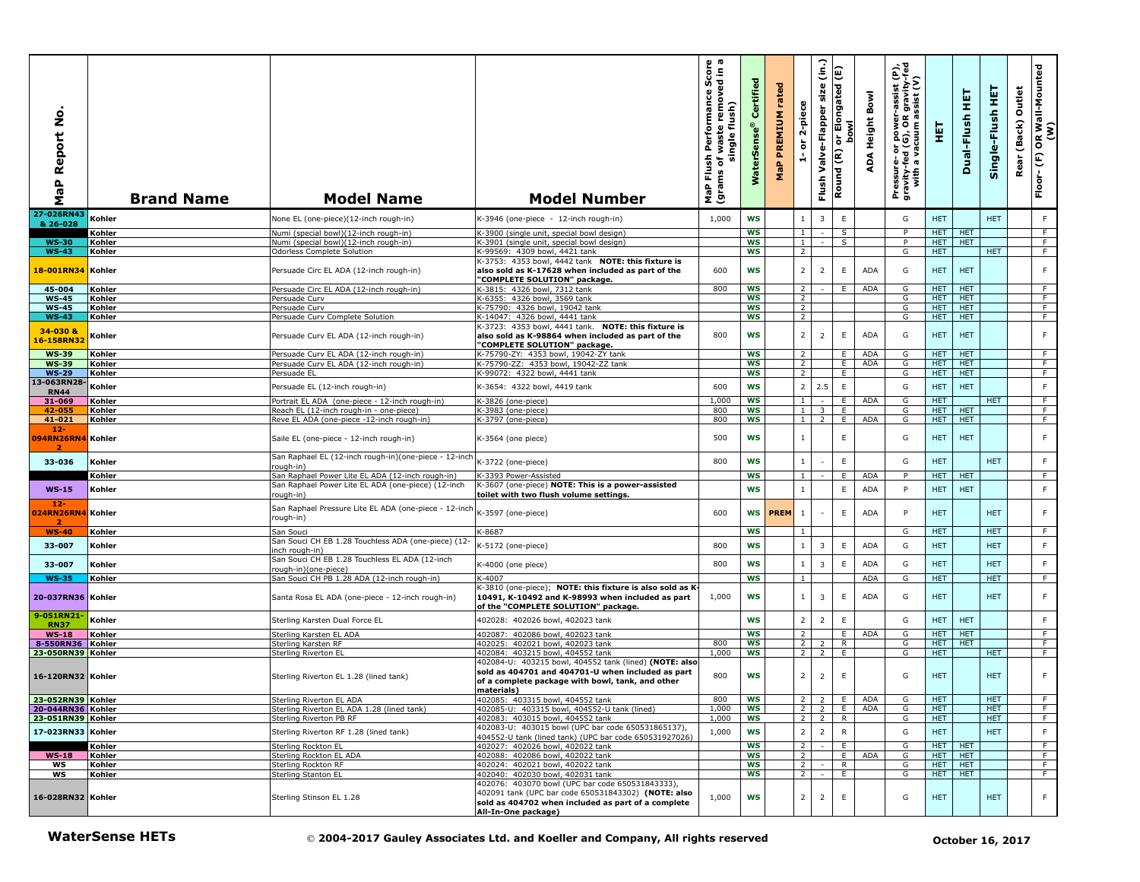| Report No.<br>$\mathbf{a}$<br><b>G</b><br>Σ | <b>Brand Name</b>      | <b>Model Name</b>                                                                                      | <b>Model Number</b>                                                                                                                                                                  | rmance Score<br>cremoved in a<br>Performance<br>single flush)<br>waste<br>Flush <sup>1</sup><br>৳<br>(grams<br>MaP | Certified<br><b>WaterSens</b> | rated<br>PREMIUM<br>$\mathbf{a}_i$<br>운 | 2-piece<br>$\overleftarrow{\mathtt{o}}$<br>A | $\widehat{\epsilon}$<br>size<br>Valve-Flapper<br>Flush | or Elongated (E)<br><b>bowl</b><br>Round (R) | Bowl<br>Height<br>∢<br>ą | er-assist (P),<br>)R gravity-fed<br>) assist (V)<br>Pressure- or power-a<br>gravity-fed (G), OR g<br>with a vacuum as | 핓                        | 実<br>Dual-Flush          | 뜊<br>Single-Flush        | Outlet<br>(Back)<br>Rear | OR Wall-Mounted<br>(W)<br>$\mathop{\mathbb{E}}$<br>Floor- |
|---------------------------------------------|------------------------|--------------------------------------------------------------------------------------------------------|--------------------------------------------------------------------------------------------------------------------------------------------------------------------------------------|--------------------------------------------------------------------------------------------------------------------|-------------------------------|-----------------------------------------|----------------------------------------------|--------------------------------------------------------|----------------------------------------------|--------------------------|-----------------------------------------------------------------------------------------------------------------------|--------------------------|--------------------------|--------------------------|--------------------------|-----------------------------------------------------------|
| 27-026RN43                                  | Kohler                 | None EL (one-piece)(12-inch rough-in)                                                                  | K-3946 (one-piece - 12-inch rough-in)                                                                                                                                                | 1,000                                                                                                              | <b>WS</b>                     |                                         |                                              | 3                                                      | $\mathsf E$                                  |                          | G                                                                                                                     | <b>HET</b>               |                          | <b>HET</b>               |                          | F                                                         |
| & 26-028                                    | Kohler                 | Numi (special bowl)(12-inch rough-in)                                                                  | <-3900 (single unit, special bowl design)                                                                                                                                            |                                                                                                                    | <b>WS</b>                     |                                         | $\mathbf{1}$                                 |                                                        | S                                            |                          | P                                                                                                                     | <b>HET</b>               | HET                      |                          |                          | $\overline{F}$                                            |
| <b>WS-30</b>                                | Kohler                 | Numi (special bowl)(12-inch rough-in)                                                                  | <-3901 (single unit, special bowl design)                                                                                                                                            |                                                                                                                    | <b>WS</b>                     |                                         | $\mathbf{1}$                                 | $\sim$                                                 | S                                            |                          | P                                                                                                                     | HET.                     | <b>HET</b>               |                          |                          | F                                                         |
| <b>WS-43</b>                                | Kohler                 | Odorless Complete Solution                                                                             | K-99569: 4309 bowl, 4421 tank<br><-3753: 4353 bowl, 4442 tank NOTE: this fixture is                                                                                                  |                                                                                                                    | WS                            |                                         | 2                                            |                                                        |                                              |                          | G                                                                                                                     | HET.                     |                          | <b>HET</b>               |                          | F.                                                        |
| 18-001RN34                                  | Kohler                 | Persuade Circ EL ADA (12-inch rough-in)                                                                | also sold as K-17628 when included as part of the<br>'COMPLETE SOLUTION" package.                                                                                                    | 600                                                                                                                | <b>WS</b>                     |                                         | $\overline{2}$                               | $\overline{2}$                                         | $\mathsf E$                                  | <b>ADA</b>               | G                                                                                                                     | HET.                     | <b>HET</b>               |                          |                          | $\mathsf F$                                               |
| 45-004<br><b>WS-45</b>                      | Kohler                 | Persuade Circ EL ADA (12-inch rough-in)                                                                | <-3815: 4326 bowl, 7312 tank                                                                                                                                                         | 800                                                                                                                | <b>WS</b><br><b>WS</b>        |                                         | $\overline{2}$<br>$\overline{2}$             |                                                        | Ε.                                           | <b>ADA</b>               | G<br>G                                                                                                                | <b>HET</b><br><b>HET</b> | <b>HET</b><br><b>HET</b> |                          |                          | F<br>$\overline{F}$                                       |
| <b>WS-45</b>                                | Kohler<br>Kohler       | Persuade Curv<br>Persuade Curv                                                                         | <-6355: 4326 bowl, 3569 tank<br>K-75790: 4326 bowl, 19042 tank                                                                                                                       |                                                                                                                    | <b>WS</b>                     |                                         | 2                                            |                                                        |                                              |                          | G                                                                                                                     | HET.                     | <b>HET</b>               |                          |                          | F.                                                        |
| <b>WS-43</b>                                | Kohler                 | Persuade Curv Complete Solution                                                                        | (-14047: 4326 bowl, 4441 tank                                                                                                                                                        |                                                                                                                    | <b>WS</b>                     |                                         | $\overline{2}$                               |                                                        |                                              |                          | G                                                                                                                     | <b>HET</b>               | <b>HET</b>               |                          |                          | F                                                         |
| 34-030 &<br>16-158RN32                      | Kohler                 | Persuade Curv EL ADA (12-inch rough-in)                                                                | <-3723: 4353 bowl, 4441 tank. NOTE: this fixture is<br>also sold as K-98864 when included as part of the<br>'COMPLETE SOLUTION" package.                                             | 800                                                                                                                | <b>WS</b>                     |                                         | $\overline{2}$                               | $\overline{2}$                                         | E                                            | <b>ADA</b>               | G                                                                                                                     | <b>HET</b>               | <b>HET</b>               |                          |                          | F                                                         |
| <b>WS-39</b><br><b>WS-39</b>                | Kohler<br>Kohler       | Persuade Curv EL ADA (12-inch rough-in)<br>Persuade Curv EL ADA (12-inch rough-in)                     | <-75790-ZY: 4353 bowl, 19042-ZY tank<br>K-75790-ZZ: 4353 bowl, 19042-ZZ tank                                                                                                         |                                                                                                                    | <b>WS</b><br>WS               |                                         | $\overline{2}$<br>2                          |                                                        | E<br>E.                                      | <b>ADA</b><br><b>ADA</b> | G<br>G                                                                                                                | HET.<br><b>HET</b>       | <b>HET</b><br><b>HET</b> |                          |                          | F.<br>F.                                                  |
| <b>WS-29</b>                                | Kohler                 | Persuade EL                                                                                            | K-99072: 4322 bowl, 4441 tank                                                                                                                                                        |                                                                                                                    | <b>WS</b>                     |                                         | 2                                            |                                                        | E                                            |                          | G                                                                                                                     | HET.                     | <b>HET</b>               |                          |                          | F                                                         |
| 13-063RN28                                  | Kohler                 | Persuade EL (12-inch rough-in)                                                                         | K-3654: 4322 bowl, 4419 tank                                                                                                                                                         | 600                                                                                                                | <b>WS</b>                     |                                         | $\overline{2}$                               | 2.5                                                    | $\mathsf E$                                  |                          | G                                                                                                                     | HET                      | <b>HET</b>               |                          |                          | $\mathsf F$                                               |
| <b>RN44</b>                                 |                        |                                                                                                        |                                                                                                                                                                                      |                                                                                                                    |                               |                                         |                                              |                                                        |                                              |                          |                                                                                                                       |                          |                          |                          |                          |                                                           |
| 31-069<br>42-055                            | Kohler<br>Kohler       | Portrait EL ADA (one-piece - 12-inch rough-in)<br>Reach EL (12-inch rough-in - one-piece)              | <-3826 (one-piece)<br><-3983 (one-piece)                                                                                                                                             | 1,000<br>800                                                                                                       | <b>WS</b><br>WS               |                                         | $\mathbf{1}$<br>$\mathbf{1}$                 | $\overline{\mathbf{3}}$                                | Ε.<br>E                                      | ADA                      | G<br>G                                                                                                                | <b>HET</b><br>HET.       | <b>HET</b>               | <b>HET</b>               |                          | $\overline{F}$<br>F                                       |
| 41-021                                      | Kohler                 | Reve EL ADA (one-piece -12-inch rough-in)                                                              | <-3797 (one-piece)                                                                                                                                                                   | 800                                                                                                                | <b>WS</b>                     |                                         | 1 <sup>1</sup>                               | 2                                                      | E.                                           | <b>ADA</b>               | G                                                                                                                     | <b>HET</b>               | <b>HET</b>               |                          |                          | F                                                         |
| $12 -$<br>094RN26RN4                        | Kohler                 | Saile EL (one-piece - 12-inch rough-in)                                                                | K-3564 (one piece)                                                                                                                                                                   | 500                                                                                                                | WS                            |                                         | $\mathbf{1}$                                 |                                                        | E                                            |                          | G                                                                                                                     | HET.                     | <b>HET</b>               |                          |                          | $\mathsf F$                                               |
| 33-036                                      | Kohler                 | San Raphael EL (12-inch rough-in)(one-piece - 12-inch<br>rough-in)                                     | K-3722 (one-piece)                                                                                                                                                                   | 800                                                                                                                | <b>WS</b>                     |                                         | $1\,$                                        |                                                        | $\mathsf E$                                  |                          | G                                                                                                                     | <b>HET</b>               |                          | <b>HET</b>               |                          | F                                                         |
|                                             | Kohler                 | San Raphael Power Lite EL ADA (12-inch rough-in)<br>San Raphael Power Lite EL ADA (one-piece) (12-inch | <-3393 Power-Assisted<br>K-3607 (one-piece) NOTE: This is a power-assisted                                                                                                           |                                                                                                                    | <b>WS</b>                     |                                         | $\mathbf{1}$                                 |                                                        | E                                            | ADA                      | P                                                                                                                     | HET.                     | HET                      |                          |                          | F.                                                        |
| $WS-15$<br>$12 -$<br>24RN26RN4              | Kohler<br>Kohler       | rough-in)<br>San Raphael Pressure Lite EL ADA (one-piece - 12-incl                                     | toilet with two flush volume settings.<br>K-3597 (one-piece)                                                                                                                         | 600                                                                                                                | <b>WS</b>                     | WS <b>PREM</b>                          | $\mathbf{1}$<br>$1\,$                        |                                                        | $\mathsf E$<br>$\mathsf E$                   | ADA<br><b>ADA</b>        | P<br>P                                                                                                                | <b>HET</b><br><b>HET</b> | <b>HET</b>               | <b>HET</b>               |                          | $\mathsf F$<br>F                                          |
| -2<br><b>WS-40</b>                          | Kohler                 | rough-in)<br>San Souci                                                                                 | K-8687                                                                                                                                                                               |                                                                                                                    | <b>WS</b>                     |                                         | $\mathbf{1}$                                 |                                                        |                                              |                          | G                                                                                                                     | <b>HET</b>               |                          | <b>HET</b>               |                          | F.                                                        |
| 33-007                                      | Kohler                 | San Souci CH EB 1.28 Touchless ADA (one-piece) (12-                                                    | K-5172 (one-piece)                                                                                                                                                                   | 800                                                                                                                | <b>WS</b>                     |                                         | $\mathbf{1}$                                 | 3                                                      | $\mathsf E$                                  | <b>ADA</b>               | G                                                                                                                     | <b>HET</b>               |                          | <b>HET</b>               |                          | $\mathsf F$                                               |
|                                             |                        | nch rough-in)<br>San Souci CH EB 1.28 Touchless EL ADA (12-inch                                        |                                                                                                                                                                                      |                                                                                                                    |                               |                                         |                                              |                                                        |                                              |                          |                                                                                                                       |                          |                          |                          |                          |                                                           |
| 33-007                                      | Kohler                 | rough-in)(one-piece)                                                                                   | K-4000 (one piece)                                                                                                                                                                   | 800                                                                                                                | <b>WS</b>                     |                                         | $\mathbf{1}$                                 | $\overline{3}$                                         | $\mathsf E$                                  | ADA                      | G                                                                                                                     | <b>HET</b>               |                          | <b>HET</b>               |                          | F                                                         |
| <b>WS-35</b><br>20-037RN36 Kohler           | Kohler                 | San Souci CH PB 1.28 ADA (12-inch rough-in)<br>Santa Rosa EL ADA (one-piece - 12-inch rough-in)        | < 4007<br><-3810 (one-piece); NOTE: this fixture is also sold as K<br>10491, K-10492 and K-98993 when included as part<br>of the "COMPLETE SOLUTION" package.                        | 1,000                                                                                                              | <b>WS</b><br>WS               |                                         | $\mathbf{1}$<br>1                            | 3                                                      | E                                            | <b>ADA</b><br><b>ADA</b> | G<br>G                                                                                                                | HET.<br><b>HET</b>       |                          | HET.<br><b>HET</b>       |                          | F<br>F                                                    |
| 9-051RN21                                   | Kohler                 | Sterling Karsten Dual Force EL                                                                         | 402028: 402026 bowl, 402023 tank                                                                                                                                                     |                                                                                                                    | <b>WS</b>                     |                                         | $\overline{2}$                               | $\overline{2}$                                         | $\mathsf E$                                  |                          | G                                                                                                                     | <b>HET</b>               | <b>HET</b>               |                          |                          | F                                                         |
| <b>RN37</b><br>$WS-18$                      | Kohler                 | Sterling Karsten EL ADA                                                                                | 402087: 402086 bowl, 402023 tank                                                                                                                                                     |                                                                                                                    | WS                            |                                         | $\overline{2}$                               |                                                        | E.                                           | ADA                      | G                                                                                                                     | <b>HET</b>               | <b>HET</b>               |                          |                          | $\overline{F}$                                            |
| 8-550RN36                                   | Kohler                 | Sterling Karsten RF                                                                                    | 402025: 402021 bowl, 402023 tank                                                                                                                                                     | 800                                                                                                                | <b>WS</b>                     |                                         | 2                                            | $\overline{2}$                                         | R                                            |                          | G                                                                                                                     | HET.                     | <b>HET</b>               |                          |                          | F                                                         |
| 23-050RN39 Kohler                           |                        | Sterling Riverton EL                                                                                   | 402084: 403215 bowl, 404552 tank                                                                                                                                                     | 1,000                                                                                                              | WS                            |                                         | $\overline{2}$                               | $\overline{2}$                                         | E.                                           |                          | G                                                                                                                     | HET.                     |                          | <b>HET</b>               |                          | F                                                         |
| 16-120RN32 Kohler                           |                        | Sterling Riverton EL 1.28 (lined tank)                                                                 | 402084-U: 403215 bowl, 404552 tank (lined) (NOTE: also<br>sold as 404701 and 404701-U when included as part<br>of a complete package with bowl, tank, and other<br>materials)        | 800                                                                                                                | <b>WS</b>                     |                                         | $\overline{2}$                               | $\overline{2}$                                         | E                                            |                          | G                                                                                                                     | <b>HET</b>               |                          | <b>HET</b>               |                          | $\mathsf F$                                               |
| 23-052RN39 Kohler                           |                        | Sterling Riverton EL ADA                                                                               | 402085: 403315 bowl, 404552 tank                                                                                                                                                     | 800                                                                                                                | ws                            |                                         | $\mathcal{L}_{\mathcal{L}}$                  |                                                        |                                              | $2 E$ $ADA$              | G                                                                                                                     | HEI                      |                          | HEI                      |                          | . .                                                       |
| 20-044RN36 Kohler                           |                        | Sterling Riverton EL ADA 1.28 (lined tank)<br>Sterling Riverton PB RF                                  | 402085-U: 403315 bowl, 404552-U tank (lined)                                                                                                                                         | 1,000                                                                                                              | WS                            |                                         |                                              |                                                        |                                              | $2 \ 2 \ E$ $ADA$        | G<br>G                                                                                                                | <b>HET</b>               |                          | <b>HET</b><br><b>HET</b> |                          | F                                                         |
| 23-051RN39 Kohler                           |                        |                                                                                                        | 402083: 403015 bowl, 404552 tank<br>402083-U: 403015 bowl (UPC bar code 650531865137),                                                                                               | 1,000                                                                                                              | ws                            |                                         |                                              | $2 \mid 2 \mid$                                        | R                                            |                          |                                                                                                                       | <b>HET</b>               |                          |                          |                          | F.                                                        |
| 17-023RN33 Kohler                           |                        | Sterling Riverton RF 1.28 (lined tank)                                                                 | 404552-U tank (lined tank) (UPC bar code 650531927026)                                                                                                                               | 1,000                                                                                                              | <b>WS</b>                     |                                         | $\overline{2}$                               | $2^{\circ}$                                            | ${\sf R}$                                    |                          | G                                                                                                                     | <b>HET</b>               |                          | <b>HET</b>               |                          | F                                                         |
|                                             | Kohler                 | Sterling Rockton EL                                                                                    | 402027: 402026 bowl, 402022 tank                                                                                                                                                     |                                                                                                                    | <b>WS</b>                     |                                         | $2^{\circ}$                                  | $\sim$ 1                                               | E.                                           |                          | G                                                                                                                     |                          | HET   HET                |                          |                          | F                                                         |
| $WS-18$<br>ws                               | Kohler<br>Kohler       | Sterling Rockton EL ADA<br>Sterling Rockton RF                                                         | 402088: 402086 bowl, 402022 tank<br>402024: 402021 bowl, 402022 tank                                                                                                                 |                                                                                                                    | <b>WS</b><br>ws               |                                         | $\overline{2}$<br>$\overline{2}$             |                                                        | E<br>R.                                      | ADA                      | G<br>G                                                                                                                | <b>HET</b>               | HET HET<br><b>HET</b>    |                          |                          | F.<br>$\overline{F}$                                      |
| ws                                          | Kohler                 | Sterling Stanton EL                                                                                    | 402040: 402030 bowl, 402031 tank                                                                                                                                                     |                                                                                                                    | WS                            |                                         |                                              | $2 \mid -$                                             | E.                                           |                          | G                                                                                                                     | HET HET                  |                          |                          |                          | F.                                                        |
| 16-028RN32 Kohler                           |                        | Sterling Stinson EL 1.28                                                                               | 402076: 403070 bowl (UPC bar code 650531843333),<br>402091 tank (UPC bar code 650531843302) (NOTE: also<br>sold as 404702 when included as part of a complete<br>All-In-One package) | 1,000                                                                                                              | <b>WS</b>                     |                                         | $\overline{2}$                               | $2^{\circ}$                                            | E                                            |                          | G                                                                                                                     | <b>HET</b>               |                          | <b>HET</b>               |                          | F                                                         |
|                                             | <b>WaterSense HETs</b> |                                                                                                        | © 2004-2017 Gauley Associates Ltd. and Koeller and Company, All rights reserved                                                                                                      |                                                                                                                    |                               |                                         |                                              |                                                        |                                              |                          |                                                                                                                       |                          | October 16, 2017         |                          |                          |                                                           |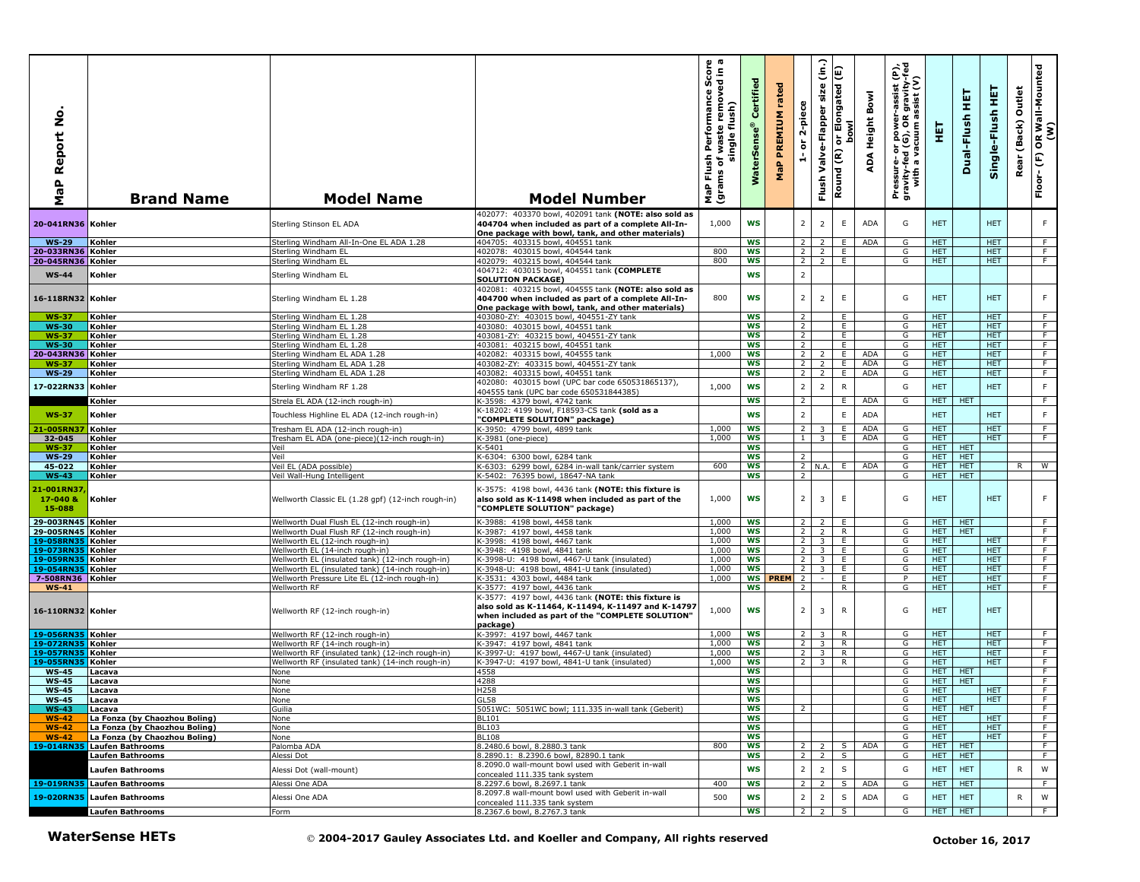| ۰<br>Ž<br>Report<br>a<br>G<br>Σ | <b>Brand Name</b>                                              | <b>Model Name</b>                                                                                    | <b>Model Number</b>                                                                                                                                                       | sh Performance Score<br>of waste removed in a<br>single flush)<br>Flush<br>ms of <sub>\</sub><br>MaP Flu<br>(grams | Certified<br><b>WaterSens</b> | rated<br>PREMIUM<br>MaP | 2-piece<br>$\overleftarrow{\mathtt{o}}$<br>$\frac{1}{\sqrt{2}}$ | $\hat{a}$<br>size<br>Valve-Flapper<br>Flush | E<br>or Elongated<br>bowl<br>$\overline{\mathbf{\epsilon}}$<br>Round | ADA Height Bowl | Pressure- or power-assist (P),<br>gravity-fed (G), OR gravity-fed<br>with a vacuum assist (V) | 핓                  | 필<br>Dual-Flush          | Single-Flush HET         | Outlet<br>(Back)<br>Rear | OR Wall-Mounted<br>(W)<br>$\widehat{\mathbb{E}}$<br>Floor- |
|---------------------------------|----------------------------------------------------------------|------------------------------------------------------------------------------------------------------|---------------------------------------------------------------------------------------------------------------------------------------------------------------------------|--------------------------------------------------------------------------------------------------------------------|-------------------------------|-------------------------|-----------------------------------------------------------------|---------------------------------------------|----------------------------------------------------------------------|-----------------|-----------------------------------------------------------------------------------------------|--------------------|--------------------------|--------------------------|--------------------------|------------------------------------------------------------|
| 20-041RN36 Kohler               |                                                                | Sterling Stinson EL ADA                                                                              | 402077: 403370 bowl, 402091 tank (NOTE: also sold as<br>404704 when included as part of a complete All-In-<br>One package with bowl, tank, and other materials)           | 1,000                                                                                                              | <b>WS</b>                     |                         | $\overline{2}$                                                  | $\overline{2}$                              | E.                                                                   | <b>ADA</b>      | G                                                                                             | <b>HET</b>         |                          | <b>HET</b>               |                          | F.                                                         |
| <b>WS-29</b>                    | Kohler                                                         | Sterling Windham All-In-One EL ADA 1.28                                                              | 404705: 403315 bowl, 404551 tank                                                                                                                                          |                                                                                                                    | <b>WS</b>                     |                         | <sup>2</sup>                                                    | 2                                           | E.                                                                   | ADA             | G                                                                                             | HET.               |                          | HET.                     |                          | F                                                          |
| 20-033RN36 Kohler               |                                                                | Sterling Windham EL                                                                                  | 402078: 403015 bowl, 404544 tank                                                                                                                                          | 800                                                                                                                | <b>WS</b>                     |                         | $\overline{2}$                                                  | 2                                           | E.                                                                   |                 | G                                                                                             | <b>HET</b>         |                          | <b>HET</b>               |                          | F.                                                         |
| 20-045RN36 Kohler               |                                                                | Sterling Windham EL                                                                                  | 402079: 403215 bowl, 404544 tank                                                                                                                                          | 800                                                                                                                | <b>WS</b>                     |                         | 2 <sub>1</sub>                                                  | $\overline{2}$                              | E                                                                    |                 | G                                                                                             | <b>HET</b>         |                          | <b>HET</b>               |                          | $\overline{F}$                                             |
| <b>WS-44</b>                    | Kohler                                                         | Sterling Windham EL                                                                                  | 404712: 403015 bowl, 404551 tank (COMPLETE<br><b>SOLUTION PACKAGE)</b><br>402081: 403215 bowl, 404555 tank (NOTE: also sold as                                            |                                                                                                                    | <b>WS</b>                     |                         | $\overline{2}$                                                  |                                             |                                                                      |                 |                                                                                               |                    |                          |                          |                          |                                                            |
| 16-118RN32 Kohler               |                                                                | Sterling Windham EL 1.28                                                                             | 404700 when included as part of a complete All-In-<br>One package with bowl, tank, and other materials)                                                                   | 800                                                                                                                | WS                            |                         | $\overline{2}$                                                  | $\overline{2}$                              | $\mathsf E$                                                          |                 | G                                                                                             | <b>HET</b>         |                          | <b>HET</b>               |                          | F.                                                         |
| <b>WS-37</b>                    | Kohler                                                         | Sterling Windham EL 1.28                                                                             | 403080-ZY: 403015 bowl, 404551-ZY tank                                                                                                                                    |                                                                                                                    | <b>WS</b>                     |                         | $\overline{2}$                                                  |                                             | E.                                                                   |                 | G                                                                                             | HET.               |                          | <b>HET</b>               |                          | F.                                                         |
| <b>WS-30</b>                    | Kohler                                                         | Sterling Windham EL 1.28                                                                             | 403080: 403015 bowl, 404551 tank                                                                                                                                          |                                                                                                                    | <b>WS</b>                     |                         | $\overline{2}$                                                  |                                             | E                                                                    |                 | G                                                                                             | <b>HET</b>         |                          | <b>HET</b>               |                          | $\overline{F}$                                             |
| <b>WS-37</b><br><b>WS-30</b>    | Kohler<br>Kohler                                               | Sterling Windham EL 1.28<br>Sterling Windham EL 1.28                                                 | 403081-ZY: 403215 bowl, 404551-ZY tank<br>403081: 403215 bowl, 404551 tank                                                                                                |                                                                                                                    | <b>WS</b><br><b>WS</b>        |                         | $\overline{2}$<br>$\overline{2}$                                |                                             | E<br>E                                                               |                 | G<br>G                                                                                        | HET.<br><b>HET</b> |                          | <b>HET</b><br>HET.       |                          | F<br>F                                                     |
| 20-043RN36 Kohler               |                                                                | Sterling Windham EL ADA 1.28                                                                         | 402082: 403315 bowl, 404555 tank                                                                                                                                          | 1,000                                                                                                              | <b>WS</b>                     |                         | $\overline{2}$                                                  | $\overline{2}$                              | E                                                                    | <b>ADA</b>      | G                                                                                             | <b>HET</b>         |                          | <b>HET</b>               |                          | F.                                                         |
| <b>WS-37</b>                    | Kohler                                                         | Sterling Windham EL ADA 1.28                                                                         | 403082-ZY: 403315 bowl, 404551-ZY tank                                                                                                                                    |                                                                                                                    | <b>WS</b>                     |                         | $\overline{2}$                                                  | $\overline{z}$                              | Ε.                                                                   | <b>ADA</b>      | G                                                                                             | <b>HET</b>         |                          | <b>HET</b>               |                          | F.                                                         |
| <b>WS-29</b>                    | Kohler                                                         | Sterling Windham EL ADA 1.28                                                                         | 403082: 403315 bowl, 404551 tank                                                                                                                                          |                                                                                                                    | <b>WS</b>                     |                         | 2                                                               | 2                                           | E                                                                    | <b>ADA</b>      | G                                                                                             | HET.               |                          | HET.                     |                          | F                                                          |
| 17-022RN33                      | Kohler                                                         | Sterling Windham RF 1.28                                                                             | 402080: 403015 bowl (UPC bar code 650531865137),                                                                                                                          | 1,000                                                                                                              | <b>WS</b>                     |                         | $\overline{2}$                                                  | $\overline{2}$                              | ${\sf R}$                                                            |                 | G                                                                                             | <b>HET</b>         |                          | <b>HET</b>               |                          | F                                                          |
|                                 |                                                                |                                                                                                      | 404555 tank (UPC bar code 650531844385)                                                                                                                                   |                                                                                                                    |                               |                         |                                                                 |                                             |                                                                      |                 |                                                                                               |                    |                          |                          |                          |                                                            |
|                                 | Kohler                                                         | Strela EL ADA (12-inch rough-in)                                                                     | K-3598: 4379 bowl, 4742 tank<br>K-18202: 4199 bowl, F18593-CS tank (sold as a                                                                                             |                                                                                                                    | WS                            |                         | $\overline{2}$                                                  |                                             | E.                                                                   | <b>ADA</b>      | G                                                                                             | <b>HET</b>         | <b>HET</b>               |                          |                          | $\overline{F}$                                             |
| <b>WS-37</b>                    | Kohler                                                         | Touchless Highline EL ADA (12-inch rough-in)                                                         | "COMPLETE SOLUTION" package)                                                                                                                                              |                                                                                                                    | <b>WS</b>                     |                         | $\overline{2}$                                                  |                                             | E                                                                    | ADA             |                                                                                               | <b>HET</b>         |                          | <b>HET</b>               |                          | F                                                          |
| 1-005RN37                       | Kohler                                                         | Tresham EL ADA (12-inch rough-in)                                                                    | K-3950: 4799 bowl, 4899 tank                                                                                                                                              | 1,000                                                                                                              | <b>WS</b>                     |                         | $\overline{2}$                                                  | 3                                           | E.                                                                   | <b>ADA</b>      | G                                                                                             | <b>HET</b>         |                          | <b>HET</b>               |                          | F.                                                         |
| 32-045                          | Kohler                                                         | Tresham EL ADA (one-piece)(12-inch rough-in)                                                         | K-3981 (one-piece)                                                                                                                                                        | 1.000                                                                                                              | WS                            |                         | 1 <sup>1</sup>                                                  | $\overline{\mathbf{3}}$                     | E                                                                    | <b>ADA</b>      | G                                                                                             | <b>HET</b>         |                          | HET.                     |                          | F                                                          |
| <b>WS-37</b>                    | Kohler                                                         | Veil                                                                                                 | K-5401                                                                                                                                                                    |                                                                                                                    | <b>WS</b>                     |                         |                                                                 |                                             |                                                                      |                 | G                                                                                             | HET.               | <b>HET</b>               |                          |                          |                                                            |
| <b>WS-29</b>                    | Kohler                                                         | Veil                                                                                                 | K-6304: 6300 howl, 6284 tank                                                                                                                                              |                                                                                                                    | ws                            |                         | $\overline{2}$                                                  |                                             |                                                                      |                 | G                                                                                             | HET.               | <b>HET</b>               |                          |                          |                                                            |
| $45 - 022$<br>$WS-43$           | Kohler<br>Kohler                                               | Veil EL (ADA possible)<br>Veil Wall-Hung Intelligent                                                 | K-6303: 6299 bowl, 6284 in-wall tank/carrier system<br>K-5402: 76395 bowl, 18647-NA tank                                                                                  | 600                                                                                                                | <b>WS</b><br><b>WS</b>        |                         | $\overline{2}$                                                  | 2 N.A.                                      | E.                                                                   | <b>ADA</b>      | G<br>G                                                                                        | HET.<br><b>HET</b> | <b>HET</b><br><b>HET</b> |                          | R.                       | $\overline{w}$                                             |
| 1-001RN37<br>17-040 &<br>15-088 | Kohler                                                         | Wellworth Classic EL (1.28 gpf) (12-inch rough-in)                                                   | K-3575: 4198 bowl, 4436 tank (NOTE: this fixture is<br>also sold as K-11498 when included as part of the<br>"COMPLETE SOLUTION" package)                                  | 1,000                                                                                                              | <b>WS</b>                     |                         | $\overline{2}$                                                  | $\overline{3}$                              | E                                                                    |                 | G                                                                                             | <b>HET</b>         |                          | HET.                     |                          | F                                                          |
| 29-003RN45 Kohler               |                                                                | Wellworth Dual Flush EL (12-inch rough-in)                                                           | K-3988: 4198 bowl, 4458 tank                                                                                                                                              | 1,000                                                                                                              | <b>WS</b>                     |                         | $\overline{2}$                                                  | $\overline{2}$                              | E.                                                                   |                 | G                                                                                             | HET.               | <b>HET</b>               |                          |                          | F                                                          |
| 29-005RN45 Kohler               |                                                                | Wellworth Dual Flush RF (12-inch rough-in)                                                           | K-3987: 4197 bowl, 4458 tank                                                                                                                                              | 1,000                                                                                                              | <b>WS</b>                     |                         | $\overline{2}$                                                  | $\overline{2}$                              | R.                                                                   |                 | G                                                                                             | <b>HET</b>         | <b>HET</b>               |                          |                          | $\overline{F}$                                             |
| 19-058RN35 Kohler               |                                                                | Wellworth EL (12-inch rough-in)                                                                      | K-3998: 4198 bowl, 4467 tank                                                                                                                                              | 1,000<br>1,000                                                                                                     | <b>WS</b><br>WS               |                         | $\overline{2}$<br>$\overline{2}$                                | 3<br>$\overline{\mathbf{3}}$                | E<br>E.                                                              |                 | G<br>G                                                                                        | HET.<br>HET.       |                          | HET.<br>HET.             |                          | F<br>F                                                     |
| 19-073RN35<br>19-059RN35        | Kohler<br>Kohler                                               | Wellworth EL (14-inch rough-in)<br>Wellworth EL (insulated tank) (12-inch rough-in)                  | K-3948: 4198 bowl, 4841 tank<br>K-3998-U: 4198 bowl, 4467-U tank (insulated)                                                                                              | 1,000                                                                                                              | <b>WS</b>                     |                         | $\overline{2}$                                                  | $\overline{\mathbf{3}}$                     | E                                                                    |                 | G                                                                                             | <b>HET</b>         |                          | <b>HET</b>               |                          | $\overline{F}$                                             |
| 19-054RN35                      | Kohler                                                         | Wellworth EL (insulated tank) (14-inch rough-in)                                                     | K-3948-U: 4198 bowl, 4841-U tank (insulated)                                                                                                                              | 1,000                                                                                                              | <b>WS</b>                     |                         | $\overline{2}$                                                  | $\overline{\mathbf{3}}$                     | E                                                                    |                 | G                                                                                             | HET.               |                          | <b>HET</b>               |                          | F                                                          |
| 7-508RN36 Kohler                |                                                                | Wellworth Pressure Lite EL (12-inch rough-in)                                                        | K-3531: 4303 bowl, 4484 tank                                                                                                                                              | 1,000                                                                                                              | <b>WS</b>                     | PREM                    | 2                                                               |                                             | E                                                                    |                 | P                                                                                             | <b>HET</b>         |                          | HET.                     |                          | F                                                          |
| $WS-41$                         |                                                                | Wellworth RF                                                                                         | K-3577: 4197 bowl, 4436 tank                                                                                                                                              |                                                                                                                    | <b>WS</b>                     |                         | $\overline{2}$                                                  |                                             | R                                                                    |                 | G                                                                                             | HET.               |                          | HET.                     |                          | F                                                          |
| 16-110RN32 Kohler               |                                                                | Wellworth RF (12-inch rough-in)                                                                      | K-3577: 4197 bowl, 4436 tank (NOTE: this fixture is<br>also sold as K-11464, K-11494, K-11497 and K-14797<br>when included as part of the "COMPLETE SOLUTION"<br>package) | 1,000                                                                                                              | <b>WS</b>                     |                         | $\overline{2}$                                                  | $\overline{3}$                              | R                                                                    |                 | G                                                                                             | <b>HET</b>         |                          | <b>HET</b>               |                          |                                                            |
| 19-056RN35 Kohler               |                                                                | Wellworth RF (12-inch rough-in)                                                                      | K-3997: 4197 bowl, 4467 tank                                                                                                                                              | 1,000                                                                                                              | <b>WS</b>                     |                         | 2 <sup>1</sup>                                                  | 3                                           | R                                                                    |                 | G                                                                                             | HET.               |                          | HET.                     |                          | F.                                                         |
| 19-072RN35 Kohler               |                                                                | Wellworth RF (14-inch rough-in)                                                                      | K-3947: 4197 bowl, 4841 tank                                                                                                                                              | 1,000                                                                                                              | <b>WS</b>                     |                         | $\overline{2}$                                                  | $\overline{\mathbf{3}}$                     | R                                                                    |                 | G                                                                                             | HET.               |                          | HET.                     |                          | F                                                          |
| 19-057RN35<br>19-055RN35        | Kohler<br>Kohler                                               | Wellworth RF (insulated tank) (12-inch rough-in)<br>Wellworth RF (insulated tank) (14-inch rough-in) | K-3997-U: 4197 bowl, 4467-U tank (insulated)<br>K-3947-U: 4197 bowl, 4841-U tank (insulated)                                                                              | 1,000<br>1,000                                                                                                     | <b>WS</b><br>ws               |                         | $\overline{2}$<br>2 <sub>1</sub>                                | 3<br>3                                      | R<br>R.                                                              |                 | G<br>G                                                                                        | <b>HET</b><br>HET. |                          | <b>HET</b><br>HET.       |                          | F.<br>F.                                                   |
| <b>WS-45</b>                    | Lacava                                                         | None                                                                                                 | 4558                                                                                                                                                                      |                                                                                                                    | WS                            |                         |                                                                 |                                             |                                                                      |                 | G                                                                                             | HET.               | <b>HET</b>               |                          |                          | F                                                          |
| <b>WS-45</b>                    | Lacava                                                         | None                                                                                                 | 4288                                                                                                                                                                      |                                                                                                                    | <b>WS</b>                     |                         |                                                                 |                                             |                                                                      |                 | G                                                                                             | HET.               | <b>HET</b>               |                          |                          | F                                                          |
| <b>WS-45</b>                    | Lacava                                                         | None                                                                                                 | H258                                                                                                                                                                      |                                                                                                                    | WS                            |                         |                                                                 |                                             |                                                                      |                 | G                                                                                             | HET.               |                          | HET.                     |                          | F.                                                         |
| <b>WS-45</b>                    | Lacava                                                         | None                                                                                                 | 5L58                                                                                                                                                                      |                                                                                                                    | ws                            |                         |                                                                 |                                             |                                                                      |                 | G                                                                                             | HEI                |                          | HEI                      |                          | $\mathbf{r}$                                               |
| $WS-43$                         | Lacava                                                         | Guilia                                                                                               | 5051WC: 5051WC bowl; 111.335 in-wall tank (Geberit)                                                                                                                       |                                                                                                                    | WS                            |                         | $\overline{2}$                                                  |                                             |                                                                      |                 | G                                                                                             | <b>HET</b>         | <b>HET</b>               |                          |                          | F                                                          |
| $WS-42$                         | La Fonza (by Chaozhou Boling)<br>La Fonza (by Chaozhou Boling) | None                                                                                                 | <b>BL101</b>                                                                                                                                                              |                                                                                                                    | ws                            |                         |                                                                 |                                             |                                                                      |                 | G<br>G                                                                                        | HET.               |                          | HET.                     |                          | F.<br>$\overline{F}$                                       |
| <b>WS-42</b><br>$WS-42$         | La Fonza (by Chaozhou Boling)                                  | None<br>None                                                                                         | BL103<br><b>BL108</b>                                                                                                                                                     |                                                                                                                    | ws<br><b>WS</b>               |                         |                                                                 |                                             |                                                                      |                 | G                                                                                             | <b>HET</b><br>HET. |                          | <b>HET</b><br><b>HET</b> |                          | F                                                          |
|                                 | 19-014RN35 Laufen Bathrooms                                    | Palomba ADA                                                                                          | 8.2480.6 bowl, 8.2880.3 tank                                                                                                                                              | 800                                                                                                                | ws                            |                         | 2 <sup>1</sup>                                                  | $\overline{2}$                              | S.                                                                   | ADA             | G                                                                                             | HET.               | <b>HET</b>               |                          |                          | F                                                          |
|                                 | <b>Laufen Bathrooms</b>                                        | Alessi Dot                                                                                           | 8.2890.1: 8.2390.6 bowl, 82890.1 tank                                                                                                                                     |                                                                                                                    | ws                            |                         | 2 <sup>1</sup>                                                  | 2                                           | S.                                                                   |                 | G                                                                                             | HET.               | <b>HET</b>               |                          |                          | F                                                          |
|                                 | Laufen Bathrooms                                               | Alessi Dot (wall-mount)                                                                              | 8.2090.0 wall-mount bowl used with Geberit in-wall<br>concealed 111.335 tank system                                                                                       |                                                                                                                    | <b>WS</b>                     |                         | 2                                                               | $\overline{2}$                              | S                                                                    |                 | G                                                                                             | <b>HET</b>         | <b>HET</b>               |                          | R                        | W                                                          |
|                                 | 19-019RN35 Laufen Bathrooms                                    | Alessi One ADA                                                                                       | 8.2297.6 bowl, 8.2697.1 tank                                                                                                                                              | 400                                                                                                                | WS                            |                         | $\overline{2}$                                                  | $\overline{2}$                              | S                                                                    | ADA             | G                                                                                             | <b>HET</b>         | <b>HET</b>               |                          |                          | F                                                          |
|                                 | 19-020RN35 Laufen Bathrooms                                    | Alessi One ADA                                                                                       | 8.2097.8 wall-mount bowl used with Geberit in-wall<br>concealed 111.335 tank system                                                                                       | 500                                                                                                                | WS<br><b>WS</b>               |                         | 2                                                               | $\overline{2}$<br>2                         | S<br>S                                                               | ADA             | G<br>G                                                                                        | HET                | <b>HET</b><br><b>HET</b> |                          | R                        | W<br>F.                                                    |
|                                 | Laufen Bathrooms<br><b>WaterSense HETs</b>                     | Form                                                                                                 | 8.2367.6 bowl, 8.2767.3 tank<br>© 2004-2017 Gauley Associates Ltd. and Koeller and Company, All rights reserved                                                           |                                                                                                                    |                               |                         | $\overline{2}$                                                  |                                             |                                                                      |                 |                                                                                               | <b>HET</b>         |                          | October 16, 2017         |                          |                                                            |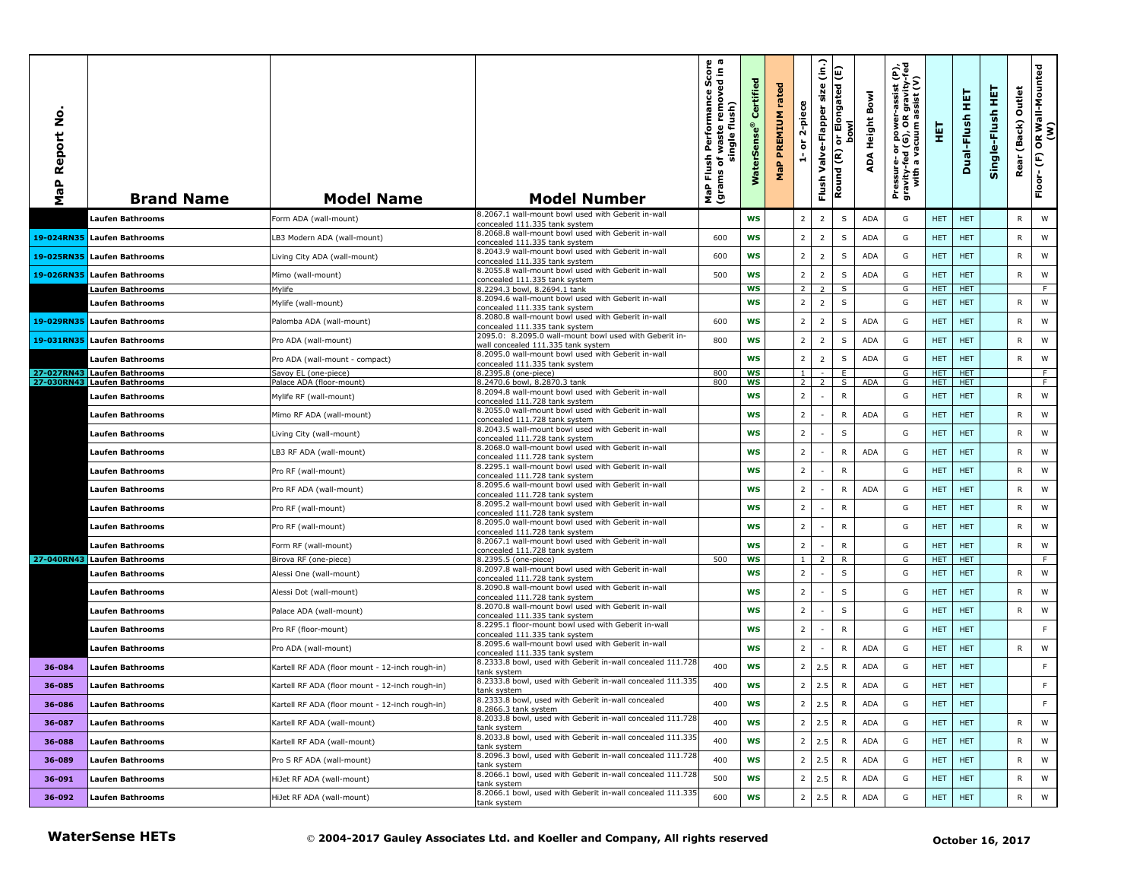| Report No.<br>MaP | <b>Brand Name</b>           | <b>Model Name</b>                               | <b>Model Number</b>                                                                      | Flush Performance Score<br>ms of waste removed in a<br>single flush)<br>grams of<br>MaP | Certified<br>$^{\circ}$<br>WaterSe | rated<br><b>MaP PREMIUM</b> | 2-piece<br>៵<br>÷ | Flush Valve-Flapper size (in.) | E<br>or Elongated<br><b>bowl</b><br>Round (R) | ADA Height Bowl | Pressure- or power-assist (P),<br>gravity-fed (G), OR gravity-fed<br>with a vacuum assist (V) | 王          | 보<br>Dual-Flush | Single-Flush HET | Outlet<br>(Back)<br>Rear | OR Wall-Mounted<br>(W)<br>Floor-(F) |
|-------------------|-----------------------------|-------------------------------------------------|------------------------------------------------------------------------------------------|-----------------------------------------------------------------------------------------|------------------------------------|-----------------------------|-------------------|--------------------------------|-----------------------------------------------|-----------------|-----------------------------------------------------------------------------------------------|------------|-----------------|------------------|--------------------------|-------------------------------------|
|                   | Laufen Bathrooms            | Form ADA (wall-mount)                           | 8.2067.1 wall-mount bowl used with Geberit in-wall<br>concealed 111.335 tank system      |                                                                                         | <b>WS</b>                          |                             | $\overline{2}$    | $\overline{2}$                 | $\mathsf S$                                   | ADA             | G                                                                                             | <b>HET</b> | <b>HET</b>      |                  | R                        | W                                   |
| 19-024RN35        | <b>Laufen Bathrooms</b>     | LB3 Modern ADA (wall-mount)                     | 8.2068.8 wall-mount bowl used with Geberit in-wall<br>concealed 111.335 tank system      | 600                                                                                     | <b>WS</b>                          |                             | $\overline{2}$    | $\overline{2}$                 | $\mathsf S$                                   | <b>ADA</b>      | G                                                                                             | <b>HET</b> | <b>HET</b>      |                  | R                        | W                                   |
| 19-025RN35        | <b>Laufen Bathrooms</b>     | Living City ADA (wall-mount)                    | 8.2043.9 wall-mount bowl used with Geberit in-wall<br>concealed 111.335 tank system      | 600                                                                                     | <b>WS</b>                          |                             | $\overline{2}$    | $\overline{2}$                 | $\sf S$                                       | ADA             | G                                                                                             | <b>HET</b> | <b>HET</b>      |                  | R                        | W                                   |
| 19-026RN35        | Laufen Bathrooms            | Mimo (wall-mount)                               | 8.2055.8 wall-mount bowl used with Geberit in-wall                                       | 500                                                                                     | <b>WS</b>                          |                             | $\overline{2}$    | $\overline{2}$                 | $\mathsf S$                                   | <b>ADA</b>      | G                                                                                             | <b>HET</b> | <b>HET</b>      |                  | ${\sf R}$                | W                                   |
|                   | Laufen Bathrooms            | Mylife                                          | concealed 111.335 tank system<br>8.2294.3 bowl, 8.2694.1 tank                            |                                                                                         | <b>WS</b>                          |                             | 2 <sup>1</sup>    | $\overline{2}$                 | S                                             |                 | G                                                                                             | <b>HET</b> | <b>HET</b>      |                  |                          | F.                                  |
|                   | Laufen Bathrooms            | Mylife (wall-mount)                             | 8.2094.6 wall-mount bowl used with Geberit in-wall<br>concealed 111.335 tank system      |                                                                                         | <b>WS</b>                          |                             | $\overline{2}$    | $\overline{2}$                 | $\mathsf S$                                   |                 | G                                                                                             | <b>HET</b> | <b>HET</b>      |                  | R                        | W                                   |
| 19-029RN35        | <b>Laufen Bathrooms</b>     | Palomba ADA (wall-mount)                        | 8.2080.8 wall-mount bowl used with Geberit in-wall<br>concealed 111.335 tank system      | 600                                                                                     | WS                                 |                             | $\overline{2}$    | $\overline{2}$                 | $\mathsf S$                                   | <b>ADA</b>      | G                                                                                             | <b>HET</b> | <b>HET</b>      |                  | R                        | W                                   |
| 19-031RN35        | <b>Laufen Bathrooms</b>     | Pro ADA (wall-mount)                            | 2095.0: 8.2095.0 wall-mount bowl used with Geberit in-                                   | 800                                                                                     | WS                                 |                             | $\overline{2}$    | $\overline{2}$                 | $\sf S$                                       | <b>ADA</b>      | G                                                                                             | <b>HET</b> | <b>HET</b>      |                  | R                        | W                                   |
|                   | Laufen Bathrooms            | Pro ADA (wall-mount - compact)                  | vall concealed 111.335 tank system<br>8.2095.0 wall-mount bowl used with Geberit in-wall |                                                                                         | <b>WS</b>                          |                             | $\overline{2}$    | $\overline{2}$                 | $\mathsf S$                                   | <b>ADA</b>      | G                                                                                             | <b>HET</b> | <b>HET</b>      |                  | R                        | W                                   |
|                   | 27-027RN43 Laufen Bathrooms | Savoy EL (one-piece)                            | concealed 111.335 tank system<br>8.2395.8 (one-piece)                                    | 800                                                                                     | ws                                 |                             | 1 <sup>1</sup>    |                                | E                                             |                 | G                                                                                             | <b>HET</b> | <b>HET</b>      |                  |                          | F.                                  |
|                   | 27-030RN43 Laufen Bathrooms | Palace ADA (floor-mount)                        | 8.2470.6 bowl, 8.2870.3 tank                                                             | 800                                                                                     | <b>WS</b>                          |                             | 2                 |                                | S                                             | <b>ADA</b>      | G                                                                                             | <b>HET</b> | <b>HET</b>      |                  |                          | F.                                  |
|                   | Laufen Bathrooms            | Mylife RF (wall-mount)                          | 8.2094.8 wall-mount bowl used with Geberit in-wall<br>concealed 111.728 tank system      |                                                                                         | <b>WS</b>                          |                             | $\overline{2}$    |                                | $\mathsf{R}$                                  |                 | G                                                                                             | <b>HET</b> | <b>HET</b>      |                  | R                        | W                                   |
|                   | Laufen Bathrooms            | Mimo RF ADA (wall-mount)                        | 8.2055.0 wall-mount bowl used with Geberit in-wall<br>concealed 111.728 tank system      |                                                                                         | <b>WS</b>                          |                             | $\overline{2}$    |                                | $\mathsf{R}$                                  | ADA             | G                                                                                             | <b>HET</b> | <b>HET</b>      |                  | R                        | W                                   |
|                   | Laufen Bathrooms            | Living City (wall-mount)                        | 8.2043.5 wall-mount bowl used with Geberit in-wall<br>concealed 111.728 tank system      |                                                                                         | <b>WS</b>                          |                             | $\overline{2}$    |                                | $\mathsf S$                                   |                 | G                                                                                             | <b>HET</b> | <b>HET</b>      |                  | R                        | W                                   |
|                   | Laufen Bathrooms            | LB3 RF ADA (wall-mount)                         | 8.2068.0 wall-mount bowl used with Geberit in-wall<br>concealed 111.728 tank system      |                                                                                         | <b>WS</b>                          |                             | $\overline{2}$    |                                | $\mathsf{R}$                                  | <b>ADA</b>      | G                                                                                             | <b>HET</b> | <b>HET</b>      |                  | ${\sf R}$                | W                                   |
|                   | Laufen Bathrooms            | Pro RF (wall-mount)                             | 8.2295.1 wall-mount bowl used with Geberit in-wall<br>concealed 111.728 tank system      |                                                                                         | <b>WS</b>                          |                             | $\overline{2}$    |                                | ${\sf R}$                                     |                 | G                                                                                             | <b>HET</b> | <b>HET</b>      |                  | R                        | W                                   |
|                   | Laufen Bathrooms            | Pro RF ADA (wall-mount)                         | 8.2095.6 wall-mount bowl used with Geberit in-wall<br>concealed 111.728 tank system      |                                                                                         | <b>WS</b>                          |                             | $\overline{2}$    |                                | ${\sf R}$                                     | ADA             | G                                                                                             | <b>HET</b> | <b>HET</b>      |                  | R                        | W                                   |
|                   | Laufen Bathrooms            | Pro RF (wall-mount)                             | 8.2095.2 wall-mount bowl used with Geberit in-wall<br>concealed 111.728 tank system      |                                                                                         | <b>WS</b>                          |                             | $\overline{2}$    |                                | $\mathsf{R}$                                  |                 | G                                                                                             | <b>HET</b> | <b>HET</b>      |                  | R                        | W                                   |
|                   | Laufen Bathrooms            | Pro RF (wall-mount)                             | 8.2095.0 wall-mount bowl used with Geberit in-wall<br>concealed 111.728 tank system      |                                                                                         | WS                                 |                             | $\overline{2}$    |                                | ${\sf R}$                                     |                 | G                                                                                             | <b>HET</b> | <b>HET</b>      |                  | R                        | W                                   |
|                   | Laufen Bathrooms            | Form RF (wall-mount)                            | 8.2067.1 wall-mount bowl used with Geberit in-wall<br>concealed 111.728 tank system      |                                                                                         | <b>WS</b>                          |                             | $\overline{2}$    |                                | $\mathsf{R}$                                  |                 | G                                                                                             | <b>HET</b> | <b>HET</b>      |                  | R                        | W                                   |
|                   | 27-040RN43 Laufen Bathrooms | Birova RF (one-piece)                           | 8.2395.5 (one-piece)                                                                     | 500                                                                                     | WS                                 |                             | 1 <sup>1</sup>    | $\overline{z}$                 | R                                             |                 | G                                                                                             | <b>HET</b> | <b>HET</b>      |                  |                          | F.                                  |
|                   | Laufen Bathrooms            | Alessi One (wall-mount)                         | 8.2097.8 wall-mount bowl used with Geberit in-wall<br>concealed 111.728 tank system      |                                                                                         | <b>WS</b>                          |                             | $\overline{2}$    |                                | $\mathsf S$                                   |                 | G                                                                                             | <b>HET</b> | <b>HET</b>      |                  | $\mathsf{R}$             | W                                   |
|                   | Laufen Bathrooms            | Alessi Dot (wall-mount)                         | 8.2090.8 wall-mount bowl used with Geberit in-wall<br>concealed 111.728 tank system      |                                                                                         | <b>WS</b>                          |                             | $\overline{2}$    |                                | $\mathsf S$                                   |                 | G                                                                                             | <b>HET</b> | <b>HET</b>      |                  | R                        | W                                   |
|                   | Laufen Bathrooms            | Palace ADA (wall-mount)                         | 8.2070.8 wall-mount bowl used with Geberit in-wall<br>concealed 111.335 tank system      |                                                                                         | <b>WS</b>                          |                             | $\overline{2}$    |                                | $\mathsf S$                                   |                 | G                                                                                             | <b>HET</b> | <b>HET</b>      |                  | R                        | W                                   |
|                   | Laufen Bathrooms            | Pro RF (floor-mount)                            | 8.2295.1 floor-mount bowl used with Geberit in-wall<br>concealed 111.335 tank system     |                                                                                         | <b>WS</b>                          |                             | $\overline{2}$    |                                | ${\sf R}$                                     |                 | G                                                                                             | <b>HET</b> | <b>HET</b>      |                  |                          | $\mathsf F$                         |
|                   | Laufen Bathrooms            | Pro ADA (wall-mount)                            | 8.2095.6 wall-mount bowl used with Geberit in-wall<br>concealed 111.335 tank system      |                                                                                         | <b>WS</b>                          |                             | $\overline{2}$    |                                | $\mathsf{R}$                                  | <b>ADA</b>      | G                                                                                             | <b>HET</b> | <b>HET</b>      |                  | $\mathsf{R}$             | W                                   |
| 36-084            | Laufen Bathrooms            | Kartell RF ADA (floor mount - 12-inch rough-in) | 8.2333.8 bowl, used with Geberit in-wall concealed 111.728<br>tank system                | 400                                                                                     | ws                                 |                             | $2^{\circ}$       | 2.5                            | $\mathsf{R}$                                  | ADA             | G                                                                                             | <b>HET</b> | <b>HET</b>      |                  |                          | F                                   |
| 36-085            | Laufen Bathrooms            | Kartell RF ADA (floor mount - 12-inch rough-in) | 8.2333.8 bowl, used with Geberit in-wall concealed 111.335<br>tank system                | 400                                                                                     | <b>WS</b>                          |                             | 2                 | 2.5                            | $\mathsf{R}$                                  | <b>ADA</b>      | G                                                                                             | <b>HET</b> | <b>HET</b>      |                  |                          | F                                   |
| 36-086            | <b>Laufen Bathrooms</b>     | Kartell RF ADA (floor mount - 12-inch rough-in) | 3.2333.8 bowl, used with Geberit in-wall concealed<br>8.2866.3 tank system               | 400                                                                                     | ws                                 |                             |                   | $2 \quad 2.5$                  | R.                                            | ADA             | G                                                                                             | <b>HET</b> | <b>HET</b>      |                  |                          | F.                                  |
| 36-087            | Laufen Bathrooms            | Kartell RF ADA (wall-mount)                     | 8.2033.8 bowl, used with Geberit in-wall concealed 111.728<br>tank system                | 400                                                                                     | <b>WS</b>                          |                             |                   | $2 \quad 2.5$                  | $\mathsf{R}$                                  | <b>ADA</b>      | G                                                                                             | <b>HET</b> | <b>HET</b>      |                  | R                        | W                                   |
| 36-088            | Laufen Bathrooms            | Kartell RF ADA (wall-mount)                     | 8.2033.8 bowl, used with Geberit in-wall concealed 111.335<br>tank system                | 400                                                                                     | <b>WS</b>                          |                             |                   | $2 \mid 2.5$                   | R                                             | ADA             | G                                                                                             | <b>HET</b> | <b>HET</b>      |                  | R                        | W                                   |
| 36-089            | Laufen Bathrooms            | Pro S RF ADA (wall-mount)                       | 8.2096.3 bowl, used with Geberit in-wall concealed 111.728<br>tank system                | 400                                                                                     | <b>WS</b>                          |                             |                   | $2 \mid 2.5$                   | R                                             | ADA             | G                                                                                             | <b>HET</b> | <b>HET</b>      |                  | R                        | W                                   |
| 36-091            | Laufen Bathrooms            | HiJet RF ADA (wall-mount)                       | 8.2066.1 bowl, used with Geberit in-wall concealed 111.728<br>tank system                | 500                                                                                     | WS                                 |                             | $2^{\circ}$       | 2.5                            | R                                             | ADA             | G                                                                                             | <b>HET</b> | <b>HET</b>      |                  | R                        | W                                   |
| 36-092            | <b>Laufen Bathrooms</b>     | HiJet RF ADA (wall-mount)                       | 8.2066.1 bowl, used with Geberit in-wall concealed 111.335<br>tank system                | 600                                                                                     | <b>WS</b>                          |                             |                   | $2 \mid 2.5$                   | R                                             | ADA             | G                                                                                             | <b>HET</b> | <b>HET</b>      |                  | $\mathsf{R}$             | W                                   |
|                   | <b>WaterSense HETs</b>      |                                                 | © 2004-2017 Gauley Associates Ltd. and Koeller and Company, All rights reserved          |                                                                                         |                                    |                             |                   |                                |                                               |                 |                                                                                               |            |                 | October 16, 2017 |                          |                                     |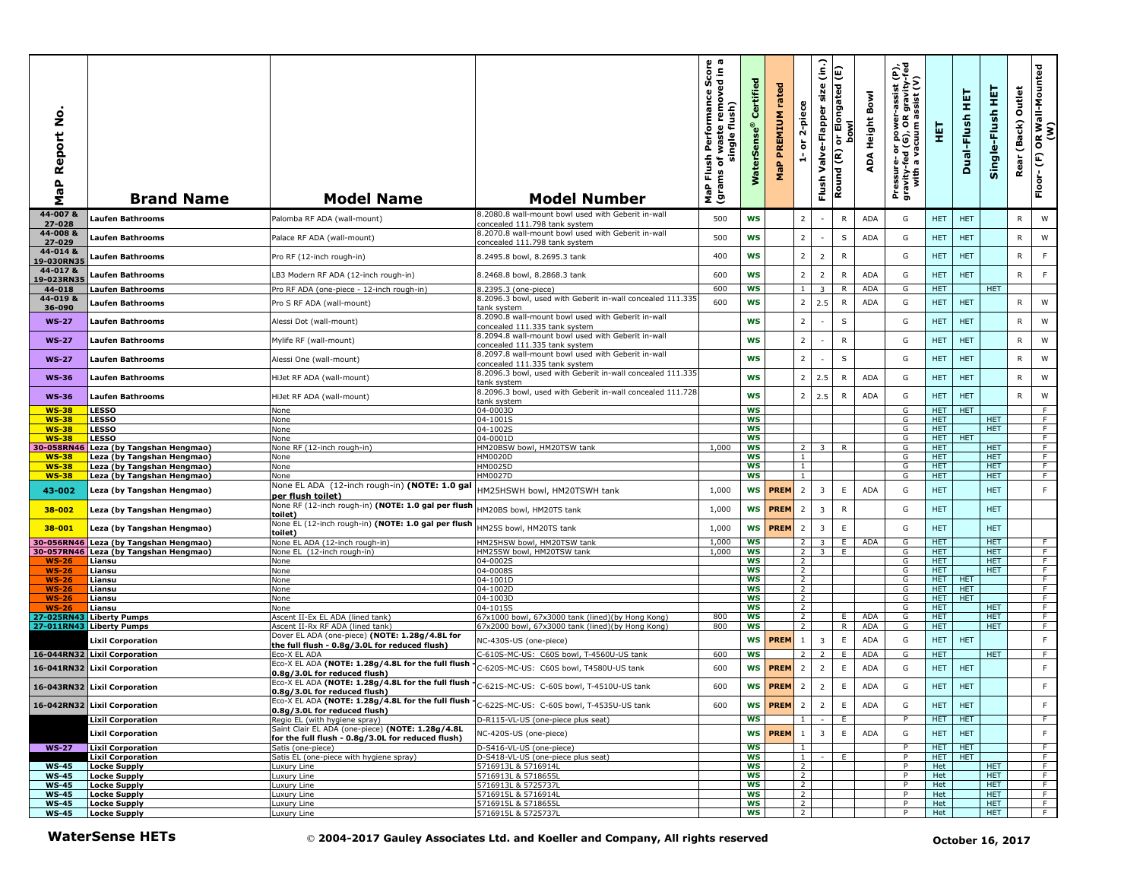| aP Report No<br>Σ            | <b>Brand Name</b>                                        | <b>Model Name</b>                                                                 | <b>Model Number</b>                                                                         | စု ဧ<br>rmance Score<br>removed in a<br>Performan<br>single flush)<br>waste<br>Flush<br>৳<br>(grams<br>MaP | Certified<br>WaterSens | rated<br><b>PREMIUM</b><br>MaP | 2-piece<br>$\overleftarrow{\mathtt{o}}$<br>÷ | (in.)<br>size<br>Valve-Flapper<br>Flush | or Elongated (E)<br><b>bowl</b><br>Round (R) | Bowl<br>Height<br>∢<br>ą | er-assist (P),<br>)R gravity-fed<br>) assist (V)<br>Pressure- or power--<br>gravity-fed (G), OR g<br>with a vacuum as | 핓                  | 뚶<br>Dual-Flush  | 뜊<br>Single-Flush        | Outlet<br>(Back)<br>Rear | OR Wall-Mounted<br>(W)<br>$\mathop{\mathbb{E}}$<br>Floor- |
|------------------------------|----------------------------------------------------------|-----------------------------------------------------------------------------------|---------------------------------------------------------------------------------------------|------------------------------------------------------------------------------------------------------------|------------------------|--------------------------------|----------------------------------------------|-----------------------------------------|----------------------------------------------|--------------------------|-----------------------------------------------------------------------------------------------------------------------|--------------------|------------------|--------------------------|--------------------------|-----------------------------------------------------------|
| 44-007 &<br>27-028           | <b>Laufen Bathrooms</b>                                  | Palomba RF ADA (wall-mount)                                                       | 8.2080.8 wall-mount bowl used with Geberit in-wall<br>concealed 111.798 tank system         | 500                                                                                                        | WS                     |                                | $\overline{2}$                               |                                         | ${\sf R}$                                    | <b>ADA</b>               | G                                                                                                                     | HET.               | <b>HET</b>       |                          | ${\sf R}$                | ${\sf W}$                                                 |
| 44-008 &<br>27-029           | Laufen Bathrooms                                         | Palace RF ADA (wall-mount)                                                        | 8.2070.8 wall-mount bowl used with Geberit in-wall<br>concealed 111.798 tank system         | 500                                                                                                        | WS                     |                                | $\overline{2}$                               |                                         | S                                            | ADA                      | G                                                                                                                     | HET.               | <b>HET</b>       |                          | $\mathsf{R}$             | W                                                         |
| 44-014 &<br>19-030RN35       | Laufen Bathrooms                                         | Pro RF (12-inch rough-in)                                                         | 8.2495.8 bowl, 8.2695.3 tank                                                                | 400                                                                                                        | WS                     |                                | $\overline{2}$                               | $\overline{2}$                          | ${\sf R}$                                    |                          | G                                                                                                                     | HET                | <b>HET</b>       |                          | R                        | F                                                         |
| 44-017 &                     | Laufen Bathrooms                                         | LB3 Modern RF ADA (12-inch rough-in)                                              | 8.2468.8 bowl, 8.2868.3 tank                                                                | 600                                                                                                        | <b>WS</b>              |                                | $\overline{2}$                               | $\overline{2}$                          | $\mathsf{R}$                                 | <b>ADA</b>               | G                                                                                                                     | HET                | <b>HET</b>       |                          | ${\sf R}$                | F                                                         |
| 19-023RN35<br>44-018         | <b>Laufen Bathrooms</b>                                  | Pro RF ADA (one-piece - 12-inch rough-in)                                         | 8.2395.3 (one-piece)                                                                        | 600                                                                                                        | WS                     |                                | $\mathbf{1}$                                 | 3                                       | R                                            | <b>ADA</b>               | G                                                                                                                     | HET.               |                  | HET.                     |                          |                                                           |
| 44-019 &<br>36-090           | Laufen Bathrooms                                         | Pro S RF ADA (wall-mount)                                                         | 8.2096.3 bowl, used with Geberit in-wall concealed 111.335<br>tank system                   | 600                                                                                                        | WS                     |                                | $\overline{2}$                               | 2.5                                     | $\mathsf{R}$                                 | <b>ADA</b>               | G                                                                                                                     | <b>HET</b>         | <b>HET</b>       |                          | $\mathsf{R}$             | W                                                         |
| <b>WS-27</b>                 | Laufen Bathrooms                                         | Alessi Dot (wall-mount)                                                           | 8.2090.8 wall-mount bowl used with Geberit in-wall                                          |                                                                                                            | WS                     |                                | $\overline{2}$                               |                                         | $\sf S$                                      |                          | G                                                                                                                     | <b>HET</b>         | <b>HET</b>       |                          | $\mathsf{R}$             | W                                                         |
| <b>WS-27</b>                 | <b>Laufen Bathrooms</b>                                  | Mylife RF (wall-mount)                                                            | concealed 111.335 tank system<br>8.2094.8 wall-mount bowl used with Geberit in-wall         |                                                                                                            | WS                     |                                | $\overline{2}$                               |                                         | ${\sf R}$                                    |                          | G                                                                                                                     | <b>HET</b>         | <b>HET</b>       |                          | R                        | W                                                         |
|                              |                                                          |                                                                                   | concealed 111.335 tank system<br>8.2097.8 wall-mount bowl used with Geberit in-wall         |                                                                                                            |                        |                                | $\overline{2}$                               |                                         | $\sf S$                                      |                          |                                                                                                                       |                    | <b>HET</b>       |                          |                          | W                                                         |
| <b>WS-27</b>                 | Laufen Bathrooms                                         | Alessi One (wall-mount)                                                           | concealed 111.335 tank system<br>8.2096.3 bowl, used with Geberit in-wall concealed 111.335 |                                                                                                            | <b>WS</b>              |                                |                                              |                                         |                                              |                          | G                                                                                                                     | <b>HET</b>         |                  |                          | R                        |                                                           |
| <b>WS-36</b>                 | <b>Laufen Bathrooms</b>                                  | HiJet RF ADA (wall-mount)                                                         | tank system<br>8.2096.3 bowl, used with Geberit in-wall concealed 111.728                   |                                                                                                            | WS                     |                                | $\overline{2}$                               | 2.5                                     | $\mathsf{R}$                                 | ADA                      | G                                                                                                                     | HET                | <b>HET</b>       |                          | R                        | W                                                         |
| <b>WS-36</b>                 | Laufen Bathrooms                                         | HiJet RF ADA (wall-mount)                                                         | tank system                                                                                 |                                                                                                            | WS                     |                                | $\overline{2}$                               | 2.5                                     | $\mathsf{R}$                                 | ADA                      | G                                                                                                                     | HET.               | <b>HET</b>       |                          | ${\sf R}$                | ${\sf W}$                                                 |
| <b>WS-38</b><br><b>WS-38</b> | <b>LESSO</b><br><b>LESSO</b>                             | None<br>None                                                                      | 04-0003D<br>04-1001S                                                                        |                                                                                                            | <b>WS</b><br>ws        |                                |                                              |                                         |                                              |                          | G<br>G                                                                                                                | HET.<br><b>HET</b> | <b>HET</b>       | <b>HET</b>               |                          | F.<br>F.                                                  |
| $WS-38$                      | <b>LESSO</b>                                             | None                                                                              | 04-1002S                                                                                    |                                                                                                            | WS                     |                                |                                              |                                         |                                              |                          | G                                                                                                                     | <b>HET</b>         |                  | <b>HET</b>               |                          | F.                                                        |
| $WS-38$                      | <b>LESSO</b>                                             | None                                                                              | 04-0001D                                                                                    |                                                                                                            | WS                     |                                |                                              |                                         |                                              |                          | G                                                                                                                     | HET.               | <b>HET</b>       |                          |                          | F                                                         |
| 30-058RN46                   | Leza (by Tangshan Hengmao)                               | None RF (12-inch rough-in)                                                        | HM20BSW bowl, HM20TSW tank                                                                  | 1,000                                                                                                      | <b>WS</b>              |                                | $\overline{2}$                               | $\overline{\mathbf{3}}$                 | $\mathsf{R}$                                 |                          | G                                                                                                                     | HET.               |                  | HET.                     |                          | F                                                         |
| <b>WS-38</b><br><b>WS-38</b> | Leza (by Tangshan Hengmao)<br>Leza (by Tangshan Hengmao) | None<br>None                                                                      | HM0020D<br>HM0025D                                                                          |                                                                                                            | WS<br>ws               |                                | $\mathbf{1}$<br>$\mathbf{1}$                 |                                         |                                              |                          | G<br>G                                                                                                                | <b>HET</b><br>HET. |                  | <b>HET</b><br><b>HET</b> |                          | F.<br>$\overline{F}$                                      |
| $WS-38$                      | Leza (by Tangshan Hengmao)                               | None                                                                              | <b>HM0027D</b>                                                                              |                                                                                                            | <b>WS</b>              |                                | $\mathbf{1}$                                 |                                         |                                              |                          | G                                                                                                                     | HET.               |                  | HET.                     |                          | F                                                         |
| 43-002                       | Leza (by Tangshan Hengmao)                               | None EL ADA (12-inch rough-in) (NOTE: 1.0 gal<br>per flush toilet)                | HM25HSWH bowl, HM20TSWH tank                                                                | 1,000                                                                                                      | WS                     | <b>PREM</b>                    | $\overline{2}$                               | $\overline{3}$                          | E                                            | <b>ADA</b>               | G                                                                                                                     | <b>HET</b>         |                  | <b>HET</b>               |                          | F                                                         |
| 38-002                       | Leza (by Tangshan Hengmao)                               | None RF (12-inch rough-in) (NOTE: 1.0 gal per flush<br>toilet)                    | HM20BS bowl, HM20TS tank                                                                    | 1,000                                                                                                      | <b>WS</b>              | <b>PREM</b>                    | $\overline{2}$                               | 3                                       | $\mathsf{R}$                                 |                          | G                                                                                                                     | <b>HET</b>         |                  | <b>HET</b>               |                          |                                                           |
| 38-001                       | Leza (by Tangshan Hengmao)                               | None EL (12-inch rough-in) (NOTE: 1.0 gal per flush<br>toilet)                    | HM25S bowl, HM20TS tank                                                                     | 1,000                                                                                                      | WS                     | <b>PREM</b>                    | $\overline{2}$                               | $\overline{3}$                          | $\mathsf E$                                  |                          | G                                                                                                                     | <b>HET</b>         |                  | <b>HET</b>               |                          |                                                           |
| 30-056RN46                   | Leza (by Tangshan Hengmao)                               | None EL ADA (12-inch rough-in)                                                    | HM25HSW bowl, HM20TSW tank                                                                  | 1,000                                                                                                      | WS                     |                                | $\overline{2}$                               | $\overline{3}$                          | E                                            | ADA                      | G                                                                                                                     | <b>HET</b>         |                  | <b>HET</b>               |                          | $\overline{F}$                                            |
|                              | 30-057RN46 Leza (by Tangshan Hengmao)                    | None EL (12-inch rough-in)                                                        | HM25SW bowl, HM20TSW tank                                                                   | 1,000                                                                                                      | ws                     |                                | $\overline{2}$                               | 3 <sup>7</sup>                          | E                                            |                          | G                                                                                                                     | <b>HET</b>         |                  | <b>HET</b>               |                          | F                                                         |
| $WS-26$<br><b>WS-26</b>      | Liansu<br>Liansu                                         | None<br>None                                                                      | 04-0002S<br>04-0008S                                                                        |                                                                                                            | <b>WS</b><br>WS        |                                | 2<br>$\overline{2}$                          |                                         |                                              |                          | G<br>G                                                                                                                | HET.<br>HET.       |                  | <b>HET</b><br>HET.       |                          | F<br>F                                                    |
| <b>WS-26</b>                 | Liansu                                                   | None                                                                              | 04-1001D                                                                                    |                                                                                                            | <b>WS</b>              |                                | 2                                            |                                         |                                              |                          | G                                                                                                                     | <b>HET</b>         | HET              |                          |                          | $\overline{F}$                                            |
| <b>WS-26</b>                 | Liansu                                                   | None                                                                              | 04-1002D                                                                                    |                                                                                                            | <b>WS</b>              |                                | 2                                            |                                         |                                              |                          | G                                                                                                                     | HET.               | <b>HET</b>       |                          |                          | F                                                         |
| <b>WS-26</b>                 | Liansu                                                   | None                                                                              | 04-1003D                                                                                    |                                                                                                            | WS                     |                                | $\overline{2}$                               |                                         |                                              |                          | G                                                                                                                     | HET.               | <b>HET</b>       |                          |                          | F                                                         |
| <b>WS-26</b><br>27-025RN43   | Liansu<br><b>Liberty Pumps</b>                           | None<br>Ascent II-Ex EL ADA (lined tank)                                          | 04-1015S<br>67x1000 bowl, 67x3000 tank (lined)(by Hong Kong)                                | 800                                                                                                        | WS<br>ws               |                                | $\overline{2}$<br>$\overline{2}$             |                                         | E.                                           | <b>ADA</b>               | G<br>G                                                                                                                | <b>HET</b><br>HET. |                  | <b>HET</b><br><b>HET</b> |                          | F<br>$\overline{F}$                                       |
|                              | 27-011RN43 Liberty Pumps                                 | Ascent II-Rx RF ADA (lined tank)                                                  | 67x2000 bowl, 67x3000 tank (lined)(by Hong Kong)                                            | 800                                                                                                        | <b>WS</b>              |                                | 2                                            |                                         | R                                            | ADA                      | G                                                                                                                     | HET.               |                  | HET.                     |                          | F.                                                        |
|                              | Lixil Corporation                                        | Dover EL ADA (one-piece) (NOTE: 1.28g/4.8L for                                    |                                                                                             |                                                                                                            | WS                     | <b>PREM</b>                    | $\mathbf{1}$                                 | 3                                       | $\mathsf E$                                  | ADA                      | G                                                                                                                     | <b>HET</b>         | <b>HET</b>       |                          |                          | F                                                         |
|                              |                                                          | the full flush - 0.8g/3.0L for reduced flush)                                     | NC-430S-US (one-piece)                                                                      |                                                                                                            |                        |                                |                                              |                                         |                                              |                          |                                                                                                                       |                    |                  |                          |                          |                                                           |
|                              | 16-044RN32 Lixil Corporation                             | Eco-X EL ADA<br>Eco-X EL ADA (NOTE: 1.28g/4.8L for the full flush                 | C-610S-MC-US: C60S bowl, T-4560U-US tank                                                    | 600                                                                                                        | <b>WS</b>              |                                | $\overline{2}$                               | 2                                       | E                                            | ADA                      | G                                                                                                                     | <b>HET</b>         |                  | <b>HET</b>               |                          | F                                                         |
| 16-041RN32                   | <b>Lixil Corporation</b>                                 | 0.8g/3.0L for reduced flush)                                                      | C-620S-MC-US: C60S bowl, T4580U-US tank                                                     | 600                                                                                                        | WS                     | <b>PREM</b>                    | $\overline{2}$                               | $\overline{2}$                          | $\mathsf E$                                  | <b>ADA</b>               | G                                                                                                                     | <b>HET</b>         | <b>HET</b>       |                          |                          | $\mathsf F$                                               |
|                              | 16-043RN32 Lixil Corporation                             | Eco-X EL ADA (NOTE: 1.28g/4.8L for the full flush<br>0.8g/3.0L for reduced flush) | C-621S-MC-US: C-60S bowl, T-4510U-US tank                                                   | 600                                                                                                        | WS                     | <b>PREM</b>                    | $\overline{2}$                               | $\overline{2}$                          | $\mathsf E$                                  | <b>ADA</b>               | G                                                                                                                     | HET.               | <b>HET</b>       |                          |                          | F                                                         |
|                              | 16-042RN32 Lixil Corporation                             | Eco-X EL ADA (NOTE: 1.28g/4.8L for the full flush<br>0.8g/3.0L for reduced flush) | C-622S-MC-US: C-60S bowl, T-4535U-US tank                                                   | 600                                                                                                        |                        | <b>WS</b> PREM                 | $\overline{2}$                               | $\overline{2}$                          | E.                                           | ADA                      | G                                                                                                                     | <b>HET</b>         | HET              |                          |                          | F                                                         |
|                              | <b>Lixil Corporation</b>                                 | Regio EL (with hygiene spray)                                                     | D-R115-VL-US (one-piece plus seat)                                                          |                                                                                                            | <b>WS</b>              |                                |                                              |                                         | Ε                                            |                          | $\overline{P}$                                                                                                        | <b>HET</b>         | <b>HET</b>       |                          |                          | $\overline{F}$                                            |
|                              | <b>Lixil Corporation</b>                                 | Saint Clair EL ADA (one-piece) (NOTE: 1.28g/4.8L                                  | NC-420S-US (one-piece)                                                                      |                                                                                                            | WS                     | <b>PREM</b>                    | $\,$ 1                                       | $\overline{\mathbf{3}}$                 | $\mathsf E$                                  | ADA                      | G                                                                                                                     | HET.               | <b>HET</b>       |                          |                          | F                                                         |
|                              | <b>WS-27</b> Lixil Corporation                           | for the full flush - 0.8g/3.0L for reduced flush)<br>Satis (one-piece)            | D-S416-VL-US (one-piece)                                                                    |                                                                                                            | <b>WS</b>              |                                | $\mathbf{1}$                                 |                                         |                                              |                          | P                                                                                                                     | <b>HET</b>         | <b>HET</b>       |                          |                          | F.                                                        |
|                              | <b>Lixil Corporation</b>                                 | Satis EL (one-piece with hygiene spray)                                           | D-S418-VL-US (one-piece plus seat)                                                          |                                                                                                            | <b>WS</b>              |                                | $\mathbf{1}$                                 |                                         | E                                            |                          | P                                                                                                                     | HET                | <b>HET</b>       |                          |                          | F.                                                        |
| <b>WS-45</b>                 | <b>Locke Supply</b>                                      | uxury Line                                                                        | 5716913L & 5716914L                                                                         |                                                                                                            | WS                     |                                | $\overline{2}$                               |                                         |                                              |                          | P                                                                                                                     | Het                |                  | <b>HET</b>               |                          | F                                                         |
| <b>WS-45</b>                 | Locke Supply                                             | uxury Line                                                                        | 5716913L & 5718655L                                                                         |                                                                                                            | WS                     |                                | $\overline{2}$                               |                                         |                                              |                          | P                                                                                                                     | Het                |                  | <b>HET</b>               |                          | $\overline{F}$                                            |
| <b>WS-45</b><br><b>WS-45</b> | Locke Supply<br><b>Locke Supply</b>                      | uxury Line                                                                        | 5716913L & 5725737L<br>5716915L & 5716914L                                                  |                                                                                                            | <b>WS</b><br><b>WS</b> |                                | $\overline{2}$<br>$\overline{2}$             |                                         |                                              |                          | P                                                                                                                     | Het<br>Het         |                  | <b>HET</b><br>HET.       |                          | F<br>F.                                                   |
| <b>WS-45</b>                 | <b>Locke Supply</b>                                      | uxury Line<br>uxury Line                                                          | 5716915L & 5718655L                                                                         |                                                                                                            | WS                     |                                | $\overline{2}$                               |                                         |                                              |                          | P                                                                                                                     | Het                |                  | <b>HET</b>               |                          | F                                                         |
| <b>WS-45</b>                 | Locke Supply                                             | Luxury Line                                                                       | 5716915L & 5725737L                                                                         |                                                                                                            | ws                     |                                | $\overline{2}$                               |                                         |                                              |                          | P                                                                                                                     | Het                |                  | <b>HET</b>               |                          | ਾ                                                         |
|                              | <b>WaterSense HETs</b>                                   |                                                                                   | © 2004-2017 Gauley Associates Ltd. and Koeller and Company, All rights reserved             |                                                                                                            |                        |                                |                                              |                                         |                                              |                          |                                                                                                                       |                    | October 16, 2017 |                          |                          |                                                           |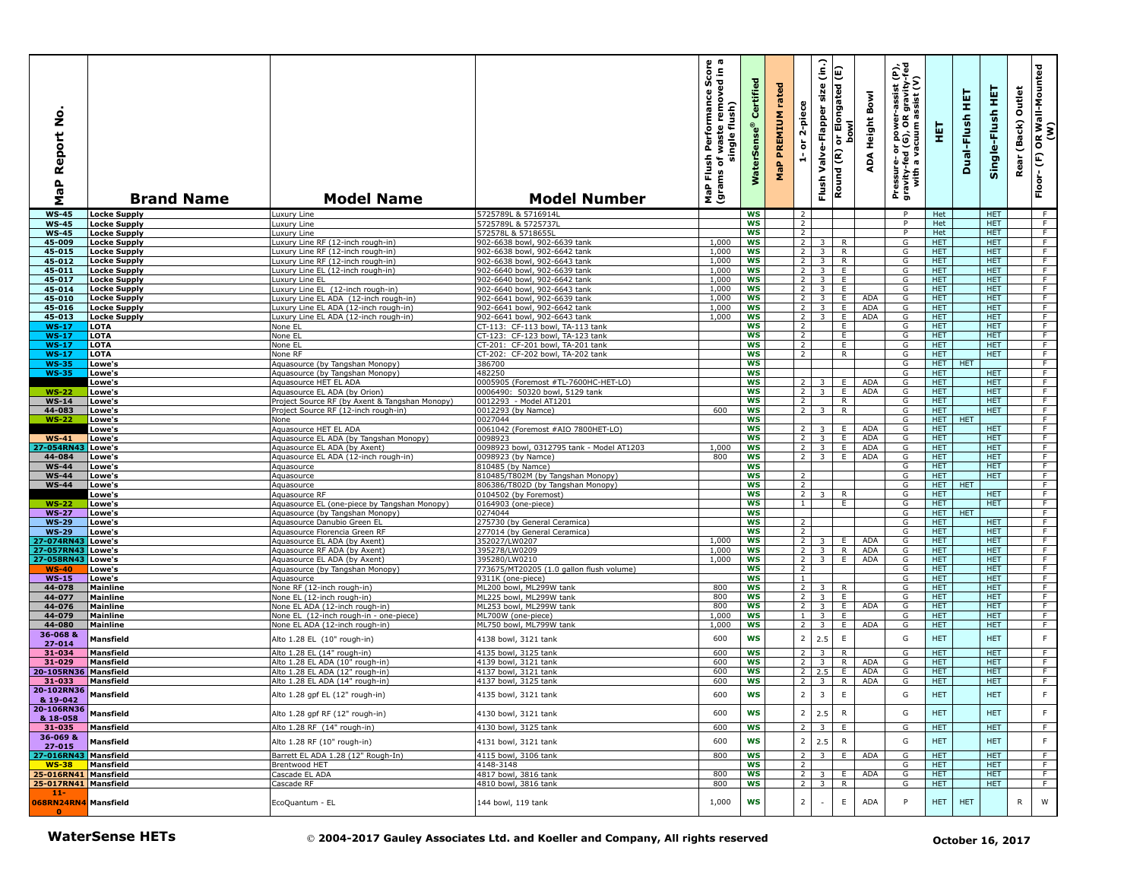| <b>Locke Supply</b><br><b>Locke Supply</b><br><b>Locke Supply</b><br><b>Locke Supply</b><br><b>Locke Supply</b><br><b>Locke Supply</b><br><b>Locke Supply</b><br><b>Locke Supply</b><br><b>Locke Supply</b><br><b>Locke Supply</b><br><b>Locke Supply</b><br><b>Locke Supply</b> | Luxury Line<br>Luxury Line<br>Luxury Line<br>Luxury Line RF (12-inch rough-in)<br>Luxury Line RF (12-inch rough-in)<br>Luxury Line RF (12-inch rough-in)<br>Luxury Line EL (12-inch rough-in) | 5725789L & 5716914L<br>5725789L & 5725737L<br>572578L & 5718655L<br>902-6638 bowl, 902-6639 tank                                                                                                                                                                                                                                                                                                                                                                                                                                                                                                                                                                                                                                                                                                           |                                                                                                                                                                                                                                                                                                                                                                                                                                                                   | WS                                                                       |                                                                                                                                                                                                   | $\overline{2}$                   |                                                                                                                                                                                                                                                                       |                                                                                                                                                                                                                            |                                                        |                                               |                                                                                                       |                                                                                                                                                                                                                                    |                          |                                                                                                                                                                                                                    | Floor-(F)                        |
|----------------------------------------------------------------------------------------------------------------------------------------------------------------------------------------------------------------------------------------------------------------------------------|-----------------------------------------------------------------------------------------------------------------------------------------------------------------------------------------------|------------------------------------------------------------------------------------------------------------------------------------------------------------------------------------------------------------------------------------------------------------------------------------------------------------------------------------------------------------------------------------------------------------------------------------------------------------------------------------------------------------------------------------------------------------------------------------------------------------------------------------------------------------------------------------------------------------------------------------------------------------------------------------------------------------|-------------------------------------------------------------------------------------------------------------------------------------------------------------------------------------------------------------------------------------------------------------------------------------------------------------------------------------------------------------------------------------------------------------------------------------------------------------------|--------------------------------------------------------------------------|---------------------------------------------------------------------------------------------------------------------------------------------------------------------------------------------------|----------------------------------|-----------------------------------------------------------------------------------------------------------------------------------------------------------------------------------------------------------------------------------------------------------------------|----------------------------------------------------------------------------------------------------------------------------------------------------------------------------------------------------------------------------|--------------------------------------------------------|-----------------------------------------------|-------------------------------------------------------------------------------------------------------|------------------------------------------------------------------------------------------------------------------------------------------------------------------------------------------------------------------------------------|--------------------------|--------------------------------------------------------------------------------------------------------------------------------------------------------------------------------------------------------------------|----------------------------------|
|                                                                                                                                                                                                                                                                                  |                                                                                                                                                                                               |                                                                                                                                                                                                                                                                                                                                                                                                                                                                                                                                                                                                                                                                                                                                                                                                            |                                                                                                                                                                                                                                                                                                                                                                                                                                                                   |                                                                          |                                                                                                                                                                                                   |                                  |                                                                                                                                                                                                                                                                       |                                                                                                                                                                                                                            |                                                        | P                                             | Het                                                                                                   |                                                                                                                                                                                                                                    | <b>HET</b>               |                                                                                                                                                                                                                    | $-F$                             |
|                                                                                                                                                                                                                                                                                  |                                                                                                                                                                                               |                                                                                                                                                                                                                                                                                                                                                                                                                                                                                                                                                                                                                                                                                                                                                                                                            |                                                                                                                                                                                                                                                                                                                                                                                                                                                                   | <b>WS</b>                                                                |                                                                                                                                                                                                   | $\overline{2}$                   |                                                                                                                                                                                                                                                                       |                                                                                                                                                                                                                            |                                                        | P                                             | Het                                                                                                   |                                                                                                                                                                                                                                    | <b>HET</b>               |                                                                                                                                                                                                                    | F                                |
|                                                                                                                                                                                                                                                                                  |                                                                                                                                                                                               |                                                                                                                                                                                                                                                                                                                                                                                                                                                                                                                                                                                                                                                                                                                                                                                                            | 1,000                                                                                                                                                                                                                                                                                                                                                                                                                                                             | ws<br><b>WS</b>                                                          |                                                                                                                                                                                                   | $\overline{2}$<br>$\overline{2}$ | 3                                                                                                                                                                                                                                                                     | R                                                                                                                                                                                                                          |                                                        | P<br>G                                        | Het<br>HET.                                                                                           |                                                                                                                                                                                                                                    | HET.<br><b>HET</b>       |                                                                                                                                                                                                                    | $\overline{F}$<br>F              |
|                                                                                                                                                                                                                                                                                  |                                                                                                                                                                                               | 902-6638 bowl, 902-6642 tank                                                                                                                                                                                                                                                                                                                                                                                                                                                                                                                                                                                                                                                                                                                                                                               | 1,000                                                                                                                                                                                                                                                                                                                                                                                                                                                             | WS                                                                       |                                                                                                                                                                                                   | $\overline{2}$                   | $\overline{\mathbf{3}}$                                                                                                                                                                                                                                               | R                                                                                                                                                                                                                          |                                                        | G                                             | <b>HET</b>                                                                                            |                                                                                                                                                                                                                                    | <b>HET</b>               |                                                                                                                                                                                                                    | F                                |
|                                                                                                                                                                                                                                                                                  |                                                                                                                                                                                               | 902-6638 bowl, 902-6643 tank                                                                                                                                                                                                                                                                                                                                                                                                                                                                                                                                                                                                                                                                                                                                                                               | 1,000                                                                                                                                                                                                                                                                                                                                                                                                                                                             | WS                                                                       |                                                                                                                                                                                                   | $\overline{2}$                   | $\overline{\mathbf{3}}$                                                                                                                                                                                                                                               | R                                                                                                                                                                                                                          |                                                        | G                                             | <b>HET</b>                                                                                            |                                                                                                                                                                                                                                    | <b>HET</b>               |                                                                                                                                                                                                                    | $\overline{F}$                   |
|                                                                                                                                                                                                                                                                                  |                                                                                                                                                                                               | 902-6640 bowl, 902-6639 tank                                                                                                                                                                                                                                                                                                                                                                                                                                                                                                                                                                                                                                                                                                                                                                               | 1,000                                                                                                                                                                                                                                                                                                                                                                                                                                                             | <b>WS</b>                                                                |                                                                                                                                                                                                   | $2 \mid 3 \mid$                  |                                                                                                                                                                                                                                                                       | E                                                                                                                                                                                                                          |                                                        | G                                             | HET.                                                                                                  |                                                                                                                                                                                                                                    | <b>HET</b>               |                                                                                                                                                                                                                    | F                                |
|                                                                                                                                                                                                                                                                                  | Luxury Line EL<br>Luxury Line EL (12-inch rough-in)                                                                                                                                           | 902-6640 bowl, 902-6642 tank<br>902-6640 bowl, 902-6643 tank                                                                                                                                                                                                                                                                                                                                                                                                                                                                                                                                                                                                                                                                                                                                               | 1,000<br>1,000                                                                                                                                                                                                                                                                                                                                                                                                                                                    | <b>WS</b><br><b>WS</b>                                                   |                                                                                                                                                                                                   | 2 <sup>1</sup>                   | $2 \quad 3$<br>$\overline{\mathbf{3}}$                                                                                                                                                                                                                                | E<br>E                                                                                                                                                                                                                     |                                                        | G<br>G                                        | HET.<br>HET.                                                                                          |                                                                                                                                                                                                                                    | HET.<br>HET.             |                                                                                                                                                                                                                    | F<br>F                           |
|                                                                                                                                                                                                                                                                                  | Luxury Line EL ADA (12-inch rough-in)                                                                                                                                                         | 902-6641 bowl, 902-6639 tank                                                                                                                                                                                                                                                                                                                                                                                                                                                                                                                                                                                                                                                                                                                                                                               | 1,000                                                                                                                                                                                                                                                                                                                                                                                                                                                             | <b>WS</b>                                                                |                                                                                                                                                                                                   | 2 <sup>1</sup>                   | $\overline{\mathbf{3}}$                                                                                                                                                                                                                                               | Ε.                                                                                                                                                                                                                         | <b>ADA</b>                                             | G                                             | <b>HET</b>                                                                                            |                                                                                                                                                                                                                                    | <b>HET</b>               |                                                                                                                                                                                                                    | $\overline{F}$                   |
|                                                                                                                                                                                                                                                                                  | Luxury Line EL ADA (12-inch rough-in)                                                                                                                                                         | 902-6641 bowl, 902-6642 tank                                                                                                                                                                                                                                                                                                                                                                                                                                                                                                                                                                                                                                                                                                                                                                               | 1,000                                                                                                                                                                                                                                                                                                                                                                                                                                                             | <b>WS</b>                                                                |                                                                                                                                                                                                   | $\overline{2}$                   | $\overline{3}$                                                                                                                                                                                                                                                        | Ε.                                                                                                                                                                                                                         | ADA                                                    | G                                             | <b>HET</b>                                                                                            |                                                                                                                                                                                                                                    | <b>HET</b>               |                                                                                                                                                                                                                    | F                                |
|                                                                                                                                                                                                                                                                                  | Luxury Line EL ADA (12-inch rough-in)                                                                                                                                                         | 902-6641 bowl, 902-6643 tank                                                                                                                                                                                                                                                                                                                                                                                                                                                                                                                                                                                                                                                                                                                                                                               | 1,000                                                                                                                                                                                                                                                                                                                                                                                                                                                             | <b>WS</b>                                                                |                                                                                                                                                                                                   | $2^{\circ}$                      | $\overline{\mathbf{3}}$                                                                                                                                                                                                                                               | E                                                                                                                                                                                                                          | ADA                                                    | G                                             | <b>HET</b>                                                                                            |                                                                                                                                                                                                                                    | <b>HET</b>               |                                                                                                                                                                                                                    | F                                |
| LOTA<br>LOTA                                                                                                                                                                                                                                                                     | None EL<br>None EL                                                                                                                                                                            | CT-113: CF-113 bowl, TA-113 tank<br>CT-123: CF-123 bowl, TA-123 tank                                                                                                                                                                                                                                                                                                                                                                                                                                                                                                                                                                                                                                                                                                                                       |                                                                                                                                                                                                                                                                                                                                                                                                                                                                   | <b>WS</b><br><b>WS</b>                                                   |                                                                                                                                                                                                   | $\overline{2}$<br>$\overline{2}$ |                                                                                                                                                                                                                                                                       | E<br>E.                                                                                                                                                                                                                    |                                                        | G<br>G                                        | HET<br><b>HET</b>                                                                                     |                                                                                                                                                                                                                                    | <b>HET</b><br><b>HET</b> |                                                                                                                                                                                                                    | $\overline{F}$<br>$\overline{F}$ |
| LOTA                                                                                                                                                                                                                                                                             | None EL                                                                                                                                                                                       | CT-201: CF-201 bowl, TA-201 tank                                                                                                                                                                                                                                                                                                                                                                                                                                                                                                                                                                                                                                                                                                                                                                           |                                                                                                                                                                                                                                                                                                                                                                                                                                                                   | <b>WS</b>                                                                |                                                                                                                                                                                                   | 2                                |                                                                                                                                                                                                                                                                       | E                                                                                                                                                                                                                          |                                                        | G                                             | HET.                                                                                                  |                                                                                                                                                                                                                                    | HET.                     |                                                                                                                                                                                                                    | F                                |
| LOTA                                                                                                                                                                                                                                                                             | None RF                                                                                                                                                                                       | CT-202: CF-202 bowl, TA-202 tank                                                                                                                                                                                                                                                                                                                                                                                                                                                                                                                                                                                                                                                                                                                                                                           |                                                                                                                                                                                                                                                                                                                                                                                                                                                                   | <b>WS</b>                                                                |                                                                                                                                                                                                   | $\overline{2}$                   |                                                                                                                                                                                                                                                                       | R                                                                                                                                                                                                                          |                                                        | G                                             | HET.                                                                                                  |                                                                                                                                                                                                                                    | HET.                     |                                                                                                                                                                                                                    | F                                |
| Lowe's                                                                                                                                                                                                                                                                           | Aquasource (by Tangshan Monopy)                                                                                                                                                               | 386700                                                                                                                                                                                                                                                                                                                                                                                                                                                                                                                                                                                                                                                                                                                                                                                                     |                                                                                                                                                                                                                                                                                                                                                                                                                                                                   | <b>WS</b>                                                                |                                                                                                                                                                                                   |                                  |                                                                                                                                                                                                                                                                       |                                                                                                                                                                                                                            |                                                        | G                                             | <b>HET</b>                                                                                            | <b>HET</b>                                                                                                                                                                                                                         |                          |                                                                                                                                                                                                                    | $\overline{F}$                   |
| Lowe's                                                                                                                                                                                                                                                                           | Aquasource (by Tangshan Monopy)<br>Aquasource HET EL ADA                                                                                                                                      | 482250<br>0005905 (Foremost #TL-7600HC-HET-LO)                                                                                                                                                                                                                                                                                                                                                                                                                                                                                                                                                                                                                                                                                                                                                             |                                                                                                                                                                                                                                                                                                                                                                                                                                                                   | <b>WS</b><br><b>WS</b>                                                   |                                                                                                                                                                                                   | 2                                | 3                                                                                                                                                                                                                                                                     | E                                                                                                                                                                                                                          | ADA                                                    | G<br>G                                        | <b>HET</b><br><b>HET</b>                                                                              |                                                                                                                                                                                                                                    | <b>HET</b><br><b>HET</b> |                                                                                                                                                                                                                    | F<br>F                           |
| Lowe's<br>Lowe's                                                                                                                                                                                                                                                                 | Aquasource EL ADA (by Orion)                                                                                                                                                                  | 0006490: 50320 bowl, 5129 tank                                                                                                                                                                                                                                                                                                                                                                                                                                                                                                                                                                                                                                                                                                                                                                             |                                                                                                                                                                                                                                                                                                                                                                                                                                                                   | <b>WS</b>                                                                |                                                                                                                                                                                                   | $\overline{2}$                   | $\overline{\mathbf{3}}$                                                                                                                                                                                                                                               | E                                                                                                                                                                                                                          | <b>ADA</b>                                             | G                                             | <b>HET</b>                                                                                            |                                                                                                                                                                                                                                    | <b>HET</b>               |                                                                                                                                                                                                                    | $\overline{F}$                   |
| Lowe's                                                                                                                                                                                                                                                                           | Project Source RF (by Axent & Tangshan Monopy)                                                                                                                                                | 0012293 - Model AT1201                                                                                                                                                                                                                                                                                                                                                                                                                                                                                                                                                                                                                                                                                                                                                                                     |                                                                                                                                                                                                                                                                                                                                                                                                                                                                   | WS                                                                       |                                                                                                                                                                                                   | $\overline{2}$                   |                                                                                                                                                                                                                                                                       | R                                                                                                                                                                                                                          |                                                        | G                                             | HET.                                                                                                  |                                                                                                                                                                                                                                    | <b>HET</b>               |                                                                                                                                                                                                                    | F.                               |
| Lowe's                                                                                                                                                                                                                                                                           | Project Source RF (12-inch rough-in)                                                                                                                                                          | 0012293 (by Namce)                                                                                                                                                                                                                                                                                                                                                                                                                                                                                                                                                                                                                                                                                                                                                                                         | 600                                                                                                                                                                                                                                                                                                                                                                                                                                                               | WS                                                                       |                                                                                                                                                                                                   | $\overline{2}$                   | $\overline{3}$                                                                                                                                                                                                                                                        | R                                                                                                                                                                                                                          |                                                        | G                                             | HET.                                                                                                  |                                                                                                                                                                                                                                    | HET.                     |                                                                                                                                                                                                                    | F                                |
| Lowe's                                                                                                                                                                                                                                                                           | None                                                                                                                                                                                          | 0027044                                                                                                                                                                                                                                                                                                                                                                                                                                                                                                                                                                                                                                                                                                                                                                                                    |                                                                                                                                                                                                                                                                                                                                                                                                                                                                   | WS                                                                       |                                                                                                                                                                                                   |                                  |                                                                                                                                                                                                                                                                       |                                                                                                                                                                                                                            |                                                        | G                                             | HET.                                                                                                  | <b>HET</b>                                                                                                                                                                                                                         |                          |                                                                                                                                                                                                                    | F                                |
| Lowe's<br>Lowe's                                                                                                                                                                                                                                                                 | Aquasource HET EL ADA<br>Aquasource EL ADA (by Tangshan Monopy)                                                                                                                               | 0061042 (Foremost #AIO 7800HET-LO)<br>0098923                                                                                                                                                                                                                                                                                                                                                                                                                                                                                                                                                                                                                                                                                                                                                              |                                                                                                                                                                                                                                                                                                                                                                                                                                                                   | ws<br><b>WS</b>                                                          |                                                                                                                                                                                                   | $\overline{2}$<br>2              | 3<br>$\overline{\mathbf{3}}$                                                                                                                                                                                                                                          | E.<br>E.                                                                                                                                                                                                                   | ADA<br>ADA                                             | G<br>G                                        | <b>HET</b><br><b>HET</b>                                                                              |                                                                                                                                                                                                                                    | <b>HET</b><br><b>HET</b> |                                                                                                                                                                                                                    | F.<br>F                          |
| Lowe's                                                                                                                                                                                                                                                                           | Aguasource EL ADA (by Axent)                                                                                                                                                                  | 0098923 bowl, 0312795 tank - Model AT1203                                                                                                                                                                                                                                                                                                                                                                                                                                                                                                                                                                                                                                                                                                                                                                  | 1,000                                                                                                                                                                                                                                                                                                                                                                                                                                                             | <b>WS</b>                                                                |                                                                                                                                                                                                   | 2                                | $\overline{\mathbf{3}}$                                                                                                                                                                                                                                               | E                                                                                                                                                                                                                          | <b>ADA</b>                                             | G                                             | <b>HET</b>                                                                                            |                                                                                                                                                                                                                                    | <b>HET</b>               |                                                                                                                                                                                                                    | $\overline{F}$                   |
| Lowe's                                                                                                                                                                                                                                                                           | Aquasource EL ADA (12-inch rough-in)                                                                                                                                                          | 0098923 (by Namce)                                                                                                                                                                                                                                                                                                                                                                                                                                                                                                                                                                                                                                                                                                                                                                                         | 800                                                                                                                                                                                                                                                                                                                                                                                                                                                               | <b>WS</b>                                                                |                                                                                                                                                                                                   | 2 <sup>1</sup>                   | $\overline{\mathbf{3}}$                                                                                                                                                                                                                                               | E.                                                                                                                                                                                                                         | ADA                                                    | G                                             | HET.                                                                                                  |                                                                                                                                                                                                                                    | HET.                     |                                                                                                                                                                                                                    | $\overline{F}$                   |
| Lowe's                                                                                                                                                                                                                                                                           |                                                                                                                                                                                               |                                                                                                                                                                                                                                                                                                                                                                                                                                                                                                                                                                                                                                                                                                                                                                                                            |                                                                                                                                                                                                                                                                                                                                                                                                                                                                   |                                                                          |                                                                                                                                                                                                   |                                  |                                                                                                                                                                                                                                                                       |                                                                                                                                                                                                                            |                                                        |                                               |                                                                                                       |                                                                                                                                                                                                                                    |                          |                                                                                                                                                                                                                    | $\overline{F}$                   |
|                                                                                                                                                                                                                                                                                  |                                                                                                                                                                                               |                                                                                                                                                                                                                                                                                                                                                                                                                                                                                                                                                                                                                                                                                                                                                                                                            |                                                                                                                                                                                                                                                                                                                                                                                                                                                                   |                                                                          |                                                                                                                                                                                                   |                                  |                                                                                                                                                                                                                                                                       |                                                                                                                                                                                                                            |                                                        |                                               |                                                                                                       |                                                                                                                                                                                                                                    |                          |                                                                                                                                                                                                                    | F<br>F                           |
| Lowe's                                                                                                                                                                                                                                                                           |                                                                                                                                                                                               |                                                                                                                                                                                                                                                                                                                                                                                                                                                                                                                                                                                                                                                                                                                                                                                                            |                                                                                                                                                                                                                                                                                                                                                                                                                                                                   |                                                                          |                                                                                                                                                                                                   |                                  | $\overline{3}$                                                                                                                                                                                                                                                        | R                                                                                                                                                                                                                          |                                                        |                                               |                                                                                                       |                                                                                                                                                                                                                                    | <b>HET</b>               |                                                                                                                                                                                                                    | $\overline{F}$                   |
| Lowe's                                                                                                                                                                                                                                                                           |                                                                                                                                                                                               | 0164903 (one-piece)                                                                                                                                                                                                                                                                                                                                                                                                                                                                                                                                                                                                                                                                                                                                                                                        |                                                                                                                                                                                                                                                                                                                                                                                                                                                                   | <b>WS</b>                                                                |                                                                                                                                                                                                   | $\overline{1}$                   |                                                                                                                                                                                                                                                                       | F.                                                                                                                                                                                                                         |                                                        | G                                             | <b>HET</b>                                                                                            |                                                                                                                                                                                                                                    | <b>HET</b>               |                                                                                                                                                                                                                    | $-F$                             |
| Lowe's                                                                                                                                                                                                                                                                           |                                                                                                                                                                                               | 0274044                                                                                                                                                                                                                                                                                                                                                                                                                                                                                                                                                                                                                                                                                                                                                                                                    |                                                                                                                                                                                                                                                                                                                                                                                                                                                                   |                                                                          |                                                                                                                                                                                                   |                                  |                                                                                                                                                                                                                                                                       |                                                                                                                                                                                                                            |                                                        |                                               |                                                                                                       | HET                                                                                                                                                                                                                                |                          |                                                                                                                                                                                                                    | F                                |
| Lowe's                                                                                                                                                                                                                                                                           |                                                                                                                                                                                               |                                                                                                                                                                                                                                                                                                                                                                                                                                                                                                                                                                                                                                                                                                                                                                                                            |                                                                                                                                                                                                                                                                                                                                                                                                                                                                   |                                                                          |                                                                                                                                                                                                   |                                  |                                                                                                                                                                                                                                                                       |                                                                                                                                                                                                                            |                                                        |                                               |                                                                                                       |                                                                                                                                                                                                                                    |                          |                                                                                                                                                                                                                    | F<br>$\overline{F}$              |
| 27-074RN43 Lowe's                                                                                                                                                                                                                                                                |                                                                                                                                                                                               |                                                                                                                                                                                                                                                                                                                                                                                                                                                                                                                                                                                                                                                                                                                                                                                                            |                                                                                                                                                                                                                                                                                                                                                                                                                                                                   |                                                                          |                                                                                                                                                                                                   |                                  |                                                                                                                                                                                                                                                                       |                                                                                                                                                                                                                            |                                                        |                                               |                                                                                                       |                                                                                                                                                                                                                                    |                          |                                                                                                                                                                                                                    | F                                |
| Lowe's                                                                                                                                                                                                                                                                           | Aquasource RF ADA (by Axent)                                                                                                                                                                  | 395278/LW0209                                                                                                                                                                                                                                                                                                                                                                                                                                                                                                                                                                                                                                                                                                                                                                                              | 1,000                                                                                                                                                                                                                                                                                                                                                                                                                                                             | <b>WS</b>                                                                |                                                                                                                                                                                                   | $2^{\circ}$                      | $\overline{\mathbf{3}}$                                                                                                                                                                                                                                               | R                                                                                                                                                                                                                          | ADA                                                    | G                                             | <b>HET</b>                                                                                            |                                                                                                                                                                                                                                    | <b>HET</b>               |                                                                                                                                                                                                                    | F                                |
| Lowe's                                                                                                                                                                                                                                                                           | Aquasource EL ADA (by Axent)                                                                                                                                                                  | 395280/LW0210                                                                                                                                                                                                                                                                                                                                                                                                                                                                                                                                                                                                                                                                                                                                                                                              | 1,000                                                                                                                                                                                                                                                                                                                                                                                                                                                             | <b>WS</b>                                                                |                                                                                                                                                                                                   |                                  |                                                                                                                                                                                                                                                                       |                                                                                                                                                                                                                            | <b>ADA</b>                                             | G                                             | HET                                                                                                   |                                                                                                                                                                                                                                    | <b>HET</b>               |                                                                                                                                                                                                                    | $\overline{F}$                   |
| Lowe's                                                                                                                                                                                                                                                                           |                                                                                                                                                                                               |                                                                                                                                                                                                                                                                                                                                                                                                                                                                                                                                                                                                                                                                                                                                                                                                            |                                                                                                                                                                                                                                                                                                                                                                                                                                                                   |                                                                          |                                                                                                                                                                                                   |                                  |                                                                                                                                                                                                                                                                       |                                                                                                                                                                                                                            |                                                        |                                               |                                                                                                       |                                                                                                                                                                                                                                    |                          |                                                                                                                                                                                                                    | $\overline{F}$<br>F              |
| <b>Mainline</b>                                                                                                                                                                                                                                                                  |                                                                                                                                                                                               |                                                                                                                                                                                                                                                                                                                                                                                                                                                                                                                                                                                                                                                                                                                                                                                                            |                                                                                                                                                                                                                                                                                                                                                                                                                                                                   |                                                                          |                                                                                                                                                                                                   |                                  |                                                                                                                                                                                                                                                                       |                                                                                                                                                                                                                            |                                                        |                                               |                                                                                                       |                                                                                                                                                                                                                                    |                          |                                                                                                                                                                                                                    | F                                |
| <b>Mainline</b>                                                                                                                                                                                                                                                                  |                                                                                                                                                                                               | ML225 bowl, ML299W tank                                                                                                                                                                                                                                                                                                                                                                                                                                                                                                                                                                                                                                                                                                                                                                                    | 800                                                                                                                                                                                                                                                                                                                                                                                                                                                               | <b>WS</b>                                                                |                                                                                                                                                                                                   | $\overline{2}$                   | $\overline{\mathbf{3}}$                                                                                                                                                                                                                                               | E.                                                                                                                                                                                                                         |                                                        | G                                             | <b>HET</b>                                                                                            |                                                                                                                                                                                                                                    | <b>HET</b>               |                                                                                                                                                                                                                    | $\overline{F}$                   |
| <b>Mainline</b>                                                                                                                                                                                                                                                                  |                                                                                                                                                                                               | ML253 bowl, ML299W tank                                                                                                                                                                                                                                                                                                                                                                                                                                                                                                                                                                                                                                                                                                                                                                                    | 800                                                                                                                                                                                                                                                                                                                                                                                                                                                               | <b>WS</b>                                                                |                                                                                                                                                                                                   | 2                                | $\overline{\mathbf{3}}$                                                                                                                                                                                                                                               | E                                                                                                                                                                                                                          | ADA                                                    | G                                             | <b>HET</b>                                                                                            |                                                                                                                                                                                                                                    | <b>HET</b>               |                                                                                                                                                                                                                    | F                                |
| <b>Mainline</b>                                                                                                                                                                                                                                                                  |                                                                                                                                                                                               | ML700W (one-piece)                                                                                                                                                                                                                                                                                                                                                                                                                                                                                                                                                                                                                                                                                                                                                                                         |                                                                                                                                                                                                                                                                                                                                                                                                                                                                   |                                                                          |                                                                                                                                                                                                   | $\mathbf{1}$                     |                                                                                                                                                                                                                                                                       |                                                                                                                                                                                                                            |                                                        |                                               |                                                                                                       |                                                                                                                                                                                                                                    |                          |                                                                                                                                                                                                                    | F<br>$\overline{F}$              |
| <b>Mainline</b>                                                                                                                                                                                                                                                                  |                                                                                                                                                                                               |                                                                                                                                                                                                                                                                                                                                                                                                                                                                                                                                                                                                                                                                                                                                                                                                            |                                                                                                                                                                                                                                                                                                                                                                                                                                                                   |                                                                          |                                                                                                                                                                                                   |                                  |                                                                                                                                                                                                                                                                       |                                                                                                                                                                                                                            |                                                        |                                               |                                                                                                       |                                                                                                                                                                                                                                    |                          |                                                                                                                                                                                                                    |                                  |
| <b>Mansfield</b>                                                                                                                                                                                                                                                                 |                                                                                                                                                                                               | 4138 bowl, 3121 tank                                                                                                                                                                                                                                                                                                                                                                                                                                                                                                                                                                                                                                                                                                                                                                                       |                                                                                                                                                                                                                                                                                                                                                                                                                                                                   |                                                                          |                                                                                                                                                                                                   |                                  |                                                                                                                                                                                                                                                                       |                                                                                                                                                                                                                            |                                                        |                                               |                                                                                                       |                                                                                                                                                                                                                                    |                          |                                                                                                                                                                                                                    | F                                |
| <b>Mansfield</b>                                                                                                                                                                                                                                                                 |                                                                                                                                                                                               | 4135 bowl, 3125 tank                                                                                                                                                                                                                                                                                                                                                                                                                                                                                                                                                                                                                                                                                                                                                                                       | 600                                                                                                                                                                                                                                                                                                                                                                                                                                                               | <b>WS</b>                                                                |                                                                                                                                                                                                   | $\overline{2}$                   | 3                                                                                                                                                                                                                                                                     | R                                                                                                                                                                                                                          |                                                        | G                                             | <b>HET</b>                                                                                            |                                                                                                                                                                                                                                    | <b>HET</b>               |                                                                                                                                                                                                                    | F.                               |
| Mansfield                                                                                                                                                                                                                                                                        |                                                                                                                                                                                               |                                                                                                                                                                                                                                                                                                                                                                                                                                                                                                                                                                                                                                                                                                                                                                                                            |                                                                                                                                                                                                                                                                                                                                                                                                                                                                   |                                                                          |                                                                                                                                                                                                   |                                  |                                                                                                                                                                                                                                                                       |                                                                                                                                                                                                                            |                                                        |                                               |                                                                                                       |                                                                                                                                                                                                                                    |                          |                                                                                                                                                                                                                    | F.                               |
| 20-105RN36 Mansfield<br>Mansfield                                                                                                                                                                                                                                                |                                                                                                                                                                                               |                                                                                                                                                                                                                                                                                                                                                                                                                                                                                                                                                                                                                                                                                                                                                                                                            |                                                                                                                                                                                                                                                                                                                                                                                                                                                                   |                                                                          |                                                                                                                                                                                                   |                                  |                                                                                                                                                                                                                                                                       |                                                                                                                                                                                                                            |                                                        |                                               |                                                                                                       |                                                                                                                                                                                                                                    |                          |                                                                                                                                                                                                                    | F<br>F                           |
| 20-102RN36 Mansfield                                                                                                                                                                                                                                                             |                                                                                                                                                                                               | 4135 bowl, 3121 tank                                                                                                                                                                                                                                                                                                                                                                                                                                                                                                                                                                                                                                                                                                                                                                                       | 600                                                                                                                                                                                                                                                                                                                                                                                                                                                               | <b>WS</b>                                                                |                                                                                                                                                                                                   | $\mathbf 2$                      | $\overline{3}$                                                                                                                                                                                                                                                        | E                                                                                                                                                                                                                          |                                                        | G                                             | <b>HET</b>                                                                                            |                                                                                                                                                                                                                                    | <b>HET</b>               |                                                                                                                                                                                                                    | F                                |
| Mansfield                                                                                                                                                                                                                                                                        | Alto 1.28 gpf RF (12" rough-in)                                                                                                                                                               | 4130 bowl, 3121 tank                                                                                                                                                                                                                                                                                                                                                                                                                                                                                                                                                                                                                                                                                                                                                                                       | 600                                                                                                                                                                                                                                                                                                                                                                                                                                                               | WS                                                                       |                                                                                                                                                                                                   | $\overline{2}$                   |                                                                                                                                                                                                                                                                       | $\mathsf{R}$                                                                                                                                                                                                               |                                                        | G                                             | <b>HET</b>                                                                                            |                                                                                                                                                                                                                                    | <b>HET</b>               |                                                                                                                                                                                                                    | F                                |
| Mansfield                                                                                                                                                                                                                                                                        |                                                                                                                                                                                               | 4130 bowl, 3125 tank                                                                                                                                                                                                                                                                                                                                                                                                                                                                                                                                                                                                                                                                                                                                                                                       | 600                                                                                                                                                                                                                                                                                                                                                                                                                                                               | WS                                                                       |                                                                                                                                                                                                   |                                  |                                                                                                                                                                                                                                                                       | E.                                                                                                                                                                                                                         |                                                        | G                                             | <b>HET</b>                                                                                            |                                                                                                                                                                                                                                    | <b>HET</b>               |                                                                                                                                                                                                                    | - F                              |
| <b>Mansfield</b>                                                                                                                                                                                                                                                                 | Alto 1.28 RF (10" rough-in)                                                                                                                                                                   | 4131 bowl, 3121 tank                                                                                                                                                                                                                                                                                                                                                                                                                                                                                                                                                                                                                                                                                                                                                                                       | 600                                                                                                                                                                                                                                                                                                                                                                                                                                                               | WS                                                                       |                                                                                                                                                                                                   | $\overline{2}$                   |                                                                                                                                                                                                                                                                       | $\mathsf{R}$                                                                                                                                                                                                               |                                                        | G                                             | <b>HET</b>                                                                                            |                                                                                                                                                                                                                                    | <b>HET</b>               |                                                                                                                                                                                                                    | $\mathsf F$                      |
| Mansfield<br><b>Mansfield</b>                                                                                                                                                                                                                                                    |                                                                                                                                                                                               |                                                                                                                                                                                                                                                                                                                                                                                                                                                                                                                                                                                                                                                                                                                                                                                                            |                                                                                                                                                                                                                                                                                                                                                                                                                                                                   |                                                                          |                                                                                                                                                                                                   |                                  |                                                                                                                                                                                                                                                                       |                                                                                                                                                                                                                            |                                                        |                                               |                                                                                                       |                                                                                                                                                                                                                                    |                          |                                                                                                                                                                                                                    | F<br>$\overline{F}$              |
| 25-016RN41 Mansfield                                                                                                                                                                                                                                                             |                                                                                                                                                                                               |                                                                                                                                                                                                                                                                                                                                                                                                                                                                                                                                                                                                                                                                                                                                                                                                            |                                                                                                                                                                                                                                                                                                                                                                                                                                                                   |                                                                          |                                                                                                                                                                                                   |                                  |                                                                                                                                                                                                                                                                       |                                                                                                                                                                                                                            |                                                        |                                               |                                                                                                       |                                                                                                                                                                                                                                    |                          |                                                                                                                                                                                                                    | - F                              |
| 25-017RN41 Mansfield                                                                                                                                                                                                                                                             | Cascade RF                                                                                                                                                                                    | 4810 bowl, 3816 tank                                                                                                                                                                                                                                                                                                                                                                                                                                                                                                                                                                                                                                                                                                                                                                                       | 800                                                                                                                                                                                                                                                                                                                                                                                                                                                               | ws                                                                       |                                                                                                                                                                                                   |                                  |                                                                                                                                                                                                                                                                       | R                                                                                                                                                                                                                          |                                                        | G                                             | <b>HET</b>                                                                                            |                                                                                                                                                                                                                                    | <b>HET</b>               |                                                                                                                                                                                                                    | F                                |
|                                                                                                                                                                                                                                                                                  |                                                                                                                                                                                               | 144 bowl, 119 tank                                                                                                                                                                                                                                                                                                                                                                                                                                                                                                                                                                                                                                                                                                                                                                                         | 1,000                                                                                                                                                                                                                                                                                                                                                                                                                                                             | WS                                                                       |                                                                                                                                                                                                   | $\overline{2}$                   |                                                                                                                                                                                                                                                                       | E                                                                                                                                                                                                                          | <b>ADA</b>                                             |                                               | <b>HET</b>                                                                                            | <b>HET</b>                                                                                                                                                                                                                         |                          |                                                                                                                                                                                                                    |                                  |
| Lowe's<br>Lowe's<br>Lowe's<br>Lowe's                                                                                                                                                                                                                                             | 068RN24RN4 Mansfield                                                                                                                                                                          | Aquasource<br>Aquasource<br>Aquasource<br>Aquasource RF<br>Aquasource EL (one-piece by Tangshan Monopy)<br>Aquasource (by Tangshan Monopy)<br>Aquasource Danubio Green EL<br>Aquasource Florencia Green RF<br>Aquasource EL ADA (by Axent)<br>Aquasource (by Tangshan Monopy)<br>Aquasource<br>None RF (12-inch rough-in)<br>None EL (12-inch rough-in)<br>None EL ADA (12-inch rough-in)<br>None EL (12-inch rough-in - one-piece)<br>None EL ADA (12-inch rough-in)<br>Alto 1.28 EL (10" rough-in)<br>Alto 1.28 EL (14" rough-in)<br>Alto 1.28 EL ADA (10" rough-in)<br>Alto 1.28 EL ADA (12" rough-in)<br>Alto 1.28 EL ADA (14" rough-in)<br>Alto 1.28 gpf EL (12" rough-in)<br>Alto 1.28 RF (14" rough-in)<br>Barrett EL ADA 1.28 (12" Rough-In)<br>Brentwood HET<br>Cascade EL ADA<br>EcoQuantum - EL | 810485 (by Namce)<br>810485/T802M (by Tangshan Monopy)<br>806386/T802D (by Tangshan Monopy)<br>0104502 (by Foremost)<br>275730 (by General Ceramica)<br>277014 (by General Ceramica)<br>352027/LW0207<br>773675/MT20205 (1.0 gallon flush volume)<br>9311K (one-piece)<br>ML200 bowl, ML299W tank<br>ML750 bowl, ML799W tank<br>4139 bowl, 3121 tank<br>4137 bowl, 3121 tank<br>4137 bowl, 3125 tank<br>4115 bowl, 3106 tank<br>4148-3148<br>4817 bowl, 3816 tank | 1,000<br>800<br>1,000<br>1,000<br>600<br>600<br>600<br>600<br>800<br>800 | <b>WS</b><br><b>WS</b><br><b>WS</b><br>ws<br><b>WS</b><br><b>WS</b><br>WS<br><b>WS</b><br>ws<br><b>WS</b><br><b>WS</b><br><b>WS</b><br><b>WS</b><br>WS<br>WS<br>WS<br><b>WS</b><br>WS<br>WS<br>WS |                                  | $\overline{2}$<br>$\overline{2}$<br>2 <sup>1</sup><br>$\overline{2}$<br>$\overline{2}$<br>$\overline{2}$<br>$\overline{2}$<br>$\mathbf{1}$<br>$2^{\circ}$<br>$\overline{2}$<br>$\overline{2}$<br>$\overline{2}$<br>2 <sup>1</sup><br>$\overline{2}$<br>2 <sub>1</sub> | 3<br>$2 \mid 3 \mid$<br>3<br>$\overline{3}$<br>$2 \mid 3 \mid$<br>2.5<br>$\overline{\mathbf{3}}$<br>$2 \quad 2.5$<br>$\overline{\mathbf{3}}$<br>2.5<br>$2 \mid 3$<br>2.5<br>$\overline{3}$<br>3 <sup>1</sup><br>$2 \mid 3$ | F.<br>E.<br>R<br>E<br>E<br>E<br>R<br>E<br>R<br>E<br>E. | ADA<br>ADA<br>ADA<br>ADA<br>ADA<br>ADA<br>ADA | G<br>G<br>G<br>G<br>G<br>G<br>G<br>G<br>G<br>G<br>G<br>G<br>G<br>G<br>G<br>G<br>G<br>G<br>G<br>G<br>P | HET.<br><b>HET</b><br>HET.<br><b>HET</b><br>HET.<br><b>HET</b><br><b>HET</b><br><b>HET</b><br>HET.<br>HET.<br><b>HET</b><br><b>HET</b><br><b>HET</b><br><b>HET</b><br>HET.<br><b>HET</b><br><b>HET</b><br><b>HET</b><br><b>HET</b> | <b>HET</b><br>HET        | HET.<br>HET.<br><b>HET</b><br><b>HET</b><br><b>HET</b><br><b>HET</b><br>HET.<br>HET.<br><b>HET</b><br><b>HET</b><br><b>HET</b><br><b>HET</b><br><b>HET</b><br><b>HET</b><br><b>HET</b><br><b>HET</b><br><b>HET</b> |                                  |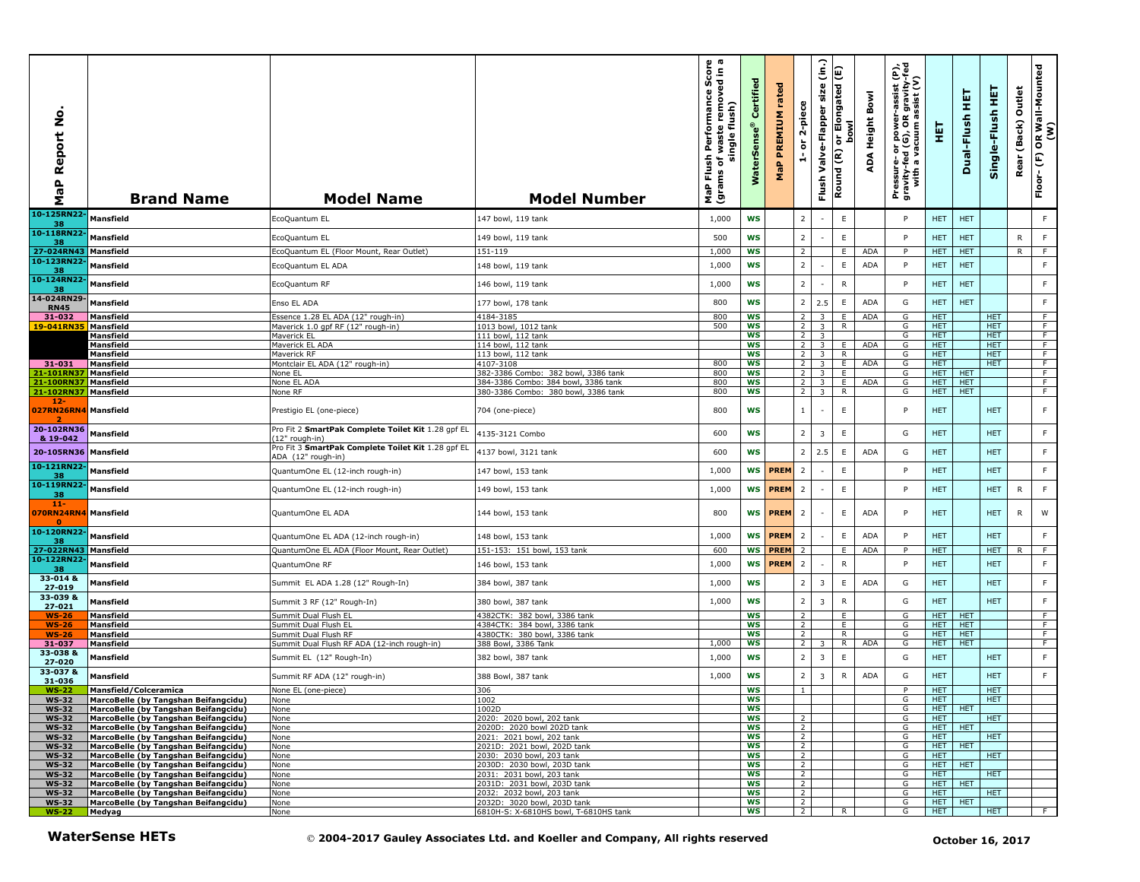| Report No<br>a<br>a<br>Σ                         | <b>Brand Name</b>                                                            | <b>Model Name</b>                                                        | <b>Model Number</b>                                                             | waste removed in a<br>single flush)<br>single flush)<br><b>Flush Performance</b><br>ms of waste remove<br>MaP Flu<br>(grams ( | Certified<br><b>WaterSens</b> | rated<br>PREMIUM<br>MaP | 2-piece<br>$\overleftarrow{\mathtt{o}}$<br>÷ | $\widehat{\mathsf{S}}$<br>size<br>Valve-Flapper<br>Flush | (Ε)<br>or Elongated<br>bowl<br>Round (R) | ADA Height Bowl | Pressure- or power-assist (P),<br>gravity-fed (G), OR gravity-fed<br>with a vacuum assist (V) | 真                        | 真<br>Dual-Flush          | 토<br>Single-Flush  | Outlet<br>Rear (Back) | OR Wall-Mounted<br>(W)<br>$Floor-(F)$ |
|--------------------------------------------------|------------------------------------------------------------------------------|--------------------------------------------------------------------------|---------------------------------------------------------------------------------|-------------------------------------------------------------------------------------------------------------------------------|-------------------------------|-------------------------|----------------------------------------------|----------------------------------------------------------|------------------------------------------|-----------------|-----------------------------------------------------------------------------------------------|--------------------------|--------------------------|--------------------|-----------------------|---------------------------------------|
| 10-125RN22<br>38                                 | Mansfield                                                                    | EcoQuantum EL                                                            | 147 bowl, 119 tank                                                              | 1,000                                                                                                                         | <b>WS</b>                     |                         | $\overline{2}$                               |                                                          | E                                        |                 | P                                                                                             | HET.                     | <b>HET</b>               |                    |                       | F.                                    |
| 10-118RN22-<br>38                                | <b>Mansfield</b>                                                             | EcoQuantum EL                                                            | 149 bowl, 119 tank                                                              | 500                                                                                                                           | <b>WS</b>                     |                         | $\overline{2}$                               |                                                          | $\mathsf E$                              |                 | P                                                                                             | <b>HET</b>               | <b>HET</b>               |                    | R                     | F                                     |
| 27-024RN43<br>10-123RN22                         | Mansfield                                                                    | EcoQuantum EL (Floor Mount, Rear Outlet)                                 | 151-119                                                                         | 1,000                                                                                                                         | <b>WS</b>                     |                         | 2                                            |                                                          | E.                                       | <b>ADA</b>      | P                                                                                             | <b>HET</b>               | <b>HET</b>               |                    | R                     | -F                                    |
| 38                                               | Mansfield                                                                    | EcoQuantum EL ADA                                                        | 148 bowl, 119 tank                                                              | 1,000                                                                                                                         | <b>WS</b>                     |                         | $\overline{2}$                               |                                                          | E                                        | <b>ADA</b>      | P                                                                                             | <b>HET</b>               | <b>HET</b>               |                    |                       | F                                     |
| 10-124RN22<br>38                                 | Mansfield                                                                    | EcoQuantum RF                                                            | 146 bowl, 119 tank                                                              | 1,000                                                                                                                         | <b>WS</b>                     |                         | $\overline{2}$                               |                                                          | ${\sf R}$                                |                 | P                                                                                             | HET.                     | <b>HET</b>               |                    |                       | F                                     |
| 14-024RN29-<br><b>RN45</b>                       | Mansfield                                                                    | Enso EL ADA                                                              | 177 bowl, 178 tank                                                              | 800                                                                                                                           | <b>WS</b>                     |                         | $\overline{2}$                               | 2.5                                                      | E                                        | <b>ADA</b>      | G                                                                                             | <b>HET</b>               | <b>HET</b>               |                    |                       | F                                     |
| 31-032                                           | Mansfield                                                                    | Essence 1.28 EL ADA (12" rough-in)                                       | 4184-3185                                                                       | 800                                                                                                                           | WS                            |                         | 2<br>$\overline{2}$                          | $\overline{\mathbf{3}}$                                  | E                                        | <b>ADA</b>      | G                                                                                             | <b>HET</b>               |                          | HET.<br><b>HET</b> |                       | F<br>$\overline{F}$                   |
| 19-041RN35                                       | <b>Mansfield</b><br><b>Mansfield</b>                                         | Maverick 1.0 qpf RF (12" rough-in)<br>Maverick EL                        | 1013 bowl, 1012 tank<br>111 bowl, 112 tank                                      | 500                                                                                                                           | <b>WS</b><br><b>WS</b>        |                         | $\overline{2}$                               | $\overline{3}$<br>$\overline{\mathbf{3}}$                | $\overline{R}$                           |                 | G<br>G                                                                                        | <b>HET</b><br><b>HET</b> |                          | <b>HET</b>         |                       | $\overline{F}$                        |
|                                                  | Mansfield                                                                    | Maverick EL ADA                                                          | 114 bowl, 112 tank                                                              |                                                                                                                               | <b>WS</b>                     |                         | 2 <sup>1</sup>                               | 3                                                        | E                                        | <b>ADA</b>      | G                                                                                             | HET.                     |                          | HET.               |                       | F                                     |
| 31-031                                           | <b>Mansfield</b><br><b>Mansfield</b>                                         | Maverick RF<br>Montclair EL ADA (12" rough-in)                           | 113 bowl, 112 tank<br>4107-3108                                                 | 800                                                                                                                           | WS<br><b>WS</b>               |                         | 2 <sup>1</sup><br>2 <sup>1</sup>             | 3<br>3                                                   | R<br>E.                                  | <b>ADA</b>      | G<br>G                                                                                        | HET.<br><b>HET</b>       |                          | HET.<br><b>HET</b> |                       | F<br>F.                               |
| 21-101RN3)                                       | <b>Mansfield</b>                                                             | None EL                                                                  | 382-3386 Combo: 382 bowl, 3386 tank                                             | 800                                                                                                                           | <b>WS</b>                     |                         | 2 <sup>1</sup>                               | 3                                                        | E                                        |                 | G                                                                                             | HET.                     | <b>HET</b>               |                    |                       | F.                                    |
| 21-100RN37                                       | <b>Mansfield</b>                                                             | None EL ADA                                                              | 384-3386 Combo: 384 bowl, 3386 tank                                             | 800                                                                                                                           | WS                            |                         | 2 <sup>1</sup>                               | 3                                                        | E                                        | <b>ADA</b>      | G                                                                                             | HET.                     | <b>HET</b>               |                    |                       | F                                     |
| 21-102RN37<br>$12-$<br>027RN26RN4 Mansfield<br>2 | Mansfield                                                                    | None RF<br>Prestigio EL (one-piece)                                      | 380-3386 Combo: 380 bowl, 3386 tank<br>704 (one-piece)                          | 800<br>800                                                                                                                    | <b>WS</b><br>WS               |                         | $\overline{2}$<br>$\langle 1 \rangle$        | $\overline{3}$                                           | $\overline{R}$<br>E                      |                 | G<br>P                                                                                        | <b>HET</b><br><b>HET</b> | <b>HET</b>               | <b>HET</b>         |                       | F<br>F                                |
| 20-102RN36<br>& 19-042                           | Mansfield                                                                    | Pro Fit 2 SmartPak Complete Toilet Kit 1.28 gpf EL<br>(12" rough-in)     | 4135-3121 Combo                                                                 | 600                                                                                                                           | ws                            |                         | $\overline{2}$                               | 3                                                        | E                                        |                 | G                                                                                             | <b>HET</b>               |                          | <b>HET</b>         |                       | F.                                    |
| 20-105RN36                                       | Mansfield                                                                    | Pro Fit 3 SmartPak Complete Toilet Kit 1.28 qpf EL<br>ADA (12" rough-in) | 4137 bowl, 3121 tank                                                            | 600                                                                                                                           | <b>WS</b>                     |                         | $\overline{2}$                               | 2.5                                                      | E                                        | <b>ADA</b>      | G                                                                                             | <b>HET</b>               |                          | <b>HET</b>         |                       | F                                     |
| 10-121RN22<br>38                                 | Mansfield                                                                    | QuantumOne EL (12-inch rough-in)                                         | 147 bowl, 153 tank                                                              | 1,000                                                                                                                         | <b>WS</b>                     | <b>PREM</b>             | $\overline{2}$                               |                                                          | $\mathsf E$                              |                 | P                                                                                             | <b>HET</b>               |                          | <b>HET</b>         |                       | F.                                    |
| 10-119RN22<br>38                                 | Mansfield                                                                    | QuantumOne EL (12-inch rough-in)                                         | 149 bowl, 153 tank                                                              | 1,000                                                                                                                         | <b>WS</b>                     | <b>PREM</b>             | $\overline{2}$                               |                                                          | $\mathsf E$                              |                 | P                                                                                             | <b>HET</b>               |                          | <b>HET</b>         | R                     | F                                     |
| $11 -$<br>070RN24RN4<br>$\mathbf{a}$             | Mansfield                                                                    | QuantumOne EL ADA                                                        | 144 bowl, 153 tank                                                              | 800                                                                                                                           | WS                            | <b>PREM</b>             | $\overline{2}$                               |                                                          | $\mathsf E$                              | <b>ADA</b>      | P                                                                                             | <b>HET</b>               |                          | <b>HET</b>         | R                     | W                                     |
| 10-120RN22<br>38                                 | Mansfield                                                                    | QuantumOne EL ADA (12-inch rough-in)                                     | 148 bowl, 153 tank                                                              | 1,000                                                                                                                         | WS                            | <b>PREM</b>             | $\overline{2}$                               |                                                          | E                                        | <b>ADA</b>      | P                                                                                             | <b>HET</b>               |                          | <b>HET</b>         |                       | F                                     |
| 27-022RN43                                       | Mansfield                                                                    | QuantumOne EL ADA (Floor Mount, Rear Outlet)                             | 151-153: 151 bowl, 153 tank                                                     | 600                                                                                                                           | WS                            | <b>PREM</b>             | 2                                            |                                                          | E                                        | <b>ADA</b>      | P                                                                                             | HET.                     |                          | HET.               | R.                    | F                                     |
| 10-122RN22<br>38                                 | Mansfield                                                                    | QuantumOne RF                                                            | 146 bowl, 153 tank                                                              | 1,000                                                                                                                         | <b>WS</b>                     | <b>PREM</b>             | $\overline{2}$                               |                                                          | $\mathsf{R}$                             |                 | P                                                                                             | <b>HET</b>               |                          | <b>HET</b>         |                       | F                                     |
| 33-014 &<br>27-019                               | Mansfield                                                                    | Summit EL ADA 1.28 (12" Rough-In)                                        | 384 bowl, 387 tank                                                              | 1,000                                                                                                                         | <b>WS</b>                     |                         | $\overline{2}$                               | $\overline{3}$                                           | E                                        | <b>ADA</b>      | G                                                                                             | <b>HET</b>               |                          | <b>HET</b>         |                       | F.                                    |
| 33-039 &<br>27-021                               | Mansfield                                                                    | Summit 3 RF (12" Rough-In)                                               | 380 bowl, 387 tank                                                              | 1,000                                                                                                                         | <b>WS</b>                     |                         | $\overline{2}$                               | $\overline{\mathbf{3}}$                                  | ${\sf R}$                                |                 | G                                                                                             | <b>HET</b>               |                          | <b>HET</b>         |                       | $\mathsf F$                           |
| $WS-26$<br><b>WS-26</b>                          | <b>Mansfield</b><br>Mansfield                                                | Summit Dual Flush EL<br>Summit Dual Flush EL                             | 4382CTK: 382 bowl, 3386 tank<br>4384CTK: 384 bowl, 3386 tank                    |                                                                                                                               | <b>WS</b><br>ws               |                         | 2<br>$\overline{2}$                          |                                                          | E.<br>E                                  |                 | G<br>G                                                                                        | HET.<br>HET.             | <b>HET</b><br><b>HET</b> |                    |                       | F<br>F                                |
| <b>WS-26</b>                                     | Mansfield                                                                    | Summit Dual Flush RF                                                     | 4380CTK: 380 bowl, 3386 tank                                                    |                                                                                                                               | WS                            |                         | $\overline{2}$                               |                                                          | $\overline{R}$                           |                 | G                                                                                             | HET.                     | <b>HET</b>               |                    |                       | F.                                    |
| 31-037                                           | <b>Mansfield</b>                                                             | Summit Dual Flush RF ADA (12-inch rough-in)                              | 388 Bowl, 3386 Tank                                                             | 1,000                                                                                                                         | <b>WS</b>                     |                         | 2 <sup>1</sup>                               | 3                                                        | R                                        | <b>ADA</b>      | G                                                                                             | HET                      | <b>HET</b>               |                    |                       | F.                                    |
| 33-038 &<br>27-020<br>33-037 &                   | Mansfield                                                                    | Summit EL (12" Rough-In)                                                 | 382 bowl, 387 tank                                                              | 1,000                                                                                                                         | WS                            |                         | $\overline{2}$                               | 3                                                        | $\mathsf E$                              |                 | G                                                                                             | <b>HET</b>               |                          | <b>HET</b>         |                       | F                                     |
| 31-036                                           | Mansfield                                                                    | Summit RF ADA (12" rough-in)                                             | 388 Bowl, 387 tank                                                              | 1,000                                                                                                                         | WS                            |                         | $\overline{2}$                               | 3                                                        | ${\sf R}$                                | <b>ADA</b>      | G                                                                                             | <b>HET</b>               |                          | <b>HET</b>         |                       | $\mathsf F$                           |
| <b>WS-22</b><br><b>WS-32</b>                     | <b>Mansfield/Colceramica</b><br>MarcoBelle (by Tangshan Beifangcidu)         | None EL (one-piece)<br>None                                              | 306<br>1002                                                                     |                                                                                                                               | <b>WS</b><br>ws               |                         | $\mathbf{1}$                                 |                                                          |                                          |                 | P<br>G                                                                                        | HET.<br>HEI              |                          | HET.<br>HEI        |                       |                                       |
| <b>WS-32</b>                                     | MarcoBelle (by Tangshan Beifangcidu)                                         | None                                                                     | 1002D                                                                           |                                                                                                                               | WS                            |                         |                                              |                                                          |                                          |                 | G                                                                                             | HET                      | <b>HET</b>               |                    |                       |                                       |
| <b>WS-32</b>                                     | MarcoBelle (by Tangshan Beifangcidu)                                         | None                                                                     | 2020: 2020 bowl, 202 tank                                                       |                                                                                                                               | ws                            |                         | 2                                            |                                                          |                                          |                 | G                                                                                             | <b>HET</b>               |                          | HET.               |                       |                                       |
| <b>WS-32</b>                                     | MarcoBelle (by Tangshan Beifangcidu)                                         | None                                                                     | 2020D: 2020 bowl 202D tank<br>2021: 2021 bowl, 202 tank                         |                                                                                                                               | ws                            |                         | 2<br>$\overline{2}$                          |                                                          |                                          |                 | G                                                                                             | HET                      | <b>HET</b>               | <b>HET</b>         |                       |                                       |
| <b>WS-32</b><br><b>WS-32</b>                     | MarcoBelle (by Tangshan Beifangcidu)<br>MarcoBelle (by Tangshan Beifangcidu) | None<br>None                                                             | 2021D: 2021 bowl, 202D tank                                                     |                                                                                                                               | WS<br>ws                      |                         | $\overline{2}$                               |                                                          |                                          |                 | G<br>G                                                                                        | HET.<br>HET              | HET.                     |                    |                       |                                       |
| <b>WS-32</b>                                     | MarcoBelle (by Tangshan Beifangcidu)                                         | None                                                                     | 2030: 2030 bowl, 203 tank                                                       |                                                                                                                               | WS                            |                         | $\overline{2}$                               |                                                          |                                          |                 | G                                                                                             | <b>HET</b>               |                          | <b>HET</b>         |                       |                                       |
| <b>WS-32</b>                                     | MarcoBelle (by Tangshan Beifangcidu)                                         | None                                                                     | 2030D: 2030 bowl, 203D tank                                                     |                                                                                                                               | ws                            |                         | $\overline{2}$                               |                                                          |                                          |                 | G                                                                                             | <b>HET</b>               | <b>HET</b>               |                    |                       |                                       |
| <b>WS-32</b><br><b>WS-32</b>                     | MarcoBelle (by Tangshan Beifangcidu)<br>MarcoBelle (by Tangshan Beifangcidu) | None<br>None                                                             | 2031: 2031 bowl, 203 tank<br>2031D: 2031 bowl, 203D tank                        |                                                                                                                               | WS<br>WS                      |                         | 2<br>$\overline{2}$                          |                                                          |                                          |                 | G<br>G                                                                                        | HET.<br><b>HET</b>       | <b>HET</b>               | HET.               |                       |                                       |
| <b>WS-32</b>                                     | MarcoBelle (by Tangshan Beifangcidu)                                         | None                                                                     | 2032: 2032 bowl, 203 tank                                                       |                                                                                                                               | WS                            |                         | $\overline{2}$                               |                                                          |                                          |                 | G                                                                                             | <b>HET</b>               |                          | <b>HET</b>         |                       |                                       |
| <b>WS-32</b>                                     | MarcoBelle (by Tangshan Beifangcidu)                                         | None                                                                     | 2032D: 3020 bowl, 203D tank                                                     |                                                                                                                               | ws                            |                         | $\overline{2}$                               |                                                          |                                          |                 | G                                                                                             | HET                      | HET                      |                    |                       |                                       |
| <b>WS-22</b>                                     | Medyag                                                                       | None                                                                     | 6810H-S: X-6810HS bowl, T-6810HS tank                                           |                                                                                                                               | WS                            |                         | $\overline{2}$                               |                                                          | R                                        |                 | G                                                                                             | <b>HET</b>               |                          | <b>HET</b>         |                       | F.                                    |
|                                                  | <b>WaterSense HETs</b>                                                       |                                                                          | © 2004-2017 Gauley Associates Ltd. and Koeller and Company, All rights reserved |                                                                                                                               |                               |                         |                                              |                                                          |                                          |                 |                                                                                               |                          |                          | October 16, 2017   |                       |                                       |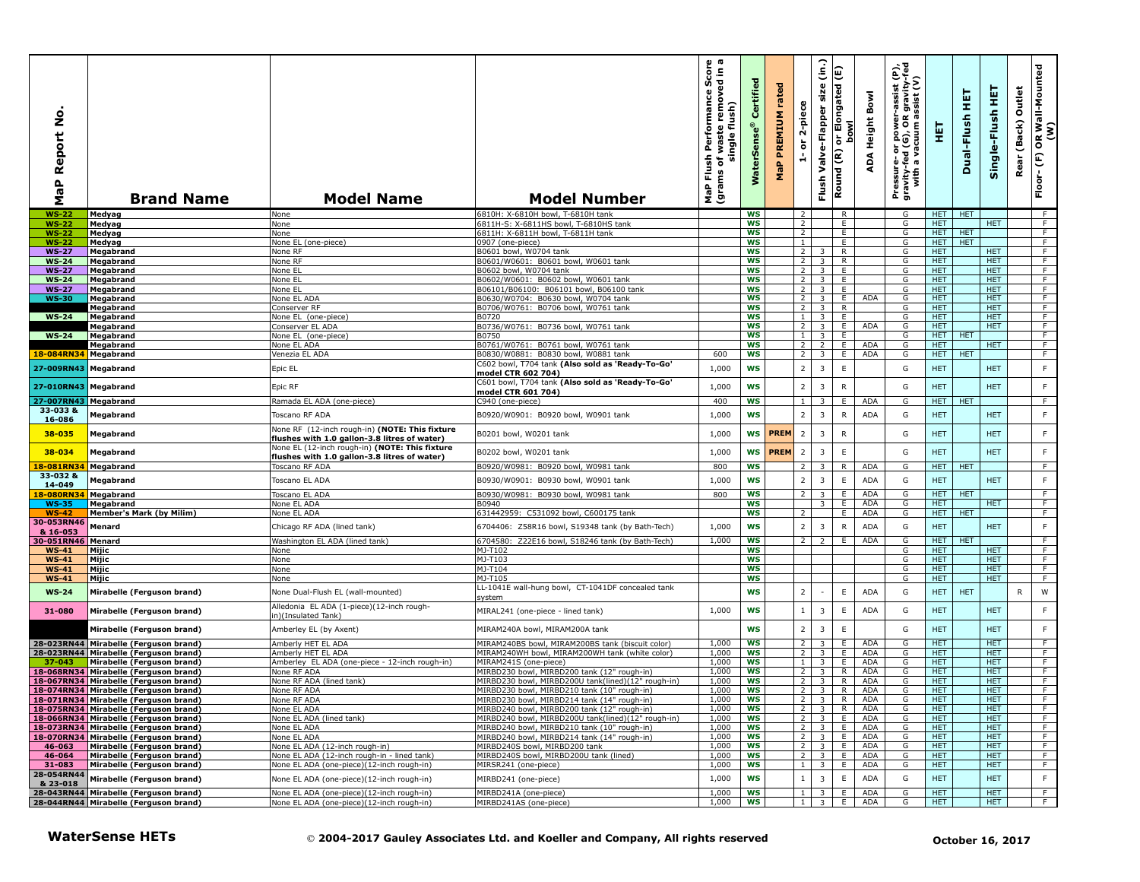| ş<br>Report<br>Ф<br>Σ   | <b>Brand Name</b>                                                   | <b>Model Name</b>                                                                              | <b>Model Number</b>                                                                                       | $\omega$ $\varpi$<br>르 휴<br>rmance Sco<br>removed in<br>Performan<br>flush)<br>waste<br>single<br>Flush<br>৳<br>(grams<br>NaP | Certified<br>rSens<br>Water | rated<br><b>PREMIUM</b><br>$\mathbf{a}_i$<br>운 | 2-piece<br>$\overleftarrow{\mathtt{o}}$<br>÷ | (in.)<br>size<br>Valve-Flapper<br>Flush   | or Elongated (E)<br><b>bowl</b><br>Round (R) | Bowl<br>Height<br>∢<br>ą | er-assist (P),<br>)R gravity-fed<br>) assist (V)<br>Pressure- or power--<br>gravity-fed (G), OR g<br>with a vacuum as | 틯                        | 뚶<br>Dual-Flush  | 뜊<br>Single-Flush        | Outlet<br>(Back)<br>Rear | R Wall-Mounted<br>(W)<br>$\mathbf{g}$<br>$\mathop{\mathbb{E}}$<br>Floor- |
|-------------------------|---------------------------------------------------------------------|------------------------------------------------------------------------------------------------|-----------------------------------------------------------------------------------------------------------|-------------------------------------------------------------------------------------------------------------------------------|-----------------------------|------------------------------------------------|----------------------------------------------|-------------------------------------------|----------------------------------------------|--------------------------|-----------------------------------------------------------------------------------------------------------------------|--------------------------|------------------|--------------------------|--------------------------|--------------------------------------------------------------------------|
| <b>WS-22</b>            | Medyag                                                              | None                                                                                           | 6810H: X-6810H bowl, T-6810H tank                                                                         |                                                                                                                               | WS                          |                                                | 2                                            |                                           | R.                                           |                          | G                                                                                                                     | <b>HET</b>               | HET              |                          |                          | - F                                                                      |
| <b>WS-22</b>            | Medyag                                                              | None                                                                                           | 6811H-S: X-6811HS bowl, T-6810HS tank                                                                     |                                                                                                                               | WS                          |                                                | 2                                            |                                           | Ε.                                           |                          | G                                                                                                                     | HET.                     |                  | HET.                     |                          | F.                                                                       |
| <b>WS-22</b>            | Medyag                                                              | None                                                                                           | 6811H: X-6811H bowl, T-6811H tank                                                                         |                                                                                                                               | WS                          |                                                | $\overline{2}$                               |                                           | Ε.                                           |                          | G                                                                                                                     | HET.                     | <b>HET</b>       |                          |                          | $\overline{F}$                                                           |
| $WS-22$<br><b>WS-27</b> | Medyag<br>Megabrand                                                 | None EL (one-piece)<br>None RF                                                                 | 0907 (one-piece)<br>B0601 bowl, W0704 tank                                                                |                                                                                                                               | <b>WS</b><br><b>WS</b>      |                                                | $\mathbf{1}$<br>2                            |                                           | E<br>R                                       |                          | G<br>G                                                                                                                | HET.<br><b>HET</b>       | <b>HET</b>       | HET.                     |                          | F<br>F                                                                   |
| <b>WS-24</b>            | Megabrand                                                           | None RF                                                                                        | B0601/W0601: B0601 bowl, W0601 tank                                                                       |                                                                                                                               | ws                          |                                                | $\overline{2}$                               | $\overline{3}$                            | R                                            |                          | G                                                                                                                     | <b>HET</b>               |                  | <b>HET</b>               |                          | $\overline{F}$                                                           |
| <b>WS-27</b>            | Megabrand                                                           | None EL                                                                                        | B0602 bowl, W0704 tank                                                                                    |                                                                                                                               | <b>WS</b>                   |                                                | $\overline{2}$                               | $\overline{3}$                            | E                                            |                          | G                                                                                                                     | <b>HET</b>               |                  | <b>HET</b>               |                          | F                                                                        |
| $WS-24$                 | Megabrand                                                           | None EL                                                                                        | B0602/W0601: B0602 bowl, W0601 tank                                                                       |                                                                                                                               | ws                          |                                                | 2                                            | 3 <sup>1</sup>                            | E                                            |                          | G                                                                                                                     | HET.                     |                  | <b>HET</b>               |                          | F                                                                        |
| <b>WS-27</b>            | Megabrand                                                           | None EL                                                                                        | B06101/B06100: B06101 bowl, B06100 tank                                                                   |                                                                                                                               | WS                          |                                                | $\overline{2}$                               | $\overline{\mathbf{3}}$                   | E                                            |                          | G                                                                                                                     | <b>HET</b>               |                  | <b>HET</b>               |                          | F                                                                        |
| <b>WS-30</b>            | Megabrand                                                           | None EL ADA                                                                                    | B0630/W0704: B0630 bowl, W0704 tank                                                                       |                                                                                                                               | ws<br><b>WS</b>             |                                                | 2 <sub>1</sub>                               | $\overline{\mathbf{3}}$                   | E.<br>R                                      | ADA                      | G<br>G                                                                                                                | <b>HET</b><br>HET.       |                  | <b>HET</b><br><b>HET</b> |                          | $\overline{F}$<br>F                                                      |
| <b>WS-24</b>            | Megabrand<br>Megabrand                                              | Conserver RF<br>None EL (one-piece)                                                            | B0706/W0761: B0706 bowl, W0761 tank<br>B0720                                                              |                                                                                                                               | <b>WS</b>                   |                                                | $\overline{2}$<br>$\mathbf{1}$               | 3 <sup>1</sup><br>$\overline{3}$          | Ε.                                           |                          | G                                                                                                                     | HET.                     |                  | <b>HET</b>               |                          | F                                                                        |
|                         | Megabrand                                                           | Conserver EL ADA                                                                               | B0736/W0761: B0736 bowl, W0761 tank                                                                       |                                                                                                                               | <b>WS</b>                   |                                                | $\overline{2}$                               | $\overline{\mathbf{3}}$                   | E                                            | ADA                      | G                                                                                                                     | <b>HET</b>               |                  | <b>HET</b>               |                          | F                                                                        |
| $WS-24$                 | Megabrand                                                           | None EL (one-piece)                                                                            | B0750                                                                                                     |                                                                                                                               | <b>WS</b>                   |                                                | $\mathbf{1}$                                 | $\overline{3}$                            | Ε                                            |                          | G                                                                                                                     | <b>HET</b>               | <b>HET</b>       |                          |                          | F                                                                        |
|                         | Megabrand                                                           | None EL ADA                                                                                    | B0761/W0761: B0761 bowl, W0761 tank                                                                       |                                                                                                                               | <b>WS</b>                   |                                                | 2                                            | $\overline{2}$                            | E.                                           | <b>ADA</b>               | G                                                                                                                     | HET.                     |                  | HET.                     |                          | F                                                                        |
| 18-084RN34 Megabrand    |                                                                     | Venezia EL ADA                                                                                 | B0830/W0881: B0830 bowl, W0881 tank                                                                       | 600                                                                                                                           | WS                          |                                                | $\overline{2}$                               | $\overline{3}$                            | E                                            | ADA                      | G                                                                                                                     | <b>HET</b>               | <b>HET</b>       |                          |                          | F                                                                        |
| 27-009RN43 Megabrand    |                                                                     | Epic EL                                                                                        | C602 bowl, T704 tank (Also sold as 'Ready-To-Go'                                                          | 1,000                                                                                                                         | <b>WS</b>                   |                                                | $\overline{2}$                               | $\overline{3}$                            | $\mathsf E$                                  |                          | G                                                                                                                     | <b>HET</b>               |                  | <b>HET</b>               |                          | $\mathsf F$                                                              |
|                         |                                                                     |                                                                                                | model CTR 602 704)<br>C601 bowl, T704 tank (Also sold as 'Ready-To-Go'                                    |                                                                                                                               |                             |                                                |                                              |                                           |                                              |                          |                                                                                                                       |                          |                  |                          |                          |                                                                          |
| 27-010RN43 Megabrand    |                                                                     | Epic RF                                                                                        | model CTR 601 704)                                                                                        | 1,000                                                                                                                         | <b>WS</b>                   |                                                | $\overline{2}$                               | $\overline{3}$                            | $\mathsf{R}$                                 |                          | G                                                                                                                     | <b>HET</b>               |                  | <b>HET</b>               |                          | F                                                                        |
| 27-007RN43 Megabrand    |                                                                     | Ramada EL ADA (one-piece)                                                                      | C940 (one-piece)                                                                                          | 400                                                                                                                           | <b>WS</b>                   |                                                | $\mathbf{1}$                                 | 3                                         | E                                            | <b>ADA</b>               | G                                                                                                                     | <b>HET</b>               | <b>HET</b>       |                          |                          | F                                                                        |
| 33-033 &                | Megabrand                                                           | Toscano RF ADA                                                                                 | B0920/W0901: B0920 bowl, W0901 tank                                                                       | 1,000                                                                                                                         | <b>WS</b>                   |                                                | $\overline{2}$                               | $\overline{3}$                            | $\mathsf{R}$                                 | <b>ADA</b>               | G                                                                                                                     | <b>HET</b>               |                  | <b>HET</b>               |                          | $\mathsf F$                                                              |
| 16-086                  |                                                                     |                                                                                                |                                                                                                           |                                                                                                                               |                             |                                                |                                              |                                           |                                              |                          |                                                                                                                       |                          |                  |                          |                          |                                                                          |
| 38-035                  | Megabrand                                                           | None RF (12-inch rough-in) (NOTE: This fixture                                                 | B0201 bowl, W0201 tank                                                                                    | 1,000                                                                                                                         | <b>WS</b>                   | <b>PREM</b>                                    | $\overline{2}$                               | 3                                         | $\mathsf{R}$                                 |                          | G                                                                                                                     | <b>HET</b>               |                  | <b>HET</b>               |                          | $\mathsf F$                                                              |
|                         |                                                                     | flushes with 1.0 gallon-3.8 litres of water)<br>None EL (12-inch rough-in) (NOTE: This fixture |                                                                                                           |                                                                                                                               |                             |                                                |                                              |                                           |                                              |                          |                                                                                                                       |                          |                  |                          |                          |                                                                          |
| 38-034                  | Megabrand                                                           | flushes with 1.0 gallon-3.8 litres of water)                                                   | B0202 bowl, W0201 tank                                                                                    | 1,000                                                                                                                         | <b>WS</b>                   | <b>PREM</b>                                    | $\overline{2}$                               | $\overline{3}$                            | $\mathsf E$                                  |                          | G                                                                                                                     | <b>HET</b>               |                  | <b>HET</b>               |                          | $\mathsf F$                                                              |
| 18-081RN34              | Megabrand                                                           | Toscano RF ADA                                                                                 | B0920/W0981: B0920 bowl, W0981 tank                                                                       | 800                                                                                                                           | WS                          |                                                | $\overline{2}$                               | 3                                         | R                                            | ADA                      | G                                                                                                                     | <b>HET</b>               | <b>HET</b>       |                          |                          | F.                                                                       |
| 33-032 &                | Megabrand                                                           | Toscano EL ADA                                                                                 | B0930/W0901: B0930 bowl, W0901 tank                                                                       | 1,000                                                                                                                         | <b>WS</b>                   |                                                | $\overline{2}$                               | $\overline{3}$                            | $\mathsf E$                                  | ADA                      | G                                                                                                                     | <b>HET</b>               |                  | <b>HET</b>               |                          | $\mathsf F$                                                              |
| 14-049                  |                                                                     |                                                                                                |                                                                                                           |                                                                                                                               |                             |                                                |                                              |                                           |                                              |                          |                                                                                                                       |                          |                  |                          |                          |                                                                          |
| 18-080RN34              | Megabrand                                                           | Toscano EL ADA                                                                                 | B0930/W0981: B0930 bowl, W0981 tank                                                                       | 800                                                                                                                           | <b>WS</b><br><b>WS</b>      |                                                | $\mathcal{L}$                                | $\overline{3}$<br>3                       | E.                                           | ADA<br><b>ADA</b>        | G                                                                                                                     | HET   HET                |                  | <b>HET</b>               |                          | F.<br>F                                                                  |
| <b>WS-35</b><br>$WS-42$ | Megabrand<br><b>Member's Mark (by Milim)</b>                        | None EL ADA<br>None EL ADA                                                                     | B0940<br>631442959: C531092 bowl, C600175 tank                                                            |                                                                                                                               | ws                          |                                                | $\overline{2}$                               |                                           | E<br>E.                                      | <b>ADA</b>               | G<br>G                                                                                                                | <b>HET</b><br>HET        | <b>HET</b>       |                          |                          | F                                                                        |
| 30-053RN46              |                                                                     |                                                                                                |                                                                                                           |                                                                                                                               |                             |                                                |                                              |                                           |                                              |                          |                                                                                                                       |                          |                  |                          |                          |                                                                          |
| & 16-053                | Menard                                                              | Chicago RF ADA (lined tank)                                                                    | 6704406: Z58R16 bowl, S19348 tank (by Bath-Tech)                                                          | 1,000                                                                                                                         | <b>WS</b>                   |                                                | $\overline{2}$                               | 3                                         | R                                            | ADA                      | G                                                                                                                     | <b>HET</b>               |                  | <b>HET</b>               |                          | F                                                                        |
| 30-051RN46 Menard       |                                                                     | Washington EL ADA (lined tank)                                                                 | 6704580: Z22E16 bowl, S18246 tank (by Bath-Tech)                                                          | 1,000                                                                                                                         | <b>WS</b>                   |                                                | 2                                            | $\mathcal{L}$                             | E                                            | <b>ADA</b>               | G                                                                                                                     | <b>HET</b>               | <b>HET</b>       |                          |                          | F.                                                                       |
| <b>WS-41</b>            | Mijic                                                               | None                                                                                           | MJ-T102                                                                                                   |                                                                                                                               | <b>WS</b>                   |                                                |                                              |                                           |                                              |                          | G                                                                                                                     | <b>HET</b>               |                  | <b>HET</b>               |                          | F                                                                        |
| $WS-41$<br><b>WS-41</b> | Mijic<br>Mijic                                                      | None<br>None                                                                                   | MJ-T103<br>MJ-T104                                                                                        |                                                                                                                               | <b>WS</b><br><b>WS</b>      |                                                |                                              |                                           |                                              |                          | G<br>G                                                                                                                | <b>HET</b><br><b>HET</b> |                  | <b>HET</b><br><b>HET</b> |                          | $\overline{F}$<br>F                                                      |
| $WS-41$                 | Mijic                                                               | None                                                                                           | MJ-T105                                                                                                   |                                                                                                                               | <b>WS</b>                   |                                                |                                              |                                           |                                              |                          | G                                                                                                                     | HET.                     |                  | HET.                     |                          | F                                                                        |
|                         |                                                                     |                                                                                                | LL-1041E wall-hung bowl, CT-1041DF concealed tank                                                         |                                                                                                                               |                             |                                                |                                              |                                           |                                              |                          |                                                                                                                       |                          |                  |                          |                          |                                                                          |
| <b>WS-24</b>            | Mirabelle (Ferguson brand)                                          | None Dual-Flush EL (wall-mounted)                                                              | system                                                                                                    |                                                                                                                               | <b>WS</b>                   |                                                | $\overline{2}$                               |                                           | $\mathsf E$                                  | ADA                      | G                                                                                                                     | HET.                     | <b>HET</b>       |                          | R                        | ${\sf W}$                                                                |
| 31-080                  | Mirabelle (Ferguson brand)                                          | Alledonia EL ADA (1-piece)(12-inch rough-                                                      | MIRAL241 (one-piece - lined tank)                                                                         | 1,000                                                                                                                         | WS                          |                                                | $\mathbf{1}$                                 | 3                                         | E                                            | ADA                      | G                                                                                                                     | <b>HET</b>               |                  | <b>HET</b>               |                          | $\mathsf F$                                                              |
|                         |                                                                     | n)(Insulated Tank)                                                                             |                                                                                                           |                                                                                                                               |                             |                                                |                                              |                                           |                                              |                          |                                                                                                                       |                          |                  |                          |                          |                                                                          |
|                         | Mirabelle (Ferguson brand)                                          | Amberley EL (by Axent)                                                                         | MIRAM240A bowl, MIRAM200A tank                                                                            |                                                                                                                               | <b>WS</b>                   |                                                | $\overline{2}$                               | $\overline{3}$                            | $\mathsf E$                                  |                          | G                                                                                                                     | <b>HET</b>               |                  | <b>HET</b>               |                          | $\mathsf F$                                                              |
|                         | 28-023RN44 Mirabelle (Ferguson brand)                               | Amberly HET EL ADA                                                                             | MIRAM240BS bowl, MIRAM200BS tank (biscuit color)                                                          | 1,000                                                                                                                         | <b>WS</b>                   |                                                | $\overline{2}$                               | 3                                         | E                                            | <b>ADA</b>               | G                                                                                                                     | HET.                     |                  | <b>HET</b>               |                          | F                                                                        |
|                         | 28-023RN44 Mirabelle (Ferguson brand)                               | Amberly HET EL ADA                                                                             | MIRAM240WH bowl, MIRAM200WH tank (white color)                                                            | 1,000                                                                                                                         | WS                          |                                                | $\overline{2}$                               | 3                                         | E.                                           | ADA                      | G                                                                                                                     | <b>HET</b>               |                  | <b>HET</b>               |                          | F.                                                                       |
| 37-043                  | Mirabelle (Ferguson brand)                                          | Amberley EL ADA (one-piece - 12-inch rough-in)                                                 | MIRAM241S (one-piece)                                                                                     | 1.000                                                                                                                         | <b>WS</b>                   |                                                | $\mathbf{1}$                                 | $\overline{3}$                            | E                                            | <b>ADA</b>               | G                                                                                                                     | <b>HET</b>               |                  | <b>HET</b>               |                          | F                                                                        |
| 18-068RN34              | Mirabelle (Ferguson brand)<br>18-067RN34 Mirabelle (Ferguson brand) | None RF ADA<br>None RF ADA (lined tank)                                                        | MIRBD230 bowl, MIRBD200 tank (12" rough-in)<br>MIRBD230 bowl, MIRBD200U tank(lined)(12" rough-in)         | 1,000<br>1,000                                                                                                                | <b>WS</b><br><b>WS</b>      |                                                | 2<br>$\overline{2}$                          | $\overline{\mathbf{3}}$<br>$\overline{3}$ | $\mathsf{R}$<br>$\mathsf{R}$                 | ADA<br><b>ADA</b>        | G<br>G                                                                                                                | HET<br><b>HET</b>        |                  | <b>HET</b><br><b>HET</b> |                          | F<br>F                                                                   |
|                         | 18-074RN34 Mirabelle (Ferguson brand)                               | None RF ADA                                                                                    | MIRBD230 bowl, MIRBD210 tank (10" rough-in)                                                               | 1,000                                                                                                                         | WS                          |                                                | 2 <sup>1</sup>                               | 3 <sup>7</sup>                            | R                                            | <b>ADA</b>               | G                                                                                                                     | HET.                     |                  | HET.                     |                          | F.                                                                       |
|                         | 18-071RN34 Mirabelle (Ferguson brand)                               | None RF ADA                                                                                    | MIRBD230 bowl, MIRBD214 tank (14" rough-in)                                                               | 1,000                                                                                                                         | l WS                        |                                                |                                              |                                           |                                              | 3 K ADA                  | G                                                                                                                     | HEI                      |                  | HEI                      |                          |                                                                          |
|                         | 18-075RN34 Mirabelle (Ferguson brand)                               | None EL ADA                                                                                    | MIRBD240 bowl, MIRBD200 tank (12" rough-in)                                                               | 1,000                                                                                                                         | WS                          |                                                |                                              |                                           |                                              | 2 3 R ADA                | G                                                                                                                     | <b>HET</b>               |                  | <b>HET</b>               |                          | F                                                                        |
|                         | 18-066RN34 Mirabelle (Ferguson brand)                               | None EL ADA (lined tank)                                                                       | MIRBD240 bowl, MIRBD200U tank(lined)(12" rough-in)                                                        | 1,000                                                                                                                         | ws                          |                                                |                                              |                                           |                                              | $2 \quad 3 \quad E$ ADA  | G                                                                                                                     | HET.                     |                  | <b>HET</b>               |                          | F                                                                        |
|                         | 18-073RN34 Mirabelle (Ferguson brand)                               | None EL ADA                                                                                    | MIRBD240 bowl, MIRBD210 tank (10" rough-in)                                                               | 1,000                                                                                                                         | ws                          |                                                |                                              |                                           |                                              | $2$ 3 E ADA              | G                                                                                                                     | HET.                     |                  | <b>HET</b>               |                          | $-F$                                                                     |
|                         | 18-070RN34 Mirabelle (Ferguson brand)                               | None EL ADA                                                                                    | MIRBD240 bowl, MIRBD214 tank (14" rough-in)                                                               | 1,000                                                                                                                         | WS<br>ws                    |                                                |                                              | $2 \mid 3 \mid E$<br>$2 \quad 3 \quad E$  |                                              | ADA<br>ADA               | G                                                                                                                     | HET.<br>HET.             |                  | <b>HET</b><br><b>HET</b> |                          | F<br>F                                                                   |
| 46-063<br>46-064        | Mirabelle (Ferguson brand)<br>Mirabelle (Ferguson brand)            | None EL ADA (12-inch rough-in)<br>None EL ADA (12-inch rough-in - lined tank)                  | MIRBD240S bowl, MIRBD200 tank<br>MIRBD240S bowl, MIRBD200U tank (lined)                                   | 1,000<br>1,000                                                                                                                | ws                          |                                                |                                              | $2 \quad 3 \quad E$                       |                                              | ADA                      | G<br>G                                                                                                                | HET.                     |                  | HET.                     |                          | F                                                                        |
| 31-083                  | Mirabelle (Ferguson brand)                                          | None EL ADA (one-piece)(12-inch rough-in)                                                      | MIRSR241 (one-piece)                                                                                      | 1,000                                                                                                                         | ws                          |                                                |                                              | $1 \quad 3 \quad E$                       |                                              | ADA                      | G                                                                                                                     | <b>HET</b>               |                  | <b>HET</b>               |                          | ਾ                                                                        |
| 28-054RN44              |                                                                     |                                                                                                |                                                                                                           |                                                                                                                               | <b>WS</b>                   |                                                | $\mathbf{1}$                                 |                                           | E                                            |                          | G                                                                                                                     |                          |                  | <b>HET</b>               |                          | $\mathsf F$                                                              |
| & 23-018                | Mirabelle (Ferguson brand)                                          | None EL ADA (one-piece)(12-inch rough-in)                                                      | MIRBD241 (one-piece)                                                                                      | 1,000                                                                                                                         |                             |                                                |                                              | $\overline{\mathbf{3}}$                   |                                              | <b>ADA</b>               |                                                                                                                       | HET                      |                  |                          |                          |                                                                          |
|                         | 28-043RN44 Mirabelle (Ferguson brand)                               | None EL ADA (one-piece)(12-inch rough-in)                                                      | MIRBD241A (one-piece)                                                                                     | 1,000                                                                                                                         | WS                          |                                                | $\overline{1}$                               | $\overline{\mathbf{3}}$                   | E                                            | ADA                      | G                                                                                                                     | <b>HET</b><br><b>HET</b> |                  | <b>HET</b>               |                          | ਾਸ<br>$\overline{F}$                                                     |
|                         | 28-044RN44 Mirabelle (Ferguson brand)<br><b>WaterSense HETs</b>     | None EL ADA (one-piece)(12-inch rough-in)                                                      | MIRBD241AS (one-piece)<br>© 2004-2017 Gauley Associates Ltd. and Koeller and Company, All rights reserved | 1,000                                                                                                                         | ws                          |                                                |                                              | $\overline{1}$ 3                          | E.                                           | ADA                      | G                                                                                                                     |                          | October 16, 2017 | <b>HET</b>               |                          |                                                                          |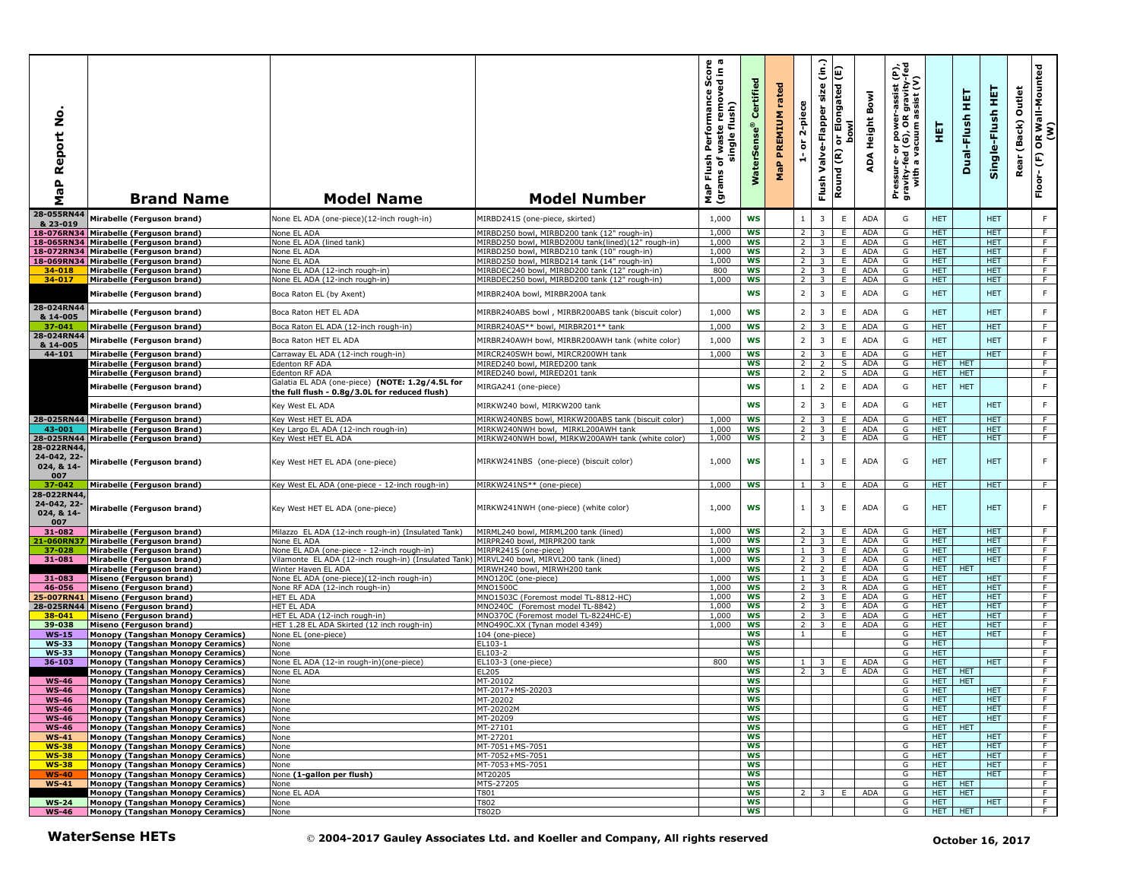| aP Report No<br>Σ                              | <b>Brand Name</b>                                                              | <b>Model Name</b>                                                                                | <b>Model Number</b>                                                                        | o a<br>rmance Score<br>removed in a<br>Performan<br>single flush)<br>waste<br>Flush<br>ъ<br>(grams<br><b>Rap</b> | Certified<br><b>WaterSens</b> | rated<br><b>PREMIUM</b><br>MaP | 2-piece<br>$\overleftarrow{\mathtt{o}}$<br>A | (in.)<br>size<br>Valve-Flapper<br>Flush      | or Elongated (E)<br><b>bowl</b><br>Round (R) | Bowl<br>Height<br>ADA | er-assist (P),<br>)R gravity-fed<br>ı assist (V)<br>Pressure- or power-a<br>gravity-fed (G), OR g<br>with a vacuum as | 핓                        | 実<br>Dual-Flush | 뜊<br>Single-Flush        | Outlet<br>(Back)<br>Rear | OR Wall-Mounted<br>(W)<br>$\widehat{\mathbf{E}}$<br>Floor- |
|------------------------------------------------|--------------------------------------------------------------------------------|--------------------------------------------------------------------------------------------------|--------------------------------------------------------------------------------------------|------------------------------------------------------------------------------------------------------------------|-------------------------------|--------------------------------|----------------------------------------------|----------------------------------------------|----------------------------------------------|-----------------------|-----------------------------------------------------------------------------------------------------------------------|--------------------------|-----------------|--------------------------|--------------------------|------------------------------------------------------------|
| 28-055RN44                                     | Mirabelle (Ferguson brand)                                                     | None EL ADA (one-piece)(12-inch rough-in)                                                        | MIRBD241S (one-piece, skirted)                                                             | 1,000                                                                                                            | <b>WS</b>                     |                                |                                              | 3                                            | $\mathsf E$                                  | <b>ADA</b>            | G                                                                                                                     | <b>HET</b>               |                 | <b>HET</b>               |                          | F                                                          |
| & 23-019                                       | 18-076RN34 Mirabelle (Ferguson brand)                                          | None EL ADA                                                                                      | MIRBD250 bowl, MIRBD200 tank (12" rough-in)                                                | 1,000                                                                                                            | <b>WS</b>                     |                                | $\overline{2}$                               | 3                                            | E                                            | <b>ADA</b>            | G                                                                                                                     | <b>HET</b>               |                 | <b>HET</b>               |                          | $\overline{F}$                                             |
|                                                | 18-065RN34 Mirabelle (Ferguson brand)                                          | None EL ADA (lined tank)                                                                         | MIRBD250 bowl, MIRBD200U tank(lined)(12" rough-in)                                         | 1,000                                                                                                            | <b>WS</b>                     |                                | 2                                            | $\overline{\mathbf{3}}$                      | E.                                           | ADA                   | G                                                                                                                     | HET.                     |                 | <b>HET</b>               |                          | F                                                          |
|                                                | 18-072RN34 Mirabelle (Ferguson brand)<br>18-069RN34 Mirabelle (Ferguson brand) | None EL ADA<br>None EL ADA                                                                       | MIRBD250 howl. MIRBD210 tank (10" rough-in)<br>MIRBD250 bowl, MIRBD214 tank (14" rough-in) | 1,000<br>1,000                                                                                                   | <b>WS</b><br>WS               |                                | $\overline{2}$<br>2                          | $\overline{3}$<br>3 <sup>7</sup>             | Ε.<br>E.                                     | <b>ADA</b><br>ADA     | G<br>G                                                                                                                | <b>HET</b><br>HET.       |                 | <b>HET</b><br><b>HET</b> |                          | F<br>$\overline{F}$                                        |
| 34-018                                         | Mirabelle (Ferguson brand)                                                     | None EL ADA (12-inch rough-in)                                                                   | MIRBDEC240 bowl, MIRBD200 tank (12" rough-in)                                              | 800                                                                                                              | <b>WS</b>                     |                                | 2                                            | $\overline{3}$                               | Ε                                            | ADA                   | G                                                                                                                     | <b>HET</b>               |                 | <b>HET</b>               |                          | F                                                          |
| 34-017                                         | Mirabelle (Ferguson brand)                                                     | None EL ADA (12-inch rough-in)                                                                   | MIRBDEC250 bowl, MIRBD200 tank (12" rough-in)                                              | 1,000                                                                                                            | <b>WS</b>                     |                                | 2                                            | $\overline{\mathbf{3}}$                      | E                                            | ADA                   | G                                                                                                                     | HET.                     |                 | HET.                     |                          | F                                                          |
| 28-024RN44                                     | Mirabelle (Ferguson brand)                                                     | Boca Raton EL (by Axent)                                                                         | MIRBR240A bowl, MIRBR200A tank                                                             |                                                                                                                  | WS                            |                                | $\overline{2}$                               | 3                                            | Ε                                            | ADA                   | G                                                                                                                     | <b>HET</b>               |                 | <b>HET</b>               |                          | $\mathsf F$                                                |
| & 14-005                                       | Mirabelle (Ferguson brand)                                                     | Boca Raton HET EL ADA                                                                            | MIRBR240ABS bowl, MIRBR200ABS tank (biscuit color)                                         | 1,000                                                                                                            | <b>WS</b>                     |                                | $\overline{2}$                               | 3                                            | $\mathsf E$                                  | <b>ADA</b>            | G                                                                                                                     | <b>HET</b>               |                 | <b>HET</b>               |                          | $\mathsf F$                                                |
| 37-041                                         | Mirabelle (Ferguson brand)                                                     | Boca Raton EL ADA (12-inch rough-in)                                                             | MIRBR240AS** bowl, MIRBR201** tank                                                         | 1,000                                                                                                            | <b>WS</b>                     |                                | $\overline{z}$                               | 3                                            | E                                            | <b>ADA</b>            | G                                                                                                                     | <b>HET</b>               |                 | <b>HET</b>               |                          | F                                                          |
| 28-024RN44                                     | Mirabelle (Ferguson brand)                                                     | Boca Raton HET EL ADA                                                                            | MIRBR240AWH bowl, MIRBR200AWH tank (white color)                                           | 1,000                                                                                                            | WS                            |                                | $\overline{2}$                               | $\overline{3}$                               | $\mathsf E$                                  | <b>ADA</b>            | G                                                                                                                     | <b>HET</b>               |                 | <b>HET</b>               |                          | $\mathsf F$                                                |
| & 14-005<br>44-101                             | Mirabelle (Ferguson brand)                                                     | Carraway EL ADA (12-inch rough-in)                                                               | MIRCR240SWH bowl, MIRCR200WH tank                                                          | 1,000                                                                                                            | <b>WS</b>                     |                                | 2                                            | 3                                            | E                                            | <b>ADA</b>            | G                                                                                                                     | <b>HET</b>               |                 | <b>HET</b>               |                          | F                                                          |
|                                                | Mirabelle (Ferguson brand)                                                     | Edenton RF ADA                                                                                   | MIRED240 bowl, MIRED200 tank                                                               |                                                                                                                  | ws                            |                                | 2                                            | 2                                            | S                                            | ADA                   | G                                                                                                                     | <b>HET</b>               | HET             |                          |                          | F.                                                         |
|                                                | Mirabelle (Ferguson brand)                                                     | Edenton RF ADA                                                                                   | MIRED240 bowl, MIRED201 tank                                                               |                                                                                                                  | <b>WS</b>                     |                                | $\overline{2}$                               | $\overline{\phantom{a}}$                     | S                                            | <b>ADA</b>            | G                                                                                                                     | HET.                     | <b>HET</b>      |                          |                          | F.                                                         |
|                                                | Mirabelle (Ferguson brand)                                                     | Galatia EL ADA (one-piece) (NOTE: 1.2g/4.5L for<br>the full flush - 0.8g/3.0L for reduced flush) | MIRGA241 (one-piece)                                                                       |                                                                                                                  | <b>WS</b>                     |                                | $\mathbf{1}$                                 | $\overline{2}$                               | $\mathsf E$                                  | ADA                   | G                                                                                                                     | <b>HET</b>               | <b>HET</b>      |                          |                          | $\mathsf F$                                                |
|                                                | Mirabelle (Ferguson brand)                                                     | Key West EL ADA                                                                                  | MIRKW240 bowl, MIRKW200 tank                                                               |                                                                                                                  | <b>WS</b>                     |                                | $\overline{2}$                               | 3                                            | E                                            | ADA                   | G                                                                                                                     | <b>HET</b>               |                 | <b>HET</b>               |                          | F                                                          |
|                                                | 28-025RN44 Mirabelle (Ferguson brand)                                          | Key West HET EL ADA                                                                              | MIRKW240NBS bowl, MIRKW200ABS tank (biscuit color)                                         | 1,000                                                                                                            | <b>WS</b>                     |                                | $\overline{2}$                               | 3                                            | E                                            | <b>ADA</b>            | G                                                                                                                     | <b>HET</b>               |                 | <b>HET</b>               |                          | F.                                                         |
| 43-001                                         | <b>Mirabelle (Ferguson Brand)</b>                                              | Key Largo EL ADA (12-inch rough-in)                                                              | MIRKW240NWH bowl, MIRKL200AWH tank                                                         | 1.000                                                                                                            | <b>WS</b>                     |                                | 2                                            | 3                                            | E                                            | ADA                   | G                                                                                                                     | <b>HET</b>               |                 | <b>HET</b>               |                          | F                                                          |
| 28-025RN44<br>28-022RN44                       | Mirabelle (Ferguson brand)                                                     | Key West HET EL ADA                                                                              | MIRKW240NWH bowl, MIRKW200AWH tank (white color)                                           | 1,000                                                                                                            | <b>WS</b>                     |                                | 2                                            | 3                                            | E                                            | <b>ADA</b>            | G                                                                                                                     | <b>HET</b>               |                 | <b>HET</b>               |                          | F                                                          |
| 24-042, 22-<br>024, & 14-<br>007               | Mirabelle (Ferguson brand)                                                     | Key West HET EL ADA (one-piece)                                                                  | MIRKW241NBS (one-piece) (biscuit color)                                                    | 1,000                                                                                                            | <b>WS</b>                     |                                | $\mathbf{1}$                                 | $\overline{\mathbf{3}}$                      | E                                            | <b>ADA</b>            | G                                                                                                                     | <b>HET</b>               |                 | <b>HET</b>               |                          | F                                                          |
| $37 - 042$                                     | Mirabelle (Ferguson brand)                                                     | Key West EL ADA (one-piece - 12-inch rough-in)                                                   | MIRKW241NS** (one-piece)                                                                   | 1,000                                                                                                            | <b>WS</b>                     |                                | $\mathbf{1}$                                 | 3                                            | E                                            | <b>ADA</b>            | G                                                                                                                     | <b>HET</b>               |                 | <b>HET</b>               |                          | F.                                                         |
| 28-022RN44<br>24-042, 22-<br>024, & 14-<br>007 | Mirabelle (Ferguson brand)                                                     | Key West HET EL ADA (one-piece)                                                                  | MIRKW241NWH (one-piece) (white color)                                                      | 1,000                                                                                                            | <b>WS</b>                     |                                | $\mathbf{1}$                                 | 3                                            | E                                            | <b>ADA</b>            | G                                                                                                                     | <b>HET</b>               |                 | <b>HET</b>               |                          | F                                                          |
| 31-082<br>21-060RN                             | Mirabelle (Ferguson brand)<br>Mirabelle (Ferguson brand)                       | Milazzo EL ADA (12-inch rough-in) (Insulated Tank)<br>None EL ADA                                | MIRML240 bowl, MIRML200 tank (lined)<br>MIRPR240 bowl, MIRPR200 tank                       | 1,000<br>1,000                                                                                                   | <b>WS</b><br><b>WS</b>        |                                | $\overline{2}$<br>2                          | $\overline{\mathbf{3}}$<br>$\overline{3}$    | E.<br>E.                                     | <b>ADA</b><br>ADA     | G<br>G                                                                                                                | HET.<br><b>HET</b>       |                 | <b>HET</b><br><b>HET</b> |                          | F.<br>F                                                    |
| 37-028                                         | Mirabelle (Ferguson brand)                                                     | None EL ADA (one-piece - 12-inch rough-in)                                                       | MIRPR241S (one-piece)                                                                      | 1,000                                                                                                            | WS                            |                                | $\mathbf{1}$                                 | $\overline{\mathbf{3}}$                      | E                                            | ADA                   | G                                                                                                                     | <b>HET</b>               |                 | <b>HET</b>               |                          | F                                                          |
| 31-081                                         | Mirabelle (Ferguson brand)                                                     | Vilamonte EL ADA (12-inch rough-in) (Insulated Tank)                                             | MIRVL240 bowl, MIRVL200 tank (lined)                                                       | 1,000                                                                                                            | <b>WS</b>                     |                                | $\overline{2}$                               | $\overline{\mathbf{3}}$                      | E                                            | ADA                   | G                                                                                                                     | <b>HET</b>               |                 | <b>HET</b>               |                          | $\overline{F}$                                             |
|                                                | Mirabelle (Ferguson brand)                                                     | Winter Haven EL ADA                                                                              | MIRWH240 bowl, MIRWH200 tank                                                               |                                                                                                                  | <b>WS</b>                     |                                | $\overline{2}$                               | $2^{\circ}$                                  | Ε                                            | <b>ADA</b>            | G                                                                                                                     | <b>HET</b>               | <b>HET</b>      |                          |                          | F                                                          |
| 31-083<br>46-056                               | Miseno (Ferguson brand)<br>Miseno (Ferguson brand)                             | None EL ADA (one-piece)(12-inch rough-in)<br>None RF ADA (12-inch rough-in)                      | MNO120C (one-piece)<br>MNO1500C                                                            | 1.000<br>1,000                                                                                                   | <b>WS</b><br><b>WS</b>        |                                | $\mathbf{1}$<br>$\overline{2}$               | $\overline{3}$<br>$\overline{\mathbf{3}}$    | E<br>R                                       | <b>ADA</b><br>ADA     | G<br>G                                                                                                                | HET.<br>HET.             |                 | HET.<br><b>HET</b>       |                          | F<br>F                                                     |
| 25-007RN41                                     | Miseno (Ferguson brand)                                                        | HET EL ADA                                                                                       | MNO1503C (Foremost model TL-8812-HC)                                                       | 1,000                                                                                                            | <b>WS</b>                     |                                | $\overline{2}$                               | 3                                            | E.                                           | <b>ADA</b>            | G                                                                                                                     | <b>HET</b>               |                 | <b>HET</b>               |                          | $\overline{F}$                                             |
|                                                | 28-025RN44 Miseno (Ferguson brand)                                             | HET EL ADA                                                                                       | MNO240C (Foremost model TL-8842)                                                           | 1.000                                                                                                            | <b>WS</b>                     |                                | 2                                            | 3                                            | E                                            | <b>ADA</b>            | G                                                                                                                     | <b>HET</b>               |                 | <b>HET</b>               |                          | F.                                                         |
| 38-041<br>39-038                               | Miseno (Ferguson brand)<br>Miseno (Ferguson brand)                             | HET EL ADA (12-inch rough-in)<br>HET 1.28 EL ADA Skirted (12 inch rough-in)                      | MNO370C (Foremost model TL-8224HC-E)<br>MNO490C.XX (Tynan model 4349)                      | 1,000<br>1,000                                                                                                   | <b>WS</b><br><b>WS</b>        |                                | $\overline{2}$<br>$\overline{2}$             | $\overline{3}$<br>$\overline{3}$             | E<br>E                                       | ADA<br>ADA            | G<br>G                                                                                                                | <b>HET</b><br><b>HET</b> |                 | <b>HET</b><br><b>HET</b> |                          | F<br>F                                                     |
| $WS-15$                                        | <b>Monopy (Tangshan Monopy Ceramics)</b>                                       | None EL (one-piece)                                                                              | 104 (one-piece)                                                                            |                                                                                                                  | WS                            |                                | $\mathbf{1}$                                 |                                              | Ε.                                           |                       | G                                                                                                                     | HET.                     |                 | <b>HET</b>               |                          | $\overline{F}$                                             |
| <b>WS-33</b>                                   | Monopy (Tangshan Monopy Ceramics)                                              | None                                                                                             | EL103-1                                                                                    |                                                                                                                  | <b>WS</b>                     |                                |                                              |                                              |                                              |                       | G                                                                                                                     | HET.                     |                 |                          |                          | F                                                          |
| <b>WS-33</b>                                   | <b>Monopy (Tangshan Monopy Ceramics)</b>                                       | None                                                                                             | EL103-2                                                                                    | 800                                                                                                              | ws<br>WS                      |                                |                                              |                                              |                                              | ADA                   | G<br>G                                                                                                                | HET.<br>HET.             |                 | <b>HET</b>               |                          | F<br>F.                                                    |
| 36-103                                         | <b>Monopy (Tangshan Monopy Ceramics)</b><br>Monopy (Tangshan Monopy Ceramics)  | None EL ADA (12-in rough-in)(one-piece)<br>None EL ADA                                           | EL103-3 (one-piece)<br>EL205                                                               |                                                                                                                  | <b>WS</b>                     |                                | $\mathbf{1}$<br>2                            | $\overline{3}$<br>$\overline{\phantom{a}}$ 3 | Ε.<br>E.                                     | ADA                   | G                                                                                                                     | HET.                     | <b>HET</b>      |                          |                          | F                                                          |
| <b>WS-46</b>                                   | Monopy (Tangshan Monopy Ceramics)                                              | None                                                                                             | MT-20102                                                                                   |                                                                                                                  | <b>WS</b>                     |                                |                                              |                                              |                                              |                       | G                                                                                                                     | HET.                     | <b>HET</b>      |                          |                          | F                                                          |
| <b>WS-46</b>                                   | <b>Monopy (Tangshan Monopy Ceramics)</b>                                       | None                                                                                             | MT-2017+MS-20203                                                                           |                                                                                                                  | WS                            |                                |                                              |                                              |                                              |                       | G                                                                                                                     | HET.                     |                 | HET.                     |                          | F.                                                         |
| <b>WS-46</b><br><b>WS-46</b>                   | [Monopy (Tangshan Monopy Ceramics]<br>Monopy (Tangshan Monopy Ceramics)        | None<br>None                                                                                     | MT-20202<br>MT-20202M                                                                      |                                                                                                                  | ws<br><b>WS</b>               |                                |                                              |                                              |                                              |                       | G<br>G                                                                                                                | HEI<br><b>HET</b>        |                 | HEI<br><b>HET</b>        |                          | F                                                          |
| <b>WS-46</b>                                   | Monopy (Tangshan Monopy Ceramics)                                              | None                                                                                             | MT-20209                                                                                   |                                                                                                                  | ws                            |                                |                                              |                                              |                                              |                       | G                                                                                                                     | HET.                     |                 | <b>HET</b>               |                          | F                                                          |
| <b>WS-46</b>                                   | Monopy (Tangshan Monopy Ceramics)                                              | None                                                                                             | MT-27101                                                                                   |                                                                                                                  | ws                            |                                |                                              |                                              |                                              |                       | G                                                                                                                     | HET   HET                |                 |                          |                          | F                                                          |
| $WS-41$                                        | Monopy (Tangshan Monopy Ceramics)                                              | None<br>None                                                                                     | MT-27201<br>MT-7051+MS-7051                                                                |                                                                                                                  | <b>WS</b><br>ws               |                                |                                              |                                              |                                              |                       | G                                                                                                                     | HET.<br>HET.             |                 | HET.<br><b>HET</b>       |                          | F<br>F                                                     |
| <b>WS-38</b><br><b>WS-38</b>                   | Monopy (Tangshan Monopy Ceramics)<br>Monopy (Tangshan Monopy Ceramics)         | None                                                                                             | MT-7052+MS-7051                                                                            |                                                                                                                  | WS                            |                                |                                              |                                              |                                              |                       | G                                                                                                                     | HET.                     |                 | <b>HET</b>               |                          | F.                                                         |
| $WS-38$                                        | Monopy (Tangshan Monopy Ceramics)                                              | None                                                                                             | MT-7053+MS-7051                                                                            |                                                                                                                  | ws                            |                                |                                              |                                              |                                              |                       | G                                                                                                                     | <b>HET</b>               |                 | HET.                     |                          | ਾ                                                          |
| $WS-40$                                        | <b>Monopy (Tangshan Monopy Ceramics)</b>                                       | None (1-gallon per flush)                                                                        | MT20205                                                                                    |                                                                                                                  | ws                            |                                |                                              |                                              |                                              |                       | G                                                                                                                     | HET.                     |                 | <b>HET</b>               |                          | F.                                                         |
| $WS-41$                                        | Monopy (Tangshan Monopy Ceramics)<br>Monopy (Tangshan Monopy Ceramics)         | None<br>None EL ADA                                                                              | MTS-27205<br>T801                                                                          |                                                                                                                  | WS<br><b>WS</b>               |                                |                                              | $2 \mid 3 \mid$                              | E                                            | ADA                   | G<br>G                                                                                                                | HET<br>HET HET           | <b>HET</b>      |                          |                          | F.<br>$-F$                                                 |
| <b>WS-24</b>                                   | Monopy (Tangshan Monopy Ceramics)                                              | None                                                                                             | T802                                                                                       |                                                                                                                  | ws                            |                                |                                              |                                              |                                              |                       | G                                                                                                                     | <b>HET</b>               |                 | <b>HET</b>               |                          | $\overline{F}$                                             |
| <b>WS-46</b>                                   | Monopy (Tangshan Monopy Ceramics)                                              | None                                                                                             | T802D                                                                                      |                                                                                                                  | ws                            |                                |                                              |                                              |                                              |                       | G                                                                                                                     |                          | HET HET         |                          |                          | F                                                          |
|                                                | <b>WaterSense HETs</b>                                                         |                                                                                                  | © 2004-2017 Gauley Associates Ltd. and Koeller and Company, All rights reserved            |                                                                                                                  |                               |                                |                                              |                                              |                                              |                       |                                                                                                                       |                          |                 | October 16, 2017         |                          |                                                            |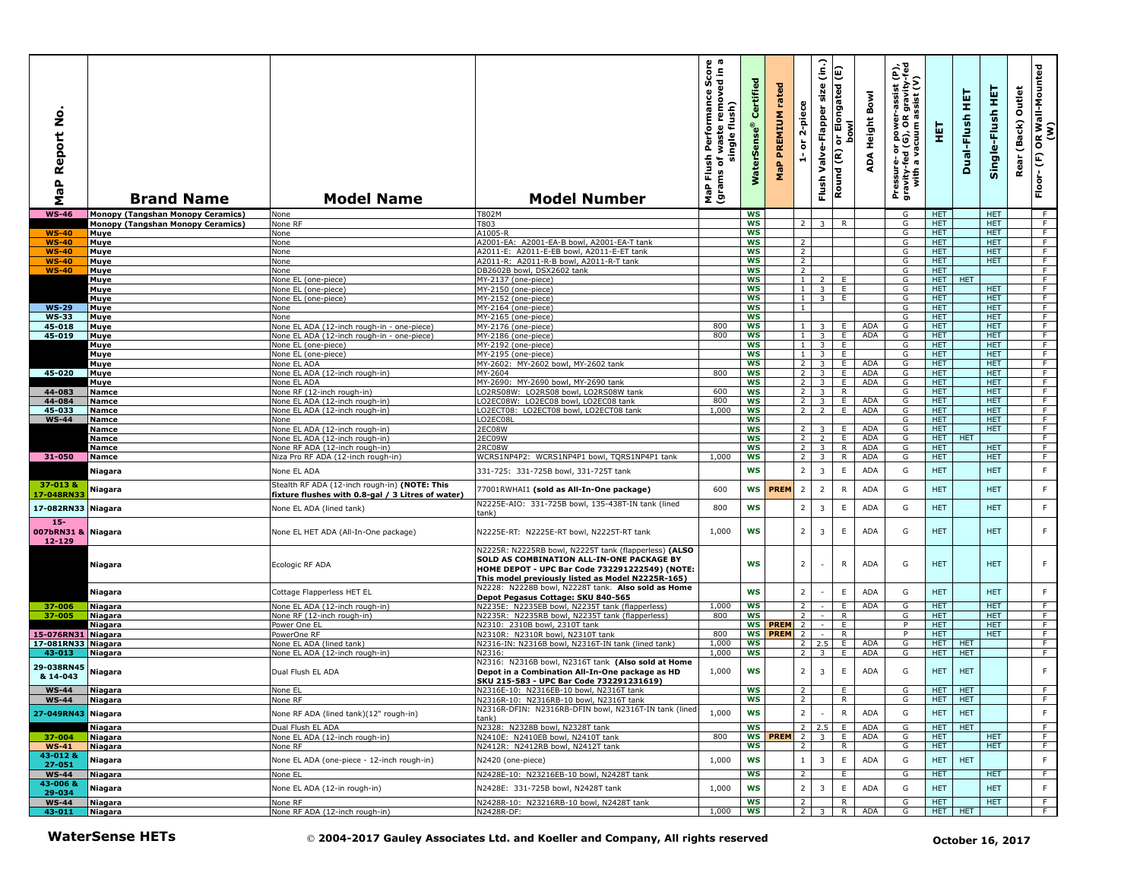| Report No<br>$\mathbf{r}$<br><b>r</b><br>Σ | <b>Brand Name</b>                        | <b>Model Name</b>                                                                                  | <b>Model Number</b>                                                                                                                                                                                       | rmance Score<br>cremoved in a<br>Performance<br>single flush)<br>waste<br>Flush <sup>1</sup><br>٥<br>(grams<br>MaP | Certified<br><b>WaterSens</b> | rated<br>PREMIUM<br>MaP | 2-piece<br>$\overleftarrow{\mathtt{o}}$<br>÷ | $\widehat{\epsilon}$<br>Flush Valve-Flapper size | Elongated (E)<br><b>bow</b><br>់ត<br>Round (R) | Bowl<br>ADA Height | e,<br>$\epsilon$<br>er-assist ।<br>R gravity<br>assist (V<br>Pressure- or power-a<br>gravity-fed (G), OR g<br>with a vacuum ass | 틯                        | 実<br>Dual-Flush  | 토<br>Single-Flush        | Outlet<br>Rear (Back) | OR Wall-Mounted<br>(W)<br>Floor-(F) |
|--------------------------------------------|------------------------------------------|----------------------------------------------------------------------------------------------------|-----------------------------------------------------------------------------------------------------------------------------------------------------------------------------------------------------------|--------------------------------------------------------------------------------------------------------------------|-------------------------------|-------------------------|----------------------------------------------|--------------------------------------------------|------------------------------------------------|--------------------|---------------------------------------------------------------------------------------------------------------------------------|--------------------------|------------------|--------------------------|-----------------------|-------------------------------------|
| <b>WS-46</b>                               | <b>Monopy (Tangshan Monopy Ceramics)</b> | None                                                                                               | T802M                                                                                                                                                                                                     |                                                                                                                    | <b>WS</b>                     |                         |                                              |                                                  |                                                |                    | G                                                                                                                               | <b>HET</b>               |                  | <b>HET</b>               |                       | - F                                 |
|                                            | Monopy (Tangshan Monopy Ceramics)        | None RF                                                                                            | 803                                                                                                                                                                                                       |                                                                                                                    | <b>WS</b>                     |                         | $\overline{2}$                               | 3                                                | R                                              |                    | G                                                                                                                               | HET.                     |                  | <b>HET</b>               |                       | F.                                  |
| $WS-40$<br>$WS-40$                         | Muye<br>Muye                             | None<br>None                                                                                       | A1005-R<br>A2001-EA: A2001-EA-B bowl, A2001-EA-T tank                                                                                                                                                     |                                                                                                                    | ws<br><b>WS</b>               |                         | 2                                            |                                                  |                                                |                    | G<br>G                                                                                                                          | HET<br>HET.              |                  | <b>HET</b><br>HET.       |                       | $\overline{F}$<br>F                 |
| <b>WS-40</b>                               | Muye                                     | None                                                                                               | A2011-E: A2011-E-EB bowl, A2011-E-ET tank                                                                                                                                                                 |                                                                                                                    | <b>WS</b>                     |                         | $\overline{2}$                               |                                                  |                                                |                    | G                                                                                                                               | HET.                     |                  | <b>HET</b>               |                       | F.                                  |
| <b>WS-40</b>                               | Muye                                     | None                                                                                               | A2011-R: A2011-R-B bowl, A2011-R-T tank                                                                                                                                                                   |                                                                                                                    | <b>WS</b>                     |                         | $\overline{2}$                               |                                                  |                                                |                    | G                                                                                                                               | <b>HET</b>               |                  | <b>HET</b>               |                       | F.                                  |
| $WS-40$                                    | Muye                                     | None                                                                                               | DB2602B bowl, DSX2602 tank                                                                                                                                                                                |                                                                                                                    | <b>WS</b>                     |                         | $\overline{2}$                               |                                                  |                                                |                    | G                                                                                                                               | <b>HET</b>               |                  |                          |                       | F                                   |
|                                            | Muye                                     | Vone EL (one-piece)                                                                                | MY-2137 (one-piece)                                                                                                                                                                                       |                                                                                                                    | <b>WS</b>                     |                         | 1 <sup>1</sup>                               | $2^{\circ}$                                      | E                                              |                    | G                                                                                                                               | HET I                    | <b>HET</b>       |                          |                       | F.                                  |
|                                            | Muye<br>Muye                             | None EL (one-piece)<br>None EL (one-piece)                                                         | MY-2150 (one-piece)<br>MY-2152 (one-piece)                                                                                                                                                                |                                                                                                                    | <b>WS</b><br>WS               |                         | $1\phantom{0}$<br>$1 \mid$                   | 3 <sup>7</sup><br>3 <sup>1</sup>                 | E<br>E.                                        |                    | G<br>G                                                                                                                          | HET.<br><b>HET</b>       |                  | <b>HET</b><br><b>HET</b> |                       | F.<br>$\overline{F}$                |
| <b>WS-29</b>                               | Muye                                     | None                                                                                               | MY-2164 (one-piece)                                                                                                                                                                                       |                                                                                                                    | <b>WS</b>                     |                         | $\mathbf{1}$                                 |                                                  |                                                |                    | G                                                                                                                               | <b>HET</b>               |                  | <b>HET</b>               |                       | F.                                  |
| <b>WS-33</b>                               | Muye                                     | None                                                                                               | MY-2165 (one-piece)                                                                                                                                                                                       |                                                                                                                    | WS                            |                         |                                              |                                                  |                                                |                    | G                                                                                                                               | <b>HET</b>               |                  | <b>HET</b>               |                       | F                                   |
| 45-018                                     | Muye                                     | None EL ADA (12-inch rough-in - one-piece)                                                         | MY-2176 (one-piece)                                                                                                                                                                                       | 800                                                                                                                | ws                            |                         | $1 \mid$                                     | $\overline{\mathbf{3}}$                          | E.                                             | ADA                | G                                                                                                                               | <b>HET</b>               |                  | <b>HET</b>               |                       | F                                   |
| 45-019                                     | Muye                                     | Vone EL ADA (12-inch rough-in - one-piece)                                                         | MY-2186 (one-piece)                                                                                                                                                                                       | 800                                                                                                                | WS                            |                         | $\mathbf{1}$                                 | $\overline{\mathbf{3}}$                          | E.                                             | ADA                | G                                                                                                                               | HET.                     |                  | <b>HET</b>               |                       | $\overline{F}$                      |
|                                            | Muye                                     | None EL (one-piece)                                                                                | MY-2192 (one-piece)                                                                                                                                                                                       |                                                                                                                    | <b>WS</b>                     |                         | 1                                            | $\overline{\mathbf{3}}$                          | E.                                             |                    | G                                                                                                                               | HET.                     |                  | <b>HET</b>               |                       | F                                   |
|                                            | Muye<br>Muye                             | None EL (one-piece)<br>Vone EL ADA                                                                 | MY-2195 (one-piece)<br>MY-2602: MY-2602 bowl, MY-2602 tank                                                                                                                                                |                                                                                                                    | <b>WS</b><br>WS               |                         | $\mathbf{1}$<br>$\overline{2}$               | $\overline{3}$<br>$\overline{3}$                 | E.<br>E.                                       | <b>ADA</b>         | G<br>G                                                                                                                          | <b>HET</b><br>HET.       |                  | <b>HET</b><br><b>HET</b> |                       | F<br>F.                             |
| 45-020                                     | Muye                                     | None EL ADA (12-inch rough-in)                                                                     | MY-2604                                                                                                                                                                                                   | 800                                                                                                                | <b>WS</b>                     |                         | 2                                            | $\overline{\mathbf{3}}$                          | E                                              | ADA                | G                                                                                                                               | <b>HET</b>               |                  | <b>HET</b>               |                       | F                                   |
|                                            | Muye                                     | None EL ADA                                                                                        | MY-2690: MY-2690 bowl, MY-2690 tank                                                                                                                                                                       |                                                                                                                    | <b>WS</b>                     |                         | $\overline{2}$                               | $\overline{\mathbf{3}}$                          | E                                              | ADA                | G                                                                                                                               | <b>HET</b>               |                  | <b>HET</b>               |                       | F                                   |
| 44-083                                     | <b>Namce</b>                             | None RF (12-inch rough-in)                                                                         | LO2RS08W: LO2RS08 bowl, LO2RS08W tank                                                                                                                                                                     | 600                                                                                                                | <b>WS</b>                     |                         | 2 <sub>1</sub>                               | $\overline{\mathbf{3}}$                          | R                                              |                    | G                                                                                                                               | HET.                     |                  | <b>HET</b>               |                       | F                                   |
| 44-084                                     | <b>Namce</b>                             | None EL ADA (12-inch rough-in)                                                                     | LO2EC08W: LO2EC08 bowl, LO2EC08 tank                                                                                                                                                                      | 800                                                                                                                | WS                            |                         | $\overline{2}$                               | $\overline{\mathbf{3}}$                          | E.                                             | ADA                | G                                                                                                                               | <b>HET</b>               |                  | <b>HET</b>               |                       | $\overline{F}$                      |
| 45-033                                     | Namce                                    | None EL ADA (12-inch rough-in)                                                                     | LO2ECT08: LO2ECT08 bowl, LO2ECT08 tank<br>LO2EC08L                                                                                                                                                        | 1,000                                                                                                              | WS<br>WS                      |                         | 2 <sub>1</sub>                               | 2                                                | E.                                             | ADA                | G<br>G                                                                                                                          | <b>HET</b><br><b>HET</b> |                  | HET.<br><b>HET</b>       |                       | F<br>F                              |
| <b>WS-44</b>                               | Namce<br>Namce                           | None<br>Vone EL ADA (12-inch rough-in)                                                             | 2EC08W                                                                                                                                                                                                    |                                                                                                                    | <b>WS</b>                     |                         | $\overline{2}$                               | 3                                                | E.                                             | ADA                | G                                                                                                                               | <b>HET</b>               |                  | <b>HET</b>               |                       | $\overline{F}$                      |
|                                            | Namce                                    | None EL ADA (12-inch rough-in)                                                                     | 2EC09W                                                                                                                                                                                                    |                                                                                                                    | <b>WS</b>                     |                         | 2                                            | $\overline{2}$                                   | E                                              | ADA                | G                                                                                                                               | HET.                     | <b>HET</b>       |                          |                       | F                                   |
|                                            | Namce                                    | None RF ADA (12-inch rough-in)                                                                     | 2RC08W                                                                                                                                                                                                    |                                                                                                                    | WS                            |                         | 2                                            | $\overline{3}$                                   | R                                              | <b>ADA</b>         | G                                                                                                                               | HET.                     |                  | HET.                     |                       | F                                   |
| 31-050                                     | Namce                                    | Niza Pro RF ADA (12-inch rough-in)                                                                 | WCRS1NP4P2: WCRS1NP4P1 bowl, TQRS1NP4P1 tank                                                                                                                                                              | 1,000                                                                                                              | WS                            |                         | $\overline{2}$                               | $\overline{3}$                                   | R                                              | ADA                | G                                                                                                                               | HET.                     |                  | HET.                     |                       | F.                                  |
|                                            | Niagara                                  | None EL ADA                                                                                        | 331-725: 331-725B bowl, 331-725T tank                                                                                                                                                                     |                                                                                                                    | <b>WS</b>                     |                         | $\overline{2}$                               | $\overline{3}$                                   | $\mathsf E$                                    | <b>ADA</b>         | G                                                                                                                               | <b>HET</b>               |                  | <b>HET</b>               |                       | $\mathsf F$                         |
| 37-013 &<br>17-048RN3                      | Niagara                                  | Stealth RF ADA (12-inch rough-in) (NOTE: This<br>fixture flushes with 0.8-gal / 3 Litres of water) | 77001RWHAI1 (sold as All-In-One package)                                                                                                                                                                  | 600                                                                                                                | <b>WS</b>                     | <b>PREM</b>             | $\overline{2}$                               | $\overline{2}$                                   | $\mathsf{R}$                                   | ADA                | G                                                                                                                               | <b>HET</b>               |                  | <b>HET</b>               |                       | $\mathsf F$                         |
| 17-082RN33                                 | Niagara                                  | None EL ADA (lined tank)                                                                           | N2225E-AIO: 331-725B bowl, 135-438T-IN tank (lined<br>tank)                                                                                                                                               | 800                                                                                                                | <b>WS</b>                     |                         | $\overline{2}$                               | $\overline{3}$                                   | $\mathsf E$                                    | <b>ADA</b>         | G                                                                                                                               | <b>HET</b>               |                  | <b>HET</b>               |                       | $\mathsf F$                         |
| $15 -$<br>007bRN31 & Niagara<br>12-129     |                                          | None EL HET ADA (All-In-One package)                                                               | N2225E-RT: N2225E-RT bowl, N2225T-RT tank                                                                                                                                                                 | 1,000                                                                                                              | WS                            |                         | $\overline{2}$                               | 3                                                | $\mathsf E$                                    | <b>ADA</b>         | G                                                                                                                               | <b>HET</b>               |                  | <b>HET</b>               |                       | F                                   |
|                                            | Niagara                                  | Ecologic RF ADA                                                                                    | N2225R: N2225RB bowl, N2225T tank (flapperless) (ALSO<br>SOLD AS COMBINATION ALL-IN-ONE PACKAGE BY<br>HOME DEPOT - UPC Bar Code 732291222549) (NOTE:<br>This model previously listed as Model N2225R-165) |                                                                                                                    | <b>WS</b>                     |                         | $\overline{2}$                               |                                                  | $\mathsf{R}$                                   | <b>ADA</b>         | G                                                                                                                               | <b>HET</b>               |                  | <b>HET</b>               |                       | F                                   |
|                                            | Niagara                                  | Cottage Flapperless HET EL                                                                         | N2228: N2228B bowl, N2228T tank. Also sold as Home<br>Depot Pegasus Cottage: SKU 840-565                                                                                                                  |                                                                                                                    | <b>WS</b>                     |                         | $\overline{2}$                               |                                                  | $\mathsf E$                                    | <b>ADA</b>         | G                                                                                                                               | <b>HET</b>               |                  | <b>HET</b>               |                       | $\mathsf F$                         |
| 37-006                                     | Niagara                                  | None EL ADA (12-inch rough-in)                                                                     | V2235E: N2235EB bowl, N2235T tank (flapperless)                                                                                                                                                           | 1,000                                                                                                              | <b>WS</b>                     |                         | 2                                            |                                                  | E                                              | <b>ADA</b>         | G                                                                                                                               | <b>HET</b>               |                  | <b>HET</b>               |                       | F                                   |
| 37-005                                     | <b>Niagara</b>                           | None RF (12-inch rough-in)                                                                         | N2235R: N2235RB bowl, N2235T tank (flapperless)                                                                                                                                                           | 800                                                                                                                | <b>WS</b>                     | WS PREM 2               | $\overline{2}$                               |                                                  | $\overline{R}$<br>E                            |                    | G<br>P                                                                                                                          | <b>HET</b><br>HET.       |                  | <b>HET</b><br>HET.       |                       | F<br>F                              |
| 15-076RN31 Niagara                         | Niagara                                  | Power One EL<br>PowerOne RF                                                                        | N2310: 2310B bowl, 2310T tank<br>N2310R: N2310R bowl, N2310T tank                                                                                                                                         | 800                                                                                                                |                               | <b>WS PREM</b>          | $\overline{2}$                               | $\sim$<br>$\sim$                                 | R                                              |                    | P                                                                                                                               | <b>HET</b>               |                  | <b>HET</b>               |                       | $\overline{F}$                      |
| 17-081RN33 Niagara                         |                                          | None EL ADA (lined tank)                                                                           | N2316-IN: N2316B bowl, N2316T-IN tank (lined tank)                                                                                                                                                        | 1,000                                                                                                              | <b>WS</b>                     |                         | $\overline{2}$                               | 2.5                                              | E                                              | <b>ADA</b>         | G                                                                                                                               | HET.                     | <b>HET</b>       |                          |                       | F                                   |
| 43-013                                     | Niagara                                  | None EL ADA (12-inch rough-in)                                                                     | N2316:                                                                                                                                                                                                    | 1,000                                                                                                              | <b>WS</b>                     |                         | $\overline{2}$                               | $\overline{3}$                                   | E.                                             | ADA                | G                                                                                                                               | HET.                     | <b>HET</b>       |                          |                       | F                                   |
| 29-038RN45<br>& 14-043                     | Niagara                                  | Dual Flush EL ADA                                                                                  | V2316: N2316B bowl, N2316T tank (Also sold at Home<br>Depot in a Combination All-In-One package as HD<br>SKU 215-583 - UPC Bar Code 732291231619)                                                         | 1,000                                                                                                              | <b>WS</b>                     |                         | $\overline{2}$                               | 3                                                | Ε                                              | <b>ADA</b>         | G                                                                                                                               | <b>HET</b>               | <b>HET</b>       |                          |                       | F                                   |
| <b>WS-44</b>                               | Niagara                                  | None EL                                                                                            | N2316E-10: N2316EB-10 bowl, N2316T tank                                                                                                                                                                   |                                                                                                                    | WS                            |                         | $\overline{2}$                               |                                                  | E                                              |                    | G                                                                                                                               | HET.                     | HET              |                          |                       | F.                                  |
| <b>WS-44</b>                               | Niagara                                  | None RF                                                                                            | N2316R-10: N2316RB-10 bowl, N2316T tank<br>N2316R-DFIN: N2316RB-DFIN bowl, N2316T-IN tank (lined                                                                                                          |                                                                                                                    | ws                            |                         |                                              |                                                  | R                                              |                    |                                                                                                                                 |                          | HET HET          |                          |                       |                                     |
| 27-049RN43 Niagara                         |                                          | None RF ADA (lined tank)(12" rough-in)                                                             | tank)                                                                                                                                                                                                     | 1,000                                                                                                              | WS                            |                         | $\overline{2}$                               |                                                  | ${\sf R}$                                      | <b>ADA</b><br>ADA  | G                                                                                                                               | <b>HET</b>               | <b>HET</b>       |                          |                       | $\mathsf F$<br>$\overline{F}$       |
| 37-004                                     | Niagara<br><b>Niagara</b>                | Dual Flush EL ADA<br>None EL ADA (12-inch rough-in)                                                | N2328: N2328B bowl, N2328T tank<br>N2410E: N2410EB bowl, N2410T tank                                                                                                                                      | 800                                                                                                                | <b>WS</b>                     | WS PREM 2 3             |                                              | $2 \quad 2.5$                                    | E<br>E                                         | ADA                | G<br>G                                                                                                                          | HET.                     | HET   HET        | HET.                     |                       | F.                                  |
| $WS-41$                                    | Niagara                                  | None RF                                                                                            | V2412R: N2412RB bowl, N2412T tank                                                                                                                                                                         |                                                                                                                    | ws                            |                         | $\overline{2}$                               |                                                  | R                                              |                    | G                                                                                                                               | HET.                     |                  | <b>HET</b>               |                       | F.                                  |
| 43-012 &                                   | Niagara                                  | None EL ADA (one-piece - 12-inch rough-in)                                                         | N2420 (one-piece)                                                                                                                                                                                         | 1,000                                                                                                              | <b>WS</b>                     |                         | $\mathbf{1}$                                 | 3                                                | Ε                                              | ADA                | G                                                                                                                               | HET.                     | <b>HET</b>       |                          |                       | F                                   |
| 27-051                                     |                                          |                                                                                                    |                                                                                                                                                                                                           |                                                                                                                    |                               |                         |                                              |                                                  |                                                |                    |                                                                                                                                 |                          |                  |                          |                       |                                     |
| <b>WS-44</b>                               | Niagara                                  | None EL                                                                                            | V2428E-10: N23216EB-10 bowl, N2428T tank                                                                                                                                                                  |                                                                                                                    | <b>WS</b>                     |                         | $\overline{2}$                               |                                                  | E.                                             |                    | G                                                                                                                               | <b>HET</b>               |                  | <b>HET</b>               |                       | F                                   |
| 43-006 &<br>29-034                         | Niagara                                  | None EL ADA (12-in rough-in)                                                                       | N2428E: 331-725B bowl, N2428T tank                                                                                                                                                                        | 1,000                                                                                                              | <b>WS</b>                     |                         | $\overline{2}$                               | 3                                                | E                                              | ADA                | G                                                                                                                               | <b>HET</b>               |                  | <b>HET</b>               |                       | F                                   |
| <b>WS-44</b>                               | Niagara                                  | None RF                                                                                            | V2428R-10: N23216RB-10 bowl, N2428T tank                                                                                                                                                                  |                                                                                                                    | WS                            |                         | $\overline{2}$                               |                                                  | R                                              |                    | G                                                                                                                               | HET.                     |                  | HET.                     |                       | F.                                  |
| 43-011                                     | Niagara                                  | None RF ADA (12-inch rough-in)                                                                     | N2428R-DF:                                                                                                                                                                                                | 1,000                                                                                                              | WS                            |                         | 2 <sup>1</sup>                               | 3 <sup>1</sup>                                   | R                                              | ADA                | G                                                                                                                               |                          | HET HET          |                          |                       | F                                   |
|                                            | <b>WaterSense HETs</b>                   |                                                                                                    | © 2004-2017 Gauley Associates Ltd. and Koeller and Company, All rights reserved                                                                                                                           |                                                                                                                    |                               |                         |                                              |                                                  |                                                |                    |                                                                                                                                 |                          | October 16, 2017 |                          |                       |                                     |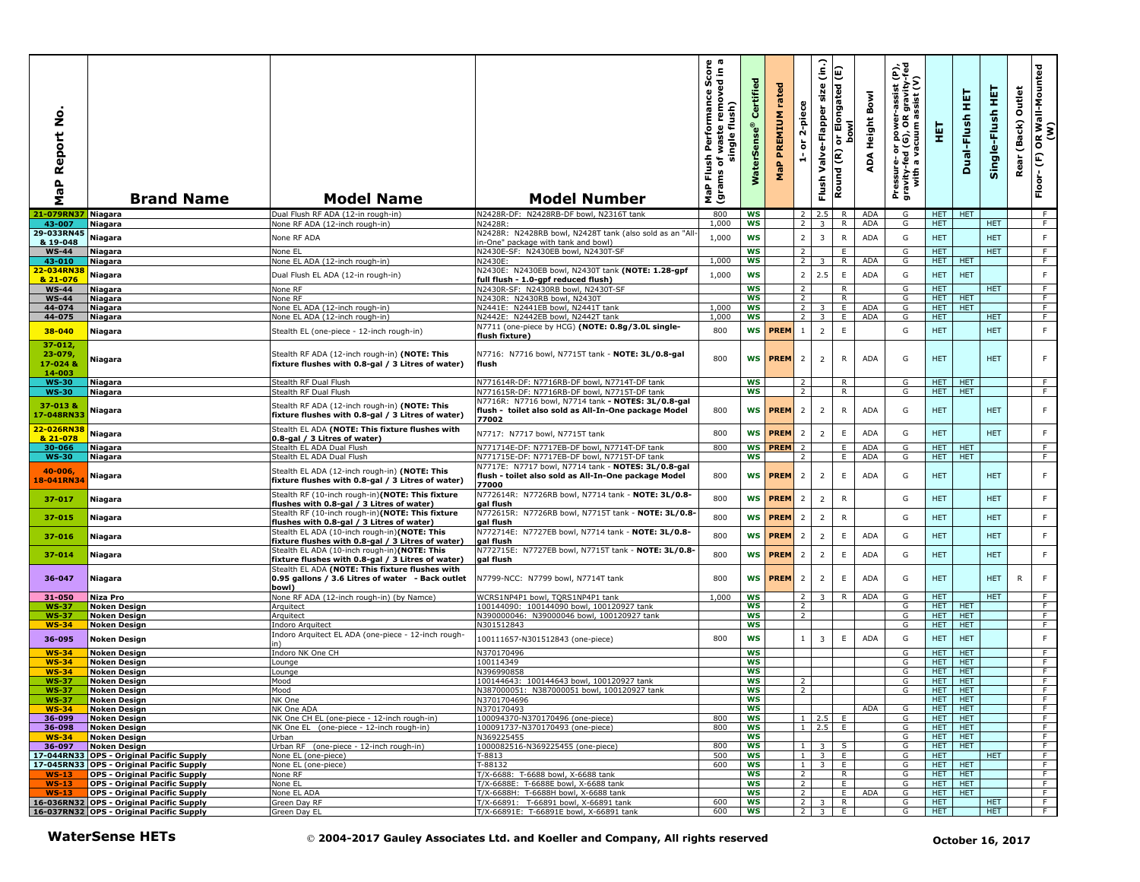| aP Report No<br>Σ                             | <b>Brand Name</b>                                                            | <b>Model Name</b>                                                                                                                                    | <b>Model Number</b>                                                                                                        | $\omega$ $\varpi$<br>rmance Score<br>removed in a<br>Performan<br>flush)<br>waste<br>single<br>Flush<br>৳<br>(grams<br>MaP | Certified<br>rSens<br>Š | rated<br><b>PREMIUM</b><br>$\mathbf{a}$<br>운 | 2-piece<br>$\overleftarrow{\mathtt{o}}$<br>÷ | (in)<br>size<br>Valve-Flapper<br>Flush | Elongated (E)<br><b>bowl</b><br>등<br>Round (R) | Bowl<br>Height<br>∢<br>ą | Pressure- or power-assist (P),<br>gravity-fed (G), OR gravity-fed<br>with a vacuum assist (V) | 핓                  | 実<br>Dual-Flush          | 뜊<br>Single-Flush | Outlet<br>(Back)<br>Rear | OR Wall-Mounted<br>(W)<br>$\mathop{\mathbb{E}}$<br>Floor- |
|-----------------------------------------------|------------------------------------------------------------------------------|------------------------------------------------------------------------------------------------------------------------------------------------------|----------------------------------------------------------------------------------------------------------------------------|----------------------------------------------------------------------------------------------------------------------------|-------------------------|----------------------------------------------|----------------------------------------------|----------------------------------------|------------------------------------------------|--------------------------|-----------------------------------------------------------------------------------------------|--------------------|--------------------------|-------------------|--------------------------|-----------------------------------------------------------|
| 21-079RN37 Niagara                            |                                                                              | Dual Flush RF ADA (12-in rough-in)                                                                                                                   | N2428R-DF: N2428RB-DF bowl, N2316T tank                                                                                    | 800                                                                                                                        | WS                      |                                              | <sup>2</sup>                                 | 2.5 R                                  |                                                | ADA                      | G                                                                                             | HET HET            |                          |                   |                          | F                                                         |
| 43-007<br>29-033RN45                          | Niagara                                                                      | None RF ADA (12-inch rough-in)                                                                                                                       | N2428R:<br>N2428R: N2428RB bowl, N2428T tank (also sold as an "All                                                         | 1,000                                                                                                                      | <b>WS</b>               |                                              | $\overline{2}$                               | $\overline{3}$                         | R                                              | <b>ADA</b>               | G                                                                                             | HET.               |                          | HET.              |                          | F.                                                        |
| & 19-048                                      | Niagara                                                                      | None RF ADA                                                                                                                                          | in-One" package with tank and bowl)                                                                                        | 1,000                                                                                                                      | <b>WS</b>               |                                              | $\overline{2}$                               | $\overline{3}$                         | ${\sf R}$                                      | ADA                      | G                                                                                             | <b>HET</b>         |                          | <b>HET</b>        |                          | F                                                         |
| $WS-44$                                       | <b>Niagara</b>                                                               | None EL                                                                                                                                              | N2430E-SF: N2430EB bowl, N2430T-SF                                                                                         |                                                                                                                            | <b>WS</b>               |                                              | $\overline{2}$                               |                                        | E                                              |                          | G                                                                                             | <b>HET</b>         |                          | <b>HET</b>        |                          | F.                                                        |
| 43-010                                        | <b>Niagara</b>                                                               | None EL ADA (12-inch rough-in)                                                                                                                       | N2430E:                                                                                                                    | 1,000                                                                                                                      | <b>WS</b>               |                                              | 2                                            | $\overline{3}$                         | $\overline{R}$                                 | ADA                      | G                                                                                             | HET.               | <b>HET</b>               |                   |                          | $\overline{F}$                                            |
| 22-034RN38<br>& 21-076                        | Niagara                                                                      | Dual Flush EL ADA (12-in rough-in)                                                                                                                   | N2430E: N2430EB bowl, N2430T tank (NOTE: 1.28-gpf<br>full flush - 1.0-gpf reduced flush)                                   | 1,000                                                                                                                      | <b>WS</b>               |                                              | $\overline{2}$                               | 2.5                                    | $\mathsf E$                                    | ADA                      | G                                                                                             | <b>HET</b>         | <b>HET</b>               |                   |                          | F                                                         |
| <b>WS-44</b>                                  | Niagara                                                                      | None RF                                                                                                                                              | N2430R-SF: N2430RB bowl, N2430T-SF                                                                                         |                                                                                                                            | <b>WS</b>               |                                              | $\overline{2}$                               |                                        | R                                              |                          | G                                                                                             | HET.               |                          | <b>HET</b>        |                          | F                                                         |
| $WS-44$                                       | Niagara                                                                      | None RF                                                                                                                                              | N2430R: N2430RB bowl, N2430T                                                                                               |                                                                                                                            | <b>WS</b>               |                                              | $\overline{2}$                               |                                        | $\overline{R}$                                 |                          | G                                                                                             | <b>HET</b>         | <b>HET</b>               |                   |                          | $\overline{F}$                                            |
| 44-074                                        | Niagara                                                                      | None EL ADA (12-inch rough-in)                                                                                                                       | N2441E: N2441EB bowl, N2441T tank                                                                                          | 1,000                                                                                                                      | WS                      |                                              | $\overline{2}$                               | 3                                      | E.                                             | ADA                      | G                                                                                             | HET.               | <b>HET</b>               |                   |                          | F                                                         |
| 44-075                                        | Niagara                                                                      | None EL ADA (12-inch rough-in)                                                                                                                       | N2442E: N2442EB bowl, N2442T tank<br>N7711 (one-piece by HCG) (NOTE: 0.8g/3.0L single-                                     | 1,000                                                                                                                      | <b>WS</b>               |                                              | $\overline{2}$                               | $\overline{3}$                         | E.                                             | ADA                      | G                                                                                             | <b>HET</b>         |                          | <b>HET</b>        |                          | F                                                         |
| 38-040                                        | Niagara                                                                      | Stealth EL (one-piece - 12-inch rough-in)                                                                                                            | flush fixture)                                                                                                             | 800                                                                                                                        | WS                      | <b>PREM</b>                                  | $\mathbf{1}$                                 | $\overline{2}$                         | $\mathsf E$                                    |                          | G                                                                                             | <b>HET</b>         |                          | <b>HET</b>        |                          | F                                                         |
| $37 - 012$<br>$23 - 079$<br>17-0248<br>14-003 | Niagara                                                                      | Stealth RF ADA (12-inch rough-in) (NOTE: This<br>fixture flushes with 0.8-gal / 3 Litres of water)                                                   | N7716: N7716 bowl, N7715T tank - NOTE: 3L/0.8-gal<br>flush                                                                 | 800                                                                                                                        |                         | WS <b>PREM</b>                               | $\overline{2}$                               | $\overline{2}$                         | $\mathsf{R}$                                   | ADA                      | G                                                                                             | <b>HET</b>         |                          | <b>HET</b>        |                          | F                                                         |
| <b>WS-30</b>                                  | <b>Niagara</b>                                                               | Stealth RF Dual Flush                                                                                                                                | N771614R-DF: N7716RB-DF bowl, N7714T-DF tank                                                                               |                                                                                                                            | <b>WS</b>               |                                              | $\overline{z}$                               |                                        | R                                              |                          | G                                                                                             | HET.               | HET                      |                   |                          | F                                                         |
| <b>WS-30</b>                                  | Niagara                                                                      | Stealth RF Dual Flush                                                                                                                                | N771615R-DF: N7716RB-DF bowl, N7715T-DF tank                                                                               |                                                                                                                            | <b>WS</b>               |                                              | $\overline{2}$                               |                                        | $\overline{R}$                                 |                          | G                                                                                             | HET.               | <b>HET</b>               |                   |                          | F                                                         |
| 37-013 &<br>17-048RN33                        | Niagara                                                                      | Stealth RF ADA (12-inch rough-in) (NOTE: This<br>fixture flushes with 0.8-gal / 3 Litres of water)                                                   | N7716R: N7716 bowl, N7714 tank - NOTES: 3L/0.8-gal<br>flush - toilet also sold as All-In-One package Model<br>77002        | 800                                                                                                                        | <b>WS</b>               | <b>PREM</b>                                  | $\overline{2}$                               | $\overline{2}$                         | $\mathsf{R}$                                   | <b>ADA</b>               | G                                                                                             | <b>HET</b>         |                          | <b>HET</b>        |                          | F                                                         |
| 22-026RN38<br>& 21-078                        | Niagara                                                                      | Stealth EL ADA (NOTE: This fixture flushes with<br>0.8-gal / 3 Litres of water)                                                                      | N7717: N7717 bowl, N7715T tank                                                                                             | 800                                                                                                                        |                         | <b>WS PREM</b>                               | $\overline{2}$                               | $\overline{2}$                         | $\mathsf E$                                    | <b>ADA</b>               | G                                                                                             | <b>HET</b>         |                          | <b>HET</b>        |                          | F                                                         |
| 30-066                                        | <b>Niagara</b>                                                               | Stealth EL ADA Dual Flush                                                                                                                            | N771714E-DF: N7717EB-DF bowl, N7714T-DF tank                                                                               | 800                                                                                                                        | <b>WS</b>               | <b>PREM</b>                                  | $\overline{2}$                               |                                        | E                                              | ADA                      | G                                                                                             | HET.               | <b>HET</b>               |                   |                          | F                                                         |
| <b>WS-30</b>                                  | Niagara                                                                      | Stealth EL ADA Dual Flush                                                                                                                            | N771715E-DF: N7717EB-DF bowl, N7715T-DF tank                                                                               |                                                                                                                            | <b>WS</b>               |                                              | 2                                            |                                        | Ε.                                             | ADA                      | G                                                                                             | <b>HET</b>         | <b>HET</b>               |                   |                          | F.                                                        |
| $40 - 006$<br>18-041RN34                      | Niagara                                                                      | Stealth EL ADA (12-inch rough-in) (NOTE: This<br>fixture flushes with 0.8-gal / 3 Litres of water)                                                   | N7717E: N7717 bowl, N7714 tank - NOTES: 3L/0.8-gal<br>flush - toilet also sold as All-In-One package Model<br>77000        | 800                                                                                                                        |                         | WS <b>PREM</b>                               | $\overline{2}$                               | $\overline{2}$                         | E                                              | <b>ADA</b>               | G                                                                                             | <b>HET</b>         |                          | <b>HET</b>        |                          | F                                                         |
| 37-017                                        | <b>Niagara</b>                                                               | Stealth RF (10-inch rough-in)(NOTE: This fixture<br>flushes with 0.8-gal / 3 Litres of water)                                                        | N772614R: N7726RB bowl, N7714 tank - NOTE: 3L/0.8-<br>gal flush                                                            | 800                                                                                                                        | <b>WS</b>               | <b>PREM</b>                                  | $\overline{2}$                               | $\overline{2}$                         | ${\sf R}$                                      |                          | G                                                                                             | <b>HET</b>         |                          | <b>HET</b>        |                          | $\mathsf F$                                               |
| 37-015                                        | <b>Niagara</b>                                                               | Stealth RF (10-inch rough-in)(NOTE: This fixture<br>flushes with 0.8-gal / 3 Litres of water)                                                        | N772615R: N7726RB bowl, N7715T tank - NOTE: 3L/0.8-<br>gal flush                                                           | 800                                                                                                                        | <b>WS</b>               | <b>PREM</b>                                  | $\overline{2}$                               | $\overline{2}$                         | ${\sf R}$                                      |                          | G                                                                                             | <b>HET</b>         |                          | <b>HET</b>        |                          | F                                                         |
| 37-016                                        | <b>Niagara</b>                                                               | Stealth EL ADA (10-inch rough-in)(NOTE: This                                                                                                         | N772714E: N7727EB bowl, N7714 tank - NOTE: 3L/0.8-                                                                         | 800                                                                                                                        | <b>WS</b>               | <b>PREM</b>                                  | $\overline{2}$                               | $\overline{2}$                         | $\mathsf E$                                    | <b>ADA</b>               | G                                                                                             | <b>HET</b>         |                          | <b>HET</b>        |                          | F                                                         |
|                                               |                                                                              | fixture flushes with 0.8-gal / 3 Litres of water)                                                                                                    | gal flush                                                                                                                  |                                                                                                                            |                         |                                              |                                              |                                        |                                                |                          |                                                                                               |                    |                          |                   |                          |                                                           |
| 37-014                                        | Niagara                                                                      | Stealth EL ADA (10-inch rough-in)(NOTE: This<br>fixture flushes with 0.8-gal / 3 Litres of water)<br>Stealth EL ADA (NOTE: This fixture flushes with | N772715E: N7727EB bowl, N7715T tank - NOTE: 3L/0.8-<br>gal flush                                                           | 800                                                                                                                        | <b>WS</b>               | PREM                                         | $\overline{2}$                               | $\overline{2}$                         | E                                              | <b>ADA</b>               | G                                                                                             | <b>HET</b>         |                          | <b>HET</b>        |                          | F                                                         |
| 36-047                                        | <b>Niagara</b>                                                               | 0.95 gallons / 3.6 Litres of water - Back outlet<br>bowl)                                                                                            | N7799-NCC: N7799 bowl, N7714T tank                                                                                         | 800                                                                                                                        | <b>WS</b>               | <b>PREM</b>                                  | $\overline{2}$                               | $\overline{2}$                         | E                                              | <b>ADA</b>               | G                                                                                             | <b>HET</b>         |                          | <b>HET</b>        | R                        | F.                                                        |
| 31-050                                        | Niza Pro                                                                     | None RF ADA (12-inch rough-in) (by Namce)                                                                                                            | WCRS1NP4P1 bowl, TQRS1NP4P1 tank                                                                                           | 1.000                                                                                                                      | WS                      |                                              | 2                                            | $3-1$                                  | R                                              | <b>ADA</b>               | G                                                                                             | HET.               |                          | <b>HET</b>        |                          | F.                                                        |
| <b>WS-37</b><br><b>WS-37</b>                  | Noken Design<br><b>Noken Design</b>                                          | Arquitect<br>Arquitect                                                                                                                               | 100144090: 100144090 bowl, 100120927 tank<br>N390000046: N39000046 bowl, 100120927 tank                                    |                                                                                                                            | <b>WS</b><br><b>WS</b>  |                                              | $\overline{2}$<br>2                          |                                        |                                                |                          | G<br>G                                                                                        | HET.<br>HET.       | <b>HET</b><br><b>HET</b> |                   |                          | F<br>F                                                    |
| <b>WS-34</b>                                  | Noken Design                                                                 | Indoro Arquitect                                                                                                                                     | N301512843                                                                                                                 |                                                                                                                            | <b>WS</b>               |                                              |                                              |                                        |                                                |                          | G                                                                                             | HET.               | <b>HET</b>               |                   |                          | F                                                         |
| 36-095                                        | <b>Noken Design</b>                                                          | Indoro Arquitect EL ADA (one-piece - 12-inch rough-                                                                                                  | 100111657-N301512843 (one-piece)                                                                                           | 800                                                                                                                        | WS                      |                                              | $\mathbf{1}$                                 | 3                                      | Ε                                              | <b>ADA</b>               | G                                                                                             | <b>HET</b>         | <b>HET</b>               |                   |                          | F                                                         |
| <b>WS-34</b>                                  | <b>Noken Design</b>                                                          | n١<br>Indoro NK One CH                                                                                                                               | N370170496                                                                                                                 |                                                                                                                            | <b>WS</b>               |                                              |                                              |                                        |                                                |                          | G                                                                                             | HET.               | <b>HET</b>               |                   |                          | F.                                                        |
| $WS-34$                                       | Noken Design                                                                 | ounge                                                                                                                                                | 100114349                                                                                                                  |                                                                                                                            | WS                      |                                              |                                              |                                        |                                                |                          | G                                                                                             | HET.               | <b>HET</b>               |                   |                          | F.                                                        |
| <b>WS-34</b>                                  | Noken Design                                                                 | ounge                                                                                                                                                | N396990858                                                                                                                 |                                                                                                                            | <b>WS</b>               |                                              |                                              |                                        |                                                |                          | G                                                                                             | HET.               | <b>HET</b>               |                   |                          | F                                                         |
| <b>WS-37</b>                                  | Noken Design                                                                 | Mood                                                                                                                                                 | 100144643: 100144643 bowl, 100120927 tank                                                                                  |                                                                                                                            | <b>WS</b>               |                                              | 2                                            |                                        |                                                |                          | G                                                                                             | HET.               | <b>HET</b>               |                   |                          | F                                                         |
| <b>WS-37</b><br><b>WS-37</b>                  | Noken Design<br>Noken Design                                                 | Mood<br>NK One                                                                                                                                       | N387000051: N387000051 bowl, 100120927 tank<br>N3701704696                                                                 |                                                                                                                            | ws<br>ws                |                                              | 2                                            |                                        |                                                |                          | G                                                                                             | HET.<br>HELL HELL  | <b>HET</b>               |                   |                          | F.                                                        |
| $WS-34$                                       | Noken Design                                                                 | NK One ADA                                                                                                                                           | N370170493                                                                                                                 |                                                                                                                            | WS                      |                                              |                                              |                                        |                                                | ADA                      | G                                                                                             | HET HET            |                          |                   |                          | F                                                         |
| 36-099                                        | <b>Noken Design</b>                                                          | NK One CH EL (one-piece - 12-inch rough-in)                                                                                                          | 100094370-N370170496 (one-piece)                                                                                           | 800                                                                                                                        | ws                      |                                              | $\mathbf{1}$                                 | $2.5$ E                                |                                                |                          | G                                                                                             | HET I              | <b>HET</b>               |                   |                          | F.                                                        |
| 36-098<br>$WS-34$                             | Noken Design<br>Noken Design                                                 | NK One EL (one-piece - 12-inch rough-in)<br>Urban                                                                                                    | 100091737-N370170493 (one-piece)<br>N369225455                                                                             | 800                                                                                                                        | ws<br><b>WS</b>         |                                              |                                              | $1 \quad 2.5 \quad E$                  |                                                |                          | G<br>G                                                                                        | HET   HET          | HET HET                  |                   |                          | ਾਸ<br>$\overline{F}$                                      |
| 36-097                                        | Noken Design                                                                 | Urban RF (one-piece - 12-inch rough-in)                                                                                                              | 1000082516-N369225455 (one-piece)                                                                                          | 800                                                                                                                        | ws                      |                                              |                                              | $1 \quad 3 \quad S$                    |                                                |                          | G                                                                                             |                    | HET HET                  |                   |                          | F                                                         |
|                                               | 17-044RN33 OPS - Original Pacific Supply                                     | None EL (one-piece)                                                                                                                                  | $-8813$                                                                                                                    | 500                                                                                                                        | ws                      |                                              |                                              | $1 \quad 3 \quad E$                    |                                                |                          | G                                                                                             | HET.               |                          | HET.              |                          | F                                                         |
|                                               | 17-045RN33 OPS - Original Pacific Supply                                     | None EL (one-piece)                                                                                                                                  | T-88132                                                                                                                    | 600                                                                                                                        | ws                      |                                              |                                              | $1 \quad 3 \quad E$                    |                                                |                          | G                                                                                             | HET                | HET                      |                   |                          | ਾ                                                         |
| $WS-13$<br>$WS-13$                            | <b>OPS - Original Pacific Supply</b><br><b>OPS - Original Pacific Supply</b> | None RF<br>None EL                                                                                                                                   | T/X-6688: T-6688 bowl, X-6688 tank<br>T/X-6688E: T-6688E bowl, X-6688 tank                                                 |                                                                                                                            | ws<br>ws                |                                              | 2 <sup>1</sup><br>$\overline{2}$             |                                        | R.<br>E.                                       |                          | G<br>G                                                                                        | HET.<br><b>HET</b> | <b>HET</b><br>HET        |                   |                          | F.<br>F                                                   |
| $WS-13$                                       | <b>OPS - Original Pacific Supply</b>                                         | None EL ADA                                                                                                                                          | T/X-6688H: T-6688H bowl, X-6688 tank                                                                                       |                                                                                                                            | <b>WS</b>               |                                              | $\overline{2}$                               |                                        | $\blacksquare$                                 | ADA                      | G                                                                                             | HET HET            |                          |                   |                          | $-$ F                                                     |
|                                               | 16-036RN32 OPS - Original Pacific Supply                                     | Green Day RF                                                                                                                                         | T/X-66891: T-66891 bowl, X-66891 tank                                                                                      | 600                                                                                                                        | ws                      |                                              |                                              | $\overline{2}$ $\overline{3}$          | R.                                             |                          | G                                                                                             | <b>HET</b>         |                          | HET               |                          | $-F$                                                      |
|                                               | 16-037RN32 OPS - Original Pacific Supply<br><b>WaterSense HETs</b>           | Green Day EL                                                                                                                                         | T/X-66891E: T-66891E bowl, X-66891 tank<br>© 2004-2017 Gauley Associates Ltd. and Koeller and Company, All rights reserved | 600                                                                                                                        | WS                      |                                              |                                              | $2 \mid 3 \mid$                        | E.                                             |                          | G                                                                                             | <b>HET</b>         | October 16, 2017         | HET.              |                          | F                                                         |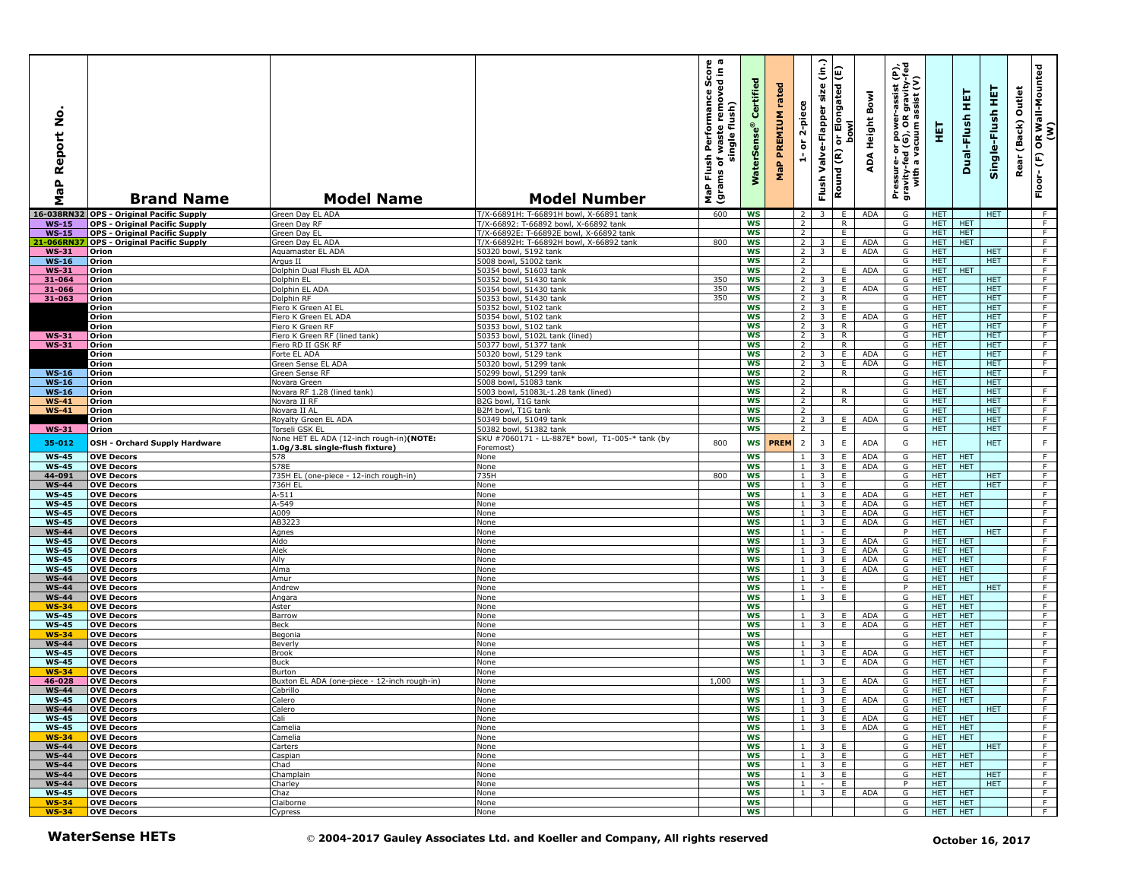| ۰<br>Ž<br>Report<br>۹b<br>Σ  | <b>Brand Name</b>                                                            | <b>Model Name</b>                                                           | <b>Model Number</b>                                                                | 0 ത<br>rmance Score<br>removed in a<br>Performan<br>flush)<br>waste<br>single<br>Flush<br>৳<br>(grams<br>MaP | $\overline{e}$<br>Certifi<br>rSens<br>ğ<br>Š | rated<br>PREMIUM<br>$\mathbf{a}_i$<br>운 | 2-piece<br>ត<br>÷                | (in.)<br>Valve-Flapper size<br>Flush       | Elongated (E)<br>howl<br>동<br>Round (R) | Bowl<br>Height<br>∢<br>ą | er-assist (P),<br>)R gravity-fed<br>ı assist (V)<br>Pressure- or power--<br>gravity-fed (G), OR g<br>with a vacuum as | 핓                        | 王<br>Dual-Flush          | 뜊<br>Single-Flush        | Outlet<br>(Back)<br>Rear | OR Wall-Mounted<br>(W)<br>$\mathop{\mathbb{E}}$<br>Floor- |
|------------------------------|------------------------------------------------------------------------------|-----------------------------------------------------------------------------|------------------------------------------------------------------------------------|--------------------------------------------------------------------------------------------------------------|----------------------------------------------|-----------------------------------------|----------------------------------|--------------------------------------------|-----------------------------------------|--------------------------|-----------------------------------------------------------------------------------------------------------------------|--------------------------|--------------------------|--------------------------|--------------------------|-----------------------------------------------------------|
|                              | 16-038RN32 OPS - Original Pacific Supply                                     | Green Day EL ADA                                                            | T/X-66891H: T-66891H bowl, X-66891 tank                                            | 600                                                                                                          | <b>WS</b>                                    |                                         | $\overline{2}$                   | $\overline{3}$                             | E                                       | ADA                      | G                                                                                                                     | HET.                     |                          | <b>HET</b>               |                          | - F                                                       |
| $WS-15$                      | <b>OPS - Original Pacific Supply</b>                                         | Green Day RF                                                                | T/X-66892: T-66892 bowl, X-66892 tank                                              |                                                                                                              | WS<br>WS                                     |                                         | $\overline{2}$<br>$\overline{2}$ |                                            | R<br>E                                  |                          | G<br>G                                                                                                                | HET.<br><b>HET</b>       | <b>HET</b><br><b>HET</b> |                          |                          | F.<br>$\overline{F}$                                      |
| <b>WS-15</b><br>1-066RN.     | <b>OPS - Original Pacific Supply</b><br><b>OPS - Original Pacific Supply</b> | Green Day EL<br>Green Day EL ADA                                            | T/X-66892E: T-66892E bowl, X-66892 tank<br>T/X-66892H: T-66892H bowl, X-66892 tank | 800                                                                                                          | <b>WS</b>                                    |                                         | $\overline{2}$                   | 3                                          | E                                       | ADA                      | G                                                                                                                     | <b>HET</b>               | <b>HET</b>               |                          |                          | F                                                         |
| <b>WS-31</b>                 | Orion                                                                        | Aguamaster EL ADA                                                           | 50320 bowl, 5192 tank                                                              |                                                                                                              | <b>WS</b>                                    |                                         | $2^{\circ}$                      | $\overline{3}$                             | E                                       | <b>ADA</b>               | G                                                                                                                     | <b>HET</b>               |                          | <b>HET</b>               |                          | F                                                         |
| $WS-16$                      | Orion                                                                        | Arqus II                                                                    | 5008 bowl, 51002 tank                                                              |                                                                                                              | <b>WS</b>                                    |                                         | 2                                |                                            |                                         |                          | G                                                                                                                     | <b>HET</b>               |                          | <b>HET</b>               |                          | $\overline{F}$                                            |
| <b>WS-31</b>                 | Orion                                                                        | Dolphin Dual Flush EL ADA                                                   | 50354 bowl, 51603 tank                                                             |                                                                                                              | <b>WS</b>                                    |                                         | $\overline{2}$                   |                                            | E                                       | <b>ADA</b>               | G                                                                                                                     | <b>HET</b>               | <b>HET</b>               |                          |                          | F                                                         |
| 31-064                       | Orion                                                                        | Dolphin EL                                                                  | 50352 bowl, 51430 tank                                                             | 350                                                                                                          | <b>WS</b>                                    |                                         | $\overline{2}$                   | 3 I                                        | E                                       |                          | G                                                                                                                     | HET.                     |                          | <b>HET</b>               |                          | F                                                         |
| 31-066                       | Orion                                                                        | Dolphin EL ADA                                                              | 50354 bowl, 51430 tank                                                             | 350                                                                                                          | ws                                           |                                         | $2^{\circ}$                      | $\overline{\mathbf{3}}$                    | E                                       | ADA                      | G                                                                                                                     | HET.                     |                          | <b>HET</b>               |                          | F.                                                        |
| 31-063                       | Orion                                                                        | Dolphin RF                                                                  | 50353 bowl, 51430 tank                                                             | 350                                                                                                          | <b>WS</b>                                    |                                         | $\overline{2}$                   | 3 <sup>1</sup>                             | $\overline{R}$                          |                          | G                                                                                                                     | <b>HET</b>               |                          | <b>HET</b>               |                          | $\overline{F}$                                            |
|                              | Orion<br>Orion                                                               | Fiero K Green AI EL<br>Fiero K Green EL ADA                                 | 50352 bowl, 5102 tank<br>50354 bowl, 5102 tank                                     |                                                                                                              | <b>WS</b><br><b>WS</b>                       |                                         | $2^{\circ}$<br>$2^{\circ}$       | 3 I<br>$\overline{\mathbf{3}}$             | E<br>E                                  | <b>ADA</b>               | G<br>G                                                                                                                | <b>HET</b><br><b>HET</b> |                          | <b>HET</b><br><b>HET</b> |                          | F<br>F                                                    |
|                              | Orion                                                                        | Fiero K Green RF                                                            | 50353 bowl, 5102 tank                                                              |                                                                                                              | <b>WS</b>                                    |                                         | $\overline{2}$                   | $\overline{3}$                             | $\overline{R}$                          |                          | G                                                                                                                     | <b>HET</b>               |                          | <b>HET</b>               |                          | F                                                         |
| <b>WS-31</b>                 | Orion                                                                        | Fiero K Green RF (lined tank)                                               | 50353 bowl, 5102L tank (lined)                                                     |                                                                                                              | <b>WS</b>                                    |                                         | $\overline{2}$                   | $\overline{3}$                             | $\overline{R}$                          |                          | G                                                                                                                     | <b>HET</b>               |                          | <b>HET</b>               |                          | F                                                         |
| <b>WS-31</b>                 | Orion                                                                        | Fiero RD II GSK RF                                                          | 50377 bowl, 51377 tank                                                             |                                                                                                              | <b>WS</b>                                    |                                         | 2                                |                                            | $\mathsf{R}$                            |                          | G                                                                                                                     | HET                      |                          | <b>HET</b>               |                          | F                                                         |
|                              | Orion                                                                        | Forte EL ADA                                                                | 50320 bowl, 5129 tank                                                              |                                                                                                              | <b>WS</b>                                    |                                         | 2 <sup>1</sup>                   | 3                                          | E.                                      | <b>ADA</b>               | G                                                                                                                     | HET.                     |                          | <b>HET</b>               |                          | F                                                         |
|                              | Orion                                                                        | Green Sense EL ADA                                                          | 50320 bowl, 51299 tank<br>50299 bowl, 51299 tank                                   |                                                                                                              | <b>WS</b>                                    |                                         | $\overline{2}$                   | 3                                          | E.                                      | ADA                      | G                                                                                                                     | <b>HET</b>               |                          | <b>HET</b>               |                          | $\overline{F}$                                            |
| $WS-16$<br><b>WS-16</b>      | Orion<br>Orion                                                               | Green Sense RF<br><b>Novara Green</b>                                       | 5008 bowl, 51083 tank                                                              |                                                                                                              | <b>WS</b><br><b>WS</b>                       |                                         | $\overline{2}$<br>$\overline{2}$ |                                            | R                                       |                          | G<br>G                                                                                                                | <b>HET</b><br><b>HET</b> |                          | <b>HET</b><br><b>HET</b> |                          | F                                                         |
| <b>WS-16</b>                 | Orion                                                                        | Novara RF 1.28 (lined tank)                                                 | 5003 bowl, 51083L-1.28 tank (lined)                                                |                                                                                                              | <b>WS</b>                                    |                                         | $\overline{2}$                   |                                            | R                                       |                          | G                                                                                                                     | <b>HET</b>               |                          | <b>HET</b>               |                          | F                                                         |
| <b>WS-41</b>                 | Orion                                                                        | Novara II RF                                                                | B2G bowl, T1G tank                                                                 |                                                                                                              | WS                                           |                                         | $\overline{2}$                   |                                            | R                                       |                          | G                                                                                                                     | <b>HET</b>               |                          | <b>HET</b>               |                          | $\overline{F}$                                            |
| <b>WS-41</b>                 | Orion                                                                        | Novara II AL                                                                | B2M bowl, T1G tank                                                                 |                                                                                                              | <b>WS</b>                                    |                                         | $\overline{2}$                   |                                            |                                         |                          | G                                                                                                                     | HET                      |                          | HET.                     |                          | F                                                         |
|                              | Orion                                                                        | Royalty Green EL ADA                                                        | 50349 bowl, 51049 tank                                                             |                                                                                                              | WS                                           |                                         | $\overline{2}$                   | 3                                          | E.                                      | <b>ADA</b>               | G                                                                                                                     | <b>HET</b>               |                          | <b>HET</b>               |                          | F                                                         |
| <b>WS-31</b>                 | Orion                                                                        | Torseli GSK EL                                                              | 50382 bowl, 51382 tank                                                             |                                                                                                              | <b>WS</b>                                    |                                         | 2                                |                                            | Ε.                                      |                          | G                                                                                                                     | HET.                     |                          | <b>HET</b>               |                          | F.                                                        |
| 35-012                       | <b>OSH - Orchard Supply Hardware</b>                                         | None HET EL ADA (12-inch rough-in)(NOTE:<br>1.0g/3.8L single-flush fixture) | SKU #7060171 - LL-887E* bowl, T1-005-* tank (by<br>Foremost)                       | 800                                                                                                          | WS                                           | <b>PREM</b>                             | $\overline{2}$                   | $\overline{3}$                             | $\mathsf E$                             | ADA                      | G                                                                                                                     | <b>HET</b>               |                          | <b>HET</b>               |                          | $\mathsf F$                                               |
| <b>WS-45</b><br><b>WS-45</b> | <b>OVE Decors</b><br><b>OVE Decors</b>                                       | 578<br>578E                                                                 | None<br>None                                                                       |                                                                                                              | <b>WS</b><br><b>WS</b>                       |                                         | $\mathbf{1}$<br>1 <sup>1</sup>   | 3<br>$\overline{\mathbf{3}}$               | E<br>E                                  | <b>ADA</b><br>ADA        | G<br>G                                                                                                                | HET<br>HET.              | <b>HET</b><br><b>HET</b> |                          |                          | F<br>F                                                    |
| 44-091                       | <b>OVE Decors</b>                                                            | 735H EL (one-piece - 12-inch rough-in)                                      | 735H                                                                               | 800                                                                                                          | <b>WS</b>                                    |                                         | 1                                | 3 <sup>1</sup>                             | E                                       |                          | G                                                                                                                     | <b>HET</b>               |                          | <b>HET</b>               |                          | F                                                         |
| <b>WS-44</b>                 | <b>OVE Decors</b>                                                            | 736H EL                                                                     | None                                                                               |                                                                                                              | <b>WS</b>                                    |                                         | $\mathbf{1}$                     | $\overline{3}$                             | E                                       |                          | G                                                                                                                     | HET.                     |                          | <b>HET</b>               |                          | F                                                         |
| <b>WS-45</b>                 | <b>OVE Decors</b>                                                            | A-511                                                                       | None                                                                               |                                                                                                              | <b>WS</b>                                    |                                         | $1 \mid$                         | 3 <sup>7</sup>                             | E                                       | ADA                      | G                                                                                                                     | <b>HET</b>               | HET                      |                          |                          | F                                                         |
| <b>WS-45</b>                 | <b>OVE Decors</b>                                                            | $A-549$                                                                     | None                                                                               |                                                                                                              | <b>WS</b>                                    |                                         | $\mathbf{1}$                     | $\overline{3}$                             | E                                       | ADA                      | G                                                                                                                     | <b>HET</b>               | <b>HET</b>               |                          |                          | F                                                         |
| <b>WS-45</b>                 | <b>OVE Decors</b>                                                            | A009                                                                        | None                                                                               |                                                                                                              | <b>WS</b>                                    |                                         | $1 \mid$                         | $\overline{\phantom{a}3}$                  | E                                       | ADA                      | G                                                                                                                     |                          | HET <b>HET</b>           |                          |                          | F<br>F                                                    |
| <b>WS-45</b><br><b>WS-44</b> | <b>OVE Decors</b><br><b>OVE Decors</b>                                       | AB3223<br>Agnes                                                             | None<br>None                                                                       |                                                                                                              | WS<br><b>WS</b>                              |                                         | $1 \mid$<br>1 <sup>1</sup>       | $\overline{\mathbf{3}}$<br>$\sim$          | E<br>E                                  | ADA                      | G<br>P                                                                                                                | <b>HET</b><br><b>HET</b> | <b>HET</b>               | HET.                     |                          | F                                                         |
| <b>WS-45</b>                 | <b>OVE Decors</b>                                                            | Aldo                                                                        | None                                                                               |                                                                                                              | <b>WS</b>                                    |                                         | $1 \quad$                        | 3 <sup>1</sup>                             | E.                                      | ADA                      | G                                                                                                                     | <b>HET</b>               | <b>HET</b>               |                          |                          | F.                                                        |
| <b>WS-45</b>                 | <b>OVE Decors</b>                                                            | Alek                                                                        | None                                                                               |                                                                                                              | <b>WS</b>                                    |                                         | 1                                | $\overline{3}$                             | E                                       | ADA                      | G                                                                                                                     | <b>HET</b>               | <b>HET</b>               |                          |                          | F                                                         |
| <b>WS-45</b>                 | <b>OVE Decors</b>                                                            | Ally                                                                        | None                                                                               |                                                                                                              | <b>WS</b>                                    |                                         | $\overline{1}$                   | ں<br>ت                                     | E                                       | ADA                      | G                                                                                                                     | <b>HET</b>               | <b>HET</b>               |                          |                          | F                                                         |
| <b>WS-45</b>                 | <b>OVE Decors</b>                                                            | Alma                                                                        | None                                                                               |                                                                                                              | <b>WS</b>                                    |                                         | $\mathbf{1}$                     | 3 <sup>1</sup>                             | E                                       | <b>ADA</b>               | G                                                                                                                     | <b>HET</b>               | <b>HET</b>               |                          |                          | F                                                         |
| <b>WS-44</b>                 | <b>OVE Decors</b>                                                            | Amur                                                                        | None                                                                               |                                                                                                              | <b>WS</b>                                    |                                         | 1                                | $\overline{\mathbf{3}}$                    | E                                       |                          | G                                                                                                                     | HET<br><b>HET</b>        | HET.                     |                          |                          | F                                                         |
| <b>WS-44</b><br><b>WS-44</b> | <b>OVE Decors</b><br><b>OVE Decors</b>                                       | Andrew<br>Angara                                                            | None<br>None                                                                       |                                                                                                              | <b>WS</b><br>WS                              |                                         | 1<br>1 <sup>1</sup>              | $\sim$<br>3                                | E<br>E                                  |                          | P<br>G                                                                                                                | <b>HET</b>               | <b>HET</b>               | <b>HET</b>               |                          | F<br>F                                                    |
| <b>WS-34</b>                 | <b>OVE Decors</b>                                                            | Aster                                                                       | None                                                                               |                                                                                                              | <b>WS</b>                                    |                                         |                                  |                                            |                                         |                          | G                                                                                                                     | HET.                     | <b>HET</b>               |                          |                          | F.                                                        |
| <b>WS-45</b>                 | <b>OVE Decors</b>                                                            | Barrow                                                                      | None                                                                               |                                                                                                              | <b>WS</b>                                    |                                         | $\mathbf{1}$                     | 3                                          | E                                       | <b>ADA</b>               | G                                                                                                                     | <b>HET</b>               | <b>HET</b>               |                          |                          | F                                                         |
| <b>WS-45</b>                 | <b>OVE Decors</b>                                                            | Beck                                                                        | None                                                                               |                                                                                                              | <b>WS</b>                                    |                                         | 1                                | 3 <sup>1</sup>                             | E                                       | <b>ADA</b>               | G                                                                                                                     | <b>HET</b>               | <b>HET</b>               |                          |                          | F                                                         |
| $WS-34$                      | <b>OVE Decors</b>                                                            | Begonia                                                                     | None                                                                               |                                                                                                              | <b>WS</b>                                    |                                         |                                  |                                            |                                         |                          | G                                                                                                                     | <b>HET</b>               | HET.                     |                          |                          | F                                                         |
| <b>WS-44</b><br><b>WS-45</b> | <b>OVE Decors</b><br><b>OVE Decors</b>                                       | Beverly<br>Brook                                                            | None<br>None                                                                       |                                                                                                              | <b>WS</b><br><b>WS</b>                       |                                         | $1 \mid$<br>$\mathbf{1}$         | 3 <sup>7</sup><br>3                        | E<br>E.                                 | ADA                      | G<br>G                                                                                                                | HET.<br>HET.             | <b>HET</b><br><b>HET</b> |                          |                          | F<br>F                                                    |
| <b>WS-45</b>                 | <b>OVE Decors</b>                                                            | <b>Buck</b>                                                                 | None                                                                               |                                                                                                              | <b>WS</b>                                    |                                         | 1 <sub>1</sub>                   | $\overline{3}$                             | E                                       | <b>ADA</b>               | G                                                                                                                     | HET                      | <b>HET</b>               |                          |                          | F                                                         |
| $WS-34$                      | <b>OVE Decors</b>                                                            | Burton                                                                      | None                                                                               |                                                                                                              | <b>WS</b>                                    |                                         |                                  |                                            |                                         |                          | G                                                                                                                     | <b>HET</b>               | <b>HET</b>               |                          |                          | F                                                         |
| 46-028                       | <b>OVE Decors</b>                                                            | Buxton EL ADA (one-piece - 12-inch rough-in)                                | None                                                                               | 1,000                                                                                                        | <b>WS</b>                                    |                                         | $\mathbf{1}$                     | $\overline{3}$                             | E                                       | <b>ADA</b>               | G                                                                                                                     | <b>HET</b>               | <b>HET</b>               |                          |                          | F                                                         |
| <b>WS-44</b>                 | <b>OVE Decors</b>                                                            | Cabrillo                                                                    | None                                                                               |                                                                                                              | WS                                           |                                         | 1                                | 3 <sup>7</sup>                             | E                                       |                          | G                                                                                                                     | HET.                     | HET.                     |                          |                          | F                                                         |
| <b>WS-45</b>                 | <b>OVE Decors</b>                                                            | Calero<br>Calero                                                            | None                                                                               |                                                                                                              | ws<br>ws                                     |                                         |                                  | $1 \quad 3 \mid E$                         |                                         | E ADA                    |                                                                                                                       | <b>HET</b>               | HET   HET                | <b>HET</b>               |                          | $-F$                                                      |
| <b>WS-44</b><br><b>WS-45</b> | <b>OVE Decors</b><br><b>OVE Decors</b>                                       | Cali                                                                        | None<br>None                                                                       |                                                                                                              | <b>WS</b>                                    |                                         |                                  | $1 \quad 3 \quad E$                        |                                         | ADA                      | G<br>G                                                                                                                | <b>HET</b>               | HET.                     |                          |                          | F                                                         |
| <b>WS-45</b>                 | <b>OVE Decors</b>                                                            | Camelia                                                                     | None                                                                               |                                                                                                              | WS                                           |                                         |                                  | $1 \mid 3 \mid E$                          |                                         | ADA                      | G                                                                                                                     |                          | HET   HET                |                          |                          | F                                                         |
| $WS-34$                      | <b>OVE Decors</b>                                                            | Camelia                                                                     | None                                                                               |                                                                                                              | <b>WS</b>                                    |                                         |                                  |                                            |                                         |                          | G                                                                                                                     |                          | HET HET                  |                          |                          | F                                                         |
| $WS-44$                      | <b>OVE Decors</b>                                                            | Carters                                                                     | None                                                                               |                                                                                                              | ws                                           |                                         |                                  | $1 \quad 3 \quad E$                        |                                         |                          | G                                                                                                                     | <b>HET</b>               |                          | <b>HET</b>               |                          | F                                                         |
| <b>WS-44</b>                 | <b>OVE Decors</b>                                                            | Caspian                                                                     | None                                                                               |                                                                                                              | WS                                           |                                         |                                  | $1 \quad 3 \quad E$                        |                                         |                          | G                                                                                                                     | HET                      | HET.                     |                          |                          | F                                                         |
| <b>WS-44</b><br>$WS-44$      | <b>OVE Decors</b>                                                            | Chad<br>Champlain                                                           | None<br>None                                                                       |                                                                                                              | ws<br>ws                                     |                                         |                                  | $1 \quad 3 \quad E$<br>$1 \quad 3 \quad E$ |                                         |                          | G<br>G                                                                                                                | <b>HET</b><br><b>HET</b> | HET.                     | <b>HET</b>               |                          | $\overline{F}$<br>F.                                      |
| $WS-44$                      | <b>OVE Decors</b><br><b>OVE Decors</b>                                       | Charley                                                                     | None                                                                               |                                                                                                              | WS                                           |                                         | $1 \mid$                         | $\sim$                                     | E                                       |                          | P                                                                                                                     | <b>HET</b>               |                          | <b>HET</b>               |                          | F                                                         |
| <b>WS-45</b>                 | <b>OVE Decors</b>                                                            | Chaz                                                                        | None                                                                               |                                                                                                              | <b>WS</b>                                    |                                         |                                  | $1 \mid 3 \mid E$                          |                                         | ADA                      | G                                                                                                                     |                          | HET   HET                |                          |                          | F                                                         |
| <b>WS-34</b>                 | <b>OVE Decors</b>                                                            | Claiborne                                                                   | None                                                                               |                                                                                                              | WS                                           |                                         |                                  |                                            |                                         |                          | G                                                                                                                     |                          | HET HET                  |                          |                          | F                                                         |
| <b>WS-34</b>                 | <b>OVE Decors</b>                                                            | Cypress                                                                     | None                                                                               |                                                                                                              | WS                                           |                                         |                                  |                                            |                                         |                          | G                                                                                                                     |                          | HET HET                  |                          |                          | F                                                         |
|                              | <b>WaterSense HETs</b>                                                       |                                                                             | © 2004-2017 Gauley Associates Ltd. and Koeller and Company, All rights reserved    |                                                                                                              |                                              |                                         |                                  |                                            |                                         |                          |                                                                                                                       |                          | October 16, 2017         |                          |                          |                                                           |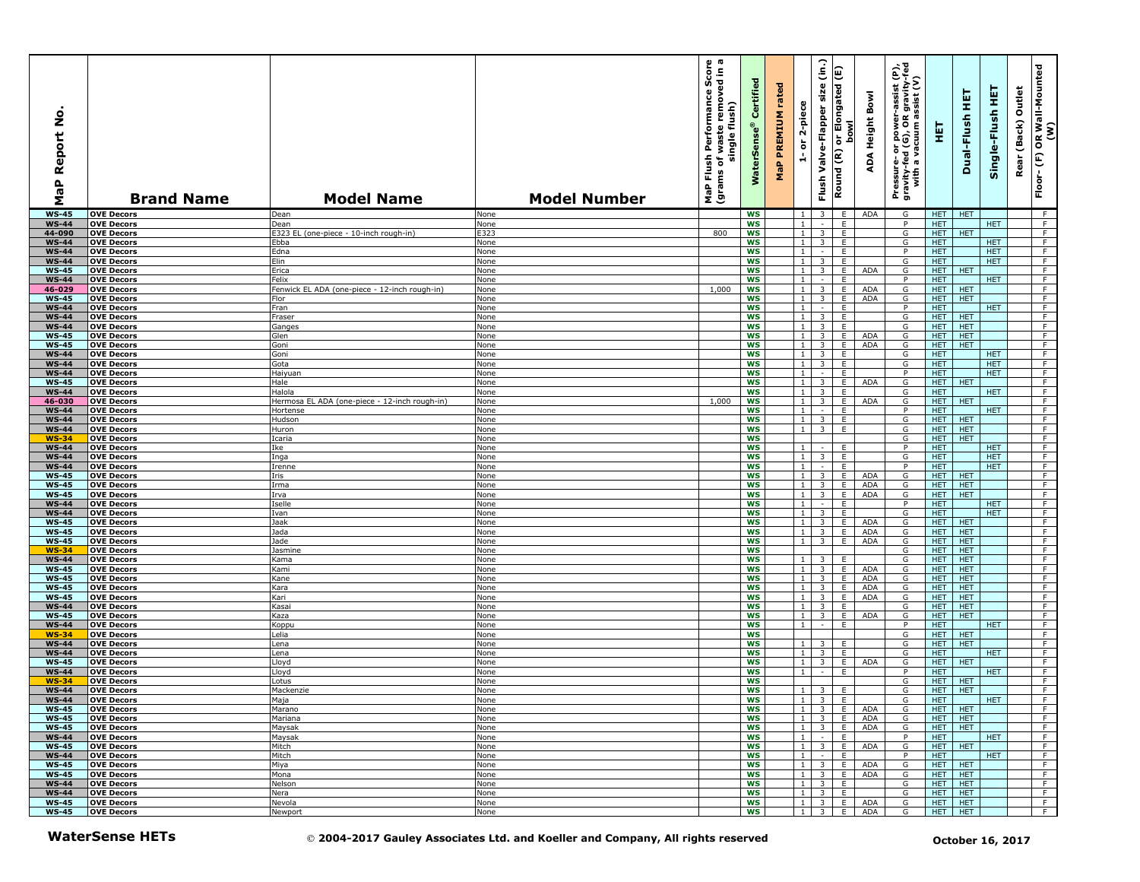| $\circ$<br>Ž<br>eport<br>∝<br>MaP | <b>Brand Name</b>                       | <b>Model Name</b>                                      | <b>Model Number</b>                                                             | MaP Flush Performance Score<br>(grams of waste removed in a<br>single flush) | Certified<br>$\bullet$<br><b>WaterSens</b> | rated<br><b>MaP PREMIUM</b> | 2-piece<br>$\overleftarrow{\mathtt{o}}$<br>÷ | $\overline{C}$<br>Valve-Flapper size<br>Flush <sup>-</sup> | or Elongated (E)<br><b>bowl</b><br>Round (R) | Bowl<br><b>ADA Height</b> | er-assist (P),<br>)R gravity-fed<br>1 assist (V)<br>Pressure- or power--<br>gravity-fed (G), OR g<br>with a vacuum as | 王                        | 듚<br>Dual-Flush          | 뜣<br>Single-Flush        | Outlet<br>(Back)<br>Rear | OR Wall-Mounted<br>(W)<br>$\widehat{\mathbf{E}}$<br>$Floor$ - |
|-----------------------------------|-----------------------------------------|--------------------------------------------------------|---------------------------------------------------------------------------------|------------------------------------------------------------------------------|--------------------------------------------|-----------------------------|----------------------------------------------|------------------------------------------------------------|----------------------------------------------|---------------------------|-----------------------------------------------------------------------------------------------------------------------|--------------------------|--------------------------|--------------------------|--------------------------|---------------------------------------------------------------|
| $WS-45$                           | <b>OVE Decors</b>                       | Dean                                                   | None                                                                            |                                                                              | <b>WS</b>                                  |                             | $\mathbf{1}$                                 | $\overline{\mathbf{3}}$                                    | E.                                           | ADA                       | G                                                                                                                     |                          | HET HET                  |                          |                          | - F                                                           |
| <b>WS-44</b>                      | <b>OVE Decors</b>                       | Dean                                                   | None                                                                            |                                                                              | <b>WS</b>                                  |                             | $\mathbf{1}$                                 | $\sim$                                                     | E                                            |                           | P                                                                                                                     | HET                      |                          | HET                      |                          | F<br>F                                                        |
| 44-090<br><b>WS-44</b>            | <b>OVE Decors</b><br><b>OVE Decors</b>  | E323 EL (one-piece - 10-inch rough-in)<br>Ebba         | E323<br>None                                                                    | 800                                                                          | ws<br><b>WS</b>                            |                             | 1<br>$\mathbf{1}$                            | $\overline{3}$<br>$\overline{3}$                           | E<br>E                                       |                           | G<br>G                                                                                                                | <b>HET</b><br><b>HET</b> | HET.                     | <b>HET</b>               |                          | F                                                             |
| <b>WS-44</b>                      | <b>OVE Decors</b>                       | Edna                                                   | None                                                                            |                                                                              | <b>WS</b>                                  |                             | $\mathbf{1}$                                 |                                                            | E                                            |                           | P                                                                                                                     | <b>HET</b>               |                          | <b>HET</b>               |                          | F                                                             |
| <b>WS-44</b>                      | <b>OVE Decors</b>                       | Elin                                                   | None                                                                            |                                                                              | WS                                         |                             | $\mathbf{1}$                                 | 3                                                          | E                                            |                           | G                                                                                                                     | <b>HET</b>               |                          | <b>HET</b>               |                          | F                                                             |
| <b>WS-45</b>                      | <b>OVE Decors</b>                       | Erica                                                  | None                                                                            |                                                                              | <b>WS</b>                                  |                             | $\overline{1}$                               | $\overline{3}$                                             | E                                            | <b>ADA</b>                | G<br>P                                                                                                                |                          | HET HET                  | <b>HET</b>               |                          | F<br>F                                                        |
| <b>WS-44</b><br>46-029            | <b>OVE Decors</b><br><b>OVE Decors</b>  | Felix<br>Fenwick EL ADA (one-piece - 12-inch rough-in) | None<br>None                                                                    | 1,000                                                                        | WS<br>ws                                   |                             | 1 <sup>1</sup><br>1                          | $\sim$<br>3                                                | E<br>E                                       | <b>ADA</b>                | G                                                                                                                     | <b>HET</b><br>HET        | <b>HET</b>               |                          |                          | F                                                             |
| <b>WS-45</b>                      | <b>OVE Decors</b>                       | Flor                                                   | None                                                                            |                                                                              | <b>WS</b>                                  |                             | 1                                            | $\overline{\mathbf{3}}$                                    | E.                                           | ADA                       | G                                                                                                                     | <b>HET</b>               | <b>HET</b>               |                          |                          | F                                                             |
| <b>WS-44</b>                      | <b>OVE Decors</b>                       | Fran                                                   | None                                                                            |                                                                              | <b>WS</b>                                  |                             | 1 <sup>1</sup>                               | $\sim$                                                     | E                                            |                           | P                                                                                                                     | <b>HET</b>               |                          | <b>HET</b>               |                          | F                                                             |
| <b>WS-44</b>                      | <b>OVE Decors</b>                       | Fraser                                                 | None                                                                            |                                                                              | WS                                         |                             | $\mathbf{1}$                                 | 3                                                          | E                                            |                           | G                                                                                                                     | <b>HET</b>               | <b>HET</b>               |                          |                          | F                                                             |
| <b>WS-44</b><br><b>WS-45</b>      | <b>OVE Decors</b><br><b>OVE Decors</b>  | Ganges<br>Glen                                         | None<br>None                                                                    |                                                                              | <b>WS</b><br>WS                            |                             | $\mathbf{1}$<br>1 <sup>1</sup>               | $\overline{3}$<br>$\overline{3}$                           | E<br>E                                       | <b>ADA</b>                | G<br>G                                                                                                                | <b>HET</b><br><b>HET</b> | <b>HET</b><br><b>HET</b> |                          |                          | F<br>F                                                        |
| <b>WS-45</b>                      | <b>OVE Decors</b>                       | Goni                                                   | None                                                                            |                                                                              | ws                                         |                             | $\mathbf{1}$                                 | 3                                                          | E                                            | <b>ADA</b>                | G                                                                                                                     | <b>HET</b>               | <b>HET</b>               |                          |                          | F                                                             |
| <b>WS-44</b>                      | <b>OVE Decors</b>                       | Goni                                                   | None                                                                            |                                                                              | <b>WS</b>                                  |                             | $\mathbf{1}$                                 | $\overline{3}$                                             | E                                            |                           | G                                                                                                                     | <b>HET</b>               |                          | <b>HET</b>               |                          | F                                                             |
| <b>WS-44</b>                      | <b>OVE Decors</b>                       | Gota                                                   | None                                                                            |                                                                              | <b>WS</b>                                  |                             | 1 <sup>1</sup>                               | 3                                                          | E                                            |                           | G                                                                                                                     | <b>HET</b>               |                          | <b>HET</b>               |                          | F                                                             |
| <b>WS-44</b><br><b>WS-45</b>      | <b>OVE Decors</b><br><b>OVE Decors</b>  | Haiyuan<br>Hale                                        | None<br>None                                                                    |                                                                              | <b>WS</b><br><b>WS</b>                     |                             | $\mathbf{1}$<br>$\mathbf{1}$                 | $\overline{\mathbf{z}}$                                    | E<br>E                                       | <b>ADA</b>                | P<br>G                                                                                                                | <b>HET</b>               | HET   HET                | <b>HET</b>               |                          | F.<br>F                                                       |
| <b>WS-44</b>                      | <b>OVE Decors</b>                       | Halola                                                 | None                                                                            |                                                                              | <b>WS</b>                                  |                             | $\mathbf{1}$                                 | $\overline{\mathbf{3}}$                                    | E                                            |                           | G                                                                                                                     | <b>HET</b>               |                          | <b>HET</b>               |                          | F                                                             |
| 46-030                            | <b>OVE Decors</b>                       | Hermosa EL ADA (one-piece - 12-inch rough-in)          | None                                                                            | 1,000                                                                        | WS                                         |                             | 1                                            | 3 <sup>7</sup>                                             | E                                            | <b>ADA</b>                | G                                                                                                                     | HET                      | <b>HET</b>               |                          |                          | F                                                             |
| <b>WS-44</b>                      | <b>OVE Decors</b>                       | Hortense                                               | None                                                                            |                                                                              | WS                                         |                             | 1 <sup>1</sup>                               | $\sim$                                                     | E                                            |                           | P                                                                                                                     | <b>HET</b>               |                          | <b>HET</b>               |                          | F                                                             |
| <b>WS-44</b><br><b>WS-44</b>      | <b>OVE Decors</b><br><b>OVE Decors</b>  | Hudson<br>Huron                                        | None<br>None                                                                    |                                                                              | <b>WS</b><br>WS                            |                             | $\mathbf{1}$<br>$\mathbf{1}$                 | $\overline{\mathbf{3}}$<br>3                               | E<br>E                                       |                           | G<br>G                                                                                                                | <b>HET</b><br><b>HET</b> | <b>HET</b><br><b>HET</b> |                          |                          | F<br>F                                                        |
| <b>WS-34</b>                      | <b>OVE Decors</b>                       | Icaria                                                 | None                                                                            |                                                                              | WS                                         |                             |                                              |                                                            |                                              |                           | G                                                                                                                     | <b>HET</b>               | <b>HET</b>               |                          |                          | F                                                             |
| <b>WS-44</b>                      | <b>OVE Decors</b>                       | Ike                                                    | None                                                                            |                                                                              | <b>WS</b>                                  |                             | $\overline{1}$                               |                                                            | E                                            |                           | P                                                                                                                     | <b>HET</b>               |                          | <b>HET</b>               |                          | F                                                             |
| <b>WS-44</b>                      | <b>OVE Decors</b>                       | Inga                                                   | None                                                                            |                                                                              | <b>WS</b>                                  |                             | 1 <sup>1</sup>                               | 3                                                          | E                                            |                           | G                                                                                                                     | HET                      |                          | HET                      |                          | F                                                             |
| <b>WS-44</b><br><b>WS-45</b>      | <b>OVE Decors</b><br><b>OVE Decors</b>  | Irenne<br>Iris                                         | None<br>None                                                                    |                                                                              | WS<br><b>WS</b>                            |                             | $\mathbf{1}$<br>$\mathbf{1}$                 | $\sim$<br>3                                                | E<br>E                                       | <b>ADA</b>                | P<br>G                                                                                                                | <b>HET</b><br><b>HET</b> | <b>HET</b>               | HET.                     |                          | F<br>F                                                        |
| <b>WS-45</b>                      | <b>OVE Decors</b>                       | Irma                                                   | None                                                                            |                                                                              | <b>WS</b>                                  |                             | $\mathbf{1}$                                 | 3                                                          | E                                            | <b>ADA</b>                | G                                                                                                                     | <b>HET</b>               | <b>HET</b>               |                          |                          | F                                                             |
| <b>WS-45</b>                      | <b>OVE Decors</b>                       | Irva                                                   | None                                                                            |                                                                              | WS                                         |                             | $\mathbf{1}$                                 | 3                                                          | E                                            | <b>ADA</b>                | G                                                                                                                     | <b>HET</b>               | <b>HET</b>               |                          |                          | F                                                             |
| <b>WS-44</b><br><b>WS-44</b>      | <b>OVE Decors</b><br><b>OVE Decors</b>  | Iselle<br>Ivan                                         | None<br>None                                                                    |                                                                              | <b>WS</b><br>WS                            |                             | $\mathbf{1}$<br>1 <sup>1</sup>               | $\sim$<br>3                                                | E<br>E                                       |                           | $\overline{P}$<br>G                                                                                                   | <b>HET</b><br><b>HET</b> |                          | <b>HET</b><br><b>HET</b> |                          | $-F$<br>$\overline{F}$                                        |
| <b>WS-45</b>                      | <b>OVE Decors</b>                       | Jaak                                                   | None                                                                            |                                                                              | WS                                         |                             | 1                                            | 3                                                          | E                                            | <b>ADA</b>                | G                                                                                                                     | <b>HET</b>               | <b>HET</b>               |                          |                          | F                                                             |
| <b>WS-45</b>                      | <b>OVE Decors</b>                       | Jada                                                   | None                                                                            |                                                                              | <b>WS</b>                                  |                             | 1 <sup>1</sup>                               | $\overline{3}$                                             | E.                                           | <b>ADA</b>                | G                                                                                                                     | <b>HET</b>               | <b>HET</b>               |                          |                          | F                                                             |
| <b>WS-45</b>                      | <b>OVE Decors</b>                       | Jade                                                   | None                                                                            |                                                                              | <b>WS</b>                                  |                             | 1 <sub>1</sub>                               | $\overline{\mathbf{3}}$                                    | E.                                           | <b>ADA</b>                | G                                                                                                                     | <b>HET</b>               | <b>HET</b>               |                          |                          | F.                                                            |
| <b>WS-34</b><br><b>WS-44</b>      | <b>OVE Decors</b><br><b>OVE Decors</b>  | Jasmine<br>Kama                                        | None<br>None                                                                    |                                                                              | <b>WS</b><br><b>WS</b>                     |                             | $\mathbf{1}$                                 | $\overline{\mathbf{3}}$                                    | E                                            |                           | G<br>G                                                                                                                | <b>HET</b><br><b>HET</b> | <b>HET</b><br><b>HET</b> |                          |                          | F<br>F                                                        |
| <b>WS-45</b>                      | <b>OVE Decors</b>                       | Kami                                                   | None                                                                            |                                                                              | WS                                         |                             | 1 <sup>1</sup>                               | $\overline{\mathbf{3}}$                                    | E                                            | <b>ADA</b>                | G                                                                                                                     | <b>HET</b>               | HET.                     |                          |                          | F                                                             |
| <b>WS-45</b>                      | <b>OVE Decors</b>                       | Kane                                                   | None                                                                            |                                                                              | WS                                         |                             | $\mathbf{1}$                                 | 3                                                          | E                                            | <b>ADA</b>                | G                                                                                                                     | <b>HET</b>               | HET.                     |                          |                          | F.                                                            |
| <b>WS-45</b>                      | <b>OVE Decors</b>                       | Kara                                                   | None                                                                            |                                                                              | <b>WS</b>                                  |                             | $\mathbf{1}$                                 | 3                                                          | E                                            | <b>ADA</b>                | G                                                                                                                     | <b>HET</b>               | <b>HET</b>               |                          |                          | F                                                             |
| <b>WS-45</b><br><b>WS-44</b>      | <b>OVE Decors</b><br><b>OVE Decors</b>  | Kari<br>Kasai                                          | None<br>None                                                                    |                                                                              | <b>WS</b><br><b>WS</b>                     |                             | 1 <sup>1</sup><br>$\mathbf{1}$               | 3<br>$\overline{\mathbf{3}}$                               | E<br>E                                       | ADA                       | G<br>G                                                                                                                | <b>HET</b><br><b>HET</b> | <b>HET</b><br><b>HET</b> |                          |                          | F<br>F.                                                       |
| <b>WS-45</b>                      | <b>OVE Decors</b>                       | Kaza                                                   | None                                                                            |                                                                              | <b>WS</b>                                  |                             | $\mathbf{1}$                                 | $\overline{3}$                                             | E                                            | <b>ADA</b>                | G                                                                                                                     | <b>HET</b>               | <b>HET</b>               |                          |                          | F                                                             |
| <b>WS-44</b>                      | <b>OVE Decors</b>                       | Koppu                                                  | None                                                                            |                                                                              | <b>WS</b>                                  |                             | $\overline{1}$                               | $\sim$                                                     | E                                            |                           | P                                                                                                                     | <b>HET</b>               |                          | <b>HET</b>               |                          | F                                                             |
| <b>WS-34</b>                      | <b>OVE Decors</b>                       | Lelia                                                  | None                                                                            |                                                                              | WS                                         |                             |                                              |                                                            |                                              |                           | G                                                                                                                     | <b>HET</b>               | <b>HET</b>               |                          |                          | F                                                             |
| <b>WS-44</b><br><b>WS-44</b>      | <b>OVE Decors</b><br><b>OVE Decors</b>  | Lena<br>Lena                                           | None<br>None                                                                    |                                                                              | WS<br><b>WS</b>                            |                             | 1<br>$\mathbf{1}$                            | 3<br>3                                                     | E<br>E                                       |                           | G<br>G                                                                                                                | HET<br><b>HET</b>        | <b>HET</b>               | <b>HET</b>               |                          | F<br>F                                                        |
| $WS-45$                           | <b>OVE Decors</b>                       | Lloyd                                                  | None                                                                            |                                                                              | <b>WS</b>                                  |                             | 1 <sup>1</sup>                               | $\overline{\mathbf{3}}$                                    | E                                            | <b>ADA</b>                | G                                                                                                                     | <b>HET</b>               | HET.                     |                          |                          | F.                                                            |
| <b>WS-44</b>                      | <b>OVE Decors</b>                       | Lloyd                                                  | None                                                                            |                                                                              | WS                                         |                             | 1 <sup>1</sup>                               | $\sim$                                                     | E                                            |                           | P                                                                                                                     | <b>HET</b>               |                          | <b>HET</b>               |                          | F                                                             |
| WS-34                             | <b>OVE Decors</b>                       | Lotus                                                  | None                                                                            |                                                                              | <b>WS</b>                                  |                             |                                              |                                                            |                                              |                           | G                                                                                                                     | <b>HET</b>               | <b>HET</b>               |                          |                          | F                                                             |
| <b>WS-44</b><br>WS-44             | <b>OVE Decors</b><br><b>TOVE Decors</b> | Mackenzie<br>Maja                                      | None<br>None                                                                    |                                                                              | <b>WS</b><br>ws                            |                             | 1                                            | 3                                                          | E                                            |                           | G                                                                                                                     | <b>HET</b><br>HET        | <b>HET</b>               | HET                      |                          | F                                                             |
| <b>WS-45</b>                      | <b>OVE Decors</b>                       | Marano                                                 | None                                                                            |                                                                              | WS                                         |                             |                                              |                                                            | $1 \mid 3 \mid E$                            | ADA                       | G                                                                                                                     |                          | HET   HET                |                          |                          | F                                                             |
| <b>WS-45</b>                      | <b>OVE Decors</b>                       | Mariana                                                | None                                                                            |                                                                              | WS                                         |                             |                                              | $1 \quad 3 \quad$                                          | E                                            | ADA                       | G                                                                                                                     | <b>HET</b>               | <b>HET</b>               |                          |                          | F                                                             |
| <b>WS-45</b>                      | <b>OVE Decors</b>                       | Maysak                                                 | None                                                                            |                                                                              | ws                                         |                             |                                              |                                                            | $1 \quad 3 \quad E$                          | ADA                       | G                                                                                                                     |                          | HET HET                  |                          |                          | F                                                             |
| <b>WS-44</b><br><b>WS-45</b>      | <b>OVE Decors</b><br><b>OVE Decors</b>  | Maysak<br>Mitch                                        | None<br>None                                                                    |                                                                              | ws<br>WS                                   |                             | 1 <sup>1</sup>                               | $\sim$                                                     | E<br>$1 \quad 3 \quad E$                     | <b>ADA</b>                | P<br>G                                                                                                                | <b>HET</b>               | HET HET                  | <b>HET</b>               |                          | F<br>F                                                        |
| <b>WS-44</b>                      | <b>OVE Decors</b>                       | Mitch                                                  | None                                                                            |                                                                              | WS                                         |                             | $1 \mid$                                     | $\sim$ $\sim$                                              | E                                            |                           | P                                                                                                                     | <b>HET</b>               |                          | HET.                     |                          | F                                                             |
| <b>WS-45</b>                      | <b>OVE Decors</b>                       | Miya                                                   | None                                                                            |                                                                              | ws                                         |                             |                                              | $1 \mid 3 \mid$                                            | E                                            | ADA                       | G                                                                                                                     | HET                      | <b>HET</b>               |                          |                          | $\overline{F}$                                                |
| <b>WS-45</b>                      | <b>OVE Decors</b>                       | Mona                                                   | None                                                                            |                                                                              | ws                                         |                             |                                              | $1 \quad 3 \quad$                                          | E                                            | ADA                       | G                                                                                                                     | <b>HET</b>               | <b>HET</b>               |                          |                          | F                                                             |
| <b>WS-44</b><br><b>WS-44</b>      | <b>OVE Decors</b><br><b>OVE Decors</b>  | Nelson<br>Nera                                         | None<br>None                                                                    |                                                                              | ws<br>WS                                   |                             | 1 <sub>1</sub>                               | $1 \quad 3 \quad$<br>$\overline{\phantom{a}}$              | E<br>E                                       |                           | G<br>G                                                                                                                | <b>HET</b><br><b>HET</b> | <b>HET</b><br><b>HET</b> |                          |                          | F<br>F                                                        |
| <b>WS-45</b>                      | <b>OVE Decors</b>                       | Nevola                                                 | None                                                                            |                                                                              | WS                                         |                             | 1 <sub>1</sub>                               | 3 <sup>1</sup>                                             | E.                                           | ADA                       | G                                                                                                                     | <b>HET</b>               | HET                      |                          |                          | F                                                             |
| $WS-45$                           | <b>OVE Decors</b>                       | Newport                                                | None                                                                            |                                                                              | <b>WS</b>                                  |                             |                                              | $1 \quad 3 \quad$                                          | E                                            | ADA                       | G                                                                                                                     |                          | HET HET                  |                          |                          | F                                                             |
|                                   | <b>WaterSense HETs</b>                  |                                                        | © 2004-2017 Gauley Associates Ltd. and Koeller and Company, All rights reserved |                                                                              |                                            |                             |                                              |                                                            |                                              |                           |                                                                                                                       |                          |                          | October 16, 2017         |                          |                                                               |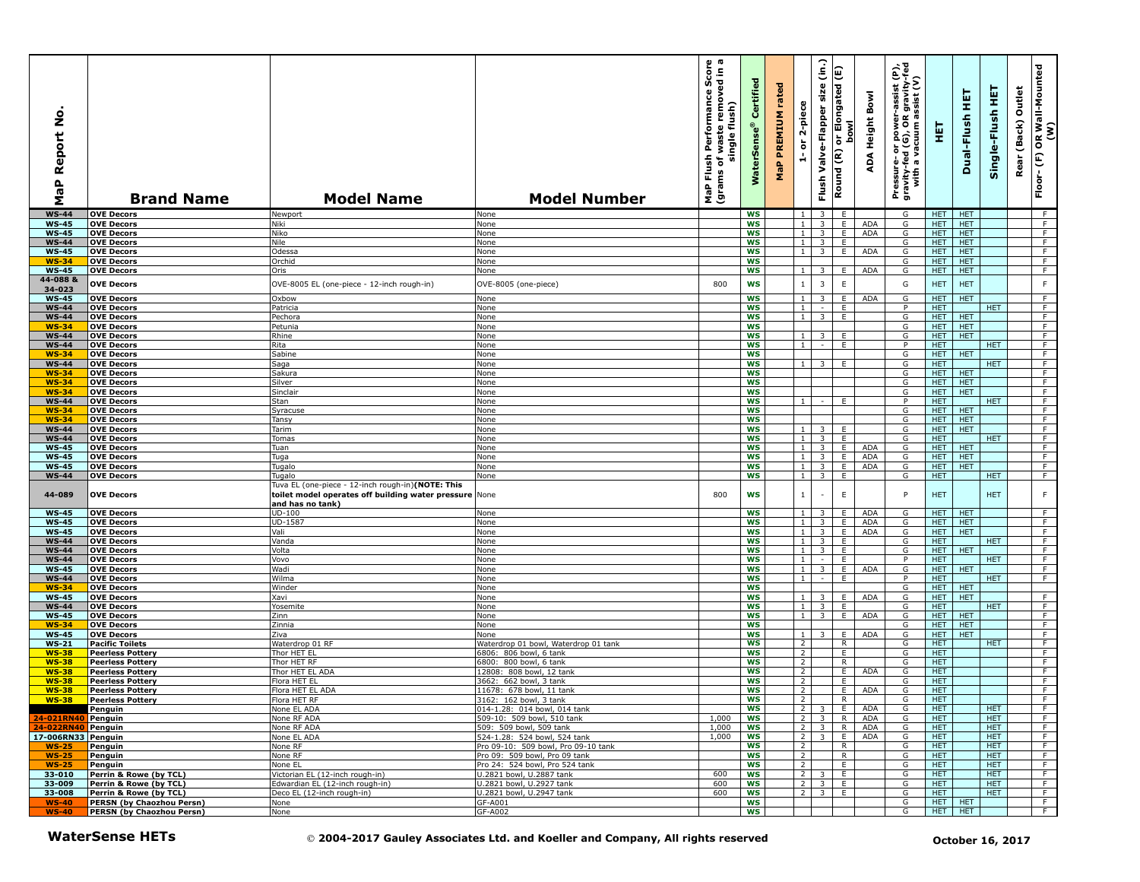| ş<br>Report<br>$\mathbf{r}$<br>œ<br>Σ | <b>Brand Name</b>                                  | <b>Model Name</b>                                                                                                               | <b>Model Number</b>                                                             | sh Performance Score<br>of waste removed in a<br>single flush)<br>Flush<br>ms of <sub>1</sub><br>MaP Flu<br>(grams | Certified<br><b>WaterSens</b> | rated<br>MaP PREMIUM | 2-piece<br>$\overleftarrow{\mathtt{o}}$<br>÷ | $\hat{c}$<br>Valve-Flapper size<br>Flush <sup>-</sup> | E<br>Elongated<br><b>bowl</b><br>ैं।<br>ले<br>Round (R) | ADA Height Bowl          | Pressure- or power-assist (P),<br>gravity-fed (G), OR gravity-fed<br>with a vacuum assist (V) | 핖                        | Dual-Flush HET           | Single-Flush HET   | Outlet<br>Rear (Back) | OR Wall-Mounted<br>(W)<br>Floor-(F) |
|---------------------------------------|----------------------------------------------------|---------------------------------------------------------------------------------------------------------------------------------|---------------------------------------------------------------------------------|--------------------------------------------------------------------------------------------------------------------|-------------------------------|----------------------|----------------------------------------------|-------------------------------------------------------|---------------------------------------------------------|--------------------------|-----------------------------------------------------------------------------------------------|--------------------------|--------------------------|--------------------|-----------------------|-------------------------------------|
| $WS-44$                               | <b>OVE Decors</b>                                  | Newport                                                                                                                         | None                                                                            |                                                                                                                    | <b>WS</b>                     |                      | 1 <sub>1</sub>                               | 3                                                     | E                                                       |                          | G                                                                                             | HET                      | HET.                     |                    |                       | - F                                 |
| <b>WS-45</b>                          | <b>OVE Decors</b>                                  | Niki                                                                                                                            | None                                                                            |                                                                                                                    | WS                            |                      | 1                                            | $\overline{\mathbf{3}}$                               | E                                                       | <b>ADA</b><br>ADA        | G                                                                                             | <b>HET</b>               | HET.                     |                    |                       | F<br>$\overline{F}$                 |
| <b>WS-45</b><br><b>WS-44</b>          | <b>OVE Decors</b><br><b>OVE Decors</b>             | Niko<br>Nile                                                                                                                    | None<br>None                                                                    |                                                                                                                    | <b>WS</b><br><b>WS</b>        |                      | 1<br><sup>1</sup>                            | $\overline{\mathbf{3}}$<br>$\overline{\mathbf{3}}$    | E<br>E.                                                 |                          | G<br>G                                                                                        | HET.<br>HET.             | HET.<br>HET.             |                    |                       | F                                   |
| <b>WS-45</b>                          | <b>OVE Decors</b>                                  | Odessa                                                                                                                          | None                                                                            |                                                                                                                    | <b>WS</b>                     |                      | 1 <sup>1</sup>                               | $\overline{\mathbf{3}}$                               | E                                                       | <b>ADA</b>               | G                                                                                             | <b>HET</b>               | <b>HET</b>               |                    |                       | F                                   |
| $WS-34$                               | <b>OVE Decors</b>                                  | Orchid                                                                                                                          | None                                                                            |                                                                                                                    | <b>WS</b>                     |                      |                                              |                                                       |                                                         |                          | G                                                                                             | <b>HET</b>               | <b>HET</b>               |                    |                       | F                                   |
| <b>WS-45</b>                          | <b>OVE Decors</b>                                  | Oris                                                                                                                            | None                                                                            |                                                                                                                    | WS                            |                      | $1 \mid$                                     | 3                                                     | E                                                       | <b>ADA</b>               | G                                                                                             | <b>HET</b>               | <b>HET</b>               |                    |                       | F.                                  |
| 44-088 &<br>34-023                    | <b>OVE Decors</b>                                  | OVE-8005 EL (one-piece - 12-inch rough-in)                                                                                      | OVE-8005 (one-piece)                                                            | 800                                                                                                                | <b>WS</b>                     |                      | 1                                            | $\overline{\mathbf{3}}$                               | E                                                       |                          | G                                                                                             | <b>HET</b>               | <b>HET</b>               |                    |                       | F                                   |
| <b>WS-45</b>                          | <b>OVE Decors</b>                                  | Oxbow                                                                                                                           | None                                                                            |                                                                                                                    | <b>WS</b>                     |                      | $1 \mid$                                     | 3                                                     | E.                                                      | <b>ADA</b>               | G                                                                                             | <b>HET</b>               | HET.                     |                    |                       | F.                                  |
| <b>WS-44</b>                          | <b>OVE Decors</b>                                  | Patricia                                                                                                                        | None                                                                            |                                                                                                                    | <b>WS</b>                     |                      | 1 <sup>1</sup>                               |                                                       | E.                                                      |                          | P                                                                                             | <b>HET</b>               |                          | HET.               |                       | F.                                  |
| <b>WS-44</b><br>$WS-34$               | <b>OVE Decors</b>                                  | Pechora                                                                                                                         | None                                                                            |                                                                                                                    | <b>WS</b><br><b>WS</b>        |                      | 1 <sup>1</sup>                               | $\overline{\mathbf{3}}$                               | E                                                       |                          | G<br>G                                                                                        | HET.<br><b>HET</b>       | <b>HET</b><br>HET.       |                    |                       | F<br>F                              |
| $WS-44$                               | <b>OVE Decors</b><br><b>OVE Decors</b>             | Petunia<br>Rhine                                                                                                                | None<br>None                                                                    |                                                                                                                    | WS                            |                      | 1 <sup>1</sup>                               | 3                                                     | E                                                       |                          | G                                                                                             | HET.                     | HET.                     |                    |                       | F.                                  |
| <b>WS-44</b>                          | <b>OVE Decors</b>                                  | Rita                                                                                                                            | None                                                                            |                                                                                                                    | WS                            |                      | 1                                            | $\sim$                                                | E                                                       |                          | P                                                                                             | <b>HET</b>               |                          | HET.               |                       | F                                   |
| $WS-34$                               | <b>OVE Decors</b>                                  | Sabine                                                                                                                          | None                                                                            |                                                                                                                    | <b>WS</b>                     |                      |                                              |                                                       |                                                         |                          | G                                                                                             | <b>HET</b>               | HET.                     |                    |                       | F                                   |
| <b>WS-44</b>                          | <b>OVE Decors</b>                                  | Saga                                                                                                                            | None                                                                            |                                                                                                                    | <b>WS</b>                     |                      | 1 <sup>1</sup>                               | 3                                                     | E                                                       |                          | G                                                                                             | <b>HET</b>               |                          | HET.               |                       | F.                                  |
| <b>WS-34</b><br><b>WS-34</b>          | <b>OVE Decors</b><br><b>OVE Decors</b>             | Sakura<br>Silver                                                                                                                | <b>None</b><br>None                                                             |                                                                                                                    | <b>WS</b><br><b>WS</b>        |                      |                                              |                                                       |                                                         |                          | G<br>$\overline{\mathsf{G}}$                                                                  | <b>HET</b><br><b>HET</b> | <b>HET</b><br><b>HET</b> |                    |                       | F<br>F                              |
| <b>WS-34</b>                          | <b>OVE Decors</b>                                  | Sinclair                                                                                                                        | None                                                                            |                                                                                                                    | WS                            |                      |                                              |                                                       |                                                         |                          | G                                                                                             | <b>HET</b>               | HET.                     |                    |                       | F                                   |
| <b>WS-44</b>                          | <b>OVE Decors</b>                                  | Stan                                                                                                                            | None                                                                            |                                                                                                                    | WS                            |                      | 1                                            | $\sim$                                                | E                                                       |                          | P                                                                                             | <b>HET</b>               |                          | HET.               |                       | F                                   |
| WS-34                                 | <b>OVE Decors</b>                                  | Syracuse                                                                                                                        | None                                                                            |                                                                                                                    | <b>WS</b>                     |                      |                                              |                                                       |                                                         |                          | G                                                                                             | <b>HET</b>               | HET.                     |                    |                       | F                                   |
| $WS-34$<br><b>WS-44</b>               | <b>OVE Decors</b><br><b>OVE Decors</b>             | Tansy<br>Tarim                                                                                                                  | None<br>None                                                                    |                                                                                                                    | <b>WS</b><br><b>WS</b>        |                      | 1 <sup>1</sup>                               | 3                                                     | E                                                       |                          | G<br>G                                                                                        | <b>HET</b><br><b>HET</b> | HET.<br><b>HET</b>       |                    |                       | F<br>F                              |
| <b>WS-44</b>                          | <b>OVE Decors</b>                                  | Tomas                                                                                                                           | None                                                                            |                                                                                                                    | <b>WS</b>                     |                      | $\overline{1}$                               | $\overline{\mathbf{3}}$                               | E                                                       |                          | G                                                                                             | <b>HET</b>               |                          | HET                |                       | F                                   |
| <b>WS-45</b>                          | <b>OVE Decors</b>                                  | Tuan                                                                                                                            | None                                                                            |                                                                                                                    | <b>WS</b>                     |                      | 1 <sub>1</sub>                               | 3 <sup>2</sup>                                        | E                                                       | <b>ADA</b>               | G                                                                                             | <b>HET</b>               | HET.                     |                    |                       | F.                                  |
| <b>WS-45</b>                          | <b>OVE Decors</b>                                  | Tuga                                                                                                                            | None                                                                            |                                                                                                                    | <b>WS</b>                     |                      | 1 <sup>1</sup>                               | $\overline{\mathbf{3}}$                               | E                                                       | <b>ADA</b>               | G                                                                                             | <b>HET</b>               | HET.                     |                    |                       | F                                   |
| <b>WS-45</b><br><b>WS-44</b>          | <b>OVE Decors</b><br><b>OVE Decors</b>             | Tugalo<br>Tugalo                                                                                                                | None<br>None                                                                    |                                                                                                                    | <b>WS</b><br>WS               |                      | 1<br><sup>1</sup>                            | $\overline{\mathbf{3}}$<br>$\overline{\mathbf{3}}$    | E<br>E                                                  | ADA                      | G<br>G                                                                                        | <b>HET</b><br><b>HET</b> | HET.                     | HET.               |                       | F<br>F                              |
| 44-089                                | <b>OVE Decors</b>                                  | Tuva EL (one-piece - 12-inch rough-in)(NOTE: This<br>toilet model operates off building water pressure None<br>and has no tank) |                                                                                 | 800                                                                                                                | <b>WS</b>                     |                      | 1                                            |                                                       | $\mathsf E$                                             |                          | P                                                                                             | <b>HET</b>               |                          | <b>HET</b>         |                       | F                                   |
| <b>WS-45</b>                          | <b>OVE Decors</b>                                  | $UD-100$                                                                                                                        | None                                                                            |                                                                                                                    | WS                            |                      | $1 \mid$                                     | 3                                                     | E                                                       | <b>ADA</b>               | G                                                                                             | HET                      | HET.                     |                    |                       | F                                   |
| <b>WS-45</b><br><b>WS-45</b>          | <b>OVE Decors</b><br><b>OVE Decors</b>             | UD-1587<br>Vali                                                                                                                 | None<br>None                                                                    |                                                                                                                    | <b>WS</b><br><b>WS</b>        |                      | 1<br>$1 \mid$                                | $\overline{\mathbf{3}}$<br>$\overline{\mathbf{3}}$    | E<br>E                                                  | <b>ADA</b><br><b>ADA</b> | G<br>G                                                                                        | <b>HET</b><br><b>HET</b> | HET.<br>HET.             |                    |                       | F<br>F.                             |
| <b>WS-44</b>                          | <b>OVE Decors</b>                                  | Vanda                                                                                                                           | None                                                                            |                                                                                                                    | <b>WS</b>                     |                      | $1 \mid$                                     | 3                                                     | E                                                       |                          | G                                                                                             | <b>HET</b>               |                          | HET.               |                       | F.                                  |
| <b>WS-44</b>                          | <b>OVE Decors</b>                                  | Volta                                                                                                                           | None                                                                            |                                                                                                                    | <b>WS</b>                     |                      | 1                                            | $\overline{\mathbf{3}}$                               | E                                                       |                          | G                                                                                             | HET.                     | <b>HET</b>               |                    |                       | F                                   |
| <b>WS-44</b>                          | <b>OVE Decors</b>                                  | Vovo                                                                                                                            | None                                                                            |                                                                                                                    | <b>WS</b>                     |                      | 1                                            |                                                       | E                                                       |                          | P                                                                                             | HET.                     |                          | HET.               |                       | F                                   |
| <b>WS-45</b><br><b>WS-44</b>          | <b>OVE Decors</b><br><b>OVE Decors</b>             | Wadi<br>Wilma                                                                                                                   | None<br>None                                                                    |                                                                                                                    | WS<br>WS                      |                      | 1 <sup>1</sup><br>1 <sup>1</sup>             | 3<br>$\sim$                                           | E<br>E                                                  | ADA                      | G<br>P                                                                                        | HET.<br><b>HET</b>       | HET.                     | HET.               |                       | F<br>F                              |
| $WS-34$                               | <b>OVE Decors</b>                                  | Winder                                                                                                                          | None                                                                            |                                                                                                                    | <b>WS</b>                     |                      |                                              |                                                       |                                                         |                          | G                                                                                             | <b>HET</b>               | HET.                     |                    |                       |                                     |
| <b>WS-45</b>                          | <b>OVE Decors</b>                                  | Xavi                                                                                                                            | None                                                                            |                                                                                                                    | <b>WS</b>                     |                      | 1 <sup>1</sup>                               | 3                                                     | E                                                       | <b>ADA</b>               | G                                                                                             | <b>HET</b>               | HET.                     |                    |                       | F                                   |
| <b>WS-44</b>                          | <b>OVE Decors</b>                                  | Yosemite                                                                                                                        | None                                                                            |                                                                                                                    | <b>WS</b>                     |                      | 1 <sup>1</sup>                               | $\overline{\mathbf{3}}$                               | E                                                       |                          | G                                                                                             | <b>HET</b>               |                          | <b>HET</b>         |                       | F                                   |
| <b>WS-45</b>                          | <b>OVE Decors</b><br><b>OVE Decors</b>             | Zinn                                                                                                                            | None<br>None                                                                    |                                                                                                                    | <b>WS</b><br>WS               |                      | $\overline{1}$                               | $\overline{\mathbf{z}}$                               | F                                                       | <b>ADA</b>               | $\overline{\mathsf{G}}$                                                                       | <b>HET</b><br><b>HET</b> | HET.<br>HET.             |                    |                       | F<br>F                              |
| <b>WS-34</b><br><b>WS-45</b>          | <b>OVE Decors</b>                                  | Zinnia<br>Ziva                                                                                                                  | None                                                                            |                                                                                                                    | WS                            |                      | $1 \mid$                                     | $\overline{\mathbf{3}}$                               | E                                                       | ADA                      | G<br>G                                                                                        | <b>HET</b>               | HET.                     |                    |                       | F                                   |
| <b>WS-21</b>                          | <b>Pacific Toilets</b>                             | Waterdrop 01 RF                                                                                                                 | Waterdrop 01 bowl, Waterdrop 01 tank                                            |                                                                                                                    | <b>WS</b>                     |                      | $\overline{2}$                               |                                                       | R.                                                      |                          | G                                                                                             | HET.                     |                          | HET.               |                       | F                                   |
| <b>WS-38</b>                          | <b>Peerless Pottery</b>                            | Thor HET EL                                                                                                                     | 6806: 806 bowl, 6 tank                                                          |                                                                                                                    | ws                            |                      | $\overline{2}$                               |                                                       | E.                                                      |                          | G                                                                                             | HET.                     |                          |                    |                       | F.                                  |
| <b>WS-38</b>                          | <b>Peerless Pottery</b>                            | Thor HET RF<br>Thor HET EL ADA                                                                                                  | 800 bowl, 6 tank<br>6800:<br>12808:                                             |                                                                                                                    | WS<br><b>WS</b>               |                      | $\overline{2}$<br>$\overline{2}$             |                                                       | R<br>E                                                  | <b>ADA</b>               | G<br>G                                                                                        | <b>HET</b><br><b>HET</b> |                          |                    |                       | $\overline{F}$<br>F                 |
| <b>WS-38</b><br><b>WS-38</b>          | <b>Peerless Pottery</b><br><b>Peerless Pottery</b> | Flora HET EL                                                                                                                    | 808 bowl, 12 tank<br>3662: 662 bowl, 3 tank                                     |                                                                                                                    | WS                            |                      | $\overline{2}$                               |                                                       | E                                                       |                          | G                                                                                             | HET                      |                          |                    |                       | F                                   |
| <b>WS-38</b>                          | <b>Peerless Pottery</b>                            | Flora HET EL ADA                                                                                                                | 11678: 678 bowl, 11 tank                                                        |                                                                                                                    | WS                            |                      | $\overline{2}$                               |                                                       | E.                                                      | <b>ADA</b>               | G                                                                                             | HET.                     |                          |                    |                       | F.                                  |
|                                       | <b>WS-38</b> Peerless Pottery                      | Flora HFT RF                                                                                                                    | 3162: 162 bowl, 3 tank                                                          |                                                                                                                    | ws                            |                      |                                              |                                                       | R.                                                      |                          | G                                                                                             | <b>HET</b>               |                          |                    |                       |                                     |
|                                       | Penguin                                            | None EL ADA                                                                                                                     | 014-1.28: 014 bowl, 014 tank                                                    |                                                                                                                    | <b>WS</b>                     |                      | $\overline{2}$                               | $\overline{\mathbf{3}}$                               | E I                                                     | ADA                      | G                                                                                             | HET.                     |                          | HET.               |                       | F<br>F                              |
| 24-021RN40<br>24-022RN40              | Penguin<br>Penguin                                 | None RF ADA<br>None RF ADA                                                                                                      | 509-10: 509 bowl, 510 tank<br>509: 509 bowl, 509 tank                           | 1,000<br>1,000                                                                                                     | WS<br><b>WS</b>               |                      | $2^{\circ}$                                  | 3 <sup>1</sup><br>$2 \mid 3$                          | R<br>$\overline{R}$                                     | ADA<br>ADA               | G<br>G                                                                                        | HET.<br><b>HET</b>       |                          | HET.<br><b>HET</b> |                       | $\overline{F}$                      |
| 17-006RN33 Penguin                    |                                                    | None EL ADA                                                                                                                     | 524-1.28: 524 bowl, 524 tank                                                    | 1,000                                                                                                              | WS                            |                      | $\overline{2}$                               | $\overline{\mathbf{3}}$                               | E                                                       | ADA                      | G                                                                                             | HET.                     |                          | <b>HET</b>         |                       | F.                                  |
| $WS-25$                               | Penguin                                            | None RF                                                                                                                         | Pro 09-10: 509 bowl, Pro 09-10 tank                                             |                                                                                                                    | <b>WS</b>                     |                      | 2 <sup>1</sup>                               |                                                       | R.                                                      |                          | G                                                                                             | HET                      |                          | HET.               |                       | F.                                  |
| <b>WS-25</b>                          | Penguin                                            | None RF                                                                                                                         | Pro 09: 509 bowl, Pro 09 tank                                                   |                                                                                                                    | WS                            |                      | $\overline{2}$                               |                                                       | R.                                                      |                          | G                                                                                             | <b>HET</b>               |                          | HET.               |                       | F.                                  |
| $WS-25$<br>33-010                     | Penguin<br>Perrin & Rowe (by TCL)                  | None EL<br>Victorian EL (12-inch rough-in)                                                                                      | Pro 24: 524 bowl, Pro 524 tank<br>U.2821 bowl, U.2887 tank                      | 600                                                                                                                | WS<br>WS                      |                      | $\overline{2}$<br>2 <sup>1</sup>             |                                                       | Ε.<br>E.                                                |                          | G<br>G                                                                                        | <b>HET</b><br>HET.       |                          | <b>HET</b><br>HET. |                       | F.<br>F.                            |
| 33-009                                | Perrin & Rowe (by TCL)                             | Edwardian EL (12-inch rough-in)                                                                                                 | U.2821 bowl, U.2927 tank                                                        | 600                                                                                                                | <b>WS</b>                     |                      | 2 <sup>1</sup>                               | 3                                                     | E                                                       |                          | G                                                                                             | <b>HET</b>               |                          | <b>HET</b>         |                       | F                                   |
| 33-008                                | Perrin & Rowe (by TCL)                             | Deco EL (12-inch rough-in)                                                                                                      | U.2821 bowl, U.2947 tank                                                        | 600                                                                                                                | WS                            |                      | $\overline{2}$                               | $\overline{\mathbf{3}}$                               | E                                                       |                          | G                                                                                             | <b>HET</b>               |                          | <b>HET</b>         |                       | $\overline{F}$                      |
| <b>WS-40</b>                          | PERSN (by Chaozhou Persn)                          | None                                                                                                                            | GF-A001                                                                         |                                                                                                                    | WS                            |                      |                                              |                                                       |                                                         |                          | G                                                                                             | HET.                     | HET                      |                    |                       | F.                                  |
| <b>WS-40</b>                          | <b>PERSN (by Chaozhou Persn)</b>                   | None                                                                                                                            | GF-A002                                                                         |                                                                                                                    | WS                            |                      |                                              |                                                       |                                                         |                          | G                                                                                             |                          | HET <b>HET</b>           |                    |                       | F                                   |
|                                       | <b>WaterSense HETs</b>                             |                                                                                                                                 | © 2004-2017 Gauley Associates Ltd. and Koeller and Company, All rights reserved |                                                                                                                    |                               |                      |                                              |                                                       |                                                         |                          |                                                                                               |                          |                          | October 16, 2017   |                       |                                     |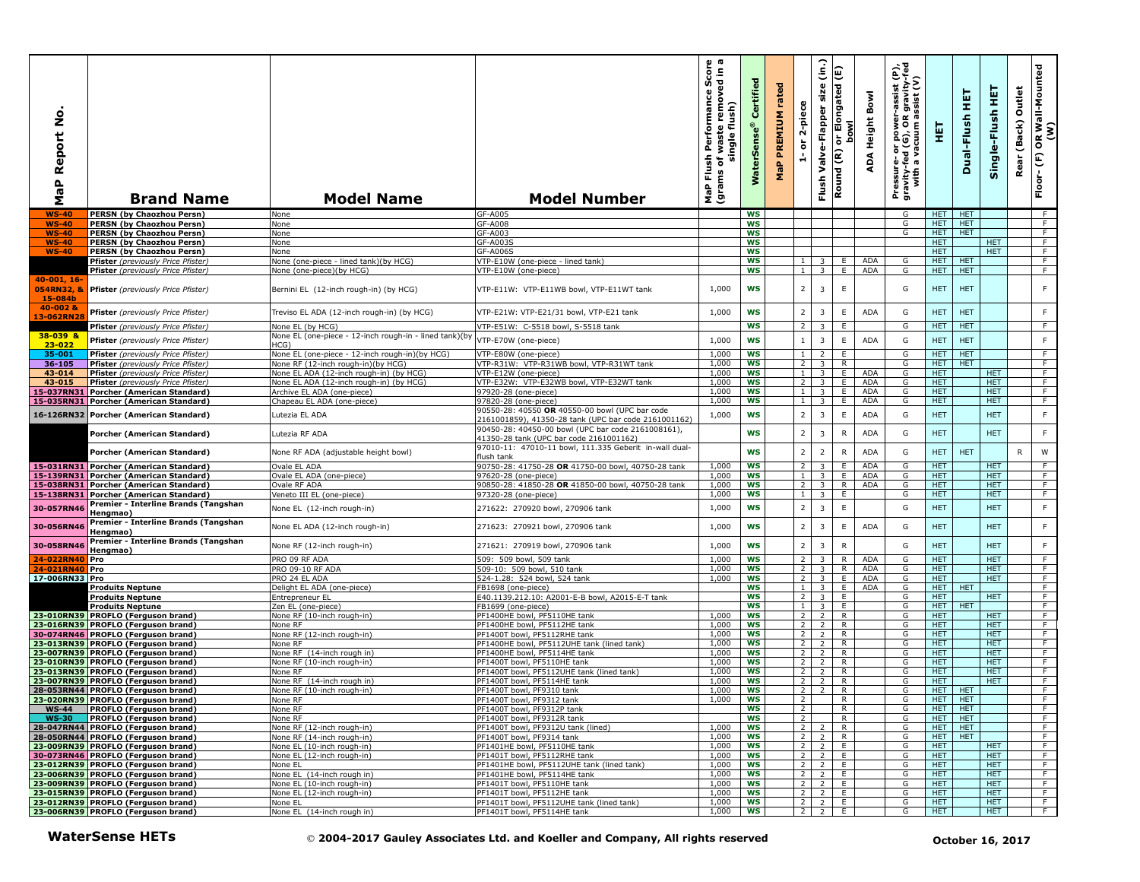| $\circ$<br>Ž<br>eport<br>≃<br>$\mathbf{a}$<br>G<br>Σ | <b>Brand Name</b>                                                                                              | <b>Model Name</b>                                                 | <b>Model Number</b>                                                                                                                                          | Score<br>sdin a<br>mover<br>sh Performance S<br>of waste remove<br>single flush)<br>Flush<br>ms of <sub>\</sub><br>NaP<br>(grav | Certified<br><b>WaterSens</b> | rated<br>PREMIUM<br>MaP | 2-piece<br>$\overleftarrow{\mathtt{o}}$<br>÷, | $\hat{\epsilon}$<br>size<br>Valve-Flapper<br>$\widetilde{\mathbf{E}}$<br>Flush | E<br>וי Elongated<br>סטאו<br>ㅎ<br>Round | <b>Height Bowl</b><br>ADA | Pressure- or power-assist (P),<br>gravity-fed (G), OR gravity-fed<br>with a vacuum assist (V) | 핓                        | 펕<br>Dual-Flush          | 듚<br>Single-Flush        | Outlet<br>(Back)<br>Rear | OR Wall-Mounted<br>(W)<br>$\widehat{\mathbb{E}}$<br>Floor- |
|------------------------------------------------------|----------------------------------------------------------------------------------------------------------------|-------------------------------------------------------------------|--------------------------------------------------------------------------------------------------------------------------------------------------------------|---------------------------------------------------------------------------------------------------------------------------------|-------------------------------|-------------------------|-----------------------------------------------|--------------------------------------------------------------------------------|-----------------------------------------|---------------------------|-----------------------------------------------------------------------------------------------|--------------------------|--------------------------|--------------------------|--------------------------|------------------------------------------------------------|
| <b>WS-40</b>                                         | <b>PERSN (by Chaozhou Persn)</b>                                                                               | None                                                              | GF-A005                                                                                                                                                      |                                                                                                                                 | WS                            |                         |                                               |                                                                                |                                         |                           | G                                                                                             | HET.                     | <b>HET</b>               |                          |                          | F                                                          |
| $WS-40$                                              | <b>PERSN (by Chaozhou Persn)</b>                                                                               | None                                                              | GF-A008                                                                                                                                                      |                                                                                                                                 | WS                            |                         |                                               |                                                                                |                                         |                           | G                                                                                             | HET.                     | <b>HET</b>               |                          |                          | F                                                          |
| <b>WS-40</b>                                         | <b>PERSN (by Chaozhou Persn)</b>                                                                               | None                                                              | GF-A003                                                                                                                                                      |                                                                                                                                 | <b>WS</b>                     |                         |                                               |                                                                                |                                         |                           | G                                                                                             | HET.                     | <b>HET</b>               |                          |                          | F                                                          |
| WS-40                                                | <b>PERSN (by Chaozhou Persn)</b>                                                                               | None                                                              | GF-A0039                                                                                                                                                     |                                                                                                                                 | <b>WS</b>                     |                         |                                               |                                                                                |                                         |                           |                                                                                               | <b>HET</b>               |                          | <b>HET</b>               |                          | F                                                          |
| <b>WS-40</b>                                         | <b>PERSN (by Chaozhou Persn)</b>                                                                               | None                                                              | GF-A006S<br>/TP-E10W (one-piece - lined tank)                                                                                                                |                                                                                                                                 | WS<br>ws                      |                         | $\mathbf{1}$                                  |                                                                                | E.                                      | <b>ADA</b>                | G                                                                                             | <b>HET</b><br><b>HET</b> | <b>HET</b>               | <b>HET</b>               |                          | F.<br>$\overline{F}$                                       |
|                                                      | Pfister (previously Price Pfister)<br>Pfister (previously Price Pfister)                                       | None (one-piece - lined tank)(by HCG)<br>None (one-piece)(by HCG) | VTP-E10W (one-piece)                                                                                                                                         |                                                                                                                                 | <b>WS</b>                     |                         | 1                                             | 3<br>$\overline{\mathbf{3}}$                                                   | E                                       | <b>ADA</b>                | G                                                                                             | <b>HET</b>               | <b>HET</b>               |                          |                          | F                                                          |
| 40-001, 16-                                          |                                                                                                                |                                                                   |                                                                                                                                                              |                                                                                                                                 |                               |                         |                                               |                                                                                |                                         |                           |                                                                                               |                          |                          |                          |                          |                                                            |
| 054RN32, &<br>15-084b                                | Pfister (previously Price Pfister)                                                                             | Bernini EL (12-inch rough-in) (by HCG)                            | VTP-E11W: VTP-E11WB bowl, VTP-E11WT tank                                                                                                                     | 1,000                                                                                                                           | WS                            |                         | $\overline{2}$                                | $\overline{\mathbf{3}}$                                                        | E                                       |                           | G                                                                                             | <b>HET</b>               | <b>HET</b>               |                          |                          | F.                                                         |
| 40-002 &                                             | Pfister (previously Price Pfister)                                                                             | Treviso EL ADA (12-inch rough-in) (by HCG)                        | VTP-E21W: VTP-E21/31 bowl, VTP-E21 tank                                                                                                                      | 1,000                                                                                                                           | WS                            |                         | $\overline{2}$                                | $\overline{3}$                                                                 | E                                       | ADA                       | G                                                                                             | <b>HET</b>               | <b>HET</b>               |                          |                          | F.                                                         |
| 13-062RN2                                            |                                                                                                                | None EL (by HCG)                                                  | VTP-E51W: C-5518 bowl, S-5518 tank                                                                                                                           |                                                                                                                                 | WS                            |                         | $\overline{2}$                                | $\overline{\mathbf{3}}$                                                        | E                                       |                           | G                                                                                             | <b>HET</b>               | <b>HET</b>               |                          |                          | F                                                          |
| 38-039 &                                             | Pfister (previously Price Pfister)                                                                             | None EL (one-piece - 12-inch rough-in - lined tank)(by            |                                                                                                                                                              |                                                                                                                                 |                               |                         |                                               |                                                                                |                                         |                           |                                                                                               |                          |                          |                          |                          |                                                            |
| 23-022                                               | Pfister (previously Price Pfister)                                                                             | HCG)                                                              | VTP-E70W (one-piece)                                                                                                                                         | 1,000                                                                                                                           | <b>WS</b>                     |                         | $\mathbf{1}$                                  | $\overline{\mathbf{3}}$                                                        | E                                       | <b>ADA</b>                | G                                                                                             | <b>HET</b>               | <b>HET</b>               |                          |                          | F.                                                         |
| 35-001                                               | Pfister (previously Price Pfister)                                                                             | None EL (one-piece - 12-inch rough-in)(by HCG)                    | VTP-E80W (one-piece)                                                                                                                                         | 1,000                                                                                                                           | <b>WS</b>                     |                         | $\mathbf{1}$                                  | $\overline{2}$                                                                 | E                                       |                           | G                                                                                             | HET.                     | <b>HET</b>               |                          |                          | F.                                                         |
| 36-105                                               | Pfister (previously Price Pfister)                                                                             | None RF (12-inch rough-in)(by HCG)                                | VTP-R31W: VTP-R31WB bowl, VTP-R31WT tank                                                                                                                     | 1,000                                                                                                                           | <b>WS</b>                     |                         | $\overline{2}$                                | 3                                                                              | R                                       |                           | G                                                                                             | <b>HET</b>               | <b>HET</b>               |                          |                          | F.                                                         |
| 43-014                                               | Pfister (previously Price Pfister)                                                                             | None EL ADA (12-inch rough-in) (by HCG)                           | (TP-E12W (one-piece)                                                                                                                                         | 1,000                                                                                                                           | WS                            |                         | $\mathbf{1}$                                  | 3                                                                              | E                                       | <b>ADA</b>                | G                                                                                             | <b>HET</b>               |                          | <b>HET</b>               |                          | F                                                          |
| 43-015                                               | Pfister (previously Price Pfister)                                                                             | None EL ADA (12-inch rough-in) (by HCG)                           | VTP-E32W: VTP-E32WB bowl, VTP-E32WT tank                                                                                                                     | 1,000                                                                                                                           | WS                            |                         | 2                                             | $\overline{\mathbf{3}}$                                                        | E                                       | <b>ADA</b>                | G                                                                                             | <b>HET</b>               |                          | <b>HET</b>               |                          | F                                                          |
| 15-037RN31                                           | Porcher (American Standard)                                                                                    | Archive EL ADA (one-piece)                                        | 97920-28 (one-piece)                                                                                                                                         | 1,000                                                                                                                           | WS                            |                         | 1                                             | $\overline{\mathbf{3}}$                                                        | E                                       | <b>ADA</b>                | G                                                                                             | <b>HET</b>               |                          | <b>HET</b>               |                          | F                                                          |
|                                                      | 15-035RN31 Porcher (American Standard)                                                                         | Chapeau EL ADA (one-piece)                                        | 97820-28 (one-piece)                                                                                                                                         | 1,000                                                                                                                           | ws                            |                         | 1                                             | 3                                                                              | E.                                      | <b>ADA</b>                | G                                                                                             | HET.                     |                          | HET.                     |                          | F                                                          |
|                                                      | 16-126RN32 Porcher (American Standard)                                                                         | utezia EL ADA.                                                    | 90550-28: 40550 OR 40550-00 bowl (UPC bar code<br>2161001859), 41350-28 tank (UPC bar code 2161001162)<br>90450-28: 40450-00 bowl (UPC bar code 2161008161). | 1,000                                                                                                                           | <b>WS</b>                     |                         | $\overline{2}$                                | $\overline{\mathbf{3}}$                                                        | $\mathsf E$                             | ADA                       | G                                                                                             | <b>HET</b>               |                          | <b>HET</b>               |                          | F.                                                         |
|                                                      | Porcher (American Standard)                                                                                    | Lutezia RF ADA                                                    | 41350-28 tank (UPC bar code 2161001162)<br>97010-11: 47010-11 bowl, 111.335 Geberit in-wall dual-                                                            |                                                                                                                                 | <b>WS</b><br><b>WS</b>        |                         | $\overline{2}$<br>$\overline{2}$              | $\overline{\mathbf{3}}$<br>$\overline{2}$                                      | R<br>$\mathsf{R}$                       | ADA<br><b>ADA</b>         | G<br>G                                                                                        | <b>HET</b><br><b>HET</b> | <b>HET</b>               | <b>HET</b>               | R                        | F.<br>W                                                    |
|                                                      | Porcher (American Standard)                                                                                    | None RF ADA (adjustable height bowl)                              | iush tank                                                                                                                                                    |                                                                                                                                 |                               |                         |                                               |                                                                                |                                         |                           |                                                                                               |                          |                          |                          |                          |                                                            |
|                                                      | 15-031RN31 Porcher (American Standard)                                                                         | Ovale EL ADA                                                      | 90750-28: 41750-28 OR 41750-00 bowl, 40750-28 tank                                                                                                           | 1,000                                                                                                                           | WS                            |                         | $\overline{2}$                                | $\overline{\mathbf{3}}$                                                        | E.                                      | ADA                       | G                                                                                             | <b>HET</b>               |                          | <b>HET</b>               |                          | F                                                          |
|                                                      | 15-139RN31 Porcher (American Standard)                                                                         | Ovale EL ADA (one-piece)                                          | 97620-28 (one-piece)                                                                                                                                         | 1,000                                                                                                                           | <b>WS</b>                     |                         | $\mathbf{1}$                                  | 3                                                                              | E.                                      | <b>ADA</b>                | G                                                                                             | <b>HET</b>               |                          | <b>HET</b>               |                          | F                                                          |
|                                                      | 15-038RN31 Porcher (American Standard)                                                                         | Ovale RF ADA                                                      | 90850-28: 41850-28 OR 41850-00 bowl, 40750-28 tank                                                                                                           | 1,000<br>1,000                                                                                                                  | WS<br>ws                      |                         | $\overline{2}$<br>$\mathbf{1}$                | $\overline{\mathbf{3}}$                                                        | R<br>E.                                 | <b>ADA</b>                | G<br>G                                                                                        | <b>HET</b><br><b>HET</b> |                          | <b>HET</b><br><b>HET</b> |                          | F.<br>$\overline{F}$                                       |
|                                                      | 15-138RN31 Porcher (American Standard)<br>Premier - Interline Brands (Tangshan                                 | Veneto III EL (one-piece)                                         | 97320-28 (one-piece)                                                                                                                                         |                                                                                                                                 |                               |                         |                                               | $\overline{\mathbf{3}}$                                                        |                                         |                           |                                                                                               |                          |                          |                          |                          |                                                            |
| 30-057RN46                                           | Hengmao)<br>Premier - Interline Brands (Tangshan                                                               | None EL (12-inch rough-in)                                        | 271622: 270920 bowl, 270906 tank                                                                                                                             | 1,000<br>1,000                                                                                                                  | <b>WS</b><br><b>WS</b>        |                         | $\overline{2}$<br>$\overline{2}$              | $\overline{\mathbf{3}}$<br>$\overline{\mathbf{3}}$                             | E<br>E                                  | <b>ADA</b>                | G<br>G                                                                                        | <b>HET</b><br><b>HET</b> |                          | <b>HET</b><br><b>HET</b> |                          | F.<br>F.                                                   |
| 30-056RN46<br>30-058RN46                             | Hengmao)<br>Premier - Interline Brands (Tangshan                                                               | None EL ADA (12-inch rough-in)<br>None RF (12-inch rough-in)      | 271623: 270921 bowl, 270906 tank<br>271621: 270919 bowl, 270906 tank                                                                                         | 1,000                                                                                                                           | <b>WS</b>                     |                         | $\overline{2}$                                | $\overline{\mathbf{3}}$                                                        | $\mathsf{R}$                            |                           | G                                                                                             | <b>HET</b>               |                          | <b>HET</b>               |                          | $\mathsf F$                                                |
|                                                      | Hengmao)                                                                                                       |                                                                   |                                                                                                                                                              |                                                                                                                                 |                               |                         |                                               |                                                                                |                                         |                           |                                                                                               |                          |                          |                          |                          |                                                            |
| 24-022RN40<br>24-021RN40                             | Pro                                                                                                            | PRO 09 RF ADA<br>PRO 09-10 RF ADA                                 | 509: 509 bowl, 509 tank<br>509-10: 509 bowl, 510 tank                                                                                                        | 1,000<br>1,000                                                                                                                  | WS<br>ws                      |                         | $\overline{2}$<br>$\overline{2}$              | $\overline{\mathbf{3}}$<br>$\overline{\mathbf{3}}$                             | $\overline{R}$<br>R                     | <b>ADA</b><br><b>ADA</b>  | G<br>G                                                                                        | <b>HET</b><br>HET.       |                          | <b>HET</b><br><b>HET</b> |                          | F<br>F                                                     |
| 17-006RN33 Pro                                       | <b>Pro</b>                                                                                                     | PRO 24 EL ADA                                                     | 524-1.28: 524 bowl, 524 tank                                                                                                                                 | 1,000                                                                                                                           | WS                            |                         | 2                                             | 3                                                                              | E                                       | <b>ADA</b>                | G                                                                                             | HET.                     |                          | HET.                     |                          | F                                                          |
|                                                      | <b>Produits Neptune</b>                                                                                        | Delight EL ADA (one-piece)                                        | FB1698 (one-piece)                                                                                                                                           |                                                                                                                                 | <b>WS</b>                     |                         | $\mathbf{1}$                                  | 3                                                                              | E.                                      | ADA                       | G                                                                                             | HET.                     | <b>HET</b>               |                          |                          | F.                                                         |
|                                                      | <b>Produits Neptune</b>                                                                                        | Entrepreneur EL                                                   | E40.1139.212.10: A2001-E-B bowl, A2015-E-T tank                                                                                                              |                                                                                                                                 | <b>WS</b>                     |                         | $\overline{2}$                                | $\overline{3}$                                                                 | E.                                      |                           | G                                                                                             | <b>HET</b>               |                          | <b>HET</b>               |                          | F.                                                         |
|                                                      | <b>Produits Neptune</b>                                                                                        | Zen EL (one-piece)                                                | FB1699 (one-piece)                                                                                                                                           |                                                                                                                                 | <b>WS</b>                     |                         | $\mathbf{1}$                                  | 3                                                                              | E                                       |                           | G                                                                                             | HET.                     | <b>HET</b>               |                          |                          | F.                                                         |
|                                                      | 23-010RN39 PROFLO (Ferguson brand)<br>23-016RN39 PROFLO (Ferguson brand)                                       | None RF (10-inch rough-in)                                        | PF1400HE bowl, PF5110HE tank                                                                                                                                 | 1,000                                                                                                                           | <b>WS</b>                     |                         | 2                                             | $\overline{z}$                                                                 | $\mathsf{R}$                            |                           | G                                                                                             | <b>HET</b>               |                          | <b>HET</b>               |                          | F                                                          |
|                                                      |                                                                                                                | None RF                                                           | PF1400HE bowl, PF5112HE tank                                                                                                                                 | 1,000                                                                                                                           | WS                            |                         | $\overline{2}$                                | $\overline{2}$                                                                 | $\mathsf{R}$                            |                           | G                                                                                             | <b>HET</b>               |                          | <b>HET</b>               |                          | F                                                          |
|                                                      | 30-074RN46 PROFLO (Ferguson brand)<br>23-013RN39 PROFLO (Ferguson brand)                                       | None RF (12-inch rough-in)<br>None RF                             | PF1400T bowl, PF5112RHE tank<br>PF1400HE bowl, PF5112UHE tank (lined tank)                                                                                   | 1,000<br>1,000                                                                                                                  | ws<br>WS                      |                         | $\overline{2}$<br>2 <sup>1</sup>              | $\overline{2}$<br>$\overline{2}$                                               | R<br>R                                  |                           | G<br>G                                                                                        | HET.<br>HET.             |                          | <b>HET</b><br><b>HET</b> |                          | F.<br>F                                                    |
|                                                      | 23-007RN39 PROFLO (Ferguson brand)                                                                             | None RF (14-inch rough in)                                        | PF1400HE bowl, PF5114HE tank                                                                                                                                 | 1,000                                                                                                                           | WS                            |                         | $\overline{2}$                                | 2                                                                              | R                                       |                           | G                                                                                             | HET.                     |                          | <b>HET</b>               |                          | F                                                          |
|                                                      | 23-010RN39 PROFLO (Ferguson brand)                                                                             | None RF (10-inch rough-in)                                        | PF1400T bowl, PF5110HE tank                                                                                                                                  | 1,000                                                                                                                           | ws                            |                         | $\overline{2}$                                | 2                                                                              | R                                       |                           | G                                                                                             | <b>HET</b>               |                          | <b>HET</b>               |                          | F.                                                         |
|                                                      | 23-013RN39 PROFLO (Ferguson brand)                                                                             | None RF                                                           | PF1400T bowl, PF5112UHE tank (lined tank)                                                                                                                    | 1,000                                                                                                                           | <b>WS</b>                     |                         | 2                                             | $\overline{2}$                                                                 | R                                       |                           | G                                                                                             | <b>HET</b>               |                          | <b>HET</b>               |                          | F                                                          |
|                                                      | 23-007RN39 PROFLO (Ferguson brand)                                                                             | None RF (14-inch rough in)                                        | PF1400T bowl, PF5114HE tank                                                                                                                                  | 1,000                                                                                                                           | <b>WS</b>                     |                         | $\overline{2}$                                | 2                                                                              | $\overline{R}$                          |                           | G                                                                                             | <b>HET</b>               |                          | HET.                     |                          | F                                                          |
|                                                      | 28-053RN44 PROFLO (Ferguson brand)                                                                             | None RF (10-inch rough-in)                                        | PF1400T bowl, PF9310 tank                                                                                                                                    | 1,000                                                                                                                           | ws                            |                         | 2 <sup>1</sup>                                | $\overline{2}$                                                                 | R.                                      |                           | G                                                                                             | HET.                     | <b>HET</b>               |                          |                          | F                                                          |
|                                                      | <b>23-020RN39 PROFLO (Ferguson brand)</b><br>WS-44 PROFLO (Ferguson brand)                                     | None RF                                                           | PF1400T bowl, PF9312 tank                                                                                                                                    | 1,000                                                                                                                           | l WS                          |                         | $\mathcal{L}$                                 |                                                                                | ĸ                                       |                           | G                                                                                             | HEI I                    | HEI                      |                          |                          | <b>F</b>                                                   |
| <b>WS-30</b>                                         | WS-44   PROFLO (Ferguson brand)                                                                                | None RF                                                           | PF1400T bowl, PF9312P tank<br>PF1400T bowl, PF9312R tank                                                                                                     |                                                                                                                                 | <b>WS</b><br>ws               |                         | 2<br>2                                        |                                                                                | R<br>R.                                 |                           | G<br>G                                                                                        | HET<br>HET.              | <b>HET</b><br><b>HET</b> |                          |                          | F<br>F.                                                    |
|                                                      | <b>PROFLO (Ferguson brand)</b><br>28-047RN44 PROFLO (Ferguson brand)                                           | None RF<br>None RF (12-inch rough-in)                             | PF1400T bowl, PF9312U tank (lined)                                                                                                                           | 1,000                                                                                                                           | ws                            |                         | 2 <sub>1</sub>                                | $\overline{2}$                                                                 | R.                                      |                           | G                                                                                             | <b>HET</b>               | <b>HET</b>               |                          |                          | $\overline{F}$                                             |
|                                                      |                                                                                                                | None RF (14-inch rough-in)                                        | PF1400T bowl, PF9314 tank                                                                                                                                    | 1,000                                                                                                                           | WS                            |                         | $\overline{2}$                                | $\overline{2}$                                                                 | R                                       |                           | G                                                                                             | <b>HET</b>               | <b>HET</b>               |                          |                          | F                                                          |
|                                                      | 28-050RN44 PROFLO (Ferguson brand)<br>23-009RN39 PROFLO (Ferguson brand)<br>30-073RN46 PROFLO (Ferguson brand) | None EL (10-inch rough-in)                                        | PF1401HE bowl, PF5110HE tank                                                                                                                                 | 1,000                                                                                                                           | ws                            |                         | $\overline{2}$                                | 2                                                                              | E                                       |                           | G                                                                                             | HET.                     |                          | HET.                     |                          | F                                                          |
|                                                      |                                                                                                                | None EL (12-inch rough-in)                                        | PF1401T bowl, PF5112RHE tank                                                                                                                                 | 1,000                                                                                                                           | ws                            |                         | 2 <sup>1</sup>                                | 2                                                                              | E.                                      |                           | G                                                                                             | HET.                     |                          | HET.                     |                          | F                                                          |
|                                                      | 23-012RN39 PROFLO (Ferguson brand)                                                                             | None EL                                                           | PF1401HE bowl, PF5112UHE tank (lined tank)                                                                                                                   | 1,000                                                                                                                           | ws                            |                         | $\overline{2}$                                | $\overline{2}$                                                                 | E                                       |                           | G                                                                                             | <b>HET</b>               |                          | <b>HET</b>               |                          | F                                                          |
|                                                      | 23-006RN39 PROFLO (Ferguson brand)                                                                             | None EL (14-inch rough in)                                        | PF1401HE bowl, PF5114HE tank                                                                                                                                 | 1,000                                                                                                                           | WS                            |                         | 2 <sub>1</sub>                                | $\overline{2}$                                                                 | E.                                      |                           | G                                                                                             | HET.                     |                          | HET.                     |                          | F.                                                         |
|                                                      | 23-009RN39 PROFLO (Ferguson brand)                                                                             | None EL (10-inch rough-in)                                        | PF1401T bowl, PF5110HE tank                                                                                                                                  | 1,000                                                                                                                           | WS                            |                         | 2 <sup>1</sup>                                | $\overline{2}$                                                                 | E.                                      |                           | G                                                                                             | <b>HET</b>               |                          | <b>HET</b>               |                          | F.                                                         |
|                                                      | 23-015RN39 PROFLO (Ferguson brand)                                                                             | None EL (12-inch rough-in)<br>None EL                             | PF1401T bowl, PF5112HE tank<br>PF1401T bowl, PF5112UHE tank (lined tank)                                                                                     | 1,000<br>1,000                                                                                                                  | WS<br>ws                      |                         | $\overline{2}$                                | $2 \mid 2 \mid$<br>$\overline{2}$                                              | E.<br>E.                                |                           | G<br>G                                                                                        | <b>HET</b><br><b>HET</b> |                          | <b>HET</b><br>HET.       |                          | $\overline{F}$<br>F.                                       |
|                                                      | 23-012RN39 PROFLO (Ferguson brand)<br>23-006RN39 PROFLO (Ferguson brand)                                       | None EL (14-inch rough in)                                        | PF1401T bowl, PF5114HE tank                                                                                                                                  | 1,000                                                                                                                           | ws                            |                         | 2 <sup>1</sup>                                | $\overline{2}$                                                                 | E.                                      |                           | G                                                                                             | HET.                     |                          | HET.                     |                          | F                                                          |
|                                                      | <b>WaterSense HETs</b>                                                                                         |                                                                   | © 2004-2017 Gauley Associates Ltd. and Koeller and Company, All rights reserved                                                                              |                                                                                                                                 |                               |                         |                                               |                                                                                |                                         |                           |                                                                                               |                          |                          | October 16, 2017         |                          |                                                            |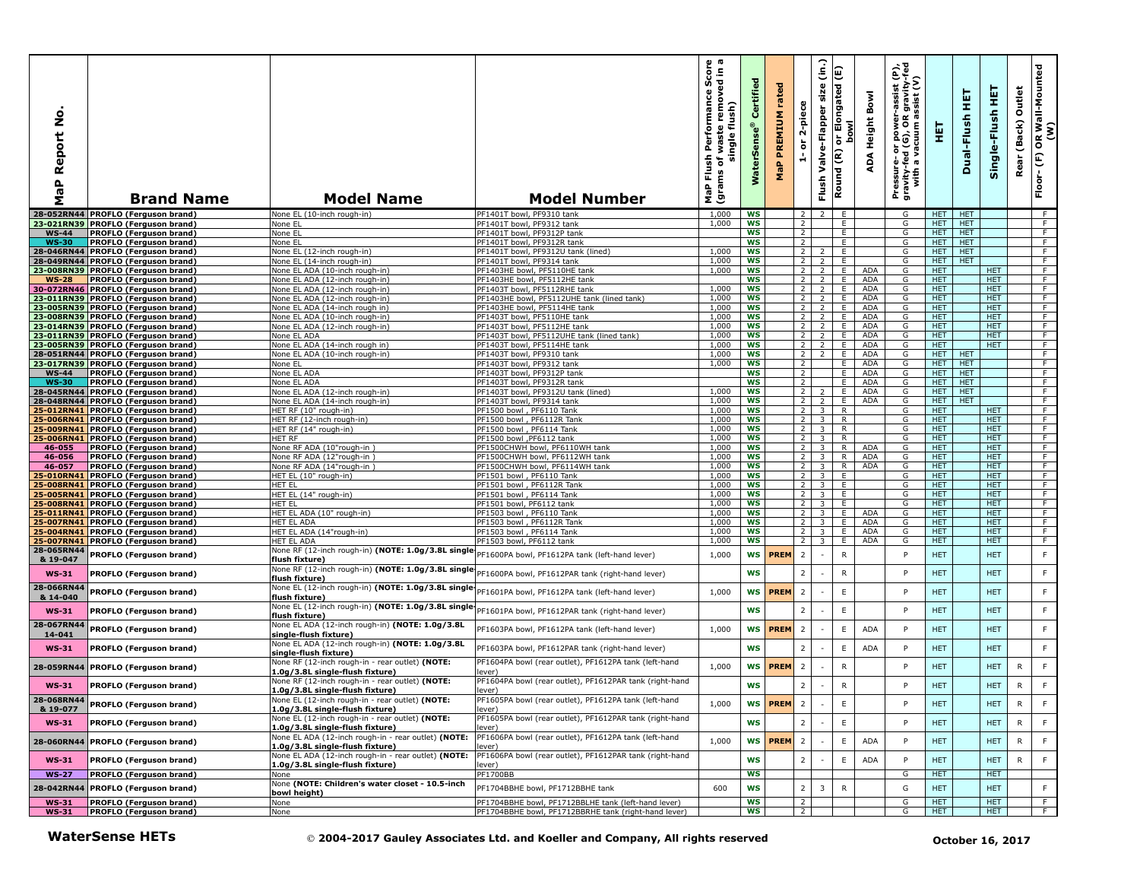| $\bullet$<br>Ź<br>Report<br>$\frac{a}{b}$<br>Σ | <b>Brand Name</b>                                                                                              | <b>Model Name</b>                                                                         | <b>Model Number</b>                                                             | s<br>in a<br>sh Performance Sco<br>of waste removed in<br>single flush)<br>Flush<br>৳<br>−<br>(gram<br>MaP | ertified<br>Ú<br><b>WaterSe</b> | rated<br>PREMIUM<br>MaP | 2-piece<br>ŏ<br>÷                | $\widehat{\mathsf{E}}$<br>size<br>Valve-Flapper<br>Flush | E<br>Elongated<br><b>bowl</b><br>$\overleftarrow{\mathtt{o}}$<br>Round (R) | Bowl<br>ADA Height | Pressure- or power-assist (P),<br>gravity-fed (G), OR gravity-fed<br>with a vacuum assist (V) | 実                        | 天<br>Dual-Flush          | ¥<br>Single-Flush | Outlet<br>(Back)<br>Rear | OR Wall-Mounted<br>(W)<br>Floor-(F) |
|------------------------------------------------|----------------------------------------------------------------------------------------------------------------|-------------------------------------------------------------------------------------------|---------------------------------------------------------------------------------|------------------------------------------------------------------------------------------------------------|---------------------------------|-------------------------|----------------------------------|----------------------------------------------------------|----------------------------------------------------------------------------|--------------------|-----------------------------------------------------------------------------------------------|--------------------------|--------------------------|-------------------|--------------------------|-------------------------------------|
|                                                | 28-052RN44 PROFLO (Ferguson brand                                                                              | None EL (10-inch rough-in)                                                                | PF1401T bowl, PF9310 tank                                                       | 1,000                                                                                                      | WS                              |                         | $\overline{2}$                   | $\overline{2}$                                           | E                                                                          |                    | G                                                                                             | <b>HET</b>               | <b>HET</b>               |                   |                          | F                                   |
|                                                | 23-021RN39 PROFLO (Ferguson brand)                                                                             | None EL                                                                                   | PF1401T bowl, PF9312 tank                                                       | 1,000                                                                                                      | WS                              |                         | $\overline{2}$                   |                                                          | E                                                                          |                    | G                                                                                             | <b>HET</b>               | <b>HET</b>               |                   |                          | F                                   |
| <b>WS-44</b>                                   | <b>PROFLO (Ferguson brand)</b>                                                                                 | None EL                                                                                   | PF1401T bowl, PF9312P tank                                                      |                                                                                                            | ws                              |                         | $\overline{2}$                   |                                                          | E.                                                                         |                    | G                                                                                             | <b>HET</b>               | <b>HET</b>               |                   |                          | -F                                  |
| <b>WS-30</b>                                   | PROFLO (Ferguson brand)                                                                                        | None EL                                                                                   | PF1401T bowl, PF9312R tank                                                      |                                                                                                            | WS                              |                         | 2                                |                                                          | E                                                                          |                    | G                                                                                             | HET.                     | <b>HET</b>               |                   |                          | F                                   |
|                                                | 28-046RN44 PROFLO (Ferguson brand)                                                                             | None EL (12-inch rough-in)                                                                | PF1401T bowl, PF9312U tank (lined)<br>PF1401T bowl, PF9314 tank                 | 1,000<br>1,000                                                                                             | WS<br>WS                        |                         | 2 <sup>1</sup><br>$\overline{2}$ | $\overline{2}$                                           | E<br>Ε.                                                                    |                    | G<br>G                                                                                        | <b>HET</b><br><b>HET</b> | <b>HET</b><br><b>HET</b> |                   |                          | F<br>F.                             |
|                                                | 28-049RN44 PROFLO (Ferguson brand)<br>23-008RN39 PROFLO (Ferguson brand)                                       | None EL (14-inch rough-in)<br>None EL ADA (10-inch rough-in)                              | PF1403HE bowl, PF5110HE tank                                                    | 1,000                                                                                                      | WS                              |                         | $2^{\circ}$                      | $\overline{2}$                                           | E.                                                                         | <b>ADA</b>         | G                                                                                             | <b>HET</b>               |                          | <b>HET</b>        |                          | F                                   |
| WS-28                                          | <b>PROFLO (Ferguson brand)</b>                                                                                 | None EL ADA (12-inch rough-in)                                                            | PF1403HE bowl, PF5112HE tank                                                    |                                                                                                            | <b>WS</b>                       |                         | $\overline{2}$                   | $\overline{2}$                                           | E                                                                          | <b>ADA</b>         | G                                                                                             | HET.                     |                          | HET.              |                          | F                                   |
|                                                | 30-072RN46 PROFLO (Ferguson brand)                                                                             | None EL ADA (12-inch rough-in)                                                            | PF1403T bowl, PF5112RHE tank                                                    | 1,000                                                                                                      | ws                              |                         | $2^{\circ}$                      | $\overline{2}$                                           | Ε.                                                                         | <b>ADA</b>         | G                                                                                             | <b>HET</b>               |                          | HET.              |                          | F.                                  |
|                                                | 23-011RN39 PROFLO (Ferguson brand)                                                                             | None EL ADA (12-inch rough-in)                                                            | PF1403HE bowl, PF5112UHE tank (lined tank)                                      | 1,000                                                                                                      | ws                              |                         | $2^{\circ}$                      | $\overline{2}$                                           | Ε.                                                                         | ADA                | G                                                                                             | <b>HET</b>               |                          | HET.              |                          | $\overline{F}$                      |
|                                                | 23-005RN39 PROFLO (Ferguson brand)                                                                             | None EL ADA (14-inch rough in)                                                            | PF1403HE bowl, PF5114HE tank                                                    | 1,000                                                                                                      | <b>WS</b>                       |                         | $2^{\circ}$                      | 2                                                        | Ε.                                                                         | <b>ADA</b>         | G                                                                                             | HET.                     |                          | HET.              |                          | F                                   |
|                                                | 23-008RN39 PROFLO (Ferguson brand)                                                                             | None EL ADA (10-inch rough-in)                                                            | PF1403T bowl, PF5110HE tank                                                     | 1,000                                                                                                      | WS                              |                         | $2^{\circ}$                      | $\overline{2}$                                           | Ε.                                                                         | <b>ADA</b>         | G                                                                                             | <b>HET</b>               |                          | HET.              |                          | F                                   |
|                                                | 23-014RN39 PROFLO (Ferguson brand)                                                                             | None EL ADA (12-inch rough-in)                                                            | PF1403T bowl, PF5112HE tank                                                     | 1,000                                                                                                      | ws                              |                         | $2^{\circ}$                      | $\overline{2}$                                           | Ε.                                                                         | <b>ADA</b>         | G                                                                                             | <b>HET</b>               |                          | <b>HET</b>        |                          | $\overline{F}$                      |
|                                                | 23-011RN39 PROFLO (Ferguson brand)                                                                             | None EL ADA                                                                               | PF1403T bowl, PF5112UHE tank (lined tank)                                       | 1,000                                                                                                      | <b>WS</b>                       |                         | $\overline{2}$                   | $\overline{2}$                                           | E                                                                          | <b>ADA</b>         | G                                                                                             | <b>HET</b>               |                          | <b>HET</b>        |                          | $\overline{F}$                      |
|                                                | 23-005RN39 PROFLO (Ferguson brand)                                                                             | None EL ADA (14-inch rough in)                                                            | PF1403T bowl, PF5114HE tank                                                     | 1,000                                                                                                      | ws                              |                         | $2^{\circ}$                      | 2                                                        | E                                                                          | <b>ADA</b>         | G                                                                                             | <b>HET</b>               |                          | HET.              |                          | F                                   |
|                                                | 28-051RN44 PROFLO (Ferguson brand)                                                                             | None EL ADA (10-inch rough-in)                                                            | PF1403T bowl, PF9310 tank                                                       | 1,000                                                                                                      | WS                              |                         | $\overline{2}$                   | $\overline{2}$                                           | Ε.                                                                         | <b>ADA</b>         | G                                                                                             | HET.                     | <b>HET</b>               |                   |                          | F                                   |
|                                                | 23-017RN39 PROFLO (Ferguson brand)                                                                             | None EL                                                                                   | PF1403T bowl, PF9312 tank                                                       | 1,000                                                                                                      | WS                              |                         | $\overline{2}$                   |                                                          | E.                                                                         | <b>ADA</b>         | G                                                                                             | <b>HET</b>               | <b>HET</b>               |                   |                          | $\overline{F}$                      |
| $WS-44$<br><b>WS-30</b>                        | <b>PROFLO (Ferguson brand)</b><br><b>PROFLO (Ferguson brand)</b>                                               | None EL ADA<br>None EL ADA                                                                | PF1403T bowl, PF9312P tank<br>PF1403T bowl, PF9312R tank                        |                                                                                                            | <b>WS</b><br><b>WS</b>          |                         | $\overline{2}$<br>2              |                                                          | Ε.<br>E.                                                                   | ADA<br><b>ADA</b>  | G<br>G                                                                                        | HET.<br>HET.             | <b>HET</b><br><b>HET</b> |                   |                          | F<br>F.                             |
|                                                | 28-045RN44 PROFLO (Ferguson brand)                                                                             | None EL ADA (12-inch rough-in)                                                            | PF1403T bowl, PF9312U tank (lined)                                              | 1,000                                                                                                      | <b>WS</b>                       |                         | 2 <sup>1</sup>                   | $\overline{2}$                                           | E.                                                                         | <b>ADA</b>         | G                                                                                             | <b>HET</b>               | <b>HET</b>               |                   |                          | F                                   |
|                                                | 28-048RN44 PROFLO (Ferguson brand)                                                                             | None EL ADA (14-inch rough-in)                                                            | PF1403T bowl, PF9314 tank                                                       | 1,000                                                                                                      | ws                              |                         | $\overline{2}$                   | $\overline{2}$                                           | E.                                                                         | <b>ADA</b>         | G                                                                                             | HET                      | <b>HET</b>               |                   |                          | $\overline{F}$                      |
|                                                | 25-012RN41 PROFLO (Ferguson brand)                                                                             | HET RF (10" rough-in)                                                                     | PF1500 bowl, PF6110 Tank                                                        | 1,000                                                                                                      | WS                              |                         | 2 <sup>1</sup>                   | 3                                                        | R                                                                          |                    | G                                                                                             | HET.                     |                          | HET.              |                          | F.                                  |
|                                                | 25-006RN41 PROFLO (Ferguson brand)                                                                             | HET RF (12-inch rough-in)                                                                 | PF1500 bowl, PF6112R Tank                                                       | 1,000                                                                                                      | WS                              |                         | 2 <sup>1</sup>                   | 3                                                        | R                                                                          |                    | G                                                                                             | <b>HET</b>               |                          | HET.              |                          | F.                                  |
|                                                | 25-009RN41 PROFLO (Ferguson brand)                                                                             | HET RF (14" rough-in)                                                                     | PF1500 bowl, PF6114 Tank                                                        | 1,000                                                                                                      | WS                              |                         | $2^{\circ}$                      | 3                                                        | R                                                                          |                    | G                                                                                             | <b>HET</b>               |                          | HET.              |                          | F.                                  |
|                                                | 25-006RN41 PROFLO (Ferguson brand)                                                                             | <b>HET RF</b>                                                                             | PF1500 bowl , PF6112 tank                                                       | 1,000                                                                                                      | <b>WS</b>                       |                         | 2 <sup>1</sup>                   | 3                                                        | R                                                                          |                    | G                                                                                             | HET.                     |                          | HET.              |                          | F.                                  |
| 46-055                                         | PROFLO (Ferguson brand)                                                                                        | None RF ADA (10"rough-in)                                                                 | PF1500CHWH bowl, PF6110WH tank                                                  | 1,000                                                                                                      | WS                              |                         | $2^{\circ}$                      | $\overline{\mathbf{3}}$                                  | R                                                                          | <b>ADA</b>         | G                                                                                             | <b>HET</b>               |                          | <b>HET</b>        |                          | F                                   |
| 46-056                                         | PROFLO (Ferguson brand)                                                                                        | None RF ADA (12"rough-in)                                                                 | PF1500CHWH bowl, PF6112WH tank                                                  | 1,000                                                                                                      | WS                              |                         | $\overline{2}$                   | $\overline{\mathbf{3}}$                                  | R                                                                          | <b>ADA</b>         | G                                                                                             | HET.                     |                          | <b>HET</b>        |                          | F                                   |
| 46-057                                         | PROFLO (Ferguson brand)                                                                                        | None RF ADA (14"rough-in)                                                                 | PF1500CHWH bowl, PF6114WH tank                                                  | 1,000<br>1,000                                                                                             | ws                              |                         | 2 <sup>1</sup><br>2 <sup>1</sup> | 3                                                        | R.<br>E                                                                    | ADA                | G                                                                                             | <b>HET</b><br>HET.       |                          | HET.<br>HET.      |                          | F.<br>F                             |
|                                                | 25-010RN41 PROFLO (Ferguson brand)<br>25-008RN41 PROFLO (Ferguson brand)                                       | HET EL (10" rough-in)<br>HET EL                                                           | PF1501 bowl, PF6110 Tank<br>PF1501 bowl, PF6112R Tank                           | 1,000                                                                                                      | WS<br>WS                        |                         | $\overline{2}$                   | 3<br>3                                                   | E                                                                          |                    | G<br>G                                                                                        | HET.                     |                          | <b>HET</b>        |                          | F                                   |
|                                                | 25-005RN41 PROFLO (Ferguson brand)                                                                             | HET EL (14" rough-in)                                                                     | PF1501 bowl, PF6114 Tank                                                        | 1,000                                                                                                      | WS                              |                         | 2 <sup>1</sup>                   | 3                                                        | Ε.                                                                         |                    | G                                                                                             | <b>HET</b>               |                          | HET.              |                          | F.                                  |
|                                                | 25-008RN41 PROFLO (Ferguson brand)                                                                             | HET EL                                                                                    | PF1501 bowl, PF6112 tank                                                        | 1,000                                                                                                      | WS                              |                         | $2^{\circ}$                      | 3                                                        | E                                                                          |                    | G                                                                                             | <b>HET</b>               |                          | <b>HET</b>        |                          | F                                   |
|                                                | 25-011RN41 PROFLO (Ferguson brand)                                                                             | HET EL ADA (10" rough-in)                                                                 | PF1503 bowl, PF6110 Tank                                                        | 1,000                                                                                                      | <b>WS</b>                       |                         | $\overline{2}$                   | 3                                                        | E                                                                          | <b>ADA</b>         | G                                                                                             | HET.                     |                          | HET.              |                          | F                                   |
|                                                | 25-007RN41 PROFLO (Ferguson brand)<br>25-004RN41 PROFLO (Ferguson brand)<br>25-007RN41 PROFLO (Ferguson brand) | HET EL ADA                                                                                | PF1503 bowl, PF6112R Tank                                                       | 1,000                                                                                                      | ws                              |                         | $2^{\circ}$                      | 3                                                        | Ε.                                                                         | <b>ADA</b>         | G                                                                                             | <b>HET</b>               |                          | HET.              |                          | F.                                  |
|                                                |                                                                                                                | HET EL ADA (14"rough-in)                                                                  | PF1503 bowl, PF6114 Tank                                                        | 1,000                                                                                                      | ws                              |                         | 2 <sup>1</sup>                   | $\overline{\mathbf{3}}$                                  | Ε.                                                                         | ADA                | G                                                                                             | <b>HET</b>               |                          | HET.              |                          | $\overline{F}$                      |
|                                                |                                                                                                                | HET EL ADA                                                                                | PF1503 bowl, PF6112 tank                                                        | 1,000                                                                                                      | <b>WS</b>                       |                         | $\overline{2}$                   | 3                                                        | E.                                                                         | <b>ADA</b>         | G                                                                                             | HET.                     |                          | HET.              |                          | F                                   |
| 28-065RN44<br>& 19-047                         | PROFLO (Ferguson brand)                                                                                        | None RF (12-inch rough-in) (NOTE: 1.0g/3.8L single<br>flush fixture)                      | PF1600PA bowl, PF1612PA tank (left-hand lever)                                  | 1,000                                                                                                      |                                 | <b>WS PREM</b>          | $\overline{2}$                   |                                                          | ${\sf R}$                                                                  |                    | P                                                                                             | <b>HET</b>               |                          | <b>HET</b>        |                          | F                                   |
| $WS-31$                                        | PROFLO (Ferguson brand)                                                                                        | None RF (12-inch rough-in) (NOTE: 1.0g/3.8L single<br>flush fixture)                      | PF1600PA bowl, PF1612PAR tank (right-hand lever)                                |                                                                                                            | <b>WS</b>                       |                         | $\overline{2}$                   |                                                          | ${\sf R}$                                                                  |                    | P                                                                                             | <b>HET</b>               |                          | <b>HET</b>        |                          | F                                   |
| 28-066RN44                                     | PROFLO (Ferguson brand)                                                                                        | None EL (12-inch rough-in) (NOTE: 1.0g/3.8L single                                        | PF1601PA bowl, PF1612PA tank (left-hand lever)                                  | 1,000                                                                                                      | WS                              | <b>PREM</b>             | $\overline{2}$                   |                                                          | $\mathsf E$                                                                |                    | P                                                                                             | <b>HET</b>               |                          | <b>HET</b>        |                          | F                                   |
| & 14-040<br>$WS-31$                            | PROFLO (Ferguson brand)                                                                                        | flush fixture)<br>None EL (12-inch rough-in) (NOTE: 1.0g/3.8L single                      | PF1601PA bowl, PF1612PAR tank (right-hand lever)                                |                                                                                                            | WS                              |                         | $\overline{2}$                   |                                                          | $\mathsf E$                                                                |                    | P                                                                                             | <b>HET</b>               |                          | <b>HET</b>        |                          | F                                   |
| 28-067RN44                                     |                                                                                                                | flush fixture)<br>None EL ADA (12-inch rough-in) (NOTE: 1.0g/3.8L                         |                                                                                 |                                                                                                            |                                 |                         | $\overline{2}$                   |                                                          | E                                                                          |                    | P                                                                                             |                          |                          | <b>HET</b>        |                          | F                                   |
| 14-041                                         | PROFLO (Ferguson brand)                                                                                        | single-flush fixture)<br>None EL ADA (12-inch rough-in) (NOTE: 1.0g/3.8L                  | PF1603PA bowl, PF1612PA tank (left-hand lever)                                  | 1,000                                                                                                      | WS                              | <b>PREM</b>             |                                  |                                                          |                                                                            | <b>ADA</b>         |                                                                                               | <b>HET</b>               |                          |                   |                          |                                     |
| $WS-31$                                        | PROFLO (Ferguson brand)                                                                                        | single-flush fixture)                                                                     | PF1603PA bowl, PF1612PAR tank (right-hand lever)                                |                                                                                                            | <b>WS</b>                       |                         | $\overline{2}$                   |                                                          | E                                                                          | <b>ADA</b>         | P                                                                                             | <b>HET</b>               |                          | <b>HET</b>        |                          | F.                                  |
| 28-059RN44                                     | PROFLO (Ferguson brand)                                                                                        | None RF (12-inch rough-in - rear outlet) (NOTE:<br>1.0g/3.8L single-flush fixture)        | PF1604PA bowl (rear outlet), PF1612PA tank (left-hand<br>lever)                 | 1,000                                                                                                      |                                 | <b>WS PREM</b>          | $\overline{2}$                   |                                                          | ${\sf R}$                                                                  |                    | P                                                                                             | <b>HET</b>               |                          | <b>HET</b>        | R                        | F                                   |
| $WS-31$                                        | PROFLO (Ferguson brand)                                                                                        | None RF (12-inch rough-in - rear outlet) (NOTE:<br>1.0g/3.8L single-flush fixture)        | PF1604PA bowl (rear outlet), PF1612PAR tank (right-hand<br>lever)               |                                                                                                            | <b>WS</b>                       |                         | $\overline{2}$                   |                                                          | $\mathsf{R}$                                                               |                    | P                                                                                             | HET.                     |                          | <b>HET</b>        | R                        | $\mathsf F$                         |
| 28-068RN44<br>& 19-077                         | PROFLO (Ferguson brand)                                                                                        | vone EL (12-inch rough-in - rear outlet) <b>(NOTE:</b><br>1.0g/3.8L single-flush fixture) | PF1605PA bowl (rear outlet), PF1612PA tank (left-hand<br>lever)                 | 1,000                                                                                                      |                                 | WS PREM 2               |                                  | $\sim$                                                   | E                                                                          |                    | P                                                                                             | <b>HET</b>               |                          | <b>HET</b>        | R                        | F                                   |
| $WS-31$                                        | PROFLO (Ferguson brand)                                                                                        | None EL (12-inch rough-in - rear outlet) (NOTE:<br>1.0g/3.8L single-flush fixture)        | PF1605PA bowl (rear outlet), PF1612PAR tank (right-hand<br>lever)               |                                                                                                            | <b>WS</b>                       |                         | $2^{\circ}$                      | $\sim$                                                   | $\mathsf E$                                                                |                    | P                                                                                             | <b>HET</b>               |                          | <b>HET</b>        | R.                       | F                                   |
|                                                | 28-060RN44 PROFLO (Ferguson brand)                                                                             | None EL ADA (12-inch rough-in - rear outlet) (NOTE:                                       | PF1606PA bowl (rear outlet), PF1612PA tank (left-hand                           | 1,000                                                                                                      |                                 | <b>WS PREM</b>          | $\overline{2}$                   |                                                          | E                                                                          | ADA                | P                                                                                             | <b>HET</b>               |                          | <b>HET</b>        | $\mathsf{R}$             | F                                   |
| $WS-31$                                        | PROFLO (Ferguson brand)                                                                                        | 1.0g/3.8L single-flush fixture)<br>None EL ADA (12-inch rough-in - rear outlet) (NOTE:    | lever)<br>PF1606PA bowl (rear outlet), PF1612PAR tank (right-hand               |                                                                                                            | <b>WS</b>                       |                         | $\overline{2}$                   |                                                          | E                                                                          | <b>ADA</b>         | P                                                                                             | <b>HET</b>               |                          | <b>HET</b>        | R                        | F                                   |
| $WS-27$                                        | PROFLO (Ferguson brand)                                                                                        | 1.0g/3.8L single-flush fixture)<br>None                                                   | lever)<br><b>PF1700BB</b>                                                       |                                                                                                            | <b>WS</b>                       |                         |                                  |                                                          |                                                                            |                    | G                                                                                             | <b>HET</b>               |                          | <b>HET</b>        |                          |                                     |
|                                                | 28-042RN44 PROFLO (Ferguson brand)                                                                             | None (NOTE: Children's water closet - 10.5-inch<br>bowl height)                           | PF1704BBHE bowl, PF1712BBHE tank                                                | 600                                                                                                        | WS                              |                         | 2                                | $\overline{\mathbf{3}}$                                  | ${\sf R}$                                                                  |                    | G                                                                                             | <b>HET</b>               |                          | <b>HET</b>        |                          | F.                                  |
| <b>WS-31</b>                                   | <b>PROFLO (Ferguson brand)</b>                                                                                 | None                                                                                      | PF1704BBHE bowl, PF1712BBLHE tank (left-hand lever)                             |                                                                                                            | <b>WS</b>                       |                         | $\overline{2}$                   |                                                          |                                                                            |                    | G                                                                                             | <b>HET</b>               |                          | <b>HET</b>        |                          | ਾਸ                                  |
| <b>WS-31</b>                                   | <b>PROFLO (Ferguson brand)</b>                                                                                 | None                                                                                      | PF1704BBHE bowl, PF1712BBRHE tank (right-hand lever)                            |                                                                                                            | WS                              |                         | 2                                |                                                          |                                                                            |                    | G                                                                                             | HET.                     |                          | HET.              |                          | F.                                  |
|                                                | <b>WaterSense HETs</b>                                                                                         |                                                                                           | © 2004-2017 Gauley Associates Ltd. and Koeller and Company, All rights reserved |                                                                                                            |                                 |                         |                                  |                                                          |                                                                            |                    |                                                                                               |                          |                          | October 16, 2017  |                          |                                     |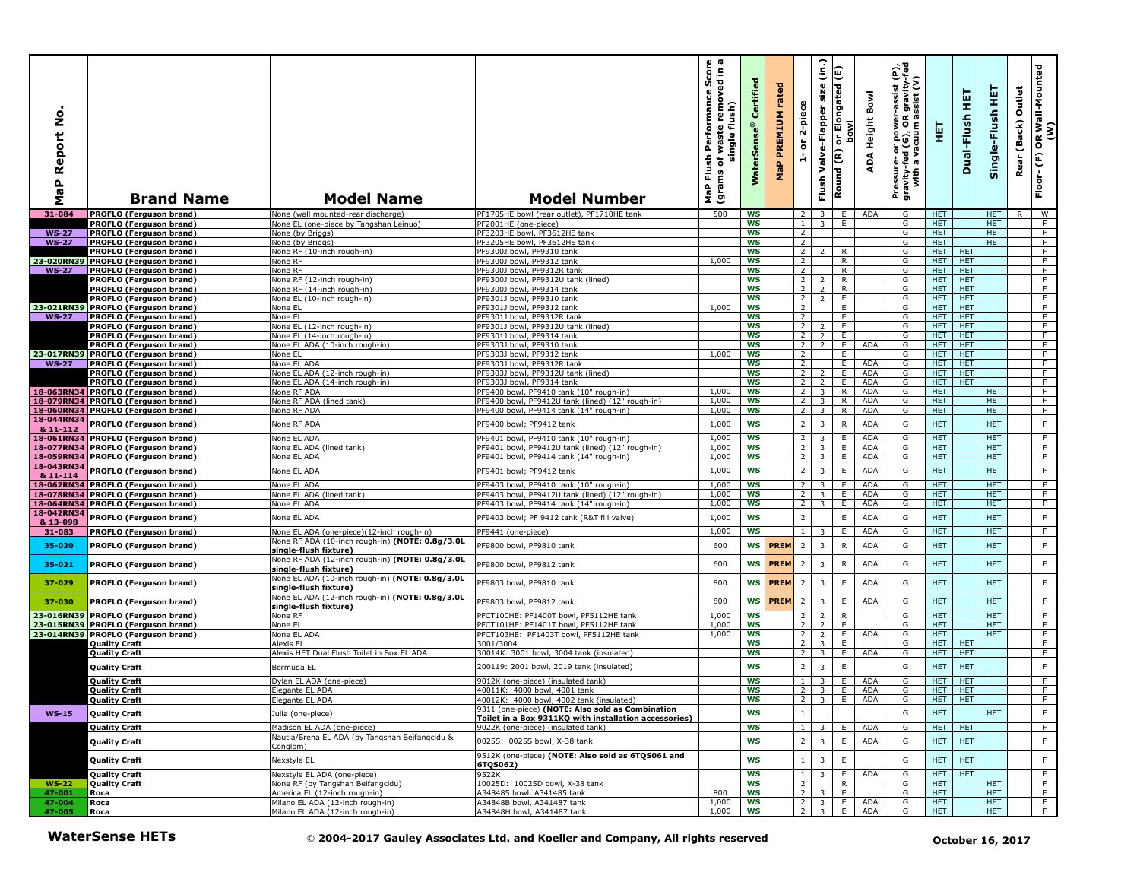| ş<br>Report<br>Δ.<br><b>G</b><br>Σ | <b>Brand Name</b>                                                    | <b>Model Name</b>                                                        | <b>Model Number</b>                                                                         | ωm<br>rmance Score<br>removed in a<br>Performan<br>flush)<br>waste<br>single<br>Flush<br>৳<br>(grams<br>NaP | Certified<br><b>WaterSens</b> | rated<br><b>PREMIUM</b><br>$\mathbf{a}_i$<br>운 | 2-piece<br>$\overleftarrow{\mathtt{o}}$<br>é | (in.)<br>size<br>Valve-Flapper<br>Flush | or Elongated (E)<br><b>bowl</b><br>Round (R) | Bowl<br>Height<br>ADA | rer-assist (P),<br>)R gravity-fed<br>1 assist (V)<br>Pressure- or power--<br>gravity-fed (G), OR g<br>with a vacuum as | 틯                        | 実<br>Dual-Flush          | 뜊<br>Single-Flush        | Outlet<br>(Back)<br>Rear | OR Wall-Mounted<br>(W)<br>$\mathop{\mathbb{E}}$<br>Floor- |
|------------------------------------|----------------------------------------------------------------------|--------------------------------------------------------------------------|---------------------------------------------------------------------------------------------|-------------------------------------------------------------------------------------------------------------|-------------------------------|------------------------------------------------|----------------------------------------------|-----------------------------------------|----------------------------------------------|-----------------------|------------------------------------------------------------------------------------------------------------------------|--------------------------|--------------------------|--------------------------|--------------------------|-----------------------------------------------------------|
| 31-084                             | <b>PROFLO (Ferguson brand)</b>                                       | None (wall mounted-rear discharge)                                       | PF1705HE bowl (rear outlet), PF1710HE tank                                                  | 500                                                                                                         | WS                            |                                                | 2                                            | 3 <sup>1</sup>                          | E                                            | ADA                   | G                                                                                                                      | <b>HET</b>               |                          | HET.                     | R.                       | <b>W</b>                                                  |
|                                    | PROFLO (Ferguson brand)                                              | None EL (one-piece by Tangshan Leinuo)                                   | PF2001HE (one-piece)                                                                        |                                                                                                             | WS                            |                                                | $\mathbf{1}$                                 | 3 <sup>7</sup>                          | E.                                           |                       | G<br>G                                                                                                                 | HET.<br><b>HET</b>       |                          | <b>HET</b><br><b>HET</b> |                          | F.<br>$\overline{F}$                                      |
| <b>WS-27</b><br><b>WS-27</b>       | PROFLO (Ferguson brand)<br><b>PROFLO (Ferguson brand)</b>            | None (by Briggs)<br>None (by Briggs)                                     | PF3203HE bowl, PF3612HE tank<br>PF3205HE bowl, PF3612HE tank                                |                                                                                                             | ws<br><b>WS</b>               |                                                | $\overline{2}$<br>$\overline{2}$             |                                         |                                              |                       | G                                                                                                                      | <b>HET</b>               |                          | HET.                     |                          | F                                                         |
|                                    | PROFLO (Ferguson brand)                                              | None RF (10-inch rough-in)                                               | PF9300J bowl, PF9310 tank                                                                   |                                                                                                             | <b>WS</b>                     |                                                | $\overline{2}$                               | 2                                       | R                                            |                       | G                                                                                                                      | HET.                     | <b>HET</b>               |                          |                          | F                                                         |
|                                    | 23-020RN39 PROFLO (Ferguson brand)                                   | None RF                                                                  | PF9300J bowl, PF9312 tank                                                                   | 1,000                                                                                                       | ws                            |                                                | $\overline{2}$                               |                                         | R                                            |                       | G                                                                                                                      | <b>HET</b>               | <b>HET</b>               |                          |                          | $\overline{F}$                                            |
| <b>WS-27</b>                       | <b>PROFLO (Ferguson brand)</b>                                       | None RF                                                                  | PF9300J bowl, PF9312R tank                                                                  |                                                                                                             | <b>WS</b>                     |                                                | $\overline{2}$                               |                                         | $\overline{R}$                               |                       | G                                                                                                                      | HET.                     | <b>HET</b>               |                          |                          | F                                                         |
|                                    | <b>PROFLO (Ferguson brand)</b>                                       | None RF (12-inch rough-in)                                               | PF9300J bowl, PF9312U tank (lined)                                                          |                                                                                                             | <b>WS</b>                     |                                                | $\overline{2}$                               | 2                                       | $\mathsf{R}$                                 |                       | G                                                                                                                      | HET                      | <b>HET</b>               |                          |                          | F                                                         |
|                                    | PROFLO (Ferguson brand)                                              | Vone RF (14-inch rough-in)                                               | PF9300J bowl, PF9314 tank                                                                   |                                                                                                             | <b>WS</b><br><b>WS</b>        |                                                | $\overline{2}$                               | $\overline{2}$                          | R<br>E                                       |                       | G<br>G                                                                                                                 | HET.<br><b>HET</b>       | <b>HET</b><br><b>HET</b> |                          |                          | F.<br>$\overline{F}$                                      |
|                                    | PROFLO (Ferguson brand)<br>23-021RN39 PROFLO (Ferguson brand)        | None EL (10-inch rough-in)<br>None EL                                    | PF9301J bowl, PF9310 tank<br>PF9301J bowl, PF9312 tank                                      | 1,000                                                                                                       | <b>WS</b>                     |                                                | 2 <sub>1</sub><br>$\overline{2}$             | $\overline{2}$                          | E                                            |                       | G                                                                                                                      | HET.                     | <b>HET</b>               |                          |                          | F                                                         |
| <b>WS-27</b>                       | <b>PROFLO (Ferguson brand)</b>                                       | None EL                                                                  | PF9301J bowl, PF9312R tank                                                                  |                                                                                                             | <b>WS</b>                     |                                                | $\overline{2}$                               |                                         | E                                            |                       | G                                                                                                                      | HET.                     | <b>HET</b>               |                          |                          | F                                                         |
|                                    | PROFLO (Ferguson brand)                                              | None EL (12-inch rough-in)                                               | PF9301J bowl, PF9312U tank (lined)                                                          |                                                                                                             | <b>WS</b>                     |                                                | $\overline{2}$                               | 2                                       | E                                            |                       | G                                                                                                                      | <b>HET</b>               | <b>HET</b>               |                          |                          | F                                                         |
|                                    | PROFLO (Ferguson brand)                                              | None EL (14-inch rough-in)                                               | PF9301J bowl, PF9314 tank                                                                   |                                                                                                             | <b>WS</b>                     |                                                | $\overline{2}$                               | $\overline{2}$                          | E                                            |                       | G                                                                                                                      | HET.                     | <b>HET</b>               |                          |                          | F                                                         |
|                                    | PROFLO (Ferguson brand)                                              | None EL ADA (10-inch rough-in)                                           | PF9303J bowl, PF9310 tank                                                                   |                                                                                                             | <b>WS</b>                     |                                                | 2                                            | 2                                       | E                                            | <b>ADA</b>            | G                                                                                                                      | HET.                     | <b>HET</b>               |                          |                          | F                                                         |
| <b>WS-27</b>                       | 23-017RN39 PROFLO (Ferguson brand)<br><b>PROFLO (Ferguson brand)</b> | None EL<br>None EL ADA                                                   | PF9303J bowl, PF9312 tank<br>PF9303J bowl, PF9312R tank                                     | 1,000                                                                                                       | WS<br><b>WS</b>               |                                                | 2<br>2                                       |                                         | E<br>E.                                      | ADA                   | G<br>G                                                                                                                 | HET.<br><b>HET</b>       | <b>HET</b><br><b>HET</b> |                          |                          | F.<br>$\overline{F}$                                      |
|                                    | PROFLO (Ferguson brand)                                              | None EL ADA (12-inch rough-in)                                           | PF9303J bowl, PF9312U tank (lined)                                                          |                                                                                                             | <b>WS</b>                     |                                                | 2                                            |                                         | E                                            | <b>ADA</b>            | G                                                                                                                      | HET.                     | <b>HET</b>               |                          |                          | F.                                                        |
|                                    | <b>PROFLO (Ferguson brand)</b>                                       | None EL ADA (14-inch rough-in)                                           | PF9303J bowl, PF9314 tank                                                                   |                                                                                                             | WS                            |                                                | $\overline{2}$                               | $\overline{z}$                          | E                                            | ADA                   | G                                                                                                                      | HET.                     | <b>HET</b>               |                          |                          | F                                                         |
|                                    | 18-063RN34 PROFLO (Ferguson brand)                                   | None RF ADA                                                              | PF9400 bowl, PF9410 tank (10" rough-in)                                                     | 1,000                                                                                                       | <b>WS</b>                     |                                                | $\overline{2}$                               | $\overline{3}$                          | R                                            | ADA                   | G                                                                                                                      | HET.                     |                          | <b>HET</b>               |                          | F                                                         |
|                                    | 18-079RN34 PROFLO (Ferguson brand)                                   | None RF ADA (lined tank)                                                 | PF9400 bowl, PF9412U tank (lined) (12" rough-in)                                            | 1,000                                                                                                       | ws                            |                                                | $\overline{2}$                               | $\overline{\mathbf{3}}$                 | R                                            | ADA                   | G                                                                                                                      | HET.                     |                          | <b>HET</b>               |                          | $\overline{F}$                                            |
| 18-044RN34                         | 18-060RN34 PROFLO (Ferguson brand)                                   | None RF ADA                                                              | PF9400 bowl, PF9414 tank (14" rough-in)                                                     | 1,000                                                                                                       | <b>WS</b>                     |                                                | $2^{\circ}$                                  | $\overline{\mathbf{3}}$                 | R                                            | ADA                   | G                                                                                                                      | HET.                     |                          | HET.                     |                          | F.                                                        |
| & 11-112                           | PROFLO (Ferguson brand)                                              | None RF ADA                                                              | PF9400 bowl: PF9412 tank                                                                    | 1,000                                                                                                       | <b>WS</b>                     |                                                | $\overline{2}$                               | 3                                       | $\mathsf{R}$                                 | <b>ADA</b>            | G                                                                                                                      | <b>HET</b>               |                          | <b>HET</b>               |                          | $\mathsf F$                                               |
|                                    | 18-061RN34 PROFLO (Ferguson brand)                                   | None EL ADA                                                              | PF9401 bowl, PF9410 tank (10" rough-in)                                                     | 1,000                                                                                                       | <b>WS</b>                     |                                                | $\overline{2}$                               | 3                                       | E                                            | ADA                   | G                                                                                                                      | <b>HET</b>               |                          | <b>HET</b>               |                          | F                                                         |
|                                    | 18-077RN34 PROFLO (Ferguson brand)                                   | None EL ADA (lined tank)                                                 | PF9401 bowl, PF9412U tank (lined) (12" rough-in)                                            | 1,000                                                                                                       | <b>WS</b>                     |                                                | 2                                            | $\overline{\mathbf{3}}$                 | E                                            | ADA                   | G                                                                                                                      | HET.                     |                          | <b>HET</b>               |                          | F                                                         |
|                                    | 18-059RN34 PROFLO (Ferguson brand)                                   | None EL ADA                                                              | PF9401 bowl, PF9414 tank (14" rough-in)                                                     | 1,000                                                                                                       | WS                            |                                                | $\overline{2}$                               | $\overline{\mathbf{3}}$                 | Ε.                                           | <b>ADA</b>            | G                                                                                                                      | HET.                     |                          | <b>HET</b>               |                          | F.                                                        |
| 18-043RN34<br>& 11-114             | PROFLO (Ferguson brand)                                              | None EL ADA                                                              | PF9401 bowl; PF9412 tank                                                                    | 1,000                                                                                                       | <b>WS</b>                     |                                                | $\overline{2}$                               | $\overline{3}$                          | $\mathsf E$                                  | ADA                   | G                                                                                                                      | <b>HET</b>               |                          | <b>HET</b>               |                          | $\mathsf F$                                               |
|                                    | 18-062RN34 PROFLO (Ferguson brand)                                   | None EL ADA                                                              | PF9403 bowl, PF9410 tank (10" rough-in)                                                     | 1,000                                                                                                       | <b>WS</b>                     |                                                | $\overline{2}$                               | 3                                       | E                                            | <b>ADA</b>            | G                                                                                                                      | <b>HET</b>               |                          | <b>HET</b>               |                          | F.                                                        |
|                                    | 18-078RN34 PROFLO (Ferguson brand)                                   | None EL ADA (lined tank)                                                 | PF9403 bowl, PF9412U tank (lined) (12" rough-in)                                            | 1,000                                                                                                       | <b>WS</b>                     |                                                | $\overline{2}$                               | $\overline{3}$                          | E.                                           | ADA                   | G                                                                                                                      | HET                      |                          | <b>HET</b>               |                          | $\overline{F}$                                            |
|                                    | 18-064RN34 PROFLO (Ferguson brand)                                   | None EL ADA                                                              | PF9403 bowl, PF9414 tank (14" rough-in)                                                     | 1,000                                                                                                       | <b>WS</b>                     |                                                | $\overline{2}$                               | $\overline{3}$                          | Ε                                            | <b>ADA</b>            | G                                                                                                                      | <b>HET</b>               |                          | <b>HET</b>               |                          | F                                                         |
| 18-042RN34                         | PROFLO (Ferguson brand)                                              | None EL ADA                                                              | PF9403 bowl; PF 9412 tank (R&T fill valve)                                                  | 1,000                                                                                                       | WS                            |                                                | $\overline{2}$                               |                                         | $\mathsf E$                                  | <b>ADA</b>            | G                                                                                                                      | <b>HET</b>               |                          | <b>HET</b>               |                          | F                                                         |
| & 13-098<br>31-083                 | <b>PROFLO (Ferguson brand)</b>                                       | None EL ADA (one-piece)(12-inch rough-in)                                | PF9441 (one-piece)                                                                          | 1,000                                                                                                       | <b>WS</b>                     |                                                | $\mathbf{1}$                                 | $\overline{3}$                          | Ε.                                           | <b>ADA</b>            | G                                                                                                                      | <b>HET</b>               |                          | <b>HET</b>               |                          | $\overline{F}$                                            |
|                                    |                                                                      | None RF ADA (10-inch rough-in) (NOTE: 0.8g/3.0L                          |                                                                                             |                                                                                                             |                               |                                                |                                              |                                         |                                              |                       |                                                                                                                        |                          |                          |                          |                          | $\mathsf F$                                               |
| 35-020                             | PROFLO (Ferguson brand)                                              | single-flush fixture)                                                    | PF9800 bowl, PF9810 tank                                                                    | 600                                                                                                         | WS                            | <b>PREM</b>                                    | $\overline{2}$                               | 3                                       | $\mathsf{R}$                                 | <b>ADA</b>            | G                                                                                                                      | <b>HET</b>               |                          | <b>HET</b>               |                          |                                                           |
| 35-021                             | PROFLO (Ferguson brand)                                              | None RF ADA (12-inch rough-in) (NOTE: 0.8g/3.0L<br>single-flush fixture) | PF9800 bowl, PF9812 tank                                                                    | 600                                                                                                         | <b>WS</b>                     | <b>PREM</b>                                    | $\overline{2}$                               | 3                                       | $\mathsf{R}$                                 | ADA                   | G                                                                                                                      | <b>HET</b>               |                          | <b>HET</b>               |                          | F                                                         |
| 37-029                             | PROFLO (Ferguson brand)                                              | None EL ADA (10-inch rough-in) (NOTE: 0.8g/3.0L                          | PF9803 bowl, PF9810 tank                                                                    | 800                                                                                                         | WS                            | <b>PREM</b>                                    | $\overline{2}$                               | 3                                       | E                                            | <b>ADA</b>            | G                                                                                                                      | <b>HET</b>               |                          | <b>HET</b>               |                          | F                                                         |
|                                    |                                                                      | single-flush fixture)<br>None EL ADA (12-inch rough-in) (NOTE: 0.8g/3.0L |                                                                                             |                                                                                                             |                               |                                                |                                              |                                         |                                              |                       |                                                                                                                        |                          |                          |                          |                          |                                                           |
| 37-030                             | PROFLO (Ferguson brand)                                              | single-flush fixture)                                                    | PF9803 bowl, PF9812 tank<br>PFCT100HE: PF1400T bowl, PF5112HE tank                          | 800                                                                                                         | <b>WS</b>                     | <b>PREM</b>                                    | $\overline{2}$                               | 3<br>$\overline{z}$                     | $\mathsf E$                                  | <b>ADA</b>            | G                                                                                                                      | <b>HET</b>               |                          | <b>HET</b>               |                          | F<br>F                                                    |
| 23-016RN39                         | <b>PROFLO (Ferguson brand)</b><br>23-015RN39 PROFLO (Ferguson brand) | None RF<br>None EL                                                       | PFCT101HE: PF1401T bowl, PF5112HE tank                                                      | 1,000<br>1,000                                                                                              | <b>WS</b><br><b>WS</b>        |                                                | 2                                            | $\overline{2}$                          | $\mathsf{R}$<br>E                            |                       | G<br>G                                                                                                                 | <b>HET</b><br><b>HET</b> |                          | <b>HET</b><br><b>HET</b> |                          | F                                                         |
|                                    | 23-014RN39 PROFLO (Ferguson brand)                                   | None EL ADA                                                              | PFCT103HE: PF1403T bowl, PF5112HE tank                                                      | 1,000                                                                                                       | WS                            |                                                | $\overline{2}$                               | $\overline{2}$                          | E.                                           | <b>ADA</b>            | G                                                                                                                      | HET.                     |                          | <b>HET</b>               |                          | $\overline{F}$                                            |
|                                    | <b>Quality Craft</b>                                                 | Alexis EL                                                                | 3001/3004                                                                                   |                                                                                                             | <b>WS</b>                     |                                                | 2 <sup>1</sup>                               | $\overline{3}$                          | E                                            |                       | G                                                                                                                      | <b>HET</b>               | <b>HET</b>               |                          |                          | F                                                         |
|                                    | <b>Quality Craft</b>                                                 | Alexis HET Dual Flush Toilet in Box EL ADA                               | 30014K: 3001 bowl, 3004 tank (insulated)                                                    |                                                                                                             | WS                            |                                                | 2                                            | 3                                       | E.                                           | ADA                   | G                                                                                                                      | HET.                     | <b>HET</b>               |                          |                          | F.                                                        |
|                                    | <b>Quality Craft</b>                                                 | Bermuda EL                                                               | 200119: 2001 bowl, 2019 tank (insulated)                                                    |                                                                                                             | <b>WS</b>                     |                                                | $\overline{2}$                               | $\overline{3}$                          | $\mathsf E$                                  |                       | G                                                                                                                      | <b>HET</b>               | <b>HET</b>               |                          |                          | F                                                         |
|                                    | <b>Quality Craft</b>                                                 | Dylan EL ADA (one-piece)                                                 | 9012K (one-piece) (insulated tank)                                                          |                                                                                                             | <b>WS</b>                     |                                                | $\mathbf{1}$                                 | $\overline{3}$                          | E                                            | <b>ADA</b>            | G                                                                                                                      | HET.                     | <b>HET</b>               |                          |                          | F                                                         |
|                                    | <b>Quality Craft</b>                                                 | Elegante EL ADA                                                          | 40011K: 4000 bowl, 4001 tank                                                                |                                                                                                             | WS                            |                                                | $\overline{2}$                               | $\overline{\mathbf{3}}$                 | Ε.                                           | ADA                   | G                                                                                                                      | HET.                     | <b>HET</b>               |                          |                          | F.                                                        |
|                                    | <b>Quality Craft</b>                                                 | Elegante EL ADA                                                          | 40012K: 4000 bowl, 4002 tank (insulated)                                                    |                                                                                                             | ws                            |                                                |                                              |                                         |                                              | 23 E ADA              | G                                                                                                                      |                          | HELL HELL                |                          |                          |                                                           |
| $WS-15$                            | <b>Quality Craft</b>                                                 | Julia (one-piece)                                                        | 9311 (one-piece) (NOTE: Also sold as Combination                                            |                                                                                                             | <b>WS</b>                     |                                                | $\mathbf{1}$                                 |                                         |                                              |                       | G                                                                                                                      | <b>HET</b>               |                          | <b>HET</b>               |                          | $\mathsf F$                                               |
|                                    | <b>Quality Craft</b>                                                 | Madison EL ADA (one-piece)                                               | Toilet in a Box 9311KQ with installation accessories)<br>9022K (one-piece) (insulated tank) |                                                                                                             | <b>WS</b>                     |                                                | $\mathbf{1}$                                 | $\overline{\mathbf{3}}$                 | E                                            | ADA                   | G                                                                                                                      | HET                      | HET                      |                          |                          | F.                                                        |
|                                    | <b>Quality Craft</b>                                                 | Nautia/Brena EL ADA (by Tangshan Beifangcidu &<br>Conglom)               | 0025S: 0025S bowl, X-38 tank                                                                |                                                                                                             | <b>WS</b>                     |                                                | $\mathbf 2$                                  | $\overline{3}$                          | E                                            | ADA                   | G                                                                                                                      | <b>HET</b>               | HET                      |                          |                          | F                                                         |
|                                    | <b>Quality Craft</b>                                                 | Nexstyle EL                                                              | 9512K (one-piece) (NOTE: Also sold as 6TQS061 and<br>6TQS062)                               |                                                                                                             | <b>WS</b>                     |                                                | $\mathbf{1}$                                 | 3                                       | $\mathsf E$                                  |                       | G                                                                                                                      | HET.                     | <b>HET</b>               |                          |                          | F                                                         |
|                                    | <b>Quality Craft</b>                                                 | Nexstyle EL ADA (one-piece)                                              | 9522K                                                                                       |                                                                                                             | <b>WS</b>                     |                                                | $\mathbf{1}$                                 | $\overline{\mathbf{3}}$                 | E.                                           | <b>ADA</b>            | G                                                                                                                      | <b>HET</b>               | <b>HET</b>               |                          |                          | F.                                                        |
| <b>WS-22</b>                       | Quality Craft                                                        | None RF (by Tangshan Beifangcidu)                                        | 10025D: 10025D bowl, X-38 tank                                                              |                                                                                                             | WS                            |                                                | 2                                            |                                         | R                                            |                       | G                                                                                                                      | <b>HET</b>               |                          | <b>HET</b>               |                          | F                                                         |
| 47-001                             | Roca                                                                 | America EL (12-inch rough-in)<br>Milano EL ADA (12-inch rough-in)        | A348485 bowl, A341485 tank<br>A34848B bowl, A341487 tank                                    | 800<br>1,000                                                                                                | WS<br>WS                      |                                                |                                              | $2 \mid 3 \mid$<br>$2 \mid 3 \mid$      | E<br>$\blacksquare$                          | ADA                   | G<br>G                                                                                                                 | <b>HET</b><br><b>HET</b> |                          | <b>HET</b><br><b>HET</b> |                          | $-$ F<br>$\overline{F}$                                   |
| 47-004<br>47-005                   | Roca<br>Roca                                                         | Milano EL ADA (12-inch rough-in)                                         | A34848H bowl, A341487 tank                                                                  | 1,000                                                                                                       | WS                            |                                                |                                              |                                         | $2 \mid 3 \mid E$                            | ADA                   | G                                                                                                                      | HET.                     |                          | HET.                     |                          | F                                                         |
|                                    | <b>WaterSense HETs</b>                                               |                                                                          | © 2004-2017 Gauley Associates Ltd. and Koeller and Company, All rights reserved             |                                                                                                             |                               |                                                |                                              |                                         |                                              |                       |                                                                                                                        |                          | October 16, 2017         |                          |                          |                                                           |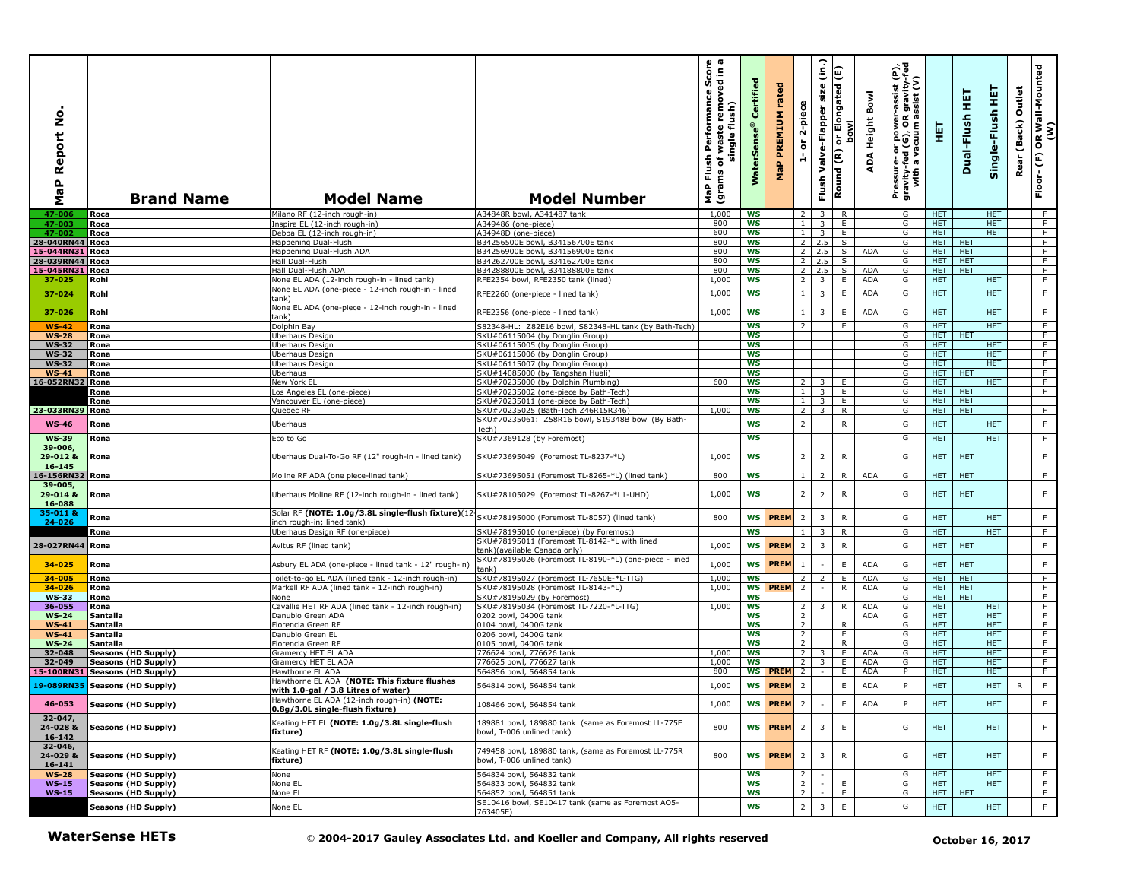| Report No<br>$\mathbf{a}$<br>œ<br>Σ | <b>Brand Name</b>                                 | <b>Model Name</b>                                                                   | <b>Model Number</b>                                                                      | rmance Score<br>cremoved in a<br>Performan<br>flush)<br>waste<br>single<br>Flush<br>٥<br>(grams<br>MaP | Certified<br><b>WaterSens</b> | rated<br>PREMIUM<br>$\pmb{\mathtt{a}}$<br>룰 | 2-piece<br>$\overleftarrow{\mathtt{o}}$<br>é | $\widehat{\epsilon}$<br>size<br>Valve-Flapper<br>Flush | or Elongated (E)<br><b>bowl</b><br>Round (R) | Bowl<br>Height<br>⋖<br>å | er-assist (P),<br>)R gravity-fed<br>) assist (V)<br>Pressure- or power-a<br>gravity-fed (G), OR g<br>with a vacuum as | 핓                        | 뚶<br>Dual-Flush          | 뿦<br>Single-Flush  | Outlet<br>(Back)<br>Rear | R Wall-Mounted<br>(W)<br>$\mathbf{g}$<br>$\widehat{\mathsf{E}}$<br>Floor- |
|-------------------------------------|---------------------------------------------------|-------------------------------------------------------------------------------------|------------------------------------------------------------------------------------------|--------------------------------------------------------------------------------------------------------|-------------------------------|---------------------------------------------|----------------------------------------------|--------------------------------------------------------|----------------------------------------------|--------------------------|-----------------------------------------------------------------------------------------------------------------------|--------------------------|--------------------------|--------------------|--------------------------|---------------------------------------------------------------------------|
| 47-006                              | Roca                                              | Milano RF (12-inch rough-in                                                         | A34848R bowl, A341487 tank                                                               | 1,000                                                                                                  | WS                            |                                             | 2                                            | 3                                                      | R                                            |                          | G                                                                                                                     | <b>HET</b>               |                          | <b>HET</b>         |                          | F                                                                         |
| 47-003                              | Roca                                              | (nspira EL (12-inch rough-in)                                                       | A349486 (one-piece)                                                                      | 800                                                                                                    | WS                            |                                             | $\mathbf{1}$                                 | $\overline{\mathbf{3}}$                                | E                                            |                          | G                                                                                                                     | HET.                     |                          | <b>HET</b>         |                          | F.                                                                        |
| 47-002                              | Roca                                              | Debba EL (12-inch rough-in)                                                         | A34948D (one-piece)                                                                      | 600                                                                                                    | WS                            |                                             | $\mathbf{1}$                                 | $\overline{3}$                                         | Ε.                                           |                          | G                                                                                                                     | <b>HET</b>               |                          | HET.               |                          | $\overline{F}$                                                            |
| 28-040RN44 Roca<br>15-044RN31       | Roca                                              | Happening Dual-Flush<br>Happening Dual-Flush ADA                                    | B34256500E bowl, B34156700E tank<br>B34256900E bowl, B34156900E tank                     | 800<br>800                                                                                             | <b>WS</b><br><b>WS</b>        |                                             | $\overline{2}$                               | $2 \quad 2.5$<br>2.5                                   | S<br>S.                                      | ADA                      | G<br>G                                                                                                                | <b>HET</b><br>HET.       | <b>HET</b><br><b>HET</b> |                    |                          | F<br>F                                                                    |
| 28-039RN44 Roca                     |                                                   | Hall Dual-Flush                                                                     | B34262700E bowl, B34162700E tank                                                         | 800                                                                                                    | ws                            |                                             | $\overline{2}$                               | 2.5                                                    | S                                            |                          | G                                                                                                                     | <b>HET</b>               | HET                      |                    |                          | $\overline{F}$                                                            |
| 15-045RN31 Roca                     |                                                   | Hall Dual-Flush ADA                                                                 | B34288800E bowl, B34188800E tank                                                         | 800                                                                                                    | <b>WS</b>                     |                                             |                                              | $2 \ 2.5$                                              | $\overline{\mathsf{s}}$                      | ADA                      | G                                                                                                                     | HET.                     | HET                      |                    |                          | F                                                                         |
| 37-025                              | Rohl                                              | None EL ADA (12-inch rough-in - lined tank)                                         | RFE2354 bowl, RFE2350 tank (lined)                                                       | 1,000                                                                                                  | WS                            |                                             | 2                                            | $\overline{\mathbf{3}}$                                | E.                                           | ADA                      | G                                                                                                                     | HET.                     |                          | HET.               |                          | F                                                                         |
| 37-024                              | Rohl                                              | None EL ADA (one-piece - 12-inch rough-in - lined<br>:ank)                          | RFE2260 (one-piece - lined tank)                                                         | 1,000                                                                                                  | WS                            |                                             | $\mathbf{1}$                                 | 3                                                      | Ε                                            | <b>ADA</b>               | G                                                                                                                     | <b>HET</b>               |                          | <b>HET</b>         |                          | $\mathsf F$                                                               |
| 37-026                              | Rohl                                              | None EL ADA (one-piece - 12-inch rough-in - lined                                   | RFE2356 (one-piece - lined tank)                                                         | 1,000                                                                                                  | <b>WS</b>                     |                                             | $\mathbf{1}$                                 | 3                                                      | Ε                                            | <b>ADA</b>               | G                                                                                                                     | <b>HET</b>               |                          | <b>HET</b>         |                          | $\mathsf F$                                                               |
|                                     |                                                   | :ank)                                                                               |                                                                                          |                                                                                                        | WS                            |                                             | $\overline{2}$                               |                                                        | E                                            |                          | G                                                                                                                     | HET                      |                          | <b>HET</b>         |                          | $\overline{F}$                                                            |
| <b>WS-42</b><br><b>WS-28</b>        | Rona<br>Rona                                      | Dolphin Bay<br>Uberhaus Design                                                      | S82348-HL: Z82E16 bowl, S82348-HL tank (by Bath-Tech)<br>SKU#06115004 (by Donglin Group) |                                                                                                        | WS                            |                                             |                                              |                                                        |                                              |                          | G                                                                                                                     | HET.                     | <b>HET</b>               |                    |                          | $\overline{F}$                                                            |
| <b>WS-32</b>                        | Rona                                              | Jberhaus Design                                                                     | KU#06115005 (by Donglin Group)                                                           |                                                                                                        | <b>WS</b>                     |                                             |                                              |                                                        |                                              |                          | G                                                                                                                     | HET.                     |                          | HET.               |                          | F.                                                                        |
| <b>WS-32</b>                        | Rona                                              | Jberhaus Design                                                                     | KU#06115006 (by Donglin Group)                                                           |                                                                                                        | <b>WS</b>                     |                                             |                                              |                                                        |                                              |                          | G                                                                                                                     | <b>HET</b>               |                          | <b>HET</b>         |                          | F                                                                         |
| <b>WS-32</b>                        | Rona                                              | Jberhaus Design                                                                     | SKU#06115007 (by Donglin Group)                                                          |                                                                                                        | WS                            |                                             |                                              |                                                        |                                              |                          | G                                                                                                                     | <b>HET</b>               |                          | <b>HET</b>         |                          | $\overline{F}$                                                            |
| <b>WS-41</b>                        | Rona                                              | Jberhaus                                                                            | SKU#14085000 (by Tangshan Huali)                                                         |                                                                                                        | <b>WS</b>                     |                                             |                                              |                                                        |                                              |                          | G                                                                                                                     | HET.                     | <b>HET</b>               |                    |                          | F                                                                         |
| 16-052RN32                          | Rona<br>Rona                                      | New York El<br>Los Angeles EL (one-piece)                                           | SKU#70235000 (by Dolphin Plumbing)<br>SKU#70235002 (one-piece by Bath-Tech)              | 600                                                                                                    | <b>WS</b><br><b>WS</b>        |                                             | 2<br>$\mathbf{1}$                            | 3<br>$\overline{3}$                                    | E<br>E                                       |                          | G<br>G                                                                                                                | <b>HET</b><br><b>HET</b> | <b>HET</b>               | HET.               |                          | F<br>$\overline{F}$                                                       |
|                                     | Rona                                              | Vancouver EL (one-piece)                                                            | SKU#70235011 (one-piece by Bath-Tech)                                                    |                                                                                                        | WS                            |                                             | 1 <sup>1</sup>                               | $\overline{3}$                                         | E                                            |                          | G                                                                                                                     |                          | HET HET                  |                    |                          |                                                                           |
| 23-033RN39 Rona                     |                                                   | Quebec RF                                                                           | KU#70235025 (Bath-Tech Z46R15R346)                                                       | 1,000                                                                                                  | <b>WS</b>                     |                                             | $\overline{2}$                               | 3                                                      | R                                            |                          | G                                                                                                                     | HET                      | <b>HET</b>               |                    |                          | F.                                                                        |
| $WS-46$                             | Rona                                              | Uberhaus                                                                            | SKU#70235061: Z58R16 bowl, S19348B bowl (By Bath-                                        |                                                                                                        | <b>WS</b>                     |                                             | $\overline{\mathbf{2}}$                      |                                                        | $\mathsf{R}$                                 |                          | G                                                                                                                     | <b>HET</b>               |                          | <b>HET</b>         |                          | $\mathsf F$                                                               |
|                                     |                                                   |                                                                                     | Tech)                                                                                    |                                                                                                        |                               |                                             |                                              |                                                        |                                              |                          |                                                                                                                       |                          |                          |                    |                          |                                                                           |
| <b>WS-39</b>                        | Rona                                              | Eco to Go                                                                           | SKU#7369128 (by Foremost)                                                                |                                                                                                        | <b>WS</b>                     |                                             |                                              |                                                        |                                              |                          | G                                                                                                                     | <b>HET</b>               |                          | <b>HET</b>         |                          | F                                                                         |
| 39-006,<br>29-012 &<br>16-145       | Rona                                              | Uberhaus Dual-To-Go RF (12" rough-in - lined tank)                                  | SKU#73695049 (Foremost TL-8237-*L)                                                       | 1,000                                                                                                  | <b>WS</b>                     |                                             | $\overline{2}$                               | $\overline{2}$                                         | $\mathsf{R}$                                 |                          | G                                                                                                                     | HET.                     | <b>HET</b>               |                    |                          | $\mathsf F$                                                               |
| 16-156RN32                          | Rona                                              | Moline RF ADA (one piece-lined tank)                                                | SKU#73695051 (Foremost TL-8265-*L) (lined tank)                                          | 800                                                                                                    | <b>WS</b>                     |                                             | $\overline{1}$                               | 2                                                      | R                                            | ADA                      | G                                                                                                                     | <b>HET</b>               | <b>HET</b>               |                    |                          | F.                                                                        |
| 39-005,<br>29-014 &<br>16-088       | Rona                                              | Uberhaus Moline RF (12-inch rough-in - lined tank)                                  | SKU#78105029 (Foremost TL-8267-*L1-UHD)                                                  | 1,000                                                                                                  | <b>WS</b>                     |                                             | $\overline{2}$                               | $\overline{2}$                                         | $\mathsf{R}$                                 |                          | G                                                                                                                     | HET.                     | <b>HET</b>               |                    |                          | F                                                                         |
| 35-0118<br>24-026                   | Rona                                              | Solar RF (NOTE: 1.0g/3.8L single-flush fixture)(1)<br>nch rough-in; lined tank)     | SKU#78195000 (Foremost TL-8057) (lined tank)                                             | 800                                                                                                    | WS                            | <b>PREM</b>                                 | $\overline{2}$                               | 3                                                      | $\mathsf{R}$                                 |                          | G                                                                                                                     | <b>HET</b>               |                          | <b>HET</b>         |                          | F                                                                         |
|                                     | Rona                                              | Uberhaus Design RF (one-piece)                                                      | SKU#78195010 (one-piece) (by Foremost)                                                   |                                                                                                        | <b>WS</b>                     |                                             | $\overline{1}$                               | 3                                                      | R                                            |                          | G                                                                                                                     | <b>HET</b>               |                          | <b>HET</b>         |                          | F.                                                                        |
| 28-027RN44 Rona                     |                                                   | Avitus RF (lined tank)                                                              | SKU#78195011 (Foremost TL-8142-*L with lined<br>tank)(available Canada only)             | 1,000                                                                                                  | <b>WS</b>                     | <b>PREM</b>                                 | $\overline{2}$                               | 3                                                      | ${\sf R}$                                    |                          | G                                                                                                                     | HET                      | <b>HET</b>               |                    |                          | $\mathsf F$                                                               |
| 34-025                              | Rona                                              | Asbury EL ADA (one-piece - lined tank - 12" rough-in)                               | SKU#78195026 (Foremost TL-8190-*L) (one-piece - lined                                    | 1,000                                                                                                  | <b>WS</b>                     | <b>PREM</b>                                 | $\mathbf{1}$                                 |                                                        | E                                            | ADA                      | G                                                                                                                     | <b>HET</b>               | <b>HET</b>               |                    |                          | F                                                                         |
| 34-005                              | Rona                                              | Toilet-to-go EL ADA (lined tank - 12-inch rough-in)                                 | SKU#78195027 (Foremost TL-7650E-*L-TTG)                                                  | 1,000                                                                                                  | <b>WS</b>                     |                                             | $\overline{2}$                               | 2                                                      | E                                            | <b>ADA</b>               | G                                                                                                                     | HET                      | <b>HET</b>               |                    |                          | F                                                                         |
| 34-026<br><b>WS-33</b>              | Rona<br>Rona                                      | Markell RF ADA (lined tank - 12-inch rough-in)<br>None                              | SKU#78195028 (Foremost TL-8143-*L)<br>SKU#78195029 (by Foremost)                         | 1,000                                                                                                  | <b>WS</b><br>WS               | <b>PREM</b>                                 | $\overline{2}$                               | $\sim$                                                 | R                                            | ADA                      | G<br>G                                                                                                                | HET.<br>HET.             | <b>HET</b><br>HET.       |                    |                          | F<br>$\overline{F}$                                                       |
| 36-055                              | Rona                                              | Cavallie HET RF ADA (lined tank - 12-inch rough-in)                                 | SKU#78195034 (Foremost TL-7220-*L-TTG)                                                   | 1,000                                                                                                  | <b>WS</b>                     |                                             | $\overline{2}$                               |                                                        | R                                            | ADA                      | G                                                                                                                     | <b>HET</b>               |                          | <b>HET</b>         |                          | F                                                                         |
| <b>WS-24</b>                        | <u>Santalia</u>                                   | Danubio Green ADA                                                                   | 202 bowl, 0400G tank                                                                     |                                                                                                        | WS                            |                                             | $\overline{2}$                               |                                                        |                                              | ADA                      | G                                                                                                                     | <b>HET</b>               |                          | <b>HET</b>         |                          | F                                                                         |
| <b>WS-41</b>                        | Santalia                                          | Florencia Green RF                                                                  | 0104 bowl, 0400G tank                                                                    |                                                                                                        | <b>WS</b>                     |                                             | $\overline{2}$                               |                                                        | $\mathsf{R}$                                 |                          | G                                                                                                                     | <b>HET</b>               |                          | <b>HET</b>         |                          | F                                                                         |
| <b>WS-41</b>                        | Santalia                                          | Danubio Green EL                                                                    | 0206 bowl, 0400G tank                                                                    |                                                                                                        | WS                            |                                             | $\overline{2}$                               |                                                        | E.                                           |                          | G                                                                                                                     | HET.                     |                          | <b>HET</b>         |                          | $\overline{F}$                                                            |
| <b>WS-24</b><br>32-048              | Santalia                                          | Florencia Green RF<br>Gramercy HET EL ADA                                           | 0105 bowl, 0400G tank<br>776624 bowl, 776626 tank                                        | 1,000                                                                                                  | <b>WS</b><br>ws               |                                             | 2<br>$\overline{2}$                          | 3                                                      | R<br>E.                                      | <b>ADA</b>               | G<br>G                                                                                                                | HET.<br><b>HET</b>       |                          | HET.<br><b>HET</b> |                          | F.<br>F                                                                   |
| 32-049                              | <b>Seasons (HD Supply)</b><br>Seasons (HD Supply) | Gramercy HET EL ADA                                                                 | 776625 bowl, 776627 tank                                                                 | 1.000                                                                                                  | WS                            |                                             | 2                                            | 3                                                      | E.                                           | ADA                      | G                                                                                                                     | <b>HET</b>               |                          | <b>HET</b>         |                          | F.                                                                        |
| 15-100RN31                          | Seasons (HD Supply)                               | Hawthorne EL ADA                                                                    | 564856 bowl, 564854 tank                                                                 | 800                                                                                                    | WS                            | <b>PREM</b>                                 | $\overline{2}$                               |                                                        | E                                            | ADA                      | P                                                                                                                     | <b>HET</b>               |                          | <b>HET</b>         |                          | F                                                                         |
| 19-089RN35                          | Seasons (HD Supply)                               | Hawthorne EL ADA (NOTE: This fixture flushes<br>with 1.0-gal / 3.8 Litres of water) | 564814 bowl, 564854 tank                                                                 | 1,000                                                                                                  | <b>WS</b>                     | <b>PREM</b>                                 | $\overline{2}$                               |                                                        | $\mathsf E$                                  | <b>ADA</b>               | P                                                                                                                     | <b>HET</b>               |                          | <b>HET</b>         | R                        | $\mathsf F$                                                               |
| 46-053                              | Seasons (HD Supply)                               | lawthorne EL ADA (12-inch rough-in) (NOTE:<br>0.8g/3.0L single-flush fixture)       | 108466 bowl, 564854 tank                                                                 | 1,000                                                                                                  |                               | <b>WS PREM</b>                              | $\overline{2}$                               | $\sim$                                                 | E                                            | ADA                      | P                                                                                                                     | <b>HET</b>               |                          | <b>HET</b>         |                          | F.                                                                        |
| $32 - 047$<br>24-028 &<br>16-142    | <b>Seasons (HD Supply)</b>                        | Keating HET EL (NOTE: 1.0g/3.8L single-flush<br>fixture)                            | 189881 bowl, 189880 tank (same as Foremost LL-775E<br>bowl, T-006 unlined tank)          | 800                                                                                                    |                               | WS PREM                                     | $\overline{2}$                               | $\overline{\mathbf{3}}$                                | $\mathsf E$                                  |                          | G                                                                                                                     | <b>HET</b>               |                          | <b>HET</b>         |                          | F                                                                         |
| $32 - 046$<br>24-029 &<br>16-141    | <b>Seasons (HD Supply)</b>                        | Keating HET RF (NOTE: 1.0g/3.8L single-flush<br>fixture)                            | 749458 bowl, 189880 tank, (same as Foremost LL-775R<br>bowl, T-006 unlined tank)         | 800                                                                                                    | WS                            | <b>PREM</b>                                 | $\overline{2}$                               | $\overline{3}$                                         | $\mathsf{R}$                                 |                          | G                                                                                                                     | <b>HET</b>               |                          | <b>HET</b>         |                          | F                                                                         |
| <b>WS-28</b>                        | Seasons (HD Supply)                               | None                                                                                | 564834 bowl, 564832 tank                                                                 |                                                                                                        | <b>WS</b>                     |                                             | 2                                            |                                                        |                                              |                          | G                                                                                                                     | <b>HET</b>               |                          | <b>HET</b>         |                          | F.                                                                        |
| <b>WS-15</b><br>$WS-15$             | Seasons (HD Supply)<br>Seasons (HD Supply)        | <b>None EL</b><br>None EL                                                           | 564833 bowl, 564832 tank<br>564852 bowl, 564851 tank                                     |                                                                                                        | WS<br><b>WS</b>               |                                             | $\overline{2}$<br>2 <sup>1</sup>             |                                                        | E.<br>E.                                     |                          | G<br>G                                                                                                                | <b>HET</b><br>HET   HET  |                          | <b>HET</b>         |                          | F<br>$\overline{F}$                                                       |
|                                     | <b>Seasons (HD Supply)</b>                        | None EL                                                                             | SE10416 bowl, SE10417 tank (same as Foremost AO5-<br>763405E)                            |                                                                                                        | <b>WS</b>                     |                                             | $\mathbf 2$                                  | $\overline{\mathbf{3}}$                                | $\mathsf E$                                  |                          | G                                                                                                                     | <b>HET</b>               |                          | <b>HET</b>         |                          | F                                                                         |
|                                     | <b>WaterSense HETs</b>                            |                                                                                     | © 2004-2017 Gauley Associates Ltd. and Koeller and Company, All rights reserved          |                                                                                                        |                               |                                             |                                              |                                                        |                                              |                          |                                                                                                                       |                          | October 16, 2017         |                    |                          |                                                                           |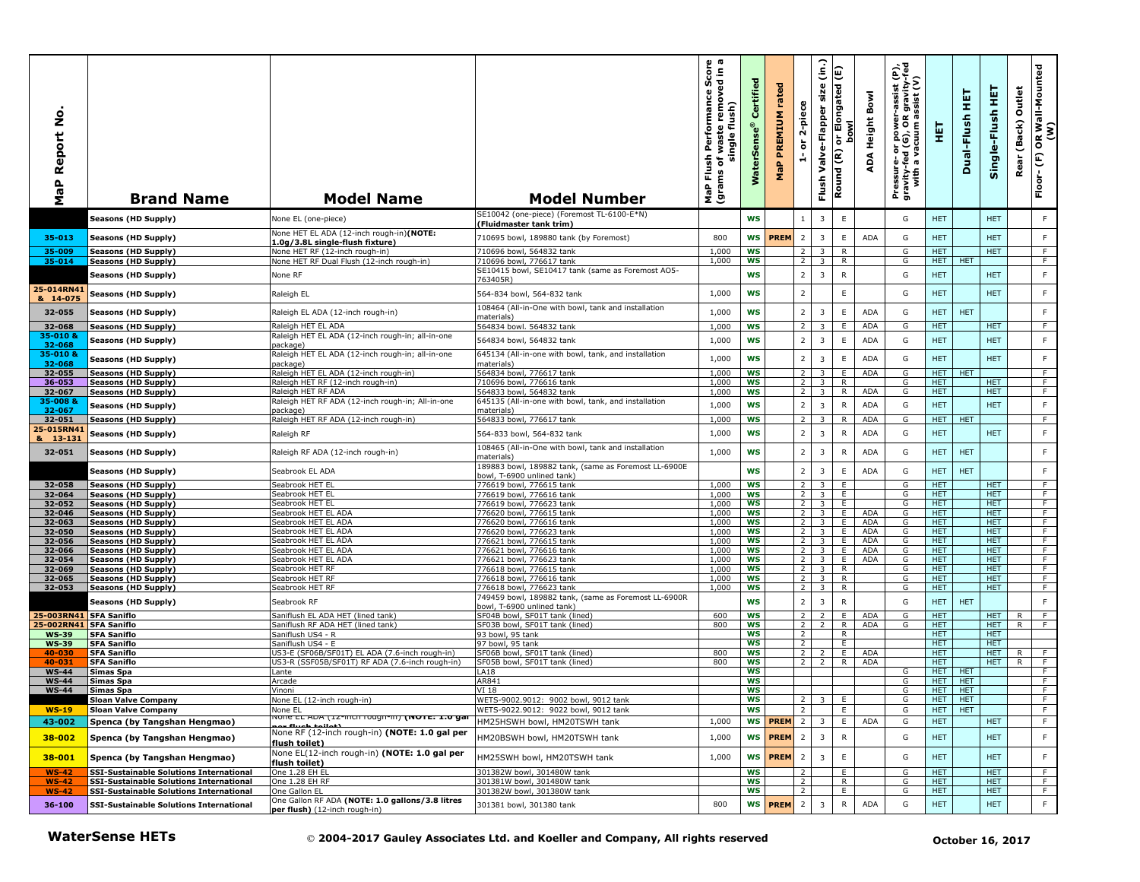| <u>ہ</u><br>Report<br>MaP              | <b>Brand Name</b>                                          | <b>Model Name</b>                                                                | <b>Model Number</b>                                                                | $\omega$ m<br>ance Score<br>Single flush)<br>Single flush)<br>Flush<br>৳<br>(grams<br>MaP | Certified<br>ဖို<br>Š  | rated<br>PREMIUM<br>MaP | 2-piece<br>ត<br>÷                | $\hat{a}$<br>size<br>Valve-Flapper<br>Flush        | Elongated (E)<br>bowl<br>$\overline{5}$<br>Round (R) | Bowl<br><b>Height</b><br>ADA | Pressure- or power-assist (P),<br>gravity-fed (G), OR gravity-fed<br>with a vacuum assist (V) | 핓                        | 핓<br>Dual-Flush  | 핓<br>Single-Flush        | Outlet<br>(Back)<br>Rear | OR Wall-Mounted<br>(W)<br>(F)<br>Floor- |
|----------------------------------------|------------------------------------------------------------|----------------------------------------------------------------------------------|------------------------------------------------------------------------------------|-------------------------------------------------------------------------------------------|------------------------|-------------------------|----------------------------------|----------------------------------------------------|------------------------------------------------------|------------------------------|-----------------------------------------------------------------------------------------------|--------------------------|------------------|--------------------------|--------------------------|-----------------------------------------|
|                                        | Seasons (HD Supply)                                        | None EL (one-piece)                                                              | SE10042 (one-piece) (Foremost TL-6100-E*N)<br>(Fluidmaster tank trim)              |                                                                                           | <b>WS</b>              |                         | $\mathbf{1}$                     | $\overline{3}$                                     | $\mathsf E$                                          |                              | G                                                                                             | <b>HET</b>               |                  | <b>HET</b>               |                          | F                                       |
| 35-013                                 | Seasons (HD Supply)                                        | None HET EL ADA (12-inch rough-in)(NOTE:<br>1.0g/3.8L single-flush fixture)      | 710695 bowl, 189880 tank (by Foremost)                                             | 800                                                                                       | WS                     | <b>PREM</b>             | $\overline{2}$                   | $\overline{3}$                                     | $\mathsf E$                                          | <b>ADA</b>                   | G                                                                                             | <b>HET</b>               |                  | <b>HET</b>               |                          | F                                       |
| 35-009                                 | <b>Seasons (HD Supply)</b>                                 | None HET RF (12-inch rough-in)                                                   | 710696 bowl, 564832 tank                                                           | 1,000                                                                                     | <b>WS</b>              |                         | 2                                | 3                                                  | R                                                    |                              | G                                                                                             | <b>HET</b>               |                  | <b>HET</b>               |                          | F.                                      |
| 35-014                                 | Seasons (HD Supply)                                        | None HET RF Dual Flush (12-inch rough-in)                                        | 710696 bowl, 776617 tank<br>SE10415 bowl, SE10417 tank (same as Foremost AO5-      | 1,000                                                                                     | WS                     |                         | $\overline{2}$                   | 3                                                  | R                                                    |                              | G                                                                                             | <b>HET</b>               | <b>HET</b>       |                          |                          | F.                                      |
|                                        | Seasons (HD Supply)                                        | None RF                                                                          | 763405R)                                                                           |                                                                                           | WS                     |                         | $\overline{2}$                   | $\overline{3}$                                     | ${\sf R}$                                            |                              | G                                                                                             | <b>HET</b>               |                  | <b>HET</b>               |                          | $\mathsf F$                             |
| 25-014RN41<br>& 14-075                 | <b>Seasons (HD Supply)</b>                                 | Raleigh EL                                                                       | 564-834 bowl, 564-832 tank                                                         | 1,000                                                                                     | <b>WS</b>              |                         | $\overline{2}$                   |                                                    | $\mathsf E$                                          |                              | G                                                                                             | <b>HET</b>               |                  | <b>HET</b>               |                          | $\mathsf F$                             |
| 32-055                                 | Seasons (HD Supply)                                        | Raleigh EL ADA (12-inch rough-in)                                                | 108464 (All-in-One with bowl, tank and installation<br>materials)                  | 1,000                                                                                     | <b>WS</b>              |                         | $\overline{2}$                   | $\overline{3}$                                     | $\mathsf E$                                          | <b>ADA</b>                   | G                                                                                             | <b>HET</b>               | <b>HET</b>       |                          |                          | F                                       |
| 32-068                                 | Seasons (HD Supply)                                        | Raleigh HET EL ADA                                                               | 564834 bowl. 564832 tank                                                           | 1,000                                                                                     | <b>WS</b>              |                         | $\overline{2}$                   | 3                                                  | Ε                                                    | <b>ADA</b>                   | G                                                                                             | <b>HET</b>               |                  | <b>HET</b>               |                          | $\overline{F}$                          |
| 35-010 &<br>32-068                     | Seasons (HD Supply)                                        | Raleigh HET EL ADA (12-inch rough-in; all-in-one<br>)ackage)                     | 564834 bowl, 564832 tank                                                           | 1,000                                                                                     | <b>WS</b>              |                         | $\overline{2}$                   | $\overline{3}$                                     | $\mathsf E$                                          | ADA                          | G                                                                                             | <b>HET</b>               |                  | <b>HET</b>               |                          | $\mathsf F$                             |
| 35-010 &<br>32-068                     | Seasons (HD Supply)                                        | Raleigh HET EL ADA (12-inch rough-in; all-in-one<br>oackage)                     | 645134 (All-in-one with bowl, tank, and installation<br>materials)                 | 1,000                                                                                     | <b>WS</b>              |                         | $\overline{2}$                   | 3                                                  | $\mathsf E$                                          | <b>ADA</b>                   | G                                                                                             | <b>HET</b>               |                  | <b>HET</b>               |                          | $\mathsf F$                             |
| 32-055                                 | Seasons (HD Supply)                                        | Raleigh HET EL ADA (12-inch rough-in)                                            | 564834 bowl, 776617 tank                                                           | 1,000                                                                                     | <b>WS</b>              |                         | 2                                | 3                                                  | E                                                    | <b>ADA</b>                   | G                                                                                             | HET                      | <b>HET</b>       |                          |                          | F.                                      |
| 36-053                                 | Seasons (HD Supply)                                        | Raleigh HET RF (12-inch rough-in)                                                | 710696 bowl, 776616 tank                                                           | 1,000                                                                                     | <b>WS</b>              |                         |                                  |                                                    | $\mathsf{R}$                                         |                              | G                                                                                             | <b>HET</b>               |                  | <b>HET</b>               |                          | F                                       |
| 32-067<br>35-0088                      | Seasons (HD Supply)                                        | Raleigh HET RF ADA<br>Raleigh HET RF ADA (12-inch rough-in; All-in-one           | 564833 bowl, 564832 tank<br>645135 (All-in-one with bowl, tank, and installation   | 1,000                                                                                     | <b>WS</b>              |                         | 2                                | $\overline{3}$                                     | $\mathsf{R}$                                         | <b>ADA</b>                   | G                                                                                             | <b>HET</b>               |                  | <b>HET</b>               |                          | F                                       |
| 32-067                                 | Seasons (HD Supply)                                        | vackage)                                                                         | materials)                                                                         | 1,000                                                                                     | <b>WS</b>              |                         | $\overline{2}$                   | $\overline{\mathbf{3}}$                            | ${\sf R}$                                            | <b>ADA</b>                   | G                                                                                             | <b>HET</b>               |                  | <b>HET</b>               |                          | F                                       |
| 32-051                                 | Seasons (HD Supply)                                        | Raleigh HET RF ADA (12-inch rough-in)                                            | 564833 bowl, 776617 tank                                                           | 1,000                                                                                     | WS                     |                         | $\overline{2}$                   | 3                                                  | $\mathsf{R}$                                         | <b>ADA</b>                   | G                                                                                             | <b>HET</b>               | <b>HET</b>       |                          |                          | F                                       |
| 25-015RN41<br>& 13-131                 | Seasons (HD Supply)                                        | Raleigh RF                                                                       | 564-833 bowl, 564-832 tank                                                         | 1,000                                                                                     | <b>WS</b>              |                         | $\overline{2}$                   | 3                                                  | $\mathsf{R}$                                         | <b>ADA</b>                   | G                                                                                             | <b>HET</b>               |                  | <b>HET</b>               |                          | $\mathsf F$                             |
| 32-051                                 | Seasons (HD Supply)                                        | Raleigh RF ADA (12-inch rough-in)                                                | 108465 (All-in-One with bowl, tank and installation<br>materials)                  | 1,000                                                                                     | <b>WS</b>              |                         | $\overline{2}$                   | 3                                                  | ${\sf R}$                                            | ADA                          | G                                                                                             | <b>HET</b>               | <b>HET</b>       |                          |                          | F                                       |
|                                        | Seasons (HD Supply)                                        | Seabrook EL ADA                                                                  | 189883 bowl, 189882 tank, (same as Foremost LL-6900E<br>bowl, T-6900 unlined tank) |                                                                                           | <b>WS</b>              |                         | $\overline{2}$                   | 3                                                  | E                                                    | ADA                          | G                                                                                             | <b>HET</b>               | <b>HET</b>       |                          |                          | F                                       |
| 32-058                                 | Seasons (HD Supply)                                        | Seabrook HET EL                                                                  | 776619 bowl, 776615 tank                                                           | 1,000                                                                                     | <b>WS</b>              |                         | $\overline{2}$                   | 3                                                  | E                                                    |                              | G                                                                                             | <b>HET</b>               |                  | <b>HET</b>               |                          | F.                                      |
| 32-064                                 | Seasons (HD Supply)                                        | Seabrook HET EL                                                                  | 776619 bowl, 776616 tank                                                           | 1.000                                                                                     | <b>WS</b>              |                         | $\overline{2}$                   | 3                                                  | Ε.                                                   |                              | G                                                                                             | <b>HET</b>               |                  | <b>HET</b>               |                          | F.                                      |
| 32-052<br>32-046                       | Seasons (HD Supply)<br>Seasons (HD Supply)                 | Seabrook HET EL<br>Seabrook HET EL ADA                                           | 776619 bowl, 776623 tank<br>776620 bowl, 776615 tank                               | 1,000<br>1,000                                                                            | WS<br><b>WS</b>        |                         | 2<br>2                           | $\overline{\mathbf{3}}$<br>$\overline{3}$          | E.<br>E                                              | <b>ADA</b>                   | G<br>G                                                                                        | <b>HET</b><br><b>HET</b> |                  | <b>HET</b><br><b>HET</b> |                          | F<br>F                                  |
| 32-063                                 | Seasons (HD Supply)                                        | Seabrook HET EL ADA                                                              | 776620 bowl, 776616 tank                                                           | 1,000                                                                                     | <b>WS</b>              |                         | $2^{\circ}$                      | $\overline{3}$                                     | E                                                    | <b>ADA</b>                   | G                                                                                             | HET.                     |                  | HET.                     |                          | F                                       |
| 32-050                                 | Seasons (HD Supply)                                        | Seabrook HET EL ADA                                                              | 776620 bowl, 776623 tank                                                           | 1,000                                                                                     | ws                     |                         | 2 <sub>1</sub>                   | $\overline{\mathbf{3}}$                            | E.                                                   | <b>ADA</b>                   | G                                                                                             | <b>HET</b>               |                  | <b>HET</b>               |                          | F                                       |
| 32-056<br>32-066                       | Seasons (HD Supply)<br>Seasons (HD Supply)                 | Seabrook HET EL ADA<br>Seabrook HET EL ADA                                       | 776621 bowl, 776615 tank<br>776621 bowl, 776616 tank                               | 1,000<br>1,000                                                                            | <b>WS</b><br><b>WS</b> |                         | $2^{\circ}$<br>2 <sub>1</sub>    | $\overline{\mathbf{3}}$<br>$\overline{\mathbf{3}}$ | E.<br>E                                              | <b>ADA</b><br>ADA            | G<br>G                                                                                        | HET<br><b>HET</b>        |                  | HET.<br><b>HET</b>       |                          | F<br>F                                  |
| 32-054                                 | Seasons (HD Supply)                                        | Seabrook HET EL ADA                                                              | 776621 bowl, 776623 tank                                                           | 1,000                                                                                     | WS                     |                         | $\overline{2}$                   | $\overline{\mathbf{3}}$                            | E.                                                   | <b>ADA</b>                   | G                                                                                             | <b>HET</b>               |                  | <b>HET</b>               |                          | $\overline{F}$                          |
| 32-069                                 | Seasons (HD Supply)                                        | Seabrook HET RF                                                                  | 776618 bowl, 776615 tank                                                           | 1,000                                                                                     | <b>WS</b>              |                         | $\overline{2}$                   | $\overline{\mathbf{3}}$                            | $\overline{R}$                                       |                              | G                                                                                             | HET                      |                  | <b>HET</b>               |                          | $\overline{F}$                          |
| 32-065                                 | Seasons (HD Supply)                                        | Seabrook HET RF                                                                  | 776618 bowl, 776616 tank                                                           | 1,000                                                                                     | <b>WS</b>              |                         | $\overline{2}$                   | $\overline{\mathbf{3}}$                            | R                                                    |                              | G                                                                                             | HET.                     |                  | HET.                     |                          | F                                       |
| 32-053                                 | Seasons (HD Supply)                                        | Seabrook HET RF                                                                  | 776618 bowl, 776623 tank<br>749459 bowl, 189882 tank, (same as Foremost LL-6900R   | 1,000                                                                                     | <b>WS</b>              |                         | $\overline{2}$                   | 3                                                  | R                                                    |                              | G                                                                                             | HET                      |                  | <b>HET</b>               |                          | F                                       |
|                                        | Seasons (HD Supply)                                        | Seabrook RF                                                                      | bowl, T-6900 unlined tank)                                                         |                                                                                           | WS                     |                         | $\overline{2}$                   | $\overline{3}$                                     | ${\sf R}$                                            |                              | G                                                                                             | <b>HET</b>               | <b>HET</b>       |                          |                          | F                                       |
| 25-003RN41 SFA Saniflo                 |                                                            | Saniflush EL ADA HET (lined tank)                                                | SF04B bowl, SF01T tank (lined)                                                     | 600                                                                                       | <b>WS</b>              |                         | 2                                |                                                    | E                                                    | ADA                          | G                                                                                             | <b>HET</b>               |                  | HET.                     | R                        | F                                       |
| 25-002RN41 SFA Saniflo<br><b>WS-39</b> | <b>SFA Saniflo</b>                                         | Saniflush RF ADA HET (lined tank)<br>Saniflush US4 - R                           | SF03B bowl, SF01T tank (lined)<br>93 bowl, 95 tank                                 | 800                                                                                       | <b>WS</b><br><b>WS</b> |                         | $\overline{2}$<br>$\overline{2}$ | $\overline{2}$                                     | $\mathsf{R}$<br>$\overline{R}$                       | ADA                          | G                                                                                             | <b>HET</b><br><b>HET</b> |                  | <b>HET</b><br><b>HET</b> | $\mathsf{R}$             | F                                       |
| <b>WS-39</b>                           | <b>SFA Saniflo</b>                                         | Saniflush US4 - E                                                                | 97 bowl, 95 tank                                                                   |                                                                                           | ws                     |                         | $\overline{2}$                   |                                                    | E                                                    |                              |                                                                                               | HET                      |                  | <b>HET</b>               |                          |                                         |
| 40-030                                 | <b>SFA Saniflo</b>                                         | US3-E (SF06B/SF01T) EL ADA (7.6-inch rough-in)                                   | SF06B bowl, SF01T tank (lined)                                                     | 800                                                                                       | WS                     |                         | $2^{\circ}$                      | 2                                                  | E                                                    | <b>ADA</b>                   |                                                                                               | HET.                     |                  | HET.                     | R                        | F.                                      |
| 40-031<br><b>WS-44</b>                 | <b>SFA Saniflo</b><br>Simas Spa                            | US3-R (SSF05B/SF01T) RF ADA (7.6-inch rough-in)<br>Lante                         | SF05B bowl, SF01T tank (lined)<br><b>LA18</b>                                      | 800                                                                                       | ws<br><b>WS</b>        |                         | 2 <sub>1</sub>                   | 2                                                  | R.                                                   | ADA                          | G                                                                                             | <b>HET</b><br>HET.       | <b>HET</b>       | <b>HET</b>               | R.                       | $\overline{F}$<br>F                     |
| $WS-44$                                | Simas Spa                                                  | Arcade                                                                           | AR841                                                                              |                                                                                           | WS                     |                         |                                  |                                                    |                                                      |                              | G                                                                                             | <b>HET</b>               | <b>HET</b>       |                          |                          | F                                       |
| <b>WS-44</b>                           | <b>Simas Spa</b>                                           | Vinoni                                                                           | VI 18                                                                              |                                                                                           | WS                     |                         |                                  |                                                    |                                                      |                              | G                                                                                             | <b>HET</b>               | <b>HET</b>       |                          |                          | F                                       |
|                                        | Sloan Valve Companv                                        | None EL (12-inch rough-in)                                                       | WEIS-9002.9012: 9002 bowl, 9012 tank                                               |                                                                                           | ws                     |                         | $\epsilon$<br>$\overline{2}$     |                                                    | ՟                                                    |                              | G                                                                                             | HEI HEI                  | <b>HET</b>       |                          |                          |                                         |
| $WS-19$<br>43-002                      | <b>Sloan Valve Company</b><br>Spenca (by Tangshan Hengmao) | None EL<br>ivone EL ADA (12-inch rough-in) (NOTE: 1.0 gai                        | WETS-9022.9012: 9022 bowl, 9012 tank<br>HM25HSWH bowl, HM20TSWH tank               | 1,000                                                                                     | WS                     | <b>WS PREM</b>          | $\overline{2}$                   | $\overline{3}$                                     | E<br>E                                               | ADA                          | G<br>G                                                                                        | <b>HET</b><br>HET.       |                  | <b>HET</b>               |                          | F<br>F                                  |
| 38-002                                 | Spenca (by Tangshan Hengmao)                               | None RF (12-inch rough-in) (NOTE: 1.0 gal per                                    | HM20BSWH bowl, HM20TSWH tank                                                       | 1,000                                                                                     |                        | WS <b>PREM</b>          | $\overline{2}$                   | $\overline{3}$                                     | ${\sf R}$                                            |                              | G                                                                                             | <b>HET</b>               |                  | <b>HET</b>               |                          | F                                       |
| 38-001                                 | Spenca (by Tangshan Hengmao)                               | flush toilet)<br>None EL(12-inch rough-in) (NOTE: 1.0 gal per                    | HM25SWH bowl, HM20TSWH tank                                                        | 1,000                                                                                     | WS                     | <b>PREM</b>             | $\overline{2}$                   | $\overline{3}$                                     | $\mathsf E$                                          |                              | G                                                                                             | HET                      |                  | HET                      |                          | $\mathsf F$                             |
| <b>WS-42</b>                           | <b>SSI-Sustainable Solutions International</b>             | flush toilet)<br>One 1.28 EH EL                                                  | 301382W bowl, 301480W tank                                                         |                                                                                           | <b>WS</b>              |                         | $\overline{2}$                   |                                                    | E                                                    |                              | G                                                                                             | HET.                     |                  | <b>HET</b>               |                          | F                                       |
| <b>WS-42</b>                           | <b>SSI-Sustainable Solutions International</b>             | One 1.28 EH RF                                                                   | 301381W bowl, 301480W tank                                                         |                                                                                           | WS                     |                         | $\overline{2}$                   |                                                    | R                                                    |                              | G                                                                                             | HET.                     |                  | <b>HET</b>               |                          | F.                                      |
| <b>WS-42</b>                           | SSI-Sustainable Solutions International                    | One Gallon EL                                                                    | 301382W bowl, 301380W tank                                                         |                                                                                           | ws                     |                         | $\overline{2}$                   |                                                    | E.                                                   |                              | G                                                                                             | <b>HET</b>               |                  | <b>HET</b>               |                          | F.                                      |
| 36-100                                 | <b>SSI-Sustainable Solutions International</b>             | One Gallon RF ADA (NOTE: 1.0 gallons/3.8 litres<br>per flush) (12-inch rough-in) | 301381 bowl, 301380 tank                                                           | 800                                                                                       |                        | WS <b>PREM</b>          | $\overline{2}$                   | $\overline{\mathbf{3}}$                            | $\mathsf{R}$                                         | ADA                          | G                                                                                             | <b>HET</b>               |                  | <b>HET</b>               |                          | $\mathsf F$                             |
|                                        | <b>WaterSense HETs</b>                                     |                                                                                  | © 2004-2017 Gauley Associates Ltd. and Koeller and Company, All rights reserved    |                                                                                           |                        |                         |                                  |                                                    |                                                      |                              |                                                                                               |                          | October 16, 2017 |                          |                          |                                         |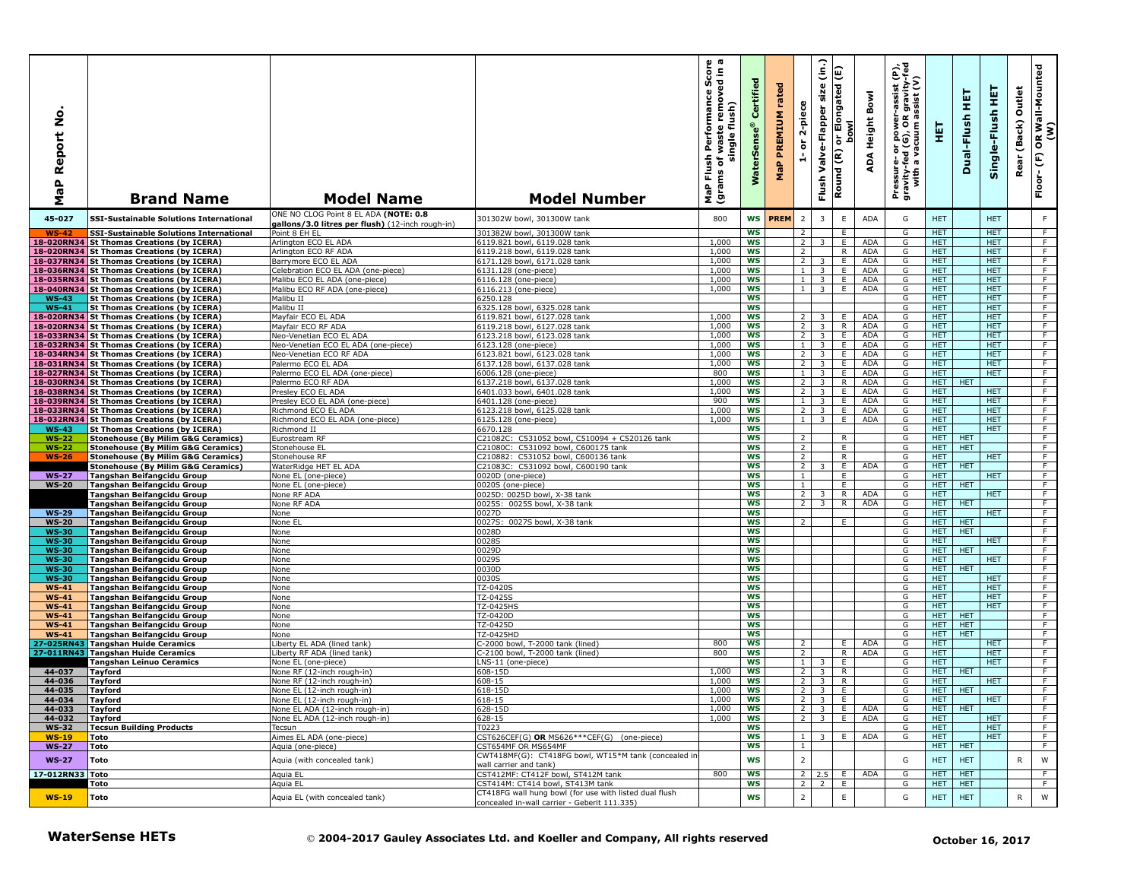| $\circ$<br>Ž<br>eport<br>≃<br>۹b<br>Σ | <b>Brand Name</b>                                                                              | <b>Model Name</b>                                                 | <b>Model Number</b>                                                                  | rmance Score<br>cremoved in a<br>Performance<br>single flush)<br>waste<br>Flush<br>৳<br>(grams<br>MaP | Certified<br><b>WaterSens</b> | rated<br><b>MaP PREMIUM</b> | 2-piece<br>$\overleftarrow{\mathtt{o}}$<br>ă | $\hat{c}$<br>size<br>Valve-Flapper<br>Flush        | or Elongated (E)<br><b>bowl</b><br>Round (R) | Bowl<br>ADA Height         | 한<br>R gravity-f<br>assist (V)<br>assist<br>Pressure- or power--<br>gravity-fed (G), OR g<br>with a vacuum as | 핓                  | ш<br>Ξ<br>Dual-Flush     | 뜣<br>Single-Flush        | Outlet<br>(Back)<br>Rear | (M)<br>סא Wall-Mounted<br>Floor-(F) |
|---------------------------------------|------------------------------------------------------------------------------------------------|-------------------------------------------------------------------|--------------------------------------------------------------------------------------|-------------------------------------------------------------------------------------------------------|-------------------------------|-----------------------------|----------------------------------------------|----------------------------------------------------|----------------------------------------------|----------------------------|---------------------------------------------------------------------------------------------------------------|--------------------|--------------------------|--------------------------|--------------------------|-------------------------------------|
| 45-027                                | <b>SSI-Sustainable Solutions International</b>                                                 | ONE NO CLOG Point 8 EL ADA (NOTE: 0.8                             | 301302W bowl, 301300W tank                                                           | 800                                                                                                   | <b>WS</b>                     | <b>PREM</b>                 | $\overline{2}$                               | 3                                                  | E                                            | <b>ADA</b>                 | G                                                                                                             | <b>HET</b>         |                          | <b>HET</b>               |                          | $\mathsf F$                         |
| $WS-42$                               | <b>SSI-Sustainable Solutions International</b>                                                 | gallons/3.0 litres per flush) (12-inch rough-in)<br>Point 8 EH EL | 301382W bowl, 301300W tank                                                           |                                                                                                       | WS                            |                             | $\overline{2}$                               |                                                    | E                                            |                            | G                                                                                                             | <b>HET</b>         |                          | <b>HET</b>               |                          | F                                   |
|                                       | 18-020RN34 St Thomas Creations (by ICERA)                                                      | Arlington ECO EL ADA                                              | 6119.821 bowl, 6119.028 tank                                                         | 1,000                                                                                                 | <b>WS</b>                     |                             | $\overline{2}$                               | 3                                                  | E                                            | <b>ADA</b>                 | G                                                                                                             | HET.               |                          | <b>HET</b>               |                          | F                                   |
|                                       | 18-020RN34 St Thomas Creations (by ICERA)<br>18-037RN34 St Thomas Creations (by ICERA)         | Arlington ECO RF ADA<br>Barrymore ECO EL ADA                      | 6119.218 bowl, 6119.028 tank<br>6171.128 bowl, 6171.028 tank                         | 1,000<br>1,000                                                                                        | <b>WS</b><br>WS               |                             | $\overline{2}$<br>$\overline{2}$             | 3                                                  | R.<br>E                                      | ADA<br><b>ADA</b>          | G<br>G                                                                                                        | HET.<br><b>HET</b> |                          | <b>HET</b><br><b>HET</b> |                          | F<br>F                              |
|                                       | 18-036RN34 St Thomas Creations (by ICERA)                                                      | Celebration ECO EL ADA (one-piece)                                | 6131.128 (one-piece)                                                                 | 1,000                                                                                                 | <b>WS</b>                     |                             | $\mathbf{1}$                                 | $\overline{\mathbf{3}}$                            | E                                            | <b>ADA</b>                 | G                                                                                                             | <b>HET</b>         |                          | <b>HET</b>               |                          | F                                   |
|                                       | 18-035RN34 St Thomas Creations (by ICERA)                                                      | Malibu ECO EL ADA (one-piece)                                     | 6116.128 (one-piece)                                                                 | 1,000                                                                                                 | <b>WS</b>                     |                             | 1                                            | $\overline{\mathbf{3}}$                            | E                                            | ADA                        | G                                                                                                             | HET.               |                          | <b>HET</b>               |                          | F                                   |
| $WS-43$                               | 18-040RN34 St Thomas Creations (by ICERA)<br><b>St Thomas Creations (by ICERA)</b>             | Malibu ECO RF ADA (one-piece)<br>Malibu II                        | 6116.213 (one-piece)<br>6250.128                                                     | 1,000                                                                                                 | WS<br>WS                      |                             | 1 <sup>1</sup>                               | $\overline{\mathbf{3}}$                            | E                                            | <b>ADA</b>                 | G<br>G                                                                                                        | HET.<br><b>HET</b> |                          | <b>HET</b><br><b>HET</b> |                          | F<br>F                              |
| $WS-41$                               | <b>St Thomas Creations (by ICERA)</b>                                                          | Malibu II                                                         | 6325.128 bowl, 6325.028 tank                                                         |                                                                                                       | <b>WS</b>                     |                             |                                              |                                                    |                                              |                            | G                                                                                                             | HET.               |                          | <b>HET</b>               |                          | F                                   |
| 18-020RN34                            | <b>St Thomas Creations (by ICERA)</b>                                                          | Mayfair ECO EL ADA                                                | 6119.821 bowl, 6127.028 tank                                                         | 1,000                                                                                                 | <b>WS</b>                     |                             | $\overline{2}$                               | 3                                                  | Е.                                           | <b>ADA</b>                 | G                                                                                                             | <b>HET</b>         |                          | <b>HET</b>               |                          | F.                                  |
|                                       | 18-020RN34 St Thomas Creations (by ICERA)<br>18-033RN34 St Thomas Creations (by ICERA)         | Mayfair ECO RF ADA<br>Neo-Venetian ECO EL ADA                     | 6119.218 bowl, 6127.028 tank<br>6123.218 bowl, 6123.028 tank                         | 1,000<br>1,000                                                                                        | <b>WS</b><br><b>WS</b>        |                             | $\overline{2}$<br>$\overline{2}$             | $\overline{\mathbf{3}}$<br>$\overline{\mathbf{3}}$ | $\overline{R}$<br>E                          | <b>ADA</b><br><b>ADA</b>   | G<br>G                                                                                                        | HET<br>HET         |                          | <b>HET</b><br><b>HET</b> |                          | $\overline{F}$<br>F                 |
|                                       | 18-032RN34 St Thomas Creations (by ICERA)                                                      | Neo-Venetian ECO EL ADA (one-piece)                               | 6123.128 (one-piece)                                                                 | 1.000                                                                                                 | <b>WS</b>                     |                             | $\mathbf{1}$                                 | $\overline{\mathbf{3}}$                            | E                                            | <b>ADA</b>                 | G                                                                                                             | HET.               |                          | <b>HET</b>               |                          | F                                   |
|                                       | 18-034RN34 St Thomas Creations (by ICERA)                                                      | Neo-Venetian ECO RF ADA                                           | 6123.821 bowl, 6123.028 tank                                                         | 1,000                                                                                                 | <b>WS</b>                     |                             | $\overline{2}$                               | $\overline{\mathbf{3}}$                            | E                                            | ADA                        | G                                                                                                             | HET.               |                          | <b>HET</b>               |                          | F.                                  |
|                                       | 18-031RN34 St Thomas Creations (by ICERA)<br>18-027RN34 St Thomas Creations (by ICERA)         | Palermo ECO EL ADA<br>Palermo ECO EL ADA (one-piece)              | 6137.128 bowl, 6137.028 tank<br>6006.128 (one-piece)                                 | 1,000<br>800                                                                                          | <b>WS</b><br><b>WS</b>        |                             | 2 <sup>1</sup><br>$\mathbf{1}$               | $\overline{\mathbf{3}}$<br>$\overline{\mathbf{3}}$ | Ε.<br>E.                                     | <b>ADA</b><br>ADA          | G<br>G                                                                                                        | <b>HET</b><br>HET. |                          | <b>HET</b><br><b>HET</b> |                          | $\overline{F}$<br>F.                |
|                                       | 18-030RN34 St Thomas Creations (by ICERA)                                                      | Palermo ECO RF ADA                                                | 6137.218 bowl, 6137.028 tank                                                         | 1,000                                                                                                 | WS                            |                             | $\overline{2}$                               | 3                                                  | R                                            | ADA                        | G                                                                                                             | <b>HET</b>         | <b>HET</b>               |                          |                          | F                                   |
|                                       | 18-038RN34 St Thomas Creations (by ICERA)                                                      | Presley ECO EL ADA                                                | 6401.033 bowl, 6401.028 tank                                                         | 1,000                                                                                                 | <b>WS</b>                     |                             | $\overline{2}$                               | $\overline{\mathbf{3}}$                            | E                                            | <b>ADA</b>                 | G                                                                                                             | <b>HET</b>         |                          | <b>HET</b>               |                          | F                                   |
|                                       | 18-039RN34 St Thomas Creations (by ICERA)<br>18-033RN34 St Thomas Creations (by ICERA)         | Presley ECO EL ADA (one-piece)<br>Richmond ECO EL ADA             | 6401.128 (one-piece)<br>6123.218 bowl, 6125.028 tank                                 | 900<br>1,000                                                                                          | ws<br>WS                      |                             | 1<br>2 <sup>1</sup>                          | $\overline{\mathbf{3}}$<br>3 <sup>2</sup>          | Е.<br>E.                                     | ADA<br>ADA                 | G<br>G                                                                                                        | <b>HET</b><br>HET. |                          | <b>HET</b><br><b>HET</b> |                          | F<br>F                              |
|                                       | 18-032RN34 St Thomas Creations (by ICERA)                                                      | Richmond ECO EL ADA (one-piece)                                   | 6125.128 (one-piece)                                                                 | 1,000                                                                                                 | <b>WS</b>                     |                             | 1 <sub>1</sub>                               | $\overline{\mathbf{3}}$                            | E                                            | ADA                        | G                                                                                                             | <b>HET</b>         |                          | <b>HET</b>               |                          | F                                   |
| <b>WS-43</b>                          | <b>St Thomas Creations (by ICERA)</b>                                                          | Richmond II                                                       | 6670.128                                                                             |                                                                                                       | WS                            |                             |                                              |                                                    |                                              |                            | G                                                                                                             | <b>HET</b>         |                          | <b>HET</b>               |                          | F.                                  |
| $WS-22$<br><b>WS-22</b>               | <b>Stonehouse (By Milim G&amp;G Ceramics)</b><br><b>Stonehouse (By Milim G&amp;G Ceramics)</b> | Eurostream RF<br>Stonehouse EL                                    | C21082C: C531052 bowl, C510094 + C520126 tank<br>C21080C: C531092 bowl, C600175 tank |                                                                                                       | WS<br><b>WS</b>               |                             | $\overline{2}$<br>$\overline{2}$             |                                                    | R<br>E                                       |                            | G<br>G                                                                                                        | HET.<br>HET.       | <b>HET</b><br><b>HET</b> |                          |                          | F<br>F                              |
| <b>WS-26</b>                          | <b>Stonehouse (By Milim G&amp;G Ceramics)</b>                                                  | Stonehouse RF                                                     | C210882: C531052 bowl, C600136 tank                                                  |                                                                                                       | <b>WS</b>                     |                             | $\overline{2}$                               |                                                    | R.                                           |                            | G                                                                                                             | <b>HET</b>         |                          | <b>HET</b>               |                          | F                                   |
|                                       | <b>Stonehouse (By Milim G&amp;G Ceramics)</b>                                                  | WaterRidge HET EL ADA                                             | C21083C: C531092 bowl, C600190 tank                                                  |                                                                                                       | WS                            |                             | $\overline{2}$                               | 3                                                  | E.                                           | ADA                        | G                                                                                                             | HET.               | <b>HET</b>               |                          |                          | F                                   |
| <b>WS-27</b><br><b>WS-20</b>          | Tangshan Beifangcidu Group<br>Tangshan Beifangcidu Group                                       | None EL (one-piece)<br>None EL (one-piece)                        | 0020D (one-piece)<br>0020S (one-piece)                                               |                                                                                                       | <b>WS</b><br><b>WS</b>        |                             | $\mathbf{1}$<br>$\mathbf{1}$                 |                                                    | Ε.<br>Ε.                                     |                            | G<br>G                                                                                                        | <b>HET</b><br>HET. | <b>HET</b>               | <b>HET</b>               |                          | F<br>F.                             |
|                                       | Tangshan Beifangcidu Group                                                                     | None RF ADA                                                       | 0025D: 0025D bowl, X-38 tank                                                         |                                                                                                       | <b>WS</b>                     |                             | $\overline{2}$                               | 3                                                  | R                                            | ADA                        | G                                                                                                             | HET.               |                          | <b>HET</b>               |                          | $\overline{F}$                      |
|                                       | Tangshan Beifangcidu Group                                                                     | None RF ADA                                                       | 0025S: 0025S bowl, X-38 tank                                                         |                                                                                                       | <b>WS</b>                     |                             |                                              | $2 \mid 3$                                         | $\overline{R}$                               | ADA                        | G                                                                                                             | <b>HET</b>         | <b>HET</b>               |                          |                          | F                                   |
| <b>WS-29</b><br><b>WS-20</b>          | Tangshan Beifangcidu Group<br>Tangshan Beifangcidu Group                                       | None<br>None EL                                                   | 0027D<br>0027S: 0027S bowl, X-38 tank                                                |                                                                                                       | <b>WS</b><br>ws               |                             | $\overline{2}$                               |                                                    | E.                                           |                            | G<br>G                                                                                                        | HET.<br>HET        | <b>HET</b>               | <b>HET</b>               |                          | F<br>F                              |
| <b>WS-30</b>                          | Tangshan Beifangcidu Group                                                                     | None                                                              | 0028D                                                                                |                                                                                                       | <b>WS</b>                     |                             |                                              |                                                    |                                              |                            | G                                                                                                             | <b>HET</b>         | <b>HET</b>               |                          |                          | $\overline{F}$                      |
| <b>WS-30</b>                          | Tangshan Beifangcidu Group                                                                     | None                                                              | 0028S                                                                                |                                                                                                       | <b>WS</b>                     |                             |                                              |                                                    |                                              |                            | G                                                                                                             | <b>HET</b>         |                          | <b>HET</b>               |                          | F.                                  |
| <b>WS-30</b><br><b>WS-30</b>          | Tangshan Beifangcidu Group<br>Tangshan Beifangcidu Group                                       | None<br>None                                                      | 0029D<br>0029S                                                                       |                                                                                                       | <b>WS</b><br><b>WS</b>        |                             |                                              |                                                    |                                              |                            | G<br>G                                                                                                        | HET.<br><b>HET</b> | <b>HET</b>               | <b>HET</b>               |                          | F.<br>$\overline{F}$                |
| <b>WS-30</b>                          | Tangshan Beifangcidu Group                                                                     | None                                                              | 0030D                                                                                |                                                                                                       | <b>WS</b>                     |                             |                                              |                                                    |                                              |                            | G                                                                                                             | HET.               | <b>HET</b>               |                          |                          | $\overline{F}$                      |
| <b>WS-30</b>                          | Tangshan Beifangcidu Group                                                                     | None                                                              | 0030S                                                                                |                                                                                                       | <b>WS</b>                     |                             |                                              |                                                    |                                              |                            | G                                                                                                             | <b>HET</b>         |                          | <b>HET</b>               |                          | F                                   |
| $WS-41$<br><b>WS-41</b>               | Tangshan Beifangcidu Group<br>Tangshan Beifangcidu Group                                       | None<br>None                                                      | TZ-0420S<br>TZ-0425S                                                                 |                                                                                                       | <b>WS</b><br><b>WS</b>        |                             |                                              |                                                    |                                              |                            | G<br>G                                                                                                        | HET.<br>HET.       |                          | <b>HET</b><br><b>HET</b> |                          | F.<br>$\overline{F}$                |
| <b>WS-41</b>                          | Tangshan Beifangcidu Group                                                                     | None                                                              | TZ-0425HS                                                                            |                                                                                                       | <b>WS</b>                     |                             |                                              |                                                    |                                              |                            | G                                                                                                             | HET                |                          | <b>HET</b>               |                          | F                                   |
| $WS-41$                               | Tangshan Beifangcidu Group                                                                     | None                                                              | TZ-0420D                                                                             |                                                                                                       | WS                            |                             |                                              |                                                    |                                              |                            | G                                                                                                             | <b>HET</b>         | <b>HET</b>               |                          |                          | F                                   |
| <b>WS-41</b><br><b>WS-41</b>          | Tangshan Beifangcidu Group<br>Tangshan Beifangcidu Group                                       | None<br>None                                                      | TZ-0425D<br>TZ-0425HD                                                                |                                                                                                       | <b>WS</b><br>WS               |                             |                                              |                                                    |                                              |                            | G<br>G                                                                                                        | HET.<br>HET.       | <b>HET</b><br><b>HET</b> |                          |                          | F<br>F                              |
| 27-025RN43                            | Tangshan Huide Ceramics                                                                        | Liberty EL ADA (lined tank)                                       | C-2000 bowl, T-2000 tank (lined)                                                     | 800                                                                                                   | <b>WS</b>                     |                             | $\overline{2}$                               |                                                    | E.                                           | <b>ADA</b>                 | G                                                                                                             | HET.               |                          | <b>HET</b>               |                          | F                                   |
| 27-011RN43                            | Tangshan Huide Ceramics                                                                        | Liberty RF ADA (lined tank)                                       | C-2100 bowl, T-2000 tank (lined)                                                     | 800                                                                                                   | <b>WS</b>                     |                             | $\overline{2}$                               |                                                    | R.                                           | <b>ADA</b>                 | G                                                                                                             | <b>HET</b>         |                          | <b>HET</b>               |                          | F                                   |
| 44-037                                | Tangshan Leinuo Ceramics<br>Tayford                                                            | None EL (one-piece)<br>None RF (12-inch rough-in)                 | LNS-11 (one-piece)<br>608-15D                                                        | 1,000                                                                                                 | WS<br>WS                      |                             | $\mathbf{1}$<br>$\overline{2}$               | 3<br>$\overline{\mathbf{3}}$                       | Ε.<br>R                                      |                            | G<br>G                                                                                                        | <b>HET</b><br>HET. | <b>HET</b>               | <b>HET</b>               |                          | F.<br>F                             |
| 44-036                                | <b>Tayford</b>                                                                                 | None RF (12-inch rough-in)                                        | 608-15                                                                               | 1,000                                                                                                 | <b>WS</b>                     |                             | $\overline{2}$                               | $\overline{\mathbf{3}}$                            | $\overline{R}$                               |                            | G                                                                                                             | <b>HET</b>         |                          | <b>HET</b>               |                          | F                                   |
| 44-035                                | Tayford                                                                                        | None EL (12-inch rough-in)                                        | 618-15D                                                                              | 1,000                                                                                                 | WS                            |                             | 2 <sup>1</sup>                               | $\overline{\mathbf{3}}$                            | Ε.                                           |                            | G                                                                                                             | HET.               | <b>HET</b>               |                          |                          | F                                   |
| 44-034<br>44-033                      | <b>Tayford</b><br>  Tayford                                                                    | None EL (12-inch rough-in)<br>None EL ADA (12-inch rough-in)      | 618-15<br>628-15D                                                                    | 1,000<br>1,000                                                                                        | ws<br>WS                      |                             |                                              | 3E                                                 |                                              | $2 \mid 3 \mid E \mid ADA$ | G<br>G                                                                                                        | HEI<br>HET.        | <b>HET</b>               | HEI                      |                          | F                                   |
| 44-032                                | <b>Tayford</b>                                                                                 | None EL ADA (12-inch rough-in)                                    | 628-15                                                                               | 1,000                                                                                                 | WS                            |                             |                                              | $2 \mid 3 \mid E$                                  |                                              | ADA                        | G                                                                                                             | <b>HET</b>         |                          | <b>HET</b>               |                          | F                                   |
| <b>WS-32</b>                          | <b>Tecsun Building Products</b>                                                                | Tecsun                                                            | T0223                                                                                |                                                                                                       | ws                            |                             |                                              |                                                    |                                              |                            | G                                                                                                             | <b>HET</b>         |                          | <b>HET</b>               |                          | $\overline{F}$                      |
| $WS-19$<br><b>WS-27</b>               | Toto<br>Toto                                                                                   | Aimes EL ADA (one-piece)<br>Aquia (one-piece)                     | CST626CEF(G) OR MS626***CEF(G) (one-piece)<br>CST654MF OR MS654MF                    |                                                                                                       | <b>WS</b><br>WS               |                             | $\mathbf{1}$                                 | 13 E                                               |                                              | ADA                        | G                                                                                                             | HET.<br>HET        | <b>HET</b>               | <b>HET</b>               |                          | F<br>F                              |
|                                       |                                                                                                |                                                                   | CWT418MF(G): CT418FG bowl, WT15*M tank (concealed in                                 |                                                                                                       |                               |                             | $\overline{2}$                               |                                                    |                                              |                            |                                                                                                               |                    |                          |                          |                          |                                     |
| <b>WS-27</b>                          | Toto                                                                                           | Aquia (with concealed tank)                                       | wall carrier and tank)                                                               |                                                                                                       | <b>WS</b>                     |                             |                                              |                                                    |                                              |                            | G                                                                                                             | <b>HET</b>         | <b>HET</b>               |                          | R                        | W                                   |
| 17-012RN33 Toto                       | Toto                                                                                           | Aquia EL<br>Aquia EL                                              | CST412MF: CT412F bowl, ST412M tank<br>CST414M: CT414 bowl, ST413M tank               | 800                                                                                                   | <b>WS</b><br>WS               |                             |                                              | $2 \t2.5 \tE$<br>$2 \mid 2 \mid$                   | E                                            | ADA                        | G<br>G                                                                                                        | HET.<br><b>HET</b> | <b>HET</b><br><b>HET</b> |                          |                          | F.<br>F.                            |
|                                       |                                                                                                |                                                                   | CT418FG wall hung bowl (for use with listed dual flush                               |                                                                                                       | <b>WS</b>                     |                             | $\overline{2}$                               |                                                    | E.                                           |                            | G                                                                                                             |                    |                          |                          |                          |                                     |
| <b>WS-19</b>                          | Toto                                                                                           | Aquia EL (with concealed tank)                                    | concealed in-wall carrier - Geberit 111.335)                                         |                                                                                                       |                               |                             |                                              |                                                    |                                              |                            |                                                                                                               | <b>HET</b>         | <b>HET</b>               |                          | R                        | W                                   |
|                                       | <b>WaterSense HETs</b>                                                                         |                                                                   | © 2004-2017 Gauley Associates Ltd. and Koeller and Company, All rights reserved      |                                                                                                       |                               |                             |                                              |                                                    |                                              |                            |                                                                                                               |                    |                          | October 16, 2017         |                          |                                     |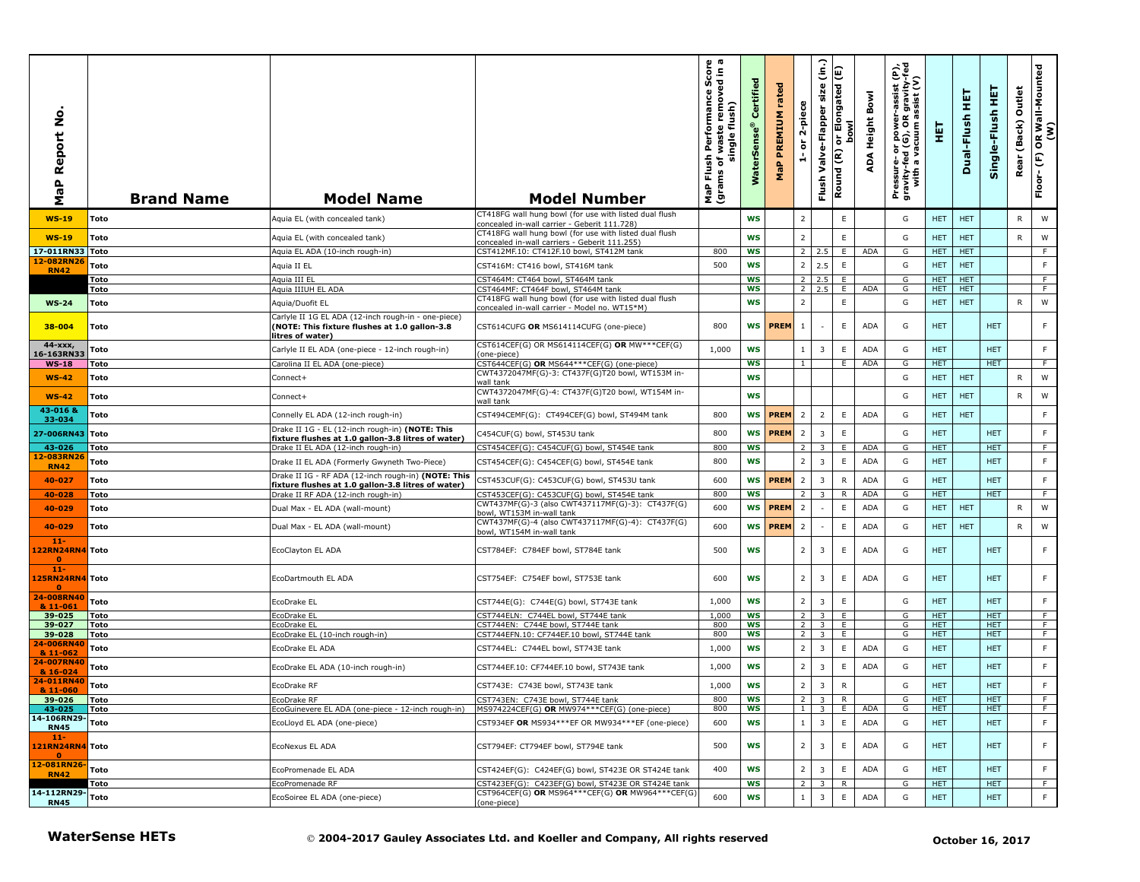| aP Report No<br>Σ                         | <b>Brand Name</b>      | <b>Model Name</b>                                                                                                        | <b>Model Number</b>                                                                                     | h Performance Score<br>f waste removed in a<br>single flush)<br>single<br>Flush<br>৳<br>MaP Flu<br>(grams | Certified<br>$\bullet$<br><b>WaterSens</b> | rated<br>PREMIUM<br>MaP | 2-piece<br>$\overleftarrow{\mathtt{o}}$<br>÷ | $\hat{c}$<br>size<br>Valve-Flapper<br>Flush | E<br>or Elongated<br>bowl<br>ŏ<br>Round (R) | Bowl<br>ADA Height | Pressure- or power-assist (P),<br>gravity-fed (G), OR gravity-fed<br>with a vacuum assist (V) | 듚                  | 王<br>Dual-Flush   | 뿦<br>Single-Flush        | Outlet<br>(Back)<br>Rear | OR Wall-Mounted<br>(W)<br>$\mathop{\mathbb{E}}$<br>Floor- |
|-------------------------------------------|------------------------|--------------------------------------------------------------------------------------------------------------------------|---------------------------------------------------------------------------------------------------------|-----------------------------------------------------------------------------------------------------------|--------------------------------------------|-------------------------|----------------------------------------------|---------------------------------------------|---------------------------------------------|--------------------|-----------------------------------------------------------------------------------------------|--------------------|-------------------|--------------------------|--------------------------|-----------------------------------------------------------|
| <b>WS-19</b>                              | Toto                   | Aquia EL (with concealed tank)                                                                                           | CT418FG wall hung bowl (for use with listed dual flush<br>concealed in-wall carrier - Geberit 111.728)  |                                                                                                           | <b>WS</b>                                  |                         | $\overline{2}$                               |                                             | E                                           |                    | G                                                                                             | HET.               | <b>HET</b>        |                          | R                        | W                                                         |
| $WS-19$                                   | Toto                   | Aquia EL (with concealed tank)                                                                                           | CT418FG wall hung bowl (for use with listed dual flush<br>concealed in-wall carriers - Geberit 111.255) |                                                                                                           | <b>WS</b>                                  |                         | $\overline{2}$                               |                                             | $\mathsf E$                                 |                    | G                                                                                             | HET.               | <b>HET</b>        |                          | R                        | W                                                         |
| 17-011RN33 Toto                           |                        | Aquia EL ADA (10-inch rough-in)                                                                                          | CST412MF.10: CT412F.10 bowl, ST412M tank                                                                | 800                                                                                                       | <b>WS</b>                                  |                         | <sup>2</sup>                                 | 2.5                                         | E                                           | <b>ADA</b>         | G                                                                                             | <b>HET</b>         | <b>HET</b>        |                          |                          | -F                                                        |
| 12-082RN26<br><b>RN42</b>                 | Toto                   | Aquia II EL                                                                                                              | CST416M: CT416 bowl, ST416M tank                                                                        | 500                                                                                                       | WS                                         |                         | $\overline{2}$                               | 2.5                                         | E                                           |                    | G                                                                                             | <b>HET</b>         | <b>HET</b>        |                          |                          | $\mathsf F$                                               |
|                                           | Toto<br>Toto           | Aquia III EL<br>Aquia IIIUH EL ADA                                                                                       | CST464M: CT464 bowl, ST464M tank<br>CST464MF: CT464F bowl, ST464M tank                                  |                                                                                                           | <b>WS</b><br>ws                            |                         |                                              | $2 \quad 2.5$<br>$2 \quad 2.5$              | E<br>E                                      | <b>ADA</b>         | G<br>G                                                                                        | HET.<br>HET.       | <b>HET</b><br>HET |                          |                          | F.<br>F.                                                  |
| $WS-24$                                   | Toto                   | Aquia/Duofit EL                                                                                                          | CT418FG wall hung bowl (for use with listed dual flush                                                  |                                                                                                           | <b>WS</b>                                  |                         | $\overline{2}$                               |                                             | E                                           |                    | G                                                                                             | <b>HET</b>         | <b>HET</b>        |                          | R                        | W                                                         |
| 38-004                                    | Toto                   | Carlyle II 1G EL ADA (12-inch rough-in - one-piece)<br>(NOTE: This fixture flushes at 1.0 gallon-3.8<br>litres of water) | concealed in-wall carrier - Model no. WT15*M)<br>CST614CUFG OR MS614114CUFG (one-piece)                 | 800                                                                                                       | WS                                         | <b>PREM</b>             | $\mathbf{1}$                                 |                                             | E                                           | <b>ADA</b>         | G                                                                                             | <b>HET</b>         |                   | <b>HET</b>               |                          | F                                                         |
| $44 - XXX$                                | Toto                   | Carlyle II EL ADA (one-piece - 12-inch rough-in)                                                                         | CST614CEF(G) OR MS614114CEF(G) OR MW***CEF(G)                                                           | 1,000                                                                                                     | <b>WS</b>                                  |                         | $\mathbf{1}$                                 | 3                                           | E                                           | <b>ADA</b>         | G                                                                                             | <b>HET</b>         |                   | <b>HET</b>               |                          | F.                                                        |
| 16-163RN33<br>$WS-18$                     | Toto                   | Carolina II EL ADA (one-piece)                                                                                           | (one-piece)<br>CST644CEF(G) OR MS644***CEF(G) (one-piece)                                               |                                                                                                           | WS                                         |                         | $\mathbf{1}$                                 |                                             | Е.                                          | <b>ADA</b>         | G                                                                                             | <b>HET</b>         |                   | HET.                     |                          | F.                                                        |
| $WS-42$                                   | Toto                   | Connect+                                                                                                                 | CWT4372047MF(G)-3: CT437F(G)T20 bowl, WT153M in-<br>vall tank                                           |                                                                                                           | WS                                         |                         |                                              |                                             |                                             |                    | G                                                                                             | <b>HET</b>         | <b>HET</b>        |                          | R                        | W                                                         |
| $WS-42$                                   | Toto                   | Connect+                                                                                                                 | CWT4372047MF(G)-4: CT437F(G)T20 bowl, WT154M in-<br>wall tank                                           |                                                                                                           | <b>WS</b>                                  |                         |                                              |                                             |                                             |                    | G                                                                                             | <b>HET</b>         | <b>HET</b>        |                          | R                        | W                                                         |
| 43-0168<br>33-034                         | Toto                   | Connelly EL ADA (12-inch rough-in)                                                                                       | CST494CEMF(G): CT494CEF(G) bowl, ST494M tank                                                            | 800                                                                                                       | <b>WS</b>                                  | <b>PREM</b>             | $\overline{2}$                               | $\overline{2}$                              | E                                           | <b>ADA</b>         | G                                                                                             | <b>HET</b>         | <b>HET</b>        |                          |                          | $\mathsf F$                                               |
| 27-006RN43 Toto                           |                        | Drake II 1G - EL (12-inch rough-in) (NOTE: This<br>fixture flushes at 1.0 gallon-3.8 litres of water)                    | C454CUF(G) bowl, ST453U tank                                                                            | 800                                                                                                       | WS                                         | <b>PREM</b>             | $\overline{2}$                               | $\overline{\mathbf{3}}$                     | E                                           |                    | G                                                                                             | <b>HET</b>         |                   | <b>HET</b>               |                          | F                                                         |
| 43-026<br>12-083RN26                      | Toto                   | Drake II EL ADA (12-inch rough-in)                                                                                       | CST454CEF(G): C454CUF(G) bowl, ST454E tank                                                              | 800                                                                                                       | <b>WS</b>                                  |                         | $\overline{2}$                               | $\overline{3}$                              | E                                           | <b>ADA</b>         | G                                                                                             | <b>HET</b>         |                   | <b>HET</b>               |                          | F                                                         |
| <b>RN42</b>                               | Toto                   | Drake II EL ADA (Formerly Gwyneth Two-Piece)                                                                             | CST454CEF(G): C454CEF(G) bowl, ST454E tank                                                              | 800                                                                                                       | <b>WS</b>                                  |                         | $\overline{2}$                               | 3                                           | E                                           | ADA                | G                                                                                             | <b>HET</b>         |                   | <b>HET</b>               |                          | F.                                                        |
| 40-027                                    | Toto                   | Drake II IG - RF ADA (12-inch rough-in) (NOTE: This<br>fixture flushes at 1.0 gallon-3.8 litres of water)                | CST453CUF(G): C453CUF(G) bowl, ST453U tank                                                              | 600                                                                                                       | WS                                         | <b>PREM</b>             | $\overline{2}$                               | $\overline{3}$                              | $\mathsf{R}$                                | ADA                | G                                                                                             | <b>HET</b>         |                   | <b>HET</b>               |                          | F                                                         |
| 40-028                                    | Toto                   | Drake II RF ADA (12-inch rough-in)                                                                                       | CST453CEF(G): C453CUF(G) bowl, ST454E tank<br>CWT437MF(G)-3 (also CWT437117MF(G)-3): CT437F(G)          | 800                                                                                                       | <b>WS</b>                                  |                         | 2                                            | $\overline{\mathbf{3}}$                     | R                                           | <b>ADA</b>         | G                                                                                             | HET                |                   | <b>HET</b>               |                          | F.                                                        |
| 40-029                                    | Toto                   | Dual Max - EL ADA (wall-mount)                                                                                           | bowl, WT153M in-wall tank                                                                               | 600                                                                                                       | WS                                         | <b>PREM</b>             | $\overline{2}$                               |                                             | $\mathsf E$                                 | <b>ADA</b>         | G                                                                                             | <b>HET</b>         | <b>HET</b>        |                          | R                        | W                                                         |
| 40-029<br>$11 -$                          | Toto                   | Dual Max - EL ADA (wall-mount)                                                                                           | CWT437MF(G)-4 (also CWT437117MF(G)-4): CT437F(G)<br>bowl, WT154M in-wall tank                           | 600                                                                                                       | WS                                         | <b>PREM</b>             | $\overline{2}$                               |                                             | E                                           | ADA                | G                                                                                             | <b>HET</b>         | <b>HET</b>        |                          | R                        | W                                                         |
| 122RN24RN4 Toto                           |                        | EcoClayton EL ADA                                                                                                        | CST784EF: C784EF bowl, ST784E tank                                                                      | 500                                                                                                       | <b>WS</b>                                  |                         | $\overline{2}$                               | $\overline{\mathbf{3}}$                     | E                                           | <b>ADA</b>         | G                                                                                             | <b>HET</b>         |                   | <b>HET</b>               |                          | F                                                         |
| $11 -$<br>125RN24RN4 Toto<br>$\mathbf{0}$ |                        | EcoDartmouth EL ADA                                                                                                      | CST754EF: C754EF bowl, ST753E tank                                                                      | 600                                                                                                       | WS                                         |                         | $\overline{2}$                               | 3                                           | E                                           | <b>ADA</b>         | G                                                                                             | HET.               |                   | <b>HET</b>               |                          | F                                                         |
| 24-008RN40<br>& 11-061                    | Toto                   | EcoDrake EL                                                                                                              | CST744E(G): C744E(G) bowl, ST743E tank                                                                  | 1,000                                                                                                     | <b>WS</b>                                  |                         | $2^{\circ}$                                  | $\overline{\mathbf{3}}$                     | $\mathsf E$                                 |                    | G                                                                                             | <b>HET</b>         |                   | <b>HET</b>               |                          | $\mathsf F$                                               |
| 39-025                                    | Toto                   | EcoDrake EL                                                                                                              | CST744ELN: C744EL bowl, ST744E tank                                                                     | 1,000                                                                                                     | <b>WS</b>                                  |                         | 2                                            | $\overline{\mathbf{z}}$                     | E.                                          |                    | G                                                                                             | <b>HET</b>         |                   | <b>HET</b>               |                          | F                                                         |
| 39-027<br>39-028                          | Toto<br>Toto           | EcoDrake EL<br>EcoDrake EL (10-inch rough-in)                                                                            | CST744EN: C744E bowl, ST744E tank<br>CST744EFN.10: CF744EF.10 bowl, ST744E tank                         | 800<br>800                                                                                                | WS<br>WS                                   |                         | $\overline{2}$<br>$\overline{2}$             | $\overline{3}$<br>3                         | E<br>E.                                     |                    | G<br>G                                                                                        | HET.<br><b>HET</b> |                   | <b>HET</b><br><b>HET</b> |                          | F<br>F.                                                   |
| 24-006RN40                                | Toto                   | EcoDrake EL ADA                                                                                                          | CST744EL: C744EL bowl, ST743E tank                                                                      | 1,000                                                                                                     | WS                                         |                         | $\overline{2}$                               | $\overline{3}$                              | E                                           | <b>ADA</b>         | G                                                                                             | <b>HET</b>         |                   | <b>HET</b>               |                          | $\mathsf F$                                               |
| & 11-062<br>24-007RN40<br>& 16-024        | Toto                   | EcoDrake EL ADA (10-inch rough-in)                                                                                       | CST744EF.10: CF744EF.10 bowl, ST743E tank                                                               | 1,000                                                                                                     | <b>WS</b>                                  |                         | $\overline{2}$                               | 3                                           | E.                                          | <b>ADA</b>         | G                                                                                             | <b>HET</b>         |                   | <b>HET</b>               |                          | F                                                         |
| 24-011RN40                                | Toto                   | EcoDrake RF                                                                                                              | CST743E: C743E bowl, ST743E tank                                                                        | 1,000                                                                                                     | <b>WS</b>                                  |                         | $\overline{2}$                               | $\overline{3}$                              | ${\sf R}$                                   |                    | G                                                                                             | <b>HET</b>         |                   | <b>HET</b>               |                          | F                                                         |
| & 11-060<br>39-026                        | <b>Toto</b>            | EcoDrake RF                                                                                                              | CST743EN: C743E bowl, ST744E tank                                                                       | 800                                                                                                       | ws                                         |                         |                                              | $2 \times 3$                                | K.                                          |                    | G                                                                                             | HEI                |                   | HEI                      |                          |                                                           |
| 43-025                                    | Toto                   | EcoGuinevere EL ADA (one-piece - 12-inch rough-in) MS974224CEF(G) OR MW974***CEF(G) (one-piece)                          |                                                                                                         | 800                                                                                                       | WS                                         |                         |                                              | $1 \quad 3$                                 | E.                                          | ADA                | G                                                                                             | HET.               |                   | HET.                     |                          | F                                                         |
| 14-106RN29-<br><b>RN45</b><br>$11 -$      | Toto                   | EcoLloyd EL ADA (one-piece)                                                                                              | CST934EF OR MS934 *** EF OR MW934 *** EF (one-piece)                                                    | 600                                                                                                       | WS                                         |                         | 1                                            | $\overline{\mathbf{3}}$                     | E                                           | <b>ADA</b>         | G                                                                                             | <b>HET</b>         |                   | <b>HET</b>               |                          | F                                                         |
| 121RN24RN4 Toto<br>$\bullet$              |                        | EcoNexus EL ADA                                                                                                          | CST794EF: CT794EF bowl, ST794E tank                                                                     | 500                                                                                                       | WS                                         |                         | 2                                            | $\overline{3}$                              | $\mathsf E$                                 | ADA                | G                                                                                             | <b>HET</b>         |                   | <b>HET</b>               |                          | F.                                                        |
| 12-081RN26-<br><b>RN42</b>                | <b>Toto</b>            | EcoPromenade EL ADA                                                                                                      | CST424EF(G): C424EF(G) bowl, ST423E OR ST424E tank                                                      | 400                                                                                                       | WS                                         |                         | 2                                            | $\overline{\mathbf{3}}$                     | E                                           | <b>ADA</b>         | G                                                                                             | <b>HET</b>         |                   | <b>HET</b>               |                          | F                                                         |
|                                           | Toto                   | EcoPromenade RF                                                                                                          | CST423EF(G): C423EF(G) bowl, ST423E OR ST424E tank<br>CST964CEF(G) OR MS964***CEF(G) OR MW964***CEF(G)  |                                                                                                           | WS                                         |                         | 2 <sup>1</sup>                               | $\overline{\mathbf{3}}$                     | $\mathsf{R}$                                |                    | G                                                                                             | <b>HET</b>         |                   | <b>HET</b>               |                          | F                                                         |
| 14-112RN29- Toto<br><b>RN45</b>           |                        | EcoSoiree EL ADA (one-piece)                                                                                             | (one-piece)                                                                                             | 600                                                                                                       | WS                                         |                         | $1 \mid$                                     | $\overline{\mathbf{3}}$                     | E                                           | <b>ADA</b>         | G                                                                                             | <b>HET</b>         |                   | <b>HET</b>               |                          | F                                                         |
|                                           | <b>WaterSense HETs</b> |                                                                                                                          | © 2004-2017 Gauley Associates Ltd. and Koeller and Company, All rights reserved                         |                                                                                                           |                                            |                         |                                              |                                             |                                             |                    |                                                                                               |                    |                   | October 16, 2017         |                          |                                                           |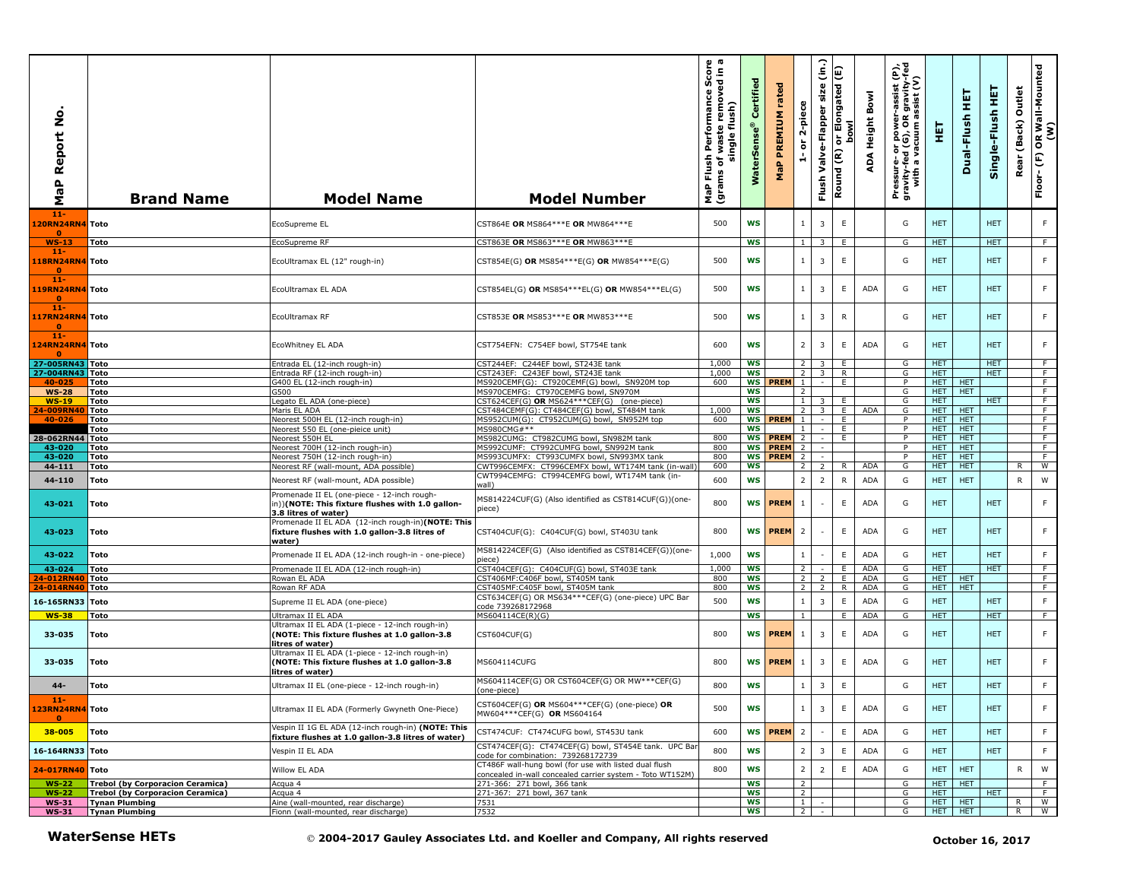| å<br>Report<br>Δ.<br><b>G</b><br>Σ                 | <b>Brand Name</b>                              | <b>Model Name</b>                                                                                                    | <b>Model Number</b>                                                                                                | sh Performance Score<br>of waste removed in a<br>single flush)<br>Flush<br>ms of \<br>MaP Flu<br>(grams | Certified<br><b>WaterSens</b> | rated<br>PREMIUM<br>MaP    | 2-piece<br>$\overleftarrow{\mathtt{o}}$<br>÷. | $\widehat{\mathsf{lin}}$<br>Valve-Flapper size<br>Flush | E<br>or Elongated<br>bowl<br>$\widetilde{\epsilon}$<br>Round | ADA Height Bowl | Pressure- or power-assist (P),<br>gravity-fed (G), OR gravity-fed<br>with a vacuum assist (V) | 핖                        | 펕<br>Dual-Flush          | Single-Flush HET   | Outlet<br>(Back)<br>Rear | OR Wall-Mounted<br>(W)<br>$\widehat{\mathbb{E}}$<br>Floor- |
|----------------------------------------------------|------------------------------------------------|----------------------------------------------------------------------------------------------------------------------|--------------------------------------------------------------------------------------------------------------------|---------------------------------------------------------------------------------------------------------|-------------------------------|----------------------------|-----------------------------------------------|---------------------------------------------------------|--------------------------------------------------------------|-----------------|-----------------------------------------------------------------------------------------------|--------------------------|--------------------------|--------------------|--------------------------|------------------------------------------------------------|
| $11-$<br>120RN24RN4 Toto<br>$\mathbf{0}$           |                                                | EcoSupreme EL                                                                                                        | CST864E OR MS864***E OR MW864***E                                                                                  | 500                                                                                                     | <b>WS</b>                     |                            | $\mathbf{1}$                                  | $\overline{\mathbf{3}}$                                 | E                                                            |                 | G                                                                                             | <b>HET</b>               |                          | <b>HET</b>         |                          | F                                                          |
| $WS-13$                                            | Toto                                           | EcoSupreme RF                                                                                                        | CST863E OR MS863***E OR MW863***E                                                                                  |                                                                                                         | <b>WS</b>                     |                            | $\mathbf{1}$                                  | 3                                                       | E                                                            |                 | G                                                                                             | HET.                     |                          | HET.               |                          | F.                                                         |
| $11 -$<br>118RN24RN4 Toto<br>$\bullet$             |                                                | EcoUltramax EL (12" rough-in)                                                                                        | CST854E(G) OR MS854***E(G) OR MW854***E(G)                                                                         | 500                                                                                                     | <b>WS</b>                     |                            | $\mathbf{1}$                                  | $\overline{3}$                                          | E                                                            |                 | G                                                                                             | <b>HET</b>               |                          | <b>HET</b>         |                          | F.                                                         |
| $11 -$<br>119RN24RN4 Toto<br>$\bullet$<br>$11 -$   |                                                | EcoUltramax EL ADA                                                                                                   | CST854EL(G) OR MS854***EL(G) OR MW854***EL(G)                                                                      | 500                                                                                                     | WS                            |                            | $\mathbf{1}$                                  | $\overline{\mathbf{3}}$                                 | E                                                            | <b>ADA</b>      | G                                                                                             | <b>HET</b>               |                          | <b>HET</b>         |                          | F.                                                         |
| 117RN24RN4 Toto<br>$\mathbf{0}$<br>11 <sub>1</sub> |                                                | EcoUltramax RF                                                                                                       | CST853E OR MS853***E OR MW853***E                                                                                  | 500                                                                                                     | <b>WS</b>                     |                            | $\mathbf{1}$                                  | $\overline{\mathbf{3}}$                                 | R                                                            |                 | G                                                                                             | <b>HET</b>               |                          | <b>HET</b>         |                          | F.                                                         |
| 124RN24RN4 Toto<br>27-005RN43 Toto                 |                                                | EcoWhitney EL ADA<br>Entrada EL (12-inch rough-in)                                                                   | CST754EFN: C754EF bowl, ST754E tank<br>CST244EF: C244EF bowl, ST243E tank                                          | 600<br>1,000                                                                                            | ws<br>ws                      |                            | $\overline{2}$<br>$\overline{2}$              | $\overline{3}$<br>3                                     | E.<br>E.                                                     | <b>ADA</b>      | G<br>G                                                                                        | <b>HET</b><br><b>HET</b> |                          | <b>HET</b><br>HET. |                          | F.<br>F.                                                   |
| 27-004RN43                                         | Toto                                           | Entrada RF (12-inch rough-in)                                                                                        | CST243EF: C243EF bowl, ST243E tank                                                                                 | 1,000                                                                                                   | WS                            |                            | $\overline{2}$                                | $\overline{\mathbf{3}}$                                 | R                                                            |                 | G                                                                                             | <b>HET</b>               |                          | HET.               |                          | F.                                                         |
| 40-025                                             | Toto                                           | G400 EL (12-inch rough-in)                                                                                           | MS920CEMF(G): CT920CEMF(G) bowl, SN920M top                                                                        | 600                                                                                                     |                               | <b>WS PREM</b>             | $\mathbf{1}$                                  |                                                         | F                                                            |                 | $\overline{P}$                                                                                | HET.                     | <b>HET</b>               |                    |                          | F                                                          |
| <b>WS-28</b>                                       | Toto                                           | G500                                                                                                                 | MS970CEMFG: CT970CEMFG bowl, SN970M                                                                                |                                                                                                         | ws                            |                            | $\overline{2}$                                |                                                         |                                                              |                 | G                                                                                             | HET.                     | <b>HET</b>               |                    |                          | F                                                          |
| $WS-19$<br>4-009RN40                               | Toto<br>Toto                                   | Legato EL ADA (one-piece)<br>Maris EL ADA                                                                            | CST624CEF(G) OR MS624***CEF(G) (one-piece)<br>CST484CEMF(G): CT484CEF(G) bowl, ST484M tank                         | 1,000                                                                                                   | ws<br><b>WS</b>               |                            | $\vert$ 1<br>2                                | 3<br>3                                                  | E.<br>E                                                      | ADA             | G<br>G                                                                                        | HET.<br>HET.             | <b>HET</b>               | <b>HET</b>         |                          | F<br>F                                                     |
| 40-026                                             | Toto                                           | Neorest 500H EL (12-inch rough-in)                                                                                   | MS952CUM(G): CT952CUM(G) bowl, SN952M top                                                                          | 600                                                                                                     | <b>WS</b>                     | <b>PREM</b>                | $\mathbf{1}$                                  |                                                         | E.                                                           |                 | P                                                                                             | HET.                     | <b>HET</b>               |                    |                          | F                                                          |
|                                                    | Toto                                           | Neorest 550 EL (one-pieice unit)                                                                                     | MS980CMG#**                                                                                                        |                                                                                                         | ws                            |                            | $\mathbf{1}$                                  |                                                         | E.                                                           |                 | P                                                                                             | HET.                     | <b>HET</b>               |                    |                          | $\overline{F}$                                             |
| 28-062RN44                                         | Toto                                           | Neorest 550H EL                                                                                                      | MS982CUMG: CT982CUMG bowl, SN982M tank                                                                             | 800                                                                                                     | <b>WS</b>                     | <b>PREM</b>                | $\overline{2}$                                |                                                         | F                                                            |                 | P                                                                                             | <b>HET</b>               | <b>HET</b>               |                    |                          | F                                                          |
| 43-020<br>43-020                                   | Toto<br>Toto                                   | Neorest 700H (12-inch rough-in)<br>Neorest 750H (12-inch rough-in)                                                   | MS992CUMF: CT992CUMFG bowl, SN992M tank<br>MS993CUMFX: CT993CUMFX bowl, SN993MX tank                               | 800<br>800                                                                                              | <b>WS</b><br><b>WS</b>        | <b>PREM</b><br><b>PREM</b> | $\overline{2}$<br>2                           |                                                         |                                                              |                 | P<br>P                                                                                        | HET.<br>HET.             | <b>HET</b><br>HET.       |                    |                          | F<br>F.                                                    |
| 44-111                                             | Toto                                           | Neorest RF (wall-mount, ADA possible)                                                                                | CWT996CEMFX: CT996CEMFX bowl, WT174M tank (in-wall                                                                 | 600                                                                                                     | <b>WS</b>                     |                            | $\overline{2}$                                | 2                                                       | R                                                            | <b>ADA</b>      | G                                                                                             | <b>HET</b>               | <b>HET</b>               |                    | R                        | W                                                          |
| 44-110                                             | Toto                                           | Neorest RF (wall-mount, ADA possible)<br>Promenade II EL (one-piece - 12-inch rough-                                 | CWT994CEMFG: CT994CEMFG bowl, WT174M tank (in-<br>wall)                                                            | 600                                                                                                     | <b>WS</b>                     |                            | $\overline{2}$                                | $\overline{2}$                                          | R                                                            | ADA             | G                                                                                             | <b>HET</b>               | <b>HET</b>               |                    | R                        | W                                                          |
| 43-021                                             | Toto                                           | n))(NOTE: This fixture flushes with 1.0 gallon-<br>3.8 litres of water)                                              | MS814224CUF(G) (Also identified as CST814CUF(G))(one-<br>piece)                                                    | 800                                                                                                     |                               | <b>WS PREM</b>             | $\mathbf{1}$                                  | $\overline{\phantom{a}}$                                | E                                                            | ADA             | G                                                                                             | <b>HET</b>               |                          | <b>HET</b>         |                          | F.                                                         |
| 43-023                                             | Toto                                           | Promenade II EL ADA (12-inch rough-in)(NOTE: This<br>fixture flushes with 1.0 gallon-3.8 litres of<br>water)         | CST404CUF(G): C404CUF(G) bowl, ST403U tank                                                                         | 800                                                                                                     |                               | WS <b>PREM</b>             | $\overline{2}$                                |                                                         | E.                                                           | ADA             | G                                                                                             | <b>HET</b>               |                          | <b>HET</b>         |                          | F.                                                         |
| 43-022                                             | Toto                                           | Promenade II EL ADA (12-inch rough-in - one-piece)                                                                   | MS814224CEF(G) (Also identified as CST814CEF(G))(one-<br>iece)                                                     | 1,000                                                                                                   | <b>WS</b>                     |                            | $\mathbf{1}$                                  | $\overline{\phantom{a}}$                                | E                                                            | <b>ADA</b>      | G                                                                                             | <b>HET</b>               |                          | <b>HET</b>         |                          | F.                                                         |
| 43-024                                             | Toto                                           | Promenade II EL ADA (12-inch rough-in)                                                                               | CST404CEF(G): C404CUF(G) bowl, ST403E tank                                                                         | 1,000                                                                                                   | <b>WS</b>                     |                            | $\overline{2}$                                |                                                         | E                                                            | <b>ADA</b>      | G                                                                                             | <b>HET</b>               |                          | <b>HET</b>         |                          | $\overline{F}$                                             |
| 4-012RN40                                          | Toto                                           | Rowan EL ADA                                                                                                         | CST406MF:C406F bowl, ST405M tank                                                                                   | 800                                                                                                     | WS<br><b>WS</b>               |                            | $\overline{2}$<br>$\overline{2}$              | $\overline{2}$<br>2                                     | E<br>R                                                       | ADA<br>ADA      | G<br>G                                                                                        | HET.<br>HET.             | <b>HET</b><br><b>HET</b> |                    |                          | F.<br>F                                                    |
| 4-014RN40                                          | Toto                                           | Rowan RF ADA                                                                                                         | CST405MF:C405F bowl, ST405M tank<br>CST634CEF(G) OR MS634 *** CEF(G) (one-piece) UPC Bar                           | 800                                                                                                     |                               |                            |                                               |                                                         |                                                              |                 |                                                                                               |                          |                          |                    |                          |                                                            |
| 16-165RN33 Toto                                    |                                                | Supreme II EL ADA (one-piece)                                                                                        | code 739268172968                                                                                                  | 500                                                                                                     | <b>WS</b>                     |                            | $\mathbf{1}$                                  | $\overline{\mathbf{3}}$                                 | E                                                            | <b>ADA</b>      | G                                                                                             | <b>HET</b>               |                          | <b>HET</b>         |                          | F                                                          |
| <b>WS-38</b>                                       | Toto                                           | Ultramax II EL ADA                                                                                                   | MS604114CE(R)(G)                                                                                                   |                                                                                                         | <b>WS</b>                     |                            | $\overline{1}$                                |                                                         | E                                                            | <b>ADA</b>      | G                                                                                             | <b>HET</b>               |                          | <b>HET</b>         |                          | F                                                          |
| 33-035                                             | Toto                                           | Ultramax II EL ADA (1-piece - 12-inch rough-in)<br>(NOTE: This fixture flushes at 1.0 gallon-3.8<br>litres of water) | CST604CUF(G)                                                                                                       | 800                                                                                                     | <b>WS</b>                     | <b>PREM</b>                | $\mathbf{1}$                                  | $\overline{3}$                                          | E                                                            | <b>ADA</b>      | G                                                                                             | <b>HET</b>               |                          | <b>HET</b>         |                          | F                                                          |
| 33-035                                             | Toto                                           | Ultramax II EL ADA (1-piece - 12-inch rough-in)<br>(NOTE: This fixture flushes at 1.0 gallon-3.8<br>litres of water) | MS604114CUFG                                                                                                       | 800                                                                                                     |                               | WS <b>PREM</b>             | 1                                             | $\overline{3}$                                          | E.                                                           | ADA             | G                                                                                             | <b>HET</b>               |                          | <b>HET</b>         |                          | F.                                                         |
| 44-                                                | Toto                                           | Ultramax II EL (one-piece - 12-inch rough-in)                                                                        | MS604114CEF(G) OR CST604CEF(G) OR MW***CEF(G)<br>(one-piece)                                                       | 800                                                                                                     | <b>WS</b>                     |                            | $\mathbf{1}$                                  | $\overline{3}$                                          | $\mathsf E$                                                  |                 | G                                                                                             | <b>HET</b>               |                          | <b>HET</b>         |                          | F.                                                         |
| -11-<br>123RN24RN4 Toto                            |                                                | Ultramax II EL ADA (Formerly Gwyneth One-Piece)                                                                      | CST604CEF(G) OR MS604***CEF(G) (one-piece) OR<br>MW604***CEF(G) OR MS604164                                        | 500                                                                                                     | WS                            |                            | 1                                             | $\overline{\mathbf{3}}$                                 | E                                                            | ADA             | G                                                                                             | <b>HET</b>               |                          | <b>HET</b>         |                          | F.                                                         |
| 38-005                                             | Toto                                           | Vespin II 1G EL ADA (12-inch rough-in) (NOTE: This<br>fixture flushes at 1.0 gallon-3.8 litres of water)             | CST474CUF: CT474CUFG bowl, ST453U tank                                                                             | 600                                                                                                     | WS                            | <b>PREM</b>                | $\overline{2}$                                |                                                         | E                                                            | ADA             | G                                                                                             | <b>HET</b>               |                          | <b>HET</b>         |                          | F.                                                         |
| 16-164RN33 Toto                                    |                                                | Vespin II EL ADA                                                                                                     | CST474CEF(G): CT474CEF(G) bowl, ST454E tank. UPC Bar<br>code for combination: 739268172739                         | 800                                                                                                     | <b>WS</b>                     |                            | $\overline{2}$                                | $\overline{\mathbf{3}}$                                 | E.                                                           | ADA             | G                                                                                             | <b>HET</b>               |                          | <b>HET</b>         |                          | F.                                                         |
| 24-017RN40 Toto                                    |                                                | Willow EL ADA                                                                                                        | CT486F wall-hung bowl (for use with listed dual flush<br>concealed in-wall concealed carrier system - Toto WT152M) | 800                                                                                                     | <b>WS</b>                     |                            | $\overline{2}$                                | $\overline{2}$                                          | E                                                            | ADA             | G                                                                                             | <b>HET</b>               | <b>HET</b>               |                    | R                        | W                                                          |
| $WS-22$                                            | <b>Trebol (by Corporacion Ceramica)</b>        | Acqua 4                                                                                                              | 271-366: 271 bowl, 366 tank                                                                                        |                                                                                                         | <b>WS</b>                     |                            | $\overline{2}$                                |                                                         |                                                              |                 | G                                                                                             | <b>HET</b>               | <b>HET</b>               |                    |                          | F                                                          |
| $WS-22$                                            | <b>Trebol (by Corporacion Ceramica)</b>        | Acqua 4                                                                                                              | 271-367: 271 bowl, 367 tank                                                                                        |                                                                                                         | ws                            |                            | $\overline{2}$                                |                                                         |                                                              |                 | G                                                                                             | <b>HET</b>               |                          | <b>HET</b>         |                          | $\overline{F}$                                             |
| <b>WS-31</b><br>$WS-31$                            | <b>Tynan Plumbing</b><br><b>Tynan Plumbing</b> | Aine (wall-mounted, rear discharge)<br>Fionn (wall-mounted, rear discharge)                                          | 7531<br>7532                                                                                                       |                                                                                                         | ws<br>WS                      |                            | 1<br>2 <sup>1</sup>                           |                                                         |                                                              |                 | G<br>G                                                                                        | HET.<br>HET              | <b>HET</b><br><b>HET</b> |                    | R<br>R.                  | W<br>W                                                     |
|                                                    | <b>WaterSense HETs</b>                         |                                                                                                                      | © 2004-2017 Gauley Associates Ltd. and Koeller and Company, All rights reserved                                    |                                                                                                         |                               |                            |                                               |                                                         |                                                              |                 |                                                                                               |                          |                          | October 16, 2017   |                          |                                                            |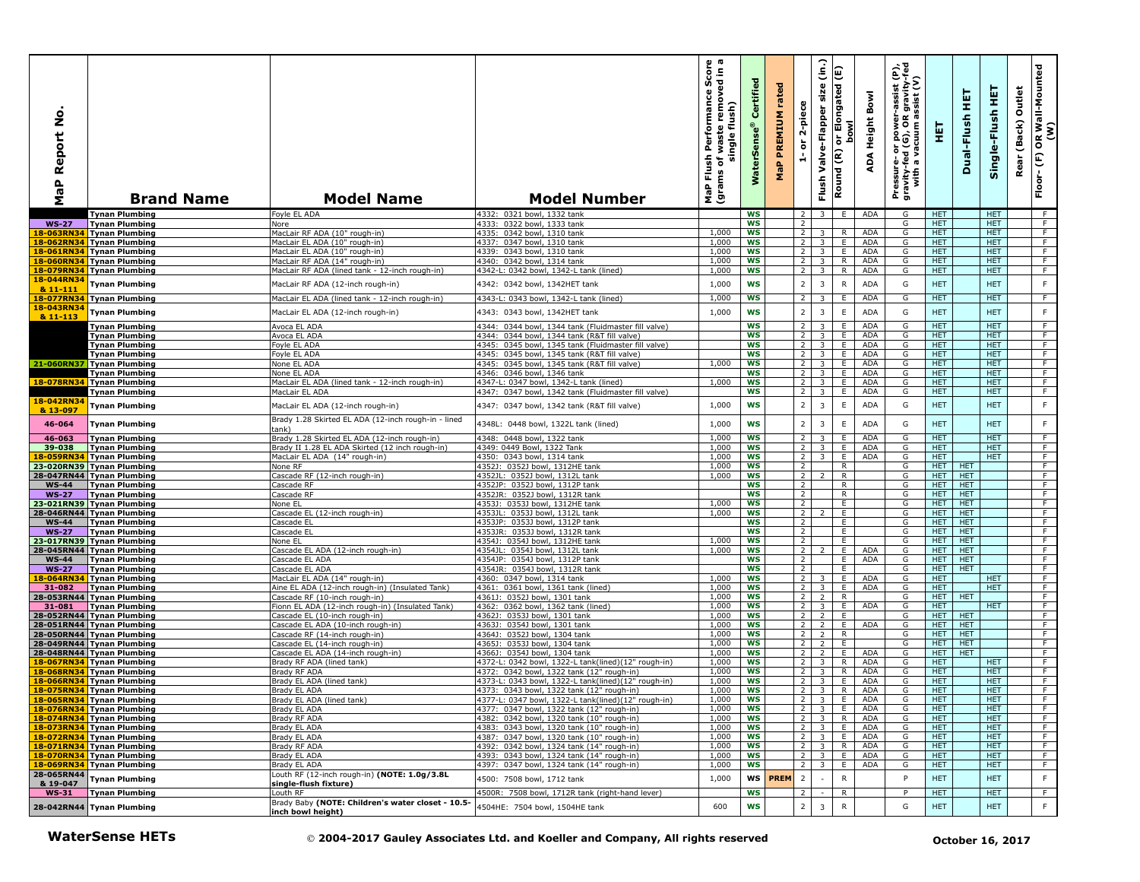| å<br>Report<br>$\mathbf{a}$<br>æ<br>Σ | <b>Brand Name</b>                                        | <b>Model Name</b>                                                                               | <b>Model Number</b>                                                                                | rmance Score<br>removed in a<br>Performan<br>flush)<br>waste<br>single<br>Flush<br>৳<br>(grams<br>MaP | Certified<br><b>WaterSens</b> | rated<br>PREMIUM<br>$\pmb{\mathtt{a}}$<br>룰 | 2-piece<br>$\overleftarrow{\mathtt{o}}$<br>é | $\widehat{\epsilon}$<br>size<br>Valve-Flapper<br>Flush | Elongated (E)<br><b>bowl</b><br>$\overline{5}$<br>Round (R) | Bowl<br>Height<br>∢<br>ą                  | er-assist (P),<br>)R gravity-fed<br>) assist (V)<br>Pressure- or power--<br>gravity-fed (G), OR g<br>with a vacuum as | 핓                        | 뚶<br>Dual-Flush          | 뜊<br>Single-Flush        | Outlet<br>(Back)<br>Rear | OR Wall-Mounted<br>(W)<br>$\widehat{\mathsf{E}}$<br>Floor- |
|---------------------------------------|----------------------------------------------------------|-------------------------------------------------------------------------------------------------|----------------------------------------------------------------------------------------------------|-------------------------------------------------------------------------------------------------------|-------------------------------|---------------------------------------------|----------------------------------------------|--------------------------------------------------------|-------------------------------------------------------------|-------------------------------------------|-----------------------------------------------------------------------------------------------------------------------|--------------------------|--------------------------|--------------------------|--------------------------|------------------------------------------------------------|
|                                       | <b>Tynan Plumbing</b>                                    | Foyle EL ADA                                                                                    | 4332: 0321 bowl, 1332 tank                                                                         |                                                                                                       | WS                            |                                             | 2                                            | 3                                                      | E.                                                          | ADA                                       | G                                                                                                                     | <b>HET</b>               |                          | <b>HET</b>               |                          | - F                                                        |
| <b>WS-27</b>                          | <b>Tynan Plumbing</b>                                    | Nore                                                                                            | 4333: 0322 bowl, 1333 tank                                                                         |                                                                                                       | WS                            |                                             | $\overline{2}$                               |                                                        |                                                             |                                           | G                                                                                                                     | HET.                     |                          | <b>HET</b>               |                          | F.                                                         |
| 18-063RN34                            | <b>Tynan Plumbing</b><br>18-062RN34 Tynan Plumbing       | MacLair RF ADA (10" rough-in)<br>MacLair EL ADA (10" rough-in)                                  | 4335: 0342 bowl, 1310 tank<br>4337: 0347 bowl, 1310 tank                                           | 1,000<br>1,000                                                                                        | WS<br><b>WS</b>               |                                             | $\overline{2}$<br>$\overline{2}$             | 3<br>$\overline{\mathbf{3}}$                           | R<br>E.                                                     | <b>ADA</b><br>ADA                         | G<br>G                                                                                                                | <b>HET</b><br>HET.       |                          | <b>HET</b><br>HET.       |                          | $\overline{F}$<br>F                                        |
| 18-061RN34                            | <b>Tynan Plumbing</b>                                    | MacLair EL ADA (10" rough-in)                                                                   | 4339: 0343 bowl, 1310 tank                                                                         | 1,000                                                                                                 | <b>WS</b>                     |                                             | $\overline{2}$                               | $\overline{3}$                                         | E.                                                          | ADA                                       | G                                                                                                                     | <b>HET</b>               |                          | <b>HET</b>               |                          | F                                                          |
| 18-060RN34                            | <b>Tynan Plumbing</b>                                    | MacLair RF ADA (14" rough-in)                                                                   | 4340: 0342 bowl, 1314 tank                                                                         | 1,000                                                                                                 | WS                            |                                             | $\overline{2}$                               | $\overline{3}$                                         | R                                                           | ADA                                       | G                                                                                                                     | HET                      |                          | <b>HET</b>               |                          | $\overline{F}$                                             |
|                                       | 18-079RN34 Tynan Plumbing                                | MacLair RF ADA (lined tank - 12-inch rough-in)                                                  | 4342-L: 0342 bowl, 1342-L tank (lined)                                                             | 1,000                                                                                                 | <b>WS</b>                     |                                             | $\overline{2}$                               | $\overline{\mathbf{3}}$                                | R                                                           | ADA                                       | G                                                                                                                     | <b>HET</b>               |                          | <b>HET</b>               |                          | F                                                          |
| 18-044RN34                            | <b>Tynan Plumbing</b>                                    | MacLair RF ADA (12-inch rough-in)                                                               | 4342: 0342 bowl, 1342HET tank                                                                      | 1,000                                                                                                 | <b>WS</b>                     |                                             | $\overline{2}$                               | 3                                                      | $\mathsf R$                                                 | ADA                                       | G                                                                                                                     | <b>HET</b>               |                          | <b>HET</b>               |                          | $\mathsf F$                                                |
| 8 11-111<br>18-077RN34                |                                                          |                                                                                                 |                                                                                                    | 1,000                                                                                                 | <b>WS</b>                     |                                             | $\overline{2}$                               |                                                        | Ε.                                                          | ADA                                       | G                                                                                                                     | <b>HET</b>               |                          | <b>HET</b>               |                          | $\overline{F}$                                             |
| 18-043RN34                            | <b>Tynan Plumbing</b>                                    | MacLair EL ADA (lined tank - 12-inch rough-in)                                                  | 4343-L: 0343 bowl, 1342-L tank (lined)                                                             |                                                                                                       |                               |                                             |                                              | 3                                                      |                                                             |                                           |                                                                                                                       |                          |                          |                          |                          |                                                            |
| & 11-113                              | <b>Tynan Plumbing</b>                                    | MacLair EL ADA (12-inch rough-in)                                                               | 4343: 0343 bowl, 1342HET tank                                                                      | 1,000                                                                                                 | <b>WS</b>                     |                                             | $\mathbf 2$                                  | $\overline{3}$                                         | $\mathsf E$                                                 | <b>ADA</b>                                | G                                                                                                                     | <b>HET</b>               |                          | <b>HET</b>               |                          | F                                                          |
|                                       | Tynan Plumbing                                           | Avoca EL ADA                                                                                    | 4344: 0344 bowl, 1344 tank (Fluidmaster fill valve)                                                |                                                                                                       | <b>WS</b>                     |                                             | $\overline{2}$                               | $\overline{3}$                                         | E                                                           | ADA                                       | G                                                                                                                     | HET                      |                          | <b>HET</b>               |                          | $\overline{F}$                                             |
|                                       | Tynan Plumbing                                           | Avoca EL ADA                                                                                    | 4344: 0344 bowl, 1344 tank (R&T fill valve)                                                        |                                                                                                       | WS                            |                                             | 2                                            | $\overline{\mathbf{3}}$                                | E.                                                          | <b>ADA</b>                                | G                                                                                                                     | HET.                     |                          | <b>HET</b>               |                          | $\overline{F}$                                             |
|                                       | Tynan Plumbing<br><b>Tynan Plumbing</b>                  | oyle EL ADA<br>Fovie EL ADA                                                                     | 4345: 0345 bowl, 1345 tank (Fluidmaster fill valve)<br>4345: 0345 bowl, 1345 tank (R&T fill valve) |                                                                                                       | <b>WS</b><br><b>WS</b>        |                                             | 2<br>$\overline{2}$                          | 3<br>$\overline{3}$                                    | Ε.<br>E.                                                    | <b>ADA</b><br><b>ADA</b>                  | G<br>G                                                                                                                | HET.<br><b>HET</b>       |                          | <b>HET</b><br><b>HET</b> |                          | F<br>F.                                                    |
|                                       | 21-060RN37 Tynan Plumbing                                | None EL ADA                                                                                     | 4345: 0345 bowl, 1345 tank (R&T fill valve)                                                        | 1,000                                                                                                 | <b>WS</b>                     |                                             | 2                                            | 3                                                      | E.                                                          | <b>ADA</b>                                | G                                                                                                                     | <b>HET</b>               |                          | <b>HET</b>               |                          | $\overline{F}$                                             |
|                                       | <b>Tynan Plumbing</b>                                    | <b>None EL ADA</b>                                                                              | 4346: 0346 bowl, 1346 tank                                                                         |                                                                                                       | <b>WS</b>                     |                                             | 2                                            | $\overline{3}$                                         | E                                                           | <b>ADA</b>                                | G                                                                                                                     | <b>HET</b>               |                          | <b>HET</b>               |                          | F                                                          |
|                                       | 18-078RN34 Tynan Plumbing                                | MacLair EL ADA (lined tank - 12-inch rough-in)                                                  | 4347-L: 0347 bowl, 1342-L tank (lined)                                                             | 1,000                                                                                                 | <b>WS</b>                     |                                             | 2                                            | $\overline{3}$                                         | E.                                                          | ADA                                       | G                                                                                                                     | <b>HET</b>               |                          | <b>HET</b>               |                          | F                                                          |
|                                       | <b>Tynan Plumbing</b>                                    | MacLair EL ADA                                                                                  | 4347: 0347 bowl, 1342 tank (Fluidmaster fill valve)                                                |                                                                                                       | <b>WS</b>                     |                                             | $\overline{2}$                               | $\overline{3}$                                         | E                                                           | <b>ADA</b>                                | G                                                                                                                     | HET.                     |                          | <b>HET</b>               |                          | F                                                          |
| 18-042RN34<br>& 13-097                | <b>Tynan Plumbing</b>                                    | MacLair EL ADA (12-inch rough-in)                                                               | 4347: 0347 bowl, 1342 tank (R&T fill valve)                                                        | 1,000                                                                                                 | <b>WS</b>                     |                                             | $\overline{2}$                               | $\overline{3}$                                         | $\mathsf E$                                                 | <b>ADA</b>                                | G                                                                                                                     | <b>HET</b>               |                          | <b>HET</b>               |                          | $\mathsf F$                                                |
| 46-064                                | <b>Tynan Plumbing</b>                                    | Brady 1.28 Skirted EL ADA (12-inch rough-in - lined<br>ank)                                     | 4348L: 0448 bowl, 1322L tank (lined)                                                               | 1,000                                                                                                 | <b>WS</b>                     |                                             | $\overline{2}$                               | 3                                                      | $\mathsf E$                                                 | <b>ADA</b>                                | G                                                                                                                     | <b>HET</b>               |                          | <b>HET</b>               |                          | $\mathsf F$                                                |
| 46-063<br>39-038                      | <b>Tynan Plumbing</b>                                    | Brady 1.28 Skirted EL ADA (12-inch rough-in)<br>Brady II 1.28 EL ADA Skirted (12 inch rough-in) | 4348: 0448 bowl, 1322 tank<br>4349: 0449 Bowl, 1322 Tank                                           | 1,000<br>1,000                                                                                        | <b>WS</b><br><b>WS</b>        |                                             | $\overline{2}$<br>$\overline{2}$             | 3<br>$\overline{\mathbf{3}}$                           | E<br>E                                                      | <b>ADA</b><br>ADA                         | G<br>G                                                                                                                | <b>HET</b><br><b>HET</b> |                          | <b>HET</b><br><b>HET</b> |                          | F.<br>F                                                    |
|                                       | <b>Tynan Plumbing</b><br>18-059RN34 Tynan Plumbing       | MacLair EL ADA (14" rough-in)                                                                   | 4350: 0343 bowl, 1314 tank                                                                         | 1,000                                                                                                 | WS                            |                                             | $\overline{2}$                               | $\overline{3}$                                         | E.                                                          | <b>ADA</b>                                | G                                                                                                                     | HET.                     |                          | HET.                     |                          | F                                                          |
|                                       | 23-020RN39 Tynan Plumbing                                | None RF                                                                                         | 4352J: 0352J bowl, 1312HE tank                                                                     | 1,000                                                                                                 | WS                            |                                             | $\overline{2}$                               |                                                        | R                                                           |                                           | G                                                                                                                     | HET.                     | <b>HET</b>               |                          |                          | $\overline{F}$                                             |
|                                       | 28-047RN44 Tynan Plumbing                                | Cascade RF (12-inch rough-in)                                                                   | 4352JL: 0352J bowl, 1312L tank                                                                     | 1,000                                                                                                 | <b>WS</b>                     |                                             | 2                                            | $\mathcal{L}$                                          | $\mathsf{R}$                                                |                                           | G                                                                                                                     | HET.                     | <b>HET</b>               |                          |                          | F                                                          |
| $WS-44$                               | <b>Tynan Plumbing</b>                                    | Cascade RF                                                                                      | 4352JP: 0352J bowl, 1312P tank                                                                     |                                                                                                       | WS                            |                                             | 2                                            |                                                        | R                                                           |                                           | G                                                                                                                     | HET.                     | <b>HET</b>               |                          |                          | F.                                                         |
| <b>WS-27</b>                          | <b>Tynan Plumbing</b><br>23-021RN39 Tynan Plumbing       | Cascade RF<br>None EL                                                                           | 4352JR: 0352J bowl, 1312R tank<br>4353J: 0353J bowl, 1312HE tank                                   | 1,000                                                                                                 | ws<br><b>WS</b>               |                                             | $\overline{2}$<br>$\overline{2}$             |                                                        | R<br>E                                                      |                                           | G<br>G                                                                                                                | <b>HET</b><br>HET.       | <b>HET</b><br><b>HET</b> |                          |                          | $\overline{F}$<br>F                                        |
|                                       | 28-046RN44 Tynan Plumbing                                | Cascade EL (12-inch rough-in)                                                                   | 4353JL: 0353J bowl, 1312L tank                                                                     | 1,000                                                                                                 | WS                            |                                             | $2^{\circ}$                                  | 2                                                      | E                                                           |                                           | G                                                                                                                     | HET                      | <b>HET</b>               |                          |                          | F                                                          |
| <b>WS-44</b>                          | <b>Tynan Plumbing</b>                                    | Cascade EL                                                                                      | 4353JP: 0353J bowl, 1312P tank                                                                     |                                                                                                       | WS                            |                                             | $\overline{2}$                               |                                                        | E                                                           |                                           | G                                                                                                                     | <b>HET</b>               | <b>HET</b>               |                          |                          | F                                                          |
| <b>WS-27</b>                          | <b>Tynan Plumbing</b>                                    | Cascade EL                                                                                      | 4353JR: 0353J bowl, 1312R tank                                                                     |                                                                                                       | <b>WS</b>                     |                                             | $\overline{2}$                               |                                                        | E.                                                          |                                           | G                                                                                                                     | <b>HET</b>               | <b>HET</b>               |                          |                          | $\overline{F}$                                             |
|                                       | 23-017RN39 Tynan Plumbing                                | None EL                                                                                         | 4354J: 0354J bowl, 1312HE tank                                                                     | 1,000                                                                                                 | <b>WS</b>                     |                                             | 2                                            |                                                        | E.                                                          |                                           | G                                                                                                                     | HET.                     | <b>HET</b>               |                          |                          | F<br>F                                                     |
| $WS-44$                               | 28-045RN44 Tynan Plumbing<br>Tynan Plumbing              | Cascade EL ADA (12-inch rough-in)<br>Cascade EL ADA                                             | 4354JL: 0354J bowl, 1312L tank<br>4354JP: 0354J bowl, 1312P tank                                   | 1,000                                                                                                 | <b>WS</b><br><b>WS</b>        |                                             | $\overline{2}$<br>$\overline{2}$             | $\overline{2}$                                         | E.<br>E                                                     | ADA<br>ADA                                | G<br>G                                                                                                                | HET.<br><b>HET</b>       | <b>HET</b><br><b>HET</b> |                          |                          | F                                                          |
| <b>WS-27</b>                          | <b>Tynan Plumbing</b>                                    | Cascade EL ADA                                                                                  | 4354JR: 0354J bowl, 1312R tank                                                                     |                                                                                                       | WS                            |                                             | $\overline{2}$                               |                                                        | E                                                           |                                           | G                                                                                                                     | <b>HET</b>               | <b>HET</b>               |                          |                          | F                                                          |
| 18-064RN34                            | Tynan Plumbing                                           | MacLair EL ADA (14" rough-in)                                                                   | 4360: 0347 bowl, 1314 tank                                                                         | 1,000                                                                                                 | <b>WS</b>                     |                                             | $\overline{2}$                               | 3                                                      | E                                                           | <b>ADA</b>                                | G                                                                                                                     | HET.                     |                          | HET.                     |                          | F                                                          |
| 31-082                                | <b>Tynan Plumbing</b>                                    | Aine EL ADA (12-inch rough-in) (Insulated Tank)                                                 | 4361: 0361 bowl, 1361 tank (lined)                                                                 | 1,000                                                                                                 | WS                            |                                             | $\overline{2}$                               | 3                                                      | E                                                           | ADA                                       | G                                                                                                                     | HET.                     |                          | HET.                     |                          | F                                                          |
| 31-081                                | 28-053RN44 Tynan Plumbing<br><b>Tynan Plumbing</b>       | Cascade RF (10-inch rough-in)<br>Fionn EL ADA (12-inch rough-in) (Insulated Tank)               | 4361J: 0352J bowl, 1301 tank<br>4362: 0362 bowl, 1362 tank (lined)                                 | 1,000<br>1,000                                                                                        | <b>WS</b><br><b>WS</b>        |                                             | $\overline{2}$<br>$\overline{2}$             | 2<br>3                                                 | R<br>E                                                      | <b>ADA</b>                                | G<br>G                                                                                                                | <b>HET</b><br><b>HET</b> | <b>HET</b>               | <b>HET</b>               |                          | F.<br>F.                                                   |
|                                       | 28-052RN44 Tynan Plumbing                                | Cascade EL (10-inch rough-in)                                                                   | 4362J:<br>0353J bowl, 1301 tank                                                                    | 1,000                                                                                                 | WS                            |                                             | $\overline{2}$                               | $\overline{2}$                                         | E                                                           |                                           | G                                                                                                                     | HET.                     | <b>HET</b>               |                          |                          | F                                                          |
|                                       | 28-051RN44 Tynan Plumbing                                | Cascade EL ADA (10-inch rough-in)                                                               | 4363J:<br>0354J bowl, 1301 tank                                                                    | 1,000                                                                                                 | <b>WS</b>                     |                                             | $\overline{2}$                               | $\overline{2}$                                         | E                                                           | ADA                                       | G                                                                                                                     | HET.                     | HET                      |                          |                          | F                                                          |
|                                       | 28-050RN44 Tynan Plumbing                                | Cascade RF (14-inch rough-in)                                                                   | 4364J: 0352J bowl, 1304 tank                                                                       | 1,000                                                                                                 | ws                            |                                             | $\overline{2}$                               | $\overline{2}$                                         | R                                                           |                                           | G                                                                                                                     | <b>HET</b>               | <b>HET</b>               |                          |                          | $\overline{F}$                                             |
|                                       | 28-049RN44 Tynan Plumbing                                | Cascade EL (14-inch rough-in)                                                                   | 4365J:<br>0353J bowl, 1304 tank                                                                    | 1,000                                                                                                 | <b>WS</b>                     |                                             | 2 <sup>1</sup>                               | $\overline{2}$                                         | E                                                           |                                           | G                                                                                                                     | HET.                     | <b>HET</b>               |                          |                          | F                                                          |
|                                       | 28-048RN44 Tynan Plumbing<br>18-067RN34 Tynan Plumbing   | Cascade EL ADA (14-inch rough-in)<br>Brady RF ADA (lined tank)                                  | 4366J:<br>0354J bowl, 1304 tank<br>4372-L: 0342 bowl, 1322-L tank(lined)(12" rough-in)             | 1,000<br>1,000                                                                                        | <b>WS</b><br>WS               |                                             | $\overline{2}$<br>$\overline{2}$             | $\overline{2}$<br>3                                    | E.<br>R                                                     | <b>ADA</b><br>ADA                         | G<br>G                                                                                                                | HET.<br><b>HET</b>       | <b>HET</b>               | <b>HET</b>               |                          | F.<br>F.                                                   |
| 18-068RN34                            | <b>Tynan Plumbing</b>                                    | Brady RF ADA                                                                                    | 4372: 0342 bowl, 1322 tank (12" rough-in)                                                          | 1,000                                                                                                 | WS                            |                                             | $\overline{2}$                               | $\overline{\mathbf{3}}$                                | $\mathsf{R}$                                                | ADA                                       | G                                                                                                                     | HET                      |                          | <b>HET</b>               |                          | F                                                          |
|                                       | 18-066RN34 Tynan Plumbing                                | Brady EL ADA (lined tank)                                                                       | 4373-L: 0343 bowl, 1322-L tank(lined)(12" rough-in)                                                | 1,000                                                                                                 | <b>WS</b>                     |                                             | $\overline{2}$                               | $\overline{\mathbf{3}}$                                | E                                                           | <b>ADA</b>                                | G                                                                                                                     | HET.                     |                          | <b>HET</b>               |                          | F                                                          |
|                                       | 18-075RN34 Tynan Plumbing                                | Brady EL ADA                                                                                    | 4373: 0343 bowl, 1322 tank (12" rough-in)                                                          | 1,000                                                                                                 | WS                            |                                             | $\overline{2}$                               | $\overline{\mathbf{3}}$                                | R                                                           | <b>ADA</b>                                | G                                                                                                                     | HET.                     |                          | HET.                     |                          | F.                                                         |
|                                       | 18-065RN34   Tvnan Plumbing<br>18-076RN34 Tynan Plumbing | Brady EL ADA (lined tank)<br>Brady EL ADA                                                       | 1377-L: 0347 bowl, 1322-L tank(lined)(12" rough-in)<br>4377: 0347 bowl, 1322 tank (12" rough-in)   | 1,000<br>1,000                                                                                        | ws<br>WS                      |                                             |                                              |                                                        |                                                             | $3 E$ $ADA$<br>$2 \mid 3 \mid E \mid ADA$ | G<br>G                                                                                                                | HEI<br><b>HET</b>        |                          | HEI<br><b>HET</b>        |                          | $-F$                                                       |
|                                       | 18-074RN34 Tynan Plumbing                                | Brady RF ADA                                                                                    | 4382: 0342 bowl, 1320 tank (10" rough-in)                                                          | 1,000                                                                                                 | ws                            |                                             |                                              | $2 \mid 3 \mid R \mid$                                 |                                                             | ADA                                       | G                                                                                                                     | HET.                     |                          | <b>HET</b>               |                          | F                                                          |
|                                       | 18-073RN34 Tynan Plumbing                                | Brady EL ADA                                                                                    | 4383: 0343 bowl, 1320 tank (10" rough-in)                                                          | 1,000                                                                                                 | ws                            |                                             |                                              | $2 \quad 3 \quad E$                                    |                                                             | ADA                                       | G                                                                                                                     | <b>HET</b>               |                          | <b>HET</b>               |                          | $\overline{F}$                                             |
|                                       | 18-072RN34 Tynan Plumbing                                | Brady EL ADA                                                                                    | 4387: 0347 bowl, 1320 tank (10" rough-in)                                                          | 1,000                                                                                                 | WS                            |                                             |                                              | $2$ 3 E                                                |                                                             | ADA                                       | G                                                                                                                     | HET.                     |                          | <b>HET</b>               |                          | F                                                          |
|                                       | 18-071RN34 Tynan Plumbing                                | Brady RF ADA                                                                                    | 4392: 0342 bowl, 1324 tank (14" rough-in)                                                          | 1,000                                                                                                 | ws                            |                                             |                                              | $2 \quad 3 \quad R$                                    |                                                             | ADA                                       | G                                                                                                                     | HET.                     |                          | <b>HET</b>               |                          | F                                                          |
|                                       | 18-070RN34 Tynan Plumbing<br>18-069RN34 Tynan Plumbing   | Brady EL ADA<br>Brady EL ADA                                                                    | 4393: 0343 bowl, 1324 tank (14" rough-in)<br>4397: 0347 bowl, 1324 tank (14" rough-in)             | 1,000<br>1,000                                                                                        | ws<br>ws                      |                                             |                                              | $2 \mid 3 \mid$<br>$2 \mid 3 \mid$                     | E.<br>E I                                                   | ADA<br>ADA                                | G<br>G                                                                                                                | HET.<br><b>HET</b>       |                          | HET.<br><b>HET</b>       |                          | F<br>$\overline{F}$                                        |
| 28-065RN44                            |                                                          | Louth RF (12-inch rough-in) (NOTE: 1.0g/3.8L                                                    |                                                                                                    |                                                                                                       |                               |                                             |                                              |                                                        |                                                             |                                           |                                                                                                                       |                          |                          |                          |                          |                                                            |
| & 19-047                              | Tynan Plumbing                                           | single-flush fixture)                                                                           | 4500: 7508 bowl, 1712 tank                                                                         | 1,000                                                                                                 | ws                            | <b>PREM</b>                                 | $\overline{2}$                               |                                                        | $\mathsf{R}$                                                |                                           | P                                                                                                                     | HET                      |                          | <b>HET</b>               |                          | F                                                          |
| $WS-31$                               | <b>Tynan Plumbing</b><br>28-042RN44 Tynan Plumbing       | Louth RF<br>Brady Baby (NOTE: Children's water closet - 10.5-                                   | 4500R: 7508 bowl, 1712R tank (right-hand lever)<br>4504HE: 7504 bowl, 1504HE tank                  | 600                                                                                                   | <b>WS</b><br>WS               |                                             | $\overline{2}$<br>$\overline{2}$             | $\sim$<br>$\overline{\mathbf{3}}$                      | R<br>${\sf R}$                                              |                                           | P<br>G                                                                                                                | <b>HET</b><br><b>HET</b> |                          | <b>HET</b><br><b>HET</b> |                          | $-F$<br>F                                                  |
|                                       |                                                          | inch bowl height)                                                                               |                                                                                                    |                                                                                                       |                               |                                             |                                              |                                                        |                                                             |                                           |                                                                                                                       |                          |                          |                          |                          |                                                            |
|                                       | <b>WaterSense HETs</b>                                   |                                                                                                 | © 2004-2017 Gauley Associates Ltd. and Koeller and Company, All rights reserved                    |                                                                                                       |                               |                                             |                                              |                                                        |                                                             |                                           |                                                                                                                       |                          | October 16, 2017         |                          |                          |                                                            |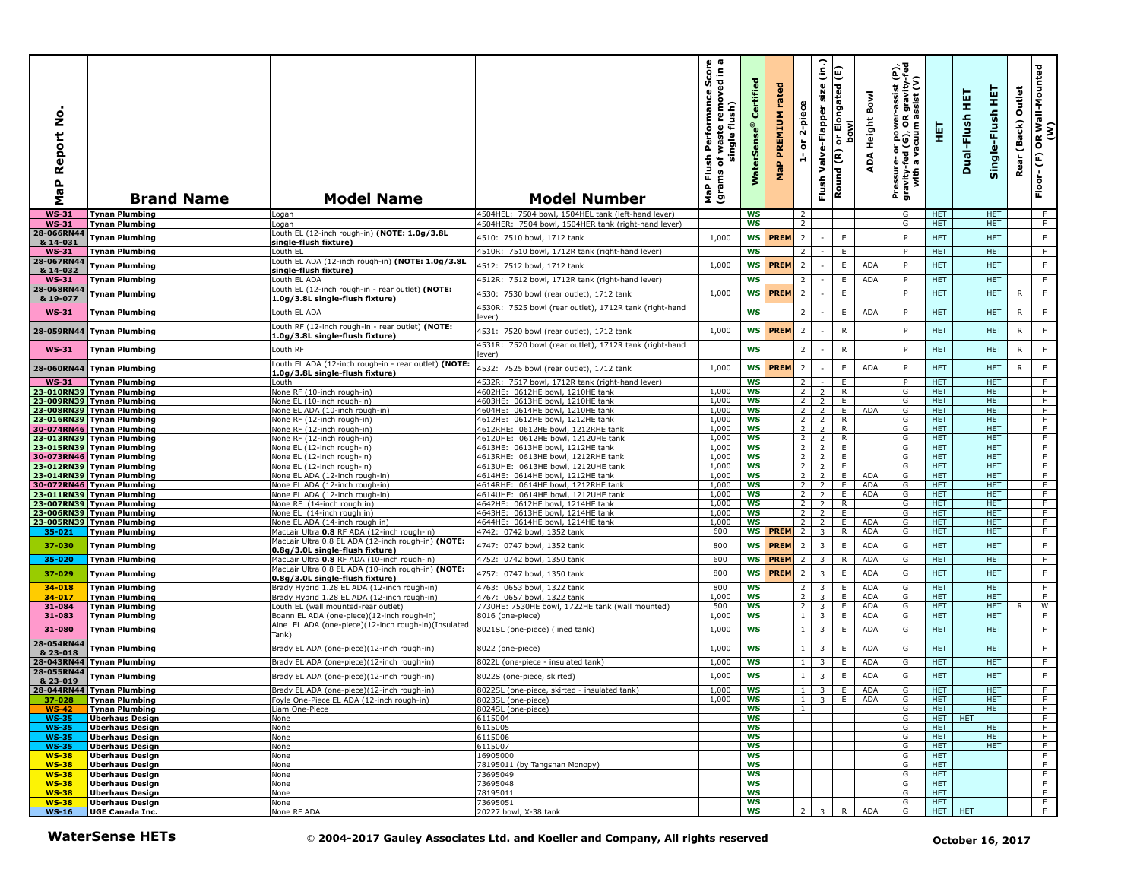| å<br>Report<br>$\mathbf{a}$<br><b>r</b><br>Σ | <b>Brand Name</b>                                      | <b>Model Name</b>                                                                   | <b>Model Number</b>                                                             | $\omega$ $\pi$<br>rmance Score<br>removed in a<br>Performan<br>flush)<br>waste<br>single<br>Flush<br>৳<br>(grams<br>MaP | Certifi<br>rSens<br>š  | rated<br>PREMIUM<br>$\mathbf{a}_i$<br>운 | 2-piece<br>ត                     | (in.)<br>size<br>Valve-Flapper<br>Flush | Elongated (E)<br><b>bowl</b><br>$\overline{5}$<br>Round (R) | Bowl<br>Height<br>∢<br>ą | Pressure- or power-assist (P),<br>gravity-fed (G), OR gravity-fed<br>with a vacuum assist (V) | 핓                        | 듚<br>Dual-Flush  | 뜊<br>Single-Flush        | Outlet<br>(Back)<br>Rear | R Wall-Mounted<br>(W)<br>$\mathbf{g}$<br>$\widehat{\mathsf{E}}$<br>Floor- |
|----------------------------------------------|--------------------------------------------------------|-------------------------------------------------------------------------------------|---------------------------------------------------------------------------------|-------------------------------------------------------------------------------------------------------------------------|------------------------|-----------------------------------------|----------------------------------|-----------------------------------------|-------------------------------------------------------------|--------------------------|-----------------------------------------------------------------------------------------------|--------------------------|------------------|--------------------------|--------------------------|---------------------------------------------------------------------------|
| <b>WS-31</b>                                 | <b>Tynan Plumbing</b>                                  | Logan                                                                               | 4504HEL: 7504 bowl, 1504HEL tank (left-hand lever)                              |                                                                                                                         | <b>WS</b>              |                                         | 2                                |                                         |                                                             |                          | G                                                                                             | <b>HET</b>               |                  | <b>HET</b>               |                          | F                                                                         |
| <b>WS-31</b><br>28-066RN44                   | <b>Tynan Plumbing</b>                                  | Logan<br>Louth EL (12-inch rough-in) (NOTE: 1.0g/3.8L                               | 4504HER: 7504 bowl, 1504HER tank (right-hand lever)                             |                                                                                                                         | WS                     |                                         | $\overline{2}$                   |                                         |                                                             |                          | G                                                                                             | HET.                     |                  | <b>HET</b>               |                          | F                                                                         |
| & 14-031<br><b>WS-31</b>                     | <b>Tynan Plumbing</b><br><b>Tynan Plumbing</b>         | single-flush fixture)<br>Louth EL                                                   | 4510: 7510 bowl, 1712 tank<br>4510R: 7510 bowl, 1712R tank (right-hand lever)   | 1,000                                                                                                                   | WS<br><b>WS</b>        | <b>PREM</b>                             | $\overline{2}$<br>2              |                                         | $\mathsf E$<br>E                                            |                          | P<br>P                                                                                        | <b>HET</b><br><b>HET</b> |                  | <b>HET</b><br><b>HET</b> |                          | F<br>F.                                                                   |
| 28-067RN44                                   |                                                        | Louth EL ADA (12-inch rough-in) (NOTE: 1.0g/3.8L                                    |                                                                                 |                                                                                                                         | <b>WS</b>              | <b>PREM</b>                             | $\overline{2}$                   |                                         | $\mathsf E$                                                 | ADA                      | P                                                                                             | <b>HET</b>               |                  | <b>HET</b>               |                          | $\mathsf F$                                                               |
| & 14-032                                     | <b>Tynan Plumbing</b>                                  | single-flush fixture)                                                               | 4512: 7512 bowl, 1712 tank                                                      | 1,000                                                                                                                   | <b>WS</b>              |                                         | 2                                |                                         | E                                                           | <b>ADA</b>               | P                                                                                             | HET.                     |                  | <b>HET</b>               |                          | F                                                                         |
| <b>WS-31</b><br>28-068RN44                   | <b>Tynan Plumbing</b>                                  | Louth EL ADA<br>Louth EL (12-inch rough-in - rear outlet) (NOTE:                    | 4512R: 7512 bowl, 1712R tank (right-hand lever)                                 |                                                                                                                         |                        |                                         |                                  |                                         |                                                             |                          |                                                                                               |                          |                  |                          |                          |                                                                           |
| & 19-077                                     | Tynan Plumbing                                         | 1.0g/3.8L single-flush fixture)                                                     | 4530: 7530 bowl (rear outlet), 1712 tank                                        | 1,000                                                                                                                   | <b>WS</b>              | <b>PREM</b>                             | $\overline{2}$                   |                                         | $\mathsf E$                                                 |                          | P                                                                                             | <b>HET</b>               |                  | <b>HET</b>               | $\mathsf{R}$             | F                                                                         |
| <b>WS-31</b>                                 | <b>Tynan Plumbing</b>                                  | Louth EL ADA                                                                        | 4530R: 7525 bowl (rear outlet), 1712R tank (right-hand<br>ever)                 |                                                                                                                         | <b>WS</b>              |                                         | $\overline{2}$                   |                                         | E                                                           | <b>ADA</b>               | P                                                                                             | <b>HET</b>               |                  | <b>HET</b>               | $\mathsf{R}$             | F                                                                         |
| 28-059RN44                                   | <b>Tynan Plumbing</b>                                  | Louth RF (12-inch rough-in - rear outlet) (NOTE:<br>1.0g/3.8L single-flush fixture) | 4531: 7520 bowl (rear outlet), 1712 tank                                        | 1,000                                                                                                                   | <b>WS</b>              | <b>PREM</b>                             | $\overline{2}$                   |                                         | $\mathsf{R}$                                                |                          | P                                                                                             | <b>HET</b>               |                  | <b>HET</b>               | R                        | F                                                                         |
| <b>WS-31</b>                                 | Tynan Plumbing                                         | Louth RF                                                                            | 4531R: 7520 bowl (rear outlet), 1712R tank (right-hand<br>ever)                 |                                                                                                                         | WS                     |                                         | $\overline{2}$                   |                                         | $\mathsf{R}$                                                |                          | P                                                                                             | <b>HET</b>               |                  | <b>HET</b>               | $\mathsf{R}$             | F                                                                         |
| 28-060RN44                                   | <b>Tynan Plumbing</b>                                  | Louth EL ADA (12-inch rough-in - rear outlet) (NOTE:                                | 4532: 7525 bowl (rear outlet), 1712 tank                                        | 1,000                                                                                                                   | WS                     | <b>PREM</b>                             | $\overline{2}$                   |                                         | E                                                           | <b>ADA</b>               | P                                                                                             | <b>HET</b>               |                  | <b>HET</b>               | ${\sf R}$                | $\mathsf F$                                                               |
| WS-31                                        | <b>Tynan Plumbing</b>                                  | 1.0g/3.8L single-flush fixture)<br>Louth                                            | 4532R:<br>7517 bowl, 1712R tank (right-hand lever)                              |                                                                                                                         | <b>WS</b>              |                                         | $\overline{\phantom{0}}$         |                                         | E                                                           |                          | P                                                                                             | <b>HET</b>               |                  | <b>HET</b>               |                          | F.                                                                        |
|                                              | 23-010RN39 Tynan Plumbing                              | None RF (10-inch rough-in)                                                          | 4602HE: 0612HE bowl, 1210HE tank                                                | 1,000                                                                                                                   | <b>WS</b>              |                                         | $\overline{2}$                   | $\overline{2}$                          | $\overline{R}$                                              |                          | G                                                                                             | <b>HET</b>               |                  | <b>HET</b>               |                          | F                                                                         |
|                                              | 23-009RN39 Tynan Plumbing                              | None EL (10-inch rough-in)                                                          | 4603HE: 0613HE bowl, 1210HE tank                                                | 1,000                                                                                                                   | WS                     |                                         | $\overline{2}$                   | $\overline{2}$                          | Ε.                                                          |                          | G                                                                                             | <b>HET</b>               |                  | <b>HET</b>               |                          | $\overline{F}$                                                            |
|                                              | 23-008RN39 Tynan Plumbing                              | None EL ADA (10-inch rough-in)                                                      | 4604HE: 0614HE bowl, 1210HE tank                                                | 1,000                                                                                                                   | <b>WS</b>              |                                         | 2 <sup>1</sup>                   | $\overline{2}$                          | E                                                           | <b>ADA</b>               | G                                                                                             | HET                      |                  | HET.                     |                          | F                                                                         |
|                                              | 23-016RN39 Tynan Plumbing<br>30-074RN46 Tynan Plumbing | None RF (12-inch rough-in)<br>None RF (12-inch rough-in)                            | 4612HE: 0612HE bowl, 1212HE tank<br>4612RHE: 0612HE bowl, 1212RHE tank          | 1,000<br>1,000                                                                                                          | <b>WS</b><br><b>WS</b> |                                         | $\overline{2}$<br>$\overline{2}$ | $\overline{2}$<br>2                     | R<br>R                                                      |                          | G<br>G                                                                                        | <b>HET</b><br><b>HET</b> |                  | <b>HET</b><br><b>HET</b> |                          | F<br>F.                                                                   |
|                                              | 23-013RN39 Tynan Plumbing                              | Vone RF (12-inch rough-in)                                                          | 4612UHE: 0612HE bowl, 1212UHE tank                                              | 1,000                                                                                                                   | <b>WS</b>              |                                         | $\overline{2}$                   | $\overline{2}$                          | $\mathsf{R}$                                                |                          | G                                                                                             | <b>HET</b>               |                  | <b>HET</b>               |                          | F                                                                         |
|                                              | 23-015RN39 Tynan Plumbing                              | None EL (12-inch rough-in)                                                          | 4613HE: 0613HE bowl, 1212HE tank                                                | 1,000                                                                                                                   | <b>WS</b>              |                                         | 2                                | $\overline{2}$                          | E                                                           |                          | G                                                                                             | HET.                     |                  | <b>HET</b>               |                          | F                                                                         |
|                                              | 30-073RN46 Tynan Plumbing                              | None EL (12-inch rough-in)                                                          | 4613RHE: 0613HE bowl, 1212RHE tank                                              | 1,000                                                                                                                   | <b>WS</b>              |                                         | $\overline{2}$                   | $\overline{2}$                          | E                                                           |                          | G                                                                                             | <b>HET</b>               |                  | <b>HET</b>               |                          | F.                                                                        |
|                                              | 23-012RN39 Tynan Plumbing<br>23-014RN39 Tynan Plumbing | None EL (12-inch rough-in)<br>None EL ADA (12-inch rough-in)                        | 4613UHE: 0613HE bowl, 1212UHE tank<br>4614HE: 0614HE bowl, 1212HE tank          | 1,000<br>1,000                                                                                                          | WS<br><b>WS</b>        |                                         | 2 <sup>1</sup><br>$\overline{2}$ | $\overline{2}$<br>$\overline{2}$        | Ε.<br>E.                                                    | ADA                      | G<br>G                                                                                        | HET.<br><b>HET</b>       |                  | <b>HET</b><br><b>HET</b> |                          | $\overline{F}$<br>F                                                       |
|                                              | 30-072RN46 Tynan Plumbing                              | None EL ADA (12-inch rough-in)                                                      | 4614RHE: 0614HE bowl, 1212RHE tank                                              | 1,000                                                                                                                   | <b>WS</b>              |                                         | $\overline{2}$                   | $\overline{2}$                          | E.                                                          | ADA                      | G                                                                                             | <b>HET</b>               |                  | <b>HET</b>               |                          | F                                                                         |
|                                              | 23-011RN39 Tynan Plumbing                              | Vone EL ADA (12-inch rough-in)                                                      | 4614UHE: 0614HE bowl, 1212UHE tank                                              | 1,000                                                                                                                   | ws                     |                                         | $\overline{2}$                   | $2^{\circ}$                             | E.                                                          | <b>ADA</b>               | G                                                                                             | <b>HET</b>               |                  | <b>HET</b>               |                          | $\overline{F}$                                                            |
|                                              | 23-007RN39 Tynan Plumbing<br>23-006RN39 Tynan Plumbing | None RF (14-inch rough in)                                                          | 4642HE: 0612HE bowl, 1214HE tank<br>4643HE: 0613HE bowl, 1214HE tank            | 1,000<br>1,000                                                                                                          | <b>WS</b><br>ws        |                                         | 2<br>$\overline{2}$              | $\overline{2}$<br>2 <sup>1</sup>        | $\overline{R}$<br>E.                                        |                          | G<br>G                                                                                        | <b>HET</b><br>HET.       |                  | <b>HET</b><br><b>HET</b> |                          | F<br>F                                                                    |
|                                              | 23-005RN39 Tynan Plumbing                              | None EL (14-inch rough in)<br>None EL ADA (14-inch rough in)                        | 4644HE: 0614HE bowl, 1214HE tank                                                | 1,000                                                                                                                   | WS                     |                                         | $\overline{2}$                   | $\overline{2}$                          | E                                                           | <b>ADA</b>               | G                                                                                             | HET.                     |                  | <b>HET</b>               |                          | F                                                                         |
| 35-021                                       | <b>Tynan Plumbing</b>                                  | MacLair Ultra 0.8 RF ADA (12-inch rough-in)                                         | 4742: 0742 bowl, 1352 tank                                                      | 600                                                                                                                     | <b>WS</b>              | <b>PREM</b>                             | $\overline{2}$                   | $\overline{\mathbf{3}}$                 | R.                                                          | <b>ADA</b>               | G                                                                                             | <b>HET</b>               |                  | <b>HET</b>               |                          | $\overline{F}$                                                            |
| 37-030                                       | <b>Tynan Plumbing</b>                                  | MacLair Ultra 0.8 EL ADA (12-inch rough-in) (NOTE:                                  | 4747: 0747 bowl, 1352 tank                                                      | 800                                                                                                                     | WS                     | <b>PREM</b>                             | $\overline{2}$                   | $\overline{3}$                          | $\mathsf E$                                                 | <b>ADA</b>               | G                                                                                             | <b>HET</b>               |                  | <b>HET</b>               |                          | $\mathsf F$                                                               |
| 35-020                                       | <b>Tynan Plumbing</b>                                  | 0.8g/3.0L single-flush fixture)<br>MacLair Ultra 0.8 RF ADA (10-inch rough-in)      | 4752: 0742 bowl, 1350 tank                                                      | 600                                                                                                                     | WS                     | <b>PREM</b>                             | $\overline{z}$                   | 3                                       | $\overline{R}$                                              | ADA                      | G                                                                                             | HET                      |                  | <b>HET</b>               |                          | $\overline{F}$                                                            |
|                                              |                                                        | MacLair Ultra 0.8 EL ADA (10-inch rough-in) (NOTE:                                  |                                                                                 | 800                                                                                                                     | <b>WS</b>              | <b>PREM</b>                             | $\overline{2}$                   | $\overline{3}$                          | $\mathsf E$                                                 | <b>ADA</b>               | G                                                                                             | <b>HET</b>               |                  | <b>HET</b>               |                          | $\mathsf F$                                                               |
| 37-029                                       | <b>Tynan Plumbing</b>                                  | 0.8g/3.0L single-flush fixture)                                                     | 4757: 0747 bowl, 1350 tank                                                      |                                                                                                                         |                        |                                         |                                  |                                         |                                                             |                          |                                                                                               |                          |                  |                          |                          |                                                                           |
| 34-018                                       | <b>Tynan Plumbing</b>                                  | Brady Hybrid 1.28 EL ADA (12-inch rough-in)                                         | 4763: 0653 bowl, 1322 tank                                                      | 800<br>1,000                                                                                                            | <b>WS</b><br><b>WS</b> |                                         | $\overline{2}$                   | 3                                       | E                                                           | <b>ADA</b><br><b>ADA</b> | G                                                                                             | <b>HET</b><br><b>HET</b> |                  | <b>HET</b>               |                          | F.<br>$\overline{F}$                                                      |
| 34-017<br>31-084                             | <b>Tynan Plumbing</b><br><b>Tynan Plumbing</b>         | Brady Hybrid 1.28 EL ADA (12-inch rough-in)<br>Louth EL (wall mounted-rear outlet)  | 4767: 0657 bowl, 1322 tank<br>7730HE: 7530HE bowl, 1722HE tank (wall mounted)   | 500                                                                                                                     | <b>WS</b>              |                                         | $\overline{2}$<br>2              | $\overline{\mathbf{3}}$<br>3            | E.<br>E                                                     | <b>ADA</b>               | G<br>G                                                                                        | <b>HET</b>               |                  | <b>HET</b><br>HET.       | R                        | W                                                                         |
| 31-083                                       | <b>Tynan Plumbing</b>                                  | Boann EL ADA (one-piece)(12-inch rough-in)                                          | 8016 (one-piece)                                                                | 1,000                                                                                                                   | <b>WS</b>              |                                         | $\overline{1}$                   |                                         | E                                                           | <b>ADA</b>               | G                                                                                             | <b>HET</b>               |                  | <b>HET</b>               |                          | F                                                                         |
| 31-080                                       | <b>Tynan Plumbing</b>                                  | Aine EL ADA (one-piece)(12-inch rough-in)(Insulated<br>Tank)                        | 8021SL (one-piece) (lined tank)                                                 | 1,000                                                                                                                   | WS                     |                                         | $\mathbf{1}$                     | $\overline{3}$                          | $\mathsf E$                                                 | <b>ADA</b>               | G                                                                                             | <b>HET</b>               |                  | <b>HET</b>               |                          | $\mathsf F$                                                               |
| 28-054RN44                                   | Tynan Plumbing                                         | Brady EL ADA (one-piece)(12-inch rough-in)                                          | 8022 (one-piece)                                                                | 1,000                                                                                                                   | WS                     |                                         | -1                               | 3                                       | E                                                           | <b>ADA</b>               | G                                                                                             | <b>HET</b>               |                  | <b>HET</b>               |                          | F                                                                         |
| & 23-018                                     | 28-043RN44 Tynan Plumbing                              | Brady EL ADA (one-piece)(12-inch rough-in)                                          | 8022L (one-piece - insulated tank)                                              | 1,000                                                                                                                   | <b>WS</b>              |                                         | $\mathbf{1}$                     | 3                                       | E                                                           | <b>ADA</b>               | G                                                                                             | <b>HET</b>               |                  | <b>HET</b>               |                          | F.                                                                        |
| 28-055RN44<br>& 23-019                       | Tynan Plumbing                                         | Brady EL ADA (one-piece)(12-inch rough-in)                                          | 8022S (one-piece, skirted)                                                      | 1,000                                                                                                                   | <b>WS</b>              |                                         | $\mathbf{1}$                     | $\overline{3}$                          | $\mathsf E$                                                 | <b>ADA</b>               | G                                                                                             | <b>HET</b>               |                  | <b>HET</b>               |                          | $\mathsf F$                                                               |
|                                              | 28-044RN44 Tynan Plumbing                              | Brady EL ADA (one-piece)(12-inch rough-in)                                          | 8022SL (one-piece, skirted - insulated tank)                                    | 1,000                                                                                                                   | <b>WS</b>              |                                         | $\mathbf{1}$                     | 3                                       | E                                                           | <b>ADA</b>               | G                                                                                             | HET.                     |                  | HET.                     |                          | F.                                                                        |
| 37-028                                       | <b>Tynan Plumbing</b>                                  | Foyle One-Piece EL ADA (12-inch rough-in)                                           | 3023SL (one-piece                                                               | 1,000                                                                                                                   | l ws                   |                                         |                                  |                                         |                                                             | 1 3 E ADA                | G                                                                                             | HEI                      |                  | HEI                      |                          |                                                                           |
| $WS-42$                                      | <b>Tynan Plumbing</b>                                  | Liam One-Piece                                                                      | 8024SL (one-piece)                                                              |                                                                                                                         | WS                     |                                         | 1                                |                                         |                                                             |                          | G                                                                                             | <b>HET</b>               |                  | HET.                     |                          | F                                                                         |
| <b>WS-35</b><br><b>WS-35</b>                 | <b>Uberhaus Design</b><br><b>Uberhaus Design</b>       | None<br>None                                                                        | 6115004<br>6115005                                                              |                                                                                                                         | ws<br>ws               |                                         |                                  |                                         |                                                             |                          | G<br>G                                                                                        | <b>HET</b><br>HET.       | <b>HET</b>       | <b>HET</b>               |                          | F<br>ਾਸ                                                                   |
| <b>WS-35</b>                                 | <b>Uberhaus Design</b>                                 | None                                                                                | 6115006                                                                         |                                                                                                                         | <b>WS</b>              |                                         |                                  |                                         |                                                             |                          | G                                                                                             | HET.                     |                  | <b>HET</b>               |                          | F                                                                         |
| <b>WS-35</b>                                 | <b>Uberhaus Design</b>                                 | None                                                                                | 6115007                                                                         |                                                                                                                         | WS                     |                                         |                                  |                                         |                                                             |                          | G                                                                                             | HET.                     |                  | <b>HET</b>               |                          | F                                                                         |
| <b>WS-38</b>                                 | <b>Uberhaus Design</b>                                 | None                                                                                | 16905000                                                                        |                                                                                                                         | ws                     |                                         |                                  |                                         |                                                             |                          | G                                                                                             | HET<br><b>HET</b>        |                  |                          |                          | F.                                                                        |
| $WS-38$<br>$WS-38$                           | <b>Uberhaus Design</b><br><b>Uberhaus Design</b>       | None<br>None                                                                        | 78195011 (by Tangshan Monopy)<br>73695049                                       |                                                                                                                         | ws<br>ws               |                                         |                                  |                                         |                                                             |                          | G<br>G                                                                                        | HET.                     |                  |                          |                          | ਾ<br>F.                                                                   |
| $WS-38$                                      | <b>Uberhaus Design</b>                                 | None                                                                                | 73695048                                                                        |                                                                                                                         | ws                     |                                         |                                  |                                         |                                                             |                          | G                                                                                             | <b>HET</b>               |                  |                          |                          | F.                                                                        |
| $WS-38$                                      | <b>Uberhaus Design</b>                                 | None                                                                                | 78195011                                                                        |                                                                                                                         | WS                     |                                         |                                  |                                         |                                                             |                          | G                                                                                             | <b>HET</b>               |                  |                          |                          | ਾਸ                                                                        |
| <b>WS-38</b>                                 | <b>Uberhaus Design</b><br><b>UGE Canada Inc.</b>       | None<br>None RF ADA                                                                 | 73695051<br>20227 bowl, X-38 tank                                               |                                                                                                                         | ws<br>WS               |                                         | 2                                | $\overline{3}$                          | R.                                                          | ADA                      | G<br>G                                                                                        | <b>HET</b>               | HET HET          |                          |                          | $\overline{F}$<br>F                                                       |
| $WS-16$                                      |                                                        |                                                                                     |                                                                                 |                                                                                                                         |                        |                                         |                                  |                                         |                                                             |                          |                                                                                               |                          |                  |                          |                          |                                                                           |
|                                              | <b>WaterSense HETs</b>                                 |                                                                                     | © 2004-2017 Gauley Associates Ltd. and Koeller and Company, All rights reserved |                                                                                                                         |                        |                                         |                                  |                                         |                                                             |                          |                                                                                               |                          | October 16, 2017 |                          |                          |                                                                           |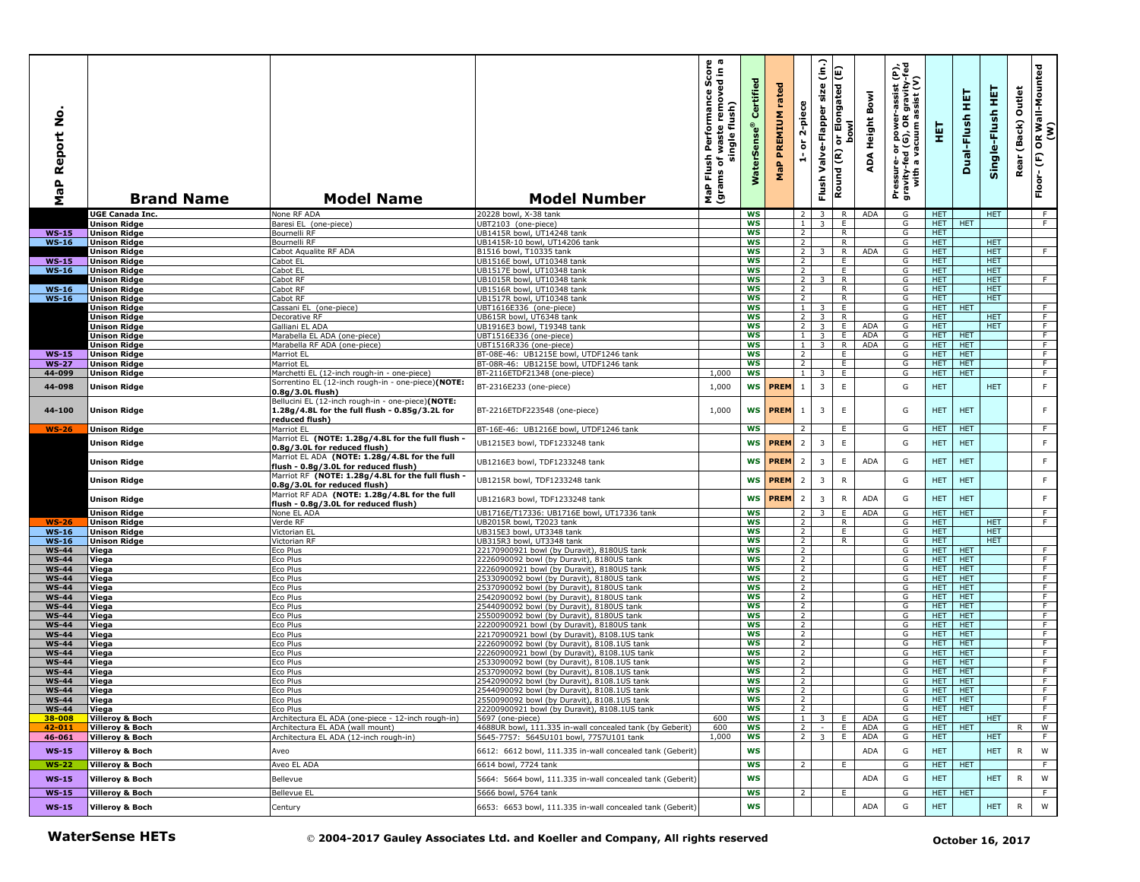| aP Report No<br>Σ            | <b>Brand Name</b>                          | <b>Model Name</b>                                                                                                                        | <b>Model Number</b>                                                                        | γ ω<br>rmance Score<br>removed in a<br>Performance<br>single flush)<br>waste<br>Flush<br>৳<br>(grams<br>MaP | Certified<br>WaterSens | rated<br><b>MaP PREMIUM</b> | 2-piece<br>$\overleftarrow{\mathtt{o}}$<br>é | (in.)<br>Flush Valve-Flapper size | Round (R) or Elongated (E)<br>lwod | Bowl<br>ADA Height | εĮ<br>Pressure- or power-assist (K)<br>gravity-fed (G), OR gravity-f<br>with a vacuum assist (V) | 핓                 | 実<br>Dual-Flush          | 뜊<br>Single-Flush        | Outlet<br>Rear (Back) | OR Wall-Mounted<br>(W)<br>Floor-(F) |
|------------------------------|--------------------------------------------|------------------------------------------------------------------------------------------------------------------------------------------|--------------------------------------------------------------------------------------------|-------------------------------------------------------------------------------------------------------------|------------------------|-----------------------------|----------------------------------------------|-----------------------------------|------------------------------------|--------------------|--------------------------------------------------------------------------------------------------|-------------------|--------------------------|--------------------------|-----------------------|-------------------------------------|
|                              | <b>UGE Canada Inc.</b>                     | None RF ADA                                                                                                                              | 20228 bowl, X-38 tank                                                                      |                                                                                                             | <b>WS</b>              |                             | $\overline{2}$                               | $\overline{3}$                    | R                                  | ADA                | G                                                                                                | <b>HET</b>        |                          | <b>HET</b>               |                       | F                                   |
|                              | <b>Unison Ridge</b>                        | Baresi EL (one-piece)                                                                                                                    | UBT2103 (one-piece)                                                                        |                                                                                                             | <b>WS</b>              |                             | $\mathbf{1}$                                 | $\overline{3}$                    | E.                                 |                    | G                                                                                                | HET.              | <b>HET</b>               |                          |                       | F                                   |
| $WS-15$                      | <b>Unison Ridge</b>                        | Bournelli RF                                                                                                                             | UB1415R bowl, UT14248 tank                                                                 |                                                                                                             | <b>WS</b>              |                             | $\overline{2}$                               |                                   | R.                                 |                    | G                                                                                                | <b>HET</b>        |                          |                          |                       |                                     |
| $WS-16$                      | <b>Unison Ridge</b>                        | Bournelli RF                                                                                                                             | UB1415R-10 bowl, UT14206 tank                                                              |                                                                                                             | <b>WS</b>              |                             | $\overline{2}$                               |                                   | R                                  |                    | G                                                                                                | <b>HET</b>        |                          | <b>HET</b>               |                       |                                     |
|                              | <b>Unison Ridge</b>                        | Cabot Aqualite RF ADA                                                                                                                    | B1516 bowl, T10335 tank<br>UB1516E bowl, UT10348 tank                                      |                                                                                                             | <b>WS</b>              |                             | $\overline{2}$                               | 3                                 | R                                  | <b>ADA</b>         | G                                                                                                | <b>HET</b>        |                          | <b>HET</b>               |                       | F                                   |
| $WS-15$<br>$WS-16$           | <b>Unison Ridge</b><br><b>Unison Ridge</b> | Cabot EL<br>Cabot EL                                                                                                                     | UB1517E bowl, UT10348 tank                                                                 |                                                                                                             | <b>WS</b><br><b>WS</b> |                             | $\overline{2}$<br>$\overline{2}$             |                                   | E<br>E                             |                    | G<br>G                                                                                           | HET<br><b>HET</b> |                          | <b>HET</b><br><b>HET</b> |                       |                                     |
|                              | <b>Unison Ridge</b>                        | Cabot RF                                                                                                                                 | UB1015R bowl, UT10348 tank                                                                 |                                                                                                             | <b>WS</b>              |                             | $\overline{2}$                               |                                   | R                                  |                    | G                                                                                                | HET.              |                          | HET.                     |                       | F                                   |
| $WS-16$                      | <b>Unison Ridge</b>                        | Cabot RF                                                                                                                                 | UB1516R bowl, UT10348 tank                                                                 |                                                                                                             | <b>WS</b>              |                             | $\overline{2}$                               |                                   | R                                  |                    | G                                                                                                | HET.              |                          | HET.                     |                       |                                     |
| $WS-16$                      | <b>Unison Ridge</b>                        | Cabot RF                                                                                                                                 | UB1517R bowl, UT10348 tank                                                                 |                                                                                                             | <b>WS</b>              |                             | $\overline{2}$                               |                                   | R.                                 |                    | G                                                                                                | <b>HET</b>        |                          | <b>HET</b>               |                       |                                     |
|                              | <b>Unison Ridge</b>                        | Cassani EL (one-piece)                                                                                                                   | UBT1616E336 (one-piece)                                                                    |                                                                                                             | <b>WS</b>              |                             | $\mathbf{1}$                                 |                                   | E                                  |                    | G                                                                                                | HET.              | <b>HET</b>               |                          |                       | F.                                  |
|                              | <b>Unison Ridge</b>                        | Decorative RF                                                                                                                            | UB615R bowl, UT6348 tank                                                                   |                                                                                                             | <b>WS</b>              |                             | $\overline{2}$                               | 3                                 | R                                  |                    | G                                                                                                | <b>HET</b>        |                          | <b>HET</b>               |                       | F                                   |
|                              | <b>Unison Ridge</b>                        | Galliani EL ADA                                                                                                                          | UB1916E3 bowl, T19348 tank                                                                 |                                                                                                             | <b>WS</b>              |                             | $\overline{2}$                               | $\overline{3}$                    | E                                  | <b>ADA</b>         | G                                                                                                | <b>HET</b>        |                          | <b>HET</b>               |                       | F                                   |
|                              | <b>Unison Ridge</b>                        | Marabella EL ADA (one-piece)                                                                                                             | UBT1516E336 (one-piece)                                                                    |                                                                                                             | ws                     |                             | $\mathbf{1}$                                 | $\overline{\mathbf{3}}$           | Ε.                                 | ADA                | G                                                                                                | <b>HET</b>        | <b>HET</b>               |                          |                       | $\overline{F}$                      |
|                              | <b>Unison Ridge</b>                        | Marabella RF ADA (one-piece)                                                                                                             | UBT1516R336 (one-piece)                                                                    |                                                                                                             | <b>WS</b>              |                             | 1                                            | $\overline{3}$                    | R                                  | ADA                | G                                                                                                | HET.              | <b>HET</b>               |                          |                       | F                                   |
| <b>WS-15</b>                 | <b>Unison Ridge</b>                        | Marriot EL                                                                                                                               | BT-08E-46: UB1215E bowl, UTDF1246 tank                                                     |                                                                                                             | <b>WS</b>              |                             | $\overline{2}$                               |                                   | E                                  |                    | G                                                                                                | HET.              | <b>HET</b>               |                          |                       | F                                   |
| <b>WS-27</b>                 | <b>Unison Ridge</b>                        | Marriot EL                                                                                                                               | BT-08R-46: UB1215E bowl, UTDF1246 tank                                                     |                                                                                                             | ws                     |                             | 2                                            |                                   | Ε.                                 |                    | G                                                                                                | HET.              | <b>HET</b>               |                          |                       | F.                                  |
| 44-099                       | <b>Unison Ridge</b>                        | Marchetti EL (12-inch rough-in - one-piece)                                                                                              | BT-2116ETDF21348 (one-piece)                                                               | 1,000                                                                                                       | <b>WS</b>              |                             | $\mathbf{1}$                                 | 3                                 | E                                  |                    | G                                                                                                | HET.              | <b>HET</b>               |                          |                       | F                                   |
| 44-098                       | <b>Unison Ridge</b>                        | Sorrentino EL (12-inch rough-in - one-piece)(NOTE:<br>0.8g/3.0L flush)                                                                   | BT-2316E233 (one-piece)                                                                    | 1,000                                                                                                       | <b>WS</b>              | <b>PREM</b>                 | $\mathbf{1}$                                 | $\overline{3}$                    | $\mathsf E$                        |                    | G                                                                                                | <b>HET</b>        |                          | <b>HET</b>               |                       | $\mathsf F$                         |
| 44-100                       | <b>Unison Ridge</b>                        | Bellucini EL (12-inch rough-in - one-piece)(NOTE:<br>1.28g/4.8L for the full flush - 0.85g/3.2L for<br>reduced flush)                    | BT-2216ETDF223548 (one-piece)                                                              | 1,000                                                                                                       | WS                     | <b>PREM</b>                 | $\mathbf{1}$                                 | $\overline{3}$                    | $\mathsf E$                        |                    | G                                                                                                | HET.              | <b>HET</b>               |                          |                       | F                                   |
| $WS-26$                      | <b>Unison Ridge</b>                        | Marriot EL                                                                                                                               | BT-16E-46: UB1216E bowl, UTDF1246 tank                                                     |                                                                                                             | <b>WS</b>              |                             | 2                                            |                                   | Ε.                                 |                    | G                                                                                                | <b>HET</b>        | <b>HET</b>               |                          |                       | F.                                  |
|                              | <b>Unison Ridge</b>                        | Marriot EL (NOTE: 1.28g/4.8L for the full flush -                                                                                        | UB1215E3 bowl, TDF1233248 tank                                                             |                                                                                                             | <b>WS</b>              | <b>PREM</b>                 | $\overline{2}$                               | 3                                 | $\mathsf E$                        |                    | G                                                                                                | <b>HET</b>        | <b>HET</b>               |                          |                       | $\mathsf F$                         |
|                              |                                            | 0.8g/3.0L for reduced flush)                                                                                                             |                                                                                            |                                                                                                             |                        |                             |                                              |                                   |                                    |                    |                                                                                                  |                   |                          |                          |                       |                                     |
|                              | <b>Unison Ridge</b>                        | Marriot EL ADA (NOTE: 1.28g/4.8L for the full<br>flush - 0.8g/3.0L for reduced flush)<br>Marriot RF (NOTE: 1.28g/4.8L for the full flush | UB1216E3 bowl, TDF1233248 tank                                                             |                                                                                                             | <b>WS</b>              | <b>PREM</b>                 | $\overline{2}$                               | 3                                 | Ε                                  | <b>ADA</b>         | G                                                                                                | <b>HET</b>        | <b>HET</b>               |                          |                       | F                                   |
|                              | <b>Unison Ridge</b><br><b>Unison Ridge</b> | 0.8g/3.0L for reduced flush)<br>Marriot RF ADA (NOTE: 1.28g/4.8L for the full                                                            | UB1215R bowl, TDF1233248 tank                                                              |                                                                                                             | <b>WS</b><br><b>WS</b> | <b>PREM</b><br><b>PREM</b>  | $\overline{2}$<br>$\overline{2}$             | $\overline{3}$<br>$\overline{3}$  | ${\sf R}$<br>${\sf R}$             | ADA                | G<br>G                                                                                           | <b>HET</b><br>HET | <b>HET</b><br><b>HET</b> |                          |                       | $\mathsf F$<br>$\mathsf F$          |
|                              | <b>Unison Ridge</b>                        | flush - 0.8g/3.0L for reduced flush)<br>None EL ADA                                                                                      | UB1216R3 bowl, TDF1233248 tank<br>UB1716E/T17336: UB1716E bowl, UT17336 tank               |                                                                                                             | <b>WS</b>              |                             | 2                                            | 3                                 | E                                  | <b>ADA</b>         | G                                                                                                | HET I             | <b>HET</b>               |                          |                       | F                                   |
| $WS-26$                      | <b>Unison Ridge</b>                        | Verde RF                                                                                                                                 | UB2015R bowl, T2023 tank                                                                   |                                                                                                             | <b>WS</b>              |                             | $\overline{2}$                               |                                   | $\mathsf{R}$                       |                    | G                                                                                                | HET.              |                          | <b>HET</b>               |                       | F                                   |
| $WS-16$                      | <b>Unison Ridge</b>                        | Victorian EL                                                                                                                             | UB315E3 bowl, UT3348 tank                                                                  |                                                                                                             | <b>WS</b>              |                             | $\overline{2}$                               |                                   | E.                                 |                    | G                                                                                                | <b>HET</b>        |                          | <b>HET</b>               |                       |                                     |
| $WS-16$                      | <b>Unison Ridge</b>                        | Victorian RF                                                                                                                             | UB315R3 bowl, UT3348 tank                                                                  |                                                                                                             | <b>WS</b>              |                             | $\overline{2}$                               |                                   | R                                  |                    | G                                                                                                | HET.              |                          | <b>HET</b>               |                       |                                     |
| <b>WS-44</b>                 | Viega                                      | Eco Plus                                                                                                                                 | 22170900921 bowl (by Duravit), 8180US tank                                                 |                                                                                                             | <b>WS</b>              |                             | $\overline{2}$                               |                                   |                                    |                    | G                                                                                                | <b>HET</b>        | <b>HET</b>               |                          |                       | F.                                  |
| <b>WS-44</b>                 | Viega                                      | Eco Plus                                                                                                                                 | 2226090092 bowl (by Duravit), 8180US tank                                                  |                                                                                                             | <b>WS</b>              |                             | $\overline{2}$                               |                                   |                                    |                    | G                                                                                                | <b>HET</b>        | HET                      |                          |                       | F                                   |
| <b>WS-44</b>                 | Viega                                      | Eco Plus                                                                                                                                 | 22260900921 bowl (by Duravit), 8180US tank                                                 |                                                                                                             | WS                     |                             | $\overline{2}$                               |                                   |                                    |                    | G                                                                                                | <b>HET</b>        | <b>HET</b>               |                          |                       | $\overline{F}$                      |
| <b>WS-44</b>                 | Viega                                      | Eco Plus                                                                                                                                 | 2533090092 bowl (by Duravit), 8180US tank                                                  |                                                                                                             | <b>WS</b>              |                             | $\overline{2}$                               |                                   |                                    |                    | G                                                                                                | HET.              | <b>HET</b>               |                          |                       | F                                   |
| <b>WS-44</b>                 | Viega                                      | Eco Plus                                                                                                                                 | 2537090092 bowl (by Duravit), 8180US tank                                                  |                                                                                                             | <b>WS</b>              |                             | $\overline{2}$                               |                                   |                                    |                    | G                                                                                                | HET.              | <b>HET</b>               |                          |                       | F                                   |
| <b>WS-44</b><br><b>WS-44</b> | Viega<br>Viega                             | Eco Plus<br>Eco Plus                                                                                                                     | 2542090092 bowl (by Duravit), 8180US tank<br>2544090092 bowl (by Duravit), 8180US tank     |                                                                                                             | ws<br><b>WS</b>        |                             | 2<br>$\overline{2}$                          |                                   |                                    |                    | G<br>G                                                                                           | HET.<br>HET.      | <b>HET</b><br><b>HET</b> |                          |                       | F.<br>F                             |
| <b>WS-44</b>                 | Viega                                      | Eco Plus                                                                                                                                 | 2550090092 bowl (by Duravit), 8180US tank                                                  |                                                                                                             | <b>WS</b>              |                             | $\overline{2}$                               |                                   |                                    |                    | G                                                                                                | HET               | HET                      |                          |                       | $\overline{F}$                      |
| <b>WS-44</b>                 | Viega                                      | Eco Plus                                                                                                                                 | 22200900921 bowl (by Duravit), 8180US tank                                                 |                                                                                                             | <b>WS</b>              |                             | $\overline{2}$                               |                                   |                                    |                    | G                                                                                                | <b>HET</b>        | <b>HET</b>               |                          |                       | F                                   |
| <b>WS-44</b>                 | Viega                                      | Eco Plus                                                                                                                                 | 22170900921 bowl (by Duravit), 8108.1US tank                                               |                                                                                                             | WS                     |                             | $\overline{2}$                               |                                   |                                    |                    | G                                                                                                | <b>HET</b>        | <b>HET</b>               |                          |                       | $\overline{F}$                      |
| <b>WS-44</b>                 | Viega                                      | Eco Plus                                                                                                                                 | 2226090092 bowl (by Duravit), 8108.1US tank                                                |                                                                                                             | <b>WS</b>              |                             | $\overline{2}$                               |                                   |                                    |                    | G                                                                                                | HET.              | <b>HET</b>               |                          |                       | F                                   |
| <b>WS-44</b>                 | Viega                                      | Eco Plus                                                                                                                                 | 22260900921 bowl (by Duravit), 8108.1US tank                                               |                                                                                                             | WS                     |                             | 2                                            |                                   |                                    |                    | G                                                                                                | HET.              | <b>HET</b>               |                          |                       | F                                   |
| <b>WS-44</b>                 | Viega                                      | Eco Plus                                                                                                                                 | 2533090092 bowl (by Duravit), 8108.1US tank                                                |                                                                                                             | WS                     |                             | $\overline{2}$                               |                                   |                                    |                    | G                                                                                                | <b>HET</b>        | <b>HET</b>               |                          |                       | $\overline{F}$                      |
| <b>WS-44</b>                 | Viega                                      | Eco Plus                                                                                                                                 | 2537090092 bowl (by Duravit), 8108.1US tank                                                |                                                                                                             | <b>WS</b>              |                             | $\overline{2}$                               |                                   |                                    |                    | G                                                                                                | HET.              | <b>HET</b>               |                          |                       | F                                   |
| <b>WS-44</b><br><b>WS-44</b> | Viega                                      | Eco Plus<br>Eco Plus                                                                                                                     | 2542090092 bowl (by Duravit), 8108.1US tank<br>2544090092 bowl (by Duravit), 8108.1US tank |                                                                                                             | <b>WS</b><br><b>WS</b> |                             | $\overline{2}$<br>$\overline{2}$             |                                   |                                    |                    | G<br>G                                                                                           | HET.<br>HET.      | <b>HET</b><br><b>HET</b> |                          |                       | F<br>F.                             |
| <b>WS-44</b>                 | Viega<br> Viega                            | Eco Plus                                                                                                                                 | 2550090092 bowl (by Duravit), 8108.1US tank                                                |                                                                                                             | ws                     |                             |                                              |                                   |                                    |                    |                                                                                                  | HET I HET         |                          |                          |                       |                                     |
| <b>WS-44</b>                 | Viega                                      | Eco Plus                                                                                                                                 | 22200900921 bowl (by Duravit), 8108.1US tank                                               |                                                                                                             | <b>WS</b>              |                             | 2                                            |                                   |                                    |                    | G                                                                                                | HET               | <b>HET</b>               |                          |                       | $\overline{F}$                      |
| 38-008                       | Villeroy & Boch                            | Architectura EL ADA (one-piece - 12-inch rough-in)                                                                                       | 5697 (one-piece)                                                                           | 600                                                                                                         | ws                     |                             | $1 \mid$                                     | 3 <sup>1</sup>                    | E                                  | ADA                | G                                                                                                | HET.              |                          | <b>HET</b>               |                       | F                                   |
| 42-011                       | <b>Villeroy &amp; Boch</b>                 | Architectura EL ADA (wall mount)                                                                                                         | 4688UR bowl, 111.335 in-wall concealed tank (by Geberit)                                   | 600                                                                                                         | WS                     |                             | $\overline{2}$                               | $\mathcal{L}_{\rm{eff}}$          | m<br>L                             | ADA                | G                                                                                                |                   | HET   HET                |                          | R                     | $\overline{w}$                      |
| 46-061                       | <b>Villeroy &amp; Boch</b>                 | Architectura EL ADA (12-inch rough-in)                                                                                                   | 5645-7757: 5645U101 bowl, 7757U101 tank                                                    | 1,000                                                                                                       | WS                     |                             |                                              | $2 \ 3 \ E$                       |                                    | ADA                | G                                                                                                | HET.              |                          | HET.                     |                       | F.                                  |
| $WS-15$                      | <b>Villeroy &amp; Boch</b>                 | Aveo                                                                                                                                     | 6612: 6612 bowl, 111.335 in-wall concealed tank (Geberit)                                  |                                                                                                             | WS                     |                             |                                              |                                   |                                    | <b>ADA</b>         | G                                                                                                | <b>HET</b>        |                          | <b>HET</b>               | R                     | W                                   |
| <b>WS-22</b>                 | <b>Villeroy &amp; Boch</b>                 | Aveo EL ADA                                                                                                                              | 6614 bowl, 7724 tank                                                                       |                                                                                                             | ws                     |                             | 2                                            |                                   | E                                  |                    | G                                                                                                | HET               | HET                      |                          |                       | F.                                  |
| $WS-15$                      | <b>Villeroy &amp; Boch</b>                 | Bellevue                                                                                                                                 | 5664: 5664 bowl, 111.335 in-wall concealed tank (Geberit)                                  |                                                                                                             | WS                     |                             |                                              |                                   |                                    | ADA                | G                                                                                                | <b>HET</b>        |                          | HET                      | R                     | W                                   |
| $WS-15$                      | <b>Villeroy &amp; Boch</b>                 | Bellevue EL                                                                                                                              | 5666 bowl, 5764 tank                                                                       |                                                                                                             | <b>WS</b>              |                             | $\overline{2}$                               |                                   | Ε.                                 |                    | G                                                                                                |                   | HET   HET                |                          |                       | $\overline{F}$                      |
| $WS-15$                      | <b>Villeroy &amp; Boch</b>                 | Century                                                                                                                                  | 6653: 6653 bowl, 111.335 in-wall concealed tank (Geberit)                                  |                                                                                                             | WS                     |                             |                                              |                                   |                                    | <b>ADA</b>         | G                                                                                                | <b>HET</b>        |                          | <b>HET</b>               | R                     | W                                   |
|                              | <b>WaterSense HETs</b>                     |                                                                                                                                          | © 2004-2017 Gauley Associates Ltd. and Koeller and Company, All rights reserved            |                                                                                                             |                        |                             |                                              |                                   |                                    |                    |                                                                                                  |                   | October 16, 2017         |                          |                       |                                     |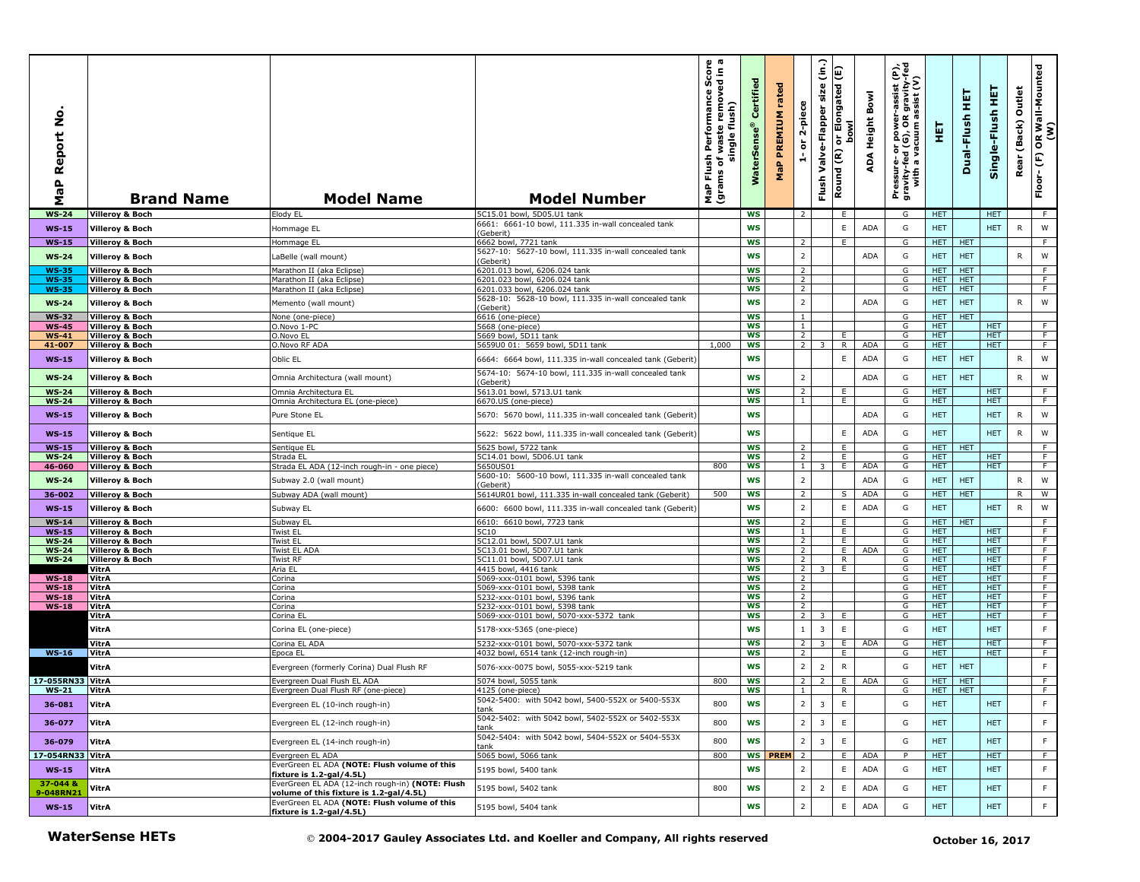| $\circ$<br>Ž<br>Report<br>$\frac{a}{a}$<br>Σ | <b>Brand Name</b>                                        | <b>Model Name</b>                                                                           | <b>Model Number</b>                                                            | rmance Score<br>P Flush Performance S<br>Ims of waste remove<br>single flush)<br>MaP F<br>(gram | Certified<br>WaterSense® | rated<br><b>MaP PREMIUM</b> | 2-piece<br>$\overleftarrow{\mathtt{o}}$<br>$\frac{1}{\sqrt{2}}$ | $\hat{\epsilon}$<br>size<br>Flush Valve-Flapper                                                                               | E<br>ור Elongated<br>סטאו<br>$\overleftarrow{\mathtt{o}}$<br>Round (R) | ADA Height Bowl | Pressure- or power-assist (P),<br>gravity-fed (G), OR gravity-fed<br>with a vacuum assist (V) | 핓                        | 펕<br>Dual-Flush          | Single-Flush HET         | Outlet<br>(Back)<br>Rear | OR Wall-Mounted<br>(W)<br>$\widehat{\mathbb{E}}$<br>Floor- |  |  |  |
|----------------------------------------------|----------------------------------------------------------|---------------------------------------------------------------------------------------------|--------------------------------------------------------------------------------|-------------------------------------------------------------------------------------------------|--------------------------|-----------------------------|-----------------------------------------------------------------|-------------------------------------------------------------------------------------------------------------------------------|------------------------------------------------------------------------|-----------------|-----------------------------------------------------------------------------------------------|--------------------------|--------------------------|--------------------------|--------------------------|------------------------------------------------------------|--|--|--|
| <b>WS-24</b>                                 | <b>Villeroy &amp; Boch</b>                               | Elody EL                                                                                    | 5C15.01 bowl, 5D05.U1 tank                                                     |                                                                                                 | <b>WS</b>                |                             | $\overline{2}$                                                  |                                                                                                                               | E.                                                                     |                 | G                                                                                             | HET.                     |                          | <b>HET</b>               |                          | F                                                          |  |  |  |
| <b>WS-15</b>                                 | <b>Villeroy &amp; Boch</b>                               | Hommage EL                                                                                  | 6661: 6661-10 bowl, 111.335 in-wall concealed tank<br>(Geberit)                |                                                                                                 | <b>WS</b>                |                             |                                                                 |                                                                                                                               | E.                                                                     | ADA             | G                                                                                             | <b>HET</b>               |                          | <b>HET</b>               | R                        | W                                                          |  |  |  |
| <b>WS-15</b>                                 | <b>Villeroy &amp; Boch</b>                               | Hommage EL                                                                                  | 6662 bowl, 7721 tank<br>5627-10: 5627-10 bowl, 111.335 in-wall concealed tank  |                                                                                                 | <b>WS</b>                |                             | $\overline{2}$                                                  |                                                                                                                               | F.                                                                     |                 | G                                                                                             | HET.                     | <b>HET</b>               |                          |                          | F.                                                         |  |  |  |
| $WS-24$                                      | <b>Villeroy &amp; Boch</b>                               | LaBelle (wall mount)                                                                        | (Geberit)                                                                      |                                                                                                 | <b>WS</b>                |                             | $\overline{2}$                                                  |                                                                                                                               |                                                                        | ADA             | G                                                                                             | <b>HET</b>               | <b>HET</b>               |                          | R                        | W                                                          |  |  |  |
| <b>WS-35</b><br><b>WS-35</b>                 | <b>Villeroy &amp; Boch</b><br><b>Villeroy &amp; Boch</b> | Marathon II (aka Eclipse)<br>Marathon II (aka Eclipse)                                      | 6201.013 bowl, 6206.024 tank<br>6201.023 bowl, 6206.024 tank                   |                                                                                                 | <b>WS</b><br><b>WS</b>   |                             | $\overline{2}$<br>$\overline{2}$                                |                                                                                                                               |                                                                        |                 | G<br>G                                                                                        | HET.<br>HET.             | <b>HET</b><br><b>HET</b> |                          |                          | F<br>F                                                     |  |  |  |
| <b>WS-35</b>                                 | <b>Villeroy &amp; Boch</b>                               | Marathon II (aka Eclipse)                                                                   | 5201.033 bowl, 6206.024 tank                                                   |                                                                                                 | WS                       |                             | $\overline{2}$                                                  |                                                                                                                               |                                                                        |                 | G                                                                                             | <b>HET</b>               | <b>HET</b>               |                          |                          | F.                                                         |  |  |  |
| <b>WS-24</b>                                 | <b>Villeroy &amp; Boch</b>                               | Memento (wall mount)                                                                        | 5628-10: 5628-10 bowl, 111.335 in-wall concealed tank<br>(Geberit)             |                                                                                                 | <b>WS</b>                |                             | $\overline{2}$                                                  |                                                                                                                               |                                                                        | <b>ADA</b>      | G                                                                                             | <b>HET</b>               | <b>HET</b>               |                          | R                        | W                                                          |  |  |  |
| <b>WS-32</b>                                 | <b>Villeroy &amp; Boch</b>                               | None (one-piece)                                                                            | 6616 (one-piece)                                                               |                                                                                                 | <b>WS</b>                |                             | $\mathbf{1}$                                                    |                                                                                                                               |                                                                        |                 | G                                                                                             | HET.                     | <b>HET</b>               |                          |                          |                                                            |  |  |  |
| <b>WS-45</b><br><b>WS-41</b>                 | <b>Villeroy &amp; Boch</b><br><b>Villeroy &amp; Boch</b> | O.Novo 1-PC<br>O.Novo EL                                                                    | 5668 (one-piece)<br>5669 bowl, 5D11 tank                                       |                                                                                                 | <b>WS</b><br><b>WS</b>   |                             | $\overline{1}$<br>$\overline{2}$                                |                                                                                                                               | Ε.                                                                     |                 | G<br>G                                                                                        | <b>HET</b><br>HET.       |                          | <b>HET</b><br><b>HET</b> |                          | $\overline{F}$<br>$\overline{F}$                           |  |  |  |
| 41-007                                       | <b>Villeroy &amp; Boch</b>                               | O.Novo RF ADA                                                                               | 5659U0 01: 5659 bowl, 5D11 tank                                                | 1,000                                                                                           | <b>WS</b>                |                             | 2 <sup>1</sup>                                                  | 3                                                                                                                             | R                                                                      | ADA             | G                                                                                             | HET.                     |                          | HET.                     |                          | F                                                          |  |  |  |
| $WS-15$                                      | <b>Villeroy &amp; Boch</b>                               | Oblic EL                                                                                    | 6664: 6664 bowl, 111.335 in-wall concealed tank (Geberit)                      |                                                                                                 | <b>WS</b>                |                             |                                                                 |                                                                                                                               | E                                                                      | <b>ADA</b>      | G                                                                                             | HET.                     | <b>HET</b>               |                          | R                        | W                                                          |  |  |  |
| <b>WS-24</b>                                 | <b>Villeroy &amp; Boch</b>                               | Omnia Architectura (wall mount)                                                             | 5674-10: 5674-10 bowl, 111.335 in-wall concealed tank<br>(Geberit)             |                                                                                                 | <b>WS</b>                |                             | $\overline{2}$                                                  |                                                                                                                               |                                                                        | ADA             | G                                                                                             | <b>HET</b>               | <b>HET</b>               |                          | R                        | W                                                          |  |  |  |
| <b>WS-24</b><br><b>WS-24</b>                 | <b>Villeroy &amp; Boch</b><br><b>Villeroy &amp; Boch</b> | Omnia Architectura EL<br>Omnia Architectura EL (one-piece)                                  | 5613.01 bowl, 5713.U1 tank<br>6670.US (one-piece)                              |                                                                                                 | <b>WS</b><br>ws          |                             | $\overline{2}$<br>$\mathbf{1}$                                  |                                                                                                                               | E.<br>E                                                                |                 | G<br>G                                                                                        | <b>HET</b><br>HET.       |                          | <b>HET</b><br><b>HET</b> |                          | F<br>F.                                                    |  |  |  |
| $WS-15$                                      | <b>Villeroy &amp; Boch</b>                               | Pure Stone EL                                                                               | 5670: 5670 bowl, 111.335 in-wall concealed tank (Geberit)                      |                                                                                                 | WS                       |                             |                                                                 |                                                                                                                               |                                                                        | ADA             | G                                                                                             | <b>HET</b>               |                          | <b>HET</b>               | $\mathsf{R}$             | W                                                          |  |  |  |
| $WS-15$                                      | <b>Villeroy &amp; Boch</b>                               | Sentique EL                                                                                 | 5622: 5622 bowl, 111.335 in-wall concealed tank (Geberit)                      |                                                                                                 | <b>WS</b>                |                             |                                                                 |                                                                                                                               | E                                                                      | ADA             | G                                                                                             | <b>HET</b>               |                          | <b>HET</b>               | $\mathsf{R}$             | W                                                          |  |  |  |
| <b>WS-15</b>                                 | <b>Villeroy &amp; Boch</b>                               | Sentique EL                                                                                 | 5625 bowl, 5722 tank                                                           |                                                                                                 | <b>WS</b>                |                             | $\overline{2}$                                                  |                                                                                                                               | E                                                                      |                 | G                                                                                             | HET.                     | <b>HET</b>               |                          |                          | F                                                          |  |  |  |
| <b>WS-24</b><br>46-060                       | <b>Villeroy &amp; Boch</b><br><b>Villeroy &amp; Boch</b> | Strada EL<br>Strada EL ADA (12-inch rough-in - one piece)                                   | 5C14.01 bowl, 5D06.U1 tank<br>5650US01                                         | 800                                                                                             | ws<br>ws                 |                             | $\overline{2}$<br>$\mathbf{1}$                                  | 3                                                                                                                             | E<br>Ε.                                                                | ADA             | G<br>G                                                                                        | <b>HET</b><br>HET.       |                          | <b>HET</b><br><b>HET</b> |                          | F.<br>$\overline{F}$                                       |  |  |  |
| <b>WS-24</b>                                 | Villeroy & Boch                                          | Subway 2.0 (wall mount)                                                                     | 5600-10: 5600-10 bowl, 111.335 in-wall concealed tank                          |                                                                                                 | <b>WS</b>                |                             | $\overline{2}$                                                  |                                                                                                                               |                                                                        | <b>ADA</b>      | G                                                                                             | <b>HET</b>               | <b>HET</b>               |                          | R                        | W                                                          |  |  |  |
| 36-002                                       | <b>Villeroy &amp; Boch</b>                               | Subway ADA (wall mount)                                                                     | 'Geberit)<br>5614UR01 bowl, 111.335 in-wall concealed tank (Geberit)           | 500                                                                                             | WS                       |                             | $\overline{2}$                                                  |                                                                                                                               | S.                                                                     | <b>ADA</b>      | G                                                                                             | <b>HET</b>               | <b>HET</b>               |                          | R                        | W                                                          |  |  |  |
| <b>WS-15</b>                                 | Villeroy & Boch                                          | Subway EL                                                                                   | 6600: 6600 bowl, 111.335 in-wall concealed tank (Geberit)                      |                                                                                                 | <b>WS</b>                |                             | $\overline{2}$                                                  |                                                                                                                               | E                                                                      | <b>ADA</b>      | G                                                                                             | <b>HET</b>               |                          | <b>HET</b>               | ${\sf R}$                | W                                                          |  |  |  |
| <b>WS-14</b>                                 | <b>Villeroy &amp; Boch</b>                               | Subway EL                                                                                   | 6610: 6610 bowl, 7723 tank                                                     |                                                                                                 | <b>WS</b>                |                             | $\overline{2}$                                                  |                                                                                                                               | E.                                                                     |                 | G                                                                                             | HET.                     | <b>HET</b>               |                          |                          | F.                                                         |  |  |  |
| <b>WS-15</b><br><b>WS-24</b>                 | <b>Villeroy &amp; Boch</b><br><b>Villeroy &amp; Boch</b> | Twist EL<br>Twist EL                                                                        | 5C10<br>5C12.01 bowl, 5D07.U1 tank                                             |                                                                                                 | <b>WS</b><br>WS          |                             | $\mathbf{1}$<br>$\overline{2}$                                  |                                                                                                                               | E.<br>E.                                                               |                 | G<br>G                                                                                        | <b>HET</b><br>HET.       |                          | <b>HET</b><br>HET.       |                          | $\overline{F}$<br>F.                                       |  |  |  |
| <b>WS-24</b>                                 | <b>Villeroy &amp; Boch</b>                               | Twist EL ADA                                                                                | 5C13.01 bowl, 5D07.U1 tank                                                     |                                                                                                 | WS                       |                             | $\overline{2}$                                                  |                                                                                                                               | E.                                                                     | ADA             | G                                                                                             | <b>HET</b>               |                          | <b>HET</b>               |                          | F.                                                         |  |  |  |
| <b>WS-24</b>                                 | <b>Villeroy &amp; Boch</b>                               | Twist RF                                                                                    | 5C11.01 bowl, 5D07.U1 tank                                                     |                                                                                                 | WS                       |                             | $\overline{2}$                                                  |                                                                                                                               | $\overline{R}$<br>Έ                                                    |                 | G<br>G                                                                                        | <b>HET</b>               |                          | <b>HET</b><br><b>HET</b> |                          | $\overline{F}$<br>F                                        |  |  |  |
| <b>WS-18</b>                                 | VitrA<br>VitrA                                           | Aria EL<br>Corina                                                                           | 4415 bowl, 4416 tank<br>5069-xxx-0101 bowl, 5396 tank                          |                                                                                                 | <b>WS</b><br><b>WS</b>   |                             | $\overline{2}$<br>$2^{\circ}$                                   | 3                                                                                                                             |                                                                        |                 | G                                                                                             | HET.<br>HET.             |                          | HET.                     |                          | F                                                          |  |  |  |
| <b>WS-18</b>                                 | VitrA                                                    | Corina                                                                                      | 5069-xxx-0101 bowl, 5398 tank                                                  |                                                                                                 | <b>WS</b>                |                             | $\overline{2}$                                                  |                                                                                                                               |                                                                        |                 | G                                                                                             | <b>HET</b>               |                          | HET.                     |                          | F.                                                         |  |  |  |
| <b>WS-18</b>                                 | VitrA                                                    | Corina                                                                                      | 5232-xxx-0101 bowl, 5396 tank                                                  |                                                                                                 | <b>WS</b><br><b>WS</b>   |                             | $\overline{2}$<br>2                                             |                                                                                                                               |                                                                        |                 | G<br>G                                                                                        | <b>HET</b>               |                          | <b>HET</b>               |                          | F.<br>F                                                    |  |  |  |
| $WS-18$                                      | VitrA<br>VitrA                                           | Corina<br>Corina EL                                                                         | 5232-xxx-0101 bowl, 5398 tank<br>5069-xxx-0101 bowl, 5070-xxx-5372 tank        |                                                                                                 | <b>WS</b>                |                             | $\overline{2}$                                                  | $\overline{\mathbf{z}}$                                                                                                       | E                                                                      |                 | G                                                                                             | <b>HET</b><br><b>HET</b> |                          | <b>HET</b><br><b>HET</b> |                          | F                                                          |  |  |  |
|                                              | VitrA                                                    | Corina EL (one-piece)                                                                       | 5178-xxx-5365 (one-piece)                                                      |                                                                                                 | <b>WS</b>                |                             | 1                                                               | $\overline{\mathbf{3}}$                                                                                                       | $\mathsf E$                                                            |                 | G                                                                                             | <b>HET</b>               |                          | <b>HET</b>               |                          | F                                                          |  |  |  |
|                                              | VitrA                                                    | Corina EL ADA                                                                               | 5232-xxx-0101 bowl, 5070-xxx-5372 tank                                         |                                                                                                 | <b>WS</b>                |                             | $\overline{2}$                                                  | $\overline{3}$                                                                                                                | E.                                                                     | ADA             | G                                                                                             | HET.                     |                          | <b>HET</b>               |                          | F                                                          |  |  |  |
| $WS-16$                                      | VitrA                                                    | Epoca EL                                                                                    | 4032 bowl, 6514 tank (12-inch rough-in)                                        |                                                                                                 | <b>WS</b>                |                             | $\overline{2}$                                                  |                                                                                                                               | E.                                                                     |                 | G                                                                                             | HET.                     |                          | <b>HET</b>               |                          | F                                                          |  |  |  |
|                                              | VitrA                                                    | Evergreen (formerly Corina) Dual Flush RF                                                   | 5076-xxx-0075 bowl, 5055-xxx-5219 tank                                         |                                                                                                 | <b>WS</b>                |                             | $\overline{2}$                                                  | $\overline{2}$                                                                                                                | R                                                                      |                 | G                                                                                             | <b>HET</b>               | <b>HET</b>               |                          |                          | F                                                          |  |  |  |
| 17-055RN33 VitrA<br>$WS-21$                  | <b>VitrA</b>                                             | Evergreen Dual Flush EL ADA<br>Evergreen Dual Flush RF (one-piece)                          | 5074 bowl, 5055 tank                                                           | 800                                                                                             | <b>WS</b><br>ws          |                             | $\overline{2}$<br>$\mathbf{1}$                                  | 2                                                                                                                             | E<br>R                                                                 | ADA             | G<br>G                                                                                        | HET.<br>HET.             | <b>HET</b><br><b>HET</b> |                          |                          | F<br>F                                                     |  |  |  |
| 36-081                                       | VitrA                                                    | Evergreen EL (10-inch rough-in)                                                             | 4125 (one-piece)<br>5042-5400:  with 5042 bowl, 5400-552X or 5400-553X<br>tank | 800                                                                                             | WS                       |                             | $\overline{2}$                                                  | $\overline{\mathbf{3}}$                                                                                                       | E                                                                      |                 | G                                                                                             | <b>HET</b>               |                          | <b>HET</b>               |                          | F.                                                         |  |  |  |
| 36-077                                       | VitrA                                                    | Evergreen EL (12-inch rough-in)                                                             | 5042-5402: with 5042 bowl, 5402-552X or 5402-553X<br>tank                      | 800                                                                                             | <b>WS</b>                |                             | 2                                                               | $\overline{\mathbf{3}}$                                                                                                       | E                                                                      |                 | G                                                                                             | <b>HET</b>               |                          | <b>HET</b>               |                          | F.                                                         |  |  |  |
| 36-079                                       | VitrA                                                    | Evergreen EL (14-inch rough-in)                                                             | 5042-5404: with 5042 bowl, 5404-552X or 5404-553X<br>tank                      | 800                                                                                             | <b>WS</b>                |                             | $2^{\circ}$                                                     | $\overline{3}$                                                                                                                | E                                                                      |                 | G                                                                                             | <b>HET</b>               |                          | <b>HET</b>               |                          | F.                                                         |  |  |  |
| 17-054RN33 VitrA                             |                                                          | Evergreen EL ADA                                                                            | 5065 bowl, 5066 tank                                                           | 800                                                                                             |                          | <b>WS PREM</b>              | $\overline{2}$                                                  |                                                                                                                               | Ε.                                                                     | ADA             | P                                                                                             | <b>HET</b>               |                          | <b>HET</b>               |                          | F.                                                         |  |  |  |
| $WS-15$                                      | VitrA                                                    | EverGreen EL ADA (NOTE: Flush volume of this<br>fixture is 1.2-gal/4.5L)                    | 5195 bowl, 5400 tank                                                           |                                                                                                 | <b>WS</b>                |                             | $\overline{2}$                                                  |                                                                                                                               | E.                                                                     | <b>ADA</b>      | G                                                                                             | <b>HET</b>               |                          | <b>HET</b>               |                          | F.                                                         |  |  |  |
| 37-044 &<br>9-048RN21                        | VitrA                                                    | EverGreen EL ADA (12-inch rough-in) (NOTE: Flush<br>volume of this fixture is 1.2-gal/4.5L) | 5195 bowl, 5402 tank                                                           | 800                                                                                             | WS                       |                             | $\overline{2}$                                                  | $\overline{2}$                                                                                                                | E                                                                      | <b>ADA</b>      | G                                                                                             | <b>HET</b>               |                          | <b>HET</b>               |                          | F.                                                         |  |  |  |
| $WS-15$                                      | VitrA                                                    | EverGreen EL ADA (NOTE: Flush volume of this<br>fixture is 1.2-gal/4.5L)                    | 5195 bowl, 5404 tank                                                           |                                                                                                 | <b>WS</b>                |                             | $\overline{2}$                                                  |                                                                                                                               | E                                                                      | <b>ADA</b>      | G                                                                                             | <b>HET</b>               |                          | <b>HET</b>               |                          | F.                                                         |  |  |  |
|                                              |                                                          |                                                                                             |                                                                                |                                                                                                 |                          |                             |                                                                 | <b>WaterSense HETs</b><br>© 2004-2017 Gauley Associates Ltd. and Koeller and Company, All rights reserved<br>October 16, 2017 |                                                                        |                 |                                                                                               |                          |                          |                          |                          |                                                            |  |  |  |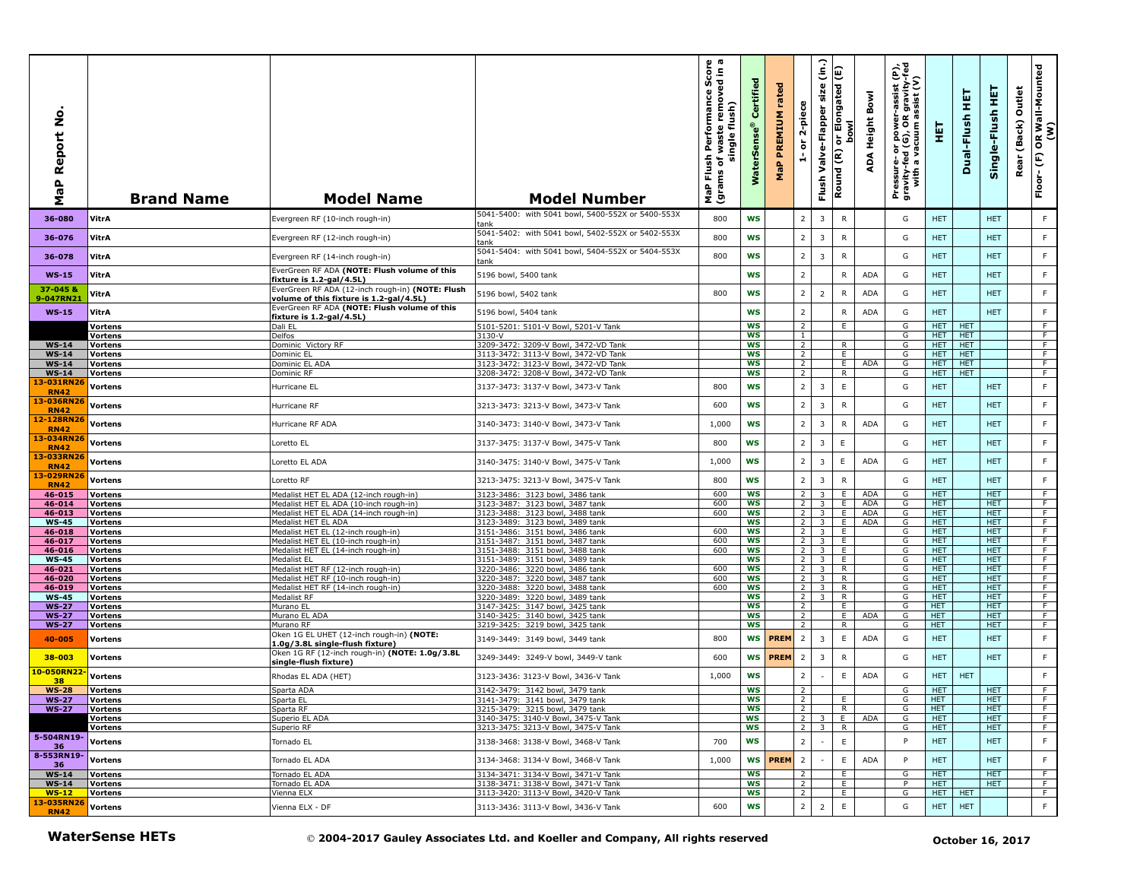| aP Report No<br>Σ                       | <b>Brand Name</b>                | <b>Model Name</b>                                                                           | <b>Model Number</b>                                                             | ο ω<br>rmance Score<br>removed in a<br>Performan<br>flush)<br>waste<br>single<br>Flush<br>৳<br>(grams<br>MaP | Certified<br><b>WaterSens</b> | rated<br><b>PREMIUM</b><br>MaP | 2-piece<br>$\overleftarrow{\mathtt{o}}$<br>÷ | (in.)<br>size<br>Valve-Flapper<br>Flush   | or Elongated (E)<br><b>bowl</b><br>Round (R) | Bowl<br>Height<br>∢<br>ą | rer-assist (P),<br>)R gravity-fed<br>1 assist (V)<br>Pressure- or power-<br>gravity-fed (G), OR g<br>with a vacuum as | 틯                        | 뚶<br>Dual-Flush   | 뿦<br>Single-Flush        | Outlet<br>(Back)<br>Rear | OR Wall-Mounted<br>(W)<br>$\mathop{\mathbb{E}}$<br>Floor- |
|-----------------------------------------|----------------------------------|---------------------------------------------------------------------------------------------|---------------------------------------------------------------------------------|--------------------------------------------------------------------------------------------------------------|-------------------------------|--------------------------------|----------------------------------------------|-------------------------------------------|----------------------------------------------|--------------------------|-----------------------------------------------------------------------------------------------------------------------|--------------------------|-------------------|--------------------------|--------------------------|-----------------------------------------------------------|
| 36-080                                  | VitrA                            | Evergreen RF (10-inch rough-in)                                                             | 5041-5400: with 5041 bowl, 5400-552X or 5400-553X<br>tank                       | 800                                                                                                          | <b>WS</b>                     |                                | $\overline{2}$                               | 3                                         | ${\sf R}$                                    |                          | G                                                                                                                     | <b>HET</b>               |                   | <b>HET</b>               |                          | F                                                         |
| 36-076                                  | VitrA                            | Evergreen RF (12-inch rough-in)                                                             | 5041-5402: with 5041 bowl, 5402-552X or 5402-553X<br>tank                       | 800                                                                                                          | <b>WS</b>                     |                                | $\overline{2}$                               | $\overline{3}$                            | ${\sf R}$                                    |                          | G                                                                                                                     | <b>HET</b>               |                   | <b>HET</b>               |                          | F                                                         |
| 36-078                                  | VitrA                            | Evergreen RF (14-inch rough-in)                                                             | 5041-5404: with 5041 bowl, 5404-552X or 5404-553X<br>tank                       | 800                                                                                                          | WS                            |                                | $\overline{2}$                               | 3                                         | ${\sf R}$                                    |                          | G                                                                                                                     | <b>HET</b>               |                   | <b>HET</b>               |                          | $\mathsf F$                                               |
| $WS-15$                                 | VitrA                            | EverGreen RF ADA (NOTE: Flush volume of this<br><u>fixture is 1.2-gal/4.5L)</u>             | 5196 bowl, 5400 tank                                                            |                                                                                                              | <b>WS</b>                     |                                | $\overline{2}$                               |                                           | $\mathsf{R}$                                 | <b>ADA</b>               | G                                                                                                                     | <b>HET</b>               |                   | <b>HET</b>               |                          | F                                                         |
| 37-045 &<br>9-047RN21                   | VitrA                            | EverGreen RF ADA (12-inch rough-in) (NOTE: Flush<br>volume of this fixture is 1.2-gal/4.5L) | 5196 bowl, 5402 tank                                                            | 800                                                                                                          | <b>WS</b>                     |                                | $\overline{2}$                               | $\overline{2}$                            | $\mathsf{R}$                                 | <b>ADA</b>               | G                                                                                                                     | <b>HET</b>               |                   | <b>HET</b>               |                          | F                                                         |
| $WS-15$                                 | VitrA                            | EverGreen RF ADA (NOTE: Flush volume of this<br>fixture is 1.2-gal/4.5L)                    | 5196 bowl, 5404 tank                                                            |                                                                                                              | <b>WS</b>                     |                                | $\overline{2}$                               |                                           | $\mathsf{R}$                                 | <b>ADA</b>               | G                                                                                                                     | <b>HET</b>               |                   | <b>HET</b>               |                          | $\mathsf F$                                               |
|                                         | <b>Vortens</b>                   | Dali EL                                                                                     | 5101-5201: 5101-V Bowl, 5201-V Tank                                             |                                                                                                              | WS                            |                                | $\overline{2}$                               |                                           | E                                            |                          | G                                                                                                                     | <b>HET</b>               | <b>HET</b>        |                          |                          | $\overline{F}$                                            |
| $WS-14$                                 | Vortens<br><b>Vortens</b>        | Delfos<br>Dominic Victory RF                                                                | 3130-V<br>3209-3472: 3209-V Bowl, 3472-VD Tank                                  |                                                                                                              | ws<br><b>WS</b>               |                                | $\mathbf{1}$<br>$\overline{2}$               |                                           | $\mathsf{R}$                                 |                          | G<br>G                                                                                                                | HET.<br>HET.             | HET<br><b>HET</b> |                          |                          | F<br>F                                                    |
| $WS-14$                                 | Vortens                          | Dominic EL                                                                                  | 3113-3472: 3113-V Bowl, 3472-VD Tank                                            |                                                                                                              | <b>WS</b>                     |                                | $\overline{2}$                               |                                           | E                                            |                          | G                                                                                                                     | HET.                     | <b>HET</b>        |                          |                          | F.                                                        |
| $WS-14$                                 | <b>Vortens</b>                   | Dominic EL ADA                                                                              | 3123-3472: 3123-V Bowl, 3472-VD Tank                                            |                                                                                                              | WS                            |                                | 2                                            |                                           | E.                                           | ADA                      | G                                                                                                                     | <b>HET</b>               | <b>HET</b>        |                          |                          | F.                                                        |
| <b>WS-14</b>                            | <b>Vortens</b>                   | Dominic RF                                                                                  | 3208-3472: 3208-V Bowl, 3472-VD Tank                                            |                                                                                                              | <b>WS</b>                     |                                | 2                                            |                                           | R                                            |                          | G                                                                                                                     | HET.                     | <b>HET</b>        |                          |                          | F.                                                        |
| 13-031RN26<br><b>RN42</b><br>13-036RN26 | <b>Vortens</b>                   | Hurricane EL                                                                                | 3137-3473: 3137-V Bowl, 3473-V Tank                                             | 800                                                                                                          | WS                            |                                | $\overline{2}$                               | $\overline{3}$                            | $\mathsf E$                                  |                          | G                                                                                                                     | <b>HET</b>               |                   | <b>HET</b>               |                          | $\mathsf F$                                               |
| <b>RN42</b>                             | Vortens                          | Hurricane RF                                                                                | 3213-3473: 3213-V Bowl, 3473-V Tank                                             | 600                                                                                                          | <b>WS</b>                     |                                | $\overline{2}$                               | 3                                         | $\mathsf{R}$                                 |                          | G                                                                                                                     | <b>HET</b>               |                   | <b>HET</b>               |                          | F                                                         |
| 12-128RN26<br><b>RN42</b><br>13-034RN26 | Vortens                          | Hurricane RF ADA                                                                            | 3140-3473: 3140-V Bowl, 3473-V Tank                                             | 1,000                                                                                                        | <b>WS</b>                     |                                | $\overline{2}$                               | 3                                         | $\mathsf{R}$                                 | <b>ADA</b>               | G                                                                                                                     | <b>HET</b>               |                   | <b>HET</b>               |                          | F                                                         |
| <b>RN42</b>                             | Vortens                          | Loretto EL                                                                                  | 3137-3475: 3137-V Bowl, 3475-V Tank                                             | 800                                                                                                          | <b>WS</b>                     |                                | $\overline{2}$                               | 3                                         | E                                            |                          | G                                                                                                                     | <b>HET</b>               |                   | <b>HET</b>               |                          | F                                                         |
| 13-033RN26<br><b>RN42</b>               | <b>Vortens</b>                   | Loretto EL ADA                                                                              | 3140-3475: 3140-V Bowl, 3475-V Tank                                             | 1,000                                                                                                        | ws                            |                                | $\overline{2}$                               | 3                                         | E.                                           | <b>ADA</b>               | G                                                                                                                     | <b>HET</b>               |                   | <b>HET</b>               |                          | F                                                         |
| 13-029RN26<br><b>RN42</b>               | Vortens                          | Loretto RF                                                                                  | 3213-3475: 3213-V Bowl, 3475-V Tank                                             | 800                                                                                                          | <b>WS</b>                     |                                | $\overline{2}$                               | $\overline{3}$                            | ${\sf R}$                                    |                          | G                                                                                                                     | <b>HET</b>               |                   | <b>HET</b>               |                          | F                                                         |
| 46-015<br>46-014                        | <b>Vortens</b><br>Vortens        | Medalist HET EL ADA (12-inch rough-in)<br>Medalist HET EL ADA (10-inch rough-in)            | 3123-3486: 3123 bowl, 3486 tank<br>3123-3487: 3123 bowl, 3487 tank              | 600<br>600                                                                                                   | <b>WS</b><br><b>WS</b>        |                                | 2<br>2                                       | $\overline{3}$<br>$\overline{\mathbf{3}}$ | E.<br>E                                      | ADA<br>ADA               | G<br>G                                                                                                                | <b>HET</b><br><b>HET</b> |                   | <b>HET</b><br><b>HET</b> |                          | $\overline{F}$<br>F                                       |
| 46-013                                  | Vortens                          | Medalist HET EL ADA (14-inch rough-in)                                                      | 3123-3488: 3123 bowl, 3488 tank                                                 | 600                                                                                                          | ws                            |                                | 2                                            | 3 <sup>7</sup>                            | E.                                           | ADA                      | G                                                                                                                     | HET.                     |                   | HET.                     |                          | F                                                         |
| <b>WS-45</b>                            | Vortens                          | Medalist HET EL ADA                                                                         | 3123-3489: 3123 bowl, 3489 tank                                                 |                                                                                                              | WS                            |                                | $\overline{2}$                               | $\overline{\mathbf{3}}$                   | E                                            | ADA                      | G                                                                                                                     | HET.                     |                   | <b>HET</b>               |                          | F.                                                        |
| 46-018                                  | Vortens                          | Medalist HET EL (12-inch rough-in)                                                          | 3151-3486: 3151 bowl, 3486 tank                                                 | 600                                                                                                          | <b>WS</b>                     |                                | 2 <sup>1</sup>                               | $\overline{\mathbf{3}}$                   | E.                                           |                          | G                                                                                                                     | HET                      |                   | <b>HET</b>               |                          | $\overline{F}$                                            |
| 46-017                                  | <b>Vortens</b>                   | Medalist HET EL (10-inch rough-in)                                                          | 3151-3487: 3151 bowl, 3487 tank                                                 | 600                                                                                                          | <b>WS</b>                     |                                | 2 <sub>1</sub>                               | 3 I                                       | E                                            |                          | G                                                                                                                     | HET.                     |                   | HET.                     |                          | F                                                         |
| 46-016<br><b>WS-45</b>                  | <b>Vortens</b>                   | Medalist HET EL (14-inch rough-in)<br>Medalist EL                                           | 3151-3488: 3151 bowl, 3488 tank<br>3151-3489: 3151 bowl, 3489 tank              | 600                                                                                                          | <b>WS</b><br><b>WS</b>        |                                | $\overline{2}$<br>$\overline{2}$             | $\overline{3}$<br>$\overline{\mathbf{3}}$ | E.<br>E                                      |                          | G<br>G                                                                                                                | <b>HET</b><br><b>HET</b> |                   | <b>HET</b><br><b>HET</b> |                          | F<br>$\overline{F}$                                       |
| 46-021                                  | Vortens<br>Vortens               | Medalist HET RF (12-inch rough-in)                                                          | 3220-3486: 3220 bowl, 3486 tank                                                 | 600                                                                                                          | WS                            |                                | $\overline{2}$                               | $\overline{\mathbf{3}}$                   | R                                            |                          | G                                                                                                                     | <b>HET</b>               |                   | <b>HET</b>               |                          | F                                                         |
| 46-020                                  | <b>Vortens</b>                   | Medalist HET RF (10-inch rough-in)                                                          | 3220-3487: 3220 bowl, 3487 tank                                                 | 600                                                                                                          | <b>WS</b>                     |                                | 2                                            | $\overline{\mathbf{3}}$                   | R                                            |                          | G                                                                                                                     | HET.                     |                   | <b>HET</b>               |                          | F                                                         |
| 46-019                                  | Vortens                          | Medalist HET RF (14-inch rough-in)                                                          | 3220-3488: 3220 bowl, 3488 tank                                                 | 600                                                                                                          | WS                            |                                | $\overline{2}$                               | $\overline{\mathbf{3}}$                   | R                                            |                          | G                                                                                                                     | <b>HET</b>               |                   | <b>HET</b>               |                          | F                                                         |
| <b>WS-45</b>                            | <b>Vortens</b>                   | Medalist RF                                                                                 | 3220-3489: 3220 bowl, 3489 tank                                                 |                                                                                                              | <b>WS</b>                     |                                | $\overline{2}$                               | $\overline{3}$                            | R                                            |                          | G                                                                                                                     | <b>HET</b>               |                   | <b>HET</b>               |                          | $\overline{F}$                                            |
| <b>WS-27</b>                            | Vortens                          | Murano EL<br>Murano EL ADA                                                                  | 3147-3425: 3147 bowl, 3425 tank<br>3140-3425: 3140 bowl, 3425 tank              |                                                                                                              | <b>WS</b><br>WS               |                                | $\overline{2}$<br>$\overline{2}$             |                                           | E<br>E                                       | ADA                      | G<br>G                                                                                                                | <b>HET</b><br><b>HET</b> |                   | <b>HET</b><br><b>HET</b> |                          | F.<br>F                                                   |
| $WS-27$<br><b>WS-27</b>                 | <b>Vortens</b><br><b>Vortens</b> | Murano RF                                                                                   | 3219-3425: 3219 bowl, 3425 tank                                                 |                                                                                                              | <b>WS</b>                     |                                | $\overline{2}$                               |                                           | R                                            |                          | G                                                                                                                     | <b>HET</b>               |                   | <b>HET</b>               |                          | F                                                         |
| 40-005                                  | Vortens                          | Oken 1G EL UHET (12-inch rough-in) (NOTE:<br>1.0g/3.8L single-flush fixture)                | 3149-3449: 3149 bowl, 3449 tank                                                 | 800                                                                                                          | WS                            | <b>PREM</b>                    | $\overline{2}$                               | 3                                         | E                                            | <b>ADA</b>               | G                                                                                                                     | <b>HET</b>               |                   | <b>HET</b>               |                          | F                                                         |
| 38-003                                  | Vortens                          | Oken 1G RF (12-inch rough-in) (NOTE: 1.0g/3.8L<br>single-flush fixture)                     | 3249-3449: 3249-V bowl, 3449-V tank                                             | 600                                                                                                          | <b>WS</b>                     | <b>PREM</b>                    | $\overline{2}$                               | 3                                         | $\mathsf{R}$                                 |                          | G                                                                                                                     | <b>HET</b>               |                   | <b>HET</b>               |                          | F                                                         |
| 10-050RN22<br>38                        | Vortens                          | Rhodas EL ADA (HET)                                                                         | 3123-3436: 3123-V Bowl, 3436-V Tank                                             | 1,000                                                                                                        | <b>WS</b>                     |                                | $\overline{2}$                               |                                           | E                                            | ADA                      | G                                                                                                                     | <b>HET</b>               | <b>HET</b>        |                          |                          | $\mathsf F$                                               |
| <b>WS-28</b>                            | <b>Vortens</b>                   | Sparta ADA                                                                                  | 3142-3479: 3142 bowl, 3479 tank                                                 |                                                                                                              | <b>WS</b>                     |                                | $\overline{2}$                               |                                           |                                              |                          | G                                                                                                                     | HET.                     |                   | <b>HET</b>               |                          | F.                                                        |
| <b>WS-27</b>                            | <b>Vortens</b>                   | Sparta El                                                                                   | 3141-3479:  3141 bowl, 3479 tank                                                |                                                                                                              | ws                            |                                | $\mathbf{z}$                                 |                                           | E.                                           |                          | G                                                                                                                     | HEI                      |                   | HEI                      |                          |                                                           |
| <b>WS-27</b>                            | <b>Vortens</b>                   | Sparta RF                                                                                   | 3215-3479: 3215 bowl, 3479 tank                                                 |                                                                                                              | WS                            |                                | $\overline{2}$                               |                                           | R.                                           |                          | G                                                                                                                     | <b>HET</b>               |                   | <b>HET</b>               |                          | $-F$                                                      |
|                                         | <b>Vortens</b><br>Vortens        | Superio EL ADA<br>Superio RF                                                                | 3140-3475: 3140-V Bowl, 3475-V Tank<br>3213-3475: 3213-V Bowl, 3475-V Tank      |                                                                                                              | ws<br>ws                      |                                | 2 <sup>1</sup>                               | 3<br>$2 \mid 3 \mid$                      | E.<br>R                                      | ADA                      | G<br>G                                                                                                                | <b>HET</b><br><b>HET</b> |                   | <b>HET</b><br><b>HET</b> |                          | F.<br>F.                                                  |
| 5-504RN19-<br>36                        | <b>Vortens</b>                   | Tornado EL                                                                                  | 3138-3468: 3138-V Bowl, 3468-V Tank                                             | 700                                                                                                          | WS                            |                                | $\overline{2}$                               | $\sim$                                    | $\mathsf E$                                  |                          | P                                                                                                                     | <b>HET</b>               |                   | <b>HET</b>               |                          | F                                                         |
| 8-553RN19-<br>36                        | Vortens                          | Tornado EL ADA                                                                              | 3134-3468: 3134-V Bowl, 3468-V Tank                                             | 1,000                                                                                                        | WS                            | <b>PREM</b>                    | $\overline{2}$                               |                                           | E                                            | <b>ADA</b>               | P                                                                                                                     | HET                      |                   | <b>HET</b>               |                          | F                                                         |
| $WS-14$                                 | <b>Vortens</b>                   | Tornado EL ADA                                                                              | 3134-3471: 3134-V Bowl, 3471-V Tank                                             |                                                                                                              | <b>WS</b>                     |                                | $\overline{2}$                               |                                           | E                                            |                          | G                                                                                                                     | HET.                     |                   | <b>HET</b>               |                          | F.                                                        |
| $WS-14$                                 | <b>Vortens</b>                   | Tornado EL ADA                                                                              | 3138-3471: 3138-V Bowl, 3471-V Tank                                             |                                                                                                              | <b>WS</b>                     |                                | $\overline{2}$                               |                                           | E                                            |                          | P                                                                                                                     | <b>HET</b>               |                   | <b>HET</b>               |                          | F                                                         |
| $WS-12$                                 | Vortens                          | Vienna ELX                                                                                  | 3113-3420: 3113-V Bowl, 3420-V Tank                                             |                                                                                                              | <b>WS</b>                     |                                | $\overline{2}$                               |                                           | E                                            |                          | G                                                                                                                     | HET HET                  |                   |                          |                          | $\overline{F}$                                            |
| 13-035RN26<br><b>RN42</b>               | <b>Vortens</b>                   | Vienna ELX - DF                                                                             | 3113-3436: 3113-V Bowl, 3436-V Tank                                             | 600                                                                                                          | WS                            |                                | $\mathbf 2$                                  | $\overline{2}$                            | $\mathsf E$                                  |                          | G                                                                                                                     | HET.                     | <b>HET</b>        |                          |                          | F                                                         |
|                                         | <b>WaterSense HETs</b>           |                                                                                             | © 2004-2017 Gauley Associates Ltd. and Koeller and Company, All rights reserved |                                                                                                              |                               |                                |                                              |                                           |                                              |                          |                                                                                                                       |                          |                   | October 16, 2017         |                          |                                                           |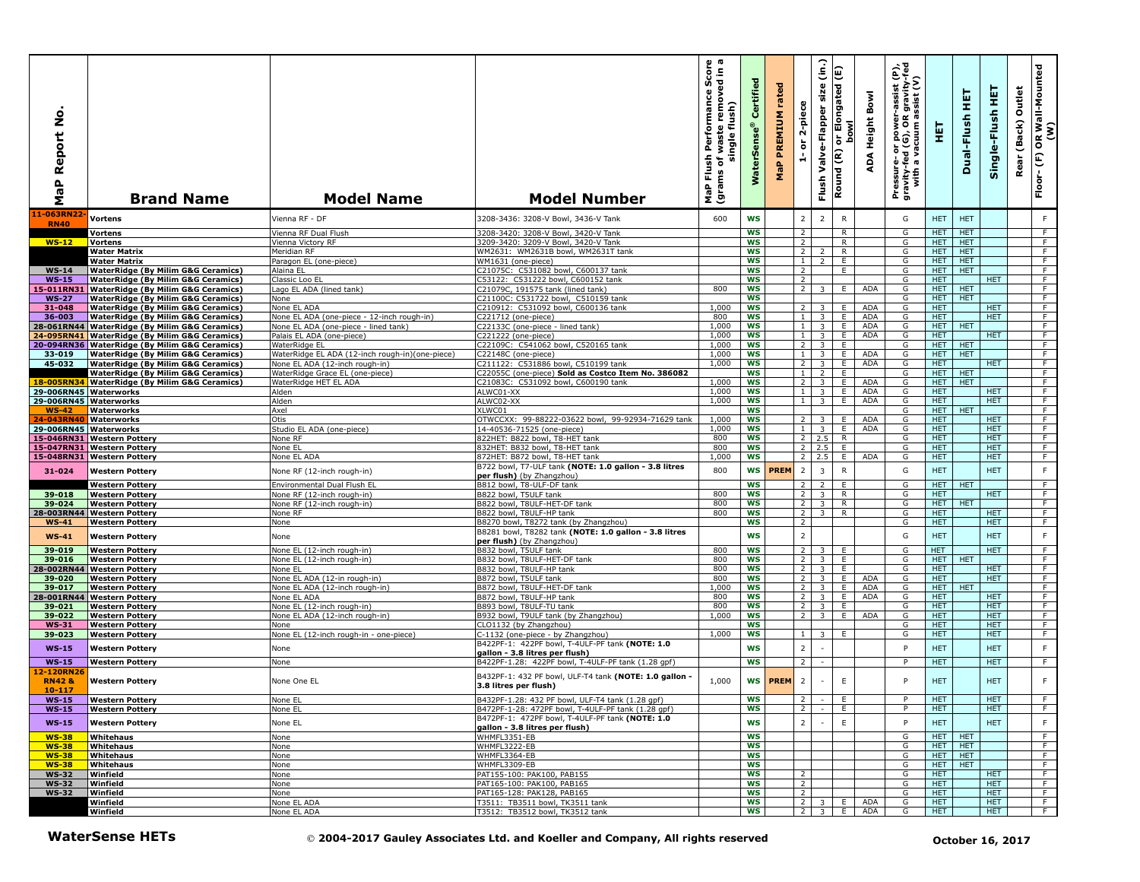| ş<br>Report<br>a<br>G<br>Σ                   | <b>Brand Name</b>                                                                              | <b>Model Name</b>                                                | <b>Model Number</b>                                                                                    | $\omega$ $\varpi$<br>rmance Score<br>removed in a<br>Performan<br>flush)<br>waste<br>single<br>Flush<br>৳<br>(grams<br>$\mathbf{r}$<br>g | Certified<br><b>Se</b><br>Š | rated<br>PREMIUM<br>$\Delta$<br>문 | 2-piece<br>$\overleftarrow{\mathtt{o}}$<br>÷ | (in.)<br>size<br>Valve-Flapper<br>Flush            | Elongated (E)<br><b>bowl</b><br>$\overline{5}$<br>Round (R) | Bowl<br>Height<br>⋖<br>å | er-assist (P),<br>)R gravity-fed<br>) assist (V)<br>Pressure- or power--<br>gravity-fed (G), OR g<br>with a vacuum as | 王                        | 뚶<br>Dual-Flush          | 뿦<br>Single-Flush        | Outlet<br>(Back)<br>Rear | R Wall-Mounted<br>(W)<br>$\mathbf{s}$<br>$\mathop{\mathbb{E}}$<br>Floor- |
|----------------------------------------------|------------------------------------------------------------------------------------------------|------------------------------------------------------------------|--------------------------------------------------------------------------------------------------------|------------------------------------------------------------------------------------------------------------------------------------------|-----------------------------|-----------------------------------|----------------------------------------------|----------------------------------------------------|-------------------------------------------------------------|--------------------------|-----------------------------------------------------------------------------------------------------------------------|--------------------------|--------------------------|--------------------------|--------------------------|--------------------------------------------------------------------------|
| 11-063RN22<br><b>RN40</b>                    | <b>Vortens</b>                                                                                 | Vienna RF - DF                                                   | 3208-3436: 3208-V Bowl, 3436-V Tank                                                                    | 600                                                                                                                                      | <b>WS</b>                   |                                   | $\overline{2}$                               | $\overline{2}$                                     | ${\sf R}$                                                   |                          | G                                                                                                                     | HET.                     | <b>HET</b>               |                          |                          | F                                                                        |
|                                              | <b>Vortens</b>                                                                                 | Vienna RF Dual Flush                                             | 3208-3420: 3208-V Bowl, 3420-V Tank                                                                    |                                                                                                                                          | <b>WS</b>                   |                                   | $\overline{2}$                               |                                                    | R                                                           |                          | G                                                                                                                     | <b>HET</b>               | <b>HET</b>               |                          |                          | $\overline{F}$                                                           |
| $WS-12$                                      | <b>Vortens</b><br><b>Water Matrix</b>                                                          | Vienna Victory RF<br>Meridian RF                                 | 3209-3420: 3209-V Bowl, 3420-V Tank<br>WM2631: WM2631B bowl, WM2631T tank                              |                                                                                                                                          | <b>WS</b><br>WS             |                                   | $\overline{2}$<br>$\overline{2}$             | $\overline{\phantom{a}}$                           | R<br>R                                                      |                          | G<br>G                                                                                                                | HET.<br>HET.             | <b>HET</b><br><b>HET</b> |                          |                          | F<br>F                                                                   |
|                                              | <b>Water Matrix</b>                                                                            | Paragon EL (one-piece)                                           | WM1631 (one-piece)                                                                                     |                                                                                                                                          | ws                          |                                   | $\mathbf{1}$                                 | $\overline{2}$                                     | E.                                                          |                          | G                                                                                                                     | <b>HET</b>               | HET                      |                          |                          | $\overline{F}$                                                           |
| $WS-14$                                      | <b>WaterRidge (By Milim G&amp;G Ceramics)</b>                                                  | Alaina EL                                                        | C21075C: C531082 bowl, C600137 tank                                                                    |                                                                                                                                          | <b>WS</b>                   |                                   | $\overline{2}$                               |                                                    | Ε                                                           |                          | G                                                                                                                     | HET.                     | <b>HET</b>               |                          |                          | F                                                                        |
| $WS-15$<br>15-011RN31                        | <b>WaterRidge (By Milim G&amp;G Ceramics)</b><br><b>WaterRidge (By Milim G&amp;G Ceramics)</b> | Classic Loo EL<br>Lago EL ADA (lined tank)                       | C53122: C531222 bowl, C600152 tank<br>C21079C, 191575 tank (lined tank)                                | 800                                                                                                                                      | WS<br>WS                    |                                   | $\overline{2}$<br>$\overline{2}$             | 3                                                  | E.                                                          | <b>ADA</b>               | G<br>G                                                                                                                | HET.<br>HET.             | <b>HET</b>               | <b>HET</b>               |                          | F<br>F.                                                                  |
| <b>WS-27</b>                                 | <b>WaterRidge (By Milim G&amp;G Ceramics)</b>                                                  | None                                                             | C21100C: C531722 bowl, C510159 tank                                                                    |                                                                                                                                          | WS                          |                                   |                                              |                                                    |                                                             |                          | G                                                                                                                     | HET                      | <b>HET</b>               |                          |                          | $\overline{F}$                                                           |
| 31-048<br>36-003                             | <b>WaterRidge (By Milim G&amp;G Ceramics)</b><br><b>WaterRidge (By Milim G&amp;G Ceramics)</b> | None EL ADA<br>None EL ADA (one-piece - 12-inch rough-in)        | C210912: C531092 bowl, C600136 tank<br>C221712 (one-piece)                                             | 1,000<br>800                                                                                                                             | <b>WS</b><br>WS             |                                   | $\overline{2}$<br>$\mathbf{1}$               | 3<br>$\overline{\mathbf{3}}$                       | E.<br>Ε.                                                    | <b>ADA</b><br>ADA        | G<br>G                                                                                                                | HET.<br><b>HET</b>       |                          | <b>HET</b><br><b>HET</b> |                          | F.<br>F                                                                  |
| 28-061RN44                                   | <b>WaterRidge (By Milim G&amp;G Ceramics)</b>                                                  | None EL ADA (one-piece - lined tank)                             | C22133C (one-piece - lined tank)                                                                       | 1,000                                                                                                                                    | <b>WS</b>                   |                                   | $\mathbf{1}$                                 | $\overline{\mathbf{3}}$                            | E                                                           | ADA                      | G                                                                                                                     | <b>HET</b>               | <b>HET</b>               |                          |                          | $\overline{F}$                                                           |
|                                              | 24-095RN41 WaterRidge (By Milim G&G Ceramics)                                                  | Palais EL ADA (one-piece)                                        | C221222 (one-piece)<br>C22109C: C541062 bowl, C520165 tank                                             | 1,000                                                                                                                                    | <b>WS</b>                   |                                   | $\mathbf{1}$                                 | 3 <sup>7</sup>                                     | E.                                                          | <b>ADA</b>               | G                                                                                                                     | <b>HET</b>               |                          | <b>HET</b>               |                          | F                                                                        |
| 33-019                                       | 20-094RN36 WaterRidge (By Milim G&G Ceramics)<br><b>WaterRidge (By Milim G&amp;G Ceramics)</b> | WaterRidge EL<br>WaterRidge EL ADA (12-inch rough-in)(one-piece) | C22148C (one-piece)                                                                                    | 1.000<br>1,000                                                                                                                           | <b>WS</b><br>WS             |                                   | 2<br>$\mathbf{1}$                            | $\overline{\mathbf{3}}$<br>$\overline{\mathbf{3}}$ | E<br>E                                                      | <b>ADA</b>               | G<br>G                                                                                                                | HET.<br>HET.             | <b>HET</b><br><b>HET</b> |                          |                          | F<br>F                                                                   |
| 45-032                                       | <b>WaterRidge (By Milim G&amp;G Ceramics)</b>                                                  | None EL ADA (12-inch rough-in)                                   | C211122: C531886 bowl, C510199 tank                                                                    | 1,000                                                                                                                                    | <b>WS</b>                   |                                   | $\overline{2}$                               | 3 <sup>1</sup>                                     | E.                                                          | <b>ADA</b>               | G                                                                                                                     | <b>HET</b>               |                          | <b>HET</b>               |                          | $\overline{F}$                                                           |
| 18-005RN34                                   | <b>WaterRidge (By Milim G&amp;G Ceramics)</b><br><b>WaterRidge (By Milim G&amp;G Ceramics)</b> | WaterRidge Grace EL (one-piece)<br>WaterRidge HET EL ADA         | C22055C (one-piece) Sold as Costco Item No. 386082<br>C21083C: C531092 bowl, C600190 tank              | 1,000                                                                                                                                    | <b>WS</b><br>WS             |                                   | $\mathbf{1}$<br>$\overline{2}$               | $\overline{2}$<br>$\overline{3}$                   | E<br>E                                                      | ADA                      | G<br>G                                                                                                                | HET.<br>HET.             | <b>HET</b><br><b>HET</b> |                          |                          | F.<br>F                                                                  |
| 29-006RN45 Waterworks                        |                                                                                                | Alden                                                            | ALWC01-XX                                                                                              | 1,000                                                                                                                                    | WS                          |                                   | $\mathbf{1}$                                 | $\overline{\mathbf{3}}$                            | E.                                                          | ADA                      | G                                                                                                                     | HET.                     |                          | <b>HET</b>               |                          | F                                                                        |
| 29-006RN45 Waterworks                        |                                                                                                | Alden                                                            | ALWC02-XX                                                                                              | 1,000                                                                                                                                    | WS                          |                                   | 1                                            | $\overline{\mathbf{3}}$                            | E.                                                          | ADA                      | G                                                                                                                     | HET.                     |                          | <b>HET</b>               |                          | $\overline{F}$                                                           |
| $WS-42$<br>24-043RN40                        | Waterworks<br>Waterworks                                                                       | Axel<br>Otis                                                     | XLWC01<br>OTWCCXX: 99-88222-03622 bowl, 99-92934-71629 tank                                            | 1,000                                                                                                                                    | <b>WS</b><br><b>WS</b>      |                                   | $\overline{2}$                               | 3                                                  | E                                                           | <b>ADA</b>               | G<br>G                                                                                                                | HET  <br><b>HET</b>      | <b>HET</b>               | <b>HET</b>               |                          | F.<br>F                                                                  |
| 29-006RN45 Waterworks                        |                                                                                                | Studio EL ADA (one-piece)                                        | 14-40536-71525 (one-piece)                                                                             | 1,000                                                                                                                                    | WS                          |                                   | $\mathbf{1}$                                 | $\overline{\mathbf{3}}$                            | Ε.                                                          | ADA                      | G                                                                                                                     | <b>HET</b>               |                          | <b>HET</b>               |                          | F.                                                                       |
|                                              | 15-046RN31 Western Pottery<br>15-047RN31 Western Pottery                                       | None RF<br>None EL                                               | 822HET: B822 bowl, T8-HET tank<br>832HET: B832 bowl, T8-HET tank                                       | 800<br>800                                                                                                                               | WS<br><b>WS</b>             |                                   | 2<br>2                                       | 2.5<br>2.5                                         | $\mathsf{R}$<br>E.                                          |                          | G<br>G                                                                                                                | <b>HET</b><br>HET.       |                          | <b>HET</b><br>HET.       |                          | F<br>F                                                                   |
|                                              | 15-048RN31 Western Pottery                                                                     | None EL ADA                                                      | 872HET: B872 bowl, T8-HET tank                                                                         | 1,000                                                                                                                                    | <b>WS</b>                   |                                   | $\overline{2}$                               | 2.5                                                | E                                                           | <b>ADA</b>               | G                                                                                                                     | HET.                     |                          | <b>HET</b>               |                          | F.                                                                       |
| 31-024                                       | <b>Western Pottery</b>                                                                         | None RF (12-inch rough-in)                                       | B722 bowl, T7-ULF tank (NOTE: 1.0 gallon - 3.8 litres                                                  | 800                                                                                                                                      | <b>WS</b>                   | <b>PREM</b>                       | $\overline{2}$                               | $\overline{3}$                                     | ${\sf R}$                                                   |                          | G                                                                                                                     | <b>HET</b>               |                          | <b>HET</b>               |                          | $\mathsf F$                                                              |
|                                              | <b>Western Pottery</b>                                                                         | Environmental Dual Flush EL                                      | per flush) (by Zhangzhou)<br>B812 bowl, T8-ULF-DF tank                                                 |                                                                                                                                          | <b>WS</b>                   |                                   | $\overline{2}$                               | 2                                                  | E                                                           |                          | G                                                                                                                     | HET.                     | <b>HET</b>               |                          |                          | F.                                                                       |
| 39-018                                       | <b>Western Pottery</b>                                                                         | None RF (12-inch rough-in)                                       | B822 bowl, T5ULF tank                                                                                  | 800                                                                                                                                      | ws                          |                                   | 2                                            | $\overline{3}$                                     | R                                                           |                          | G                                                                                                                     | <b>HET</b>               |                          | <b>HET</b>               |                          | $\overline{F}$                                                           |
| 39-024                                       | <b>Western Pottery</b><br>28-003RN44 Western Pottery                                           | None RF (12-inch rough-in)<br>None RF                            | B822 bowl, T8ULF-HET-DF tank<br>B822 bowl, T8ULF-HP tank                                               | 800<br>800                                                                                                                               | <b>WS</b><br>ws             |                                   | $\overline{2}$                               | $\overline{3}$<br>$2 \mid 3 \mid$                  | $\mathsf{R}$<br>$\mathsf{R}$                                |                          | G<br>G                                                                                                                | <b>HET</b><br>HET.       | <b>HET</b>               | <b>HET</b>               |                          | F<br>F                                                                   |
| $WS-41$                                      | <b>Western Pottery</b>                                                                         | None                                                             | B8270 bowl, T8272 tank (by Zhangzhou)                                                                  |                                                                                                                                          | ws                          |                                   | 2                                            |                                                    |                                                             |                          | G                                                                                                                     | HET.                     |                          | <b>HET</b>               |                          | F                                                                        |
| $WS-41$                                      | <b>Western Pottery</b>                                                                         | None                                                             | B8281 bowl, T8282 tank (NOTE: 1.0 gallon - 3.8 litres                                                  |                                                                                                                                          | <b>WS</b>                   |                                   | $\overline{\mathbf{2}}$                      |                                                    |                                                             |                          | G                                                                                                                     | <b>HET</b>               |                          | <b>HET</b>               |                          | F                                                                        |
| 39-019                                       | <b>Western Pottery</b>                                                                         | None EL (12-inch rough-in)                                       | per flush) (by Zhangzhou)<br>B832 bowl, T5ULF tank                                                     | 800                                                                                                                                      | <b>WS</b>                   |                                   | $\overline{2}$                               | $\overline{3}$                                     | E.                                                          |                          | G                                                                                                                     | <b>HET</b>               |                          | <b>HET</b>               |                          | F                                                                        |
| 39-016                                       | <b>Western Pottery</b>                                                                         | None EL (12-inch rough-in)                                       | B832 bowl, T8ULF-HET-DF tank                                                                           | 800                                                                                                                                      | <b>WS</b>                   |                                   | $\overline{2}$                               | $\overline{\mathbf{3}}$                            | E                                                           |                          | G                                                                                                                     | <b>HET</b>               | HET                      |                          |                          | $\overline{F}$                                                           |
| 28-002RN44<br>39-020                         | <b>Western Pottery</b><br><b>Western Pottery</b>                                               | None EL<br>None EL ADA (12-in rough-in)                          | B832 bowl, T8ULF-HP tank<br>B872 bowl, T5ULF tank                                                      | 800<br>800                                                                                                                               | ws<br><b>WS</b>             |                                   | $\overline{2}$<br>2                          | $\overline{\mathbf{3}}$<br>$\overline{\mathbf{3}}$ | E<br>E                                                      | <b>ADA</b>               | G<br>G                                                                                                                | HET.<br>HET.             |                          | <b>HET</b><br>HET.       |                          | F<br>F                                                                   |
| 39-017                                       | <b>Western Pottery</b>                                                                         | None EL ADA (12-inch rough-in)                                   | B872 bowl, T8ULF-HET-DF tank                                                                           | 1,000                                                                                                                                    | <b>WS</b>                   |                                   | $\overline{2}$                               | $\overline{3}$                                     | E                                                           | ADA                      | G                                                                                                                     | HET.                     | <b>HET</b>               |                          |                          | F                                                                        |
|                                              | 28-001RN44 Western Pottery                                                                     | None EL ADA                                                      | B872 bowl, T8ULF-HP tank                                                                               | 800                                                                                                                                      | <b>WS</b>                   |                                   | $\overline{2}$                               | 3 <sup>1</sup>                                     | E.                                                          | <b>ADA</b>               | G                                                                                                                     | <b>HET</b>               |                          | <b>HET</b>               |                          | $\overline{F}$                                                           |
| 39-021<br>39-022                             | <b>Western Pottery</b><br><b>Western Pottery</b>                                               | None EL (12-inch rough-in)<br>None EL ADA (12-inch rough-in)     | B893 bowl, T8ULF-TU tank<br>B932 bowl, T9ULF tank (by Zhangzhou)                                       | 800<br>1,000                                                                                                                             | <b>WS</b><br>WS             |                                   | 2<br>2                                       | $\overline{3}$<br>3                                | E<br>E                                                      | <b>ADA</b>               | G<br>G                                                                                                                | <b>HET</b><br><b>HET</b> |                          | <b>HET</b><br><b>HET</b> |                          | F.<br>F                                                                  |
| $WS-31$                                      | <b>Western Pottery</b>                                                                         | None                                                             | CLO1132 (by Zhangzhou)                                                                                 |                                                                                                                                          | <b>WS</b>                   |                                   |                                              |                                                    |                                                             |                          | G                                                                                                                     | <b>HET</b>               |                          | <b>HET</b>               |                          | F                                                                        |
| 39-023                                       | <b>Western Pottery</b>                                                                         | None EL (12-inch rough-in - one-piece)                           | C-1132 (one-piece - by Zhangzhou)<br>B422PF-1: 422PF bowl, T-4ULF-PF tank (NOTE: 1.0                   | 1,000                                                                                                                                    | ws                          |                                   | 1                                            | $\overline{3}$                                     | E.                                                          |                          | G                                                                                                                     | HET.                     |                          | <b>HET</b>               |                          | $\overline{F}$                                                           |
| $WS-15$                                      | <b>Western Pottery</b>                                                                         | None                                                             | gallon - 3.8 litres per flush)                                                                         |                                                                                                                                          | <b>WS</b>                   |                                   | $\overline{\mathbf{2}}$                      |                                                    |                                                             |                          | P                                                                                                                     | <b>HET</b>               |                          | <b>HET</b>               |                          | $\mathsf F$                                                              |
| <b>WS-15</b>                                 | <b>Western Pottery</b>                                                                         | None                                                             | B422PF-1.28: 422PF bowl, T-4ULF-PF tank (1.28 qpf)                                                     |                                                                                                                                          | ws                          |                                   | $\overline{2}$                               |                                                    |                                                             |                          | P                                                                                                                     | <b>HET</b>               |                          | <b>HET</b>               |                          | F.                                                                       |
| 12-120RN26<br><b>RN42&amp;</b><br>$10 - 117$ | <b>Western Pottery</b>                                                                         | None One EL                                                      | B432PF-1: 432 PF bowl, ULF-T4 tank (NOTE: 1.0 gallon -<br>3.8 litres per flush)                        | 1,000                                                                                                                                    |                             | <b>WS PREM</b>                    | $\overline{2}$                               |                                                    | $\mathsf E$                                                 |                          | P                                                                                                                     | <b>HET</b>               |                          | <b>HET</b>               |                          | F                                                                        |
| <b>WS-15</b>                                 | Western Pottery                                                                                | None El                                                          | B432PF-1.28: 432 PF bowl, ULF-T4 tank (1.28 gpf)<br>B472PF-1-28: 472PF bowl, T-4ULF-PF tank (1.28 gpf) |                                                                                                                                          | ws<br>WS                    |                                   | $\sim$ 1<br>$2^{\circ}$                      | $\sim$ $-$                                         | E.<br>E.                                                    |                          | P                                                                                                                     | HEL<br>HET.              |                          | HEI<br><b>HET</b>        |                          | F                                                                        |
| $WS-15$                                      | <b>Western Pottery</b>                                                                         | None EL                                                          | B472PF-1: 472PF bowl, T-4ULF-PF tank (NOTE: 1.0                                                        |                                                                                                                                          |                             |                                   |                                              |                                                    |                                                             |                          |                                                                                                                       |                          |                          |                          |                          |                                                                          |
| $WS-15$                                      | <b>Western Pottery</b>                                                                         | None EL                                                          | gallon - 3.8 litres per flush)                                                                         |                                                                                                                                          | WS                          |                                   | $\overline{2}$                               |                                                    | E                                                           |                          | P                                                                                                                     | <b>HET</b>               |                          | <b>HET</b>               |                          | F                                                                        |
| <b>WS-38</b><br>$WS-38$                      | Whitehaus<br>Whitehaus                                                                         | None<br>None                                                     | WHMFL3351-EB<br>WHMFL3222-EB                                                                           |                                                                                                                                          | <b>WS</b><br><b>WS</b>      |                                   |                                              |                                                    |                                                             |                          | G<br>G                                                                                                                |                          | HET HET<br>HET HET       |                          |                          | F<br>F                                                                   |
| <b>WS-38</b>                                 | Whitehaus                                                                                      | None                                                             | WHMFL3364-EB                                                                                           |                                                                                                                                          | WS                          |                                   |                                              |                                                    |                                                             |                          | G                                                                                                                     |                          | HET HET                  |                          |                          | F.                                                                       |
| $WS-38$                                      | Whitehaus                                                                                      | None                                                             | WHMFL3309-EB<br>PAT155-100: PAK100, PAB155                                                             |                                                                                                                                          | ws                          |                                   | <sup>2</sup>                                 |                                                    |                                                             |                          | G                                                                                                                     | HET.                     | HET HET                  |                          |                          | ਾ<br>F.                                                                  |
| <b>WS-32</b><br><b>WS-32</b>                 | Winfield<br>Winfield                                                                           | None<br>None                                                     | PAT165-100: PAK100, PAB165                                                                             |                                                                                                                                          | ws<br>WS                    |                                   | $\overline{2}$                               |                                                    |                                                             |                          | G<br>G                                                                                                                | <b>HET</b>               |                          | HET.<br>HET.             |                          | F                                                                        |
| <b>WS-32</b>                                 | <b>Winfield</b>                                                                                | None                                                             | PAT165-128: PAK128, PAB165                                                                             |                                                                                                                                          | WS                          |                                   | <sub>2</sub>                                 |                                                    |                                                             |                          | G                                                                                                                     | <b>HET</b>               |                          | <b>HET</b>               |                          | ਾਸ                                                                       |
|                                              | Winfield<br>Winfield                                                                           | None EL ADA<br>None EL ADA                                       | T3511: TB3511 bowl, TK3511 tank<br>T3512: TB3512 bowl, TK3512 tank                                     |                                                                                                                                          | ws<br>WS                    |                                   |                                              | 2 3 E<br>$2 \mid 3 \mid E$                         |                                                             | ADA<br>ADA               | G<br>G                                                                                                                | <b>HET</b><br>HET.       |                          | <b>HET</b><br>HET.       |                          | $\overline{F}$<br>F                                                      |
|                                              | <b>WaterSense HETs</b>                                                                         |                                                                  | © 2004-2017 Gauley Associates Ltd. and Koeller and Company, All rights reserved                        |                                                                                                                                          |                             |                                   |                                              |                                                    |                                                             |                          |                                                                                                                       |                          | October 16, 2017         |                          |                          |                                                                          |